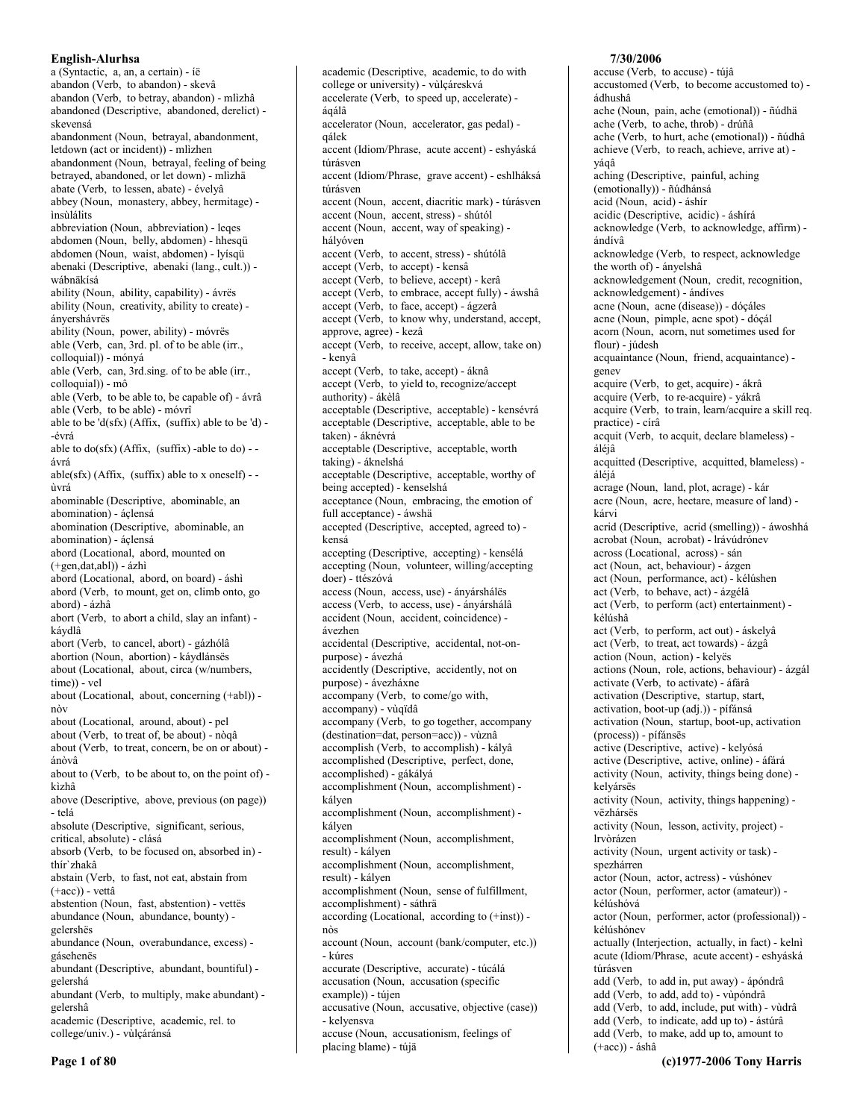a (Syntactic, a, an, a certain) - íë abandon (Verb, to abandon) - skevâ abandon (Verb, to betray, abandon) - mlìzhâ abandoned (Descriptive, abandoned, derelict) skevensá abandonment (Noun, betrayal, abandonment, letdown (act or incident)) - mlìzhen abandonment (Noun, betrayal, feeling of being betrayed, abandoned, or let down) - mlìzhä abate (Verb, to lessen, abate) - évelyâ abbey (Noun, monastery, abbey, hermitage) insúlálits abbreviation (Noun, abbreviation) - leges abdomen (Noun, belly, abdomen) - hhesqü abdomen (Noun, waist, abdomen) - lyísqü abenaki (Descriptive, abenaki (lang., cult.)) wábnäkísá ability (Noun, ability, capability) - ávrës ability (Noun, creativity, ability to create) ánvershávrës ability (Noun, power, ability) - móvrës able (Verb, can, 3rd. pl. of to be able (irr., colloquial)) - mónyá able (Verb, can, 3rd.sing. of to be able (irr., colloquial)) - mô able (Verb, to be able to, be capable of) - ávrâ able (Verb, to be able) - móvrî able to be 'd(sfx) (Affix, (suffix) able to be 'd) --évrá able to do(sfx) (Affix, (suffix) -able to do) -ávrá able(sfx) (Affix, (suffix) able to x oneself) - ùvrá abominable (Descriptive, abominable, an abomination) - áçlensá abomination (Descriptive, abominable, an abomination) - áçlensá abord (Locational, abord, mounted on  $(+gen, dat,abl)) - ázhi$ abord (Locational, abord, on board) - áshì abord (Verb, to mount, get on, climb onto, go abord) - ázhâ abort (Verb, to abort a child, slay an infant) káydlâ abort (Verb, to cancel, abort) - gázhólâ abortion (Noun, abortion) - káydlánsës about (Locational, about, circa (w/numbers, time)) - vel about (Locational, about, concerning (+abl)) nòv about (Locational, around, about) - pel about (Verb, to treat of, be about) - nòqâ about (Verb, to treat, concern, be on or about) ánòvâ about to (Verb, to be about to, on the point of) kìzhâ above (Descriptive, above, previous (on page)) - telá absolute (Descriptive, significant, serious, critical, absolute) - clásá absorb (Verb, to be focused on, absorbed in) thír'zhakâ abstain (Verb, to fast, not eat, abstain from  $(+acc)$ ) - vettâ abstention (Noun, fast, abstention) - vettës abundance (Noun, abundance, bounty) gelershës abundance (Noun, overabundance, excess) gásehenës abundant (Descriptive, abundant, bountiful) gelershá abundant (Verb, to multiply, make abundant) gelershâ academic (Descriptive, academic, rel. to college/univ.) - vùlçáránsá

academic (Descriptive, academic, to do with college or university) - vùlçáreskvá accelerate (Verb, to speed up, accelerate) áqálâ accelerator (Noun, accelerator, gas pedal) qálek accent (Idiom/Phrase, acute accent) - eshyáská túrásven accent (Idiom/Phrase, grave accent) - eshlháksá túrásven accent (Noun, accent, diacritic mark) - túrásven accent (Noun, accent, stress) - shútól accent (Noun, accent, way of speaking) hálvóven accent (Verb, to accent, stress) - shútólâ accept (Verb, to accept) - kensâ accept (Verb, to believe, accept) - kerâ accept (Verb, to embrace, accept fully) - áwshâ accept (Verb, to face, accept) - ágzerâ accept (Verb, to know why, understand, accept, approve, agree) - kezâ accept (Verb, to receive, accept, allow, take on) - kenyâ accept (Verb, to take, accept) - áknâ accept (Verb, to yield to, recognize/accept authority) - ákèlâ acceptable (Descriptive, acceptable) - kensévrá acceptable (Descriptive, acceptable, able to be taken) - áknévrá acceptable (Descriptive, acceptable, worth taking) - áknelshá acceptable (Descriptive, acceptable, worthy of being accepted) - kenselshá acceptance (Noun, embracing, the emotion of full acceptance) - áwshä accepted (Descriptive, accepted, agreed to) kensá accepting (Descriptive, accepting) - kensélá accepting (Noun, volunteer, willing/accepting doer) - ttészóvá access (Noun, access, use) - ányárshálës access (Verb, to access, use) - ányárshálâ accident (Noun, accident, coincidence) ávezhen accidental (Descriptive, accidental, not-onpurpose) - ávezhá accidently (Descriptive, accidently, not on purpose) - ávezháxne accompany (Verb, to come/go with, accompany) - vùqïdâ accompany (Verb, to go together, accompany (destination=dat, person=acc)) - vùznâ accomplish (Verb, to accomplish) - kályâ accomplished (Descriptive, perfect, done, accomplished) - gákályá accomplishment (Noun, accomplishment) kályen accomplishment (Noun, accomplishment) kálven accomplishment (Noun, accomplishment, result) - kályen accomplishment (Noun, accomplishment, result) - kályen accomplishment (Noun, sense of fulfillment, accomplishment) - sáthrä according (Locational, according to (+inst)) nòs account (Noun, account (bank/computer, etc.)) - kúres accurate (Descriptive, accurate) - túcálá accusation (Noun, accusation (specific example)) - tújen accusative (Noun, accusative, objective (case)) - kelyensva accuse (Noun, accusationism, feelings of placing blame) - tújä

# 7/30/2006

accuse (Verb, to accuse) - tújâ accustomed (Verb, to become accustomed to) ádhushâ ache (Noun, pain, ache (emotional)) - ñúdhä ache (Verb, to ache, throb) - drúñâ ache (Verb, to hurt, ache (emotional)) - ñúdhâ achieve (Verb, to reach, achieve, arrive at) yáqâ aching (Descriptive, painful, aching (emotionally)) - ñúdhánsá acid (Noun, acid) - áshír acidic (Descriptive, acidic) - áshírá acknowledge (Verb, to acknowledge, affirm) ándívâ acknowledge (Verb, to respect, acknowledge the worth of) - ányelshâ acknowledgement (Noun, credit, recognition, acknowledgement) - ándíves acne (Noun, acne (disease)) - dóçáles acne (Noun, pimple, acne spot) - dóçál acorn (Noun, acorn, nut sometimes used for flour) - júdesh acquaintance (Noun, friend, acquaintance) genev acquire (Verb, to get, acquire) - ákrâ acquire (Verb, to re-acquire) - yákrâ acquire (Verb, to train, learn/acquire a skill req. practice) - círâ acquit (Verb, to acquit, declare blameless) áléjâ acquitted (Descriptive, acquitted, blameless) áléjá acrage (Noun, land, plot, acrage) - kár acre (Noun, acre, hectare, measure of land) kárvi acrid (Descriptive, acrid (smelling)) - áwoshhá acrobat (Noun, acrobat) - Irávúdrónev across (Locational, across) - sán act (Noun, act, behaviour) - ázgen act (Noun, performance, act) - kélúshen act (Verb, to behave, act) - ázgélâ act (Verb, to perform (act) entertainment) kélúshâ act (Verb, to perform, act out) - áskelyâ act (Verb, to treat, act towards) - ázgâ action (Noun, action) - kelyës actions (Noun, role, actions, behaviour) - ázgál activate (Verb, to activate) - áfárâ activation (Descriptive, startup, start, activation, boot-up (adj.)) - pífánsá activation (Noun, startup, boot-up, activation (process)) - pífánsës active (Descriptive, active) - kelyósá active (Descriptive, active, online) - áfárá activity (Noun, activity, things being done) kelyársës activity (Noun, activity, things happening) vëzhársës activity (Noun, lesson, activity, project) lrvòrázen activity (Noun, urgent activity or task) spezhárren actor (Noun, actor, actress) - vúshónev actor (Noun, performer, actor (amateur)) kélúshóvá actor (Noun, performer, actor (professional)) kélúshónev actually (Interjection, actually, in fact) - kelni acute (Idiom/Phrase, acute accent) - eshyáská túrásven add (Verb, to add in, put away) - ápóndrâ add (Verb, to add, add to) - vùpóndrâ add (Verb, to add, include, put with) - vùdrâ add (Verb, to indicate, add up to) - ástúrâ add (Verb, to make, add up to, amount to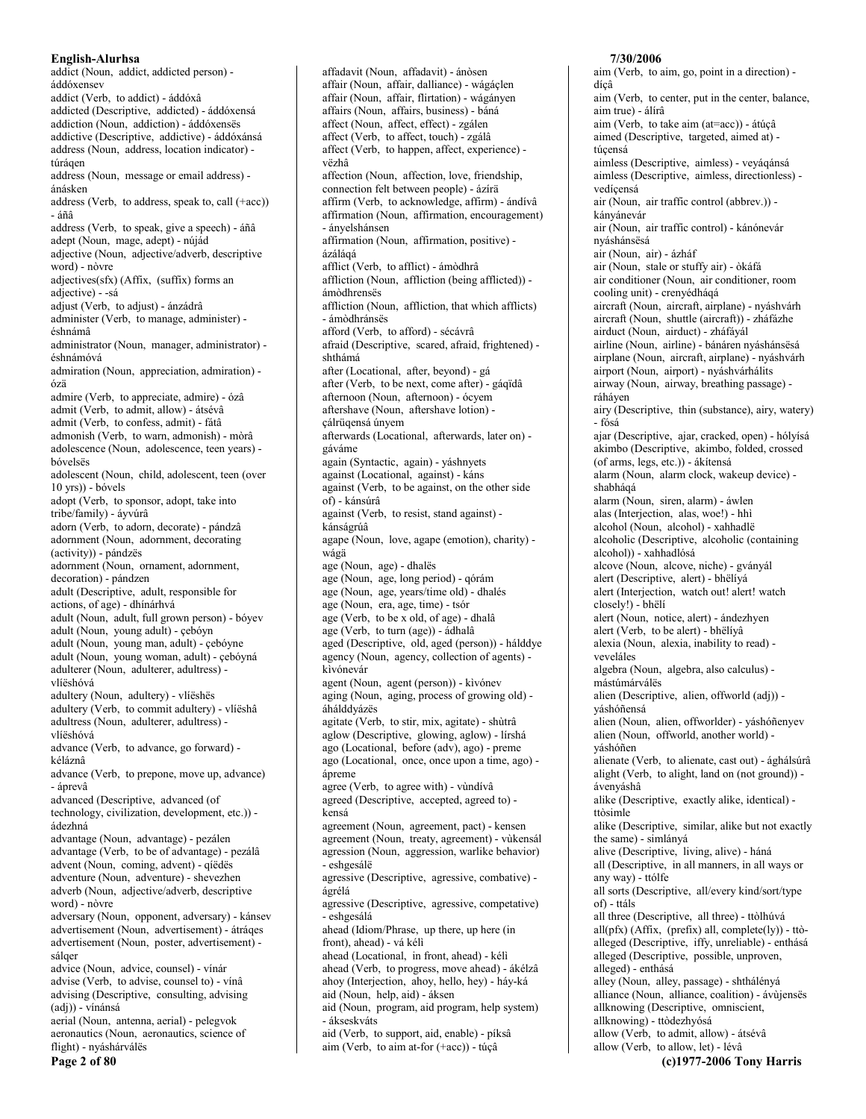addict (Noun, addict, addicted person) áddóxensev addict (Verb, to addict) - áddóxâ addicted (Descriptive, addicted) - áddóxensá addiction (Noun, addiction) - áddóxenses addictive (Descriptive, addictive) - áddóxánsá address (Noun, address, location indicator) túrágen address (Noun, message or email address) ánásken address (Verb, to address, speak to, call (+acc))  $-$ áñâ address (Verb, to speak, give a speech) - áñâ adept (Noun, mage, adept) - nújád adjective (Noun, adjective/adverb, descriptive word) - nòvre adjectives(sfx) (Affix, (suffix) forms an adjective) - -sá adjust (Verb, to adjust) - ánzádrâ administer (Verb, to manage, administer) éshnámâ administrator (Noun, manager, administrator) éshnámóvá admiration (Noun, appreciation, admiration) ózä admire (Verb, to appreciate, admire) - ózâ admit (Verb, to admit, allow) - átsévâ admit (Verb, to confess, admit) - fátâ admonish (Verb, to warn, admonish) - mòrâ adolescence (Noun, adolescence, teen years) bóvelsës adolescent (Noun, child, adolescent, teen (over  $10$  yrs)) - bóvels adopt (Verb, to sponsor, adopt, take into tribe/family) - áyvúrâ adorn (Verb, to adorn, decorate) - pándzâ adornment (Noun, adornment, decorating (activity)) - pándzës adornment (Noun, ornament, adornment, decoration) - pándzen adult (Descriptive, adult, responsible for actions, of age) - dhínárhvá adult (Noun, adult, full grown person) - bóyev adult (Noun, young adult) - çebóyn adult (Noun, young man, adult) - çebóyne adult (Noun, young woman, adult) - cebóyná adulterer (Noun, adulterer, adultress) vlíëshóvá adultery (Noun, adultery) - vlíëshës adultery (Verb, to commit adultery) - vlíëshâ adultress (Noun, adulterer, adultress) vlíëshóvá advance (Verb, to advance, go forward) kéláznâ advance (Verb, to prepone, move up, advance) - áprevâ advanced (Descriptive, advanced (of technology, civilization, development, etc.)) ádezhná advantage (Noun, advantage) - pezálen advantage (Verb, to be of advantage) - pezálâ advent (Noun, coming, advent) - qíëdës adventure (Noun, adventure) - shevezhen adverb (Noun, adjective/adverb, descriptive word) - nòvre adversary (Noun, opponent, adversary) - kánsev advertisement (Noun, advertisement) - átráqes advertisement (Noun, poster, advertisement) sálger advice (Noun, advice, counsel) - vínár advise (Verb, to advise, counsel to) - vínâ advising (Descriptive, consulting, advising (adj)) - vínánsá aerial (Noun, antenna, aerial) - pelegvok aeronautics (Noun, aeronautics, science of flight) - nyáshárválës Page 2 of 80

affadavit (Noun, affadavit) - ánòsen affair (Noun, affair, dalliance) - wágáçlen affair (Noun, affair, flirtation) - wágányen affairs (Noun, affairs, business) - báná affect (Noun, affect, effect) - zgálen affect (Verb, to affect, touch) - zgálâ affect (Verb, to happen, affect, experience) vëzhâ affection (Noun, affection, love, friendship, connection felt between people) - ázírä affirm (Verb, to acknowledge, affirm) - ándívâ affirmation (Noun, affirmation, encouragement) - ányelshánsen affirmation (Noun, affirmation, positive) ázálágá afflict (Verb, to afflict) - ámòdhrâ affliction (Noun, affliction (being afflicted)) ámòdhrensës affliction (Noun, affliction, that which afflicts) - ámòdhránsës afford (Verb, to afford) - sécávrâ afraid (Descriptive, scared, afraid, frightened) shthámá after (Locational, after, beyond) - gá after (Verb, to be next, come after) - gáqïdâ afternoon (Noun, afternoon) - ócyem aftershave (Noun, aftershave lotion) çálrüqensá únyem afterwards (Locational, afterwards, later on) gáváme again (Syntactic, again) - váshnyets against (Locational, against) - káns against (Verb, to be against, on the other side of) - kánsúrâ against (Verb, to resist, stand against) kánságrúâ agape (Noun, love, agape (emotion), charity) wágä age (Noun, age) - dhalës age (Noun, age, long period) - qórám age (Noun, age, years/time old) - dhalés age (Noun, era, age, time) - tsór age (Verb, to be x old, of age) - dhalâ age (Verb, to turn (age)) - ádhalâ aged (Descriptive, old, aged (person)) - hálddye agency (Noun, agency, collection of agents) kìvónevár agent (Noun, agent (person)) - kivónev aging (Noun, aging, process of growing old) áhálddvázës agitate (Verb, to stir, mix, agitate) - shùtrâ aglow (Descriptive, glowing, aglow) - lírshá ago (Locational, before (adv), ago) - preme ago (Locational, once, once upon a time, ago) ápreme agree (Verb, to agree with) - vùndívâ agreed (Descriptive, accepted, agreed to) kensá agreement (Noun, agreement, pact) - kensen agreement (Noun, treaty, agreement) - vùkensál agression (Noun, aggression, warlike behavior) - eshgesálë agressive (Descriptive, agressive, combative) ágrélá agressive (Descriptive, agressive, competative) - eshgesálá ahead (Idiom/Phrase, up there, up here (in front), ahead) - vá kéli ahead (Locational, in front, ahead) - kéli ahead (Verb, to progress, move ahead) - ákélzâ ahoy (Interjection, ahoy, hello, hey) - háy-ká aid (Noun, help, aid) - áksen aid (Noun, program, aid program, help system) - ákseskváts aid (Verb, to support, aid, enable) - píksâ aim (Verb, to aim at-for (+acc)) - túçâ

### aim (Verb, to aim, go, point in a direction) dícâ aim (Verb, to center, put in the center, balance, aim true) - álírâ aim (Verb, to take aim (at=acc)) - átúcâ aimed (Descriptive, targeted, aimed at) túçensá aimless (Descriptive, aimless) - veyáqánsá aimless (Descriptive, aimless, directionless) vedícensá air (Noun, air traffic control (abbrev.)) kányánevár air (Noun, air traffic control) - kánónevár nyáshánsësá air (Noun, air) - ázháf air (Noun, stale or stuffy air) - òkáfá air conditioner (Noun, air conditioner, room cooling unit) - crenyédháqá aircraft (Noun, aircraft, airplane) - nyáshvárh aircraft (Noun, shuttle (aircraft)) - zháfázhe airduct (Noun, airduct) - zháfáyál airline (Noun, airline) - bánáren nyáshánsësá airplane (Noun, aircraft, airplane) - nyáshvárh airport (Noun, airport) - nyáshvárhálits airway (Noun, airway, breathing passage) ráháven airy (Descriptive, thin (substance), airy, watery) - fósá ajar (Descriptive, ajar, cracked, open) - hólyísá akimbo (Descriptive, akimbo, folded, crossed (of arms, legs, etc.)) - ákítensá alarm (Noun, alarm clock, wakeup device) shabháqá alarm (Noun. siren. alarm) - áwlen alas (Interjection, alas, woe!) - hhì alcohol (Noun, alcohol) - xahhadlë alcoholic (Descriptive, alcoholic (containing alcohol)) - xahhadlósá alcove (Noun, alcove, niche) - gványál alert (Descriptive, alert) - bhëliyá alert (Interjection, watch out! alert! watch closely!) - bhëli alert (Noun, notice, alert) - ándezhyen alert (Verb, to be alert) - bhëliyâ alexia (Noun, alexia, inability to read) veveláles algebra (Noun, algebra, also calculus) mástúmárválës alien (Descriptive, alien, offworld (adj)) váshóñensá alien (Noun, alien, offworlder) - yáshóñenyev alien (Noun, offworld, another world) váshóñen alienate (Verb, to alienate, cast out) - ághálsúrâ alight (Verb, to alight, land on (not ground)) ávenyáshâ alike (Descriptive, exactly alike, identical) ttòsimle alike (Descriptive, similar, alike but not exactly the same) - simlányá alive (Descriptive, living, alive) - háná all (Descriptive, in all manners, in all ways or any way) - ttólfe all sorts (Descriptive, all/every kind/sort/type of) - ttáls all three (Descriptive, all three) - ttòlhúvá  $all(pfx)$  (Affix, (prefix) all, complete(ly)) - ttòalleged (Descriptive, iffy, unreliable) - enthásá alleged (Descriptive, possible, unproven, alleged) - enthásá alley (Noun, alley, passage) - shthálényá alliance (Noun, alliance, coalition) - ávùjensës allknowing (Descriptive, omniscient, allknowing) - ttòdezhyósá allow (Verb, to admit, allow) - átsévâ allow (Verb, to allow, let) - lévâ (c)1977-2006 Tony Harris

7/30/2006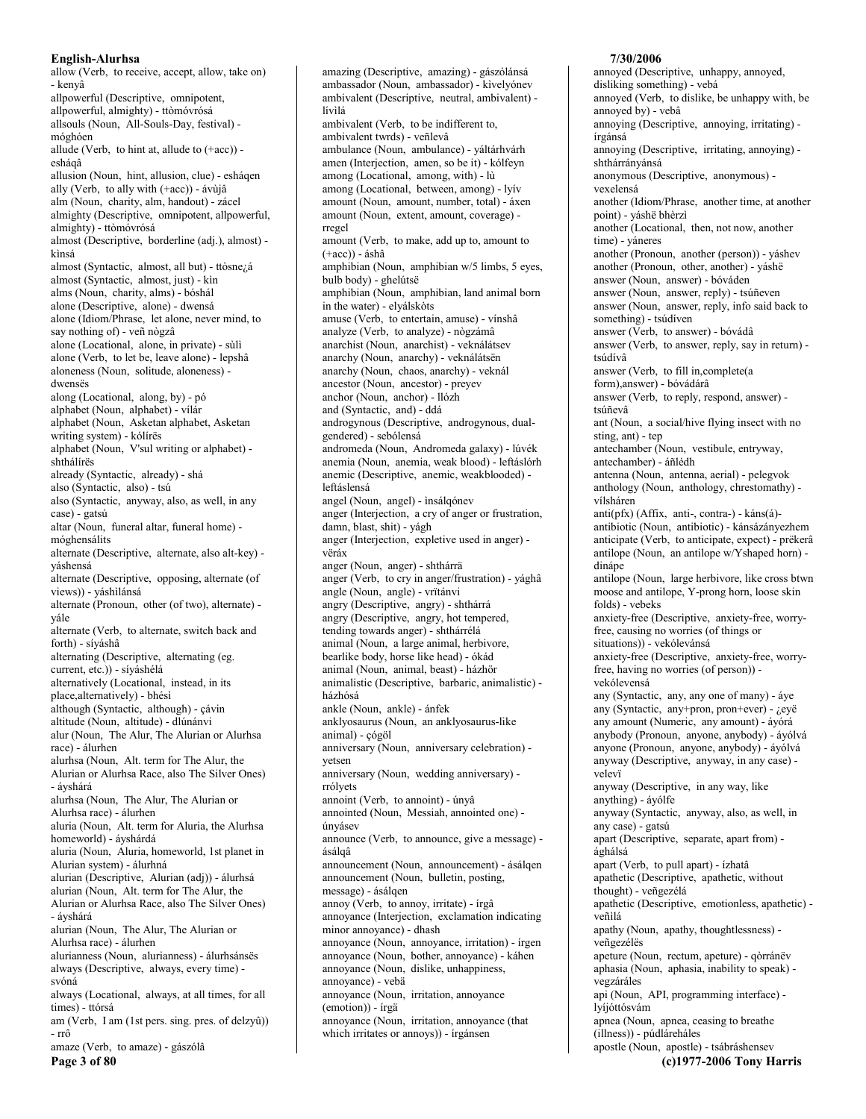allow (Verb, to receive, accept, allow, take on) - kenyâ allpowerful (Descriptive, omnipotent, allpowerful, almighty) - ttòmóvrósá allsouls (Noun, All-Souls-Day, festival) móghóen allude (Verb, to hint at, allude to  $(+acc)$ ) esháqâ allusion (Noun, hint, allusion, clue) - esháqen ally (Verb, to ally with (+acc)) - ávùjâ alm (Noun, charity, alm, handout) - zácel almighty (Descriptive, omnipotent, allpowerful, almighty) - ttòmóvrósá almost (Descriptive, borderline (adj.), almost) kìnsá almost (Syntactic, almost, all but) - ttòsnezá almost (Syntactic, almost, just) - kin alms (Noun, charity, alms) - bóshál alone (Descriptive, alone) - dwensá alone (Idiom/Phrase, let alone, never mind, to say nothing of) - veñ nògzâ alone (Locational, alone, in private) - sùlì alone (Verb, to let be, leave alone) - lepshâ aloneness (Noun, solitude, aloneness) dwensës along (Locational, along, by) - pó alphabet (Noun, alphabet) - vílár alphabet (Noun, Asketan alphabet, Asketan writing system) - kólírës alphabet (Noun, V'sul writing or alphabet) shthálírës already (Syntactic, already) - shá also (Syntactic, also) - tsú also (Syntactic, anyway, also, as well, in any case) - gatsú altar (Noun, funeral altar, funeral home) móghensálits alternate (Descriptive, alternate, also alt-key) váshensá alternate (Descriptive, opposing, alternate (of views)) - yáshìlánsá alternate (Pronoun, other (of two), alternate) yále alternate (Verb, to alternate, switch back and forth) - síváshâ alternating (Descriptive, alternating (eg. current, etc.)) - síyáshélá alternatively (Locational, instead, in its place, alternatively) - bhésì although (Syntactic, although) - çávin altitude (Noun, altitude) - dlúnánvi alur (Noun, The Alur, The Alurian or Alurhsa race) - álurhen alurhsa (Noun, Alt. term for The Alur, the Alurian or Alurhsa Race, also The Silver Ones) - ávshárá alurhsa (Noun, The Alur, The Alurian or Alurhsa race) - álurhen aluria (Noun, Alt. term for Aluria, the Alurhsa homeworld) - áyshárdá aluria (Noun, Aluria, homeworld, 1st planet in Alurian system) - álurhná alurian (Descriptive, Alurian (adj)) - álurhsá alurian (Noun, Alt. term for The Alur, the Alurian or Alurhsa Race, also The Silver Ones) - áyshárá alurian (Noun, The Alur, The Alurian or Alurhsa race) - álurhen alurianness (Noun, alurianness) - álurhsánsës always (Descriptive, always, every time) svóná always (Locational, always, at all times, for all times) - ttórsá am (Verb, I am (1st pers. sing. pres. of delzyû))  $-rr\hat{\sigma}$ amaze (Verb, to amaze) - gászólâ Page 3 of 80

amazing (Descriptive, amazing) - gászólánsá ambassador (Noun, ambassador) - kivelyónev ambivalent (Descriptive, neutral, ambivalent) lívìlá ambivalent (Verb, to be indifferent to, ambivalent twrds) - veñlevâ ambulance (Noun, ambulance) - váltárhvárh amen (Interjection, amen, so be it) - kólfeyn among (Locational, among, with) - lù among (Locational, between, among) - lyiv amount (Noun, amount, number, total) - áxen amount (Noun, extent, amount, coverage) rregel amount (Verb, to make, add up to, amount to  $(+acc)$ ) - áshâ amphibian (Noun, amphibian w/5 limbs, 5 eyes, bulb body) - ghelútsë amphibian (Noun, amphibian, land animal born in the water) - elyálskòts amuse (Verb, to entertain, amuse) - vínshâ analyze (Verb, to analyze) - nògzámâ anarchist (Noun, anarchist) - veknálátsev anarchy (Noun, anarchy) - veknálátsën anarchy (Noun, chaos, anarchy) - veknál ancestor (Noun, ancestor) - preyev anchor (Noun, anchor) - llózh and (Syntactic, and) - ddá androgynous (Descriptive, androgynous, dualgendered) - sebólensá andromeda (Noun, Andromeda galaxy) - lúvék anemia (Noun, anemia, weak blood) - leftáslórh anemic (Descriptive, anemic, weakblooded) leftáslensá angel (Noun, angel) - insálgónev anger (Interjection, a cry of anger or frustration, damn, blast, shit) - yágh anger (Interjection, expletive used in anger) vëráx anger (Noun, anger) - shthárrä anger (Verb, to cry in anger/frustration) - yághâ angle (Noun, angle) - vrïtánvi angry (Descriptive, angry) - shthárrá angry (Descriptive, angry, hot tempered, tending towards anger) - shthárrélá animal (Noun, a large animal, herbivore, bearlike body, horse like head) - ókád animal (Noun, animal, beast) - házhör animalistic (Descriptive, barbaric, animalistic) házhósá ankle (Noun, ankle) - ánfek anklyosaurus (Noun, an anklyosaurus-like animal) - çógöl anniversary (Noun, anniversary celebration) vetsen anniversary (Noun, wedding anniversary) rrólvets annoint (Verb, to annoint) - únyâ annointed (Noun, Messiah, annointed one) únvásev announce (Verb, to announce, give a message) ásálaâ announcement (Noun, announcement) - ásálgen announcement (Noun, bulletin, posting, message) - ásálqen annoy (Verb, to annoy, irritate) - írgâ annoyance (Interjection, exclamation indicating minor annovance) - dhash annoyance (Noun, annoyance, irritation) - írgen annoyance (Noun, bother, annoyance) - káhen annoyance (Noun, dislike, unhappiness, annoyance) - vebä annoyance (Noun, irritation, annoyance (emotion)) - írgä annoyance (Noun, irritation, annoyance (that which irritates or annoys)) - írgánsen

### annoved (Descriptive, unhappy, annoved, disliking something) - vebá annoyed (Verb, to dislike, be unhappy with, be annoyed by) - vebâ annoving (Descriptive, annoving, irritating) írgánsá annoying (Descriptive, irritating, annoying) shthárránvánsá anonymous (Descriptive, anonymous) vexelensá another (Idiom/Phrase, another time, at another point) - váshë bhèrzì another (Locational, then, not now, another time) - váneres another (Pronoun, another (person)) - yáshev another (Pronoun, other, another) - váshë answer (Noun, answer) - bóváden answer (Noun, answer, reply) - tsúñeven answer (Noun, answer, reply, info said back to something) - tsúdíven answer (Verb, to answer) - bóvádâ answer (Verb, to answer, reply, say in return) tsúdívâ answer (Verb, to fill in, complete (a form), answer) - bóvádárâ answer (Verb, to reply, respond, answer) tsúñevâ ant (Noun, a social/hive flying insect with no sting, ant) - tep antechamber (Noun, vestibule, entryway, antechamber) - áñlédh antenna (Noun, antenna, aerial) - pelegvok anthology (Noun, anthology, chrestomathy) vílsháren anti(pfx) (Affix, anti-, contra-) - káns(á)antibiotic (Noun, antibiotic) - kánsázányezhem anticipate (Verb, to anticipate, expect) - prëkerâ antilope (Noun, an antilope w/Yshaped horn) dináne antilope (Noun, large herbivore, like cross btwn moose and antilope, Y-prong horn, loose skin folds) - vebeks anxiety-free (Descriptive, anxiety-free, worryfree, causing no worries (of things or situations)) - vekólevánsá anxiety-free (Descriptive, anxiety-free, worryfree, having no worries (of person)) vekólevensá any (Syntactic, any, any one of many) - áye any (Syntactic, any+pron, pron+ever) - ¿eyë any amount (Numeric, any amount) - áyórá anybody (Pronoun, anyone, anybody) - áyólvá anyone (Pronoun, anyone, anybody) - áyólvá anyway (Descriptive, anyway, in any case) velevï anyway (Descriptive, in any way, like anything) - áyólfe anyway (Syntactic, anyway, also, as well, in any case) - gatsú apart (Descriptive, separate, apart from) ághálsá apart (Verb, to pull apart) - ízhatâ apathetic (Descriptive, apathetic, without thought) - veñgezélá apathetic (Descriptive, emotionless, apathetic) veñilá apathy (Noun, apathy, thoughtlessness) veñgezélës apeture (Noun, rectum, apeture) - gòrránëv aphasia (Noun, aphasia, inability to speak) vegzáráles api (Noun, API, programming interface) lvíjóttósvám apnea (Noun, apnea, ceasing to breathe (illness)) - púdláreháles apostle (Noun, apostle) - tsábráshensev

7/30/2006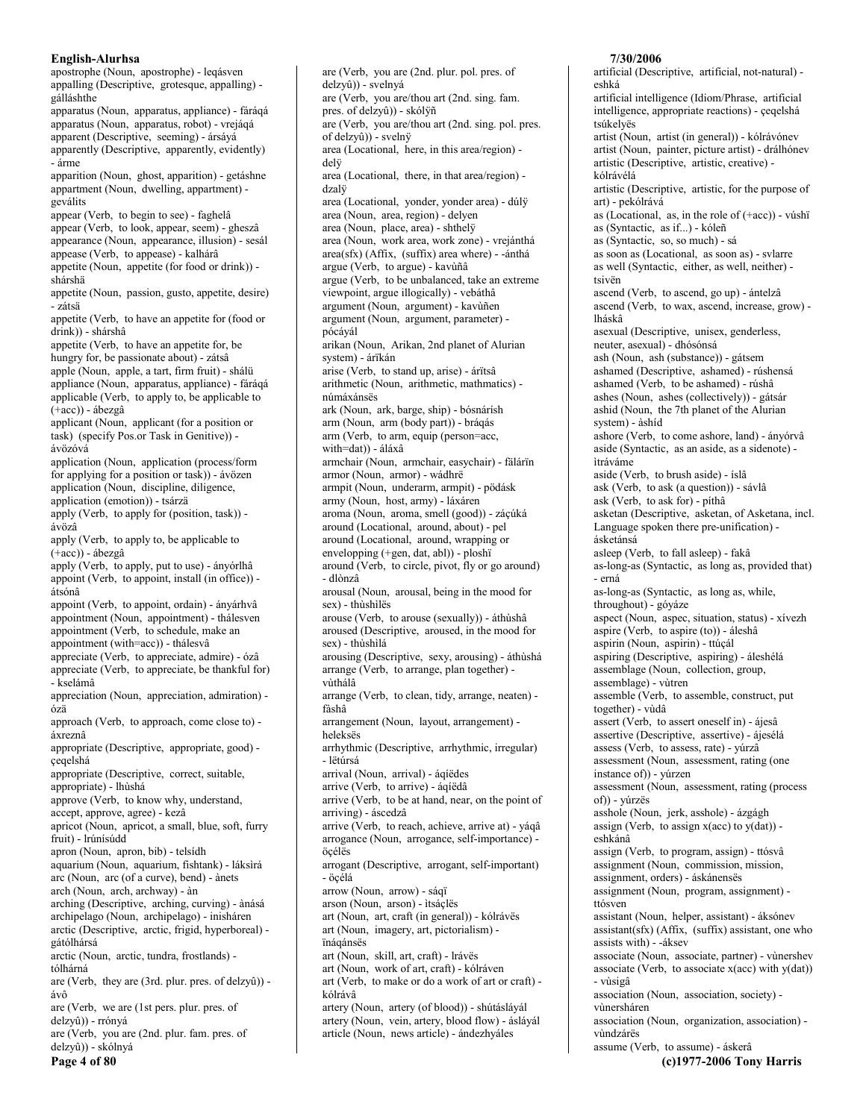apostrophe (Noun, apostrophe) - legásven appalling (Descriptive, grotesque, appalling) gálláshthe apparatus (Noun, apparatus, appliance) - fáráqá apparatus (Noun, apparatus, robot) - vrejágá apparent (Descriptive, seeming) - ársáyá apparently (Descriptive, apparently, evidently) - árme apparition (Noun, ghost, apparition) - getáshne appartment (Noun, dwelling, appartment) geválits appear (Verb, to begin to see) - faghelâ appear (Verb, to look, appear, seem) - gheszâ appearance (Noun, appearance, illusion) - sesál appease (Verb, to appease) - kalhárâ appetite (Noun, appetite (for food or drink)) shárshä appetite (Noun, passion, gusto, appetite, desire) - zátsä appetite (Verb, to have an appetite for (food or drink)) - shárshâ appetite (Verb, to have an appetite for, be hungry for, be passionate about) - zátsâ apple (Noun, apple, a tart, firm fruit) - shálü appliance (Noun, apparatus, appliance) - fáráqá applicable (Verb, to apply to, be applicable to (+acc)) - ábezgâ applicant (Noun, applicant (for a position or task) (specify Pos.or Task in Genitive)) ávözóvá application (Noun, application (process/form for applying for a position or task)) - ávözen application (Noun, discipline, diligence, application (emotion)) - tsárzä apply (Verb, to apply for (position, task)) ávözâ apply (Verb, to apply to, be applicable to  $(+acc)$ ) - ábezgâ apply (Verb, to apply, put to use) - ányórlhâ appoint (Verb, to appoint, install (in office)) átsónâ appoint (Verb, to appoint, ordain) - ányárhvâ appointment (Noun, appointment) - thálesven appointment (Verb, to schedule, make an appointment (with=acc)) - thálesvâ appreciate (Verb, to appreciate, admire) - ózâ appreciate (Verb, to appreciate, be thankful for) - kselámâ appreciation (Noun, appreciation, admiration) ózä approach (Verb, to approach, come close to) áxreznâ appropriate (Descriptive, appropriate, good) çeqelshá appropriate (Descriptive, correct, suitable, appropriate) - lhùshá approve (Verb, to know why, understand, accept, approve, agree) - kezâ apricot (Noun, apricot, a small, blue, soft, furry fruit) - Irúnísúdd apron (Noun, apron, bib) - telsídh aquarium (Noun, aquarium, fishtank) - láksirá arc (Noun, arc (of a curve), bend) - ànets arch (Noun, arch, archway) - àn arching (Descriptive, arching, curving) - ànásá archipelago (Noun, archipelago) - inisháren arctic (Descriptive, arctic, frigid, hyperboreal) gátólhársá arctic (Noun, arctic, tundra, frostlands) tólhárná are (Verb, they are  $(3rd.$  plur. pres. of  $delay\hat{u})$ ) ávô are (Verb, we are (1st pers. plur. pres. of delzyû)) - rrónyá are (Verb, you are (2nd. plur. fam. pres. of delzyû)) - skólnyá Page 4 of 80

are (Verb, you are (2nd. plur. pol. pres. of delzyû)) - svelnyá are (Verb, you are/thou art (2nd. sing. fam. pres. of delzyû)) - skólÿñ are (Verb. you are/thou art (2nd. sing. pol. pres. of delzyû)) - svelnÿ area (Locational, here, in this area/region) delÿ area (Locational, there, in that area/region) dzalÿ area (Locational, yonder, yonder area) - dúlÿ area (Noun, area, region) - delyen area (Noun, place, area) - shthelÿ area (Noun, work area, work zone) - vrejánthá area(sfx) (Affix, (suffix) area where) - - ánthá argue (Verb, to argue) - kavùñâ argue (Verb, to be unbalanced, take an extreme viewpoint, argue illogically) - vebáthâ argument (Noun, argument) - kavùñen argument (Noun, argument, parameter) pócáyál arikan (Noun, Arikan, 2nd planet of Alurian system) - árïkán arise (Verb, to stand up, arise) - árïtsâ arithmetic (Noun, arithmetic, mathmatics) nímáxánsës ark (Noun, ark, barge, ship) - bósnárísh arm (Noun, arm (body part)) - bráqás arm (Verb, to arm, equip (person=acc, with=dat)) - áláxâ armchair (Noun, armchair, easychair) - fälárïn armor (Noun, armor) - wádhrë armpit (Noun, underarm, armpit) - pödásk army (Noun, host, army) - láxáren aroma (Noun, aroma, smell (good)) - záçúká around (Locational, around, about) - pel around (Locational, around, wrapping or envelopping (+gen, dat, abl)) - ploshï around (Verb, to circle, pivot, fly or go around) - dlònzâ arousal (Noun, arousal, being in the mood for sex) - thùshìlës arouse (Verb, to arouse (sexually)) - áthùshâ aroused (Descriptive, aroused, in the mood for sex) - thùshìlá arousing (Descriptive, sexy, arousing) - áthùshá arrange (Verb, to arrange, plan together) vùthálâ arrange (Verb, to clean, tidy, arrange, neaten) fàshâ arrangement (Noun, layout, arrangement) heleksës arrhythmic (Descriptive, arrhythmic, irregular) - lëtúrsá arrival (Noun, arrival) - áqíëdes arrive (Verb, to arrive) - áqíëdâ arrive (Verb, to be at hand, near, on the point of arriving) - áscedzâ arrive (Verb, to reach, achieve, arrive at) - yáqâ arrogance (Noun, arrogance, self-importance) öcélës arrogant (Descriptive, arrogant, self-important) - öçélá arrow (Noun, arrow) - sáqï arson (Noun, arson) - itsáçlës art (Noun, art, craft (in general)) - kólrávës art (Noun, imagery, art, pictorialism) ïnáqánsës art (Noun, skill, art, craft) - Irávës art (Noun, work of art, craft) - kólráven art (Verb, to make or do a work of art or craft) kólrávâ artery (Noun, artery (of blood)) - shútásláyál artery (Noun, vein, artery, blood flow) - ásláyál article (Noun, news article) - ándezhyáles

### artificial (Descriptive, artificial, not-natural) eshká artificial intelligence (Idiom/Phrase, artificial intelligence, appropriate reactions) - çeqelshá tsúkelvës artist (Noun, artist (in general)) - kólrávónev artist (Noun, painter, picture artist) - drálhónev artistic (Descriptive, artistic, creative) kólrávélá artistic (Descriptive, artistic, for the purpose of art) - pekólrává as (Locational, as, in the role of  $(+acc)$ ) - vúshï as (Syntactic, as if...) - kóleñ as (Syntactic, so, so much) - sá as soon as (Locational, as soon as) - svlarre as well (Syntactic, either, as well, neither) tsivën ascend (Verb, to ascend, go up) - ántelzâ ascend (Verb, to wax, ascend, increase, grow) lháskâ asexual (Descriptive, unisex, genderless, neuter, asexual) - dhósónsá ash (Noun, ash (substance)) - gátsem ashamed (Descriptive, ashamed) - rúshensá ashamed (Verb, to be ashamed) - rúshâ ashes (Noun, ashes (collectively)) - gátsár ashid (Noun, the 7th planet of the Alurian system) - àshíd ashore (Verb, to come ashore, land) - ányórvâ aside (Syntactic, as an aside, as a sidenote) ìtráváme aside (Verb, to brush aside) - íslâ ask (Verb, to ask (a question)) - sávlâ ask (Verb, to ask for) - píthâ asketan (Descriptive, asketan, of Asketana, incl. Language spoken there pre-unification) ásketánsá asleep (Verb, to fall asleep) - fakâ as-long-as (Syntactic, as long as, provided that) - erná as-long-as (Syntactic, as long as, while, throughout) - góyáze aspect (Noun, aspec, situation, status) - xívezh aspire (Verb, to aspire (to)) - áleshâ aspirin (Noun, aspirin) - ttúçál aspiring (Descriptive, aspiring) - áleshélá assemblage (Noun, collection, group, assemblage) - vùtren assemble (Verb, to assemble, construct, put together) - vùdâ assert (Verb, to assert oneself in) - ájesâ assertive (Descriptive, assertive) - ájesélá assess (Verb, to assess, rate) - yúrzâ assessment (Noun, assessment, rating (one instance of)) - yúrzen assessment (Noun, assessment, rating (process of)) - vúrzës asshole (Noun, jerk, asshole) - ázgágh assign (Verb, to assign  $x(acc)$  to  $y(dat)$ ) eshkánâ assign (Verb, to program, assign) - ttósvâ assignment (Noun, commission, mission, assignment, orders) - áskánenses assignment (Noun, program, assignment) ttósven assistant (Noun, helper, assistant) - áksónev assistant(sfx) (Affix, (suffix) assistant, one who assists with) - - áksev associate (Noun, associate, partner) - vùnershev associate (Verb, to associate  $x(acc)$  with  $y(data)$ ) - vùsigâ association (Noun, association, society) vùnersháren association (Noun, organization, association) vùndzárës assume (Verb, to assume) - áskerâ

(c)1977-2006 Tony Harris

7/30/2006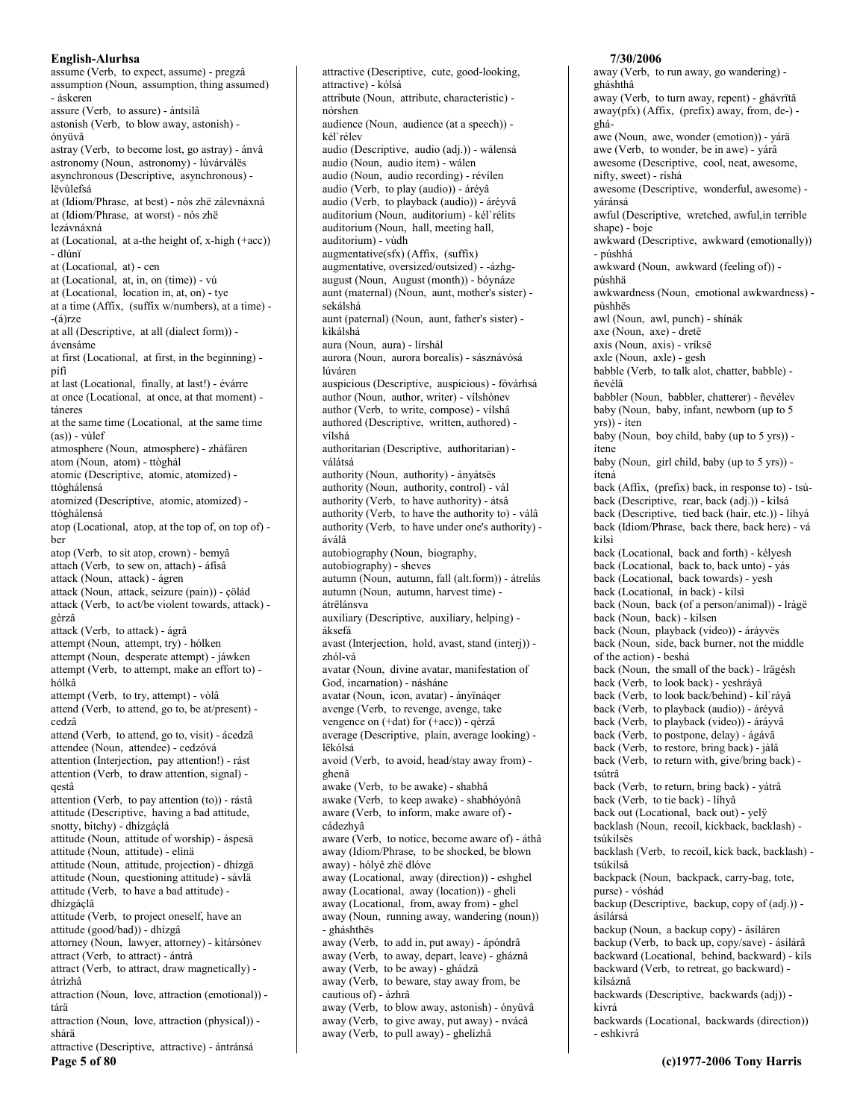assume (Verb, to expect, assume) - pregzâ assumption (Noun, assumption, thing assumed) - áskeren assure (Verb, to assure) - ántsilâ astonish (Verb, to blow away, astonish) ónvüyâ astray (Verb, to become lost, go astray) - ánvâ astronomy (Noun, astronomy) - lúvárválës asynchronous (Descriptive, asynchronous) lëvùlefsá at (Idiom/Phrase, at best) - nòs zhë zálevnáxná at (Idiom/Phrase, at worst) - nòs zhë lezávnáxná at (Locational, at a-the height of, x-high (+acc)) - dlúnï at (Locational, at) - cen at (Locational, at, in, on (time)) - vú at (Locational, location in, at, on) - tye at a time (Affix, (suffix w/numbers), at a time) - $-(\acute{a})$ rze at all (Descriptive, at all (dialect form)) ávensáme at first (Locational, at first, in the beginning) pífi at last (Locational, finally, at last!) - évárre at once (Locational, at once, at that moment) táneres at the same time (Locational, at the same time  $(as)$  - vullef atmosphere (Noun, atmosphere) - zháfáren atom (Noun, atom) - ttòghál atomic (Descriptive, atomic, atomized) ttòghálensá atomized (Descriptive, atomic, atomized) ttòghálensá atop (Locational, atop, at the top of, on top of) ber atop (Verb, to sit atop, crown) - bemyâ attach (Verb, to sew on, attach) - áfísâ attack (Noun, attack) - ágren attack (Noun, attack, seizure (pain)) - çölád attack (Verb, to act/be violent towards, attack) gèrzâ attack (Verb, to attack) - ágrâ attempt (Noun, attempt, try) - hólken attempt (Noun, desperate attempt) - jáwken attempt (Verb, to attempt, make an effort to) hólkâ attempt (Verb, to try, attempt) - vòlâ attend (Verb, to attend, go to, be at/present) cedzâ attend (Verb, to attend, go to, visit) - ácedzâ attendee (Noun, attendee) - cedzóvá attention (Interjection, pay attention!) - rást attention (Verb, to draw attention, signal) qestâ attention (Verb, to pay attention (to)) - rástâ attitude (Descriptive, having a bad attitude, snotty, bitchy) - dhízgáçlá attitude (Noun, attitude of worship) - áspesä attitude (Noun, attitude) - elìnä attitude (Noun, attitude, projection) - dhízgä attitude (Noun, questioning attitude) - sávlä attitude (Verb, to have a bad attitude) dhízgáclâ attitude (Verb, to project oneself, have an attitude (good/bad)) - dhízgâ attorney (Noun, lawyer, attorney) - kìtársónev attract (Verb, to attract) - ántrâ attract (Verb, to attract, draw magnetically) átrìzhâ attraction (Noun, love, attraction (emotional)) tárä attraction (Noun, love, attraction (physical)) shárä attractive (Descriptive, attractive) - ántránsá

Page 5 of 80

attractive (Descriptive, cute, good-looking, attractive) - kólsá attribute (Noun, attribute, characteristic) nórshen audience (Noun, audience (at a speech)) kél`rélev audio (Descriptive, audio (adj.)) - wálensá audio (Noun, audio item) - wálen audio (Noun, audio recording) - révílen audio (Verb, to play (audio)) - áréyâ audio (Verb, to playback (audio)) - áréyvâ auditorium (Noun, auditorium) - kél`rélits auditorium (Noun, hall, meeting hall, auditorium) - vùdh augmentative(sfx) (Affix, (suffix) augmentative, oversized/outsized) - -ázhgaugust (Noun, August (month)) - bóynáze aunt (maternal) (Noun, aunt, mother's sister) sekálshá aunt (paternal) (Noun, aunt, father's sister) kìkálshá aura (Noun, aura) - lírshál aurora (Noun, aurora borealis) - sásznávósá lúváren auspicious (Descriptive, auspicious) - fóvárhsá author (Noun, author, writer) - vílshónev author (Verb, to write, compose) - vílshâ authored (Descriptive, written, authored) vílshá authoritarian (Descriptive, authoritarian) válátsá authority (Noun, authority) - ányátsës authority (Noun, authority, control) - vál authority (Verb, to have authority) - átsâ authority (Verb, to have the authority to) - válâ authority (Verb, to have under one's authority) áválâ autobiography (Noun, biography, autobiography) - sheves autumn (Noun, autumn, fall (alt.form)) - átrelás autumn (Noun, autumn, harvest time) átrëlánsva auxiliary (Descriptive, auxiliary, helping) áksefá avast (Interjection, hold, avast, stand (interj)) zhól-vá avatar (Noun, divine avatar, manifestation of God, incarnation) - násháne avatar (Noun, icon, avatar) - ányïnáqer avenge (Verb, to revenge, avenge, take vengence on (+dat) for (+acc)) - qèrzâ average (Descriptive, plain, average looking) lëkólsá avoid (Verb, to avoid, head/stay away from) ghenâ awake (Verb, to be awake) - shabhâ awake (Verb, to keep awake) - shabhóyónâ aware (Verb, to inform, make aware of) cádezhvâ aware (Verb, to notice, become aware of) - áthâ away (Idiom/Phrase, to be shocked, be blown away) - hólyê zhë dlóve away (Locational, away (direction)) - eshghel away (Locational, away (location)) - gheli away (Locational, from, away from) - ghel away (Noun, running away, wandering (noun)) - gháshthës away (Verb, to add in, put away) - ápóndrâ away (Verb, to away, depart, leave) - gháznâ away (Verb, to be away) - ghádzâ away (Verb, to beware, stay away from, be cautious of) - ázhrâ away (Verb, to blow away, astonish) - ónyüvâ away (Verb, to give away, put away) - nvácâ

away (Verb, to pull away) - ghelízhâ

7/30/2006 away (Verb, to run away, go wandering) gháshthâ away (Verb, to turn away, repent) - ghávrïtâ away(pfx) (Affix, (prefix) away, from, de-) awe (Noun, awe, wonder (emotion)) - yárä awe (Verb, to wonder, be in awe) - yárâ awesome (Descriptive, cool, neat, awesome,

ghá-

nifty, sweet) - ríshá awesome (Descriptive, wonderful, awesome) yáránsá awful (Descriptive, wretched, awful, in terrible shape) - boje awkward (Descriptive, awkward (emotionally)) - púshhá awkward (Noun, awkward (feeling of)) púshhä awkwardness (Noun, emotional awkwardness) púshhës awl (Noun, awl, punch) - shínák axe (Noun, axe) - dretë axis (Noun, axis) - vríksë axle (Noun, axle) - gesh babble (Verb, to talk alot, chatter, babble) ñevélâ babbler (Noun, babbler, chatterer) - ñevélev baby (Noun, baby, infant, newborn (up to 5 yrs)) - íten baby (Noun, boy child, baby (up to 5 yrs)) ítene baby (Noun, girl child, baby (up to 5 yrs)) ítená back (Affix, (prefix) back, in response to) - tsúback (Descriptive, rear, back (adj.)) - kilsá back (Descriptive, tied back (hair, etc.)) - líhyá back (Idiom/Phrase, back there, back here) - vá kilsì back (Locational, back and forth) - kélyesh back (Locational, back to, back unto) - yás back (Locational, back towards) - yesh back (Locational, in back) - kilsi back (Noun, back (of a person/animal)) - lràgë back (Noun, back) - kilsen back (Noun, playback (video)) - áráyvës back (Noun, side, back burner, not the middle of the action) - beshá back (Noun, the small of the back) - lrägésh back (Verb, to look back) - yeshráyâ back (Verb, to look back/behind) - kil`ráyâ back (Verb, to playback (audio)) - áréyvâ back (Verb, to playback (video)) - áráyvâ back (Verb, to postpone, delay) - ágávâ back (Verb, to restore, bring back) - jàlâ back (Verb, to return with, give/bring back) tsútrâ back (Verb, to return, bring back) - yátrâ back (Verb, to tie back) - líhyâ back out (Locational, back out) - yely backlash (Noun, recoil, kickback, backlash) tsúkilsës backlash (Verb, to recoil, kick back, backlash) tsúkilsâ backpack (Noun, backpack, carry-bag, tote, purse) - vóshád backup (Descriptive, backup, copy of (adj.)) ásílársá backup (Noun, a backup copy) - ásíláren backup (Verb, to back up, copy/save) - ásílárâ backward (Locational, behind, backward) - kils backward (Verb, to retreat, go backward) kilsáznâ backwards (Descriptive, backwards (adj)) kivrá backwards (Locational, backwards (direction))

- eshkivrá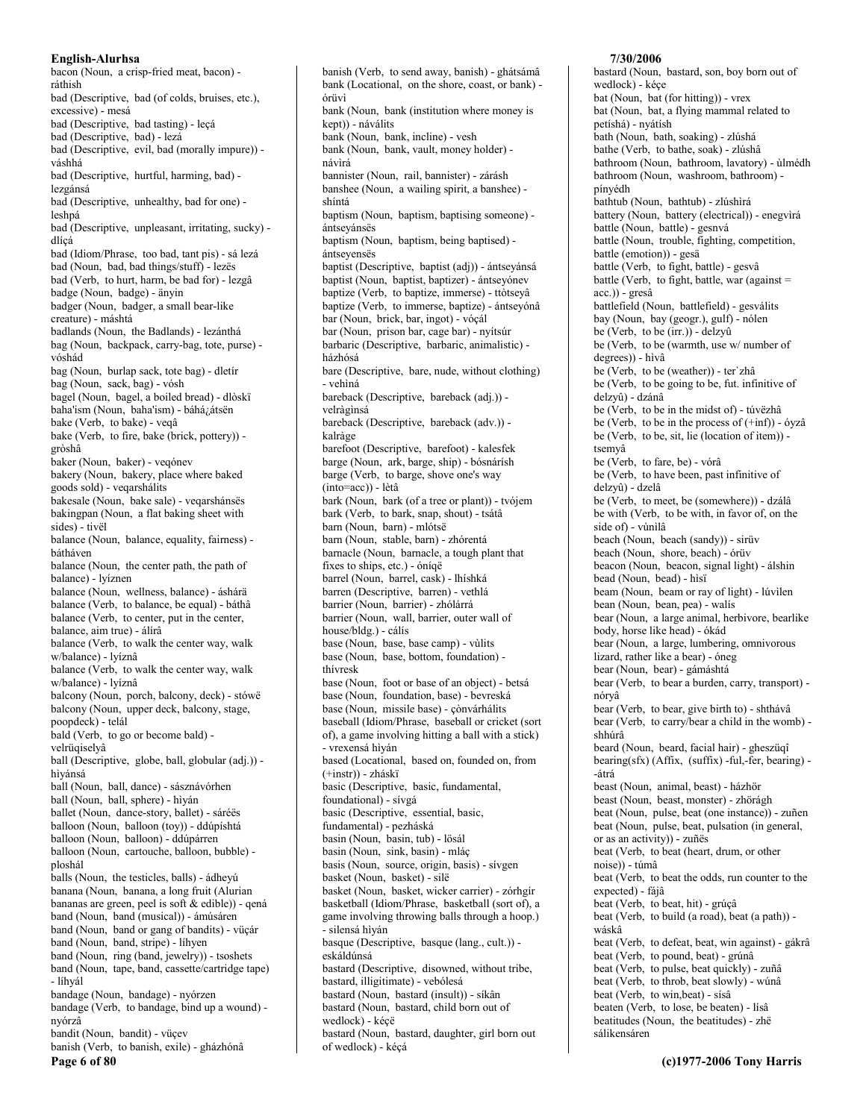bacon (Noun, a crisp-fried meat, bacon) ráthish bad (Descriptive, bad (of colds, bruises, etc.), excessive) - mesá bad (Descriptive, bad tasting) - lecá bad (Descriptive, bad) - lezá bad (Descriptive, evil, bad (morally impure)) váshhá bad (Descriptive, hurtful, harming, bad) lezgánsá bad (Descriptive, unhealthy, bad for one) leshná bad (Descriptive, unpleasant, irritating, sucky) dlícá bad (Idiom/Phrase, too bad, tant pis) - sá lezá bad (Noun, bad, bad things/stuff) - lezës bad (Verb, to hurt, harm, be bad for) - lezgâ badge (Noun, badge) - änyin badger (Noun, badger, a small bear-like creature) - máshtá badlands (Noun, the Badlands) - lezánthá bag (Noun, backpack, carry-bag, tote, purse) vóshád bag (Noun, burlap sack, tote bag) - dletir bag (Noun, sack, bag) - vósh bagel (Noun, bagel, a boiled bread) - dlòskï baha'ism (Noun, baha'ism) - báhá¿átsën bake (Verb, to bake) - veqâ bake (Verb, to fire, bake (brick, pottery)) gròshâ baker (Noun, baker) - vegónev bakery (Noun, bakery, place where baked goods sold) - veqarshálits bakesale (Noun, bake sale) - vegarshánsës bakingpan (Noun, a flat baking sheet with  $sides) - tivel$ balance (Noun, balance, equality, fairness) bátháven balance (Noun, the center path, the path of balance) - lvíznen balance (Noun, wellness, balance) - áshárä balance (Verb, to balance, be equal) - báthâ balance (Verb, to center, put in the center, balance, aim true) - álírâ balance (Verb, to walk the center way, walk w/balance) - lyíznâ balance (Verb, to walk the center way, walk w/balance) - lyíznâ balcony (Noun, porch, balcony, deck) - stówë balcony (Noun, upper deck, balcony, stage, poopdeck) - telál bald (Verb, to go or become bald) velrüqiselyâ ball (Descriptive, globe, ball, globular (adj.)) hìvánsá ball (Noun, ball, dance) - sásznávórhen ball (Noun, ball, sphere) - hìyán ballet (Noun, dance-story, ballet) - sáréës balloon (Noun, balloon (toy)) - ddúpíshtá balloon (Noun, balloon) - ddúpárren balloon (Noun, cartouche, balloon, bubble) ploshál balls (Noun, the testicles, balls) - ádheyú banana (Noun, banana, a long fruit (Alurian bananas are green, peel is soft & edible)) - qená band (Noun, band (musical)) - ámúsáren band (Noun, band or gang of bandits) - vüçár band (Noun, band, stripe) - lihyen band (Noun, ring (band, jewelry)) - tsoshets band (Noun, tape, band, cassette/cartridge tape) - líhyál bandage (Noun, bandage) - nyórzen bandage (Verb, to bandage, bind up a wound) nyórzâ bandit (Noun, bandit) - vüçev banish (Verb, to banish, exile) - gházhónâ

Page 6 of 80

banish (Verb, to send away, banish) - ghátsámâ bank (Locational, on the shore, coast, or bank) órüvì bank (Noun, bank (institution where money is kept)) - náválits bank (Noun, bank, incline) - vesh bank (Noun, bank, vault, money holder) návìrá bannister (Noun, rail, bannister) - zárásh banshee (Noun, a wailing spirit, a banshee) shíntá baptism (Noun, baptism, baptising someone) ántseyánsës baptism (Noun, baptism, being baptised) ántseyensës baptist (Descriptive, baptist (adj)) - ántsevánsá baptist (Noun, baptist, baptizer) - ántseyónev baptize (Verb, to baptize, immerse) - ttòtseyâ baptize (Verb, to immerse, baptize) - ántseyónâ bar (Noun, brick, bar, ingot) - vóçál bar (Noun, prison bar, cage bar) - nyítsúr barbaric (Descriptive, barbaric, animalistic) házhósá bare (Descriptive, bare, nude, without clothing) - vehìná bareback (Descriptive, bareback (adj.)) velràginsá bareback (Descriptive, bareback (adv.)) kalràge barefoot (Descriptive, barefoot) - kalesfek barge (Noun, ark, barge, ship) - bósnárísh barge (Verb, to barge, shove one's way (into=acc)) - lètâ bark (Noun. bark (of a tree or plant)) - tvóiem bark (Verb, to bark, snap, shout) - tsátâ barn (Noun, barn) - mlótsë barn (Noun, stable, barn) - zhórentá barnacle (Noun, barnacle, a tough plant that fixes to ships, etc.) - óníqë barrel (Noun, barrel, cask) - lhíshká barren (Descriptive, barren) - vethlá barrier (Noun, barrier) - zhólárrá barrier (Noun, wall, barrier, outer wall of house/bldg.) - cálís base (Noun, base, base camp) - vùlits base (Noun, base, bottom, foundation) thívresk base (Noun, foot or base of an object) - betsá base (Noun, foundation, base) - bevreská base (Noun, missile base) - çònvárhálits baseball (Idiom/Phrase, baseball or cricket (sort of), a game involving hitting a ball with a stick) - vrexensá hìván based (Locational, based on, founded on, from  $(+instr) - zháski$ basic (Descriptive, basic, fundamental, foundational) - sívgá basic (Descriptive, essential, basic, fundamental) - pezháská basin (Noun, basin, tub) - lösál basin (Noun, sink, basin) - mlác basis (Noun, source, origin, basis) - sívgen basket (Noun, basket) - silë basket (Noun, basket, wicker carrier) - zórhgír basketball (Idiom/Phrase, basketball (sort of), a game involving throwing balls through a hoop.) - silensá hìván basque (Descriptive, basque (lang., cult.)) eskáldúnsá bastard (Descriptive, disowned, without tribe, bastard, illigitimate) - vebólesá bastard (Noun, bastard (insult)) - síkân bastard (Noun, bastard, child born out of wedlock) - kéçë bastard (Noun, bastard, daughter, girl born out of wedlock) - kécá

## 7/30/2006

bastard (Noun, bastard, son, boy born out of wedlock) - kéçe bat (Noun, bat (for hitting)) - vrex bat (Noun, bat, a flying mammal related to petíshá) - nyátísh bath (Noun, bath, soaking) - zlúshá bathe (Verb, to bathe, soak) - zlúshâ bathroom (Noun, bathroom, lavatory) - ùlmédh bathroom (Noun, washroom, bathroom) pínyédh bathtub (Noun, bathtub) - zlúshìrá battery (Noun, battery (electrical)) - enegvirá battle (Noun, battle) - gesnvá battle (Noun, trouble, fighting, competition, battle (emotion)) - gesä battle (Verb, to fight, battle) - gesvâ battle (Verb, to fight, battle, war (against = acc.)) - gresâ battlefield (Noun, battlefield) - gesválits bay (Noun, bay (geogr.), gulf) - nólen be (Verb, to be (irr.)) - delzyû be (Verb, to be (warmth, use w/ number of degrees)) - hìvâ be (Verb, to be (weather)) - ter'zhâ be (Verb, to be going to be, fut. infinitive of delzyû) - dzánâ be (Verb, to be in the midst of) - túvëzhâ be (Verb, to be in the process of  $(+\inf)$ ) - óyzâ be (Verb, to be, sit, lie (location of item)) tsemvâ be (Verb, to fare, be) - vórâ be (Verb, to have been, past infinitive of delzyû) - dzelâ be (Verb, to meet, be (somewhere)) - dzálâ be with (Verb, to be with, in favor of, on the side of) - vùnìlâ beach (Noun, beach (sandy)) - sirüv beach (Noun, shore, beach) - órüv beacon (Noun, beacon, signal light) - álshin bead (Noun, bead) - hisï beam (Noun, beam or ray of light) - lúvilen bean (Noun, bean, pea) - walis bear (Noun, a large animal, herbivore, bearlike body, horse like head) - ókád bear (Noun, a large, lumbering, omnivorous lizard, rather like a bear) - óneg bear (Noun, bear) - gámáshtá bear (Verb, to bear a burden, carry, transport) nórvâ bear (Verb, to bear, give birth to) - shthávâ bear (Verb, to carry/bear a child in the womb) shhúrâ beard (Noun, beard, facial hair) - gheszüqî bearing(sfx) (Affix, (suffix) -ful,-fer, bearing) --átrá beast (Noun, animal, beast) - házhör beast (Noun, beast, monster) - zhörágh beat (Noun, pulse, beat (one instance)) - zuñen beat (Noun, pulse, beat, pulsation (in general, or as an activity)) - zuñës beat (Verb, to beat (heart, drum, or other noise)) - túmâ beat (Verb, to beat the odds, run counter to the expected) - fájâ beat (Verb, to beat, hit) - grúçâ beat (Verb, to build (a road), beat (a path)) wáskâ beat (Verb, to defeat, beat, win against) - gákrâ beat (Verb, to pound, beat) - grúnâ beat (Verb, to pulse, beat quickly) - zuñâ beat (Verb, to throb, beat slowly) - wúnâ beat (Verb, to win, beat) - sísâ beaten (Verb, to lose, be beaten) - lísâ beatitudes (Noun, the beatitudes) - zhë sálikensáren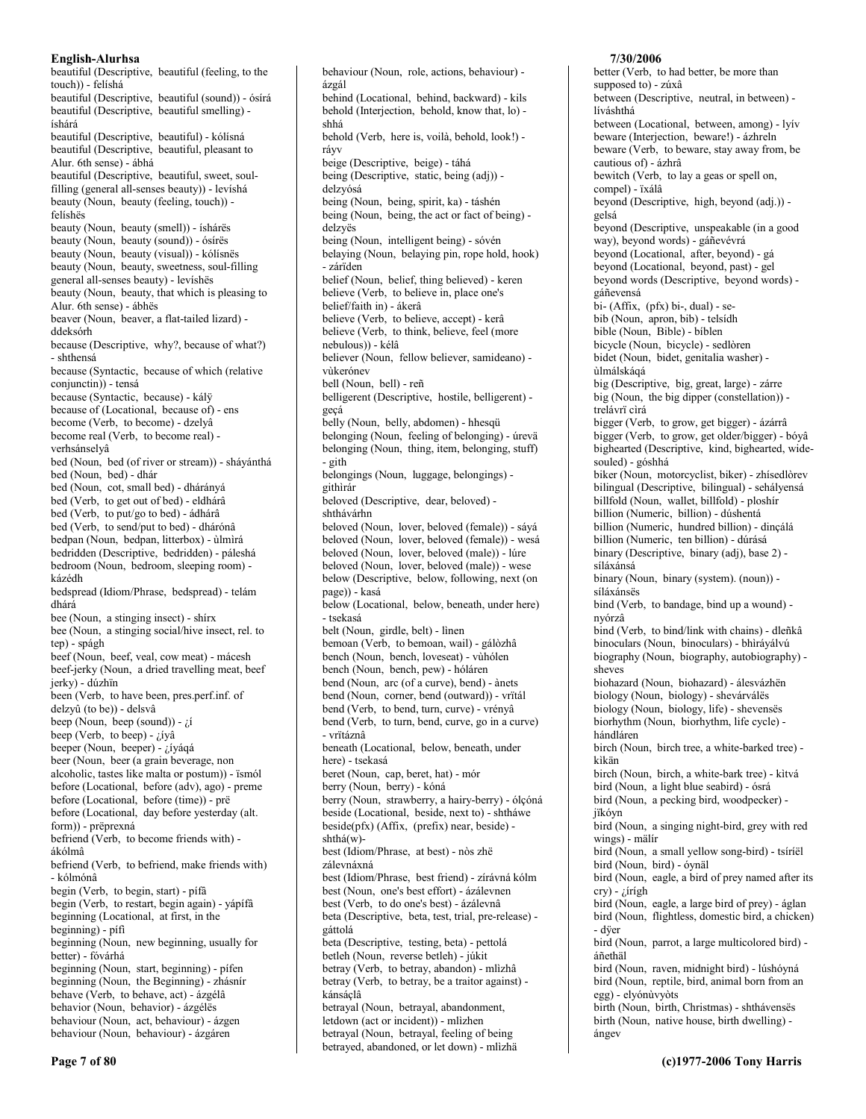beautiful (Descriptive, beautiful (feeling, to the touch)) - felíshá beautiful (Descriptive, beautiful (sound)) - ósírá beautiful (Descriptive, beautiful smelling) íshárá beautiful (Descriptive, beautiful) - kólísná beautiful (Descriptive, beautiful, pleasant to Alur. 6th sense) - ábhá beautiful (Descriptive, beautiful, sweet, soulfilling (general all-senses beauty)) - levíshá beauty (Noun, beauty (feeling, touch)) felíshës beauty (Noun, beauty (smell)) - íshárës beauty (Noun, beauty (sound)) - ósírës beauty (Noun, beauty (visual)) - kólísněs beauty (Noun, beauty, sweetness, soul-filling general all-senses beauty) - levíshës beauty (Noun, beauty, that which is pleasing to Alur. 6th sense) - ábhës beaver (Noun, beaver, a flat-tailed lizard) ddeksórh because (Descriptive, why?, because of what?) - shthensá because (Syntactic, because of which (relative conjunctin)) - tensá because (Syntactic, because) - kálÿ because of (Locational, because of) - ens become (Verb, to become) - dzelyâ become real (Verb, to become real) verhsánselyâ bed (Noun, bed (of river or stream)) - sháyánthá bed (Noun, bed) - dhár bed (Noun, cot, small bed) - dhárányá bed (Verb, to get out of bed) - eldhárâ bed (Verb, to put/go to bed) - ádhárâ bed (Verb, to send/put to bed) - dhárónâ bedpan (Noun, bedpan, litterbox) - ùlmìrá bedridden (Descriptive, bedridden) - páleshá bedroom (Noun, bedroom, sleeping room) kázédh bedspread (Idiom/Phrase, bedspread) - telám dhárá bee (Noun, a stinging insect) - shirx bee (Noun, a stinging social/hive insect, rel. to tep) - spágh beef (Noun, beef, veal, cow meat) - mácesh beef-jerky (Noun, a dried travelling meat, beef jerky) - dúzhïn been (Verb, to have been, pres.perf.inf. of delzyû (to be)) - delsvâ beep (Noun, beep (sound)) -  $\zeta$ í beep (Verb, to beep) -  $i$  ivâ beeper (Noun, beeper) - ¿íyáqá beer (Noun, beer (a grain beverage, non alcoholic, tastes like malta or postum)) - ïsmól before (Locational, before (adv), ago) - preme before (Locational, before (time)) - prë before (Locational, day before yesterday (alt. form)) - prëprexná befriend (Verb, to become friends with) ákólmâ befriend (Verb, to befriend, make friends with) - kólmónâ begin (Verb, to begin, start) - pífâ begin (Verb, to restart, begin again) - yápífâ beginning (Locational, at first, in the  $beginning) - pifi$ beginning (Noun, new beginning, usually for better) - fóvárhá beginning (Noun, start, beginning) - pífen beginning (Noun, the Beginning) - zhásnír behave (Verb, to behave, act) - ázgélâ behavior (Noun, behavior) - ázgélës behaviour (Noun, act, behaviour) - ázgen behaviour (Noun, behaviour) - ázgáren

behaviour (Noun, role, actions, behaviour) ázgál behind (Locational, behind, backward) - kils behold (Interjection, behold, know that, lo) shhá behold (Verb, here is, voilà, behold, look!) rávy beige (Descriptive, beige) - táhá being (Descriptive, static, being (adj)) delzvósá being (Noun, being, spirit, ka) - táshén being (Noun, being, the act or fact of being) delzyës being (Noun, intelligent being) - sóvén belaying (Noun, belaying pin, rope hold, hook) - zárïden belief (Noun, belief, thing believed) - keren believe (Verb, to believe in, place one's belief/faith in) - ákerâ believe (Verb, to believe, accept) - kerâ believe (Verb, to think, believe, feel (more nebulous)) - kélâ believer (Noun, fellow believer, samideano) vikerónev bell (Noun, bell) - reñ belligerent (Descriptive, hostile, belligerent) gecá belly (Noun, belly, abdomen) - hhesqü belonging (Noun, feeling of belonging) - úrevä belonging (Noun, thing, item, belonging, stuff) - gith belongings (Noun, luggage, belongings) githìrár beloved (Descriptive, dear, beloved) shthávárhn beloved (Noun, lover, beloved (female)) - sáyá beloved (Noun, lover, beloved (female)) - wesá beloved (Noun, lover, beloved (male)) - lúre beloved (Noun, lover, beloved (male)) - wese below (Descriptive, below, following, next (on page)) - kasá below (Locational, below, beneath, under here) - tsekasá belt (Noun, girdle, belt) - linen bemoan (Verb, to bemoan, wail) - gálòzhâ bench (Noun, bench, loveseat) - vùhólen bench (Noun, bench, pew) - hóláren bend (Noun, arc (of a curve), bend) - ànets bend (Noun, corner, bend (outward)) - vrïtál bend (Verb, to bend, turn, curve) - vrényâ bend (Verb, to turn, bend, curve, go in a curve) - vrïtáznâ beneath (Locational, below, beneath, under here) - tsekasá beret (Noun, cap, beret, hat) - mór berry (Noun, berry) - kóná berry (Noun, strawberry, a hairy-berry) - ólçóná beside (Locational, beside, next to) - shtháwe beside(pfx) (Affix, (prefix) near, beside)  $shthá(w)$ best (Idiom/Phrase, at best) - nòs zhë zálevnáxná best (Idiom/Phrase, best friend) - zírávná kólm best (Noun, one's best effort) - ázálevnen best (Verb, to do one's best) - ázálevnâ beta (Descriptive, beta, test, trial, pre-release) gáttolá beta (Descriptive, testing, beta) - pettolá betleh (Noun, reverse betleh) - júkit betray (Verb, to betray, abandon) - mlìzhâ betray (Verb, to betray, be a traitor against) kánsáçlâ betrayal (Noun, betrayal, abandonment, letdown (act or incident)) - mlìzhen betrayal (Noun, betrayal, feeling of being

betrayed, abandoned, or let down) - mlìzhä

7/30/2006 better (Verb, to had better, be more than

supposed to) - zúxâ between (Descriptive, neutral, in between) líváshthá between (Locational, between, among) - lyív beware (Interjection, beware!) - ázhreln beware (Verb, to beware, stay away from, be cautious of) - ázhrâ bewitch (Verb, to lay a geas or spell on, compel) - ïxálâ beyond (Descriptive, high, beyond (adj.)) gelsá beyond (Descriptive, unspeakable (in a good way), beyond words) - gáñevévrá beyond (Locational, after, beyond) - gá beyond (Locational, beyond, past) - gel beyond words (Descriptive, beyond words) gáñevensá  $\overline{bi}$ - (Affix, (pfx) bi-, dual) - sebib (Noun, apron, bib) - telsídh bible (Noun, Bible) - bíblen bicycle (Noun, bicycle) - sedlòren bidet (Noun, bidet, genitalia washer) *ilmálskágá* big (Descriptive, big, great, large) - zárre big (Noun, the big dipper (constellation)) trelávrï cìrá bigger (Verb, to grow, get bigger) - ázárrâ bigger (Verb, to grow, get older/bigger) - bóyâ bighearted (Descriptive, kind, bighearted, widesouled) - góshhá biker (Noun, motorcyclist, biker) - zhísedlòrev bilingual (Descriptive, bilingual) - sehályensá billfold (Noun, wallet, billfold) - ploshir billion (Numeric, billion) - dúshentá billion (Numeric, hundred billion) - dinçálá billion (Numeric, ten billion) - dúrásá binary (Descriptive, binary (adj), base 2) síláxánsá binary (Noun, binary (system). (noun)) síláxánsës bind (Verb, to bandage, bind up a wound) nvórzâ bind (Verb, to bind/link with chains) - dleñkâ binoculars (Noun, binoculars) - bhìráyálvú biography (Noun, biography, autobiography) sheves biohazard (Noun, biohazard) - álesvázhën biology (Noun, biology) - shevárválës biology (Noun, biology, life) - shevensës biorhythm (Noun, biorhythm, life cycle) hándláren birch (Noun, birch tree, a white-barked tree) kìkän birch (Noun, birch, a white-bark tree) - kìtvá bird (Noun, a light blue seabird) - ósrá bird (Noun, a pecking bird, woodpecker) jïkóyn bird (Noun, a singing night-bird, grey with red wings) - mälír bird (Noun, a small yellow song-bird) - tsíríël bird (Noun, bird) - óynäl bird (Noun, eagle, a bird of prey named after its  $\text{cry}$ ) - ¿írígh bird (Noun, eagle, a large bird of prey) - áglan bird (Noun, flightless, domestic bird, a chicken) - düer bird (Noun, parrot, a large multicolored bird) áñethäl bird (Noun, raven, midnight bird) - lúshóyná bird (Noun, reptile, bird, animal born from an egg) - elyónùvyòts birth (Noun, birth, Christmas) - shthávensës birth (Noun, native house, birth dwelling) ángev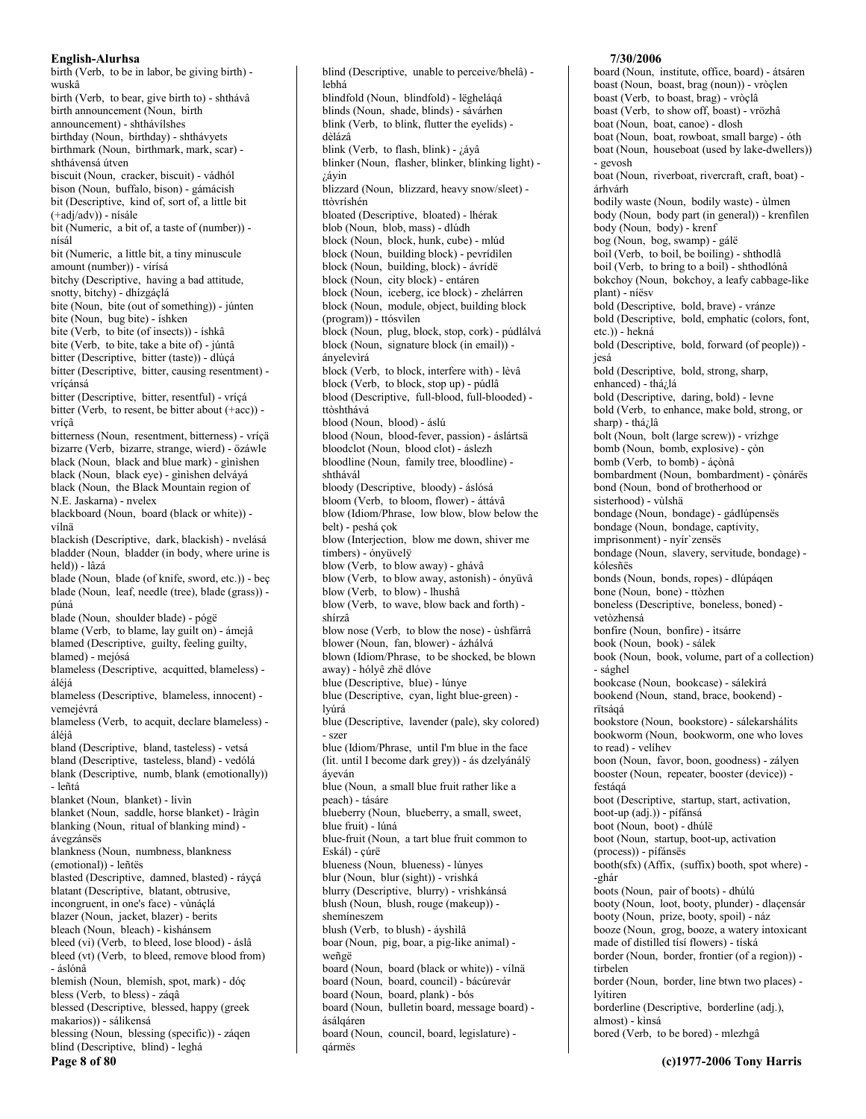birth (Verb, to be in labor, be giving birth) wuskâ birth (Verb, to bear, give birth to) - shthávâ birth announcement (Noun, birth announcement) - shthávílshes birthday (Noun, birthday) - shthávyets birthmark (Noun, birthmark, mark, scar) shthávensá útven biscuit (Noun, cracker, biscuit) - vádhól bison (Noun, buffalo, bison) - gámácish bit (Descriptive, kind of, sort of, a little bit (+adj/adv)) - nísále bit (Numeric, a bit of, a taste of (number)) nísál bit (Numeric, a little bit, a tiny minuscule amount (number)) - vírísá bitchy (Descriptive, having a bad attitude, snotty, bitchy) - dhízgáçlá bite (Noun, bite (out of something)) - junten bite (Noun, bug bite) - íshken bite (Verb, to bite (of insects)) - íshkâ bite (Verb, to bite, take a bite of) - júntâ bitter (Descriptive, bitter (taste)) - dlúçá bitter (Descriptive, bitter, causing resentment) vrícánsá bitter (Descriptive, bitter, resentful) - vríçá bitter (Verb, to resent, be bitter about (+acc)) vrícâ bitterness (Noun, resentment, bitterness) - vríçä bizarre (Verb, bizarre, strange, wierd) - özáwle black (Noun, black and blue mark) - ginishen black (Noun, black eye) - gìnìshen delváyá black (Noun, the Black Mountain region of N.E. Jaskarna) - nyelex blackboard (Noun, board (black or white)) vílnä blackish (Descriptive, dark, blackish) - nvelásá bladder (Noun, bladder (in body, where urine is held)) - lâzá blade (Noun. blade (of knife, sword, etc.)) - bec blade (Noun, leaf, needle (tree), blade (grass)) púná blade (Noun, shoulder blade) - pógë blame (Verb, to blame, lay guilt on) - ámejâ blamed (Descriptive, guilty, feeling guilty, blamed) - mejósá blameless (Descriptive, acquitted, blameless) áléjá blameless (Descriptive, blameless, innocent) vemejévrá blameless (Verb, to acquit, declare blameless) áléjâ bland (Descriptive, bland, tasteless) - vetsá bland (Descriptive, tasteless, bland) - vedólá blank (Descriptive, numb, blank (emotionally)) - leñtá blanket (Noun, blanket) - livin blanket (Noun, saddle, horse blanket) - lràgìn blanking (Noun, ritual of blanking mind) ávegzánsës blankness (Noun, numbness, blankness (emotional)) - leñtës blasted (Descriptive, damned, blasted) - ráycá blatant (Descriptive, blatant, obtrusive, incongruent, in one's face) - vùnáclá blazer (Noun, jacket, blazer) - berits bleach (Noun. bleach) - kìshánsem bleed (vi) (Verb, to bleed, lose blood) - áslâ bleed (vt) (Verb, to bleed, remove blood from) - áslónâ blemish (Noun, blemish, spot, mark) - dóç bless (Verb, to bless) - záqâ blessed (Descriptive, blessed, happy (greek makarios)) - sálikensá blessing (Noun, blessing (specific)) - zágen blind (Descriptive, blind) - leghá Page 8 of 80

blind (Descriptive, unable to perceive/bhelâ) lebhá blindfold (Noun, blindfold) - lëgheláqá blinds (Noun, shade, blinds) - sávárhen blink (Verb, to blink, flutter the evelids) dèlázâ blink (Verb, to flash, blink) - ¿áyâ blinker (Noun, flasher, blinker, blinking light) iáyin blizzard (Noun, blizzard, heavy snow/sleet) ttòvríshén bloated (Descriptive, bloated) - lhérak blob (Noun, blob, mass) - dlúdh block (Noun, block, hunk, cube) - mlúd block (Noun, building block) - pevrídilen block (Noun, building, block) - ávrídë block (Noun, city block) - entáren block (Noun, iceberg, ice block) - zhelárren block (Noun, module, object, building block (program)) - ttósvilen block (Noun, plug, block, stop, cork) - púdlálvá block (Noun, signature block (in email)) ányelevìrá block (Verb, to block, interfere with) - lèvâ block (Verb, to block, stop up) - púdlâ blood (Descriptive, full-blood, full-blooded) ttòshthává blood (Noun, blood) - áslú blood (Noun, blood-fever, passion) - áslártsä bloodclot (Noun, blood clot) - áslezh bloodline (Noun, family tree, bloodline) shthávál bloody (Descriptive, bloody) - áslósá bloom (Verb. to bloom, flower) - áttávâ blow (Idiom/Phrase, low blow, blow below the belt) - peshá çok blow (Interjection, blow me down, shiver me timbers) - ónvüvelÿ blow (Verb, to blow away) - ghávâ blow (Verb, to blow away, astonish) - ónyüvâ blow (Verb, to blow) - lhushâ blow (Verb, to wave, blow back and forth) shírzâ blow nose (Verb, to blow the nose) - ùshfárrâ blower (Noun, fan, blower) - ázhálvá blown (Idiom/Phrase, to be shocked, be blown away) - hólyê zhë dlóve blue (Descriptive, blue) - lúnye blue (Descriptive, cyan, light blue-green) lvúrá blue (Descriptive, lavender (pale), sky colored) - szer blue (Idiom/Phrase, until I'm blue in the face (lit. until I become dark grey)) - ás dzelyánály áveván blue (Noun, a small blue fruit rather like a peach) - tásáre blueberry (Noun, blueberry, a small, sweet, blue fruit) - lúná blue-fruit (Noun, a tart blue fruit common to Eskál) - cúrë blueness (Noun, blueness) - lúnyes blur (Noun, blur (sight)) - vrishká blurry (Descriptive, blurry) - vrishkánsá blush (Noun, blush, rouge (makeup)) shemineszem blush (Verb, to blush) - áyshilâ boar (Noun, pig, boar, a pig-like animal) weñgë board (Noun, board (black or white)) - vílnä board (Noun, board, council) - bácúrevár board (Noun, board, plank) - bós board (Noun, bulletin board, message board) ásálqáren board (Noun, council, board, legislature) gármës

## 7/30/2006

board (Noun, institute, office, board) - átsáren boast (Noun, boast, brag (noun)) - vròçlen boast (Verb, to boast, brag) - vròclâ boast (Verb, to show off, boast) - vrözhâ boat (Noun, boat, canoe) - dlosh boat (Noun, boat, rowboat, small barge) - óth boat (Noun, houseboat (used by lake-dwellers)) - gevosh boat (Noun, riverboat, rivercraft, craft, boat) árhvárh bodily waste (Noun, bodily waste) - ùlmen body (Noun, body part (in general)) - krenfilen body (Noun, body) - krenf bog (Noun, bog, swamp) - gálë boil (Verb, to boil, be boiling) - shthodlâ boil (Verb, to bring to a boil) - shthodlónâ bokchoy (Noun, bokchoy, a leafy cabbage-like plant) - níësv bold (Descriptive, bold, brave) - vránze bold (Descriptive, bold, emphatic (colors, font, etc.)) - hekná bold (Descriptive, bold, forward (of people)) iesá bold (Descriptive, bold, strong, sharp, enhanced) - thá¿lá bold (Descriptive, daring, bold) - levne bold (Verb, to enhance, make bold, strong, or sharp) - thá; lâ bolt (Noun, bolt (large screw)) - vrízhge bomb (Noun, bomb, explosive) - çòn bomb (Verb, to bomb) - ácònâ bombardment (Noun, bombardment) - çònárës bond (Noun, bond of brotherhood or sisterhood) - vùlshä bondage (Noun, bondage) - gádlúpensës bondage (Noun, bondage, captivity, imprisonment) - nyír'zensës bondage (Noun, slavery, servitude, bondage) kólesñës bonds (Noun, bonds, ropes) - dlúpágen bone (Noun, bone) - ttòzhen boneless (Descriptive, boneless, boned) vetòzhensá bonfire (Noun, bonfire) - ìtsárre book (Noun, book) - sálek book (Noun, book, volume, part of a collection) - sághel bookcase (Noun, bookcase) - sálekìrá bookend (Noun, stand, brace, bookend) rïtságá bookstore (Noun, bookstore) - sálekarshálits bookworm (Noun, bookworm, one who loves to read) - velihev boon (Noun, favor, boon, goodness) - zályen booster (Noun, repeater, booster (device)) festágá boot (Descriptive, startup, start, activation, boot-up (adj.)) - pífánsá boot (Noun, boot) - dhúlë boot (Noun, startup, boot-up, activation (process)) - pífánsës booth(sfx) (Affix, (suffix) booth, spot where) --ghár boots (Noun, pair of boots) - dhúlú booty (Noun, loot, booty, plunder) - dlaçensár booty (Noun, prize, booty, spoil) - náz booze (Noun, grog, booze, a watery intoxicant made of distilled tísí flowers) - tíská border (Noun, border, frontier (of a region)) tirbelen border (Noun, border, line btwn two places) lvítiren borderline (Descriptive, borderline (adj.), almost) - kinsá bored (Verb, to be bored) - mlezhgâ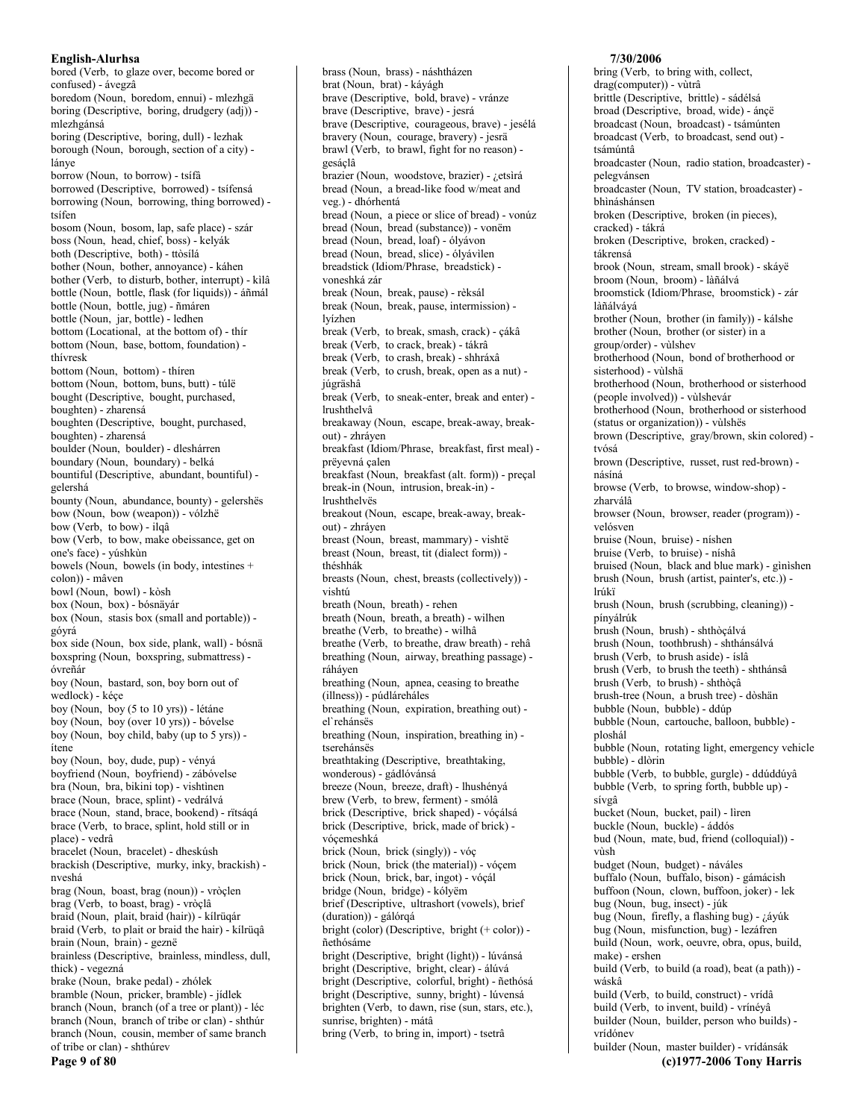bored (Verb, to glaze over, become bored or confused) - ávegzâ boredom (Noun, boredom, ennui) - mlezhgä boring (Descriptive, boring, drudgery (adj)) mlezhgánsá boring (Descriptive, boring, dull) - lezhak borough (Noun, borough, section of a city) lánve borrow (Noun, to borrow) - tsífâ borrowed (Descriptive, borrowed) - tsífensá borrowing (Noun, borrowing, thing borrowed) tsífen bosom (Noun, bosom, lap, safe place) - szár boss (Noun, head, chief, boss) - kelyák both (Descriptive, both) - ttòsílá bother (Noun, bother, annovance) - káhen bother (Verb, to disturb, bother, interrupt) - kilâ bottle (Noun, bottle, flask (for liquids)) - áñmál bottle (Noun, bottle, jug) - ñmáren bottle (Noun, jar, bottle) - ledhen bottom (Locational, at the bottom of) - thir bottom (Noun, base, bottom, foundation) thívresk bottom (Noun. bottom) - thíren bottom (Noun, bottom, buns, butt) - túlë bought (Descriptive, bought, purchased, boughten) - zharensá boughten (Descriptive, bought, purchased, boughten) - zharensá boulder (Noun, boulder) - dleshárren boundary (Noun, boundary) - belká bountiful (Descriptive, abundant, bountiful) gelershá bounty (Noun, abundance, bounty) - gelershës bow (Noun, bow (weapon)) - vólzhë bow (Verb, to bow) - ilqâ bow (Verb, to bow, make obeissance, get on one's face) - yúshkùn bowels (Noun, bowels (in body, intestines + colon)) - mâven bowl (Noun, bowl) - kòsh box (Noun, box) - bósnäyár box (Noun, stasis box (small and portable)) góvrá box side (Noun, box side, plank, wall) - bósnä boxspring (Noun, boxspring, submattress) óvreñár boy (Noun, bastard, son, boy born out of wedlock) - kéçe boy (Noun, boy (5 to 10 yrs)) - létáne boy (Noun, boy (over 10 yrs)) - bóvelse boy (Noun, boy child, baby (up to 5 yrs)) ítene boy (Noun, boy, dude, pup) - vényá boyfriend (Noun, boyfriend) - zábóvelse bra (Noun, bra, bikini top) - vishtinen brace (Noun, brace, splint) - vedrálvá brace (Noun, stand, brace, bookend) - rïtsáqá brace (Verb, to brace, splint, hold still or in place) - vedrâ bracelet (Noun, bracelet) - dheskúsh brackish (Descriptive, murky, inky, brackish) nveshá brag (Noun, boast, brag (noun)) - vròçlen brag (Verb, to boast, brag) - vròclâ braid (Noun, plait, braid (hair)) - kílrüqár braid (Verb, to plait or braid the hair) - kílrüqâ brain (Noun, brain) - geznë brainless (Descriptive, brainless, mindless, dull, thick) - vegezná brake (Noun, brake pedal) - zhólek bramble (Noun, pricker, bramble) - jídlek branch (Noun, branch (of a tree or plant)) - léc branch (Noun, branch of tribe or clan) - shthúr branch (Noun, cousin, member of same branch of tribe or clan) - shthúrev Page 9 of 80

brass (Noun, brass) - náshtházen brat (Noun, brat) - káyágh brave (Descriptive, bold, brave) - vránze brave (Descriptive, brave) - jesrá brave (Descriptive, courageous, brave) - jesélá bravery (Noun, courage, bravery) - jesrä brawl (Verb, to brawl, fight for no reason) gesáçlâ brazier (Noun, woodstove, brazier) - ¿etsìrá bread (Noun, a bread-like food w/meat and veg.) - dhórhentá bread (Noun, a piece or slice of bread) - vonúz bread (Noun, bread (substance)) - vonëm bread (Noun, bread, loaf) - ólyávon bread (Noun, bread, slice) - ólyávilen breadstick (Idiom/Phrase, breadstick) voneshká zár break (Noun, break, pause) - rèksál break (Noun, break, pause, intermission) lvízhen break (Verb, to break, smash, crack) - çákâ break (Verb, to crack, break) - tákrâ break (Verb, to crash, break) - shhráxâ break (Verb, to crush, break, open as a nut) júgräshâ break (Verb, to sneak-enter, break and enter) lrushthelvâ breakaway (Noun, escape, break-away, breakout) - zhráyen breakfast (Idiom/Phrase, breakfast, first meal) prëvevná çalen breakfast (Noun, breakfast (alt. form)) - preçal break-in (Noun, intrusion, break-in) lrushthelvës breakout (Noun, escape, break-away, breakout) - zhráven breast (Noun, breast, mammary) - vishtë breast (Noun, breast, tit (dialect form)) théshhák breasts (Noun, chest, breasts (collectively)) vishtú breath (Noun, breath) - rehen breath (Noun, breath, a breath) - wilhen breathe (Verb, to breathe) - wilhâ breathe (Verb, to breathe, draw breath) - rehâ breathing (Noun, airway, breathing passage) ráháven breathing (Noun, apnea, ceasing to breathe (illness)) - púdláreháles breathing (Noun, expiration, breathing out) el'rehánsës breathing (Noun, inspiration, breathing in) tserehánsës breathtaking (Descriptive, breathtaking, wonderous) - gádlóvánsá breeze (Noun, breeze, draft) - lhushényá brew (Verb, to brew, ferment) - smólâ brick (Descriptive, brick shaped) - vóçálsá brick (Descriptive, brick, made of brick) vóçemeshká brick (Noun, brick (singly)) - vóç brick (Noun, brick (the material)) - vóçem brick (Noun, brick, bar, ingot) - vóçál bridge (Noun, bridge) - kólyëm brief (Descriptive, ultrashort (vowels), brief (duration)) - gálórqá bright (color) (Descriptive, bright  $(+ \text{color})$ ) ñethósáme bright (Descriptive, bright (light)) - lúvánsá bright (Descriptive, bright, clear) - álúvá bright (Descriptive, colorful, bright) - ñethósá bright (Descriptive, sunny, bright) - lúvensá brighten (Verb, to dawn, rise (sun, stars, etc.), sunrise, brighten) - mátâ bring (Verb, to bring in, import) - tsetrâ

bring (Verb, to bring with, collect, drag(computer)) - vùtrâ brittle (Descriptive, brittle) - sádélsá broad (Descriptive, broad, wide) - ánçë broadcast (Noun, broadcast) - tsámúnten broadcast (Verb, to broadcast, send out) tsámúntâ broadcaster (Noun, radio station, broadcaster) pelegvánsen broadcaster (Noun, TV station, broadcaster) bhìnáshánsen broken (Descriptive, broken (in pieces), cracked) - tákrá broken (Descriptive, broken, cracked) tákrensá brook (Noun, stream, small brook) - skávë broom (Noun, broom) - làñálvá broomstick (Idiom/Phrase, broomstick) - zár làñálvává brother (Noun, brother (in family)) - kálshe brother (Noun, brother (or sister) in a group/order) - vùlshev brotherhood (Noun, bond of brotherhood or sisterhood) - vùlshä brotherhood (Noun, brotherhood or sisterhood (people involved)) - vùlshevár brotherhood (Noun, brotherhood or sisterhood (status or organization)) - vùlshës brown (Descriptive, gray/brown, skin colored) tvósá brown (Descriptive, russet, rust red-brown) násíná browse (Verb, to browse, window-shop) zharválâ browser (Noun, browser, reader (program)) velósven bruise (Noun, bruise) - níshen bruise (Verb, to bruise) - níshâ bruised (Noun, black and blue mark) - ginishen brush (Noun, brush (artist, painter's, etc.)) lrúkï brush (Noun, brush (scrubbing, cleaning)) pínyálrúk brush (Noun, brush) - shthòçálvá brush (Noun, toothbrush) - shthánsálvá brush (Verb, to brush aside) - íslâ brush (Verb, to brush the teeth) - shthánsâ brush (Verb, to brush) - shthòcâ brush-tree (Noun, a brush tree) - dòshän bubble (Noun, bubble) - ddúp bubble (Noun, cartouche, balloon, bubble) ploshál bubble (Noun, rotating light, emergency vehicle bubble) - dlòrin bubble (Verb, to bubble, gurgle) - ddúddúyâ bubble (Verb, to spring forth, bubble up) sívgâ bucket (Noun, bucket, pail) - lìren buckle (Noun, buckle) - áddós bud (Noun, mate, bud, friend (colloquial)) vùsh budget (Noun, budget) - náváles buffalo (Noun, buffalo, bison) - gámácish buffoon (Noun, clown, buffoon, joker) - lek bug (Noun, bug, insect) - júk bug (Noun, firefly, a flashing bug) - ¿áyúk bug (Noun, misfunction, bug) - lezáfren build (Noun, work, oeuvre, obra, opus, build, make) - ershen build (Verb, to build (a road), beat (a path)) wáskâ build (Verb, to build, construct) - vrídâ build (Verb, to invent, build) - vrínéyâ builder (Noun, builder, person who builds) vrídónev builder (Noun, master builder) - vrídánsák (c)1977-2006 Tony Harris

7/30/2006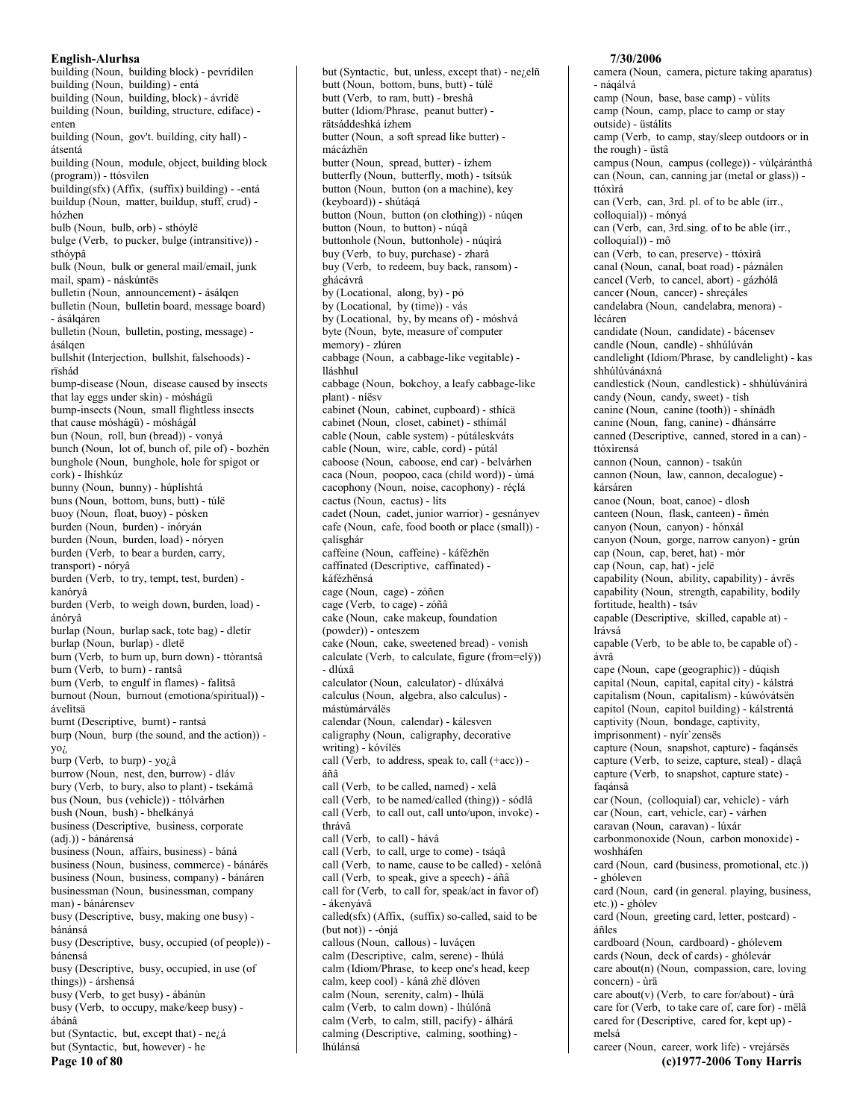building (Noun, building block) - pevrídilen building (Noun, building) - entá building (Noun, building, block) - ávrídë building (Noun, building, structure, ediface) enten building (Noun, gov't. building, city hall) átsentá building (Noun, module, object, building block (program)) - ttósvilen building(sfx) (Affix, (suffix) building) - - entá buildup (Noun, matter, buildup, stuff, crud) hózhen bulb (Noun, bulb, orb) - sthóylë bulge (Verb, to pucker, bulge (intransitive)) sthóypâ bulk (Noun, bulk or general mail/email, junk mail, spam) - náskúntës bulletin (Noun, announcement) - ásálqen bulletin (Noun, bulletin board, message board) - ásálgáren bulletin (Noun, bulletin, posting, message) ásálgen bullshit (Interjection, bullshit, falsehoods) rïshád bump-disease (Noun, disease caused by insects that lay eggs under skin) - móshágü bump-insects (Noun, small flightless insects that cause móshágü) - móshágál bun (Noun, roll, bun (bread)) - vonyá bunch (Noun, lot of, bunch of, pile of) - bozhën bunghole (Noun, bunghole, hole for spigot or cork) - lhíshkúz bunny (Noun, bunny) - húplíshtá buns (Noun, bottom, buns, butt) - túlë buoy (Noun, float, buoy) - pósken burden (Noun, burden) - inóryán burden (Noun, burden, load) - nóryen burden (Verb, to bear a burden, carry, transport) - nóryâ burden (Verb, to try, tempt, test, burden) kanórvâ burden (Verb, to weigh down, burden, load) ánórvâ burlap (Noun, burlap sack, tote bag) - dletír burlap (Noun, burlap) - dletë burn (Verb, to burn up, burn down) - ttòrantsâ burn (Verb, to burn) - rantsâ burn (Verb, to engulf in flames) - falitsâ burnout (Noun, burnout (emotiona/spiritual)) ávelitsä burnt (Descriptive, burnt) - rantsá burp (Noun, burp (the sound, and the action)) yo<sub>i</sub> burp (Verb, to burp) - yo $\lambda$ â burrow (Noun, nest, den, burrow) - dláv bury (Verb, to bury, also to plant) - tsekámâ bus (Noun, bus (vehicle)) - ttólvárhen bush (Noun, bush) - bhelkányá business (Descriptive, business, corporate (adj.)) - bánárensá business (Noun, affairs, business) - báná business (Noun, business, commerce) - bánárës business (Noun, business, company) - bánáren businessman (Noun, businessman, company man) - bánárensev busy (Descriptive, busy, making one busy) bánánsá busy (Descriptive, busy, occupied (of people)) bánensá busy (Descriptive, busy, occupied, in use (of things)) - árshensá busy (Verb, to get busy) - ábánùn busy (Verb, to occupy, make/keep busy) ábánâ but (Syntactic, but, except that) - nezá but (Syntactic, but, however) - he

Page 10 of 80

butt (Noun, bottom, buns, butt) - túlë butt (Verb. to ram. butt) - breshâ butter (Idiom/Phrase, peanut butter) rätsáddeshká ízhem butter (Noun, a soft spread like butter) mácázhën butter (Noun, spread, butter) - ízhem butterfly (Noun, butterfly, moth) - tsítsúk button (Noun, button (on a machine), key (keyboard)) - shútáqá button (Noun, button (on clothing)) - núqen button (Noun, to button) - núqâ buttonhole (Noun, buttonhole) - núqìrá buy (Verb, to buy, purchase) - zharâ buy (Verb, to redeem, buy back, ransom) ghácávrâ by (Locational, along, by) - pó by (Locational, by (time)) - vás by (Locational, by, by means of) - móshvá byte (Noun, byte, measure of computer memory) - zlúren cabbage (Noun, a cabbage-like vegitable) lláshhul cabbage (Noun, bokchoy, a leafy cabbage-like plant) - níësv cabinet (Noun, cabinet, cupboard) - sthícä cabinet (Noun, closet, cabinet) - sthímál cable (Noun, cable system) - pútáleskváts cable (Noun, wire, cable, cord) - pútál caboose (Noun, caboose, end car) - belvárhen caca (Noun, poopoo, caca (child word)) - ùmá cacophony (Noun, noise, cacophony) - réçlá cactus (Noun, cactus) - lits cadet (Noun, cadet, junior warrior) - gesnányev cafe (Noun, cafe, food booth or place (small)) çalísghár caffeine (Noun, caffeine) - káfézhën caffinated (Descriptive, caffinated) káfézhënsá cage (Noun, cage) - zóñen cage (Verb, to cage) - zóñâ cake (Noun, cake makeup, foundation (powder)) - onteszem cake (Noun, cake, sweetened bread) - vonish calculate (Verb, to calculate, figure (from=elÿ)) - dlúxâ calculator (Noun, calculator) - dlúxálvá calculus (Noun, algebra, also calculus) mástúmárválës calendar (Noun, calendar) - kálesven caligraphy (Noun, caligraphy, decorative writing) - kóvílës call (Verb, to address, speak to, call (+acc)) áñâ call (Verb, to be called, named) - xelâ call (Verb, to be named/called (thing)) - sódlâ call (Verb, to call out, call unto/upon, invoke) thrávâ call (Verb, to call) - hávâ call (Verb, to call, urge to come) - tságâ call (Verb, to name, cause to be called) - xelónâ call (Verb, to speak, give a speech) - áñâ call for (Verb, to call for, speak/act in favor of) - ákenvávâ called(sfx) (Affix, (suffix) so-called, said to be  $(but not)) - 6niá$ callous (Noun, callous) - luváçen calm (Descriptive, calm, serene) - lhúlá calm (Idiom/Phrase, to keep one's head, keep calm, keep cool) - kánâ zhë dlóven calm (Noun, serenity, calm) - lhúlä calm (Verb, to calm down) - lhúlónâ calm (Verb, to calm, still, pacify) - álhárâ calming (Descriptive, calming, soothing) -

lhúlánsá

but (Syntactic, but, unless, except that) - nezelñ

#### 7/30/2006

camera (Noun, camera, picture taking aparatus) - náqálvá camp (Noun, base, base camp) - vùlits camp (Noun, camp, place to camp or stay outside) - üstálits camp (Verb, to camp, stay/sleep outdoors or in the rough) - üstâ campus (Noun, campus (college)) - vùlçáránthá can (Noun, can, canning jar (metal or glass)) ttóxìrá can (Verb, can, 3rd. pl. of to be able (irr., colloquial)) - mónyá can (Verb, can, 3rd sing. of to be able (irr., colloquial)) - mô can (Verb, to can, preserve) - ttóxìrâ canal (Noun, canal, boat road) - páználen cancel (Verb, to cancel, abort) - gázhólâ cancer (Noun, cancer) - shreçáles candelabra (Noun, candelabra, menora) lécáren candidate (Noun, candidate) - bácensev candle (Noun, candle) - shhúlúván candlelight (Idiom/Phrase, by candlelight) - kas shhúlúvánávná candlestick (Noun, candlestick) - shhúlúvánìrá candy (Noun, candy, sweet) - tísh canine (Noun, canine (tooth)) - shínádh canine (Noun, fang, canine) - dhánsárre canned (Descriptive, canned, stored in a can) ttóxìrensá cannon (Noun, cannon) - tsakún cannon (Noun, law, cannon, decalogue) kársáren canoe (Noun, boat, canoe) - dlosh canteen (Noun, flask, canteen) - ñmén canyon (Noun, canyon) - hónxál canyon (Noun, gorge, narrow canyon) - grún cap (Noun, cap, beret, hat) - mór cap (Noun, cap, hat) - jelë capability (Noun, ability, capability) - ávrës capability (Noun, strength, capability, bodily fortitude, health) - tsáv capable (Descriptive, skilled, capable at) lrávsá capable (Verb, to be able to, be capable of) ávrâ cape (Noun, cape (geographic)) - dúqish capital (Noun, capital, capital city) - kálstrá capitalism (Noun, capitalism) - kúwóvátsen capitol (Noun, capitol building) - kálstrentá captivity (Noun, bondage, captivity, imprisonment) - nyír'zensës capture (Noun, snapshot, capture) - faqánsës capture (Verb, to seize, capture, steal) - dlaçâ capture (Verb, to snapshot, capture state) faqánsâ car (Noun, (colloquial) car, vehicle) - várh car (Noun, cart, vehicle, car) - várhen caravan (Noun, caravan) - lúxár carbonmonoxide (Noun, carbon monoxide) woshháfen card (Noun, card (business, promotional, etc.)) - ghóleven card (Noun, card (in general, playing, business, etc.)) - ghólev card (Noun, greeting card, letter, postcard) áñles cardboard (Noun, cardboard) - ghólevem cards (Noun, deck of cards) - ghólevár care about(n) (Noun, compassion, care, loving concern) - ùrä care about(v) (Verb, to care for/about) - ùrâ care for (Verb, to take care of, care for) - mëlâ cared for (Descriptive, cared for, kept up) melsá career (Noun, career, work life) - vrejársës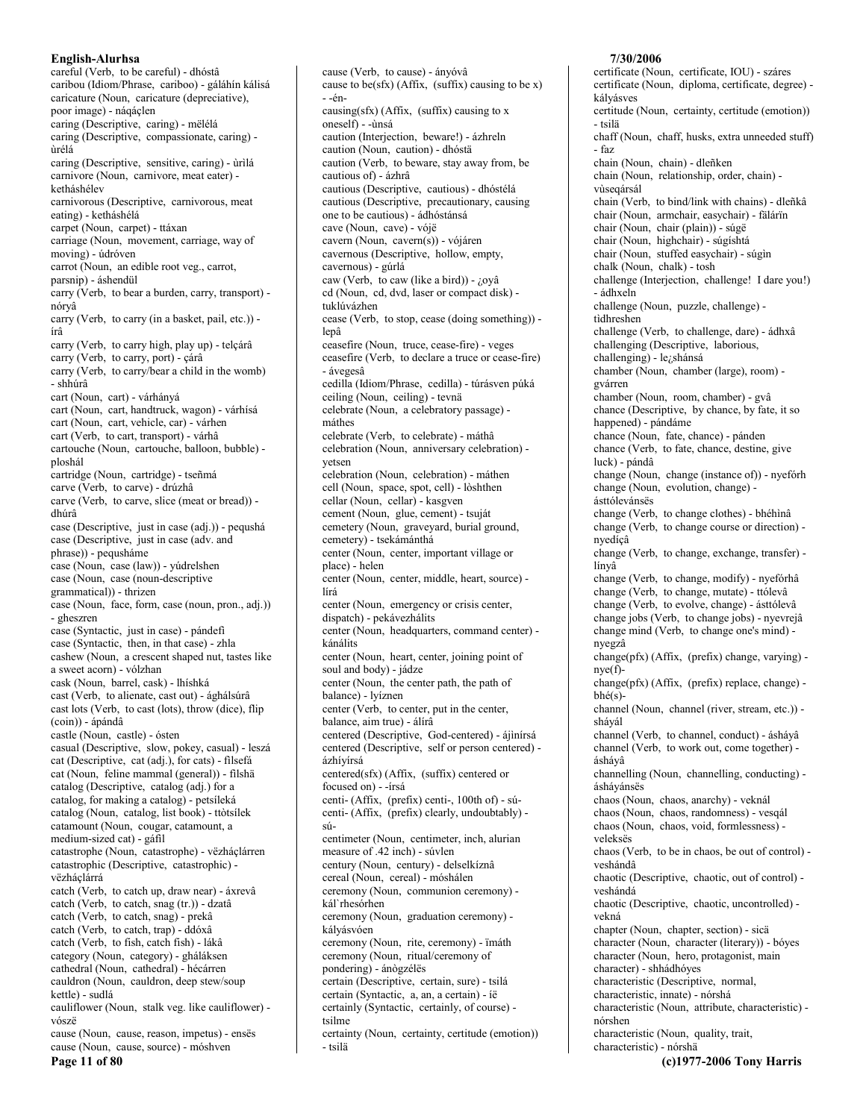careful (Verb, to be careful) - dhóstâ caribou (Idiom/Phrase, cariboo) - gáláhín kálisá caricature (Noun, caricature (depreciative), poor image) - náqáçlen caring (Descriptive, caring) - mëlélá caring (Descriptive, compassionate, caring) ùrélá caring (Descriptive, sensitive, caring) - ùrìlá carnivore (Noun, carnivore, meat eater) ketháshélev carnivorous (Descriptive, carnivorous, meat eating) - ketháshélá carpet (Noun, carpet) - ttáxan carriage (Noun, movement, carriage, way of moving) - údróven carrot (Noun, an edible root veg., carrot, parsnip) - áshendül carry (Verb, to bear a burden, carry, transport) nóryâ carry (Verb, to carry (in a basket, pail, etc.)) írâ carry (Verb, to carry high, play up) - telçárâ carry (Verb, to carry, port) - çárâ carry (Verb, to carry/bear a child in the womb) - shhúrâ cart (Noun, cart) - várhányá cart (Noun, cart, handtruck, wagon) - várhísá cart (Noun, cart, vehicle, car) - várhen cart (Verb, to cart, transport) - várhâ cartouche (Noun, cartouche, balloon, bubble) ploshál cartridge (Noun, cartridge) - tseñmá carve (Verb, to carve) - drúzhâ carve (Verb, to carve, slice (meat or bread)) dhúrâ case (Descriptive, just in case (adj.)) - pequshá case (Descriptive, just in case (adv. and phrase)) - pequsháme case (Noun, case (law)) - yúdrelshen case (Noun, case (noun-descriptive grammatical)) - thrizen case (Noun, face, form, case (noun, pron., adj.)) - gheszren case (Syntactic, just in case) - pándefi case (Syntactic, then, in that case) - zhla cashew (Noun, a crescent shaped nut, tastes like a sweet acorn) - vólzhan cask (Noun, barrel, cask) - lhíshká cast (Verb, to alienate, cast out) - ághálsúrâ cast lots (Verb, to cast (lots), throw (dice), flip (coin)) - ápándâ castle (Noun, castle) - ósten casual (Descriptive, slow, pokey, casual) - leszá cat (Descriptive, cat (adj.), for cats) - filsefá cat (Noun, feline mammal (general)) - filshä catalog (Descriptive, catalog (adj.) for a catalog, for making a catalog) - petsíleká catalog (Noun, catalog, list book) - ttòtsílek catamount (Noun, cougar, catamount, a medium-sized cat) - gáfil catastrophe (Noun, catastrophe) - vëzháçlárren catastrophic (Descriptive, catastrophic) vëzháclárrá catch (Verb, to catch up, draw near) - áxrevâ catch (Verb, to catch, snag (tr.)) - dzatâ catch (Verb, to catch, snag) - prekâ catch (Verb, to catch, trap) - ddóxâ catch (Verb, to fish, catch fish) - lákâ category (Noun, category) - gháláksen cathedral (Noun, cathedral) - hécárren cauldron (Noun, cauldron, deep stew/soup kettle) - sudlá cauliflower (Noun, stalk veg. like cauliflower) vószë cause (Noun, cause, reason, impetus) - ensës cause (Noun, cause, source) - móshven Page 11 of 80

cause (Verb. to cause) - ányóvâ cause to be(sfx) (Affix, (suffix) causing to be x)  $én$ causing(sfx) (Affix, (suffix) causing to x oneself) - -ùnsá caution (Interjection, beware!) - ázhreln caution (Noun, caution) - dhóstä caution (Verb, to beware, stay away from, be cautious of) - ázhrâ cautious (Descriptive, cautious) - dhóstélá cautious (Descriptive, precautionary, causing one to be cautious) - ádhóstánsá cave (Noun, cave) - vójë cavern (Noun, cavern(s)) - vójáren cavernous (Descriptive, hollow, empty, cavernous) - gúrlá caw (Verb, to caw (like a bird)) - ¿oyâ ed (Noun, ed, dvd, laser or compact disk) tuklúvázhen cease (Verb, to stop, cease (doing something)) lepâ ceasefire (Noun, truce, cease-fire) - veges ceasefire (Verb, to declare a truce or cease-fire) - ávegesâ cedilla (Idiom/Phrase, cedilla) - túrásven púká ceiling (Noun, ceiling) - tevnä celebrate (Noun, a celebratory passage) máthes celebrate (Verb, to celebrate) - máthâ celebration (Noun, anniversary celebration) vetsen celebration (Noun, celebration) - máthen cell (Noun, space, spot, cell) - lòshthen cellar (Noun, cellar) - kasgven cement (Noun, glue, cement) - tsuját cemetery (Noun, graveyard, burial ground, cemetery) - tsekámánthá center (Noun, center, important village or place) - helen center (Noun, center, middle, heart, source) lírá center (Noun, emergency or crisis center, dispatch) - pekávezhálits center (Noun, headquarters, command center) kánálits center (Noun, heart, center, joining point of soul and body) - jádze center (Noun, the center path, the path of balance) - lyíznen center (Verb, to center, put in the center, balance, aim true) - álírâ centered (Descriptive, God-centered) - ájinírsá centered (Descriptive, self or person centered) ázhívírsá centered(sfx) (Affix, (suffix) centered or focused on) - -írsá centi- (Affix, (prefix) centi-, 100th of) - súcenti- (Affix, (prefix) clearly, undoubtably) - $\sin$ centimeter (Noun, centimeter, inch, alurian measure of .42 inch) - súvlen century (Noun, century) - delselkíznâ cereal (Noun, cereal) - móshálen ceremony (Noun, communion ceremony) kál`rhesórhen ceremony (Noun, graduation ceremony) kálvásvóen ceremony (Noun, rite, ceremony) - ïmáth ceremony (Noun, ritual/ceremony of pondering) - ánògzélës certain (Descriptive, certain, sure) - tsilá certain (Syntactic, a, an, a certain) - íë certainly (Syntactic, certainly, of course) tsilme certainty (Noun, certainty, certitude (emotion)) - tsilä

#### 7/30/2006

certificate (Noun, certificate, IOU) - száres certificate (Noun, diploma, certificate, degree) kálvásves certitude (Noun, certainty, certitude (emotion)) - tsilä chaff (Noun, chaff, husks, extra unneeded stuff) - faz chain (Noun, chain) - dleñken chain (Noun, relationship, order, chain) vùseqársál chain (Verb, to bind/link with chains) - dleñkâ chair (Noun, armchair, easychair) - fälárïn chair (Noun, chair (plain)) - súgë chair (Noun, highchair) - súgíshtá chair (Noun, stuffed easychair) - súgìn chalk (Noun, chalk) - tosh challenge (Interjection, challenge! I dare you!) - ádhxeln challenge (Noun, puzzle, challenge) tìdhreshen challenge (Verb, to challenge, dare) - ádhxâ challenging (Descriptive, laborious, challenging) - le<sub>i</sub>shánsá chamber (Noun, chamber (large), room) gvárren chamber (Noun, room, chamber) - gvâ chance (Descriptive, by chance, by fate, it so happened) - pándáme chance (Noun, fate, chance) - pánden chance (Verb, to fate, chance, destine, give luck) - pándâ change (Noun, change (instance of)) - nyeforh change (Noun, evolution, change) ásttólevánsës change (Verb, to change clothes) - bhéhìnâ change (Verb, to change course or direction) nvedícâ change (Verb, to change, exchange, transfer) línvâ change (Verb, to change, modify) - nyefórhâ change (Verb, to change, mutate) - ttólevâ change (Verb, to evolve, change) - ásttólevâ change jobs (Verb, to change jobs) - nyevrejâ change mind (Verb, to change one's mind) nvegzâ  $change(pfx)$  (Affix, (prefix) change, varying)  $nye(f)$ change(pfx) (Affix, (prefix) replace, change)  $b h \acute{e}(s)$ channel (Noun, channel (river, stream, etc.)) sháyál channel (Verb, to channel, conduct) - ásháyâ channel (Verb, to work out, come together) áshávâ channelling (Noun, channelling, conducting) ásháyánsës chaos (Noun, chaos, anarchy) - veknál chaos (Noun, chaos, randomness) - vesqál chaos (Noun, chaos, void, formlessness) veleksës chaos (Verb, to be in chaos, be out of control) veshándâ chaotic (Descriptive, chaotic, out of control) veshándá chaotic (Descriptive, chaotic, uncontrolled) vekná chapter (Noun, chapter, section) - sicä character (Noun, character (literary)) - bóyes character (Noun, hero, protagonist, main character) - shhádhóyes characteristic (Descriptive, normal, characteristic, innate) - nórshá characteristic (Noun, attribute, characteristic) nórshen characteristic (Noun, quality, trait, characteristic) - nórshä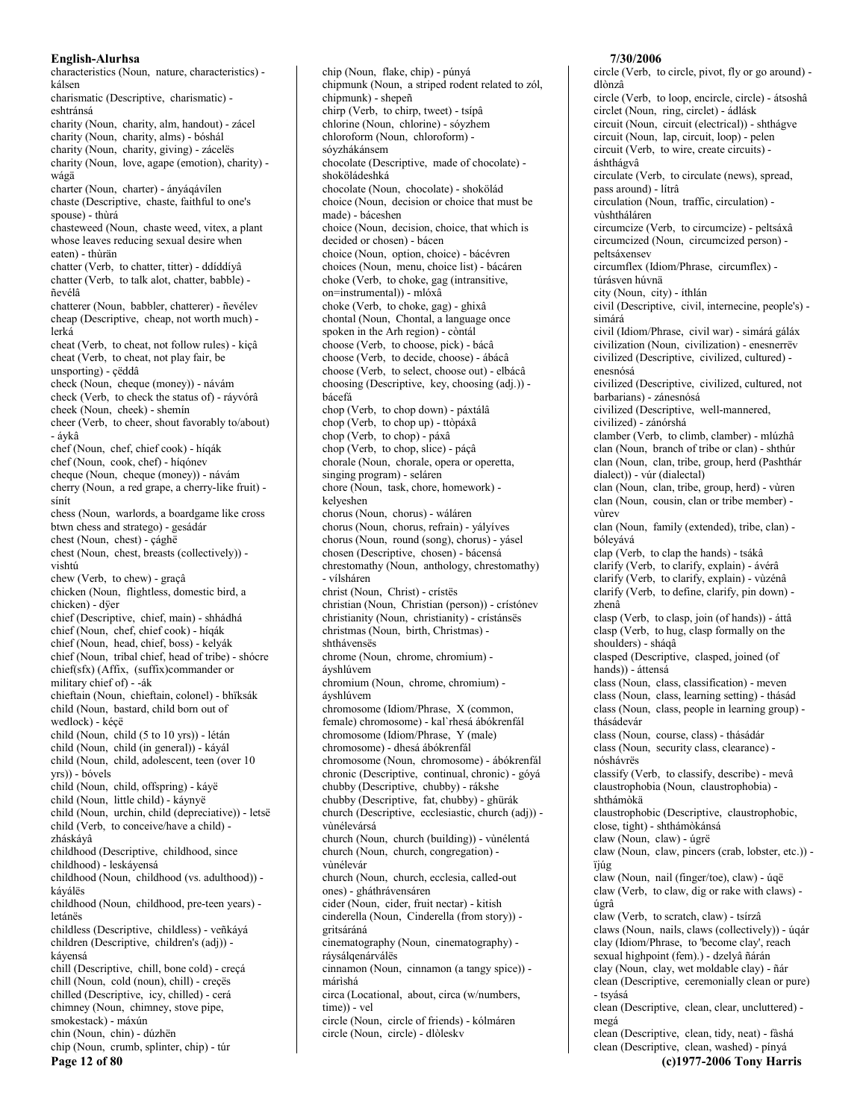characteristics (Noun, nature, characteristics) kálsen charismatic (Descriptive, charismatic) eshtránsá charity (Noun, charity, alm, handout) - zácel charity (Noun, charity, alms) - bóshál charity (Noun, charity, giving) - zácelës charity (Noun, love, agape (emotion), charity) wágä charter (Noun, charter) - ányágávílen chaste (Descriptive, chaste, faithful to one's spouse) - thùrá chasteweed (Noun, chaste weed, vitex, a plant whose leaves reducing sexual desire when eaten) - thùrän chatter (Verb, to chatter, titter) - ddíddívâ chatter (Verb, to talk alot, chatter, babble) ñevélâ chatterer (Noun, babbler, chatterer) - ñevélev cheap (Descriptive, cheap, not worth much) lerká cheat (Verb, to cheat, not follow rules) - kiçâ cheat (Verb, to cheat, not play fair, be unsporting) - cëddâ check (Noun, cheque (money)) - návám check (Verb, to check the status of) - ráyvórâ cheek (Noun, cheek) - shemin cheer (Verb, to cheer, shout favorably to/about) - ávkâ chef (Noun, chef, chief cook) - híqák chef (Noun, cook, chef) - híqónev cheque (Noun, cheque (money)) - návám cherry (Noun, a red grape, a cherry-like fruit) sínít chess (Noun, warlords, a boardgame like cross btwn chess and stratego) - gesádár chest (Noun, chest) - çághë chest (Noun, chest, breasts (collectively)) vishtú chew (Verb, to chew) - graçâ chicken (Noun, flightless, domestic bird, a chicken) - dÿer chief (Descriptive, chief, main) - shhádhá chief (Noun, chef, chief cook) - híqák chief (Noun, head, chief, boss) - kelyák chief (Noun, tribal chief, head of tribe) - shócre chief(sfx) (Affix, (suffix)commander or military chief of) - - ák chieftain (Noun, chieftain, colonel) - bhïksák child (Noun, bastard, child born out of wedlock) - kéçë child (Noun, child (5 to 10 yrs)) - létán child (Noun, child (in general)) - káyál child (Noun, child, adolescent, teen (over 10) yrs)) - bóvels child (Noun, child, offspring) - káyë child (Noun, little child) - káynyë child (Noun, urchin, child (depreciative)) - letsë child (Verb, to conceive/have a child) zháskáyâ childhood (Descriptive, childhood, since childhood) - leskáyensá childhood (Noun, childhood (vs. adulthood)) káyálës childhood (Noun, childhood, pre-teen years) letánës childless (Descriptive, childless) - veñkáyá children (Descriptive, children's (adj)) kávensá chill (Descriptive, chill, bone cold) - creçá chill (Noun, cold (noun), chill) - creçës chilled (Descriptive, icy, chilled) - cerá chimney (Noun, chimney, stove pipe, smokestack) - máxún chin (Noun, chin) - dúzhën chip (Noun, crumb, splinter, chip) - túr Page 12 of 80

chipmunk (Noun, a striped rodent related to zól, chipmunk) - shepeñ chirp (Verb, to chirp, tweet) - tsípâ chlorine (Noun, chlorine) - sóyzhem chloroform (Noun, chloroform) sóyzhákánsem chocolate (Descriptive, made of chocolate) shoköládeshká chocolate (Noun, chocolate) - shokölád choice (Noun, decision or choice that must be made) - báceshen choice (Noun, decision, choice, that which is decided or chosen) - bácen choice (Noun, option, choice) - bácévren choices (Noun, menu, choice list) - bácáren choke (Verb, to choke, gag (intransitive, on=instrumental)) - mlóxâ choke (Verb, to choke, gag) - ghixâ chontal (Noun, Chontal, a language once spoken in the Arh region) - còntál choose (Verb, to choose, pick) - bácâ choose (Verb, to decide, choose) - ábácâ choose (Verb. to select. choose out) - elbácâ choosing (Descriptive, key, choosing (adj.)) bácefá chop (Verb, to chop down) - páxtálâ chop (Verb, to chop up) - ttòpáxâ chop (Verb, to chop) - páxâ chop (Verb, to chop, slice) - páçâ chorale (Noun, chorale, opera or operetta, singing program) - seláren chore (Noun, task, chore, homework) kelveshen chorus (Noun, chorus) - wáláren chorus (Noun, chorus, refrain) - yályíves chorus (Noun, round (song), chorus) - yásel chosen (Descriptive, chosen) - bácensá chrestomathy (Noun, anthology, chrestomathy) - vílsháren christ (Noun, Christ) - crístës christian (Noun, Christian (person)) - crístónev christianity (Noun, christianity) - crístánsës christmas (Noun, birth, Christmas) shthávensës chrome (Noun, chrome, chromium) ávshlúvem chromium (Noun, chrome, chromium) ávshlúvem chromosome (Idiom/Phrase, X (common, female) chromosome) - kal`rhesá ábókrenfál chromosome (Idiom/Phrase, Y (male) chromosome) - dhesá ábókrenfál chromosome (Noun, chromosome) - ábókrenfál chronic (Descriptive, continual, chronic) - góyá chubby (Descriptive, chubby) - rákshe chubby (Descriptive, fat, chubby) - ghürák church (Descriptive, ecclesiastic, church (adj)) vìnélevársá church (Noun, church (building)) - vùnélentá church (Noun, church, congregation) vùnélevár church (Noun, church, ecclesia, called-out ones) - gháthrávensáren cider (Noun, cider, fruit nectar) - kitish cinderella (Noun, Cinderella (from story)) gritsáráná cinematography (Noun, cinematography) ráysálgenárváles cinnamon (Noun, cinnamon (a tangy spice)) márishá circa (Locational, about, circa (w/numbers, time)) - vel circle (Noun, circle of friends) - kólmáren circle (Noun, circle) - dlòlesky

chip (Noun, flake, chip) - púnyá

## 7/30/2006

circle (Verb, to circle, pivot, fly or go around) dlònzâ circle (Verb, to loop, encircle, circle) - átsoshâ circlet (Noun, ring, circlet) - ádlásk circuit (Noun, circuit (electrical)) - shthágve circuit (Noun, lap, circuit, loop) - pelen circuit (Verb, to wire, create circuits) áshthágvâ circulate (Verb, to circulate (news), spread, pass around) - lítrâ circulation (Noun, traffic, circulation) vùshtháláren circumcize (Verb, to circumcize) - peltsáxâ circumcized (Noun, circumcized person) peltsáxensev circumflex (Idiom/Phrase, circumflex) túrásven húvnä city (Noun, city) - íthlán civil (Descriptive, civil, internecine, people's) simárá civil (Idiom/Phrase, civil war) - simárá gáláx civilization (Noun, civilization) - enesnerrëv civilized (Descriptive, civilized, cultured) enesnósá civilized (Descriptive, civilized, cultured, not barbarians) - zánesnósá civilized (Descriptive, well-mannered, civilized) - zánórshá clamber (Verb, to climb, clamber) - mlúzhâ clan (Noun, branch of tribe or clan) - shthúr clan (Noun, clan, tribe, group, herd (Pashthár dialect)) - vúr (dialectal) clan (Noun, clan, tribe, group, herd) - vùren clan (Noun, cousin, clan or tribe member) vùrev clan (Noun, family (extended), tribe, clan) bóleyává clap (Verb, to clap the hands) - tsákâ clarify (Verb, to clarify, explain) - ávérâ clarify (Verb, to clarify, explain) - vùzénâ clarify (Verb, to define, clarify, pin down) zhenâ clasp (Verb, to clasp, join (of hands)) - áttâ clasp (Verb, to hug, clasp formally on the shoulders) - sháqâ clasped (Descriptive, clasped, joined (of hands)) - áttensá class (Noun, class, classification) - meven class (Noun, class, learning setting) - thásád class (Noun, class, people in learning group) thásádevár class (Noun, course, class) - thásádár class (Noun, security class, clearance) nóshávrës classify (Verb, to classify, describe) - mevâ claustrophobia (Noun, claustrophobia) shthámokä claustrophobic (Descriptive, claustrophobic, close, tight) - shthámòkánsá claw (Noun, claw) - úgrë claw (Noun, claw, pincers (crab, lobster, etc.)) ïjúg claw (Noun, nail (finger/toe), claw) - úqë claw (Verb, to claw, dig or rake with claws) úgrâ claw (Verb, to scratch, claw) - tsírzâ claws (Noun, nails, claws (collectively)) - úqár clay (Idiom/Phrase, to 'become clay', reach sexual highpoint (fem).) - dzelyâ ñárán clay (Noun, clay, wet moldable clay) - ñár clean (Descriptive, ceremonially clean or pure) - tsvásá clean (Descriptive, clean, clear, uncluttered) megá clean (Descriptive, clean, tidy, neat) - fàshá clean (Descriptive, clean, washed) - pínyá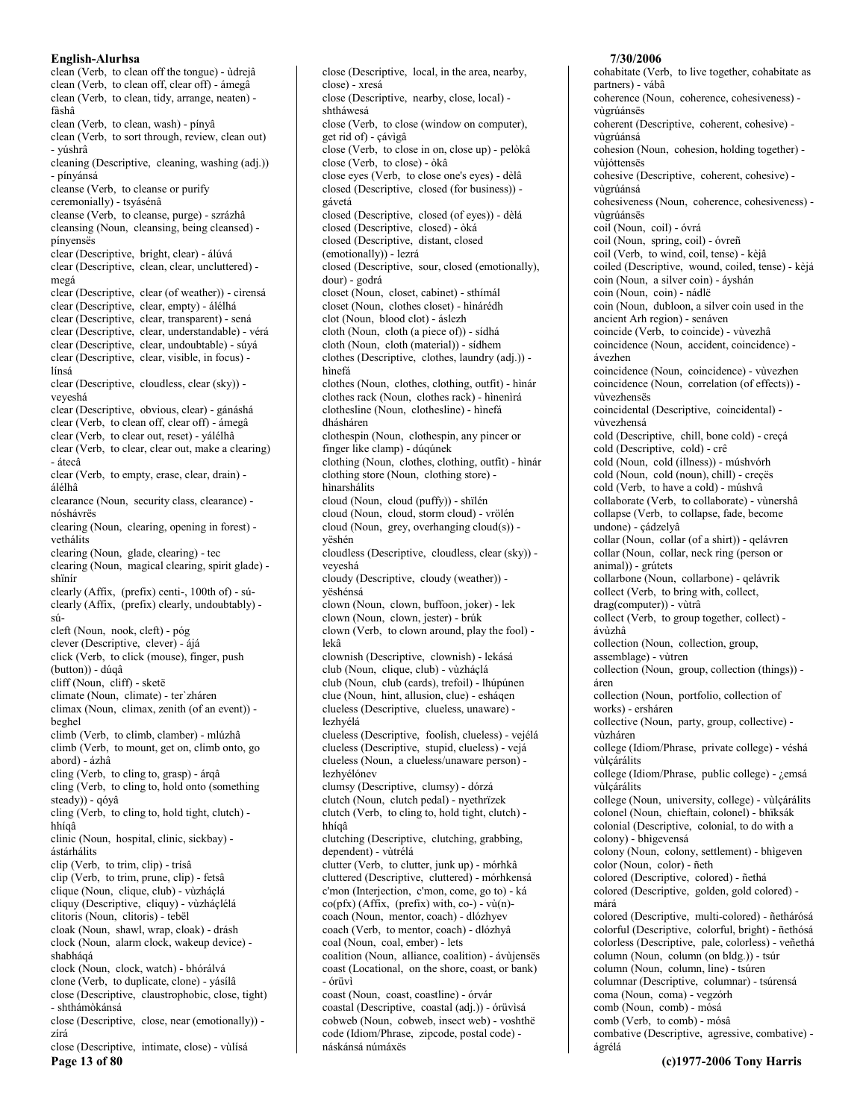clean (Verb, to clean off the tongue) - ùdrejâ clean (Verb, to clean off, clear off) - ámegâ clean (Verb, to clean, tidy, arrange, neaten) fàshâ clean (Verb, to clean, wash) - pinyâ clean (Verb, to sort through, review, clean out) - yúshrâ cleaning (Descriptive, cleaning, washing (adj.)) - pínvánsá cleanse (Verb, to cleanse or purify ceremonially) - tsyásénâ cleanse (Verb, to cleanse, purge) - szrázhâ cleansing (Noun, cleansing, being cleansed) pínyensës clear (Descriptive, bright, clear) - álúvá clear (Descriptive, clean, clear, uncluttered) megá clear (Descriptive, clear (of weather)) - cìrensá clear (Descriptive, clear, empty) - álélhá clear (Descriptive, clear, transparent) - sená clear (Descriptive, clear, understandable) - vérá clear (Descriptive, clear, undoubtable) - súyá clear (Descriptive, clear, visible, in focus) línsá clear (Descriptive, cloudless, clear (sky)) veveshá clear (Descriptive, obvious, clear) - gánáshá clear (Verb, to clean off, clear off) - ámegâ clear (Verb, to clear out, reset) - yálélhâ clear (Verb, to clear, clear out, make a clearing) - átecâ clear (Verb, to empty, erase, clear, drain) álélhâ clearance (Noun, security class, clearance) nóshávrës clearing (Noun, clearing, opening in forest) vethálits clearing (Noun, glade, clearing) - tec clearing (Noun, magical clearing, spirit glade) shïnír clearly (Affix, (prefix) centi-, 100th of) - súclearly (Affix, (prefix) clearly, undoubtably) - $\sin$ cleft (Noun, nook, cleft) - póg clever (Descriptive, clever) - ájá click (Verb. to click (mouse), finger, push (button)) - dúqâ cliff (Noun, cliff) - sketë climate (Noun, climate) - ter'zháren climax (Noun, climax, zenith (of an event)) beghel climb (Verb, to climb, clamber) - mlúzhâ climb (Verb, to mount, get on, climb onto, go abord) - ázhâ cling (Verb, to cling to, grasp) - árqâ cling (Verb, to cling to, hold onto (something steady)) - qóyâ cling (Verb, to cling to, hold tight, clutch) hhíaâ clinic (Noun, hospital, clinic, sickbay) ástárhálits clip (Verb, to trim, clip) - trísâ clip (Verb, to trim, prune, clip) - fetsâ clique (Noun, clique, club) - vùzháçlá cliquy (Descriptive, cliquy) - vùzháçlélá clitoris (Noun, clitoris) - tebël cloak (Noun, shawl, wrap, cloak) - drásh clock (Noun, alarm clock, wakeup device) shabhágá clock (Noun, clock, watch) - bhórálvá clone (Verb, to duplicate, clone) - vásílâ close (Descriptive, claustrophobic, close, tight) - shthámòkánsá close (Descriptive, close, near (emotionally)) zírá close (Descriptive, intimate, close) - vùlísá

Page 13 of 80

close (Descriptive, local, in the area, nearby, close) - xresá close (Descriptive, nearby, close, local) shtháwesá close (Verb. to close (window on computer). get rid of) - çávìgâ close (Verb, to close in on, close up) - pelòkâ close (Verb, to close) - òkâ close eyes (Verb, to close one's eyes) - dèlâ closed (Descriptive, closed (for business)) gávetá closed (Descriptive, closed (of eyes)) - dèlá closed (Descriptive, closed) - òká closed (Descriptive, distant, closed (emotionally)) - lezrá closed (Descriptive, sour, closed (emotionally), dour) - godrá closet (Noun, closet, cabinet) - sthímál closet (Noun, clothes closet) - hìnárédh clot (Noun, blood clot) - áslezh cloth (Noun, cloth (a piece of)) - sídhá cloth (Noun, cloth (material)) - sídhem clothes (Descriptive, clothes, laundry (adj.)) hìnefá clothes (Noun, clothes, clothing, outfit) - hinár clothes rack (Noun, clothes rack) - hinenirá clothesline (Noun, clothesline) - hìnefá dhásháren clothespin (Noun, clothespin, any pincer or finger like clamp) - dúqúnek clothing (Noun, clothes, clothing, outfit) - hinár clothing store (Noun, clothing store) hìnarshálits cloud (Noun. cloud (puffy)) - shïlén cloud (Noun, cloud, storm cloud) - vrölén cloud (Noun, grey, overhanging cloud(s)) yëshén cloudless (Descriptive, cloudless, clear (sky)) veyeshá cloudy (Descriptive, cloudy (weather)) yëshénsá clown (Noun, clown, buffoon, joker) - lek clown (Noun, clown, jester) - brúk clown (Verb, to clown around, play the fool) lekâ clownish (Descriptive, clownish) - lekásá club (Noun, clique, club) - vùzháçlá club (Noun, club (cards), trefoil) - lhúpúnen clue (Noun, hint, allusion, clue) - esháqen clueless (Descriptive, clueless, unaware) lezhyélá clueless (Descriptive, foolish, clueless) - vejélá clueless (Descriptive, stupid, clueless) - vejá clueless (Noun, a clueless/unaware person) lezhvélónev clumsy (Descriptive, clumsy) - dórzá clutch (Noun, clutch pedal) - nyethrïzek clutch (Verb, to cling to, hold tight, clutch) hhígâ clutching (Descriptive, clutching, grabbing, dependent) - vùtrélá clutter (Verb, to clutter, junk up) - mórhkâ cluttered (Descriptive, cluttered) - mórhkensá c'mon (Interjection, c'mon, come, go to) - ká  $co(pfx)$  (Affix, (prefix) with, co-) - vù(n)coach (Noun, mentor, coach) - dlózhyev coach (Verb, to mentor, coach) - dlózhyâ coal (Noun, coal, ember) - lets coalition (Noun, alliance, coalition) - ávùjensës coast (Locational, on the shore, coast, or bank) - órüvì coast (Noun, coast, coastline) - órvár coastal (Descriptive, coastal (adj.)) - órüvisá cobweb (Noun, cobweb, insect web) - voshthë code (Idiom/Phrase, zipcode, postal code) náskánsá númáxës

#### 7/30/2006

cohabitate (Verb, to live together, cohabitate as partners) - vábâ coherence (Noun, coherence, cohesiveness) vùgrúánsës coherent (Descriptive, coherent, cohesive) vùgrúánsá cohesion (Noun, cohesion, holding together) vùióttensës cohesive (Descriptive, coherent, cohesive) vùgrúánsá cohesiveness (Noun, coherence, cohesiveness) vùgrúánsës coil (Noun, coil) - óvrá coil (Noun, spring, coil) - óvreñ coil (Verb, to wind, coil, tense) - kèjâ coiled (Descriptive, wound, coiled, tense) - kèjá coin (Noun, a silver coin) - áyshán coin (Noun, coin) - nádlë coin (Noun, dubloon, a silver coin used in the ancient Arh region) - senáven coincide (Verb, to coincide) - vùvezhâ coincidence (Noun, accident, coincidence) ávezhen coincidence (Noun, coincidence) - vùvezhen coincidence (Noun, correlation (of effects)) vùvezhensës coincidental (Descriptive, coincidental) vùvezhensá cold (Descriptive, chill, bone cold) - creçá cold (Descriptive, cold) - crê cold (Noun, cold (illness)) - múshvórh cold (Noun, cold (noun), chill) - creçës cold (Verb, to have a cold) - múshvâ collaborate (Verb, to collaborate) - vùnershâ collapse (Verb, to collapse, fade, become undone) - çádzelyâ collar (Noun, collar (of a shirt)) - qelávren collar (Noun, collar, neck ring (person or animal)) - grútets collarbone (Noun, collarbone) - qelávrik collect (Verb, to bring with, collect, drag(computer)) - vùtrâ collect (Verb, to group together, collect) ávùzhâ collection (Noun, collection, group, assemblage) - vùtren collection (Noun, group, collection (things)) áren collection (Noun, portfolio, collection of works) - ersháren collective (Noun, party, group, collective) vùzháren college (Idiom/Phrase, private college) - véshá vùlcárálits college (Idiom/Phrase, public college) - ¿emsá vùlçárálits college (Noun, university, college) - vùlcárálits colonel (Noun, chieftain, colonel) - bhïksák colonial (Descriptive, colonial, to do with a colony) - bhìgevensá colony (Noun, colony, settlement) - bhigeven color (Noun, color) - ñeth colored (Descriptive, colored) - ñethá colored (Descriptive, golden, gold colored) márá colored (Descriptive, multi-colored) - ñethárósá colorful (Descriptive, colorful, bright) - ñethósá colorless (Descriptive, pale, colorless) - veñethá column (Noun, column (on bldg.)) - tsúr column (Noun, column, line) - tsúren columnar (Descriptive, columnar) - tsúrensá coma (Noun, coma) - vegzórh comb (Noun, comb) - mósá comb (Verb, to comb) - mósâ combative (Descriptive, agressive, combative) ágrélá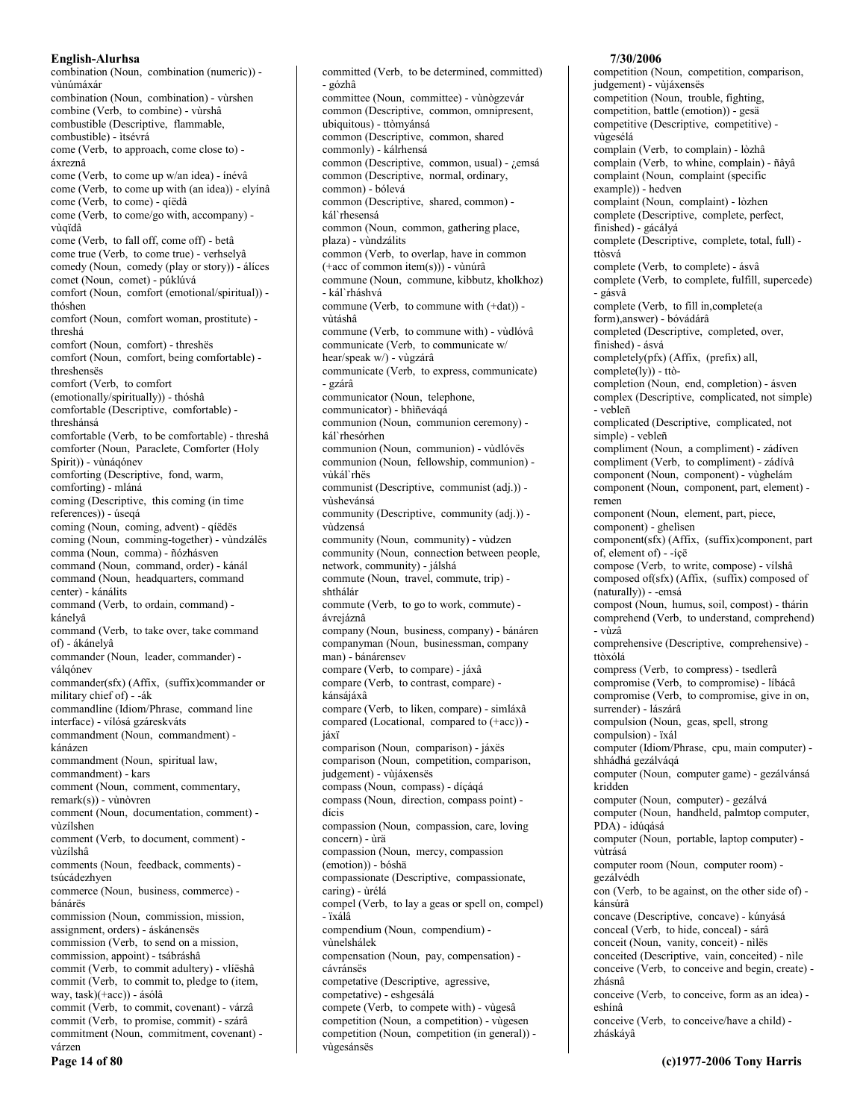combination (Noun, combination (numeric)) vùnúmáxár combination (Noun, combination) - vùrshen combine (Verb, to combine) - vùrshâ combustible (Descriptive, flammable, combustible) - ìtsévrá come (Verb, to approach, come close to) áxreznâ come (Verb, to come up w/an idea) - ínévâ come (Verb, to come up with (an idea)) - elyínâ come (Verb, to come) - qíëdâ come (Verb, to come/go with, accompany) vùqïdâ come (Verb, to fall off, come off) - betâ come true (Verb, to come true) - verhselyâ comedy (Noun, comedy (play or story)) - álíces comet (Noun, comet) - púklúvá comfort (Noun, comfort (emotional/spiritual)) thóshen comfort (Noun, comfort woman, prostitute) threshá comfort (Noun, comfort) - threshës comfort (Noun, comfort, being comfortable) threshenses comfort (Verb, to comfort (emotionally/spiritually)) - thóshâ comfortable (Descriptive, comfortable) threshánsá comfortable (Verb, to be comfortable) - threshâ comforter (Noun, Paraclete, Comforter (Holy Spirit)) - vùnágónev comforting (Descriptive, fond, warm, comforting) - mláná coming (Descriptive, this coming (in time references)) - úseqá coming (Noun, coming, advent) - qíëdës coming (Noun, comming-together) - vùndzálës comma (Noun, comma) - ñózhásven command (Noun, command, order) - kánál command (Noun, headquarters, command center) - kánálits command (Verb, to ordain, command) kánelvâ command (Verb, to take over, take command of) - ákánelyâ commander (Noun, leader, commander) válqónev commander(sfx) (Affix, (suffix)commander or military chief of) - - ák commandline (Idiom/Phrase, command line interface) - vílósá gzáreskváts commandment (Noun, commandment) kánázen commandment (Noun, spiritual law, commandment) - kars comment (Noun, comment, commentary,  $remark(s)$  - vùnòvren comment (Noun, documentation, comment) vùzílshen comment (Verb, to document, comment) vùzílshâ comments (Noun, feedback, comments) tsúcádezhven commerce (Noun, business, commerce) bánárës commission (Noun, commission, mission, assignment, orders) - áskánensës commission (Verb, to send on a mission, commission, appoint) - tsábráshâ commit (Verb, to commit adultery) - vlíëshâ commit (Verb, to commit to, pledge to (item, way, task)(+acc)) - ásólâ commit (Verb, to commit, covenant) - várzâ commit (Verb, to promise, commit) - szárâ commitment (Noun, commitment, covenant) várzen

Page 14 of 80

committed (Verb, to be determined, committed) - gózhâ committee (Noun, committee) - vùnògzevár common (Descriptive, common, omnipresent, ubiquitous) - ttòmyánsá common (Descriptive, common, shared commonly) - kálrhensá common (Descriptive, common, usual) - ¿emsá common (Descriptive, normal, ordinary, common) - bólevá common (Descriptive, shared, common) káľ rhesensá common (Noun, common, gathering place, plaza) - vùndzálits common (Verb, to overlap, have in common  $(+acc of common item(s)))$  - vùnúrâ commune (Noun, commune, kibbutz, kholkhoz) - kál`rháshvá commune (Verb, to commune with (+dat)) vitáshâ commune (Verb, to commune with) - vùdlóvâ communicate (Verb, to communicate w/ hear/speak w/) - vùgzárâ communicate (Verb, to express, communicate) - gzárâ communicator (Noun, telephone, communicator) - bhiñeváqá communion (Noun, communion ceremony) kál`rhesórhen communion (Noun, communion) - vùdlóvës communion (Noun, fellowship, communion) vùkál`rhës communist (Descriptive, communist (adj.)) vùshevánsá community (Descriptive, community (adj.)) vùdzensá community (Noun, community) - vùdzen community (Noun, connection between people, network, community) - jálshá commute (Noun, travel, commute, trip) shthálár commute (Verb, to go to work, commute) ávrejáznâ company (Noun, business, company) - bánáren companyman (Noun, businessman, company man) - bánárensev compare (Verb, to compare) - jáxâ compare (Verb, to contrast, compare) kánsájáxâ compare (Verb, to liken, compare) - simláxâ compared (Locational, compared to (+acc)) iáxï comparison (Noun, comparison) - jáxës comparison (Noun, competition, comparison, judgement) - vùjáxensës compass (Noun, compass) - díçáqá compass (Noun, direction, compass point) dícis compassion (Noun, compassion, care, loving concern) - ùrä compassion (Noun, mercy, compassion (emotion)) - bóshä compassionate (Descriptive, compassionate, caring) - ùrélá compel (Verb, to lay a geas or spell on, compel) - ïxálâ compendium (Noun, compendium) vùnelshálek compensation (Noun, pay, compensation) cávránsës competative (Descriptive, agressive, competative) - eshgesálá compete (Verb, to compete with) - vùgesâ competition (Noun, a competition) - vùgesen

competition (Noun, competition (in general)) -

vùgesánsës

#### 7/30/2006

competition (Noun, competition, comparison, judgement) - vùjáxensës competition (Noun, trouble, fighting, competition, battle (emotion)) - gesä competitive (Descriptive, competitive) vùgesélá complain (Verb, to complain) - lòzhâ complain (Verb, to whine, complain) - ñâyâ complaint (Noun, complaint (specific example)) - hedven complaint (Noun, complaint) - lòzhen complete (Descriptive, complete, perfect, finished) - gácályá complete (Descriptive, complete, total, full) ttòsvá complete (Verb, to complete) - ásvâ complete (Verb, to complete, fulfill, supercede) - gásvâ complete (Verb, to fill in, complete (a form), answer) - bóvádárâ completed (Descriptive, completed, over, finished) - ásvá completely(pfx) (Affix, (prefix) all,  $complete(1y)$  - ttòcompletion (Noun, end, completion) - ásven complex (Descriptive, complicated, not simple) - vebleñ complicated (Descriptive, complicated, not simple) - vebleñ compliment (Noun, a compliment) - zádíven compliment (Verb, to compliment) - zádívâ component (Noun, component) - vùghelám component (Noun, component, part, element) remen component (Noun, element, part, piece, component) - ghelisen component(sfx) (Affix, (suffix)component, part of, element of) - -íçë compose (Verb, to write, compose) - vílshâ composed of(sfx) (Affix, (suffix) composed of (naturally)) - -emsá compost (Noun, humus, soil, compost) - thárin comprehend (Verb, to understand, comprehend) - vùzâ comprehensive (Descriptive, comprehensive) ttòxólá compress (Verb, to compress) - tsedlerâ compromise (Verb, to compromise) - líbácâ compromise (Verb, to compromise, give in on, surrender) - lászárâ compulsion (Noun, geas, spell, strong compulsion) - ïxál computer (Idiom/Phrase, cpu, main computer) shhádhá gezálváqá computer (Noun, computer game) - gezálvánsá kridden computer (Noun, computer) - gezálvá computer (Noun, handheld, palmtop computer, PDA) - idúqásá computer (Noun, portable, laptop computer) vitrásá computer room (Noun, computer room) gezálvédh con (Verb, to be against, on the other side of) kánsúrâ concave (Descriptive, concave) - kúnyásá conceal (Verb, to hide, conceal) - sárâ conceit (Noun, vanity, conceit) - nìlës conceited (Descriptive, vain, conceited) - nìle conceive (Verb, to conceive and begin, create) zhásnâ conceive (Verb, to conceive, form as an idea) eshínâ conceive (Verb, to conceive/have a child) zháskáyâ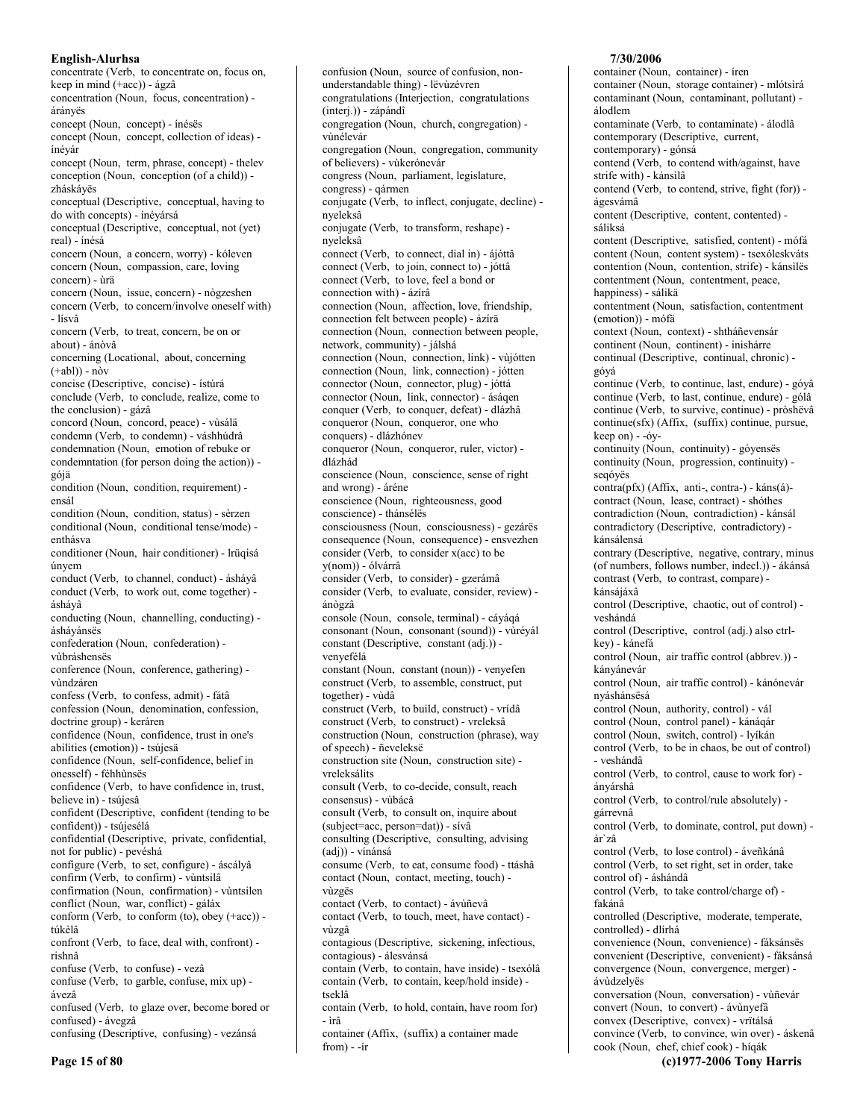concentrate (Verb, to concentrate on, focus on, keep in mind (+acc)) - ágzâ concentration (Noun, focus, concentration) árányës concept (Noun, concept) - ínésës concept (Noun, concept, collection of ideas) ínévár concept (Noun, term, phrase, concept) - thelev conception (Noun, conception (of a child)) zháskáyës conceptual (Descriptive, conceptual, having to do with concepts) - ínéyársá conceptual (Descriptive, conceptual, not (yet) real) - ínésá concern (Noun, a concern, worry) - kóleven concern (Noun, compassion, care, loving concern) - ùrä concern (Noun, issue, concern) - nògzeshen concern (Verb, to concern/involve oneself with)  $-$ lísvâ concern (Verb, to treat, concern, be on or about) - ánòvâ concerning (Locational, about, concerning  $(+abl) - n\delta v$ concise (Descriptive, concise) - ístúrá conclude (Verb, to conclude, realize, come to the conclusion) - gázâ concord (Noun, concord, peace) - vùsálä condemn (Verb, to condemn) - váshhúdrâ condemnation (Noun, emotion of rebuke or condemntation (for person doing the action)) gójä condition (Noun, condition, requirement) ensál condition (Noun, condition, status) - sèrzen conditional (Noun, conditional tense/mode) enthásva conditioner (Noun, hair conditioner) - Irüqisá únvem conduct (Verb, to channel, conduct) - ásháyâ conduct (Verb, to work out, come together) ásháyâ conducting (Noun, channelling, conducting) ásháyánsës confederation (Noun, confederation) vùbráshensës conference (Noun, conference, gathering) vùndzáren confess (Verb, to confess, admit) - fátâ confession (Noun, denomination, confession, doctrine group) - keráren confidence (Noun, confidence, trust in one's abilities (emotion)) - tsújesä confidence (Noun, self-confidence, belief in onesself) - féhhùnsës confidence (Verb, to have confidence in, trust, believe in) - tsújesâ confident (Descriptive, confident (tending to be confident)) - tsújesélá confidential (Descriptive, private, confidential, not for public) - pevéshá configure (Verb, to set, configure) - áscályâ confirm (Verb, to confirm) - vùntsilâ confirmation (Noun, confirmation) - vùntsilen conflict (Noun, war, conflict) - gáláx conform (Verb, to conform (to), obey (+acc)) túkèlâ confront (Verb, to face, deal with, confront) rishnâ confuse (Verb, to confuse) - vezâ confuse (Verb, to garble, confuse, mix up) ávezâ confused (Verb, to glaze over, become bored or confused) - ávegzâ confusing (Descriptive, confusing) - vezánsá

understandable thing) - lëvùzévren congratulations (Interjection, congratulations (interj.)) - zápándî congregation (Noun, church, congregation) vìnélevár congregation (Noun, congregation, community of believers) - vùkerónevár congress (Noun, parliament, legislature, congress) - qármen conjugate (Verb, to inflect, conjugate, decline) nveleksâ conjugate (Verb, to transform, reshape) nveleksâ connect (Verb, to connect, dial in) - ájóttâ connect (Verb, to join, connect to) - jóttâ connect (Verb, to love, feel a bond or connection with) - ázírâ connection (Noun, affection, love, friendship, connection felt between people) - ázírä connection (Noun, connection between people, network, community) - jálshá connection (Noun, connection, link) - vùjótten connection (Noun, link, connection) - jótten connector (Noun, connector, plug) - jóttá connector (Noun, link, connector) - ásáqen conquer (Verb, to conquer, defeat) - dlázhâ conqueror (Noun, conqueror, one who conquers) - dlázhónev conqueror (Noun, conqueror, ruler, victor) dlázhád conscience (Noun, conscience, sense of right and wrong) - áréne conscience (Noun, righteousness, good conscience) - thánsélës consciousness (Noun, consciousness) - gezárës consequence (Noun, consequence) - ensvezhen consider (Verb, to consider  $x(acc)$  to be y(nom)) - ólvárrâ consider (Verb, to consider) - gzerámâ consider (Verb, to evaluate, consider, review) ánògzâ console (Noun, console, terminal) - cáyáqá consonant (Noun, consonant (sound)) - vùréyál constant (Descriptive, constant (adj.)) venyefélá constant (Noun, constant (noun)) - venyefen construct (Verb, to assemble, construct, put together) - vùdâ construct (Verb, to build, construct) - vrídâ construct (Verb, to construct) - vreleksâ construction (Noun, construction (phrase), way of speech) - ñeveleksë construction site (Noun, construction site) vreleksálits consult (Verb, to co-decide, consult, reach consensus) - vùbácâ consult (Verb, to consult on, inquire about (subject=acc, person=dat)) - sívâ consulting (Descriptive, consulting, advising (adj)) - vínánsá consume (Verb, to eat, consume food) - ttáshâ contact (Noun, contact, meeting, touch) vùzgës contact (Verb, to contact) - ávuñevâ contact (Verb, to touch, meet, have contact) vùzgâ contagious (Descriptive, sickening, infectious, contagious) - álesvánsá contain (Verb, to contain, have inside) - tsexólâ contain (Verb, to contain, keep/hold inside) tseklâ contain (Verb, to hold, contain, have room for) - ìrâ container (Affix, (suffix) a container made  $from) - -ir$ 

confusion (Noun, source of confusion, non-

## 7/30/2006

container (Noun, container) - íren container (Noun, storage container) - mlótsìrá contaminant (Noun, contaminant, pollutant) álodlem contaminate (Verb, to contaminate) - álodlâ contemporary (Descriptive, current, contemporary) - gónsá contend (Verb, to contend with/against, have strife with) - kánsìlâ contend (Verb, to contend, strive, fight (for)) ágesvámâ content (Descriptive, content, contented) sáliksá content (Descriptive, satisfied, content) - mófá content (Noun, content system) - tsexóleskváts contention (Noun, contention, strife) - kánsilës contentment (Noun, contentment, peace, happiness) - sálikä contentment (Noun, satisfaction, contentment (emotion)) - mófã context (Noun, context) - shtháñevensár continent (Noun, continent) - inishárre continual (Descriptive, continual, chronic) góvá continue (Verb, to continue, last, endure) - góyâ continue (Verb, to last, continue, endure) - gólâ continue (Verb, to survive, continue) - pròshëvâ continue(sfx) (Affix, (suffix) continue, pursue, keep on) - - óvcontinuity (Noun, continuity) - góyensës continuity (Noun, progression, continuity) segóvës contra(pfx) (Affix, anti-, contra-) - káns(á)contract (Noun, lease, contract) - shóthes contradiction (Noun, contradiction) - kánsál contradictory (Descriptive, contradictory) kánsálensá contrary (Descriptive, negative, contrary, minus (of numbers, follows number, indeel.)) - ákánsá contrast (Verb, to contrast, compare) kánsájáxâ control (Descriptive, chaotic, out of control) veshándá control (Descriptive, control (adj.) also ctrlkey) - kánefá control (Noun, air traffic control (abbrev.)) kányánevár control (Noun, air traffic control) - kánónevár nyáshánsësá control (Noun, authority, control) - vál control (Noun, control panel) - kánáqár control (Noun, switch, control) - lyíkán control (Verb, to be in chaos, be out of control) - veshándâ control (Verb, to control, cause to work for) ánvárshâ control (Verb, to control/rule absolutely) gárrevnâ control (Verb, to dominate, control, put down) ár`zâ control (Verb, to lose control) - áveñkánâ control (Verb, to set right, set in order, take control of) - áshándâ control (Verb, to take control/charge of) fakánâ controlled (Descriptive, moderate, temperate, controlled) - dlírhá convenience (Noun, convenience) - fáksánsës convenient (Descriptive, convenient) - fáksánsá convergence (Noun, convergence, merger) ávùdzelyës conversation (Noun, conversation) - vùñevár convert (Noun, to convert) - ávùnyefâ convex (Descriptive, convex) - vrïtálsá convince (Verb, to convince, win over) - áskenâ

Page 15 of 80

cook (Noun, chef, chief cook) - híqák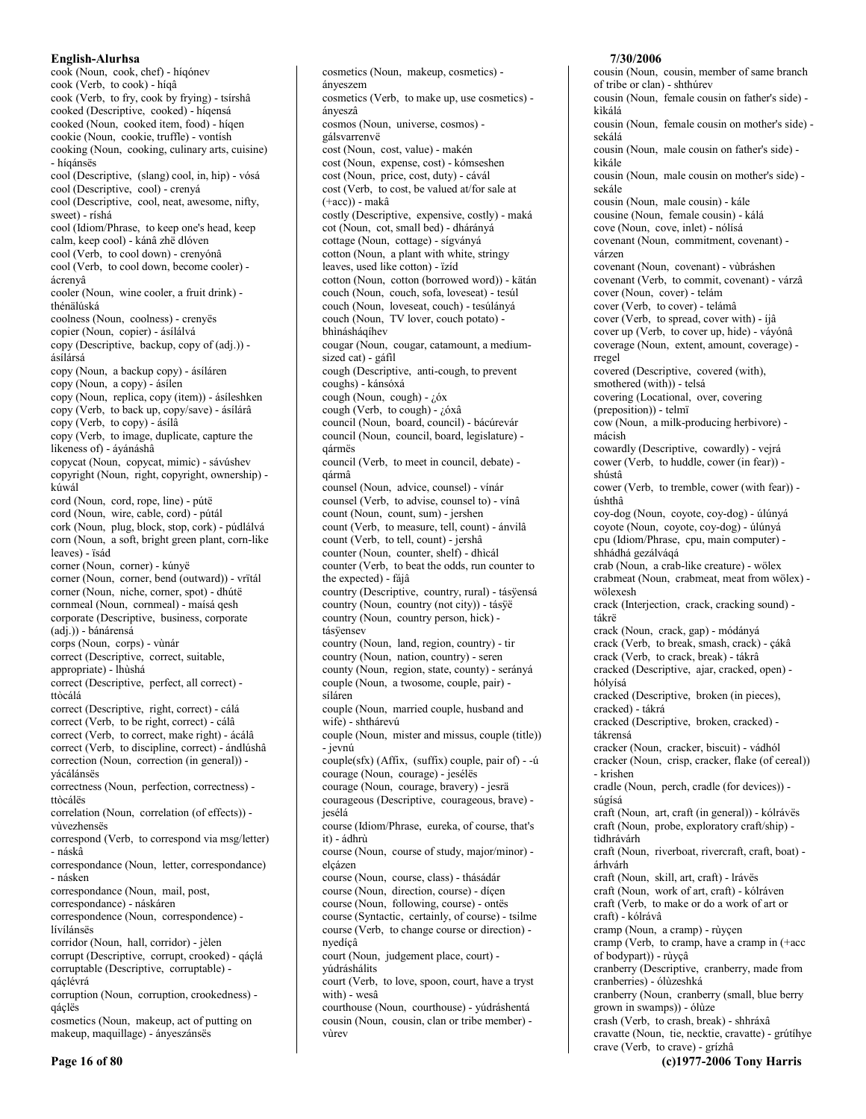cook (Noun, cook, chef) - híqónev cook (Verb, to cook) - híqâ cook (Verb, to fry, cook by frying) - tsírshâ cooked (Descriptive, cooked) - híqensá cooked (Noun, cooked item, food) - higen cookie (Noun, cookie, truffle) - vontísh cooking (Noun, cooking, culinary arts, cuisine) - híqánsës cool (Descriptive, (slang) cool, in, hip) - vósá cool (Descriptive, cool) - crenyá cool (Descriptive, cool, neat, awesome, nifty, sweet) - ríshá cool (Idiom/Phrase, to keep one's head, keep calm, keep cool) - kánâ zhë dlóven cool (Verb, to cool down) - crenyónâ cool (Verb, to cool down, become cooler) ácrenyâ cooler (Noun, wine cooler, a fruit drink) thénälúská coolness (Noun, coolness) - crenyës copier (Noun, copier) - ásílálvá copy (Descriptive, backup, copy of (adj.)) ásílársá copy (Noun, a backup copy) - ásíláren copy (Noun, a copy) - ásílen copy (Noun, replica, copy (item)) - ásíleshken copy (Verb, to back up, copy/save) - ásílárâ copy (Verb, to copy) - ásílâ copy (Verb, to image, duplicate, capture the likeness of) - áyánáshâ copycat (Noun, copycat, mimic) - sávúshev copyright (Noun, right, copyright, ownership) kúwál cord (Noun, cord, rope, line) - pútë cord (Noun, wire, cable, cord) - pútál cork (Noun, plug, block, stop, cork) - púdlálvá corn (Noun, a soft, bright green plant, corn-like leaves) - ïsád corner (Noun, corner) - kúnyë corner (Noun, corner, bend (outward)) - vrïtál corner (Noun, niche, corner, spot) - dhútë cornmeal (Noun, cornmeal) - maísá qesh corporate (Descriptive, business, corporate (adj.)) - bánárensá corps (Noun, corps) - vùnár correct (Descriptive, correct, suitable, appropriate) - lhùshá correct (Descriptive, perfect, all correct) ttòcálá correct (Descriptive, right, correct) - cálá correct (Verb, to be right, correct) - cálâ correct (Verb, to correct, make right) - ácálâ correct (Verb, to discipline, correct) - ándlúshâ correction (Noun, correction (in general)) yácálánsës correctness (Noun, perfection, correctness) ttòcálës correlation (Noun, correlation (of effects)) vivezhensës correspond (Verb, to correspond via msg/letter) - náskâ correspondance (Noun, letter, correspondance) - násken correspondance (Noun, mail, post, correspondance) - náskáren correspondence (Noun, correspondence) lívílánsës corridor (Noun, hall, corridor) - jèlen corrupt (Descriptive, corrupt, crooked) - qáçlá corruptable (Descriptive, corruptable) qáçlévrá corruption (Noun, corruption, crookedness) qáçlës cosmetics (Noun, makeup, act of putting on makeup, maquillage) - ányeszánsés

ányeszem cosmetics (Verb, to make up, use cosmetics) ányeszâ cosmos (Noun, universe, cosmos) gálsvarrenvë cost (Noun, cost, value) - makén cost (Noun, expense, cost) - kómseshen cost (Noun, price, cost, duty) - cávál cost (Verb, to cost, be valued at/for sale at  $(+acc)$ ) - makâ costly (Descriptive, expensive, costly) - maká cot (Noun, cot, small bed) - dhárányá cottage (Noun, cottage) - sígványá cotton (Noun, a plant with white, stringy leaves, used like cotton) - ïzíd cotton (Noun, cotton (borrowed word)) - kätán couch (Noun, couch, sofa, loveseat) - tesúl couch (Noun, loveseat, couch) - tesúlányá couch (Noun, TV lover, couch potato) bhìnásháqíhev cougar (Noun, cougar, catamount, a mediumsized cat) - gáfil cough (Descriptive, anti-cough, to prevent coughs) - kánsóxá cough (Noun, cough) - ¿óx cough (Verb, to cough) - ¿óxâ council (Noun, board, council) - bácúrevár council (Noun, council, board, legislature) qármës council (Verb, to meet in council, debate) qármâ counsel (Noun, advice, counsel) - vínár counsel (Verb, to advise, counsel to) - vínâ count (Noun, count, sum) - jershen count (Verb, to measure, tell, count) - ánvilâ count (Verb, to tell, count) - jershâ counter (Noun, counter, shelf) - dhìcál counter (Verb, to beat the odds, run counter to the expected) - fáiâ country (Descriptive, country, rural) - tásÿensá country (Noun, country (not city)) - tásÿë country (Noun, country person, hick) tásÿensev country (Noun, land, region, country) - tir country (Noun, nation, country) - seren county (Noun, region, state, county) - serányá couple (Noun, a twosome, couple, pair) síláren couple (Noun, married couple, husband and wife) - shthárevú couple (Noun, mister and missus, couple (title)) - jevnú couple(sfx) (Affix, (suffix) couple, pair of) - -ú courage (Noun, courage) - jesélés courage (Noun, courage, bravery) - jesrä courageous (Descriptive, courageous, brave) jesélá course (Idiom/Phrase, eureka, of course, that's it) - ádhrù course (Noun, course of study, major/minor) elcázen course (Noun, course, class) - thásádár course (Noun, direction, course) - díçen course (Noun, following, course) - ontës course (Syntactic, certainly, of course) - tsilme course (Verb, to change course or direction) nyedíçâ court (Noun, judgement place, court) yúdráshálits court (Verb, to love, spoon, court, have a tryst with) - wesâ courthouse (Noun, courthouse) - yúdráshentá cousin (Noun, cousin, clan or tribe member) vùrev

cosmetics (Noun, makeup, cosmetics) -

## 7/30/2006 cousin (Noun, cousin, member of same branch of tribe or clan) - shthúrev cousin (Noun, female cousin on father's side) kìkálá cousin (Noun, female cousin on mother's side) sekálá cousin (Noun, male cousin on father's side) kìkále cousin (Noun, male cousin on mother's side) sekále cousin (Noun, male cousin) - kále cousine (Noun, female cousin) - kálá cove (Noun, cove, inlet) - nólísá covenant (Noun, commitment, covenant) várzen covenant (Noun, covenant) - vùbráshen covenant (Verb, to commit, covenant) - várzâ cover (Noun, cover) - telám cover (Verb, to cover) - telámâ cover (Verb, to spread, cover with) - íjâ cover up (Verb, to cover up, hide) - váyónâ coverage (Noun, extent, amount, coverage) rregel covered (Descriptive, covered (with), smothered (with)) - telsá covering (Locational, over, covering (preposition)) - telmï cow (Noun, a milk-producing herbivore) mácish

cowardly (Descriptive, cowardly) - vejrá cower (Verb, to huddle, cower (in fear)) shústâ cower (Verb, to tremble, cower (with fear)) úshthâ coy-dog (Noun, coyote, coy-dog) - úlúnyá coyote (Noun, coyote, coy-dog) - úlúnyá cpu (Idiom/Phrase, cpu, main computer) shhádhá gezálvágá

crab (Noun, a crab-like creature) - wölex crabmeat (Noun, crabmeat, meat from wölex) wölexesh

crack (Interjection, crack, cracking sound) tákrë

crack (Noun, crack, gap) - módányá

crack (Verb, to break, smash, crack) - çákâ

crack (Verb, to crack, break) - tákrâ

cracked (Descriptive, ajar, cracked, open) hólyísá

cracked (Descriptive, broken (in pieces), cracked) - tákrá

cracked (Descriptive, broken, cracked) tákrensá

cracker (Noun, cracker, biscuit) - vádhól cracker (Noun, crisp, cracker, flake (of cereal)) - krishen

cradle (Noun, perch, cradle (for devices)) súgísá

craft (Noun, art, craft (in general)) - kólrávës craft (Noun, probe, exploratory craft/ship) tìdhrávárh

craft (Noun, riverboat, rivercraft, craft, boat) árhvárh

craft (Noun, skill, art, craft) - lrávës

craft (Noun, work of art, craft) - kólráven craft (Verb, to make or do a work of art or

craft) - kólrávâ cramp (Noun, a cramp) - rùycen

cramp (Verb, to cramp, have a cramp in (+acc of bodypart)) - rùycâ

cranberry (Descriptive, cranberry, made from cranberries) - ólùzeshká

cranberry (Noun, cranberry (small, blue berry grown in swamps)) - ólùze

crash (Verb, to crash, break) - shhráxâ

cravatte (Noun, tie, necktie, cravatte) - grútíhye crave (Verb, to crave) - grízhâ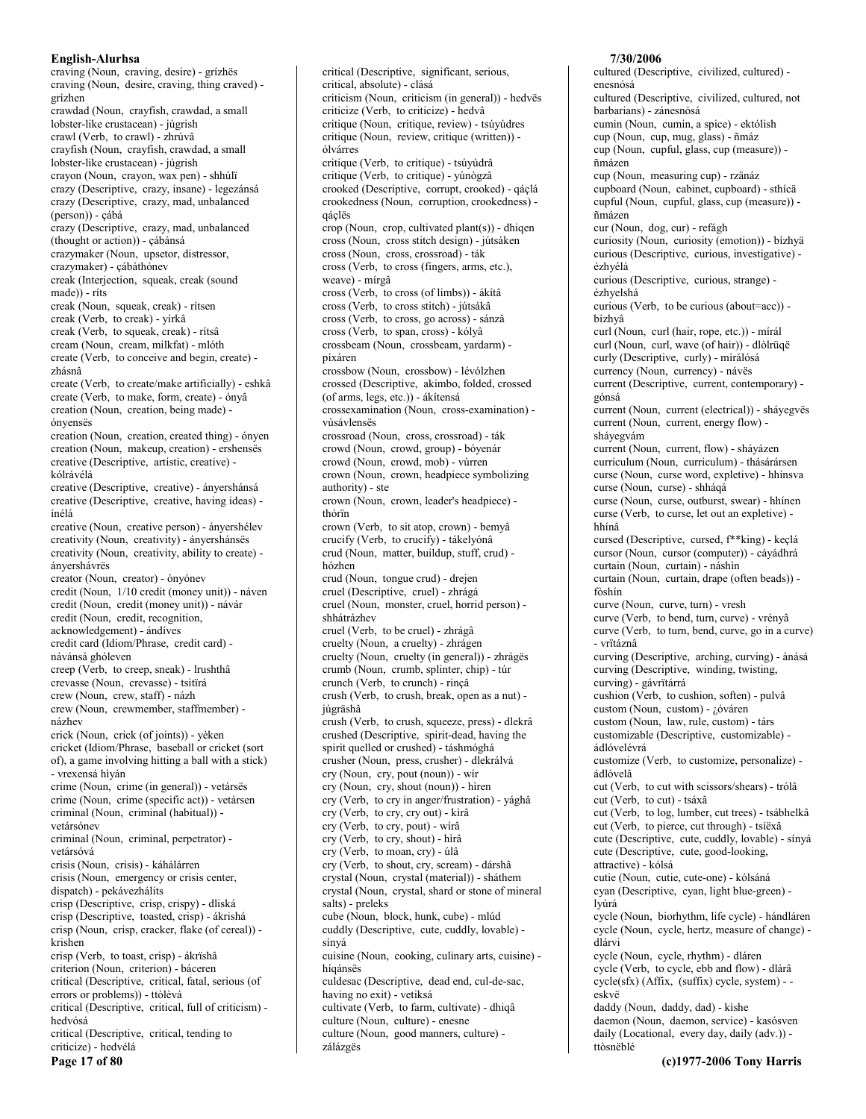craving (Noun, craving, desire) - grízhës craving (Noun, desire, craving, thing craved) grízhen crawdad (Noun, crayfish, crawdad, a small lobster-like crustacean) - júgrish crawl (Verb, to crawl) - zhrúvâ crayfish (Noun, crayfish, crawdad, a small lobster-like crustacean) - júgrish crayon (Noun, crayon, wax pen) - shhúlï crazy (Descriptive, crazy, insane) - legezánsá crazy (Descriptive, crazy, mad, unbalanced (person)) - çábá crazy (Descriptive, crazy, mad, unbalanced (thought or action)) - çábánsá crazymaker (Noun, upsetor, distressor, crazymaker) - cábáthónev creak (Interjection, squeak, creak (sound made)) - ríts creak (Noun, squeak, creak) - rítsen creak (Verb, to creak) - yírkâ creak (Verb, to squeak, creak) - rítsâ cream (Noun, cream, milkfat) - mlóth create (Verb, to conceive and begin, create) zhásnâ create (Verb, to create/make artificially) - eshkâ create (Verb, to make, form, create) - ónyâ creation (Noun, creation, being made) ónvensës creation (Noun, creation, created thing) - ónyen creation (Noun, makeup, creation) - ershensës creative (Descriptive, artistic, creative) kólrávélá creative (Descriptive, creative) - ányershánsá creative (Descriptive, creative, having ideas) ínélá creative (Noun, creative person) - ányershélev creativity (Noun, creativity) - ányershánsës creativity (Noun, creativity, ability to create) ánvershávrës creator (Noun, creator) - ónvónev credit (Noun, 1/10 credit (money unit)) - náven credit (Noun, credit (money unit)) - návár credit (Noun, credit, recognition, acknowledgement) - ándíves credit card (Idiom/Phrase, credit card) návánsá ghóleven creep (Verb, to creep, sneak) - lrushthâ crevasse (Noun, crevasse) - tsitïrá crew (Noun, crew, staff) - názh crew (Noun, crewmember, staffmember) názhev crick (Noun, crick (of joints)) - yèken cricket (Idiom/Phrase, baseball or cricket (sort of), a game involving hitting a ball with a stick) - vrexensá hìván crime (Noun, crime (in general)) - vetársës crime (Noun, crime (specific act)) - vetársen criminal (Noun, criminal (habitual)) vetársónev criminal (Noun, criminal, perpetrator) vetársóvá crisis (Noun, crisis) - káhálárren crisis (Noun, emergency or crisis center, dispatch) - pekávezhálits crisp (Descriptive, crisp, crispy) - dliská crisp (Descriptive, toasted, crisp) - ákrishá crisp (Noun, crisp, cracker, flake (of cereal)) krishen crisp (Verb, to toast, crisp) - ákrïshâ criterion (Noun, criterion) - báceren critical (Descriptive, critical, fatal, serious (of errors or problems)) - ttòlèvá critical (Descriptive, critical, full of criticism) hedvósá critical (Descriptive, critical, tending to criticize) - hedvélá Page 17 of 80

critical (Descriptive, significant, serious, critical, absolute) - clásá criticism (Noun, criticism (in general)) - hedvës criticize (Verb, to criticize) - hedvâ critique (Noun, critique, review) - tsúvúdres critique (Noun, review, critique (written)) ólvárres critique (Verb, to critique) - tsúyúdrâ critique (Verb, to critique) - yúnògzâ crooked (Descriptive, corrupt, crooked) - qáçlá crookedness (Noun, corruption, crookedness) gáclës  $\text{crop}(\text{Noun}, \text{ crop}, \text{ cultivated plant}(s))$  - dhiqen cross (Noun, cross stitch design) - jútsáken cross (Noun, cross, crossroad) - ták cross (Verb, to cross (fingers, arms, etc.), weave) - mírgâ cross (Verb, to cross (of limbs)) - ákítâ cross (Verb, to cross stitch) - jútsákâ cross (Verb, to cross, go across) - sánzâ cross (Verb, to span, cross) - kólyâ crossbeam (Noun, crossbeam, yardarm) píxáren crossbow (Noun, crossbow) - lévólzhen crossed (Descriptive, akimbo, folded, crossed (of arms, legs, etc.)) - ákítensá crossexamination (Noun, cross-examination) vùsávlensës crossroad (Noun, cross, crossroad) - ták crowd (Noun, crowd, group) - bóyenár crowd (Noun, crowd, mob) - vùrren crown (Noun, crown, headpiece symbolizing authority) - ste crown (Noun, crown, leader's headpiece) thórïn crown (Verb, to sit atop, crown) - bemyâ crucify (Verb, to crucify) - tákelyónâ crud (Noun, matter, buildup, stuff, crud) hózhen crud (Noun, tongue crud) - drejen cruel (Descriptive, cruel) - zhrágá cruel (Noun, monster, cruel, horrid person) shhátrázhev cruel (Verb, to be cruel) - zhrágâ cruelty (Noun, a cruelty) - zhrágen cruelty (Noun, cruelty (in general)) - zhrágës crumb (Noun, crumb, splinter, chip) - túr crunch (Verb, to crunch) - rinçâ crush (Verb, to crush, break, open as a nut) júgräshâ crush (Verb, to crush, squeeze, press) - dlekrâ crushed (Descriptive, spirit-dead, having the spirit quelled or crushed) - táshmóghá crusher (Noun, press, crusher) - dlekrálvá cry (Noun, cry, pout (noun)) - wir cry (Noun, cry, shout (noun)) - hìren cry (Verb, to cry in anger/frustration) - yághâ cry (Verb, to cry, cry out) - kìrâ cry (Verb, to cry, pout) - wirâ cry (Verb, to cry, shout) - hìrâ cry (Verb, to moan, cry) - úlâ cry (Verb, to shout, cry, scream) - dárshâ crystal (Noun, crystal (material)) - sháthem crystal (Noun, crystal, shard or stone of mineral salts) - preleks cube (Noun, block, hunk, cube) - mlúd cuddly (Descriptive, cute, cuddly, lovable) sínyá cuisine (Noun, cooking, culinary arts, cuisine) híqánsës culdesac (Descriptive, dead end, cul-de-sac, having no exit) - vetiksá cultivate (Verb, to farm, cultivate) - dhiqâ culture (Noun, culture) - enesne culture (Noun, good manners, culture) -

zálázgës

cultured (Descriptive, civilized, cultured) enesnósá cultured (Descriptive, civilized, cultured, not barbarians) - zánesnósá cumin (Noun, cumin, a spice) - ektólish cup (Noun, cup, mug, glass) - ñmáz cup (Noun, cupful, glass, cup (measure)) ñmázen cup (Noun, measuring cup) - rzänáz cupboard (Noun, cabinet, cupboard) - sthícä cupful (Noun, cupful, glass, cup (measure)) ñmázen cur (Noun, dog, cur) - refágh curiosity (Noun, curiosity (emotion)) - bízhyä curious (Descriptive, curious, investigative) ézhvélá curious (Descriptive, curious, strange) ézhyelshá curious (Verb, to be curious (about=acc)) bízhvâ curl (Noun, curl (hair, rope, etc.)) - mírál curl (Noun, curl, wave (of hair)) - dlòlrüqë curly (Descriptive, curly) - mírálósá currency (Noun, currency) - návës current (Descriptive, current, contemporary) gónsá current (Noun, current (electrical)) - sháyegvës current (Noun, current, energy flow) sháyegvám current (Noun, current, flow) - sháyázen curriculum (Noun, curriculum) - thásárársen curse (Noun, curse word, expletive) - hhínsva curse (Noun, curse) - shháqá curse (Noun, curse, outburst, swear) - hhinen curse (Verb, to curse, let out an expletive) hhínâ cursed (Descriptive, cursed, f<sup>\*\*</sup>king) - keçlá cursor (Noun, cursor (computer)) - cáyádhrá curtain (Noun, curtain) - náshìn curtain (Noun, curtain, drape (often beads)) fòshín curve (Noun, curve, turn) - vresh curve (Verb, to bend, turn, curve) - vrényâ curve (Verb, to turn, bend, curve, go in a curve) - vrïtáznâ curving (Descriptive, arching, curving) - ànásá curving (Descriptive, winding, twisting, curving) - gávrïtárrá cushion (Verb, to cushion, soften) - pulvâ custom (Noun, custom) - ¿óváren custom (Noun, law, rule, custom) - társ customizable (Descriptive, customizable) ádlóvelévrá customize (Verb, to customize, personalize) ádlóvelâ cut (Verb, to cut with scissors/shears) - trólâ cut (Verb, to cut) - tsáxâ cut (Verb, to log, lumber, cut trees) - tsábhelkâ cut (Verb, to pierce, cut through) - tsíëxâ cute (Descriptive, cute, cuddly, lovable) - sínyá cute (Descriptive, cute, good-looking, attractive) - kólsá cutie (Noun, cutie, cute-one) - kólsáná cyan (Descriptive, cyan, light blue-green) lvúrá cycle (Noun, biorhythm, life cycle) - hándláren cycle (Noun, cycle, hertz, measure of change) dlárvi cycle (Noun, cycle, rhythm) - dláren cycle (Verb, to cycle, ebb and flow) - dlárâ  $cycle(sfx)$  (Affix, (suffix) cycle, system) - eskvë daddy (Noun, daddy, dad) - kishe daemon (Noun, daemon, service) - kasósven daily (Locational, every day, daily (adv.)) -

7/30/2006

ttòsnëhlé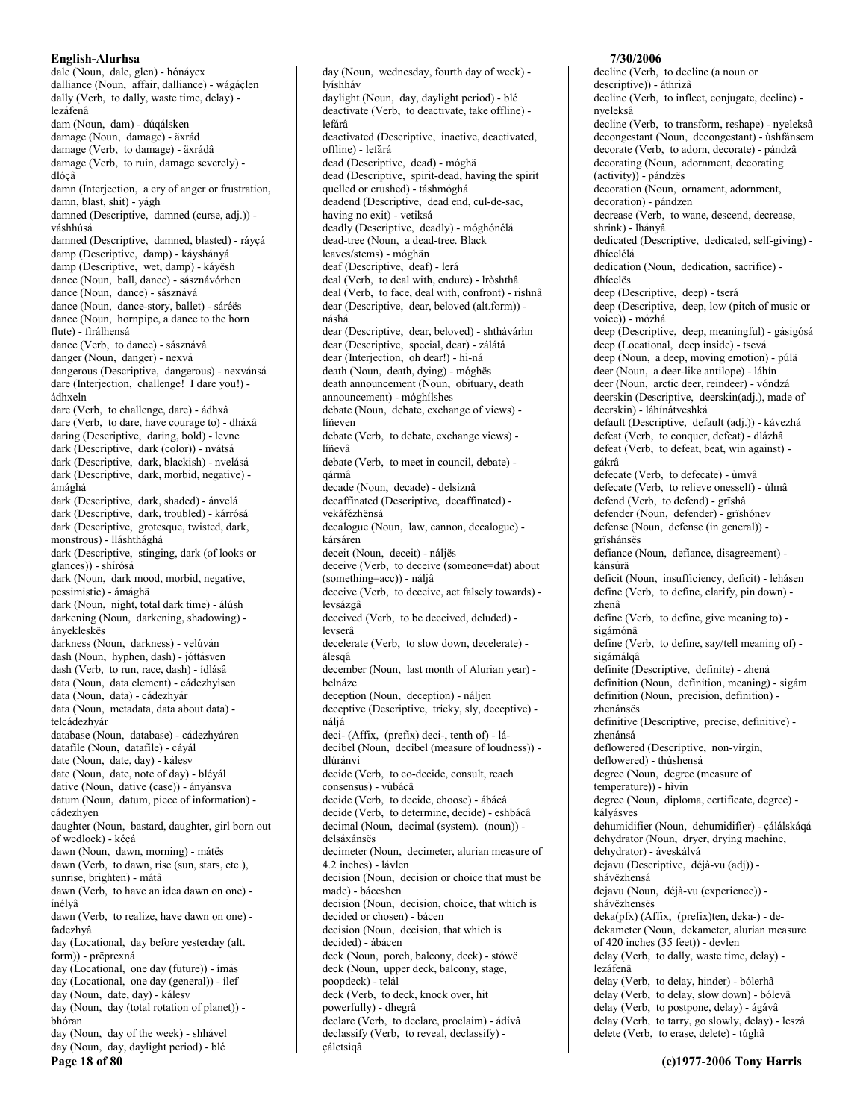dale (Noun, dale, glen) - hónáyex dalliance (Noun, affair, dalliance) - wágáçlen dally (Verb, to dally, waste time, delay) lezáfenâ dam (Noun, dam) - dúqálsken damage (Noun, damage) - äxrád damage (Verb, to damage) - äxrádâ damage (Verb, to ruin, damage severely) dlócâ damn (Interjection, a cry of anger or frustration, damn, blast, shit) - yágh damned (Descriptive, damned (curse, adj.)) váshhúsá damned (Descriptive, damned, blasted) - ráyçá damp (Descriptive, damp) - káyshányá damp (Descriptive, wet damp) - káyësh dance (Noun, ball, dance) - sásznávórhen dance (Noun, dance) - sásznává dance (Noun, dance-story, ballet) - sáréës dance (Noun, hornpipe, a dance to the horn flute) - firálhensá dance (Verb, to dance) - sásznávâ danger (Noun, danger) - nexvá dangerous (Descriptive, dangerous) - nexvánsá dare (Interjection, challenge! I dare you!) ádhxeln dare (Verb, to challenge, dare) - ádhxâ dare (Verb, to dare, have courage to) - dháxâ daring (Descriptive, daring, bold) - levne dark (Descriptive, dark (color)) - nvátsá dark (Descriptive, dark, blackish) - nvelásá dark (Descriptive, dark, morbid, negative) ámághá dark (Descriptive, dark, shaded) - ánvelá dark (Descriptive, dark, troubled) - kárrósá dark (Descriptive, grotesque, twisted, dark, monstrous) - lláshthághá dark (Descriptive, stinging, dark (of looks or glances)) - shírósá dark (Noun, dark mood, morbid, negative, pessimistic) - ámághä dark (Noun, night, total dark time) - álúsh darkening (Noun, darkening, shadowing) ányekleskës darkness (Noun, darkness) - velúván dash (Noun, hyphen, dash) - jóttásven dash (Verb, to run, race, dash) - ídlásâ data (Noun, data element) - cádezhyìsen data (Noun, data) - cádezhyár data (Noun, metadata, data about data) telcádezhyár database (Noun, database) - cádezhyáren datafile (Noun, datafile) - cáyál date (Noun, date, day) - kálesv date (Noun, date, note of day) - bléyál dative (Noun, dative (case)) - ányánsva datum (Noun, datum, piece of information) cádezhyen daughter (Noun, bastard, daughter, girl born out of wedlock) - kéçá dawn (Noun, dawn, morning) - mátës dawn (Verb, to dawn, rise (sun, stars, etc.), sunrise, brighten) - mátâ dawn (Verb, to have an idea dawn on one) ínélyâ dawn (Verb, to realize, have dawn on one) fadezhvâ day (Locational, day before yesterday (alt.) form)) - prëprexná day (Locational, one day (future)) - ímás day (Locational, one day (general)) - ilef day (Noun, date, day) - kálesv day (Noun, day (total rotation of planet)) bhóran day (Noun, day of the week) - shhável day (Noun, day, daylight period) - blé Page 18 of 80

day (Noun, wednesday, fourth day of week) lyíshháv daylight (Noun, day, daylight period) - blé deactivate (Verb, to deactivate, take offline) lefárâ deactivated (Descriptive, inactive, deactivated, offline) - lefárá dead (Descriptive, dead) - móghã dead (Descriptive, spirit-dead, having the spirit quelled or crushed) - táshmóghá deadend (Descriptive, dead end, cul-de-sac, having no exit) - vetiksá deadly (Descriptive, deadly) - móghónélá dead-tree (Noun, a dead-tree. Black leaves/stems) - móghän deaf (Descriptive, deaf) - lerá deal (Verb, to deal with, endure) - lròshthâ deal (Verb, to face, deal with, confront) - rishnâ dear (Descriptive, dear, beloved (alt.form)) náshá dear (Descriptive, dear, beloved) - shthávárhn dear (Descriptive, special, dear) - zálátá dear (Interjection, oh dear!) - hì-ná death (Noun, death, dying) - móghës death announcement (Noun, obituary, death announcement) - móghílshes debate (Noun, debate, exchange of views) líñeven debate (Verb, to debate, exchange views) líñevâ debate (Verb, to meet in council, debate) qármâ decade (Noun, decade) - delsíznâ decaffinated (Descriptive, decaffinated) vekáfézhënsá decalogue (Noun, law, cannon, decalogue) kársáren deceit (Noun, deceit) - náljës deceive (Verb, to deceive (someone=dat) about (something=acc)) - náliâ deceive (Verb, to deceive, act falsely towards) levsázgâ deceived (Verb, to be deceived, deluded) levserâ decelerate (Verb, to slow down, decelerate) álesgâ december (Noun, last month of Alurian year) belnáze deception (Noun, deception) - náljen deceptive (Descriptive, tricky, sly, deceptive) náljá deci- (Affix, (prefix) deci-, tenth of) - ládecibel (Noun, decibel (measure of loudness)) dlúránvi decide (Verb, to co-decide, consult, reach consensus) - vùbácâ decide (Verb, to decide, choose) - ábácâ decide (Verb, to determine, decide) - eshbácâ decimal (Noun, decimal (system). (noun)) delsáxánsës decimeter (Noun, decimeter, alurian measure of 4.2 inches) - lávlen decision (Noun, decision or choice that must be made) - báceshen decision (Noun, decision, choice, that which is decided or chosen) - bácen decision (Noun, decision, that which is decided) - ábácen deck (Noun, porch, balcony, deck) - stówë deck (Noun, upper deck, balcony, stage, poopdeck) - telál deck (Verb, to deck, knock over, hit powerfully) - dhegrâ declare (Verb, to declare, proclaim) - ádívâ declassify (Verb, to reveal, declassify) -

cáletsigâ

### descriptive)) - áthrizâ decline (Verb. to inflect, conjugate, decline) nyeleksâ decline (Verb, to transform, reshape) - nyeleksâ decongestant (Noun, decongestant) - ùshfánsem decorate (Verb, to adorn, decorate) - pándzâ decorating (Noun, adornment, decorating (activity)) - pándzës decoration (Noun, ornament, adornment, decoration) - pándzen decrease (Verb, to wane, descend, decrease, shrink) - lhányâ dedicated (Descriptive, dedicated, self-giving) dhícelélá dedication (Noun, dedication, sacrifice) dhícelës deep (Descriptive, deep) - tserá deep (Descriptive, deep, low (pitch of music or voice)) - mózhá deep (Descriptive, deep, meaningful) - gásigósá deep (Locational, deep inside) - tsevá deep (Noun, a deep, moving emotion) - púlä deer (Noun, a deer-like antilope) - láhín deer (Noun, arctic deer, reindeer) - vóndzá deerskin (Descriptive, deerskin(adj.), made of deerskin) - láhínátveshká default (Descriptive, default (adj.)) - kávezhá defeat (Verb, to conquer, defeat) - dlázhâ defeat (Verb, to defeat, beat, win against) gákrâ defecate (Verb, to defecate) - ùmvâ defecate (Verb, to relieve onesself) - ùlmâ defend (Verb, to defend) - grïshâ defender (Noun, defender) - grïshónev defense (Noun, defense (in general)) grïshánsës defiance (Noun, defiance, disagreement) kánsúrä deficit (Noun, insufficiency, deficit) - lehásen define (Verb, to define, clarify, pin down) zhenâ define (Verb, to define, give meaning to) sigámónâ define (Verb, to define, say/tell meaning of) sigámálgâ definite (Descriptive, definite) - zhená definition (Noun, definition, meaning) - sigám definition (Noun, precision, definition) zhenánsës definitive (Descriptive, precise, definitive) zhenánsá deflowered (Descriptive, non-virgin, deflowered) - thùshensá degree (Noun, degree (measure of temperature)) - hìvin degree (Noun, diploma, certificate, degree) kályásves dehumidifier (Noun, dehumidifier) - çálálskáqá dehydrator (Noun, dryer, drying machine, dehydrator) - áveskálvá dejavu (Descriptive, déjà-vu (adj)) shávëzhensá dejavu (Noun, déjà-vu (experience)) shávëzhensës deka(pfx) (Affix, (prefix)ten, deka-) - dedekameter (Noun, dekameter, alurian measure of 420 inches (35 feet)) - devlen delay (Verb, to dally, waste time, delay) lezáfenâ delay (Verb, to delay, hinder) - bólerhâ delay (Verb, to delay, slow down) - bólevâ delay (Verb, to postpone, delay) - ágávâ delay (Verb, to tarry, go slowly, delay) - leszâ delete (Verb, to erase, delete) - túghâ

7/30/2006

decline (Verb, to decline (a noun or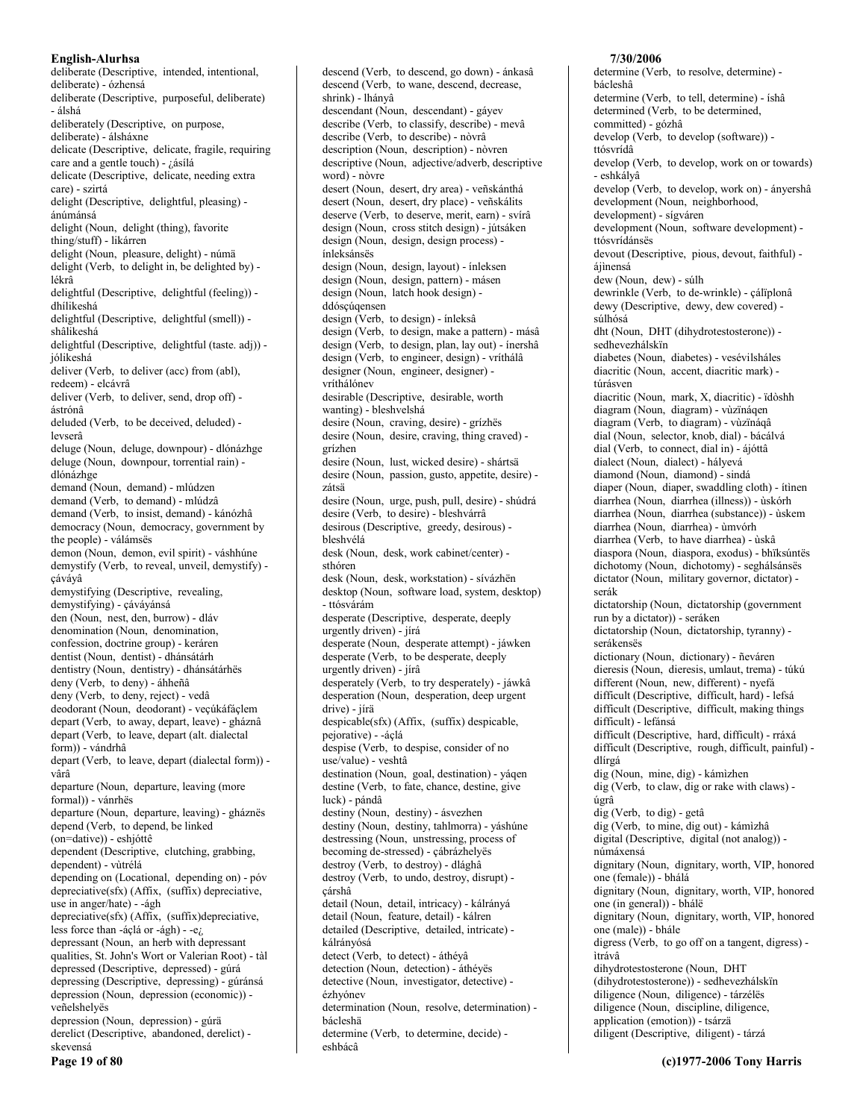deliberate (Descriptive, intended, intentional, deliberate) - ózhensá deliberate (Descriptive, purposeful, deliberate) - álshá deliberately (Descriptive, on purpose, deliberate) - álsháxne delicate (Descriptive, delicate, fragile, requiring care and a gentle touch) - ¿ásílá delicate (Descriptive, delicate, needing extra care) - szirtá delight (Descriptive, delightful, pleasing) ánúmánsá delight (Noun, delight (thing), favorite thing/stuff) - likárren delight (Noun, pleasure, delight) - númä delight (Verb, to delight in, be delighted by) lékrâ delightful (Descriptive, delightful (feeling)) dhílikeshá delightful (Descriptive, delightful (smell)) shâlikeshá delightful (Descriptive, delightful (taste. adj)) jólikeshá deliver (Verb, to deliver (acc) from (abl), redeem) - elcávrâ deliver (Verb, to deliver, send, drop off) ástrónâ deluded (Verb, to be deceived, deluded) levserâ deluge (Noun, deluge, downpour) - dlónázhge deluge (Noun, downpour, torrential rain) dlónázhge demand (Noun, demand) - mlúdzen demand (Verb, to demand) - mlúdzâ demand (Verb, to insist, demand) - kánózhâ democracy (Noun, democracy, government by the people) - válámsës demon (Noun, demon, evil spirit) - váshhúne demystify (Verb, to reveal, unveil, demystify) cávávâ demystifying (Descriptive, revealing, demystifying) - çáváyánsá den (Noun, nest, den, burrow) - dláv denomination (Noun, denomination, confession, doctrine group) - keráren dentist (Noun, dentist) - dhánsátárh dentistry (Noun, dentistry) - dhánsátárhës deny (Verb, to deny) - áhheñâ deny (Verb, to deny, reject) - vedâ deodorant (Noun, deodorant) - veçúkáfáçlem depart (Verb, to away, depart, leave) - gháznâ depart (Verb, to leave, depart (alt. dialectal form)) - vándrhâ depart (Verb, to leave, depart (dialectal form)) vârâ departure (Noun, departure, leaving (more formal)) - vánrhës departure (Noun, departure, leaving) - gháznës depend (Verb, to depend, be linked (on=dative)) - eshjóttê dependent (Descriptive, clutching, grabbing, dependent) - vùtrélá depending on (Locational, depending on) - póv depreciative(sfx) (Affix, (suffix) depreciative, use in anger/hate) - - ágh depreciative(sfx) (Affix, (suffix)depreciative, less force than -áçlá or -ágh) - -e $\zeta$ depressant (Noun, an herb with depressant qualities, St. John's Wort or Valerian Root) - tàl depressed (Descriptive, depressed) - gúrá depressing (Descriptive, depressing) - gúránsá depression (Noun, depression (economic)) veñelshelyës depression (Noun, depression) - gúrã derelict (Descriptive, abandoned, derelict) skevensá Page 19 of 80

descend (Verb, to wane, descend, decrease, shrink) - lhánvâ descendant (Noun, descendant) - gáyev describe (Verb., to classify, describe) - mevâ describe (Verb, to describe) - nòvrâ description (Noun, description) - nòvren descriptive (Noun, adjective/adverb, descriptive word) - nòvre desert (Noun, desert, dry area) - veñskánthá desert (Noun, desert, dry place) - veñskálits deserve (Verb, to deserve, merit, earn) - svírâ design (Noun, cross stitch design) - jútsáken design (Noun, design, design process) ínleksánsës design (Noun, design, layout) - ínleksen design (Noun, design, pattern) - másen design (Noun, latch hook design) ddóscúqensen design (Verb, to design) - ínleksâ design (Verb, to design, make a pattern) - másâ design (Verb, to design, plan, lay out) - ínershâ design (Verb, to engineer, design) - vríthálâ designer (Noun, engineer, designer) vríthálónev desirable (Descriptive, desirable, worth wanting) - bleshvelshá desire (Noun, craving, desire) - grízhës desire (Noun, desire, craving, thing craved) grízhen desire (Noun, lust, wicked desire) - shártsä desire (Noun, passion, gusto, appetite, desire) zátsä desire (Noun, urge, push, pull, desire) - shúdrá desire (Verb, to desire) - bleshvárrâ desirous (Descriptive, greedy, desirous) bleshvélá desk (Noun, desk, work cabinet/center) sthóren desk (Noun, desk, workstation) - sívázhën desktop (Noun, software load, system, desktop) - ttósvárám desperate (Descriptive, desperate, deeply urgently driven) - jírá desperate (Noun, desperate attempt) - jáwken desperate (Verb, to be desperate, deeply urgently driven) - jírâ desperately (Verb, to try desperately) - jáwkâ desperation (Noun, desperation, deep urgent drive) - jírä despicable(sfx) (Affix, (suffix) despicable, pejorative) - -áçlá despise (Verb, to despise, consider of no use/value) - veshtâ destination (Noun, goal, destination) - yáqen destine (Verb, to fate, chance, destine, give luck) - pándâ destiny (Noun, destiny) - ásvezhen destiny (Noun, destiny, tahlmorra) - yáshúne destressing (Noun, unstressing, process of becoming de-stressed) - cábrázhelyës destroy (Verb, to destroy) - dlághâ destroy (Verb, to undo, destroy, disrupt) çárshâ detail (Noun, detail, intricacy) - kálrányá detail (Noun, feature, detail) - kálren detailed (Descriptive, detailed, intricate) kálrányósá detect (Verb, to detect) - áthévâ detection (Noun, detection) - áthéyës detective (Noun, investigator, detective) ézhvónev determination (Noun, resolve, determination) bácleshä determine (Verb, to determine, decide) eshbácâ

descend (Verb, to descend, go down) - ánkasâ

#### bácleshâ determine (Verb. to tell. determine) - íshâ determined (Verb, to be determined, committed) - gózhâ develop (Verb, to develop (software)) ttósvrídâ develop (Verb, to develop, work on or towards) - eshkályâ develop (Verb, to develop, work on) - ányershâ development (Noun, neighborhood, development) - sígváren development (Noun, software development) ttósvrídánsës devout (Descriptive, pious, devout, faithful) áiìnensá dew (Noun, dew) - súlh dewrinkle (Verb, to de-wrinkle) - çálïplonâ dewy (Descriptive, dewy, dew covered) súlhósá dht (Noun, DHT (dihydrotestosterone)) sedhevezhálskïn diabetes (Noun, diabetes) - vesévilsháles diacritic (Noun, accent, diacritic mark) túrásven diacritic (Noun, mark, X, diacritic) - ïdòshh diagram (Noun, diagram) - vùzïnáqen diagram (Verb, to diagram) - vùzïnáqâ dial (Noun, selector, knob, dial) - bácálvá dial (Verb, to connect, dial in) - ájóttâ dialect (Noun, dialect) - hályevá diamond (Noun, diamond) - sindá diaper (Noun, diaper, swaddling cloth) - ítinen diarrhea (Noun, diarrhea (illness)) - ùskórh diarrhea (Noun, diarrhea (substance)) - ùskem diarrhea (Noun, diarrhea) - ùmvórh diarrhea (Verb, to have diarrhea) - ùskâ diaspora (Noun, diaspora, exodus) - bhiksúntës dichotomy (Noun, dichotomy) - seghálsánsës dictator (Noun, military governor, dictator) serák dictatorship (Noun, dictatorship (government run by a dictator)) - seráken dictatorship (Noun, dictatorship, tyranny) serákensës dictionary (Noun, dictionary) - ñeváren dieresis (Noun, dieresis, umlaut, trema) - túkú different (Noun, new, different) - nyefá difficult (Descriptive, difficult, hard) - lefsá difficult (Descriptive, difficult, making things difficult) - lefánsá difficult (Descriptive, hard, difficult) - rráxá difficult (Descriptive, rough, difficult, painful) dlírgá dig (Noun, mine, dig) - kámìzhen dig (Verb, to claw, dig or rake with claws) úgrâ dig (Verb, to dig) - getâ dig (Verb, to mine, dig out) - kámizhâ digital (Descriptive, digital (not analog)) númáxensá dignitary (Noun, dignitary, worth, VIP, honored one (female)) - bhálá dignitary (Noun, dignitary, worth, VIP, honored one (in general)) - bhálë dignitary (Noun, dignitary, worth, VIP, honored one (male)) - bhále digress (Verb, to go off on a tangent, digress) itrávâ dihydrotestosterone (Noun, DHT (dihydrotestosterone)) - sedhevezhálskïn diligence (Noun, diligence) - tárzéles diligence (Noun, discipline, diligence,

7/30/2006

determine (Verb, to resolve, determine) -

application (emotion)) - tsárzä diligent (Descriptive, diligent) - tárzá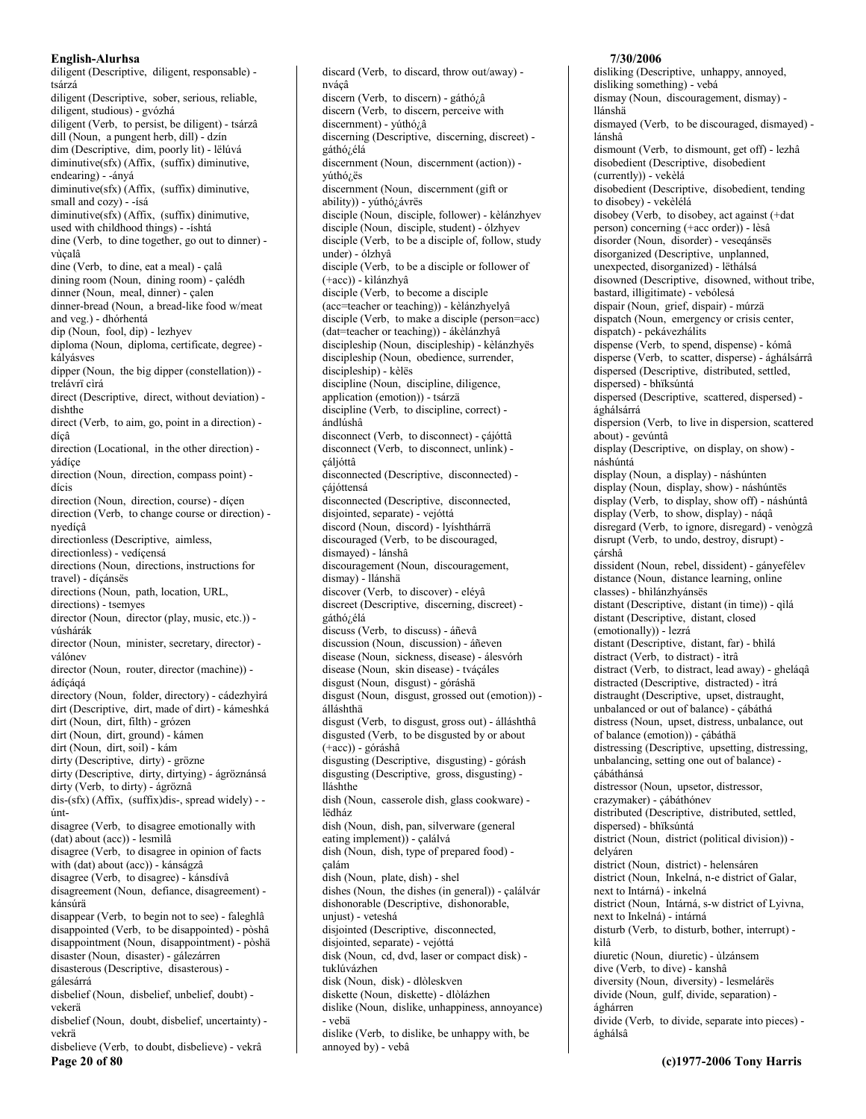diligent (Descriptive, diligent, responsable) tsárzá diligent (Descriptive, sober, serious, reliable, diligent, studious) - gvózhá diligent (Verb, to persist, be diligent) - tsárzâ dill (Noun, a pungent herb, dill) - dzín dim (Descriptive, dim, poorly lit) - lëlúvá diminutive(sfx) (Affix, (suffix) diminutive, endearing) - - ányá diminutive(sfx) (Affix, (suffix) diminutive, small and cozy) - -ísá diminutive(sfx) (Affix, (suffix) dinimutive, used with childhood things) - -íshtá dine (Verb, to dine together, go out to dinner) vùçalâ dine (Verb, to dine, eat a meal) - calâ dining room (Noun, dining room) - çalédh dinner (Noun, meal, dinner) - çalen dinner-bread (Noun, a bread-like food w/meat and veg.) - dhórhentá dip (Noun, fool, dip) - lezhyev diploma (Noun, diploma, certificate, degree) kályásves dipper (Noun, the big dipper (constellation)) trelávrï cìrá direct (Descriptive, direct, without deviation) dishthe direct (Verb, to aim, go, point in a direction) dícâ direction (Locational, in the other direction) vádíce direction (Noun, direction, compass point) dícis direction (Noun, direction, course) - díçen direction (Verb, to change course or direction) nvedícâ directionless (Descriptive, aimless, directionless) - vedíçensá directions (Noun, directions, instructions for travel) - dícánsës directions (Noun, path, location, URL, directions) - tsemyes director (Noun, director (play, music, etc.)) vúshárák director (Noun, minister, secretary, director) válónev director (Noun, router, director (machine)) ádícágá directory (Noun, folder, directory) - cádezhyìrá dirt (Descriptive, dirt, made of dirt) - kámeshká dirt (Noun, dirt, filth) - grózen dirt (Noun, dirt, ground) - kámen dirt (Noun, dirt, soil) - kám dirty (Descriptive, dirty) - grözne dirty (Descriptive, dirty, dirtying) - ágröznánsá dirty (Verb, to dirty) - ágröznâ dis-(sfx) (Affix, (suffix)dis-, spread widely) - úntdisagree (Verb, to disagree emotionally with (dat) about (acc)) - lesmìlâ disagree (Verb, to disagree in opinion of facts with (dat) about (acc)) - kánságzâ disagree (Verb, to disagree) - kánsdívâ disagreement (Noun, defiance, disagreement) kánsúrä disappear (Verb, to begin not to see) - faleghlâ disappointed (Verb, to be disappointed) - pòshâ disappointment (Noun, disappointment) - pòshä disaster (Noun, disaster) - gálezárren disasterous (Descriptive, disasterous) gálesárrá disbelief (Noun, disbelief, unbelief, doubt) vekerä disbelief (Noun, doubt, disbelief, uncertainty) vekrä disbelieve (Verb, to doubt, disbelieve) - vekrâ Page 20 of 80

discard (Verb, to discard, throw out/away) nváçâ discern (Verb, to discern) - gáthó¿â discern (Verb, to discern, perceive with discernment) - vúthó¿â discerning (Descriptive, discerning, discreet) gáthó<sub>/.</sub>élá discernment (Noun, discernment (action)) yúthó<sub>i.</sub>ës discernment (Noun, discernment (gift or ability)) - yúthó¿ávrës disciple (Noun, disciple, follower) - kèlánzhyev disciple (Noun, disciple, student) - ólzhyev disciple (Verb, to be a disciple of, follow, study under) - ólzhyâ disciple (Verb, to be a disciple or follower of  $(+acc)$ ) - kilánzhyâ disciple (Verb, to become a disciple (acc=teacher or teaching)) - kèlánzhyelyâ disciple (Verb, to make a disciple (person=acc) (dat=teacher or teaching)) - ákèlánzhyâ discipleship (Noun, discipleship) - kèlánzhyës discipleship (Noun, obedience, surrender, discipleship) - kèlës discipline (Noun, discipline, diligence, application (emotion)) - tsárzä discipline (Verb, to discipline, correct) ándlúshâ disconnect (Verb, to disconnect) - çájóttâ disconnect (Verb, to disconnect, unlink) cáljóttâ disconnected (Descriptive, disconnected) çájóttensá disconnected (Descriptive, disconnected, disjointed, separate) - vejóttá discord (Noun, discord) - lyíshthárrä discouraged (Verb, to be discouraged, dismayed) - lánshâ discouragement (Noun, discouragement, dismay) - llánshä discover (Verb, to discover) - eléyâ discreet (Descriptive, discerning, discreet) gáthó¿élá discuss (Verb, to discuss) - áñevâ discussion (Noun, discussion) - áñeven disease (Noun, sickness, disease) - álesvórh disease (Noun, skin disease) - tváçáles disgust (Noun, disgust) - góráshä disgust (Noun, disgust, grossed out (emotion)) álláshthä disgust (Verb, to disgust, gross out) - álláshthâ disgusted (Verb, to be disgusted by or about (+acc)) - góráshâ disgusting (Descriptive, disgusting) - górásh disgusting (Descriptive, gross, disgusting) lláshthe dish (Noun, casserole dish, glass cookware) lëdház dish (Noun, dish, pan, silverware (general eating implement)) - çalálvá dish (Noun, dish, type of prepared food) çalám dish (Noun, plate, dish) - shel dishes (Noun, the dishes (in general)) - çalálvár dishonorable (Descriptive, dishonorable, unjust) - veteshá disjointed (Descriptive, disconnected, disjointed, separate) - vejóttá disk (Noun, cd, dvd, laser or compact disk) tuklúvázhen disk (Noun, disk) - dlòleskven diskette (Noun, diskette) - dlòlázhen dislike (Noun, dislike, unhappiness, annoyance) - vebä

## dislike (Verb, to dislike, be unhappy with, be annoyed by) - vebâ

## 7/30/2006

disliking (Descriptive, unhappy, annoyed, disliking something) - vebá dismay (Noun, discouragement, dismay) llánshä dismayed (Verb, to be discouraged, dismayed) lánshâ dismount (Verb, to dismount, get off) - lezhâ disobedient (Descriptive, disobedient (currently)) - vekèlá disobedient (Descriptive, disobedient, tending to disobey) - vekèlélá disobey (Verb, to disobey, act against (+dat person) concerning (+acc order)) - lèsâ disorder (Noun, disorder) - veseqánsës disorganized (Descriptive, unplanned, unexpected, disorganized) - lëthálsá disowned (Descriptive, disowned, without tribe, bastard, illigitimate) - vebólesá dispair (Noun, grief, dispair) - múrzä dispatch (Noun, emergency or crisis center, dispatch) - pekávezhálits dispense (Verb, to spend, dispense) - kómâ disperse (Verb, to scatter, disperse) - ághálsárrâ dispersed (Descriptive, distributed, settled, dispersed) - bhïksúntá dispersed (Descriptive, scattered, dispersed) ághálsárrá dispersion (Verb, to live in dispersion, scattered about) - gevúntâ display (Descriptive, on display, on show) náshúntá display (Noun, a display) - náshúnten display (Noun, display, show) - náshúntës display (Verb, to display, show off) - náshúntâ display (Verb, to show, display) - náqâ disregard (Verb, to ignore, disregard) - venògzâ disrupt (Verb, to undo, destroy, disrupt) cárshâ dissident (Noun, rebel, dissident) - gányefélev distance (Noun, distance learning, online classes) - bhìlánzhyánsës distant (Descriptive, distant (in time)) - qìlá distant (Descriptive, distant, closed (emotionally)) - lezrá distant (Descriptive, distant, far) - bhilá distract (Verb, to distract) - itrâ distract (Verb, to distract, lead away) - gheláqâ distracted (Descriptive, distracted) - ìtrá distraught (Descriptive, upset, distraught, unbalanced or out of balance) - çábáthá distress (Noun, upset, distress, unbalance, out of balance (emotion)) - çábáthä distressing (Descriptive, upsetting, distressing, unbalancing, setting one out of balance) cábáthánsá distressor (Noun, upsetor, distressor, crazymaker) - çábáthónev distributed (Descriptive, distributed, settled, dispersed) - bhïksúntá district (Noun, district (political division)) delváren district (Noun, district) - helensáren district (Noun, Inkelná, n-e district of Galar, next to Intárná) - inkelná district (Noun, Intárná, s-w district of Lyivna, next to Inkelná) - intárná disturb (Verb, to disturb, bother, interrupt) kìlâ diuretic (Noun, diuretic) - ùlzánsem dive (Verb, to dive) - kanshâ diversity (Noun, diversity) - lesmelárës divide (Noun, gulf, divide, separation) ághárren divide (Verb, to divide, separate into pieces) ághálsâ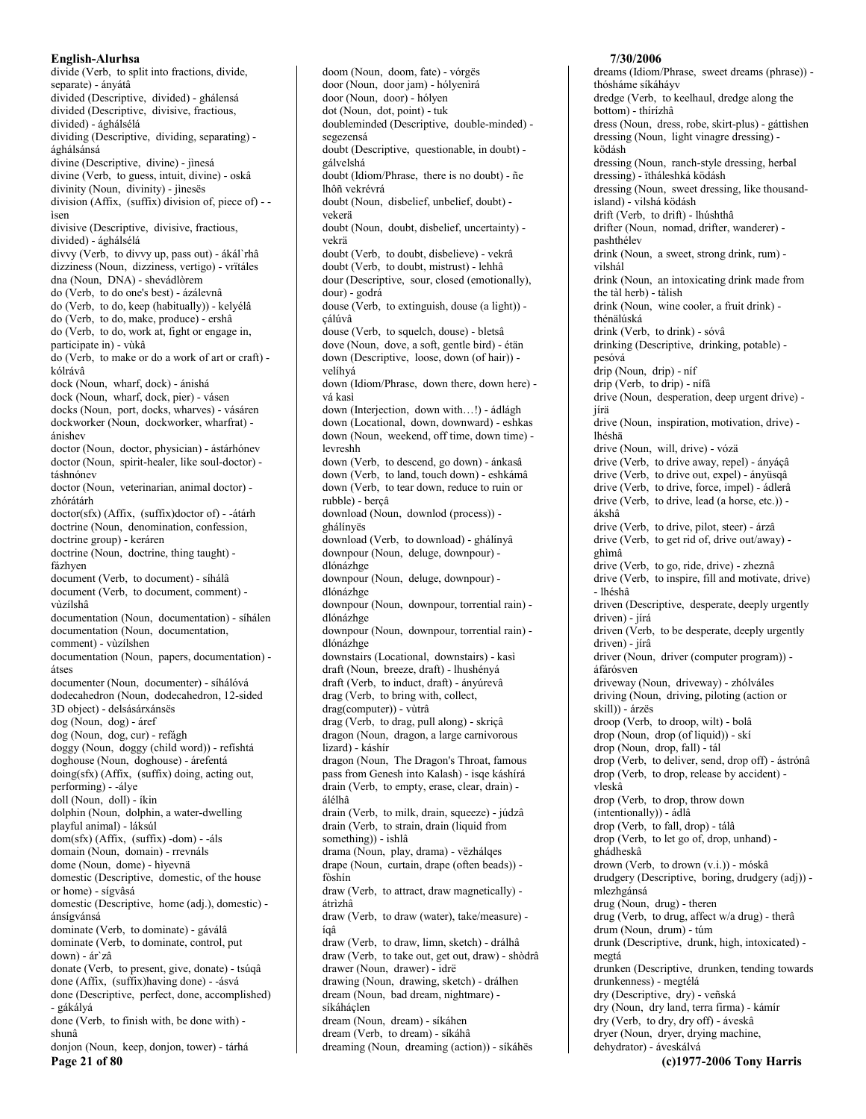divide (Verb, to split into fractions, divide, separate) - ányátâ divided (Descriptive, divided) - ghálensá divided (Descriptive, divisive, fractious, divided) - ághálsélá dividing (Descriptive, dividing, separating) ághálsánsá divine (Descriptive, divine) - jìnesá divine (Verb, to guess, intuit, divine) - oskâ divinity (Noun, divinity) - jìnesës division (Affix, (suffix) division of, piece of) -isen divisive (Descriptive, divisive, fractious, divided) - ághálsélá divvy (Verb, to divvy up, pass out) - ákál`rhâ dizziness (Noun, dizziness, vertigo) - vrïtáles dna (Noun, DNA) - shevádlòrem do (Verb, to do one's best) - ázálevnâ do (Verb, to do, keep (habitually)) - kelyélâ do (Verb, to do, make, produce) - ershâ do (Verb, to do, work at, fight or engage in, participate in) - vùkâ do (Verb, to make or do a work of art or craft) kólrávâ dock (Noun, wharf, dock) - ánishá dock (Noun, wharf, dock, pier) - vásen docks (Noun, port, docks, wharves) - vásáren dockworker (Noun, dockworker, wharfrat) ánishev doctor (Noun, doctor, physician) - ástárhónev doctor (Noun, spirit-healer, like soul-doctor) táshnónev doctor (Noun, veterinarian, animal doctor) zhórátárh doctor(sfx) (Affix, (suffix)doctor of) - - átárh doctrine (Noun, denomination, confession, doctrine group) - keráren doctrine (Noun, doctrine, thing taught) fázhven document (Verb, to document) - síhálâ document (Verb, to document, comment) vùzílshâ documentation (Noun, documentation) - síhálen documentation (Noun, documentation, comment) - vùzílshen documentation (Noun, papers, documentation) átses documenter (Noun, documenter) - síhálóvá dodecahedron (Noun, dodecahedron, 12-sided 3D object) - delsásárxánsës dog (Noun, dog) - áref dog (Noun, dog, cur) - refágh doggy (Noun, doggy (child word)) - refishtá doghouse (Noun, doghouse) - árefentá doing(sfx) (Affix, (suffix) doing, acting out, performing) - - álye doll (Noun, doll) - íkin dolphin (Noun, dolphin, a water-dwelling playful animal) - láksúl dom(sfx) (Affix, (suffix) -dom) - - als domain (Noun, domain) - rrevnáls dome (Noun, dome) - hìyevnä domestic (Descriptive, domestic, of the house or home) - sígvâsá domestic (Descriptive, home (adj.), domestic) ánsígvánsá dominate (Verb, to dominate) - gáválâ dominate (Verb, to dominate, control, put down) - ár`zâ donate (Verb, to present, give, donate) - tsúqâ done (Affix, (suffix) having done) - - ásvá done (Descriptive, perfect, done, accomplished) - gákályá done (Verb, to finish with, be done with) shunâ donjon (Noun, keep, donjon, tower) - tárhá Page 21 of 80

doom (Noun, doom, fate) - vórgës door (Noun, door jam) - hólyenìrá door (Noun, door) - hólyen dot (Noun, dot, point) - tuk doubleminded (Descriptive, double-minded) segezensá doubt (Descriptive, questionable, in doubt) gálvelshá doubt (Idiom/Phrase, there is no doubt) - ñe lhôñ vekrévrá doubt (Noun, disbelief, unbelief, doubt) vekerä doubt (Noun, doubt, disbelief, uncertainty) vekrä doubt (Verb, to doubt, disbelieve) - vekrâ doubt (Verb, to doubt, mistrust) - lehhâ dour (Descriptive, sour, closed (emotionally), dour) - godrá douse (Verb, to extinguish, douse (a light)) cálúvâ douse (Verb, to squelch, douse) - bletsâ dove (Noun, dove, a soft, gentle bird) - étän down (Descriptive, loose, down (of hair)) velíhvá down (Idiom/Phrase, down there, down here) vá kasi down (Interjection, down with...!) - ádlágh down (Locational, down, downward) - eshkas down (Noun, weekend, off time, down time) levreshh down (Verb, to descend, go down) - ánkasâ down (Verb, to land, touch down) - eshkámâ down (Verb, to tear down, reduce to ruin or rubble) - berçâ download (Noun, downlod (process)) ghálínyës download (Verb, to download) - ghálínyâ downpour (Noun, deluge, downpour) dlónázhge downpour (Noun, deluge, downpour) dlónázhge downpour (Noun, downpour, torrential rain) dlónázhge downpour (Noun, downpour, torrential rain) dlónázhge downstairs (Locational, downstairs) - kasì draft (Noun, breeze, draft) - lhushényá draft (Verb, to induct, draft) - ányúrevâ drag (Verb, to bring with, collect, drag(computer)) - vùtrâ drag (Verb, to drag, pull along) - skriçâ dragon (Noun, dragon, a large carnivorous lizard) - káshír dragon (Noun, The Dragon's Throat, famous pass from Genesh into Kalash) - isqe káshírá drain (Verb, to empty, erase, clear, drain) álélhâ drain (Verb, to milk, drain, squeeze) - júdzâ drain (Verb, to strain, drain (liquid from something)) - ishlâ drama (Noun, play, drama) - vëzhálqes drape (Noun, curtain, drape (often beads)) fòshín draw (Verb, to attract, draw magnetically) átrìzhâ draw (Verb, to draw (water), take/measure) ígâ draw (Verb, to draw, limn, sketch) - drálhâ draw (Verb, to take out, get out, draw) - shòdrâ drawer (Noun, drawer) - idrë drawing (Noun, drawing, sketch) - drálhen dream (Noun, bad dream, nightmare) síkáháclen dream (Noun, dream) - síkáhen dream (Verb, to dream) - síkáhâ dreaming (Noun, dreaming (action)) - síkáhës

#### 7/30/2006

dreams (Idiom/Phrase, sweet dreams (phrase)) thósháme síkáháyv dredge (Verb, to keelhaul, dredge along the bottom) - thírízhâ dress (Noun, dress, robe, skirt-plus) - gáttìshen dressing (Noun, light vinagre dressing) ködásh dressing (Noun, ranch-style dressing, herbal dressing) - ïtháleshká ködásh dressing (Noun, sweet dressing, like thousandisland) - vilshá ködásh drift (Verb, to drift) - lhúshthâ drifter (Noun, nomad, drifter, wanderer) pashthélev drink (Noun, a sweet, strong drink, rum) vilshál drink (Noun, an intoxicating drink made from the tàl herb) - tàlish drink (Noun, wine cooler, a fruit drink) thénälúská drink (Verb, to drink) - sóvâ drinking (Descriptive, drinking, potable) pesóvá drip (Noun, drip) - níf drip (Verb, to drip) - nífâ drive (Noun, desperation, deep urgent drive) iírä drive (Noun, inspiration, motivation, drive) lhéshä drive (Noun, will, drive) - vózä drive (Verb. to drive away, repel) - ányácâ drive (Verb, to drive out, expel) - ányüsqâ drive (Verb, to drive, force, impel) - ádlerâ drive (Verb, to drive, lead (a horse, etc.)) ákshâ drive (Verb, to drive, pilot, steer) - árzâ drive (Verb, to get rid of, drive out/away) ghìmâ drive (Verb, to go, ride, drive) - zheznâ drive (Verb, to inspire, fill and motivate, drive) - lhéshâ driven (Descriptive, desperate, deeply urgently driven) - jírá driven (Verb, to be desperate, deeply urgently driven) - jírâ driver (Noun, driver (computer program)) áfárósven driveway (Noun, driveway) - zhólváles driving (Noun, driving, piloting (action or skill)) - árzës droop (Verb, to droop, wilt) - bolâ drop (Noun, drop (of liquid)) - skí drop (Noun, drop, fall) - tál drop (Verb, to deliver, send, drop off) - ástrónâ drop (Verb, to drop, release by accident) vleskâ drop (Verb, to drop, throw down (intentionally)) - ádlâ drop (Verb, to fall, drop) - tálâ drop (Verb, to let go of, drop, unhand) ghádheskâ drown (Verb, to drown (v.i.)) - móskâ drudgery (Descriptive, boring, drudgery (adj)) mlezhgánsá drug (Noun, drug) - theren drug (Verb, to drug, affect w/a drug) - therâ drum (Noun. drum) - túm drunk (Descriptive, drunk, high, intoxicated) megtá drunken (Descriptive, drunken, tending towards drunkenness) - megtélá dry (Descriptive, dry) - veñská dry (Noun, dry land, terra firma) - kámír dry (Verb, to dry, dry off) - áveskâ dryer (Noun, dryer, drying machine, dehydrator) - áveskálvá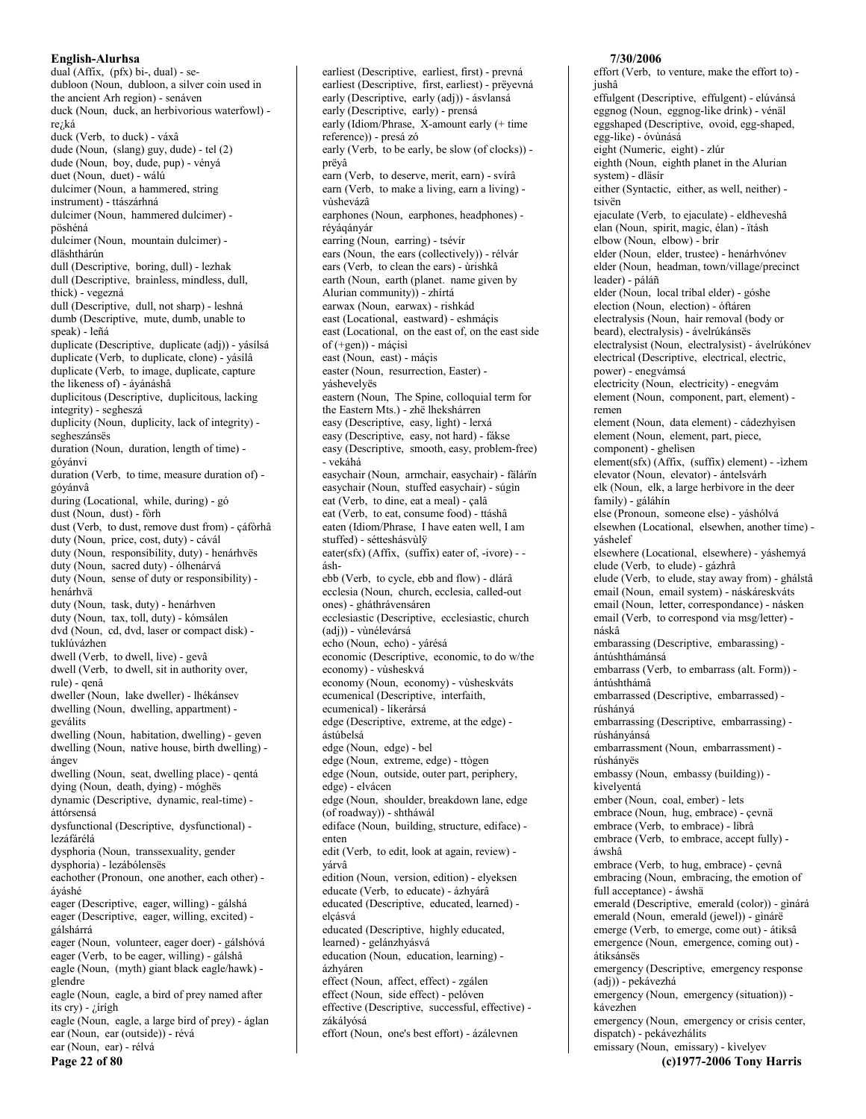dual (Affix, (pfx) bi-, dual) - sedubloon (Noun, dubloon, a silver coin used in the ancient Arh region) - senáven duck (Noun, duck, an herbivorious waterfowl) rezká duck (Verb, to duck) - váxâ dude (Noun, (slang) guy, dude) - tel (2) dude (Noun, boy, dude, pup) - vényá duet (Noun, duet) - wálú dulcimer (Noun, a hammered, string instrument) - ttászárhná dulcimer (Noun, hammered dulcimer) pöshéná dulcimer (Noun, mountain dulcimer) dläshthárún dull (Descriptive, boring, dull) - lezhak dull (Descriptive, brainless, mindless, dull, thick) - vegezná dull (Descriptive, dull, not sharp) - leshná dumb (Descriptive, mute dumb unable to speak) - leñá duplicate (Descriptive, duplicate (adj)) - yásílsá duplicate (Verb, to duplicate, clone) - yásílâ duplicate (Verb, to image, duplicate, capture the likeness of) - áyánáshâ duplicitous (Descriptive, duplicitous, lacking integrity) - segheszá duplicity (Noun, duplicity, lack of integrity) segheszánsës duration (Noun, duration, length of time) góvánvi duration (Verb, to time, measure duration of) góyánvâ during (Locational, while, during) - gó dust (Noun, dust) - fòrh dust (Verb, to dust, remove dust from) - çáfòrhâ duty (Noun, price, cost, duty) - cávál duty (Noun, responsibility, duty) - henárhvës duty (Noun, sacred duty) - ólhenárvá duty (Noun, sense of duty or responsibility) henárhvä duty (Noun, task, duty) - henárhven duty (Noun, tax, toll, duty) - kómsálen dvd (Noun, cd, dvd, laser or compact disk) tuklúvázhen dwell (Verb, to dwell, live) - gevâ dwell (Verb, to dwell, sit in authority over, rule) - qenâ dweller (Noun, lake dweller) - lhékánsev dwelling (Noun, dwelling, appartment) geválits dwelling (Noun, habitation, dwelling) - geven dwelling (Noun, native house, birth dwelling) ángev dwelling (Noun, seat, dwelling place) - qentá dying (Noun, death, dying) - móghës dynamic (Descriptive, dynamic, real-time) áttórsensá dysfunctional (Descriptive, dysfunctional) lezáfárélá dysphoria (Noun, transsexuality, gender dysphoria) - lezábólensës eachother (Pronoun, one another, each other) áyáshé eager (Descriptive, eager, willing) - gálshá eager (Descriptive, eager, willing, excited) gálshárrá eager (Noun, volunteer, eager doer) - gálshóvá eager (Verb, to be eager, willing) - gálshâ eagle (Noun, (myth) giant black eagle/hawk) glendre eagle (Noun, eagle, a bird of prey named after its cry) -  $\zeta$ írígh eagle (Noun, eagle, a large bird of prey) - áglan ear (Noun, ear (outside)) - révá ear (Noun, ear) - rélvá Page 22 of 80

earliest (Descriptive, earliest, first) - prevná earliest (Descriptive, first, earliest) - prëyevná early (Descriptive, early (adj)) - ásvlansá early (Descriptive, early) - prensá early (Idiom/Phrase,  $X$ -amount early (+ time reference)) - presá zó early (Verb, to be early, be slow (of clocks)) prëyâ earn (Verb, to deserve, merit, earn) - svírâ earn (Verb, to make a living, earn a living) vùshevázâ earphones (Noun, earphones, headphones) réyáqányár earring (Noun, earring) - tsévír ears (Noun, the ears (collectively)) - rélvár ears (Verb, to clean the ears) - ùrishkâ earth (Noun, earth (planet. name given by Alurian community)) - zhírtá earwax (Noun, earwax) - rishkád east (Locational, eastward) - eshmáçis east (Locational, on the east of, on the east side  $of$  (+gen)) - máçisì east (Noun, east) - máçis easter (Noun, resurrection, Easter) váshevelyës eastern (Noun, The Spine, colloquial term for the Eastern Mts.) - zhë lhekshárren easy (Descriptive, easy, light) - lerxá easy (Descriptive, easy, not hard) - fákse easy (Descriptive, smooth, easy, problem-free) - vekáhá easychair (Noun, armchair, easychair) - fälárïn easychair (Noun, stuffed easychair) - súgìn eat (Verb, to dine, eat a meal) - calâ eat (Verb, to eat, consume food) - ttáshâ eaten (Idiom/Phrase, I have eaten well, I am stuffed) - sétteshásvùlÿ  $\text{eater(sfx)}$  (Affix, (suffix) eater of, -ivore) - áshebb (Verb. to cycle, ebb and flow) - dlárâ ecclesia (Noun, church, ecclesia, called-out ones) - gháthrávensáren ecclesiastic (Descriptive, ecclesiastic, church (adj)) - vùnélevársá echo (Noun, echo) - yárésá economic (Descriptive, economic, to do w/the economy) - vùsheskvá economy (Noun, economy) - vùsheskváts ecumenical (Descriptive, interfaith, ecumenical) - líkerársá edge (Descriptive, extreme, at the edge) ástúbelsá edge (Noun, edge) - bel edge (Noun, extreme, edge) - ttògen edge (Noun, outside, outer part, periphery, edge) - elvácen edge (Noun, shoulder, breakdown lane, edge (of roadway)) - shtháwál ediface (Noun, building, structure, ediface) enten edit (Verb, to edit, look at again, review) yárvâ edition (Noun, version, edition) - elyeksen educate (Verb, to educate) - ázhyárâ educated (Descriptive, educated, learned) elçásvá educated (Descriptive, highly educated, learned) - gelánzhyásvá education (Noun, education, learning) ázhyáren effect (Noun, affect, effect) - zgálen effect (Noun, side effect) - pelóven effective (Descriptive, successful, effective) zákályósá

effort (Noun, one's best effort) - ázálevnen

#### 7/30/2006

effort (Verb, to venture, make the effort to) jushâ effulgent (Descriptive, effulgent) - elúvánsá eggnog (Noun, eggnog-like drink) - vénäl eggshaped (Descriptive, ovoid, egg-shaped, egg-like) - óvùnásá eight (Numeric, eight) - zlúr eighth (Noun, eighth planet in the Alurian system) - dläsír either (Syntactic, either, as well, neither) tsivën ejaculate (Verb, to ejaculate) - eldheveshâ elan (Noun, spirit, magic, élan) - ïtásh elbow (Noun, elbow) - brír elder (Noun, elder, trustee) - henárhvónev elder (Noun, headman, town/village/precinct leader) - páláñ elder (Noun, local tribal elder) - góshe election (Noun, election) - óftáren electralysis (Noun, hair removal (body or beard), electralysis) - ávelrúkánsës electralysist (Noun, electralysist) - ávelrúkónev electrical (Descriptive, electrical, electric, power) - enegyámsá electricity (Noun, electricity) - enegvám element (Noun, component, part, element) remen element (Noun, data element) - cádezhyìsen element (Noun, element, part, piece, component) - ghelisen element(sfx) (Affix, (suffix) element) - - izhem elevator (Noun, elevator) - ántelsvárh elk (Noun, elk, a large herbivore in the deer family) - gáláhín else (Pronoun, someone else) - yáshólvá elsewhen (Locational, elsewhen, another time) yáshelef elsewhere (Locational, elsewhere) - váshemyá elude (Verb, to elude) - gázhrâ elude (Verb, to elude, stay away from) - ghálstâ email (Noun, email system) - náskáreskváts email (Noun, letter, correspondance) - násken email (Verb, to correspond via msg/letter) náskâ embarassing (Descriptive, embarassing) ántúshthámánsá embarrass (Verb, to embarrass (alt. Form)) ántúshthámâ embarrassed (Descriptive, embarrassed) rúshányá embarrassing (Descriptive, embarrassing) rúshányánsá embarrassment (Noun, embarrassment) rúshányës embassy (Noun, embassy (building)) kìvelyentá ember (Noun, coal, ember) - lets embrace (Noun, hug, embrace) - çevnä embrace (Verb, to embrace) - líbrâ embrace (Verb, to embrace, accept fully) áwshâ embrace (Verb, to hug, embrace) - çevnâ embracing (Noun, embracing, the emotion of full acceptance) - áwshä emerald (Descriptive, emerald (color)) - gìnárá emerald (Noun, emerald (jewel)) - ginárë emerge (Verb, to emerge, come out) - átiksâ emergence (Noun, emergence, coming out) átiksánsës emergency (Descriptive, emergency response (adj)) - pekávezhá emergency (Noun, emergency (situation)) kávezhen emergency (Noun, emergency or crisis center, dispatch) - pekávezhálits emissary (Noun, emissary) - kìvelyev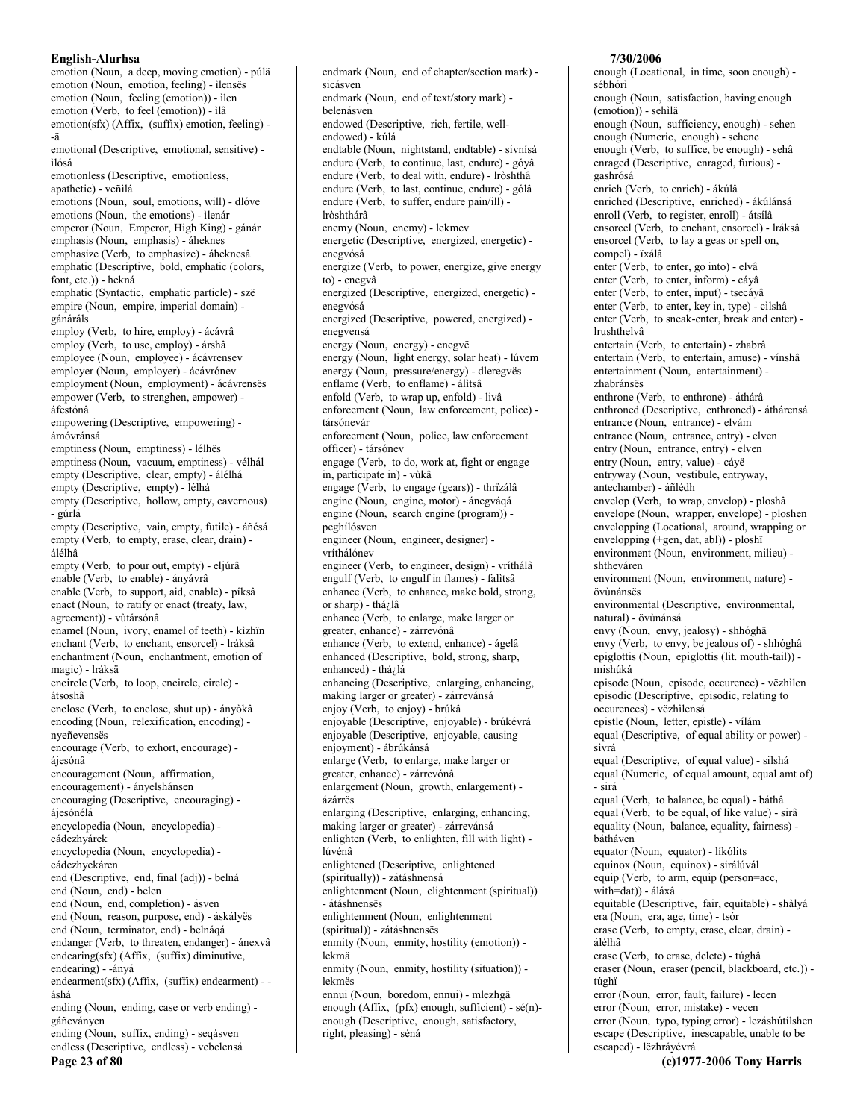emotion (Noun, a deep, moving emotion) - púlä emotion (Noun, emotion, feeling) - ìlensës emotion (Noun, feeling (emotion)) - ilen emotion (Verb, to feel (emotion)) - ilâ  $emotion(sfx) (Affix, (suffix) emotion, feeling) -$ -ä emotional (Descriptive, emotional, sensitive) ìlósá emotionless (Descriptive, emotionless, apathetic) - veñilá emotions (Noun, soul, emotions, will) - dlóve emotions (Noun, the emotions) - ilenár emperor (Noun, Emperor, High King) - gánár emphasis (Noun, emphasis) - áheknes emphasize (Verb, to emphasize) - áheknesâ emphatic (Descriptive, bold, emphatic (colors, font, etc.)) - hekná emphatic (Syntactic, emphatic particle) - szë empire (Noun, empire, imperial domain) gánáráls employ (Verb, to hire, employ) - ácávrâ employ (Verb, to use, employ) - árshâ employee (Noun, employee) - ácávrensev employer (Noun, employer) - ácávrónev employment (Noun, employment) - ácávrensës empower (Verb, to strenghen, empower) áfestónâ empowering (Descriptive, empowering) ámóvránsá emptiness (Noun, emptiness) - lélhës emptiness (Noun, vacuum, emptiness) - vélhál empty (Descriptive, clear, empty) - álélhá empty (Descriptive, empty) - lélhá empty (Descriptive, hollow, empty, cavernous) - gúrlá empty (Descriptive, vain, empty, futile) - áñésá empty (Verb, to empty, erase, clear, drain) álélhâ empty (Verb, to pour out, empty) - eljúrâ enable (Verb. to enable) - ánvávrâ enable (Verb, to support, aid, enable) - píksâ enact (Noun, to ratify or enact (treaty, law, agreement)) - vùtársónâ enamel (Noun, ivory, enamel of teeth) - kìzhïn enchant (Verb, to enchant, ensorcel) - Iráksâ enchantment (Noun, enchantment, emotion of magic) - Iráksä encircle (Verb, to loop, encircle, circle) átsoshâ enclose (Verb, to enclose, shut up) - ányòkâ encoding (Noun, relexification, encoding) nyeñevensës encourage (Verb, to exhort, encourage) ájesónâ encouragement (Noun, affirmation, encouragement) - ányelshánsen encouraging (Descriptive, encouraging) ájesónélá encyclopedia (Noun, encyclopedia) cádezhyárek encyclopedia (Noun, encyclopedia) cádezhyekáren end (Descriptive, end, final (adj)) - belná end (Noun, end) - belen end (Noun, end, completion) - ásven end (Noun, reason, purpose, end) - áskályës end (Noun, terminator, end) - belnáqá endanger (Verb, to threaten, endanger) - ánexvâ endearing(sfx) (Affix, (suffix) diminutive, endearing) - -ányá  $endearment(sfx)$  (Affix, (suffix) endearment) - áshá ending (Noun, ending, case or verb ending) gáñeványen ending (Noun, suffix, ending) - segásven endless (Descriptive, endless) - vebelensá Page 23 of 80

endmark (Noun, end of chapter/section mark) sicásven endmark (Noun, end of text/story mark) belenásven endowed (Descriptive, rich, fertile, wellendowed) - kúlá endtable (Noun, nightstand, endtable) - sívnísá endure (Verb, to continue, last, endure) - góyâ endure (Verb. to deal with, endure) - lròshthâ endure (Verb, to last, continue, endure) - gólâ endure (Verb, to suffer, endure pain/ill) lròshthárâ enemy (Noun, enemy) - lekmev energetic (Descriptive, energized, energetic) enegvósá energize (Verb, to power, energize, give energy to) - enegvâ energized (Descriptive, energized, energetic) enegvósá energized (Descriptive, powered, energized) enegvensá energy (Noun, energy) - enegvë energy (Noun, light energy, solar heat) - lúvem energy (Noun, pressure/energy) - dleregyës enflame (Verb, to enflame) - álitsâ enfold (Verb, to wrap up, enfold) - livâ enforcement (Noun, law enforcement, police) társónevár enforcement (Noun, police, law enforcement officer) - társónev engage (Verb, to do, work at, fight or engage in, participate in) - vùkâ engage (Verb, to engage (gears)) - thrïzálâ engine (Noun, engine, motor) - ánegvágá engine (Noun, search engine (program)) peghílósven engineer (Noun, engineer, designer) vríthálónev engineer (Verb, to engineer, design) - vríthálâ engulf (Verb, to engulf in flames) - falitsâ enhance (Verb, to enhance, make bold, strong, or sharp) - thá¿lâ enhance (Verb, to enlarge, make larger or greater, enhance) - zárrevónâ enhance (Verb, to extend, enhance) - ágelâ enhanced (Descriptive, bold, strong, sharp, enhanced) - thá¿lá enhancing (Descriptive, enlarging, enhancing, making larger or greater) - zárrevánsá enjoy (Verb, to enjoy) - brúkâ enjoyable (Descriptive, enjoyable) - brúkévrá enjoyable (Descriptive, enjoyable, causing enjoyment) - ábrúkánsá enlarge (Verb, to enlarge, make larger or greater, enhance) - zárrevónâ enlargement (Noun, growth, enlargement) ázárrës enlarging (Descriptive, enlarging, enhancing, making larger or greater) - zárrevánsá enlighten (Verb, to enlighten, fill with light) lúvénâ enlightened (Descriptive, enlightened (spiritually)) - zátáshnensá enlightenment (Noun, elightenment (spiritual)) - átáshnensës enlightenment (Noun, enlightenment (spiritual)) - zátáshnensës enmity (Noun, enmity, hostility (emotion)) lekmä enmity (Noun, enmity, hostility (situation)) lekmës ennui (Noun, boredom, ennui) - mlezhgä enough (Affix, (pfx) enough, sufficient) - sé(n)enough (Descriptive, enough, satisfactory, right, pleasing) - séná

## 7/30/2006

enough (Locational, in time, soon enough) sébhórì enough (Noun, satisfaction, having enough (emotion)) - sehìlä enough (Noun, sufficiency, enough) - sehen enough (Numeric, enough) - sehene enough (Verb, to suffice, be enough) - sehâ enraged (Descriptive, enraged, furious) gashrósá enrich (Verb, to enrich) - ákúlâ enriched (Descriptive, enriched) - ákúlánsá enroll (Verb, to register, enroll) - átsílâ ensorcel (Verb, to enchant, ensorcel) - Iráksâ ensorcel (Verb, to lay a geas or spell on, compel) - ïxálâ enter (Verb, to enter, go into) - elvâ enter (Verb, to enter, inform) - cáyâ enter (Verb, to enter, input) - tsecáyâ enter (Verb, to enter, key in, type) - cìlshâ enter (Verb, to sneak-enter, break and enter) lrushthelvâ entertain (Verb, to entertain) - zhabrâ entertain (Verb, to entertain, amuse) - vínshâ entertainment (Noun, entertainment) zhabránsës enthrone (Verb, to enthrone) - áthárâ enthroned (Descriptive, enthroned) - áthárensá entrance (Noun, entrance) - elvám entrance (Noun, entrance, entry) - elven entry (Noun, entrance, entry) - elven entry (Noun, entry, value) - cáyë entryway (Noun, vestibule, entryway, antechamber) - áñlédh envelop (Verb, to wrap, envelop) - ploshâ envelope (Noun, wrapper, envelope) - ploshen envelopping (Locational, around, wrapping or envelopping (+gen, dat, abl)) - ploshï environment (Noun, environment, milieu) shtheváren environment (Noun, environment, nature) övùnánsës environmental (Descriptive, environmental, natural) - övùnánsá envy (Noun, envy, jealosy) - shhóghä envy (Verb, to envy, be jealous of) - shhóghâ epiglottis (Noun, epiglottis (lit. mouth-tail)) mishúká episode (Noun, episode, occurence) - vëzhilen episodic (Descriptive, episodic, relating to occurences) - vëzhilensá epistle (Noun, letter, epistle) - vílám equal (Descriptive, of equal ability or power) sivrá equal (Descriptive, of equal value) - silshá equal (Numeric, of equal amount, equal amt of) - sirá equal (Verb, to balance, be equal) - báthâ equal (Verb, to be equal, of like value) - sirâ equality (Noun, balance, equality, fairness) bátháven equator (Noun, equator) - líkólits equinox (Noun, equinox) - sirálúvál equip (Verb, to arm, equip (person=acc, with=dat)) - áláxâ equitable (Descriptive, fair, equitable) - shàlyá era (Noun, era, age, time) - tsór erase (Verb, to empty, erase, clear, drain) álélhâ erase (Verb, to erase, delete) - túghâ eraser (Noun, eraser (pencil, blackboard, etc.)) túghï error (Noun, error, fault, failure) - lecen error (Noun, error, mistake) - vecen error (Noun, typo, typing error) - lezáshútílshen escape (Descriptive, inescapable, unable to be

escaped) - lëzhráyévrá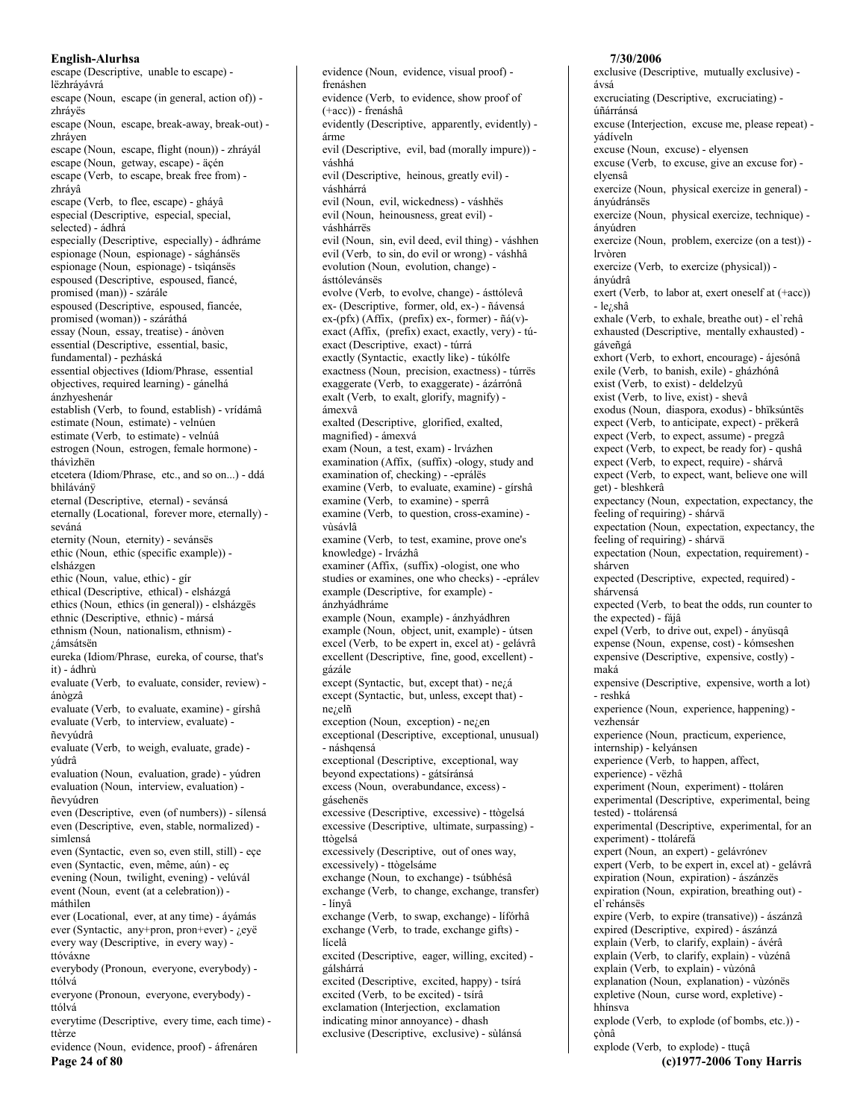escape (Descriptive, unable to escape) lëzhráyávrá escape (Noun, escape (in general, action of)) zhráyës escape (Noun, escape, break-away, break-out) zhráven escape (Noun, escape, flight (noun)) - zhrávál escape (Noun, getway, escape) - äçén escape (Verb, to escape, break free from) zhráyâ escape (Verb, to flee, escape) - gháyâ especial (Descriptive, especial, special, selected) - ádhrá especially (Descriptive, especially) - ádhráme espionage (Noun, espionage) - sághánsës espionage (Noun, espionage) - tsigánses espoused (Descriptive, espoused, fiancé, promised (man)) - szárále espoused (Descriptive, espoused, fiancée, promised (woman)) - száráthá essay (Noun, essay, treatise) - ánòven essential (Descriptive, essential, basic, fundamental) - pezháská essential objectives (Idiom/Phrase, essential objectives, required learning) - gánelhá ánzhveshenár establish (Verb, to found, establish) - vrídámâ estimate (Noun, estimate) - velnúen estimate (Verb, to estimate) - velnúâ estrogen (Noun, estrogen, female hormone) thávìzhën etcetera (Idiom/Phrase, etc., and so on...) - ddá bhìlávánÿ eternal (Descriptive, eternal) - sevánsá eternally (Locational, forever more, eternally) seváná eternity (Noun, eternity) - sevánsës ethic (Noun, ethic (specific example)) elsházgen ethic (Noun, value, ethic) - gir ethical (Descriptive, ethical) - elsházgá ethics (Noun, ethics (in general)) - elsházgës ethnic (Descriptive, ethnic) - mársá ethnism (Noun, nationalism, ethnism) -¿ámsátsen eureka (Idiom/Phrase, eureka, of course, that's it) - ádhrù evaluate (Verb, to evaluate, consider, review) ánògzâ evaluate (Verb, to evaluate, examine) - gírshâ evaluate (Verb, to interview, evaluate) ñevvúdrâ evaluate (Verb, to weigh, evaluate, grade) vúdrâ evaluation (Noun, evaluation, grade) - yúdren evaluation (Noun, interview, evaluation) ñevyúdren even (Descriptive, even (of numbers)) - sílensá even (Descriptive, even, stable, normalized) simlensá even (Syntactic, even so, even still, still) - ece even (Syntactic, even, même, aún) - eç evening (Noun, twilight, evening) - velúvál event (Noun, event (at a celebration)) máthìlen ever (Locational, ever, at any time) - áyámás ever (Syntactic, any+pron, pron+ever) - ¿eyë every way (Descriptive, in every way) ttóváxne everybody (Pronoun, everyone, everybody) ttólvá everyone (Pronoun, everyone, everybody) ttólvá everytime (Descriptive, every time, each time) ttèrze

evidence (Noun, evidence, proof) - áfrenáren Page 24 of 80

evidence (Noun, evidence, visual proof) frenáshen evidence (Verb, to evidence, show proof of (+acc)) - frenáshâ evidently (Descriptive, apparently, evidently) árme evil (Descriptive, evil, bad (morally impure)) váshhá evil (Descriptive, heinous, greatly evil) váshhárrá evil (Noun, evil, wickedness) - váshhës evil (Noun, heinousness, great evil) váshhárrës evil (Noun, sin, evil deed, evil thing) - váshhen evil (Verb, to sin, do evil or wrong) - váshhâ evolution (Noun, evolution, change) ásttólevánsës evolve (Verb, to evolve, change) - ásttólevâ ex- (Descriptive, former, old, ex-) - ñávensá  $ex-(pfx)$  (Affix, (prefix) ex-, former) -  $ñá(v)$ exact (Affix, (prefix) exact, exactly, very) - túexact (Descriptive, exact) - túrrá exactly (Syntactic, exactly like) - túkólfe exactness (Noun, precision, exactness) - túrrës exaggerate (Verb, to exaggerate) - ázárrónâ exalt (Verb, to exalt, glorify, magnify) ámexvâ exalted (Descriptive, glorified, exalted, magnified) - ámexvá exam (Noun, a test, exam) - lrvázhen examination (Affix, (suffix) -ology, study and examination of, checking) - -eprálës examine (Verb, to evaluate, examine) - gírshâ examine (Verb, to examine) - sperrâ examine (Verb, to question, cross-examine) vùsávlâ examine (Verb, to test, examine, prove one's knowledge) - lrvázhâ examiner (Affix, (suffix) -ologist, one who studies or examines, one who checks) - -eprálev example (Descriptive, for example) ánzhyádhráme example (Noun, example) - ánzhyádhren example (Noun, object, unit, example) - útsen excel (Verb, to be expert in, excel at) - gelávrâ excellent (Descriptive, fine, good, excellent) gázále except (Syntactic, but, except that) - nezá except (Syntactic, but, unless, except that)  $ne$ <sub>i</sub>,elñ exception (Noun, exception) - ne¿en exceptional (Descriptive, exceptional, unusual) - náshqensá exceptional (Descriptive, exceptional, way beyond expectations) - gátsíránsá excess (Noun, overabundance, excess) gásehenës excessive (Descriptive, excessive) - ttògelsá excessive (Descriptive, ultimate, surpassing) ttògelsá excessively (Descriptive, out of ones way, excessively) - ttògelsáme exchange (Noun, to exchange) - tsúbhésâ exchange (Verb, to change, exchange, transfer) - línyâ exchange (Verb, to swap, exchange) - lífórhâ exchange (Verb, to trade, exchange gifts) lícelâ excited (Descriptive, eager, willing, excited) gálshárrá excited (Descriptive, excited, happy) - tsírá excited (Verb, to be excited) - tsírâ exclamation (Interjection, exclamation indicating minor annoyance) - dhash exclusive (Descriptive, exclusive) - sùlánsá

## 7/30/2006 exclusive (Descriptive, mutually exclusive) ávsá excruciating (Descriptive, excruciating) úñárránsá excuse (Interjection, excuse me, please repeat) yádíveln excuse (Noun, excuse) - elyensen excuse (Verb, to excuse, give an excuse for) elvensâ exercize (Noun, physical exercize in general) ányúdránsës exercize (Noun, physical exercize, technique) ányúdren exercize (Noun, problem, exercize (on a test)) lrvòren exercize (Verb. to exercize (physical)) ányúdrâ exert (Verb, to labor at, exert oneself at (+acc)) - lezshâ exhale (Verb, to exhale, breathe out) - el'rehâ exhausted (Descriptive, mentally exhausted) gáveñgá exhort (Verb, to exhort, encourage) - ájesónâ exile (Verb, to banish, exile) - gházhónâ exist (Verb, to exist) - deldelzyû exist (Verb, to live, exist) - shevâ exodus (Noun, diaspora, exodus) - bhïksúntës expect (Verb, to anticipate, expect) - prëkerâ expect (Verb, to expect, assume) - pregzâ expect (Verb, to expect, be ready for) - qushâ expect (Verb, to expect, require) - shárvâ expect (Verb, to expect, want, believe one will get) - bleshkerâ expectancy (Noun, expectation, expectancy, the feeling of requiring) - shárvä expectation (Noun, expectation, expectancy, the feeling of requiring) - shárvä expectation (Noun, expectation, requirement) shárven expected (Descriptive, expected, required) shárvensá expected (Verb, to beat the odds, run counter to the expected) - fájâ expel (Verb, to drive out, expel) - ányüsqâ expense (Noun, expense, cost) - kómseshen expensive (Descriptive, expensive, costly) maká expensive (Descriptive, expensive, worth a lot) - reshká experience (Noun, experience, happening) vezhensár experience (Noun, practicum, experience, internship) - kelyánsen

experience (Verb, to happen, affect,

experience) - vëzhâ

experiment (Noun, experiment) - ttoláren experimental (Descriptive, experimental, being tested) - ttolárensá

experimental (Descriptive, experimental, for an experiment) - ttolárefá

expert (Noun, an expert) - gelávrónev

expert (Verb, to be expert in, excel at) - gelávrâ expiration (Noun, expiration) - ászánzës expiration (Noun, expiration, breathing out) -

el rehánsës

expire (Verb, to expire (transative)) - ászánzâ expired (Descriptive, expired) - ászánzá explain (Verb, to clarify, explain) - ávérâ explain (Verb, to clarify, explain) - vùzénâ explain (Verb, to explain) - vùzónâ explanation (Noun, explanation) - vùzónës expletive (Noun, curse word, expletive) hhínsva

explode (Verb, to explode (of bombs, etc.)) çònâ

explode (Verb, to explode) - ttuçâ (c)1977-2006 Tony Harris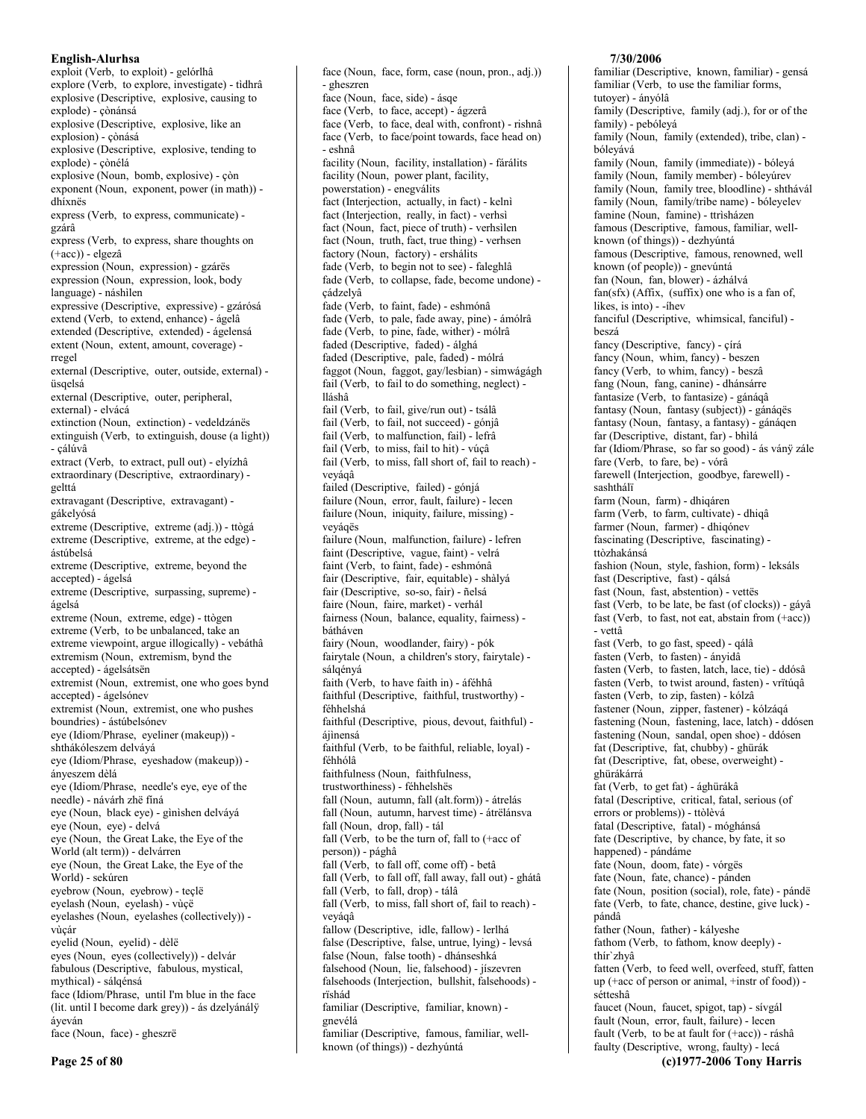English-Alurhsa exploit (Verb, to exploit) - gelórlhâ explore (Verb, to explore, investigate) - tìdhrâ explosive (Descriptive, explosive, causing to explode) - çònánsá explosive (Descriptive, explosive, like an explosion) - çònásá explosive (Descriptive, explosive, tending to explode) - çònélá explosive (Noun, bomb, explosive) - çòn exponent (Noun, exponent, power (in math)) dhíxnës express (Verb, to express, communicate) gzárâ express (Verb, to express, share thoughts on  $(+acc)$ ) - elgezâ expression (Noun, expression) - gzárës expression (Noun, expression, look, body language) - náshìlen expressive (Descriptive, expressive) - gzárósá extend (Verb, to extend, enhance) - ágelâ extended (Descriptive, extended) - ágelensá extent (Noun, extent, amount, coverage) rregel external (Descriptive, outer, outside, external) üsqelsá external (Descriptive, outer, peripheral, external) - elvácá extinction (Noun, extinction) - vedeldzánës extinguish (Verb, to extinguish, douse (a light)) - çálúvâ extract (Verb, to extract, pull out) - elyízhâ extraordinary (Descriptive, extraordinary) gelttá extravagant (Descriptive, extravagant) gákelyósá extreme (Descriptive, extreme (adj.)) - ttògá extreme (Descriptive, extreme, at the edge) ástúbelsá extreme (Descriptive, extreme, beyond the accepted) - ágelsá extreme (Descriptive, surpassing, supreme) ágelsá extreme (Noun, extreme, edge) - ttògen extreme (Verb, to be unbalanced, take an extreme viewpoint, argue illogically) - vebáthâ extremism (Noun, extremism, bynd the accepted) - ágelsátsën extremist (Noun, extremist, one who goes bynd accepted) - ágelsónev extremist (Noun, extremist, one who pushes boundries) - ástúbelsónev eye (Idiom/Phrase, eyeliner (makeup)) shthákóleszem delváyá eye (Idiom/Phrase, eyeshadow (makeup)) ányeszem dèlá eye (Idiom/Phrase, needle's eye, eye of the needle) - návárh zhë fíná eye (Noun, black eye) - gìnìshen delváyá eye (Noun, eye) - delvá eye (Noun, the Great Lake, the Eye of the World (alt term)) - delvárren eye (Noun, the Great Lake, the Eye of the World) - sekúren eyebrow (Noun, eyebrow) - teçlë eyelash (Noun, eyelash) - vùçë eyelashes (Noun, eyelashes (collectively)) vùcár eyelid (Noun, eyelid) - dèlë eyes (Noun, eyes (collectively)) - delvár fabulous (Descriptive, fabulous, mystical, mythical) - sálqénsá face (Idiom/Phrase, until I'm blue in the face (lit. until I become dark grey)) - ás dzelyánálÿ áveván face (Noun, face) - gheszrë

face (Noun, face, form, case (noun, pron., adj.)) - gheszren face (Noun, face, side) - ásqe face (Verb, to face, accept) - ágzerâ face (Verb, to face, deal with, confront) - rishnâ face (Verb, to face/point towards, face head on) - eshnâ facility (Noun, facility, installation) - fárálits facility (Noun, power plant, facility, powerstation) - enegválits fact (Interjection, actually, in fact) - kelni fact (Interjection, really, in fact) - verhsì fact (Noun, fact, piece of truth) - verhsilen fact (Noun, truth, fact, true thing) - verhsen factory (Noun, factory) - ershálits fade (Verb, to begin not to see) - faleghlâ fade (Verb, to collapse, fade, become undone) çádzelyâ fade (Verb, to faint, fade) - eshmónâ fade (Verb, to pale, fade away, pine) - ámólrâ fade (Verb, to pine, fade, wither) - mólrâ faded (Descriptive, faded) - álghá faded (Descriptive, pale, faded) - mólrá faggot (Noun, faggot, gay/lesbian) - simwágágh fail (Verb, to fail to do something, neglect) lláshâ fail (Verb, to fail, give/run out) - tsálâ fail (Verb, to fail, not succeed) - gónjâ fail (Verb, to malfunction, fail) - lefrâ fail (Verb, to miss, fail to hit) - vúçâ fail (Verb, to miss, fall short of, fail to reach) veyáqâ failed (Descriptive, failed) - gónjá failure (Noun, error, fault, failure) - lecen failure (Noun, iniquity, failure, missing) vevágës failure (Noun, malfunction, failure) - lefren faint (Descriptive, vague, faint) - velrá faint (Verb, to faint, fade) - eshmónâ fair (Descriptive, fair, equitable) - shàlyá fair (Descriptive, so-so, fair) - ñelsá faire (Noun, faire, market) - verhál fairness (Noun, balance, equality, fairness) hátháven fairy (Noun, woodlander, fairy) - pók fairytale (Noun, a children's story, fairytale) sálqényá faith (Verb, to have faith in) - áféhhâ faithful (Descriptive, faithful, trustworthy) féhhelshá faithful (Descriptive, pious, devout, faithful) áiìnensá faithful (Verb, to be faithful, reliable, loyal) féhhólâ faithfulness (Noun, faithfulness, trustworthiness) - féhhelshës fall (Noun, autumn, fall (alt.form)) - átrelás fall (Noun, autumn, harvest time) - átrëlánsva fall (Noun, drop, fall) - tál fall (Verb, to be the turn of, fall to (+acc of person)) - pághâ fall (Verb, to fall off, come off) - betâ fall (Verb, to fall off, fall away, fall out) - ghátâ fall (Verb, to fall, drop) - tálâ fall (Verb, to miss, fall short of, fail to reach) veyáqâ fallow (Descriptive, idle, fallow) - lerlhá false (Descriptive, false, untrue, lying) - levsá false (Noun, false tooth) - dhánseshká falsehood (Noun, lie, falsehood) - jíszevren falsehoods (Interjection, bullshit, falsehoods) rïshád familiar (Descriptive, familiar, known) gnevélá familiar (Descriptive, famous, familiar, well-

known (of things)) - dezhyúntá

## 7/30/2006

familiar (Descriptive, known, familiar) - gensá familiar (Verb, to use the familiar forms, tutoyer) - ányólâ family (Descriptive, family (adj.), for or of the family) - pebólevá family (Noun, family (extended), tribe, clan) bóleyává family (Noun, family (immediate)) - bóleyá family (Noun, family member) - bóleyúrev family (Noun, family tree, bloodline) - shthávál family (Noun, family/tribe name) - bóleyelev famine (Noun, famine) - ttrìsházen famous (Descriptive, famous, familiar, wellknown (of things)) - dezhyúntá famous (Descriptive, famous, renowned, well known (of people)) - gnevúntá fan (Noun, fan, blower) - ázhálvá fan(sfx) (Affix, (suffix) one who is a fan of, likes, is into) - - ihev fanciful (Descriptive, whimsical, fanciful) beszá fancy (Descriptive, fancy) - círá fancy (Noun, whim, fancy) - beszen fancy (Verb, to whim, fancy) - beszâ fang (Noun, fang, canine) - dhánsárre fantasize (Verb, to fantasize) - gánáqâ fantasy (Noun, fantasy (subject)) - gánáqës fantasy (Noun, fantasy, a fantasy) - gánáqen far (Descriptive, distant, far) - bhìlá far (Idiom/Phrase, so far so good) - ás vány zále fare (Verb, to fare, be) - vórâ farewell (Interjection, goodbye, farewell) sashthálï farm (Noun. farm) - dhiqáren farm (Verb, to farm, cultivate) - dhiqâ farmer (Noun, farmer) - dhiqónev fascinating (Descriptive, fascinating) ttòzhakánsá fashion (Noun, style, fashion, form) - leksáls fast (Descriptive, fast) - qálsá fast (Noun, fast, abstention) - vettës fast (Verb, to be late, be fast (of clocks)) - gáyâ fast (Verb, to fast, not eat, abstain from  $(+acc)$ ) - vettâ fast (Verb, to go fast, speed) - qálâ fasten (Verb, to fasten) - ányidâ fasten (Verb, to fasten, latch, lace, tie) - ddósâ fasten (Verb, to twist around, fasten) - vrïtúqâ fasten (Verb, to zip, fasten) - kólzâ fastener (Noun, zipper, fastener) - kólzáqá fastening (Noun, fastening, lace, latch) - ddósen fastening (Noun, sandal, open shoe) - ddósen fat (Descriptive, fat, chubby) - ghürák fat (Descriptive, fat, obese, overweight) ghürákárrá fat (Verb, to get fat) - ághürákâ fatal (Descriptive, critical, fatal, serious (of errors or problems)) - ttòlèvá fatal (Descriptive, fatal) - móghánsá fate (Descriptive, by chance, by fate, it so happened) - pándáme fate (Noun, doom, fate) - vórgës fate (Noun, fate, chance) - pánden fate (Noun, position (social), role, fate) - pándë fate (Verb, to fate, chance, destine, give luck) pándâ father (Noun, father) - kályeshe fathom (Verb, to fathom, know deeply) thír'zhyâ fatten (Verb, to feed well, overfeed, stuff, fatten up (+acc of person or animal, +instr of food)) sétteshâ faucet (Noun, faucet, spigot, tap) - sívgál fault (Noun, error, fault, failure) - lecen fault (Verb, to be at fault for (+acc)) - ráshâ

faulty (Descriptive, wrong, faulty) - lecá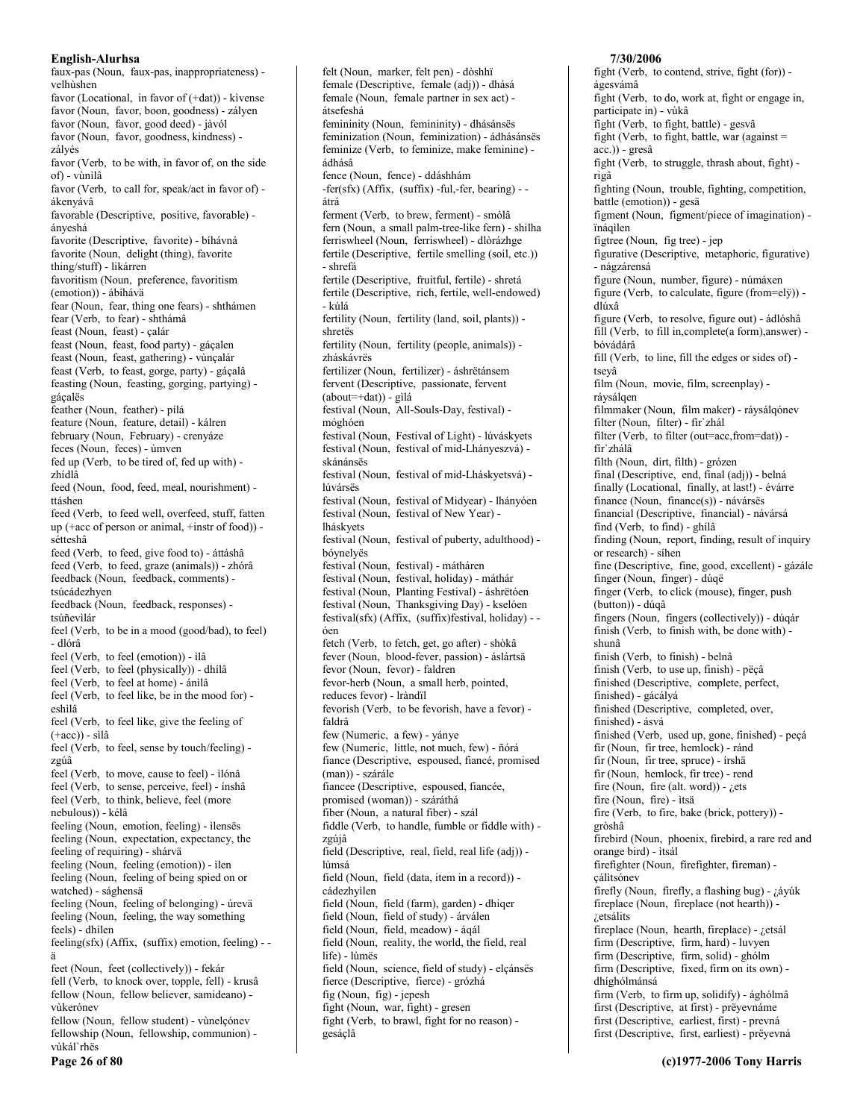faux-pas (Noun, faux-pas, inappropriateness) velhùshen favor (Locational, in favor of  $(+dat)$ ) - kivense favor (Noun, favor, boon, goodness) - zályen favor (Noun, favor, good deed) - jàvól favor (Noun, favor, goodness, kindness) zályés favor (Verb, to be with, in favor of, on the side of) - vùnìlâ favor (Verb, to call for, speak/act in favor of) ákenyávâ favorable (Descriptive, positive, favorable) ányeshá favorite (Descriptive, favorite) - bíhávná favorite (Noun, delight (thing), favorite thing/stuff) - likárren favoritism (Noun, preference, favoritism (emotion)) - ábíhávä fear (Noun, fear, thing one fears) - shthámen fear (Verb, to fear) - shthámâ feast (Noun, feast) - çalár feast (Noun, feast, food party) - gáçalen feast (Noun, feast, gathering) - vùnçalár feast (Verb, to feast, gorge, party) - gáçalâ feasting (Noun, feasting, gorging, partying) gáçalës feather (Noun, feather) - pílá feature (Noun, feature, detail) - kálren february (Noun, February) - crenyáze feces (Noun, feces) - ùmven fed up (Verb, to be tired of, fed up with) zhídlâ feed (Noun, food, feed, meal, nourishment) ttáshen feed (Verb, to feed well, overfeed, stuff, fatten up (+acc of person or animal, +instr of food)) sétteshâ feed (Verb, to feed, give food to) - áttáshâ feed (Verb, to feed, graze (animals)) - zhórâ feedback (Noun, feedback, comments) tsúcádezhven feedback (Noun, feedback, responses) tsúñevilár feel (Verb, to be in a mood (good/bad), to feel) - dlórâ feel (Verb, to feel (emotion)) - ilâ feel (Verb, to feel (physically)) - dhílâ feel (Verb, to feel at home) - ánìlâ feel (Verb, to feel like, be in the mood for) eshìlâ feel (Verb, to feel like, give the feeling of  $(+acc)$ ) - silâ feel (Verb, to feel, sense by touch/feeling) zgúâ feel (Verb, to move, cause to feel) - ìlónâ feel (Verb, to sense, perceive, feel) - ínshâ feel (Verb, to think, believe, feel (more nebulous)) - kélâ feeling (Noun, emotion, feeling) - ilensës feeling (Noun, expectation, expectancy, the feeling of requiring) - shárvä feeling (Noun, feeling (emotion)) - ilen feeling (Noun, feeling of being spied on or watched) - sághensä feeling (Noun, feeling of belonging) - úrevä feeling (Noun, feeling, the way something feels) - dhílen  $\text{feeling}(sfx)$  (Affix, (suffix) emotion, feeling) - ä feet (Noun, feet (collectively)) - fekár fell (Verb, to knock over, topple, fell) - krusâ fellow (Noun, fellow believer, samideano) vùkerónev fellow (Noun, fellow student) - vùnelçónev fellowship (Noun, fellowship, communion) -

vùkál'rhës Page 26 of 80

female (Descriptive, female (adj)) - dhásá female (Noun, female partner in sex act) átsefeshá femininity (Noun, femininity) - dhásánsës feminization (Noun, feminization) - ádhásánsës feminize (Verb, to feminize, make feminine) ádhásâ fence (Noun, fence) - ddáshhám  $-fer(sfx)$  (Affix, (suffix)  $-ful$ , -fer, bearing)  $$ átrá ferment (Verb, to brew, ferment) - smólâ fern (Noun, a small palm-tree-like fern) - shilha ferriswheel (Noun, ferriswheel) - dlòrázhge fertile (Descriptive, fertile smelling (soil, etc.)) - shrefá fertile (Descriptive, fruitful, fertile) - shretá fertile (Descriptive, rich, fertile, well-endowed) - kúlá fertility (Noun, fertility (land, soil, plants)) shretës fertility (Noun, fertility (people, animals)) zháskávrës fertilizer (Noun, fertilizer) - áshrëtánsem fervent (Descriptive, passionate, fervent  $(about=+dat))$  - gìlá festival (Noun, All-Souls-Day, festival) móghóen festival (Noun, Festival of Light) - lúváskyets festival (Noun, festival of mid-Lhányeszvá) skánánsës festival (Noun, festival of mid-Lháskyetsvá) lúvársës festival (Noun, festival of Midyear) - lhányóen festival (Noun, festival of New Year) lháskvets festival (Noun, festival of puberty, adulthood) bóynelyës festival (Noun, festival) - mátháren festival (Noun, festival, holiday) - máthár festival (Noun, Planting Festival) - áshrëtóen festival (Noun, Thanksgiving Day) - kselóen festival(sfx) (Affix, (suffix) festival, holiday) - óen fetch (Verb, to fetch, get, go after) - shòkâ fever (Noun, blood-fever, passion) - áslártsä fevor (Noun, fevor) - faldren fevor-herb (Noun, a small herb, pointed, reduces fevor) - Iràndïl fevorish (Verb, to be fevorish, have a fevor) faldrâ few (Numeric, a few) - yánye few (Numeric, little, not much, few) - ñórá fiance (Descriptive, espoused, fiancé, promised (man)) - szárále fiancee (Descriptive, espoused, fiancée, promised (woman)) - száráthá fiber (Noun, a natural fiber) - szál fiddle (Verb, to handle, fumble or fiddle with) zgúiâ field (Descriptive, real, field, real life (adj)) lùmsá field (Noun, field (data, item in a record)) cádezhyìlen field (Noun, field (farm), garden) - dhiqer field (Noun, field of study) - árválen field (Noun, field, meadow) - ágál field (Noun, reality, the world, the field, real life) - lùmës field (Noun, science, field of study) - elçánsës fierce (Descriptive, fierce) - grózhá fig (Noun, fig) - jepesh

felt (Noun, marker, felt pen) - dòshhï

fight (Noun, war, fight) - gresen fight (Verb, to brawl, fight for no reason) gesáçlâ

ágesvámâ fight (Verb, to do, work at, fight or engage in, participate in) - vùkâ fight (Verb, to fight, battle) - gesvâ fight (Verb, to fight, battle, war (against =  $acc.)$ ) - gres $\hat{a}$ fight (Verb, to struggle, thrash about, fight) rigâ fighting (Noun, trouble, fighting, competition, battle (emotion)) - gesä figment (Noun, figment/piece of imagination) ïnáqìlen figtree (Noun, fig tree) - jep figurative (Descriptive, metaphoric, figurative) - nágzárensá figure (Noun, number, figure) - númáxen figure (Verb, to calculate, figure (from=elÿ)) dlúxâ figure (Verb, to resolve, figure out) - ádlóshâ fill (Verb, to fill in, complete(a form), answer) bóvádárâ fill (Verb, to line, fill the edges or sides of) tseyâ film (Noun, movie, film, screenplay) rávsálgen filmmaker (Noun, film maker) - ráysálgónev filter (Noun, filter) - fir`zhál filter (Verb, to filter (out=acc, from=dat)) fír`zhálâ filth (Noun, dirt, filth) - grózen final (Descriptive, end, final (adj)) - belná finally (Locational, finally, at last!) - évárre finance (Noun, finance(s)) - návársës financial (Descriptive, financial) - návársá find (Verb, to find) - ghílâ finding (Noun, report, finding, result of inquiry or research) - síhen fine (Descriptive, fine, good, excellent) - gázále finger (Noun, finger) - dúqë finger (Verb, to click (mouse), finger, push (button)) - dúqâ fingers (Noun, fingers (collectively)) - dúqár finish (Verb, to finish with, be done with) shunâ finish (Verb, to finish) - belnâ finish (Verb, to use up, finish) - pëçâ finished (Descriptive, complete, perfect, finished) - gácályá finished (Descriptive, completed, over, finished) - ásvá finished (Verb, used up, gone, finished) - peçá fir (Noun, fir tree, hemlock) - ránd fir (Noun, fir tree, spruce) - írshä fir (Noun, hemlock, fir tree) - rend fire (Noun, fire (alt. word)) -  $i$ ets fire (Noun, fire) - itsä fire (Verb, to fire, bake (brick, pottery)) gròshâ firebird (Noun, phoenix, firebird, a rare red and orange bird) - ìtsál firefighter (Noun, firefighter, fireman) cálitsónev firefly (Noun, firefly, a flashing bug) - ¿áyúk fireplace (Noun, fireplace (not hearth)) -¿etsálits fireplace (Noun, hearth, fireplace) - ¿etsál firm (Descriptive, firm, hard) - luvyen firm (Descriptive, firm, solid) - ghólm firm (Descriptive, fixed, firm on its own) dhíghólmánsá firm (Verb, to firm up, solidify) - ághólmâ first (Descriptive, at first) - prëyevnáme first (Descriptive, earliest, first) - prevná

7/30/2006

fight (Verb, to contend, strive, fight (for)) -

first (Descriptive, first, earliest) - prëyevná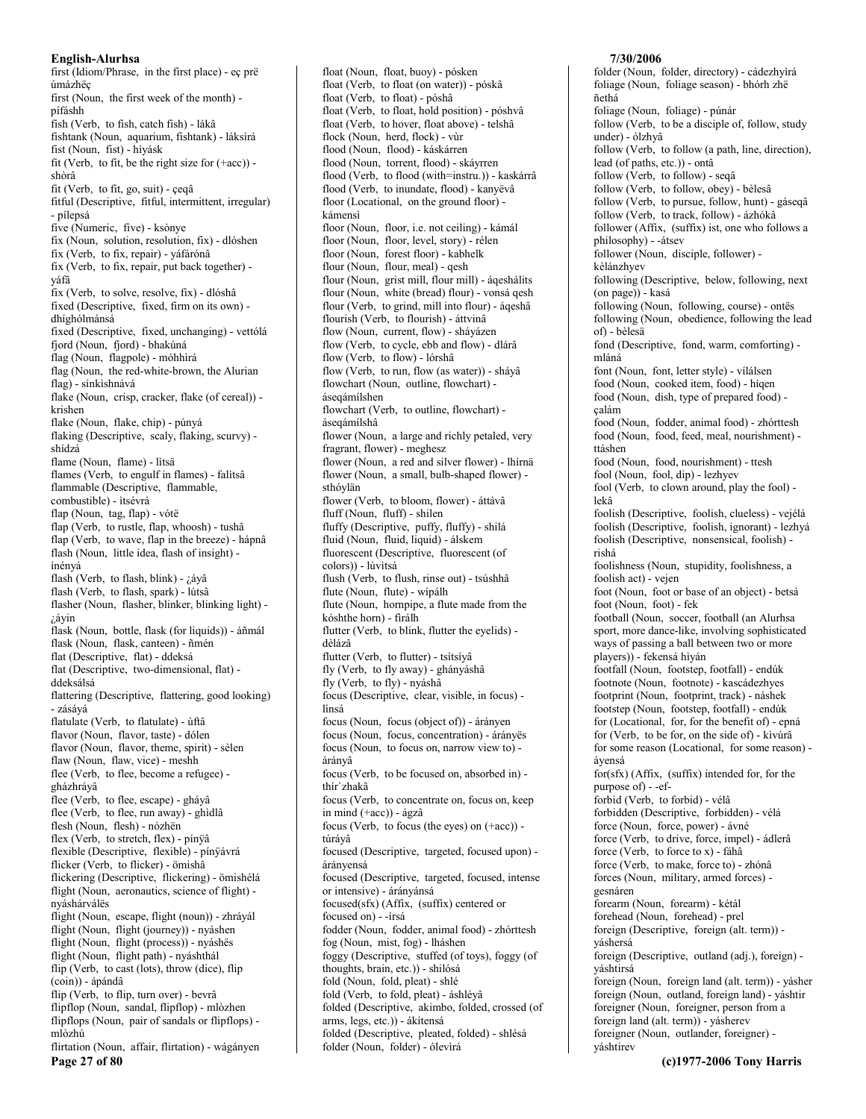first (Idiom/Phrase, in the first place) - eç prë úmázhëç first (Noun, the first week of the month) pífáshh fish (Verb, to fish, catch fish) - lákâ fishtank (Noun, aquarium, fishtank) - láksìrá fist (Noun, fist) - hìyásk fit (Verb, to fit, be the right size for  $(+acc)$ ) shòrâ fit (Verb, to fit, go, suit) - çeqâ fitful (Descriptive, fitful, intermittent, irregular) - pílepsá five (Numeric, five) - ksònye fix (Noun, solution, resolution, fix) - dlóshen fix (Verb, to fix, repair) - yáfárónâ fix (Verb, to fix, repair, put back together) yáfâ fix (Verb, to solve, resolve, fix) - dlóshâ fixed (Descriptive, fixed, firm on its own) dhíghólmánsá fixed (Descriptive, fixed, unchanging) - vettólá fjord (Noun, fjord) - bhakúná flag (Noun, flagpole) - móhhirá flag (Noun, the red-white-brown, the Alurian flag) - sínkishnává flake (Noun, crisp, cracker, flake (of cereal)) krishen flake (Noun, flake, chip) - púnyá flaking (Descriptive, scaly, flaking, scurvy) shídzá flame (Noun, flame) - lìtsä flames (Verb, to engulf in flames) - falitsâ flammable (Descriptive, flammable, combustible) - itsévrá flap (Noun, tag, flap) - vótë flap (Verb, to rustle, flap, whoosh) - tushâ flap (Verb, to wave, flap in the breeze) - hápnâ flash (Noun, little idea, flash of insight) ínényá flash (Verb, to flash, blink) - ¿áyâ flash (Verb, to flash, spark) - lútsâ flasher (Noun, flasher, blinker, blinking light)  $i$ áyin flask (Noun, bottle, flask (for liquids)) - áñmál flask (Noun, flask, canteen) - ñmén flat (Descriptive, flat) - ddeksá flat (Descriptive, two-dimensional, flat) ddeksálsá flattering (Descriptive, flattering, good looking) - zásává flatulate (Verb, to flatulate) - ùftâ flavor (Noun, flavor, taste) - dólen flavor (Noun, flavor, theme, spirit) - sèlen flaw (Noun, flaw, vice) - meshh flee (Verb, to flee, become a refugee) gházhráyâ flee (Verb, to flee, escape) - gháyâ flee (Verb, to flee, run away) - ghìdlâ flesh (Noun, flesh) - nózhën flex (Verb, to stretch, flex) - pínÿâ flexible (Descriptive, flexible) - pínÿávrá flicker (Verb, to flicker) - ömishâ flickering (Descriptive, flickering) - ömishélá flight (Noun, aeronautics, science of flight) nváshárválës flight (Noun, escape, flight (noun)) - zhráyál flight (Noun, flight (journey)) - nyáshen flight (Noun, flight (process)) - nyáshës flight (Noun, flight path) - nyáshthál flip (Verb, to cast (lots), throw (dice), flip  $(coin)$ ) - ápándâ flip (Verb, to flip, turn over) - bevrâ flipflop (Noun, sandal, flipflop) - mlòzhen flipflops (Noun, pair of sandals or flipflops) mlòzhú flirtation (Noun, affair, flirtation) - wágányen

Page 27 of 80

float (Noun, float, buoy) - pósken float (Verb, to float (on water)) - póskâ float (Verb. to float) - póshâ float (Verb, to float, hold position) - póshvâ float (Verb, to hover, float above) - telshâ flock (Noun, herd, flock) - vùr flood (Noun, flood) - káskárren flood (Noun, torrent, flood) - skáyrren flood (Verb, to flood (with=instru.)) - kaskárrâ flood (Verb, to inundate, flood) - kanyëvâ floor (Locational, on the ground floor) kámensi floor (Noun, floor, i.e. not ceiling) - kámál floor (Noun, floor, level, story) - rélen floor (Noun, forest floor) - kabhelk flour (Noun, flour, meal) - gesh flour (Noun, grist mill, flour mill) - áqeshálits flour (Noun, white (bread) flour) - vonsá qesh flour (Verb, to grind, mill into flour) - ágeshâ flourish (Verb, to flourish) - áttvinâ flow (Noun, current, flow) - sháyázen flow (Verb, to cycle, ebb and flow) - dlárâ flow (Verb, to flow) - lórshâ flow (Verb, to run, flow (as water)) - sháyâ flowchart (Noun, outline, flowchart) ásegámílshen flowchart (Verb, to outline, flowchart) ásegámílshâ flower (Noun, a large and richly petaled, very fragrant, flower) - meghesz flower (Noun, a red and silver flower) - lhírnä flower (Noun, a small, bulb-shaped flower) sthóylän flower (Verb. to bloom. flower) - áttávâ fluff (Noun, fluff) - shilen fluffy (Descriptive, puffy, fluffy) - shilá fluid (Noun, fluid, liquid) - álskem fluorescent (Descriptive, fluorescent (of colors)) - lúvitsá flush (Verb, to flush, rinse out) - tsúshhâ flute (Noun, flute) - wípálh flute (Noun, hornpipe, a flute made from the kóshthe horn) - firálh flutter (Verb, to blink, flutter the eyelids) dèlázâ flutter (Verb, to flutter) - tsítsíyâ fly (Verb, to fly away) - ghányáshâ fly (Verb, to fly) - nyáshâ focus (Descriptive, clear, visible, in focus) línsá focus (Noun, focus (object of)) - árányen focus (Noun, focus, concentration) - árányës focus (Noun, to focus on, narrow view to) árányâ focus (Verb, to be focused on, absorbed in) thír'zhakâ focus (Verb, to concentrate on, focus on, keep in mind (+acc)) - ágzâ focus (Verb, to focus (the eyes) on (+acc)) túráyâ focused (Descriptive, targeted, focused upon) árányensá focused (Descriptive, targeted, focused, intense or intensive) - árányánsá focused(sfx) (Affix, (suffix) centered or focused on) - -írsá fodder (Noun, fodder, animal food) - zhórttesh fog (Noun, mist, fog) - lháshen foggy (Descriptive, stuffed (of toys), foggy (of thoughts, brain, etc.)) - shilósá fold (Noun, fold, pleat) - shlé fold (Verb, to fold, pleat) - áshléyâ folded (Descriptive, akimbo, folded, crossed (of arms, legs, etc.)) - ákítensá folded (Descriptive, pleated, folded) - shlésá folder (Noun, folder) - ólevirá

### 7/30/2006

folder (Noun, folder, directory) - cádezhyìrá foliage (Noun, foliage season) - bhórh zhë ñethá foliage (Noun, foliage) - púnár follow (Verb, to be a disciple of, follow, study under) - ólzhyâ follow (Verb, to follow (a path, line, direction), lead (of paths, etc.)) - ontâ follow (Verb, to follow) - seqâ follow (Verb, to follow, obey) - bèlesâ follow (Verb, to pursue, follow, hunt) - gáseqâ follow (Verb, to track, follow) - ázhókâ follower (Affix, (suffix) ist, one who follows a philosophy) - -átsev follower (Noun, disciple, follower) kèlánzhyev following (Descriptive, below, following, next (on page)) - kasá following (Noun, following, course) - ontës following (Noun, obedience, following the lead of) - bèlesä fond (Descriptive, fond, warm, comforting) mláná font (Noun, font, letter style) - vílálsen food (Noun, cooked item, food) - higen food (Noun, dish, type of prepared food) çalám food (Noun, fodder, animal food) - zhórttesh food (Noun, food, feed, meal, nourishment) ttáshen food (Noun, food, nourishment) - ttesh fool (Noun, fool, dip) - lezhyev fool (Verb, to clown around, play the fool) lekâ foolish (Descriptive, foolish, clueless) - vejélá foolish (Descriptive, foolish, ignorant) - lezhyá foolish (Descriptive, nonsensical, foolish) rishá foolishness (Noun, stupidity, foolishness, a foolish act) - veien foot (Noun, foot or base of an object) - betsá foot (Noun, foot) - fek football (Noun, soccer, football (an Alurhsa sport, more dance-like, involving sophisticated ways of passing a ball between two or more players)) - fekensá hiyán footfall (Noun, footstep, footfall) - endúk footnote (Noun, footnote) - kascádezhyes footprint (Noun, footprint, track) - náshek footstep (Noun, footstep, footfall) - endúk for (Locational, for, for the benefit of) - epná for (Verb, to be for, on the side of) - kìvúrâ for some reason (Locational, for some reason) ávensá for(sfx) (Affix, (suffix) intended for, for the purpose of) - -efforbid (Verb, to forbid) - vélâ forbidden (Descriptive, forbidden) - vélá force (Noun, force, power) - ávné force (Verb, to drive, force, impel) - ádlerâ force (Verb, to force to x) - fáhâ force (Verb, to make, force to) - zhónâ forces (Noun, military, armed forces) gesnáren forearm (Noun, forearm) - kétál forehead (Noun, forehead) - prel foreign (Descriptive, foreign (alt. term)) váshersá foreign (Descriptive, outland (adj.), foreign) yáshtirsá foreign (Noun, foreign land (alt. term)) - yásher foreign (Noun, outland, foreign land) - yáshtir foreigner (Noun, foreigner, person from a foreign land (alt. term)) - yásherev foreigner (Noun, outlander, foreigner) yáshtirev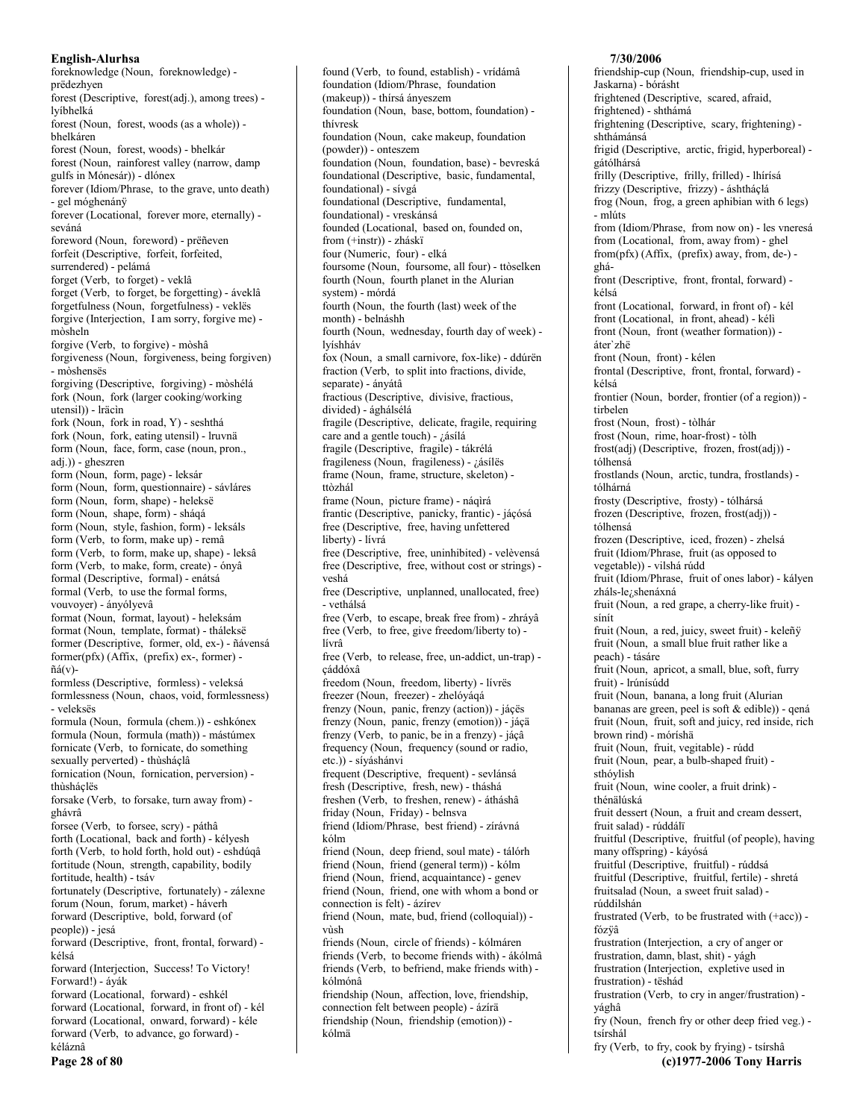foreknowledge (Noun, foreknowledge) prëdezhyen forest (Descriptive, forest(adj.), among trees) lvíbhelká forest (Noun, forest, woods (as a whole)) bhelkáren forest (Noun, forest, woods) - bhelkár forest (Noun, rainforest valley (narrow, damp gulfs in Mónesár)) - dlónex forever (Idiom/Phrase, to the grave, unto death) - gel móghenánÿ forever (Locational, forever more, eternally) seváná foreword (Noun, foreword) - prëñeven forfeit (Descriptive, forfeit, forfeited, surrendered) - pelámá forget (Verb, to forget) - veklâ forget (Verb, to forget, be forgetting) - áveklâ forgetfulness (Noun, forgetfulness) - veklës forgive (Interjection, I am sorry, forgive me) mòsheln forgive (Verb, to forgive) - mòshâ forgiveness (Noun, forgiveness, being forgiven)  $-m\delta$ shensës forgiving (Descriptive, forgiving) - mòshélá fork (Noun, fork (larger cooking/working utensil)) - Iräcin fork (Noun, fork in road, Y) - seshthá fork (Noun, fork, eating utensil) - lruvnä form (Noun, face, form, case (noun, pron., adj.)) - gheszren form (Noun, form, page) - leksár form (Noun, form, questionnaire) - sávláres form (Noun, form, shape) - heleksë form (Noun, shape, form) - sháqá form (Noun, style, fashion, form) - leksáls form (Verb, to form, make up) - remâ form (Verb, to form, make up, shape) - leksâ form (Verb, to make, form, create) - ónyâ formal (Descriptive, formal) - enátsá formal (Verb, to use the formal forms, vouvoyer) - ányólyevâ format (Noun, format, layout) - heleksám format (Noun, template, format) - tháleksë former (Descriptive, former, old, ex-) - ñávensá  $former(pfx)$  (Affix, (prefix) ex-, former) - $\tilde{n}$ á(v)formless (Descriptive, formless) - veleksá formlessness (Noun, chaos, void, formlessness) - veleksës formula (Noun, formula (chem.)) - eshkónex formula (Noun, formula (math)) - mástúmex fornicate (Verb, to fornicate, do something sexually perverted) - thùsháclâ fornication (Noun, fornication, perversion) thùsháclës forsake (Verb, to forsake, turn away from) ghávrâ forsee (Verb, to forsee, scry) - páthâ forth (Locational, back and forth) - kélyesh forth (Verb, to hold forth, hold out) - eshdúqâ fortitude (Noun, strength, capability, bodily fortitude, health) - tsáv fortunately (Descriptive, fortunately) - zálexne forum (Noun, forum, market) - háverh forward (Descriptive, bold, forward (of people)) - iesá forward (Descriptive, front, frontal, forward) kélsá forward (Interjection, Success! To Victory! Forward!) - áyák forward (Locational, forward) - eshkél forward (Locational, forward, in front of) - kél forward (Locational, onward, forward) - kéle forward (Verb, to advance, go forward) kéláznâ Page 28 of 80

foundation (Idiom/Phrase, foundation (makeup)) - thírsá ányeszem foundation (Noun, base, bottom, foundation) thívresk foundation (Noun, cake makeup, foundation (powder)) - onteszem foundation (Noun, foundation, base) - bevreská foundational (Descriptive, basic, fundamental, foundational) - sívgá foundational (Descriptive, fundamental, foundational) - vreskánsá founded (Locational, based on, founded on, from (+instr)) - zháskï four (Numeric, four) - elká foursome (Noun, foursome, all four) - ttòselken fourth (Noun, fourth planet in the Alurian system) - mórdá fourth (Noun, the fourth (last) week of the month) - belnáshh fourth (Noun, wednesday, fourth day of week) lvíshháv fox (Noun, a small carnivore, fox-like) - ddúrën fraction (Verb, to split into fractions, divide, separate) - ányátâ fractious (Descriptive, divisive, fractious, divided) - ághálsélá fragile (Descriptive, delicate, fragile, requiring care and a gentle touch) - ¿ásílá fragile (Descriptive, fragile) - tákrélá fragileness (Noun, fragileness) - ¿ásílës frame (Noun, frame, structure, skeleton) ttòzhál frame (Noun, picture frame) - nágirá frantic (Descriptive, panicky, frantic) - jáçósá free (Descriptive, free, having unfettered liberty) - lívrá free (Descriptive, free, uninhibited) - velèvensá free (Descriptive, free, without cost or strings) veshá free (Descriptive, unplanned, unallocated, free) - vethálsá free (Verb, to escape, break free from) - zhráyâ free (Verb, to free, give freedom/liberty to) lívrâ free (Verb, to release, free, un-addict, un-trap) çáddóxâ freedom (Noun, freedom, liberty) - lívrës freezer (Noun, freezer) - zhelóyáqá frenzy (Noun, panic, frenzy (action)) - jáçës frenzy (Noun, panic, frenzy (emotion)) - jáçä frenzy (Verb, to panic, be in a frenzy) - jáçâ frequency (Noun, frequency (sound or radio, etc.)) - síváshánvi frequent (Descriptive, frequent) - sevlánsá fresh (Descriptive, fresh, new) - tháshá freshen (Verb, to freshen, renew) - átháshâ friday (Noun, Friday) - belnsva friend (Idiom/Phrase, best friend) - zírávná kólm friend (Noun, deep friend, soul mate) - tálórh friend (Noun, friend (general term)) - kólm friend (Noun, friend, acquaintance) - genev friend (Noun, friend, one with whom a bond or connection is felt) - ázírev friend (Noun, mate, bud, friend (colloquial)) vùsh friends (Noun, circle of friends) - kólmáren friends (Verb, to become friends with) - ákólmâ friends (Verb, to befriend, make friends with) kólmónâ friendship (Noun, affection, love, friendship, connection felt between people) - ázírä friendship (Noun, friendship (emotion)) -

kólmä

found (Verb, to found, establish) - vrídámâ

Jaskarna) - bórásht frightened (Descriptive, scared, afraid, frightened) - shthámá frightening (Descriptive, scary, frightening) shthámánsá frigid (Descriptive, arctic, frigid, hyperboreal) gátólhársá frilly (Descriptive, frilly, frilled) - lhírísá frizzy (Descriptive, frizzy) - áshtháçlá frog (Noun, frog, a green aphibian with 6 legs) - mlúts from (Idiom/Phrase, from now on) - les vneresá from (Locational, from, away from) - ghel  $from (pfx) (Affix, (prefix) away, from, de-)$ gháfront (Descriptive, front, frontal, forward) kélsá front (Locational, forward, in front of) - kél front (Locational, in front, ahead) - kéli front (Noun, front (weather formation)) áter`zhë front (Noun, front) - kélen frontal (Descriptive, front, frontal, forward) kélsá frontier (Noun, border, frontier (of a region)) tirbelen frost (Noun, frost) - tòlhár frost (Noun, rime, hoar-frost) - tòlh frost(adj) (Descriptive, frozen, frost(adj)) tólhensá frostlands (Noun, arctic, tundra, frostlands) tólhárná frosty (Descriptive, frosty) - tólhársá frozen (Descriptive, frozen, frost(adj)) tólhensá frozen (Descriptive, iced, frozen) - zhelsá fruit (Idiom/Phrase, fruit (as opposed to vegetable)) - vilshá rúdd fruit (Idiom/Phrase, fruit of ones labor) - kályen zháls-le<sub>i</sub>, shenáxná fruit (Noun, a red grape, a cherry-like fruit) sínít fruit (Noun, a red, juicy, sweet fruit) - keleñÿ fruit (Noun, a small blue fruit rather like a peach) - tásáre fruit (Noun, apricot, a small, blue, soft, furry fruit) - Irúnísúdd fruit (Noun, banana, a long fruit (Alurian bananas are green, peel is soft & edible)) - qená fruit (Noun, fruit, soft and juicy, red inside, rich brown rind) - móríshä fruit (Noun, fruit, vegitable) - rúdd fruit (Noun, pear, a bulb-shaped fruit) sthóvlish fruit (Noun, wine cooler, a fruit drink) thénälúská fruit dessert (Noun, a fruit and cream dessert, fruit salad) - rúddálï fruitful (Descriptive, fruitful (of people), having many offspring) - káyósá fruitful (Descriptive, fruitful) - rúddsá fruitful (Descriptive, fruitful, fertile) - shretá fruitsalad (Noun, a sweet fruit salad) rúddilshán frustrated (Verb, to be frustrated with (+acc)) fózÿâ frustration (Interjection, a cry of anger or frustration, damn, blast, shit) - vágh frustration (Interjection, expletive used in frustration) - tëshád frustration (Verb, to cry in anger/frustration) yághâ fry (Noun, french fry or other deep fried veg.) tsírshál

7/30/2006

friendship-cup (Noun, friendship-cup, used in

fry (Verb, to fry, cook by frying) - tsírshâ (c)1977-2006 Tony Harris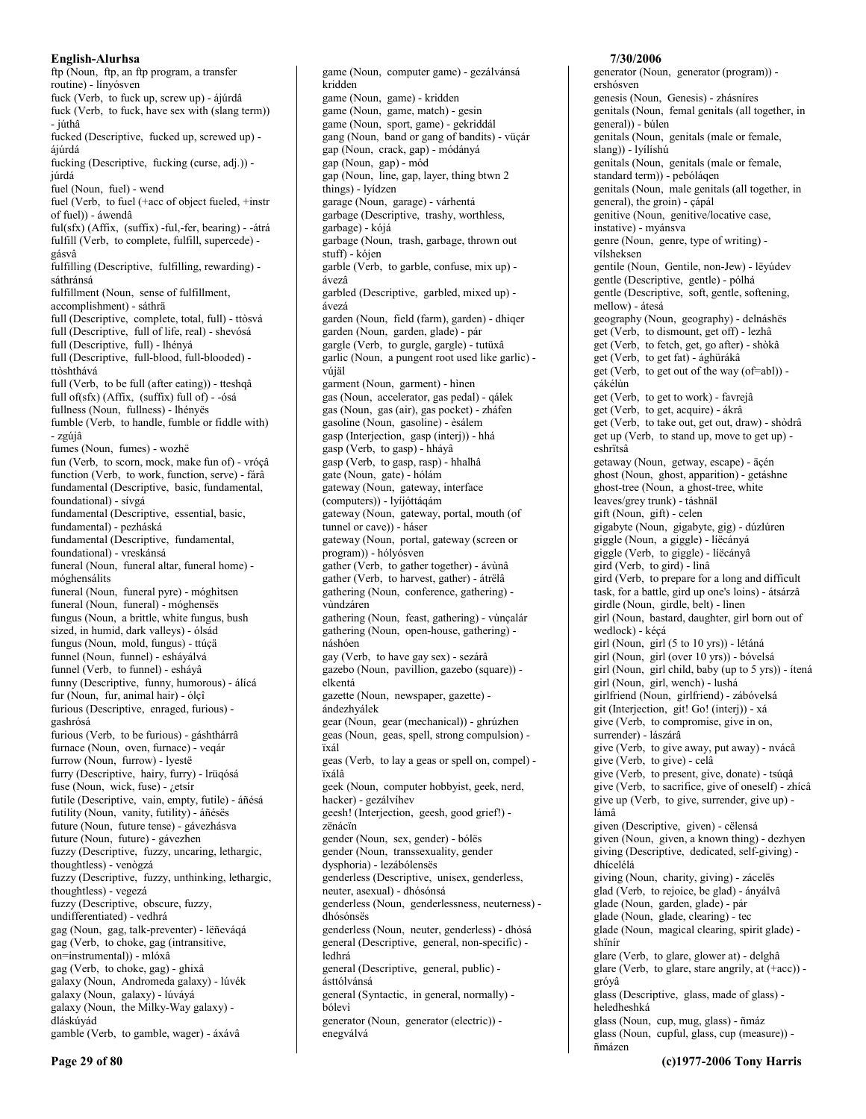ftp (Noun, ftp, an ftp program, a transfer routine) - línyósven fuck (Verb, to fuck up, screw up) - ájúrdâ fuck (Verb, to fuck, have sex with (slang term)) - júthâ fucked (Descriptive, fucked up, screwed up) ájúrdá fucking (Descriptive, fucking (curse, adj.)) júrdá fuel (Noun, fuel) - wend fuel (Verb, to fuel (+acc of object fueled, +instr of fuel)) - áwendâ ful(sfx) (Affix, (suffix) -ful,-fer, bearing) - - átrá fulfill (Verb, to complete, fulfill, supercede) gásvâ fulfilling (Descriptive, fulfilling, rewarding) sáthránsá fulfillment (Noun, sense of fulfillment, accomplishment) - sáthrä full (Descriptive, complete, total, full) - ttòsvá full (Descriptive, full of life, real) - shevósá full (Descriptive, full) - lhényá full (Descriptive, full-blood, full-blooded) ttòshthává full (Verb, to be full (after eating)) - tteshqâ full of(sfx) (Affix, (suffix) full of) - - ósá fullness (Noun, fullness) - lhényës fumble (Verb, to handle, fumble or fiddle with) - zgúiâ fumes (Noun, fumes) - wozhë fun (Verb, to scorn, mock, make fun of) - vróçâ function (Verb, to work, function, serve) - fárâ fundamental (Descriptive, basic, fundamental, foundational) - sívgá fundamental (Descriptive, essential, basic, fundamental) - pezháská fundamental (Descriptive, fundamental, foundational) - vreskánsá funeral (Noun, funeral altar, funeral home) móghensálits funeral (Noun, funeral pyre) - móghìtsen funeral (Noun, funeral) - móghenses fungus (Noun, a brittle, white fungus, bush sized, in humid, dark valleys) - ólsád fungus (Noun, mold, fungus) - ttúçä funnel (Noun, funnel) - esháválvá funnel (Verb, to funnel) - esháyâ funny (Descriptive, funny, humorous) - álícá fur (Noun, fur, animal hair) - ólçî furious (Descriptive, enraged, furious) gashrósá furious (Verb, to be furious) - gáshthárrâ furnace (Noun, oven, furnace) - veqár furrow (Noun, furrow) - lyestë furry (Descriptive, hairy, furry) - lrüqósá fuse (Noun, wick, fuse) - ¿etsír futile (Descriptive, vain, empty, futile) - áñésá futility (Noun, vanity, futility) - áñésës future (Noun, future tense) - gávezhásva future (Noun, future) - gávezhen fuzzy (Descriptive, fuzzy, uncaring, lethargic, thoughtless) - venògzá fuzzy (Descriptive, fuzzy, unthinking, lethargic, thoughtless) - vegezá fuzzy (Descriptive, obscure, fuzzy, undifferentiated) - vedhrá gag (Noun, gag, talk-preventer) - lëñeváqá gag (Verb, to choke, gag (intransitive, on=instrumental)) - mlóxâ gag (Verb, to choke, gag) - ghixâ galaxy (Noun, Andromeda galaxy) - lúvék galaxy (Noun, galaxy) - lúváyá galaxy (Noun, the Milky-Way galaxy) dláskúyád gamble (Verb, to gamble, wager) - áxávâ

game (Noun, computer game) - gezálvánsá kridden game (Noun, game) - kridden game (Noun, game, match) - gesin game (Noun, sport, game) - gekriddál gang (Noun, band or gang of bandits) - vüçár gap (Noun, crack, gap) - módányá gap (Noun, gap) - mód gap (Noun, line, gap, layer, thing btwn 2 things) - lyídzen garage (Noun, garage) - várhentá garbage (Descriptive, trashy, worthless, garbage) - kójá garbage (Noun, trash, garbage, thrown out stuff) - kójen garble (Verb, to garble, confuse, mix up) ávezâ garbled (Descriptive, garbled, mixed up) ávezá garden (Noun, field (farm), garden) - dhiqer garden (Noun, garden, glade) - pár gargle (Verb, to gurgle, gargle) - tutüxâ garlic (Noun, a pungent root used like garlic) vújäl garment (Noun, garment) - hinen gas (Noun, accelerator, gas pedal) - qálek gas (Noun, gas (air), gas pocket) - zháfen gasoline (Noun, gasoline) - èsálem gasp (Interjection, gasp (interj)) - hhá gasp (Verb, to gasp) - hháyâ gasp (Verb, to gasp, rasp) - hhalhâ gate (Noun, gate) - hólám gateway (Noun, gateway, interface (computers)) - lyíjóttágám gateway (Noun, gateway, portal, mouth (of tunnel or cave)) - háser gateway (Noun, portal, gateway (screen or program)) - hólyósven gather (Verb, to gather together) - ávùnâ gather (Verb, to harvest, gather) - átrëlâ gathering (Noun, conference, gathering) vùndzáren gathering (Noun, feast, gathering) - vùnçalár gathering (Noun, open-house, gathering) náshóen gay (Verb, to have gay sex) - sezárâ gazebo (Noun, pavillion, gazebo (square)) elkentá gazette (Noun, newspaper, gazette) ándezhválek gear (Noun, gear (mechanical)) - ghrúzhen geas (Noun, geas, spell, strong compulsion) ïxál geas (Verb, to lay a geas or spell on, compel) ïxálâ geek (Noun, computer hobbyist, geek, nerd, hacker) - gezálvíhev geesh! (Interjection, geesh, good grief!) zënácïn gender (Noun, sex, gender) - bólës gender (Noun, transsexuality, gender dysphoria) - lezábólensës genderless (Descriptive, unisex, genderless, neuter, asexual) - dhósónsá genderless (Noun, genderlessness, neuterness) dhósónsës genderless (Noun, neuter, genderless) - dhósá general (Descriptive, general, non-specific) ledhrá general (Descriptive, general, public) ásttólvánsá general (Syntactic, in general, normally) bólevì generator (Noun, generator (electric)) enegválvá

## 7/30/2006

generator (Noun, generator (program)) ershósven genesis (Noun, Genesis) - zhásníres genitals (Noun, femal genitals (all together, in general)) - búlen genitals (Noun, genitals (male or female, slang)) - lyílíshú genitals (Noun, genitals (male or female, standard term)) - pebóláqen genitals (Noun, male genitals (all together, in general), the groin) - çápál genitive (Noun, genitive/locative case, instative) - myánsva genre (Noun, genre, type of writing) vílsheksen gentile (Noun, Gentile, non-Jew) - lëvúdev gentle (Descriptive, gentle) - pólhá gentle (Descriptive, soft, gentle, softening, mellow) - átesá geography (Noun, geography) - delnáshës get (Verb, to dismount, get off) - lezhâ get (Verb, to fetch, get, go after) - shòkâ get (Verb, to get fat) - ághürákâ get (Verb, to get out of the way (of=abl)) çákélùn get (Verb, to get to work) - favrejâ get (Verb, to get, acquire) - ákrâ get (Verb, to take out, get out, draw) - shòdrâ get up (Verb, to stand up, move to get up) eshrïtsâ getaway (Noun, getway, escape) - äçén ghost (Noun, ghost, apparition) - getáshne ghost-tree (Noun, a ghost-tree, white leaves/grey trunk) - táshnäl gift (Noun, gift) - celen gigabyte (Noun, gigabyte, gig) - dúzlúren giggle (Noun, a giggle) - líëcányá giggle (Verb, to giggle) - líëcánvâ gird (Verb, to gird) - lìnâ gird (Verb, to prepare for a long and difficult task, for a battle, gird up one's loins) - átsárzâ girdle (Noun, girdle, belt) - linen girl (Noun, bastard, daughter, girl born out of wedlock) - kéçá girl (Noun, girl (5 to 10 yrs)) - létáná girl (Noun, girl (over 10 yrs)) - bóvelsá girl (Noun, girl child, baby (up to 5 yrs)) - ítená girl (Noun, girl, wench) - lushá girlfriend (Noun, girlfriend) - zábóvelsá git (Interjection, git! Go! (interj)) - xá give (Verb, to compromise, give in on, surrender) - lászárâ give (Verb, to give away, put away) - nvácâ give (Verb, to give) - celâ give (Verb, to present, give, donate) - tsúqâ give (Verb, to sacrifice, give of oneself) - zhícâ give up (Verb, to give, surrender, give up) lámâ given (Descriptive, given) - cëlensá given (Noun, given, a known thing) - dezhyen giving (Descriptive, dedicated, self-giving) dhícelélá giving (Noun, charity, giving) - zácelës glad (Verb, to rejoice, be glad) - ányálvâ glade (Noun, garden, glade) - pár glade (Noun, glade, clearing) - tec glade (Noun, magical clearing, spirit glade) shïnír glare (Verb, to glare, glower at) - delghâ glare (Verb, to glare, stare angrily, at (+acc)) gróyâ glass (Descriptive, glass, made of glass) heledheshká glass (Noun, cup, mug, glass) - ñmáz glass (Noun, cupful, glass, cup (measure)) -

nmázen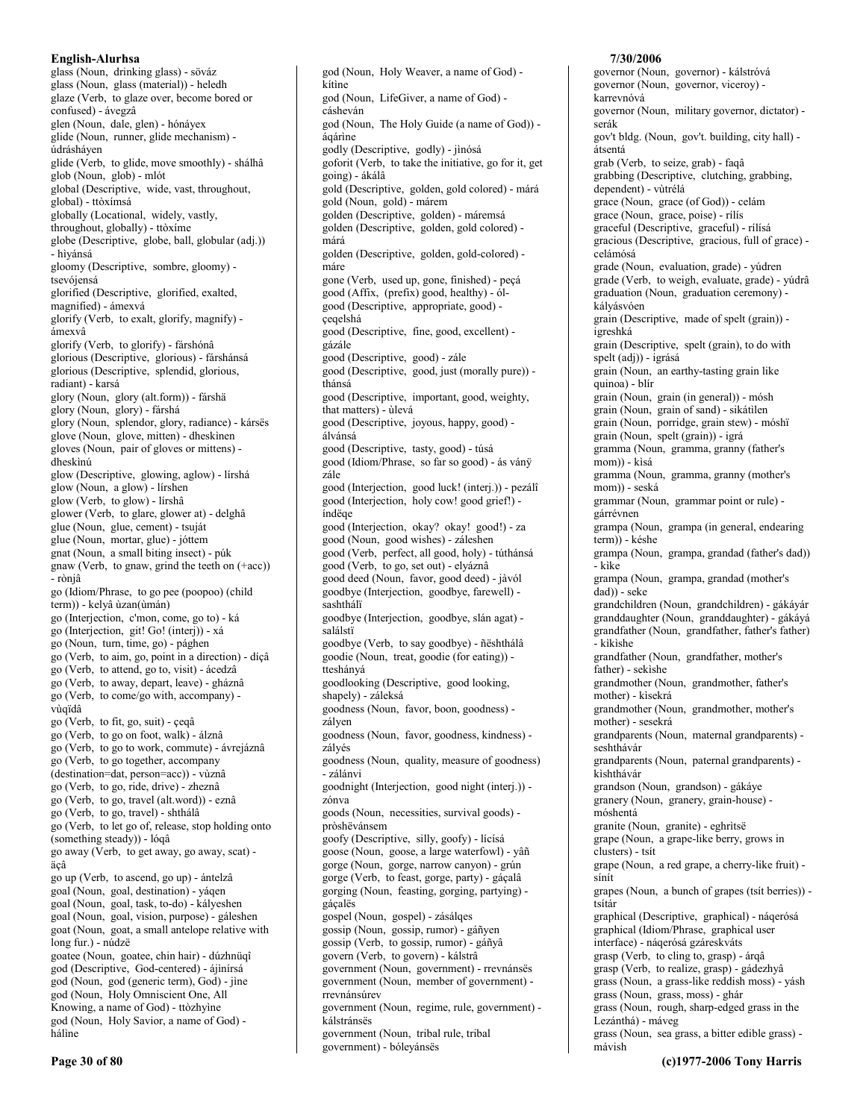English-Alurhsa glass (Noun, drinking glass) - söváz glass (Noun, glass (material)) - heledh glaze (Verb, to glaze over, become bored or confused) - ávegzâ glen (Noun, dale, glen) - hónávex glide (Noun, runner, glide mechanism) údrásháyen glide (Verb, to glide, move smoothly) - shálhâ glob (Noun, glob) - mlót global (Descriptive, wide, vast, throughout, global) - ttòxímsá globally (Locational, widely, vastly, throughout, globally) - ttòxíme globe (Descriptive, globe, ball, globular (adj.)) - hìyánsá gloomy (Descriptive, sombre, gloomy) tsevójensá glorified (Descriptive, glorified, exalted, magnified) - ámexvá glorify (Verb, to exalt, glorify, magnify) ámexvâ glorify (Verb, to glorify) - fárshónâ glorious (Descriptive, glorious) - fárshánsá glorious (Descriptive, splendid, glorious, radiant) - karsá glory (Noun, glory (alt.form)) - fárshä glory (Noun, glory) - fárshá glory (Noun, splendor, glory, radiance) - kársës glove (Noun, glove, mitten) - dheskinen gloves (Noun, pair of gloves or mittens) dheskìnú glow (Descriptive, glowing, aglow) - lírshá glow (Noun, a glow) - lírshen glow (Verb, to glow) - lírshâ glower (Verb, to glare, glower at) - delghâ glue (Noun, glue, cement) - tsuját glue (Noun, mortar, glue) - jóttem gnat (Noun, a small biting insect) - púk gnaw (Verb, to gnaw, grind the teeth on (+acc)) - ròniâ go (Idiom/Phrase, to go pee (poopoo) (child term)) - kelyâ ùzan(ùmán) go (Interjection, c'mon, come, go to) - ká go (Interjection, git! Go! (interj)) - xá go (Noun, turn, time, go) - pághen go (Verb, to aim, go, point in a direction) - dicâ go (Verb, to attend, go to, visit) - ácedzâ go (Verb, to away, depart, leave) - gháznâ go (Verb, to come/go with, accompany) vùqïdâ go (Verb, to fit, go, suit) - çeqâ go (Verb, to go on foot, walk) - álznâ go (Verb, to go to work, commute) - ávrejáznâ go (Verb, to go together, accompany (destination=dat, person=acc)) - vùznâ go (Verb, to go, ride, drive) - zheznâ go (Verb, to go, travel (alt.word)) - eznâ go (Verb, to go, travel) - shthálâ go (Verb, to let go of, release, stop holding onto (something steady)) - lóqâ go away (Verb, to get away, go away, scat) äçâ go up (Verb, to ascend, go up) - ántelzâ goal (Noun, goal, destination) - yáqen goal (Noun, goal, task, to-do) - kályeshen goal (Noun, goal, vision, purpose) - gáleshen goat (Noun, goat, a small antelope relative with long fur.) - núdzë goatee (Noun, goatee, chin hair) - dúzhnüqî god (Descriptive, God-centered) - ájinírsá god (Noun, god (generic term), God) - jìne god (Noun, Holy Omniscient One, All Knowing, a name of God) - ttòzhyìne god (Noun, Holy Savior, a name of God) hálìne

god (Noun, Holy Weaver, a name of God) kítìne god (Noun, LifeGiver, a name of God) cásheván god (Noun, The Holy Guide (a name of God)) áqárìne godly (Descriptive, godly) - jìnósá goforit (Verb, to take the initiative, go for it, get going) - ákálâ gold (Descriptive, golden, gold colored) - márá gold (Noun, gold) - márem golden (Descriptive, golden) - máremsá golden (Descriptive, golden, gold colored) márá golden (Descriptive, golden, gold-colored) máre gone (Verb, used up, gone, finished) - peçá good (Affix, (prefix) good, healthy) - ólgood (Descriptive, appropriate, good) çeqelshá good (Descriptive, fine, good, excellent) gázále good (Descriptive, good) - zále good (Descriptive, good, just (morally pure)) thánsá good (Descriptive, important, good, weighty, that matters) - ùlevá good (Descriptive, joyous, happy, good) álvánsá good (Descriptive, tasty, good) - túsá good (Idiom/Phrase, so far so good) - ás vány zále good (Interjection, good luck! (interj.)) - pezálî good (Interjection, holy cow! good grief!) índëge good (Interjection, okay? okay! good!) - za good (Noun, good wishes) - záleshen good (Verb, perfect, all good, holy) - túthánsá good (Verb, to go, set out) - elyáznâ good deed (Noun, favor, good deed) - jàvól goodbye (Interjection, goodbye, farewell) sashthálï goodbye (Interjection, goodbye, slán agat) salálstï goodbye (Verb, to say goodbye) - ñështhálâ goodie (Noun, treat, goodie (for eating)) tteshányá goodlooking (Descriptive, good looking, shapely) - záleksá goodness (Noun, favor, boon, goodness) zályen goodness (Noun, favor, goodness, kindness) zálvés goodness (Noun, quality, measure of goodness) - zálánvi goodnight (Interjection, good night (interj.)) zónva goods (Noun, necessities, survival goods) pròshëvánsem goofy (Descriptive, silly, goofy) - lícísá goose (Noun, goose, a large waterfowl) - yâñ gorge (Noun, gorge, narrow canyon) - grún gorge (Verb, to feast, gorge, party) - gáçalâ gorging (Noun, feasting, gorging, partying) gáçalës gospel (Noun, gospel) - zásálqes gossip (Noun, gossip, rumor) - gáñyen gossip (Verb, to gossip, rumor) - gáñyâ govern (Verb, to govern) - kálstrâ government (Noun, government) - rrevnánsës government (Noun, member of government) rrevnánsúrev government (Noun, regime, rule, government) kálstránsës government (Noun, tribal rule, tribal

government) - bóleyánsës

#### 7/30/2006

governor (Noun, governor) - kálstróvá governor (Noun, governor, viceroy) karrevnóvá governor (Noun, military governor, dictator) serák gov't bldg. (Noun, gov't. building, city hall) átsentá grab (Verb, to seize, grab) - faqâ grabbing (Descriptive, clutching, grabbing, dependent) - vùtrélá grace (Noun, grace (of God)) - celám grace (Noun, grace, poise) - rílís graceful (Descriptive, graceful) - rílísá gracious (Descriptive, gracious, full of grace) celámósá grade (Noun, evaluation, grade) - vúdren grade (Verb, to weigh, evaluate, grade) - yúdrâ graduation (Noun, graduation ceremony) kályásvóen grain (Descriptive, made of spelt (grain)) igreshká grain (Descriptive, spelt (grain), to do with spelt (adj)) - igrásá grain (Noun, an earthy-tasting grain like quinoa) - blír grain (Noun, grain (in general)) - mósh grain (Noun, grain of sand) - sikátilen grain (Noun, porridge, grain stew) - móshï grain (Noun, spelt (grain)) - igrá gramma (Noun, gramma, granny (father's mom)) - kisá gramma (Noun, gramma, granny (mother's mom)) - seská grammar (Noun, grammar point or rule) gárrévnen grampa (Noun, grampa (in general, endearing term)) - késhe grampa (Noun, grampa, grandad (father's dad)) - kike grampa (Noun, grampa, grandad (mother's dad)) - seke grandchildren (Noun, grandchildren) - gákáyár granddaughter (Noun, granddaughter) - gákáyá grandfather (Noun, grandfather, father's father) - kikishe grandfather (Noun, grandfather, mother's father) - sekishe grandmother (Noun, grandmother, father's mother) - kisekrá grandmother (Noun, grandmother, mother's mother) - sesekrá grandparents (Noun, maternal grandparents) seshthávár grandparents (Noun, paternal grandparents) kishthávár grandson (Noun, grandson) - gákáye granery (Noun, granery, grain-house) móshentá granite (Noun, granite) - eghritsë grape (Noun, a grape-like berry, grows in clusters) - tsít grape (Noun, a red grape, a cherry-like fruit) sínít grapes (Noun, a bunch of grapes (tsit berries)) tsítár graphical (Descriptive, graphical) - náqerósá graphical (Idiom/Phrase, graphical user interface) - nágerósá gzáreskváts grasp (Verb, to cling to, grasp) - árqâ grasp (Verb, to realize, grasp) - gádezhyâ grass (Noun, a grass-like reddish moss) - yásh grass (Noun, grass, moss) - ghár grass (Noun, rough, sharp-edged grass in the Lezánthá) - máveg grass (Noun, sea grass, a bitter edible grass) -

mávish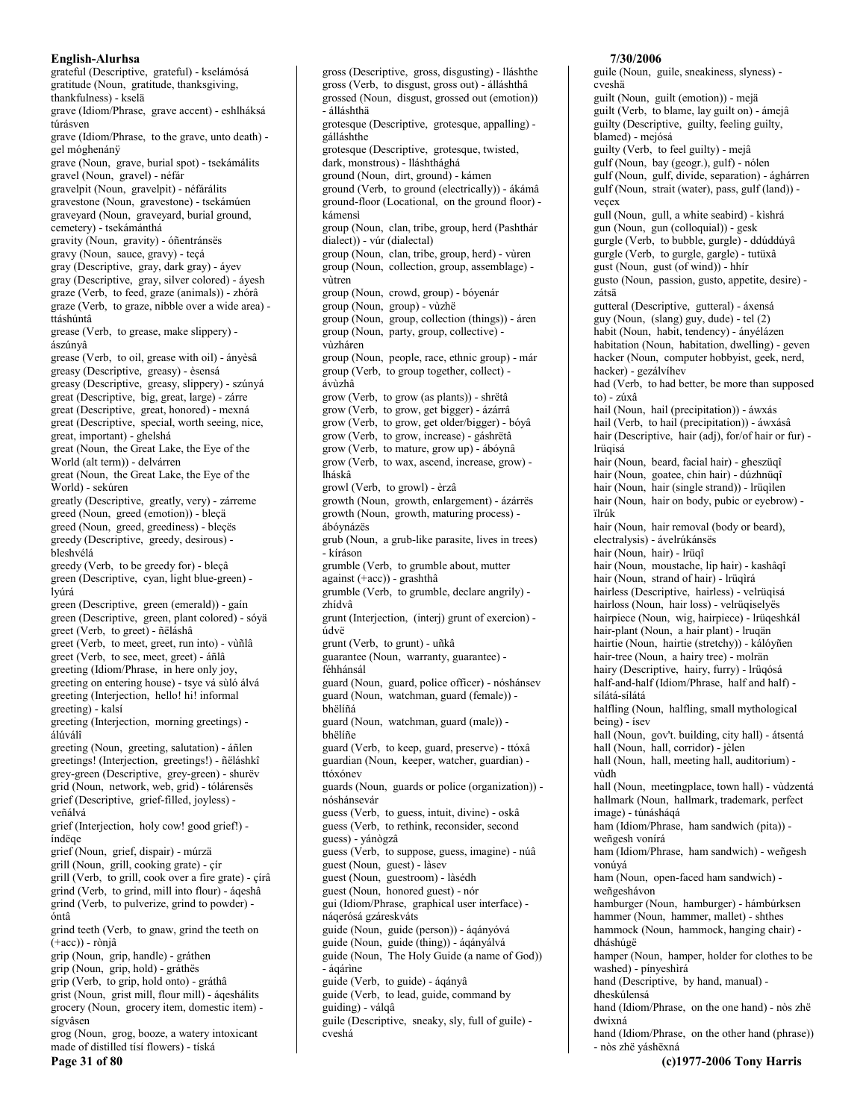grateful (Descriptive, grateful) - kselámósá gratitude (Noun, gratitude, thanksgiving, thankfulness) - kselä grave (Idiom/Phrase, grave accent) - eshlháksá túrásven grave (Idiom/Phrase, to the grave, unto death) gel móghenánÿ grave (Noun, grave, burial spot) - tsekámálits gravel (Noun, gravel) - néfár gravelpit (Noun, gravelpit) - néfárálits gravestone (Noun, gravestone) - tsekámúen graveyard (Noun, graveyard, burial ground, cemetery) - tsekámánthá gravity (Noun, gravity) - óñentránsës gravy (Noun, sauce, gravy) - teçá gray (Descriptive, gray, dark gray) - ávev gray (Descriptive, gray, silver colored) - áyesh graze (Verb, to feed, graze (animals)) - zhórâ graze (Verb, to graze, nibble over a wide area) ttáshúntâ grease (Verb, to grease, make slippery) ászúnvâ grease (Verb, to oil, grease with oil) - ányèsâ greasy (Descriptive, greasy) - èsensá greasy (Descriptive, greasy, slippery) - szúnyá great (Descriptive, big, great, large) - zárre great (Descriptive, great, honored) - mexná great (Descriptive, special, worth seeing, nice, great, important) - ghelshá great (Noun, the Great Lake, the Eye of the World (alt term)) - delvárren great (Noun, the Great Lake, the Eye of the World) - sekúren greatly (Descriptive, greatly, very) - zárreme greed (Noun, greed (emotion)) - bleçä greed (Noun, greed, greediness) - bleçës greedy (Descriptive, greedy, desirous) bleshvélá greedy (Verb, to be greedy for) - bleçâ green (Descriptive, cyan, light blue-green) lvúrá green (Descriptive, green (emerald)) - gaín green (Descriptive, green, plant colored) - sóyä greet (Verb, to greet) - ñëláshâ greet (Verb, to meet, greet, run into) - vùñlâ greet (Verb, to see, meet, greet) - áñlâ greeting (Idiom/Phrase, in here only joy, greeting on entering house) - tsye vá sùló álvá greeting (Interjection, hello! hi! informal greeting) - kalsí greeting (Interjection, morning greetings) álúválî greeting (Noun, greeting, salutation) - áñlen greetings! (Interjection, greetings!) - ñëláshkî grey-green (Descriptive, grey-green) - shurëv grid (Noun, network, web, grid) - tólárensés grief (Descriptive, grief-filled, joyless) veñálvá grief (Interjection, holy cow! good grief!) índëqe grief (Noun, grief, dispair) - múrzä grill (Noun, grill, cooking grate) - çír grill (Verb, to grill, cook over a fire grate) - círâ grind (Verb, to grind, mill into flour) - áqeshâ grind (Verb, to pulverize, grind to powder) óntâ grind teeth (Verb, to gnaw, grind the teeth on  $(+acc)$ ) - rònjâ grip (Noun, grip, handle) - gráthen grip (Noun, grip, hold) - gráthës grip (Verb, to grip, hold onto) - gráthâ grist (Noun, grist mill, flour mill) - áqeshálits grocery (Noun, grocery item, domestic item) sígvâsen grog (Noun, grog, booze, a watery intoxicant made of distilled tísí flowers) - tíská Page 31 of 80

gross (Descriptive, gross, disgusting) - lláshthe gross (Verb, to disgust, gross out) - álláshthâ grossed (Noun, disgust, grossed out (emotion)) - álláshthä grotesque (Descriptive, grotesque, appalling) gálláshthe grotesque (Descriptive, grotesque, twisted, dark, monstrous) - lláshthághá ground (Noun, dirt, ground) - kámen ground (Verb, to ground (electrically)) - ákámâ ground-floor (Locational, on the ground floor) kámensi group (Noun, clan, tribe, group, herd (Pashthár dialect)) - vúr (dialectal) group (Noun, clan, tribe, group, herd) - vùren group (Noun, collection, group, assemblage) vùtren group (Noun, crowd, group) - bóyenár group (Noun, group) - vùzhë group (Noun, group, collection (things)) - áren group (Noun, party, group, collective) vùzháren group (Noun, people, race, ethnic group) - már group (Verb, to group together, collect) ávùzhâ grow (Verb, to grow (as plants)) - shrëtâ grow (Verb, to grow, get bigger) - ázárrá grow (Verb, to grow, get older/bigger) - bóyâ grow (Verb, to grow, increase) - gáshrëtâ grow (Verb, to mature, grow up) - ábóynâ grow (Verb, to wax, ascend, increase, grow) lháskâ growl (Verb, to growl) - èrzâ growth (Noun, growth, enlargement) - ázárrës growth (Noun, growth, maturing process) ábóvnázës grub (Noun, a grub-like parasite, lives in trees) - kíráson grumble (Verb, to grumble about, mutter against  $(+acc)$ ) - grashthâ grumble (Verb, to grumble, declare angrily) zhídvâ grunt (Interjection, (interj) grunt of exercion) údvë grunt (Verb, to grunt) - uñkâ guarantee (Noun, warranty, guarantee) féhhánsál guard (Noun, guard, police officer) - nóshánsev guard (Noun, watchman, guard (female)) bhëlíñá guard (Noun, watchman, guard (male)) bhëlíñe guard (Verb, to keep, guard, preserve) - ttóxâ guardian (Noun, keeper, watcher, guardian) ttóxónev guards (Noun, guards or police (organization)) nóshánsevár guess (Verb, to guess, intuit, divine) - oskâ guess (Verb, to rethink, reconsider, second guess) - yánògzâ guess (Verb, to suppose, guess, imagine) - núâ guest (Noun, guest) - làsev guest (Noun, guestroom) - làsédh guest (Noun, honored guest) - nór gui (Idiom/Phrase, graphical user interface) náqerósá gzáreskváts guide (Noun, guide (person)) - ágányóvá guide (Noun, guide (thing)) - áqányálvá guide (Noun, The Holy Guide (a name of God)) - ágárine guide (Verb, to guide) - ágányâ guide (Verb, to lead, guide, command by guiding) - válqâ guile (Descriptive, sneaky, sly, full of guile) cveshá

## 7/30/2006

guile (Noun, guile, sneakiness, slyness) cveshä guilt (Noun, guilt (emotion)) - mejä guilt (Verb, to blame, lay guilt on) - ámejâ guilty (Descriptive, guilty, feeling guilty, blamed) - mejósá guilty (Verb, to feel guilty) - mejâ gulf (Noun, bay (geogr.), gulf) - nólen gulf (Noun, gulf, divide, separation) - ághárren gulf (Noun, strait (water), pass, gulf (land)) veçex gull (Noun, gull, a white seabird) - kìshrá gun (Noun, gun (colloquial)) - gesk gurgle (Verb, to bubble, gurgle) - ddúddúyâ gurgle (Verb, to gurgle, gargle) - tutüxâ gust (Noun, gust (of wind)) - hhír gusto (Noun, passion, gusto, appetite, desire) zátsä gutteral (Descriptive, gutteral) - áxensá guy (Noun, (slang) guy, dude) - tel (2) habit (Noun, habit, tendency) - ányélázen habitation (Noun, habitation, dwelling) - geven hacker (Noun, computer hobbyist, geek, nerd, hacker) - gezálvíhev had (Verb, to had better, be more than supposed  $\mathbf{r}$ (c) -  $\mathbf{z}$ úxâ hail (Noun, hail (precipitation)) - áwxás hail (Verb, to hail (precipitation)) - áwxásâ hair (Descriptive, hair (adj), for/of hair or fur) lrüqisá hair (Noun, beard, facial hair) - gheszügî hair (Noun, goatee, chin hair) - dúzhnüqî hair (Noun, hair (single strand)) - lrüqìlen hair (Noun, hair on body, pubic or eyebrow) ïlník hair (Noun, hair removal (body or beard), electralysis) - ávelrúkánsës hair (Noun, hair) - Irüqî hair (Noun, moustache, lip hair) - kashâqî hair (Noun, strand of hair) - Irügirá hairless (Descriptive, hairless) - velrüqisá hairloss (Noun, hair loss) - velrügiselyes hairpiece (Noun, wig, hairpiece) - lrüqeshkál hair-plant (Noun, a hair plant) - Iruqän hairtie (Noun, hairtie (stretchy)) - kálóyñen hair-tree (Noun, a hairy tree) - molrän hairy (Descriptive, hairy, furry) - lrüqósá half-and-half (Idiom/Phrase, half and half) sílátá-sílátá halfling (Noun, halfling, small mythological being) - ísev hall (Noun, gov't. building, city hall) - átsentá hall (Noun, hall, corridor) - jèlen hall (Noun, hall, meeting hall, auditorium) vùdh hall (Noun, meetingplace, town hall) - vùdzentá hallmark (Noun, hallmark, trademark, perfect image) - túnásháqá ham (Idiom/Phrase, ham sandwich (pita)) weñgesh vonírá ham (Idiom/Phrase, ham sandwich) - weñgesh vonúyá ham (Noun, open-faced ham sandwich) weñgeshávon hamburger (Noun, hamburger) - hámbúrksen hammer (Noun, hammer, mallet) - shthes hammock (Noun, hammock, hanging chair) dháshúgë hamper (Noun, hamper, holder for clothes to be washed) - pínyeshìrá hand (Descriptive, by hand, manual) dheskúlensá hand (Idiom/Phrase, on the one hand) - nòs zhë dwixná hand (Idiom/Phrase, on the other hand (phrase))

- nòs zhë yáshëxná (c)1977-2006 Tony Harris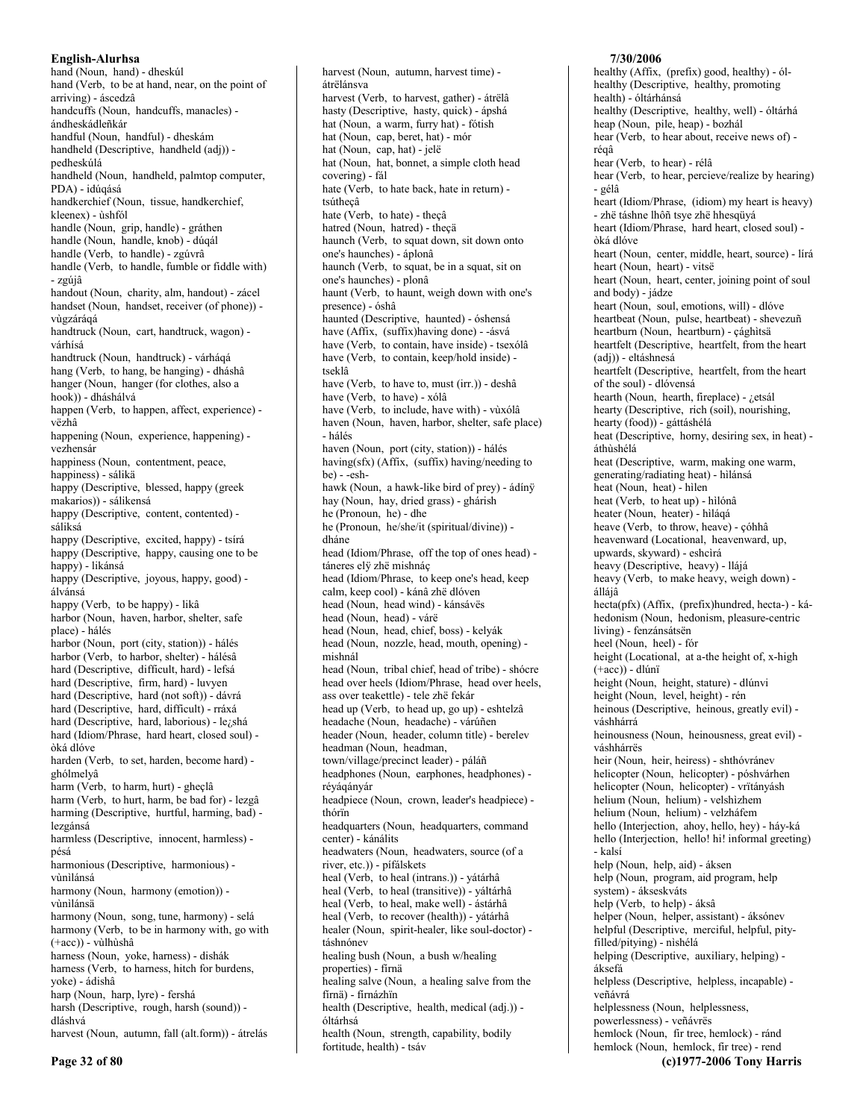English-Alurhsa hand (Noun, hand) - dheskúl hand (Verb, to be at hand, near, on the point of arriving) - áscedzâ handcuffs (Noun, handcuffs, manacles) ándheskádleñkár handful (Noun, handful) - dheskám handheld (Descriptive, handheld (adj)) pedheskúlá handheld (Noun, handheld, palmtop computer, PDA) - idúqásá handkerchief (Noun, tissue, handkerchief, kleenex) - ùshfól handle (Noun, grip, handle) - gráthen handle (Noun, handle, knob) - dúqál handle (Verb, to handle) - zgúvrâ handle (Verb, to handle, fumble or fiddle with) - zgújâ handout (Noun, charity, alm, handout) - zácel handset (Noun, handset, receiver (of phone)) vùgzáráqá handtruck (Noun, cart, handtruck, wagon) várhísá handtruck (Noun, handtruck) - várháqá hang (Verb, to hang, be hanging) - dháshâ hanger (Noun, hanger (for clothes, also a hook)) - dháshálvá happen (Verb, to happen, affect, experience) vëzhâ happening (Noun, experience, happening) vezhensár happiness (Noun, contentment, peace, happiness) - sálikä happy (Descriptive, blessed, happy (greek makarios)) - sálikensá happy (Descriptive, content, contented) sáliksá happy (Descriptive, excited, happy) - tsírá happy (Descriptive, happy, causing one to be happy) - likánsá happy (Descriptive, joyous, happy, good) álvánsá happy (Verb, to be happy) - likâ harbor (Noun, haven, harbor, shelter, safe place) - hálés harbor (Noun, port (city, station)) - hálés harbor (Verb, to harbor, shelter) - hálésâ hard (Descriptive, difficult, hard) - lefsá hard (Descriptive, firm, hard) - luvyen hard (Descriptive, hard (not soft)) - dávrá hard (Descriptive, hard, difficult) - rráxá hard (Descriptive, hard, laborious) - le¿shá hard (Idiom/Phrase, hard heart, closed soul) òká dlóve harden (Verb, to set, harden, become hard) ghólmelyâ harm (Verb, to harm, hurt) - gheçlâ harm (Verb, to hurt, harm, be bad for) - lezgâ harming (Descriptive, hurtful, harming, bad) lezgánsá harmless (Descriptive, innocent, harmless) pésá harmonious (Descriptive, harmonious) vùnìlánsá harmony (Noun, harmony (emotion)) vùnìlánsä harmony (Noun, song, tune, harmony) - selá harmony (Verb, to be in harmony with, go with (+acc)) - vùlhùshâ harness (Noun, voke, harness) - dishák harness (Verb, to harness, hitch for burdens, yoke) - ádishâ harp (Noun, harp, lyre) - fershá harsh (Descriptive, rough, harsh (sound)) dláshvá harvest (Noun, autumn, fall (alt.form)) - átrelás

harvest (Noun, autumn, harvest time) átrëlánsva harvest (Verb, to harvest, gather) - átrëlâ hasty (Descriptive, hasty, quick) - ápshá hat (Noun, a warm, furry hat) - fótish hat (Noun, cap, beret, hat) - mór hat (Noun, cap, hat) - jelë hat (Noun, hat, bonnet, a simple cloth head covering) - fál hate (Verb, to hate back, hate in return) tsútheçâ hate (Verb, to hate) - theçâ hatred (Noun, hatred) - theçä haunch (Verb, to squat down, sit down onto one's haunches) - áplonâ haunch (Verb, to squat, be in a squat, sit on one's haunches) - plonâ haunt (Verb, to haunt, weigh down with one's presence) - óshâ haunted (Descriptive, haunted) - óshensá have (Affix, (suffix) having done) - - ásvá have (Verb, to contain, have inside) - tsexólâ have (Verb, to contain, keep/hold inside) tseklâ have (Verb, to have to, must (irr.)) - deshâ have (Verb, to have) - xólâ have (Verb, to include, have with) - vùxólâ haven (Noun, haven, harbor, shelter, safe place) - hálés haven (Noun, port (city, station)) - hálés having(sfx) (Affix, (suffix) having/needing to  $be) - \overrightarrow{-} e \overrightarrow{sh}$ hawk (Noun, a hawk-like bird of prey) - ádínÿ hay (Noun, hay, dried grass) - ghárish he (Pronoun, he) - dhe he (Pronoun, he/she/it (spiritual/divine)) dháne head (Idiom/Phrase, off the top of ones head) táneres elÿ zhë mishnáç head (Idiom/Phrase, to keep one's head, keep calm, keep cool) - kánâ zhë dlóven head (Noun, head wind) - kánsávës head (Noun, head) - várë head (Noun, head, chief, boss) - kelyák head (Noun, nozzle, head, mouth, opening) mishnál head (Noun, tribal chief, head of tribe) - shócre head over heels (Idiom/Phrase, head over heels, ass over teakettle) - tele zhë fekár head up (Verb, to head up, go up) - eshtelzâ headache (Noun, headache) - várúñen header (Noun, header, column title) - berelev headman (Noun, headman, town/village/precinct leader) - páláñ headphones (Noun, earphones, headphones) réyáqányár headpiece (Noun, crown, leader's headpiece) thórïn headquarters (Noun, headquarters, command center) - kánálits headwaters (Noun, headwaters, source (of a river, etc.)) - pífálskets heal (Verb, to heal (intrans.)) - yátárhâ heal (Verb, to heal (transitive)) - yáltárhâ heal (Verb, to heal, make well) - ástárhâ heal (Verb, to recover (health)) - yátárhâ healer (Noun, spirit-healer, like soul-doctor) táshnónev healing bush (Noun, a bush w/healing properties) - fírnä healing salve (Noun, a healing salve from the fírnä) - fírnázhïn health (Descriptive, health, medical (adj.)) óltárhsá

health (Noun, strength, capability, bodily fortitude, health) - tsáv

healthy (Descriptive, healthy, promoting health) - óltárhánsá healthy (Descriptive, healthy, well) - óltárhá heap (Noun, pile, heap) - bozhál hear (Verb, to hear about, receive news of) réaâ hear (Verb, to hear) - rélâ hear (Verb, to hear, percieve/realize by hearing) - gélâ heart (Idiom/Phrase, (idiom) my heart is heavy) - zhë táshne lhôñ tsye zhë hhesqüyá heart (Idiom/Phrase, hard heart, closed soul) òká dlóve heart (Noun, center, middle, heart, source) - lírá heart (Noun, heart) - vitsë heart (Noun, heart, center, joining point of soul and body) - jádze heart (Noun, soul, emotions, will) - dlóve heartbeat (Noun, pulse, heartbeat) - shevezuñ heartburn (Noun, heartburn) - çághìtsä heartfelt (Descriptive, heartfelt, from the heart (adj)) - eltáshnesá heartfelt (Descriptive, heartfelt, from the heart of the soul) - dlóvensá hearth (Noun, hearth, fireplace) - ¿etsál hearty (Descriptive, rich (soil), nourishing, hearty (food)) - gáttáshélá heat (Descriptive, horny, desiring sex, in heat) áthùshélá heat (Descriptive, warm, making one warm, generating/radiating heat) - hìlánsá heat (Noun, heat) - hìlen heat (Verb, to heat up) - hìlónâ heater (Noun, heater) - hìláqá heave (Verb, to throw, heave) - çóhhâ heavenward (Locational, heavenward, up, upwards, skyward) - eshcìrá heavy (Descriptive, heavy) - llájá heavy (Verb, to make heavy, weigh down) álláiâ hecta(pfx) (Affix, (prefix)hundred, hecta-) - káhedonism (Noun, hedonism, pleasure-centric living) - fenzánsátsen heel (Noun, heel) - fór height (Locational, at a-the height of, x-high (+acc)) - dlúnï height (Noun, height, stature) - dlúnvi height (Noun, level, height) - rén heinous (Descriptive, heinous, greatly evil) váshhárrá heinousness (Noun, heinousness, great evil) váshhárrës heir (Noun, heir, heiress) - shthóvránev helicopter (Noun, helicopter) - póshvárhen helicopter (Noun, helicopter) - vrïtányásh helium (Noun, helium) - velshizhem helium (Noun, helium) - velzháfem hello (Interjection, ahoy, hello, hey) - háy-ká hello (Interjection, hello! hi! informal greeting) - kalsí help (Noun, help, aid) - áksen help (Noun, program, aid program, help system) - ákseskváts help (Verb, to help) - áksâ helper (Noun, helper, assistant) - áksónev helpful (Descriptive, merciful, helpful, pityfilled/pitying) - nìshélá helping (Descriptive, auxiliary, helping) áksefá helpless (Descriptive, helpless, incapable) veñávrá helplessness (Noun, helplessness, powerlessness) - veñávrës hemlock (Noun, fir tree, hemlock) - ránd

hemlock (Noun, hemlock, fir tree) - rend

(c)1977-2006 Tony Harris

7/30/2006

healthy (Affix, (prefix) good, healthy) -  $\delta$ l-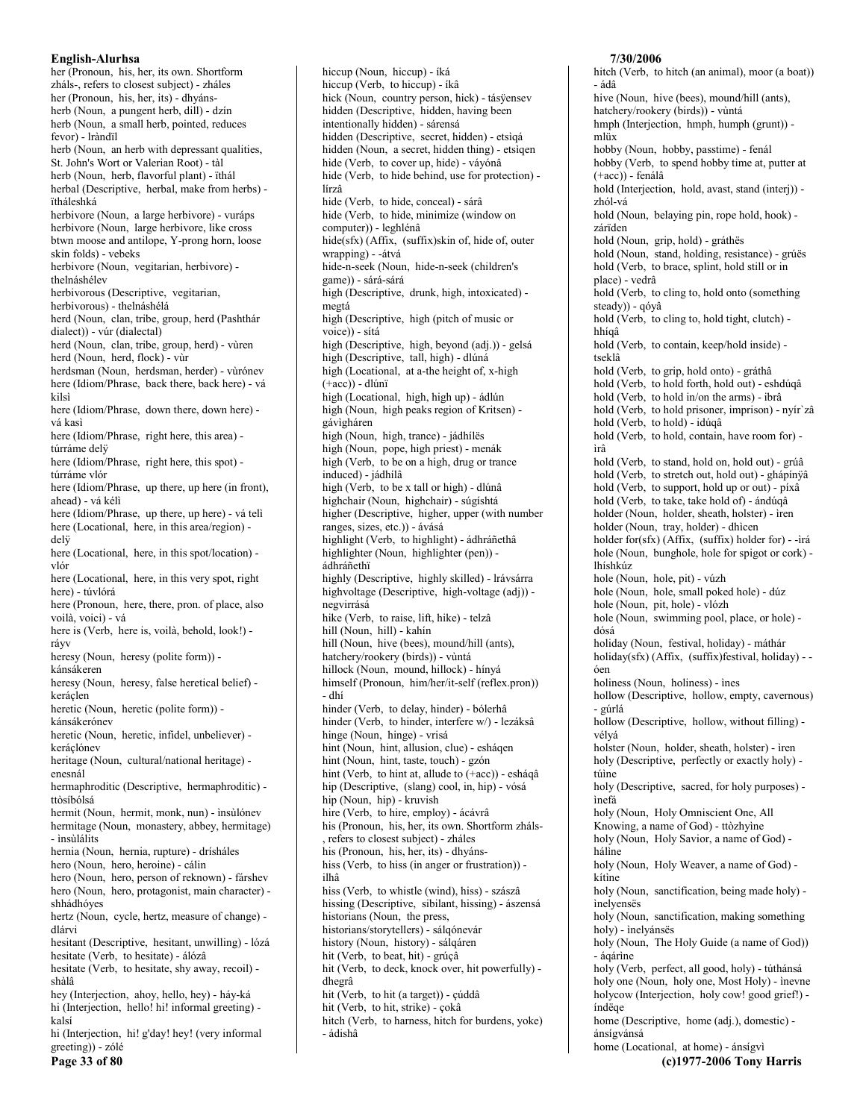her (Pronoun, his, her, its own, Shortform zháls-, refers to closest subject) - zháles her (Pronoun, his, her, its) - dhyánsherb (Noun, a pungent herb, dill) - dzín herb (Noun, a small herb, pointed, reduces fevor) - Iràndïl herb (Noun, an herb with depressant qualities, St. John's Wort or Valerian Root) - tàl herb (Noun, herb, flavorful plant) - ïthál herbal (Descriptive, herbal, make from herbs) ïtháleshká herbivore (Noun, a large herbivore) - vuráps herbivore (Noun, large herbivore, like cross btwn moose and antilope, Y-prong horn, loose skin folds) - vebeks herbivore (Noun, vegitarian, herbivore) thelnáshélev herbivorous (Descriptive, vegitarian, herbivorous) - thelnáshélá herd (Noun, clan, tribe, group, herd (Pashthár dialect)) - vúr (dialectal) herd (Noun, clan, tribe, group, herd) - vùren herd (Noun, herd, flock) - vùr herdsman (Noun, herdsman, herder) - vùrónev here (Idiom/Phrase, back there, back here) - vá kilsì here (Idiom/Phrase, down there, down here) vá kasi here (Idiom/Phrase, right here, this area) túrráme delÿ here (Idiom/Phrase, right here, this spot) túrráme vlór here (Idiom/Phrase, up there, up here (in front), ahead) - vá kéli here (Idiom/Phrase, up there, up here) - vá teli here (Locational, here, in this area/region) delÿ here (Locational, here, in this spot/location) vlór here (Locational, here, in this very spot, right here) - túvlórá here (Pronoun, here, there, pron. of place, also voilà, voici) - vá here is (Verb, here is, voilà, behold, look!) rávv heresy (Noun, heresy (polite form)) kánsákeren heresy (Noun, heresy, false heretical belief) keráclen heretic (Noun, heretic (polite form)) kánsákerónev heretic (Noun, heretic, infidel, unbeliever) keráclónev heritage (Noun, cultural/national heritage) enesnál hermaphroditic (Descriptive, hermaphroditic) ttòsíbólsá hermit (Noun, hermit, monk, nun) - insùlónev hermitage (Noun, monastery, abbey, hermitage) - insùlálits hernia (Noun, hernia, rupture) - drísháles hero (Noun, hero, heroine) - cálin hero (Noun, hero, person of reknown) - fárshev hero (Noun, hero, protagonist, main character) shhádhóves hertz (Noun, cycle, hertz, measure of change) dlárvi hesitant (Descriptive, hesitant, unwilling) - lózá hesitate (Verb, to hesitate) - álózâ hesitate (Verb, to hesitate, shy away, recoil) shàlâ hey (Interjection, ahoy, hello, hey) - háy-ká hi (Interjection, hello! hi! informal greeting) kalsí hi (Interjection, hi! g'day! hey! (very informal greeting)) - zólé

Page 33 of 80

hiccup (Noun, hiccup) - íká hiccup (Verb, to hiccup) - íkâ hick (Noun, country person, hick) - tásÿensev hidden (Descriptive, hidden, having been intentionally hidden) - sárensá hidden (Descriptive, secret, hidden) - etsìqá hidden (Noun, a secret, hidden thing) - etsigen hide (Verb, to cover up, hide) - váyónâ hide (Verb, to hide behind, use for protection) lírzâ hide (Verb, to hide, conceal) - sárâ hide (Verb, to hide, minimize (window on computer)) - leghlénâ hide(sfx) (Affix, (suffix)skin of, hide of, outer wrapping) - - átvá hide-n-seek (Noun, hide-n-seek (children's game)) - sárá-sárá high (Descriptive, drunk, high, intoxicated) megtá high (Descriptive, high (pitch of music or voice)) - sítá high (Descriptive, high, beyond (adj.)) - gelsá high (Descriptive, tall, high) - dlúná high (Locational, at a-the height of, x-high  $(+acc)$ ) - dlúnï high (Locational, high, high up) - ádlún high (Noun, high peaks region of Kritsen) gávìgháren high (Noun, high, trance) - jádhílës high (Noun, pope, high priest) - menák high (Verb, to be on a high, drug or trance induced) - jádhílâ high (Verb, to be x tall or high) - dlúnâ highchair (Noun, highchair) - súgíshtá higher (Descriptive, higher, upper (with number ranges, sizes, etc.)) - ávásá highlight (Verb, to highlight) - ádhráñethâ highlighter (Noun, highlighter (pen)) ádhráñethï highly (Descriptive, highly skilled) - lrávsárra highvoltage (Descriptive, high-voltage (adj)) negvirrásá hike (Verb, to raise, lift, hike) - telzâ hill (Noun, hill) - kahín hill (Noun, hive (bees), mound/hill (ants), hatchery/rookery (birds)) - vùntá hillock (Noun, mound, hillock) - hínyá himself (Pronoun, him/her/it-self (reflex.pron)) - dhí hinder (Verb, to delay, hinder) - bólerhâ hinder (Verb, to hinder, interfere w/) - lezáksâ hinge (Noun, hinge) - vrisá hint (Noun, hint, allusion, clue) - esháqen hint (Noun, hint, taste, touch) - gzón hint (Verb, to hint at, allude to (+acc)) - esháqâ hip (Descriptive, (slang) cool, in, hip) - vósá hip (Noun, hip) - kruvish hire (Verb, to hire, employ) - ácávrâ his (Pronoun, his, her, its own. Shortform zháls-, refers to closest subject) - zháles his (Pronoun, his, her, its) - dhyánshiss (Verb, to hiss (in anger or frustration)) ilhâ hiss (Verb, to whistle (wind), hiss) - szászâ hissing (Descriptive, sibilant, hissing) - ászensá historians (Noun, the press, historians/storvtellers) - sálgónevár history (Noun, history) - sálgáren hit (Verb, to beat, hit) - grúçâ hit (Verb, to deck, knock over, hit powerfully) dhegrâ hit (Verb, to hit (a target)) - çúddâ hit (Verb, to hit, strike) - çokâ hitch (Verb, to harness, hitch for burdens, yoke) - ádishâ

7/30/2006 hitch (Verb, to hitch (an animal), moor (a boat)) - ádâ hive (Noun, hive (bees), mound/hill (ants). hatchery/rookery (birds)) - vùntá hmph (Interjection, hmph, humph (grunt)) mliix hobby (Noun, hobby, passtime) - fenál hobby (Verb, to spend hobby time at, putter at  $(+acc)$ ) - fenálâ hold (Interjection, hold, avast, stand (interj)) zhól-vá hold (Noun, belaying pin, rope hold, hook) zárïden hold (Noun, grip, hold) - gráthës hold (Noun, stand, holding, resistance) - grúës hold (Verb, to brace, splint, hold still or in place) - vedrâ hold (Verb, to cling to, hold onto (something steady)) - qóyâ hold (Verb, to cling to, hold tight, clutch) hhíqâ hold (Verb, to contain, keep/hold inside) tseklâ hold (Verb, to grip, hold onto) - gráthâ hold (Verb, to hold forth, hold out) - eshdúqâ hold (Verb, to hold in/on the arms) - ibrâ hold (Verb, to hold prisoner, imprison) - nyír zâ hold (Verb, to hold) - idúqâ hold (Verb, to hold, contain, have room for) ìrâ hold (Verb, to stand, hold on, hold out) - grúâ hold (Verb, to stretch out, hold out) - ghápínÿâ hold (Verb, to support, hold up or out) - píxâ hold (Verb, to take, take hold of) - ándúqâ holder (Noun, holder, sheath, holster) - ìren holder (Noun, tray, holder) - dhìcen holder for(sfx) (Affix, (suffix) holder for) - - ìrá hole (Noun, bunghole, hole for spigot or cork) lhíshkúz hole (Noun, hole, pit) - vúzh hole (Noun, hole, small poked hole) - dúz hole (Noun, pit, hole) - vlózh hole (Noun, swimming pool, place, or hole) dósá holiday (Noun, festival, holiday) - máthár holiday(sfx) (Affix, (suffix)festival, holiday) - óen holiness (Noun, holiness) - ines hollow (Descriptive, hollow, empty, cavernous) - gúrlá hollow (Descriptive, hollow, without filling) vélvá holster (Noun, holder, sheath, holster) - ìren holy (Descriptive, perfectly or exactly holy) túine holy (Descriptive, sacred, for holy purposes) ìnefá holy (Noun, Holy Omniscient One, All Knowing, a name of God) - ttòzhyìne holy (Noun, Holy Savior, a name of God) hálìne holy (Noun, Holy Weaver, a name of God) kítìne holy (Noun, sanctification, being made holy) inelvensës holy (Noun, sanctification, making something holy) - inelyánsës holy (Noun, The Holy Guide (a name of God)) - ágárine holy (Verb, perfect, all good, holy) - túthánsá holy one (Noun, holy one, Most Holy) - inevne holycow (Interjection, holycow! good grief!) índëqe home (Descriptive, home (adj.), domestic) ánsígvánsá home (Locational, at home) - ánsígvì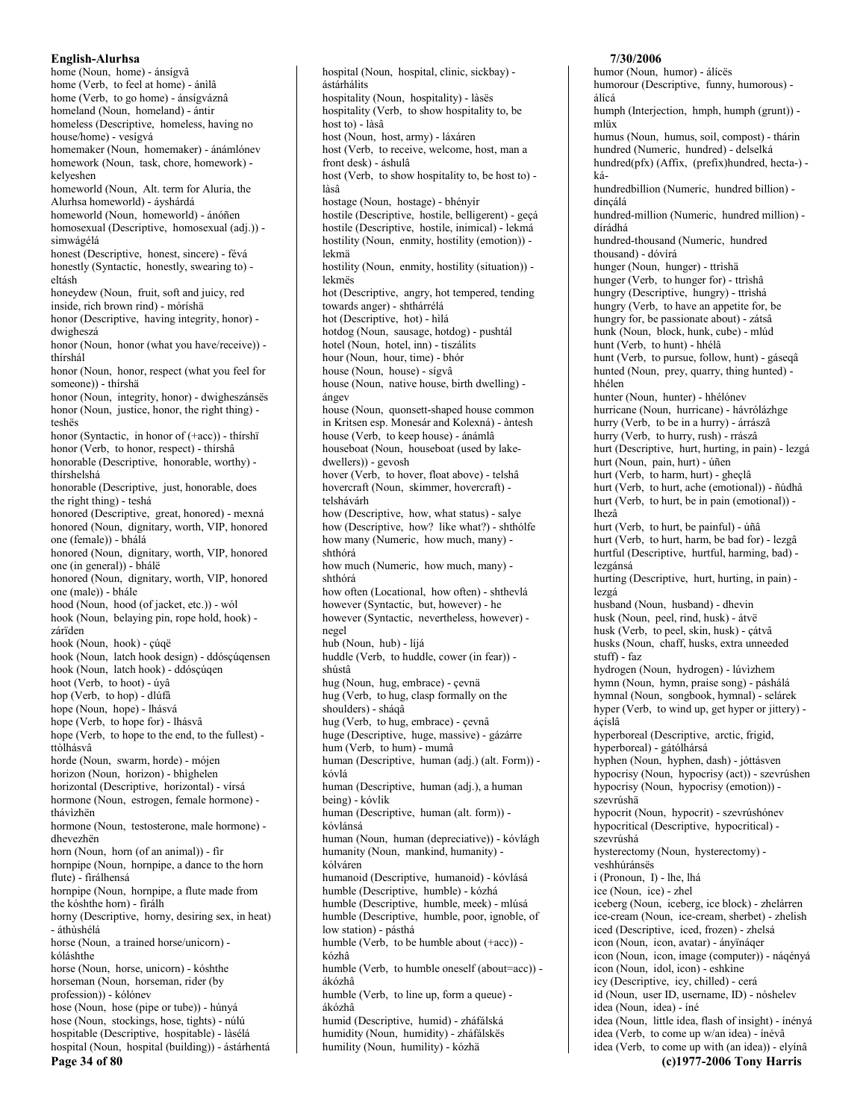English-Alurhsa home (Noun, home) - ánsígvâ home (Verb, to feel at home) - ánilâ home (Verb, to go home) - ánsígváznâ homeland (Noun, homeland) - ántir homeless (Descriptive, homeless, having no house/home) - vesígvá homemaker (Noun, homemaker) - ánámlónev homework (Noun, task, chore, homework) kelveshen homeworld (Noun, Alt. term for Aluria, the Alurhsa homeworld) - áyshárdá homeworld (Noun, homeworld) - ánóñen homosexual (Descriptive, homosexual (adj.)) simwágélá honest (Descriptive, honest, sincere) - févá honestly (Syntactic, honestly, swearing to) eltásh honeydew (Noun, fruit, soft and juicy, red inside, rich brown rind) - móríshä honor (Descriptive, having integrity, honor) dwigheszá honor (Noun, honor (what you have/receive)) thírshál honor (Noun, honor, respect (what you feel for someone)) - thírshä honor (Noun, integrity, honor) - dwigheszánsës honor (Noun, justice, honor, the right thing) teshës honor (Syntactic, in honor of (+acc)) - thírshï honor (Verb, to honor, respect) - thírshâ honorable (Descriptive, honorable, worthy) thírshelshá honorable (Descriptive, just, honorable, does the right thing) - teshá honored (Descriptive, great, honored) - mexná honored (Noun, dignitary, worth, VIP, honored one (female)) - bhálá honored (Noun, dignitary, worth, VIP, honored one (in general)) - bhálë honored (Noun, dignitary, worth, VIP, honored one (male)) - bhále hood (Noun, hood (of jacket, etc.)) - wól hook (Noun, belaying pin, rope hold, hook) zárïden hook (Noun, hook) - çúqë hook (Noun, latch hook design) - ddóscúgensen hook (Noun, latch hook) - ddósçúqen hoot (Verb, to hoot) - úyâ hop (Verb, to hop) - dlúfâ hope (Noun, hope) - lhásvá hope (Verb, to hope for) - lhásvâ hope (Verb, to hope to the end, to the fullest) ttòlhásvâ horde (Noun, swarm, horde) - mójen horizon (Noun, horizon) - bhìghelen horizontal (Descriptive, horizontal) - vírsá hormone (Noun, estrogen, female hormone) thávìzhën hormone (Noun, testosterone, male hormone) dhevezhën horn (Noun, horn (of an animal)) - fir hornpipe (Noun, hornpipe, a dance to the horn flute) - firálhensá hornpipe (Noun, hornpipe, a flute made from the kóshthe horn) - firálh horny (Descriptive, horny, desiring sex, in heat) - áthùshélá horse (Noun, a trained horse/unicorn) kóláshthe horse (Noun, horse, unicorn) - kóshthe horseman (Noun, horseman, rider (by profession)) - kólónev hose (Noun, hose (pipe or tube)) - húnyá hose (Noun, stockings, hose, tights) - núlú hospitable (Descriptive, hospitable) - làsélá hospital (Noun, hospital (building)) - ástárhentá Page 34 of 80

hospital (Noun, hospital, clinic, sickbay) ástárhálits hospitality (Noun. hospitality) - làsës hospitality (Verb, to show hospitality to, be host to) - làsâ host (Noun, host, army) - láxáren host (Verb, to receive, welcome, host, man a front desk) - áshulâ host (Verb, to show hospitality to, be host to) làsâ hostage (Noun, hostage) - bhényír hostile (Descriptive, hostile, belligerent) - geçá hostile (Descriptive, hostile, inimical) - lekmá hostility (Noun, enmity, hostility (emotion)) lekmä hostility (Noun, enmity, hostility (situation)) lekmës hot (Descriptive, angry, hot tempered, tending towards anger) - shthárrélá hot (Descriptive, hot) - hìlá hotdog (Noun, sausage, hotdog) - pushtál hotel (Noun, hotel, inn) - tiszálits hour (Noun, hour, time) - bhór house (Noun, house) - sígvâ house (Noun, native house, birth dwelling) ángev house (Noun, quonsett-shaped house common in Kritsen esp. Monesár and Kolexná) - àntesh house (Verb, to keep house) - ánámlâ houseboat (Noun, houseboat (used by lakedwellers)) - gevosh hover (Verb, to hover, float above) - telshâ hovercraft (Noun, skimmer, hovercraft) telshávárh how (Descriptive, how, what status) - salye how (Descriptive, how? like what?) - shthólfe how many (Numeric, how much, many) shthórá how much (Numeric, how much, many) shthórá how often (Locational, how often) - shthevlá however (Syntactic, but, however) - he however (Syntactic, nevertheless, however) negel hub (Noun, hub) - líjá huddle (Verb. to huddle, cower (in fear)) shústâ hug (Noun, hug, embrace) - çevnä hug (Verb, to hug, clasp formally on the shoulders) - sháqâ hug (Verb, to hug, embrace) - çevnâ huge (Descriptive, huge, massive) - gázárre hum (Verb, to hum) - mumâ human (Descriptive, human (adj.) (alt. Form)) kóvlá human (Descriptive, human (adj.), a human being) - kóvlik human (Descriptive, human (alt. form)) kóvlánsá human (Noun, human (depreciative)) - kóvlágh humanity (Noun, mankind, humanity) kólváren humanoid (Descriptive, humanoid) - kóvlásá humble (Descriptive, humble) - kózhá humble (Descriptive, humble, meek) - mlúsá humble (Descriptive, humble, poor, ignoble, of low station) - pásthá humble (Verb, to be humble about  $(+acc)$ ) kózhâ humble (Verb, to humble oneself (about=acc)) ákózhâ humble (Verb, to line up, form a queue) ákózhâ humid (Descriptive, humid) - zháfálská humidity (Noun, humidity) - zháfálskës humility (Noun, humility) - kózhä

### humor (Noun, humor) - álícës humorour (Descriptive, funny, humorous) álícá humph (Interjection, hmph, humph (grunt)) mliix humus (Noun, humus, soil, compost) - thárin hundred (Numeric, hundred) - delselká hundred(pfx) (Affix, (prefix)hundred, hecta-) káhundredbillion (Numeric, hundred billion) dinçálá hundred-million (Numeric, hundred million) dírádhá hundred-thousand (Numeric, hundred thousand) - dóvírá hunger (Noun, hunger) - ttrìshä hunger (Verb, to hunger for) - ttrìshâ hungry (Descriptive, hungry) - ttrìshá hungry (Verb, to have an appetite for, be hungry for, be passionate about) - zátsâ hunk (Noun, block, hunk, cube) - mlúd hunt (Verb, to hunt) - hhélâ hunt (Verb, to pursue, follow, hunt) - gáseqâ hunted (Noun, prey, quarry, thing hunted) hhélen hunter (Noun, hunter) - hhélónev hurricane (Noun, hurricane) - hávrólázhge hurry (Verb, to be in a hurry) - árrászâ hurry (Verb, to hurry, rush) - rrászâ hurt (Descriptive, hurt, hurting, in pain) - lezgá hurt (Noun, pain, hurt) - úñen hurt (Verb, to harm, hurt) - gheçlâ hurt (Verb, to hurt, ache (emotional)) - ñúdhâ hurt (Verb, to hurt, be in pain (emotional)) lhezâ hurt (Verb, to hurt, be painful) - úñâ hurt (Verb, to hurt, harm, be bad for) - lezgâ hurtful (Descriptive, hurtful, harming, bad) lezgánsá hurting (Descriptive, hurt, hurting, in pain) lezgá husband (Noun, husband) - dhevin husk (Noun, peel, rind, husk) - átvë husk (Verb, to peel, skin, husk) - çátvâ husks (Noun, chaff, husks, extra unneeded  $_{\text{stuff}}$ ) - faz hydrogen (Noun, hydrogen) - lúvìzhem hymn (Noun, hymn, praise song) - páshálá hymnal (Noun, songbook, hymnal) - selárek hyper (Verb, to wind up, get hyper or jittery) ácíslâ hyperboreal (Descriptive, arctic, frigid, hyperboreal) - gátólhársá hyphen (Noun, hyphen, dash) - jóttásven hypocrisy (Noun, hypocrisy (act)) - szevrúshen hypocrisy (Noun, hypocrisy (emotion)) szevrúshä hypocrit (Noun, hypocrit) - szevrúshónev hypocritical (Descriptive, hypocritical) szevrúshá hysterectomy (Noun, hysterectomy) veshhúránsës i (Pronoun, I) - lhe, lhá ice (Noun, ice) - zhel iceberg (Noun, iceberg, ice block) - zhelárren ice-cream (Noun, ice-cream, sherbet) - zhelish iced (Descriptive, iced, frozen) - zhelsá icon (Noun, icon, avatar) - ányïnáqer icon (Noun, icon, image (computer)) - náqényá icon (Noun, idol, icon) - eshkine icy (Descriptive, icy, chilled) - cerá id (Noun, user ID, username, ID) - nóshelev idea (Noun, idea) - íné idea (Noun, little idea, flash of insight) - ínényá idea (Verb, to come up w/an idea) - ínévâ idea (Verb, to come up with (an idea)) - elyínâ (c)1977-2006 Tony Harris

7/30/2006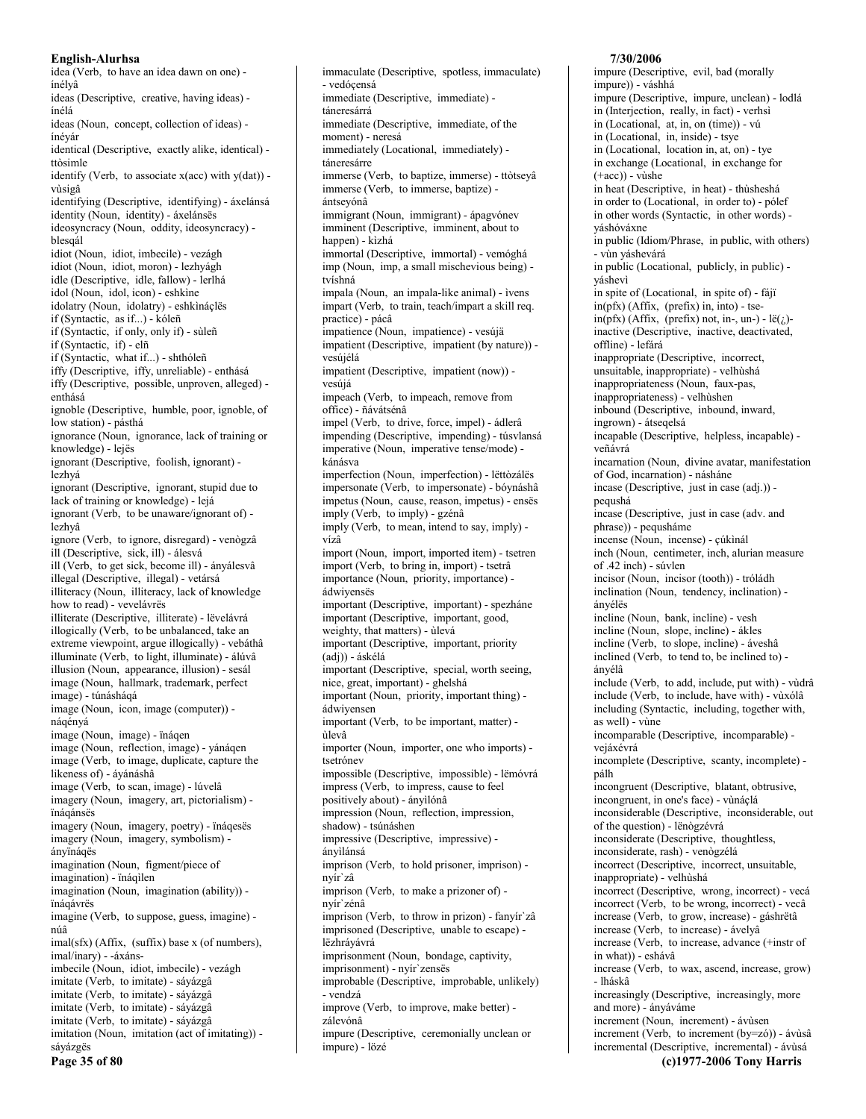idea (Verb, to have an idea dawn on one) ínélyâ ideas (Descriptive, creative, having ideas) ínélá ideas (Noun, concept, collection of ideas) ínéyár identical (Descriptive, exactly alike, identical) ttòsimle identify (Verb, to associate  $x(acc)$  with  $y(dat)$ ) vùsigâ identifying (Descriptive, identifying) - áxelánsá identity (Noun, identity) - áxelánsës ideosyncracy (Noun, oddity, ideosyncracy) blesaál idiot (Noun, idiot, imbecile) - vezágh idiot (Noun, idiot, moron) - lezhvágh idle (Descriptive, idle, fallow) - lerlhá idol (Noun, idol, icon) - eshkine idolatry (Noun, idolatry) - eshkináçlës if (Syntactic, as if...) - kóleñ if (Syntactic, if only, only if) - sùleñ if (Syntactic, if) - elñ if (Syntactic, what if...) - shthóleñ iffy (Descriptive, iffy, unreliable) - enthásá iffy (Descriptive, possible, unproven, alleged) enthásá ignoble (Descriptive, humble, poor, ignoble, of low station) - pásthá ignorance (Noun, ignorance, lack of training or knowledge) - lejës ignorant (Descriptive, foolish, ignorant) lezhyá ignorant (Descriptive, ignorant, stupid due to lack of training or knowledge) - lejá ignorant (Verb, to be unaware/ignorant of) lezhvâ ignore (Verb, to ignore, disregard) - venògzâ ill (Descriptive, sick, ill) - álesvá ill (Verb, to get sick, become ill) - ányálesvâ illegal (Descriptive, illegal) - vetársá illiteracy (Noun, illiteracy, lack of knowledge how to read) - vevelávrës illiterate (Descriptive, illiterate) - lëvelávrá illogically (Verb, to be unbalanced, take an extreme viewpoint, argue illogically) - vebáthâ illuminate (Verb, to light, illuminate) - álúvâ illusion (Noun, appearance, illusion) - sesál image (Noun, hallmark, trademark, perfect image) - túnásháqá image (Noun, icon, image (computer)) nágényá image (Noun, image) - ïnágen image (Noun, reflection, image) - yánágen image (Verb, to image, duplicate, capture the likeness of) - áyánáshâ image (Verb, to scan, image) - lúvelâ imagery (Noun, imagery, art, pictorialism) ïnáqánsës imagery (Noun, imagery, poetry) - ïnáqesës imagery (Noun, imagery, symbolism) ányïnágës imagination (Noun, figment/piece of imagination) - ïnáqilen imagination (Noun, imagination (ability)) ïnágávrës imagine (Verb, to suppose, guess, imagine) núâ  $imal(sfx)$  (Affix, (suffix) base x (of numbers), imal/inary) - - áxánsimbecile (Noun, idiot, imbecile) - vezágh imitate (Verb, to imitate) - sáyázgâ imitate (Verb, to imitate) - sáyázgâ imitate (Verb, to imitate) - sáyázgâ imitate (Verb, to imitate) - sáyázgâ imitation (Noun, imitation (act of imitating)) sáyázgës

immaculate (Descriptive, spotless, immaculate) - vedóçensá immediate (Descriptive, immediate) táneresárrá immediate (Descriptive, immediate, of the moment) - neresá immediately (Locational, immediately) táneresárre immerse (Verb, to baptize, immerse) - ttòtseyâ immerse (Verb, to immerse, baptize) ántseyónâ immigrant (Noun, immigrant) - ápagvónev imminent (Descriptive, imminent, about to happen) - kìzhá immortal (Descriptive, immortal) - vemóghá imp (Noun, imp, a small mischevious being) tvíshná impala (Noun, an impala-like animal) - ìvens impart (Verb, to train, teach/impart a skill req. practice) - pácâ impatience (Noun, impatience) - vesújä impatient (Descriptive, impatient (by nature)) vesújélá impatient (Descriptive, impatient (now)) vesújá impeach (Verb, to impeach, remove from office) - ñávátsénâ impel (Verb, to drive, force, impel) - ádlerâ impending (Descriptive, impending) - túsvlansá imperative (Noun, imperative tense/mode) kánásva imperfection (Noun, imperfection) - lëttòzálës impersonate (Verb, to impersonate) - bóynáshâ impetus (Noun, cause, reason, impetus) - ensës imply (Verb, to imply) - gzénâ imply (Verb, to mean, intend to say, imply) vízâ import (Noun, import, imported item) - tsetren import (Verb, to bring in, import) - tsetrâ importance (Noun, priority, importance) ádwivensës important (Descriptive, important) - spezháne important (Descriptive, important, good, weighty, that matters) - ùlevá important (Descriptive, important, priority (adj)) - áskélá important (Descriptive, special, worth seeing, nice, great, important) - ghelshá important (Noun, priority, important thing) ádwivensen important (Verb, to be important, matter) ùlevâ importer (Noun, importer, one who imports) tsetrónev impossible (Descriptive, impossible) - lëmóvrá impress (Verb, to impress, cause to feel positively about) - ányilónâ impression (Noun, reflection, impression, shadow) - tsúnáshen impressive (Descriptive, impressive) ányìlánsá imprison (Verb, to hold prisoner, imprison) nvír`zâ imprison (Verb, to make a prizoner of) nvír`zénâ imprison (Verb, to throw in prizon) - fanyír'zâ imprisoned (Descriptive, unable to escape) lëzhrávávrá imprisonment (Noun, bondage, captivity, imprisonment) - nyír'zensës improbable (Descriptive, improbable, unlikely) - vendzá improve (Verb, to improve, make better) zálevónâ

impure (Descriptive, ceremonially unclean or

impure) - lözé

impure (Descriptive, evil, bad (morally impure)) - váshhá impure (Descriptive, impure, unclean) - lodlá in (Interjection, really, in fact) - verhsì in (Locational, at, in, on (time)) - vú in (Locational, in, inside) - tsye in (Locational, location in, at, on) - tye in exchange (Locational, in exchange for  $(+acc)$ ) - vùshe in heat (Descriptive, in heat) - thùsheshá in order to (Locational, in order to) - pólef in other words (Syntactic, in other words) yáshóváxne in public (Idiom/Phrase, in public, with others) - vùn yáshevárá in public (Locational, publicly, in public) yáshevì in spite of (Locational, in spite of) - fájï  $in(ptx)$  (Affix, (prefix) in, into) - tse- $\text{in}(\text{pfx})$  (Affix, (prefix) not, in-, un-) - lë(i)inactive (Descriptive, inactive, deactivated, offline) - lefárá inappropriate (Descriptive, incorrect, unsuitable, inappropriate) - velhùshá inappropriateness (Noun, faux-pas, inappropriateness) - velhùshen inbound (Descriptive, inbound, inward, ingrown) - átsegelsá incapable (Descriptive, helpless, incapable) veñávrá incarnation (Noun, divine avatar, manifestation of God, incarnation) - násháne incase (Descriptive, just in case (adj.)) pequshá incase (Descriptive, just in case (adv. and phrase)) - pequsháme incense (Noun, incense) - çúkinál inch (Noun, centimeter, inch, alurian measure of .42 inch) - súvlen incisor (Noun. incisor (tooth)) - tróládh inclination (Noun, tendency, inclination) ányélës incline (Noun, bank, incline) - vesh incline (Noun, slope, incline) - ákles incline (Verb, to slope, incline) - áveshâ inclined (Verb, to tend to, be inclined to) ányélâ include (Verb, to add, include, put with) - vùdrâ include (Verb, to include, have with) - vùxólâ including (Syntactic, including, together with, as well) - vùne incomparable (Descriptive, incomparable) vejáxévrá incomplete (Descriptive, scanty, incomplete) pálh incongruent (Descriptive, blatant, obtrusive, incongruent, in one's face) - vùnáclá inconsiderable (Descriptive, inconsiderable, out of the question) - lënogzévrá inconsiderate (Descriptive, thoughtless, inconsiderate, rash) - venògzélá incorrect (Descriptive, incorrect, unsuitable, inappropriate) - velhùshá incorrect (Descriptive, wrong, incorrect) - vecá incorrect (Verb, to be wrong, incorrect) - vecâ increase (Verb, to grow, increase) - gáshrëtâ increase (Verb, to increase) - ávelyâ increase (Verb, to increase, advance (+instr of in what)) - eshávâ increase (Verb, to wax, ascend, increase, grow)

7/30/2006

- lháskâ increasingly (Descriptive, increasingly, more and more) - ányáváme

increment (Noun, increment) - ávùsen

increment (Verb, to increment (by=zó)) - ávùsâ incremental (Descriptive, incremental) - ávùsá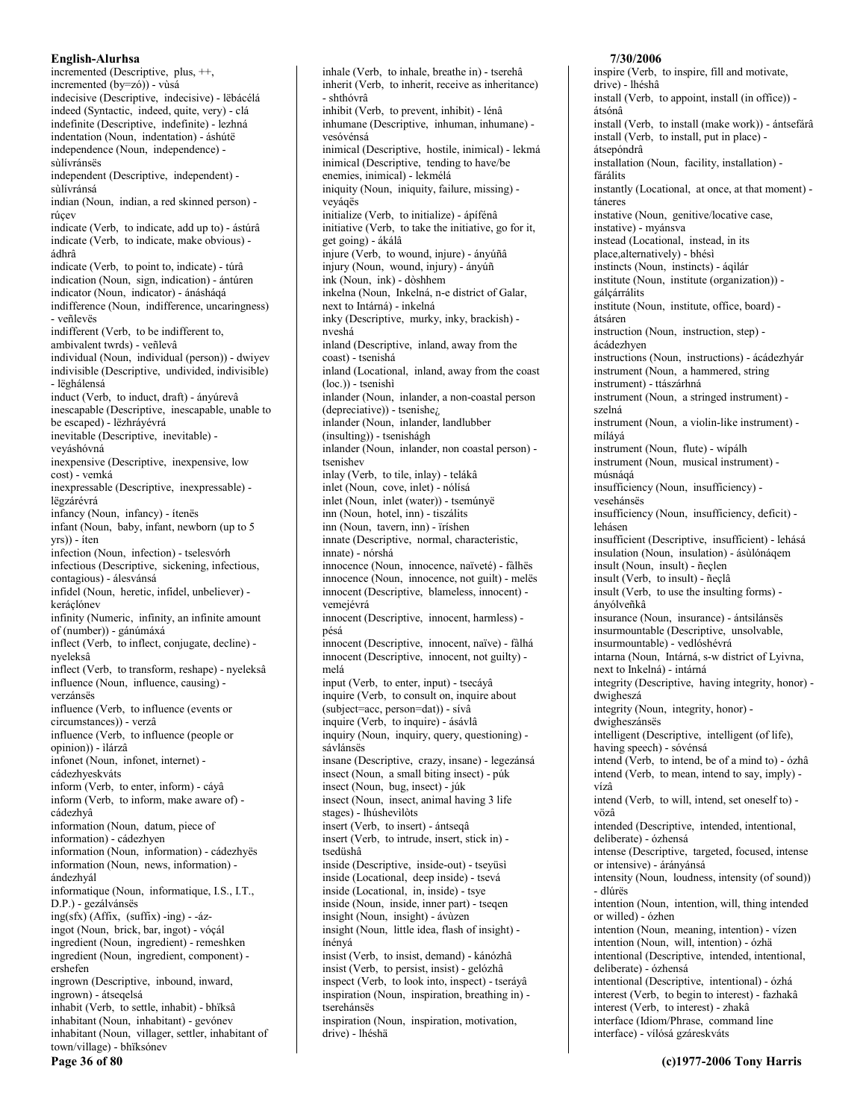incremented (Descriptive, plus, ++, incremented (by=zó)) - vùsá indecisive (Descriptive, indecisive) - lëbácélá indeed (Syntactic, indeed, quite, very) - clá indefinite (Descriptive, indefinite) - lezhná indentation (Noun, indentation) - áshútë independence (Noun, independence) sùlívránsës independent (Descriptive, independent) sùlívránsá indian (Noun, indian, a red skinned person) rúcev indicate (Verb, to indicate, add up to) - ástúrâ indicate (Verb, to indicate, make obvious) ádhrâ indicate (Verb, to point to, indicate) - túrâ indication (Noun, sign, indication) - ántúren indicator (Noun, indicator) - ánásháqá indifference (Noun, indifference, uncaringness) - veñlevës indifferent (Verb, to be indifferent to, ambivalent twrds) - veñlevâ individual (Noun, individual (person)) - dwiyev indivisible (Descriptive, undivided, indivisible) - lëghálensá induct (Verb, to induct, draft) - ányúrevâ inescapable (Descriptive, inescapable, unable to be escaped) - lëzhrávévrá inevitable (Descriptive, inevitable) veváshóvná inexpensive (Descriptive, inexpensive, low cost) - vemká inexpressable (Descriptive, inexpressable) lëgzárévrá infancy (Noun, infancy) - ítenës infant (Noun, baby, infant, newborn (up to 5 yrs)) - íten infection (Noun, infection) - tselesvórh infectious (Descriptive, sickening, infectious, contagious) - álesvánsá infidel (Noun, heretic, infidel, unbeliever) keráclónev infinity (Numeric, infinity, an infinite amount of (number)) - gánúmáxá inflect (Verb, to inflect, conjugate, decline) nyeleksâ inflect (Verb, to transform, reshape) - nyeleksâ influence (Noun, influence, causing) verzánsës influence (Verb, to influence (events or circumstances)) - verzâ influence (Verb, to influence (people or opinion)) - ìlárzâ infonet (Noun, infonet, internet) cádezhyeskváts inform (Verb, to enter, inform) - cáyâ inform (Verb, to inform, make aware of) cádezhyâ information (Noun, datum, piece of information) - cádezhyen information (Noun, information) - cádezhyës information (Noun, news, information) ándezhvál informatique (Noun, informatique, I.S., I.T., D.P.) - gezálvánsës ing(sfx) (Affix, (suffix) -ing) - -ázingot (Noun, brick, bar, ingot) - vóçál ingredient (Noun, ingredient) - remeshken ingredient (Noun, ingredient, component) ershefen ingrown (Descriptive, inbound, inward, ingrown) - átseqelsá inhabit (Verb, to settle, inhabit) - bhïksâ inhabitant (Noun, inhabitant) - gevónev inhabitant (Noun, villager, settler, inhabitant of town/village) - bhïksónev Page 36 of 80

inhale (Verb, to inhale, breathe in) - tserehâ inherit (Verb, to inherit, receive as inheritance) - shthóvrâ inhibit (Verb, to prevent, inhibit) - lénâ inhumane (Descriptive, inhuman, inhumane) vesóvénsá inimical (Descriptive, hostile, inimical) - lekmá inimical (Descriptive, tending to have/be enemies, inimical) - lekmélá iniquity (Noun, iniquity, failure, missing) veyágës initialize (Verb, to initialize) - ápífénâ initiative (Verb, to take the initiative, go for it, get going) - ákálâ injure (Verb, to wound, injure) - ányúñâ injury (Noun, wound, injury) - ányúñ ink (Noun, ink) - dòshhem inkelna (Noun, Inkelná, n-e district of Galar, next to Intárná) - inkelná inky (Descriptive, murky, inky, brackish) nveshá inland (Descriptive, inland, away from the coast) - tsenishá inland (Locational, inland, away from the coast  $(loc.))$  - tsenishi inlander (Noun, inlander, a non-coastal person (depreciative)) - tsenishe<sub>i</sub>, inlander (Noun, inlander, landlubber (insulting)) - tsenishágh inlander (Noun, inlander, non coastal person) tsenishev inlay (Verb, to tile, inlay) - telákâ inlet (Noun, cove, inlet) - nólísá inlet (Noun, inlet (water)) - tsemúnyë inn (Noun, hotel, inn) - tiszálits inn (Noun, tavern, inn) - ïríshen innate (Descriptive, normal, characteristic, innate) - nórshá innocence (Noun, innocence, naïveté) - fàlhës innocence (Noun, innocence, not guilt) - melës innocent (Descriptive, blameless, innocent) vemejévrá innocent (Descriptive, innocent, harmless) pésá innocent (Descriptive, innocent, naïve) - fàlhá innocent (Descriptive, innocent, not guilty) melá input (Verb, to enter, input) - tsecáyâ inquire (Verb, to consult on, inquire about (subject=acc, person=dat)) - sívâ inquire (Verb, to inquire) - ásávlâ inquiry (Noun, inquiry, query, questioning) sávlánsës insane (Descriptive, crazy, insane) - legezánsá insect (Noun, a small biting insect) - púk insect (Noun, bug, insect) - júk insect (Noun, insect, animal having 3 life stages) - lhúshevilòts insert (Verb, to insert) - ántseqâ insert (Verb, to intrude, insert, stick in) tsedüshâ inside (Descriptive, inside-out) - tseyüsi inside (Locational, deep inside) - tsevá inside (Locational, in, inside) - tsye inside (Noun, inside, inner part) - tsegen insight (Noun, insight) - ávùzen insight (Noun, little idea, flash of insight) ínénvá insist (Verb, to insist, demand) - kánózhâ insist (Verb, to persist, insist) - gelózhâ inspect (Verb, to look into, inspect) - tseráyâ inspiration (Noun, inspiration, breathing in) tserehánsës inspiration (Noun, inspiration, motivation, drive) - lhéshä

### inspire (Verb, to inspire, fill and motivate, drive) - lhéshâ install (Verb, to appoint, install (in office)) átsónâ install (Verb, to install (make work)) - ántsefárâ install (Verb, to install, put in place) átsepóndrâ installation (Noun, facility, installation) fárálits instantly (Locational, at once, at that moment) táneres instative (Noun, genitive/locative case, instative) - myánsva instead (Locational, instead, in its place, alternatively) - bhésì instincts (Noun, instincts) - ágilár institute (Noun, institute (organization)) gálçárrálits institute (Noun, institute, office, board) átsáren instruction (Noun, instruction, step) ácádezhven instructions (Noun, instructions) - ácádezhyár instrument (Noun, a hammered, string instrument) - ttászárhná instrument (Noun, a stringed instrument) szelná instrument (Noun, a violin-like instrument) míláyá instrument (Noun, flute) - wípálh instrument (Noun, musical instrument) músnáqá insufficiency (Noun, insufficiency) vesehánsës insufficiency (Noun, insufficiency, deficit) lehásen insufficient (Descriptive, insufficient) - lehásá insulation (Noun, insulation) - ásulónágem insult (Noun, insult) - ñeclen insult (Verb. to insult) - ñeclâ insult (Verb, to use the insulting forms) ányólveñkâ insurance (Noun, insurance) - ántsilánses insurmountable (Descriptive, unsolvable, insurmountable) - vedlóshévrá intarna (Noun, Intárná, s-w district of Lyivna, next to Inkelná) - intárná integrity (Descriptive, having integrity, honor) dwigheszá integrity (Noun, integrity, honor) dwigheszánsës intelligent (Descriptive, intelligent (of life), having speech) - sóvénsá intend (Verb, to intend, be of a mind to) - ózhâ intend (Verb, to mean, intend to say, imply) vízâ intend (Verb, to will, intend, set oneself to) vözâ intended (Descriptive, intended, intentional, deliberate) - ózhensá intense (Descriptive, targeted, focused, intense or intensive) - árányánsá intensity (Noun, loudness, intensity (of sound)) - dlúrës intention (Noun, intention, will, thing intended or willed) - ózhen intention (Noun, meaning, intention) - vízen intention (Noun, will, intention) - ózhä intentional (Descriptive, intended, intentional, deliberate) - ózhensá intentional (Descriptive, intentional) - ózhá interest (Verb, to begin to interest) - fazhakâ interest (Verb, to interest) - zhakâ interface (Idiom/Phrase, command line interface) - vílósá gzáreskváts

7/30/2006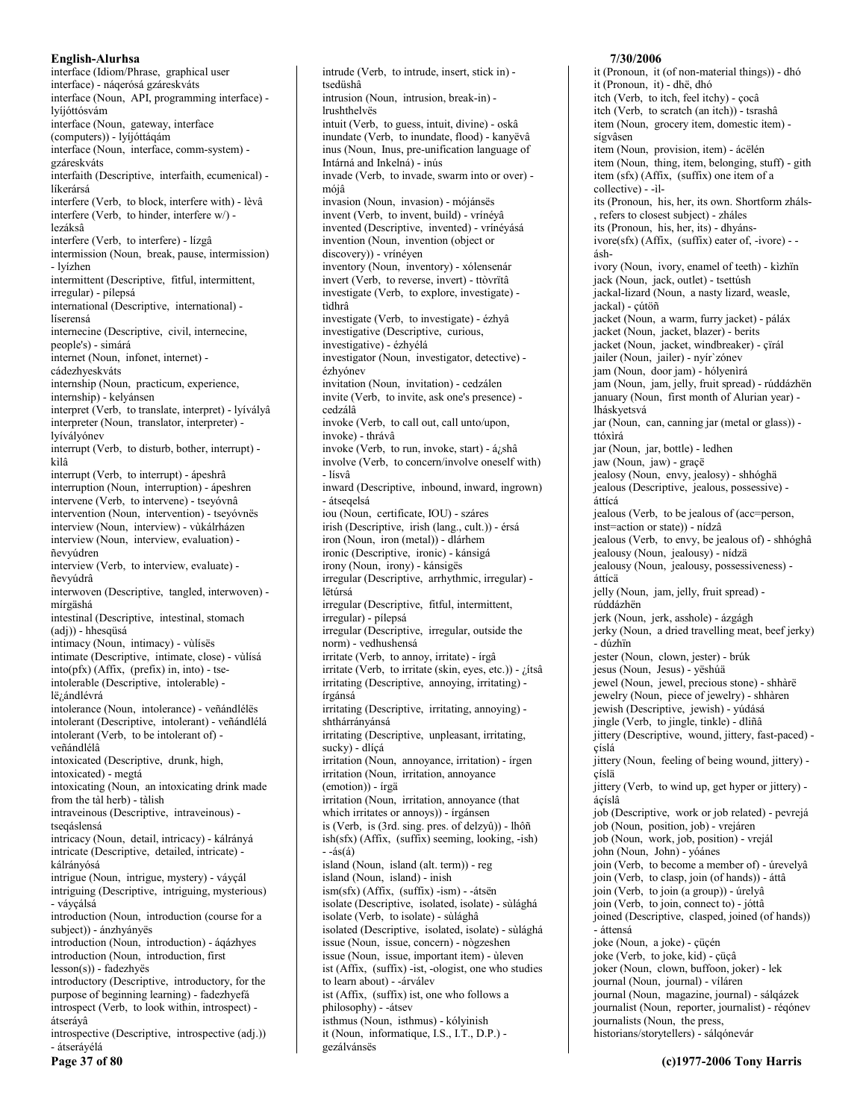interface (Idiom/Phrase, graphical user interface) - náqerósá gzáreskváts interface (Noun, API, programming interface) lyíjóttósvám interface (Noun, gateway, interface (computers)) - lyíjóttáqám interface (Noun, interface, comm-system) gzáreskváts interfaith (Descriptive, interfaith, ecumenical) líkerársá interfere (Verb, to block, interfere with) - lèvâ interfere (Verb, to hinder, interfere w/) lezáksâ interfere (Verb, to interfere) - lízgâ intermission (Noun, break, pause, intermission) - lvízhen intermittent (Descriptive, fitful, intermittent, irregular) - pílepsá international (Descriptive, international) líserensá internecine (Descriptive, civil, internecine, people's) - simárá internet (Noun, infonet, internet) cádezhveskváts internship (Noun, practicum, experience, internship) - kelyánsen interpret (Verb, to translate, interpret) - lyívályâ interpreter (Noun, translator, interpreter) lyívályónev interrupt (Verb, to disturb, bother, interrupt) kìlâ interrupt (Verb, to interrupt) - ápeshrâ interruption (Noun, interruption) - ápeshren intervene (Verb, to intervene) - tseyóvnâ intervention (Noun, intervention) - tseyóvnës interview (Noun, interview) - vùkálrházen interview (Noun, interview, evaluation) ñevvúdren interview (Verb, to interview, evaluate) ñevvúdrâ interwoven (Descriptive, tangled, interwoven) mírgäshá intestinal (Descriptive, intestinal, stomach (adj)) - hhesqüsá intimacy (Noun, intimacy) - vùlísës intimate (Descriptive, intimate, close) - vùlisá  $into(pfx)$  (Affix, (prefix) in, into) - tseintolerable (Descriptive, intolerable) lë<sub>č</sub>ándlévrá intolerance (Noun, intolerance) - veñándlélës intolerant (Descriptive, intolerant) - veñándlélá intolerant (Verb, to be intolerant of) veñándlélâ intoxicated (Descriptive, drunk, high, intoxicated) - megtá intoxicating (Noun, an intoxicating drink made from the tàl herb) - tàlish intraveinous (Descriptive, intraveinous) tsegáslensá intricacy (Noun, detail, intricacy) - kálrányá intricate (Descriptive, detailed, intricate) kálrányósá intrigue (Noun, intrigue, mystery) - váyçál intriguing (Descriptive, intriguing, mysterious) - vávcálsá introduction (Noun, introduction (course for a subject)) - ánzhványës introduction (Noun, introduction) - áqázhyes introduction (Noun, introduction, first  $lesson(s)$ ) - fadezhyës introductory (Descriptive, introductory, for the purpose of beginning learning) - fadezhyefá introspect (Verb, to look within, introspect) átserávâ introspective (Descriptive, introspective (adj.)) - átserávélá

Page 37 of 80

intrusion (Noun. intrusion. break-in) lrushthelvës intuit (Verb, to guess, intuit, divine) - oskâ inundate (Verb, to inundate, flood) - kanyëvâ inus (Noun, Inus, pre-unification language of Intárná and Inkelná) - inús invade (Verb, to invade, swarm into or over) mójâ invasion (Noun, invasion) - mójánsës invent (Verb, to invent, build) - vrínévâ invented (Descriptive, invented) - vrínéyásá invention (Noun, invention (object or discovery)) - vrínéyen inventory (Noun, inventory) - xólensenár invert (Verb, to reverse, invert) - ttòvrïtâ investigate (Verb, to explore, investigate) tìdhrâ investigate (Verb, to investigate) - ézhyâ investigative (Descriptive, curious, investigative) - ézhyélá investigator (Noun, investigator, detective) ézhvónev invitation (Noun, invitation) - cedzálen invite (Verb, to invite, ask one's presence) cedzálâ invoke (Verb, to call out, call unto/upon, invoke) - thrávâ invoke (Verb, to run, invoke, start) - á¿shâ involve (Verb, to concern/involve oneself with) - lísvâ inward (Descriptive, inbound, inward, ingrown) - átsegelsá iou (Noun, certificate, IOU) - száres irish (Descriptive, irish (lang., cult.)) - érsá iron (Noun, iron (metal)) - dlárhem ironic (Descriptive, ironic) - kánsigá irony (Noun, irony) - kánsiges irregular (Descriptive, arrhythmic, irregular) lëtúrsá irregular (Descriptive, fitful, intermittent, irregular) - pílepsá irregular (Descriptive, irregular, outside the norm) - vedhushensá irritate (Verb, to annoy, irritate) - írgâ irritate (Verb, to irritate (skin, eyes, etc.)) - ¿ítsâ irritating (Descriptive, annoying, irritating) írgánsá irritating (Descriptive, irritating, annoying) shthárrányánsá irritating (Descriptive, unpleasant, irritating, sucky) - dlíçá irritation (Noun, annoyance, irritation) - írgen irritation (Noun, irritation, annoyance (emotion)) - írgä irritation (Noun, irritation, annoyance (that which irritates or annoys)) - írgánsen is (Verb, is (3rd. sing. pres. of delzyû)) - lhôñ ish(sfx) (Affix, (suffix) seeming, looking, -ish)  $-4$ s $(4)$ island (Noun, island (alt. term)) - reg island (Noun, island) - inish  $ism(sfx)$  (Affix,  $(suffix)$ -ism) - -átsën isolate (Descriptive, isolated, isolate) - sùlághá isolate (Verb, to isolate) - sùlághâ isolated (Descriptive, isolated, isolate) - sùlághá issue (Noun, issue, concern) - nògzeshen issue (Noun, issue, important item) - ùleven ist (Affix, (suffix) -ist, -ologist, one who studies to learn about) - - árválev ist (Affix, (suffix) ist, one who follows a philosophy) - - átsev isthmus (Noun, isthmus) - kólyinish it (Noun, informatique, I.S., I.T., D.P.) -

gezálvánsës

intrude (Verb, to intrude, insert, stick in) -

tsedüshâ

### 7/30/2006

it (Pronoun, it (of non-material things)) - dhó it (Pronoun, it) - dhë, dhó itch (Verb, to itch, feel itchy) - çocâ itch (Verb, to scratch (an itch)) - tsrashâ item (Noun, grocery item, domestic item) sígvâsen item (Noun, provision, item) - ácëlén item (Noun, thing, item, belonging, stuff) - gith item (sfx) (Affix, (suffix) one item of a collective) - - ilits (Pronoun, his, her, its own. Shortform zháls-, refers to closest subject) - zháles its (Pronoun, his, her, its) - dhyánsivore(sfx) (Affix, (suffix) eater of, -ivore) - áshivory (Noun, ivory, enamel of teeth) - kìzhïn jack (Noun, jack, outlet) - tsettúsh jackal-lizard (Noun, a nasty lizard, weasle, jackal) - çútöñ jacket (Noun, a warm, furry jacket) - páláx jacket (Noun, jacket, blazer) - berits jacket (Noun, jacket, windbreaker) - çïrál jailer (Noun, jailer) - nyír'zónev jam (Noun, door jam) - hólyenirá jam (Noun, jam, jelly, fruit spread) - rúddázhën january (Noun, first month of Alurian year) lháskyetsvá jar (Noun, can, canning jar (metal or glass)) ttóxìrá jar (Noun, jar, bottle) - ledhen jaw (Noun, jaw) - graçë jealosy (Noun, envy, jealosy) - shhóghä jealous (Descriptive, jealous, possessive) áttícá jealous (Verb, to be jealous of (acc=person, inst=action or state)) - nídzâ jealous (Verb, to envy, be jealous of) - shhóghâ jealousy (Noun, jealousy) - nídzä jealousy (Noun, jealousy, possessiveness) áttícä jelly (Noun, jam, jelly, fruit spread) rúddázhën jerk (Noun, jerk, asshole) - ázgágh jerky (Noun, a dried travelling meat, beef jerky) - dúzhïn jester (Noun, clown, jester) - brúk jesus (Noun, Jesus) - yëshúä jewel (Noun, jewel, precious stone) - shhàrë jewelry (Noun, piece of jewelry) - shhàren jewish (Descriptive, jewish) - yúdásá jingle (Verb, to jingle, tinkle) - dliñâ jittery (Descriptive, wound, jittery, fast-paced) çíslá jittery (Noun, feeling of being wound, jittery) çíslä jittery (Verb, to wind up, get hyper or jittery) ácíslâ job (Descriptive, work or job related) - pevrejá job (Noun, position, job) - vrejáren job (Noun, work, job, position) - vrejál john (Noun, John) - yóánes join (Verb, to become a member of) - úrevelyâ join (Verb, to clasp, join (of hands)) - áttâ join (Verb, to join (a group)) - úrelyâ join (Verb, to join, connect to) - jóttâ joined (Descriptive, clasped, joined (of hands)) - áttensá joke (Noun, a joke) - çüçén joke (Verb, to joke, kid) - çüçâ joker (Noun, clown, buffoon, joker) - lek journal (Noun, journal) - víláren journal (Noun, magazine, journal) - sálqázek journalist (Noun, reporter, journalist) - réqónev journalists (Noun, the press, historians/storytellers) - sálqónevár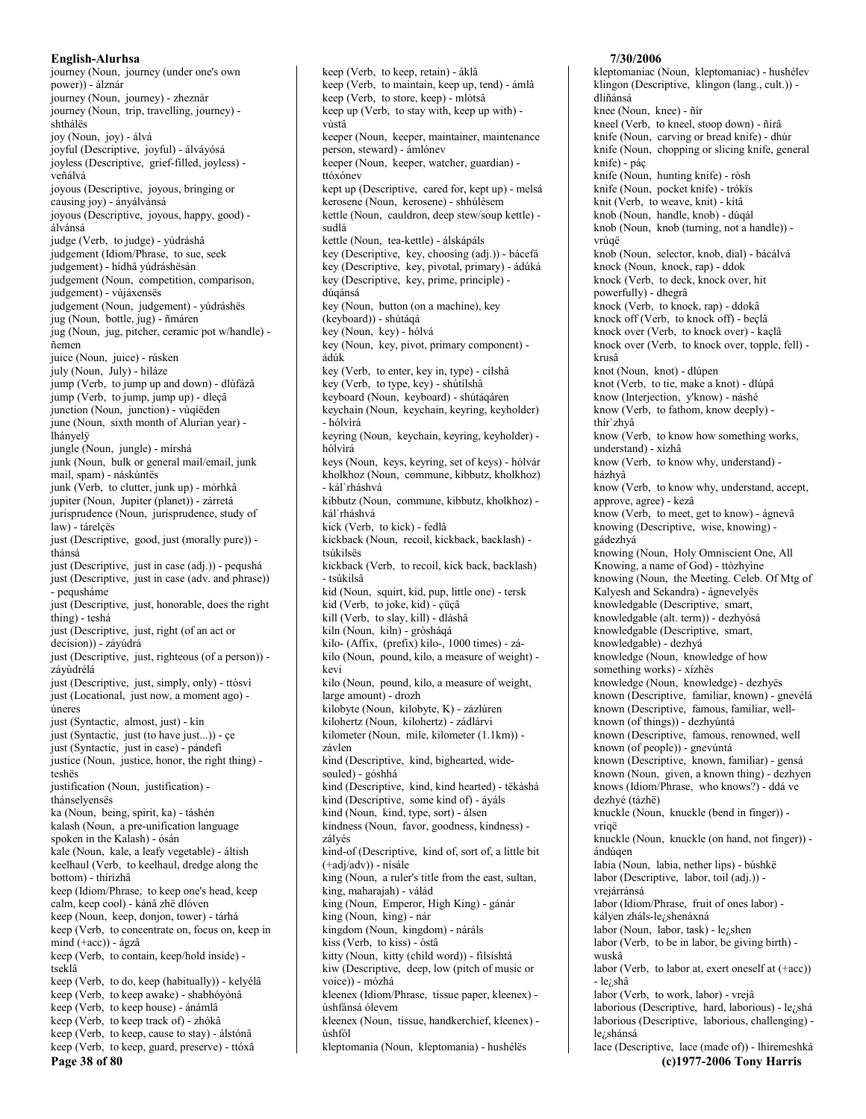journey (Noun, journey (under one's own power)) - álznár journey (Noun, journey) - zheznár journey (Noun, trip, travelling, journey) shthálës joy (Noun, joy) - álvá joyful (Descriptive, joyful) - álváyósá joyless (Descriptive, grief-filled, joyless) veñálvá joyous (Descriptive, joyous, bringing or causing joy) - ányálvánsá joyous (Descriptive, joyous, happy, good) álvánsá judge (Verb, to judge) - yúdráshâ judgement (Idiom/Phrase, to sue, seek judgement) - hídhâ vúdráshësán judgement (Noun, competition, comparison, judgement) - vùjáxenses judgement (Noun, judgement) - yúdráshës jug (Noun, bottle, jug) - ñmáren jug (Noun, jug, pitcher, ceramic pot w/handle) ñemen juice (Noun, juice) - rúsken july (Noun, July) - hiláze jump (Verb, to jump up and down) - dlúfázâ jump (Verb, to jump, jump up) - dleçâ junction (Noun, junction) - vùqíëden june (Noun, sixth month of Alurian year) lhányelÿ jungle (Noun, jungle) - mírshá junk (Noun, bulk or general mail/email, junk mail, spam) - náskúntës junk (Verb, to clutter, junk up) - mórhkâ jupiter (Noun, Jupiter (planet)) - zárretá jurisprudence (Noun, jurisprudence, study of law) - tárelçës just (Descriptive, good, just (morally pure)) thánsá just (Descriptive, just in case (adj.)) - pequshá just (Descriptive, just in case (adv. and phrase)) - pequsháme just (Descriptive, just, honorable, does the right thing) - teshá just (Descriptive, just, right (of an act or decision)) - záyúdrá just (Descriptive, just, righteous (of a person)) záyúdrélá just (Descriptive, just, simply, only) - ttòsvì just (Locational, just now, a moment ago) úneres just (Syntactic, almost, just) - kìn just (Syntactic, just (to have just...)) - ce just (Syntactic, just in case) - pándefi justice (Noun, justice, honor, the right thing) teshës justification (Noun, justification) thánselyenses ka (Noun, being, spirit, ka) - táshén kalash (Noun, a pre-unification language spoken in the Kalash) - ósán kale (Noun, kale, a leafy vegetable) - áltish keelhaul (Verb, to keelhaul, dredge along the bottom) - thírízhâ keep (Idiom/Phrase, to keep one's head, keep calm, keep cool) - kánâ zhë dlóven keep (Noun, keep, donjon, tower) - tárhá keep (Verb, to concentrate on, focus on, keep in mind  $(+acc)$  - ágzâ keep (Verb, to contain, keep/hold inside) tseklâ keep (Verb, to do, keep (habitually)) - kelyélâ keep (Verb, to keep awake) - shabhóyónâ keep (Verb, to keep house) - ánámlâ keep (Verb, to keep track of) - zhókâ keep (Verb, to keep, cause to stay) - álstónâ keep (Verb, to keep, guard, preserve) - ttóxâ Page 38 of 80

keep (Verb, to keep, retain) - áklâ keep (Verb, to maintain, keep up, tend) - ámlâ keep (Verb, to store, keep) - mlótsâ keep up (Verb, to stay with, keep up with) vùstâ keeper (Noun, keeper, maintainer, maintenance person, steward) - ámlónev keeper (Noun, keeper, watcher, guardian) ttóxónev kept up (Descriptive, cared for, kept up) - melsá kerosene (Noun, kerosene) - shhúlèsem kettle (Noun, cauldron, deep stew/soup kettle) sudlá kettle (Noun, tea-kettle) - álskápáls key (Descriptive, key, choosing (adj.)) - bácefá key (Descriptive, key, pivotal, primary) - ádúká key (Descriptive, key, prime, principle) dúqánsá key (Noun, button (on a machine), key (keyboard)) - shútágá key (Noun, key) - hólvá key (Noun, key, pivot, primary component) ádúk key (Verb, to enter, key in, type) - cilshâ key (Verb, to type, key) - shútílshâ keyboard (Noun, keyboard) - shútáqáren keychain (Noun, keychain, keyring, keyholder) - hólvìrá keyring (Noun, keychain, keyring, keyholder) hólvìrá keys (Noun, keys, keyring, set of keys) - hólvár kholkhoz (Noun, commune, kibbutz, kholkhoz) - kál`rháshvá kibbutz (Noun, commune, kibbutz, kholkhoz) kál`rháshvá kick (Verb, to kick) - fedlâ kickback (Noun, recoil, kickback, backlash) tsúkilsës kickback (Verb, to recoil, kick back, backlash) - tsúkilsâ kid (Noun, squirt, kid, pup, little one) - tersk kid (Verb, to joke, kid) - çüçâ kill (Verb, to slay, kill) - dlàshâ kiln (Noun, kiln) - gròsháqá kilo- (Affix, (prefix) kilo-, 1000 times) - zákilo (Noun, pound, kilo, a measure of weight) kevi kilo (Noun, pound, kilo, a measure of weight, large amount) - drozh kilobyte (Noun, kilobyte, K) - zázlúren kilohertz (Noun, kilohertz) - zádlárvi kilometer (Noun, mile, kilometer (1.1km)) závlen kind (Descriptive, kind, bighearted, widesouled) - góshhá kind (Descriptive, kind, kind hearted) - tëkàshá kind (Descriptive, some kind of) - áyáls kind (Noun, kind, type, sort) - álsen kindness (Noun, favor, goodness, kindness) zályés kind-of (Descriptive, kind of, sort of, a little bit (+adj/adv)) - nísále king (Noun, a ruler's title from the east, sultan, king, maharajah) - válád king (Noun, Emperor, High King) - gánár king (Noun, king) - nár kingdom (Noun, kingdom) - náráls kiss (Verb, to kiss) - òstâ kitty (Noun, kitty (child word)) - filsíshtá kiw (Descriptive, deep, low (pitch of music or voice)) - mózhá kleenex (Idiom/Phrase, tissue paper, kleenex) ùshfánsá ólevem kleenex (Noun, tissue, handkerchief, kleenex) *ishfól* kleptomania (Noun, kleptomania) - hushélës

### 7/30/2006

kleptomaniac (Noun, kleptomaniac) - hushélev klingon (Descriptive, klingon (lang., cult.)) dliñánsá knee (Noun, knee) - ñír kneel (Verb, to kneel, stoop down) - ñírâ knife (Noun, carving or bread knife) - dhúr knife (Noun, chopping or slicing knife, general knife) - páç knife (Noun, hunting knife) - ròsh knife (Noun, pocket knife) - trókïs knit (Verb, to weave, knit) - kítâ knob (Noun, handle, knob) - dúqál knob (Noun, knob (turning, not a handle)) vrúaë knob (Noun, selector, knob, dial) - bácálvá knock (Noun, knock, rap) - ddok knock (Verb, to deck, knock over, hit powerfully) - dhegrâ knock (Verb, to knock, rap) - ddokâ knock off (Verb, to knock off) - beçlâ knock over (Verb, to knock over) - kaçlâ knock over (Verb, to knock over, topple, fell) krusâ knot (Noun, knot) - dlúpen knot (Verb, to tie, make a knot) - dlúpâ know (Interjection, y'know) - náshé know (Verb, to fathom, know deeply) thír`zhyâ know (Verb, to know how something works, understand) - xízhâ know (Verb, to know why, understand) házhyâ know (Verb, to know why, understand, accept, approve, agree) - kezâ know (Verb, to meet, get to know) - ágnevâ knowing (Descriptive, wise, knowing) gádezhyá knowing (Noun, Holy Omniscient One, All Knowing, a name of God) - ttòzhyìne knowing (Noun, the Meeting. Celeb. Of Mtg of Kalyesh and Sekandra) - ágnevelyes knowledgable (Descriptive, smart, knowledgable (alt. term)) - dezhyósá knowledgable (Descriptive, smart, knowledgable) - dezhyá knowledge (Noun, knowledge of how something works) - xízhës knowledge (Noun, knowledge) - dezhyës known (Descriptive, familiar, known) - gnevélá known (Descriptive, famous, familiar, wellknown (of things)) - dezhyúntá known (Descriptive, famous, renowned, well known (of people)) - gnevúntá known (Descriptive, known, familiar) - gensá known (Noun, given, a known thing) - dezhyen knows (Idiom/Phrase, who knows?) - ddá ve dezhyé (tázhë) knuckle (Noun, knuckle (bend in finger)) vrigë knuckle (Noun, knuckle (on hand, not finger)) ándúgen labia (Noun, labia, nether lips) - búshkë labor (Descriptive, labor, toil (adj.)) vrejárránsá labor (Idiom/Phrase, fruit of ones labor) kályen zháls-le¿shenáxná labor (Noun, labor, task) - leishen labor (Verb, to be in labor, be giving birth) wuskâ labor (Verb, to labor at, exert oneself at (+acc))  $-lei<sub>i</sub>shâ$ labor (Verb, to work, labor) - vrejâ laborious (Descriptive, hard, laborious) - le¿shá laborious (Descriptive, laborious, challenging) lezshánsá lace (Descriptive, lace (made of)) - lhíremeshká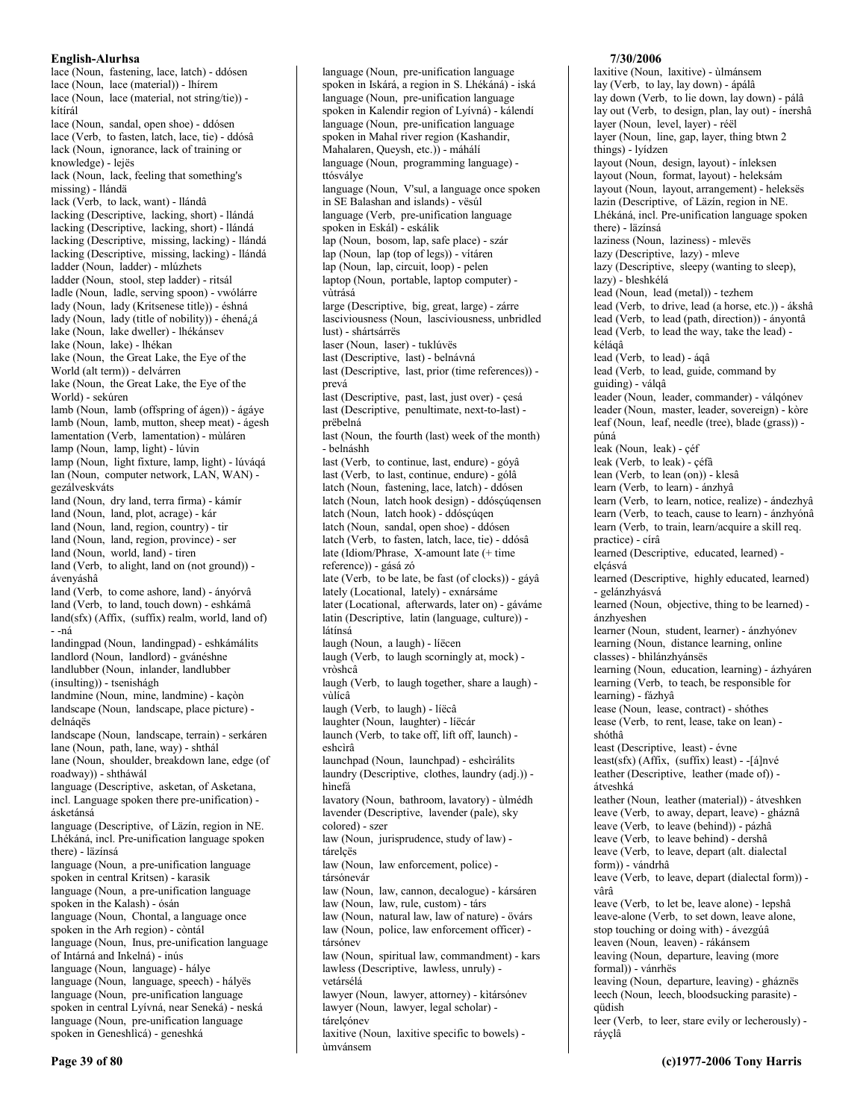lace (Noun, fastening, lace, latch) - ddósen lace (Noun, lace (material)) - lhírem lace (Noun, lace (material, not string/tie)) kítírál lace (Noun, sandal, open shoe) - ddósen lace (Verb, to fasten, latch, lace, tie) - ddósâ lack (Noun, ignorance, lack of training or knowledge) - lejës lack (Noun, lack, feeling that something's missing) - llándä lack (Verb, to lack, want) - llándâ lacking (Descriptive, lacking, short) - llándá lacking (Descriptive, lacking, short) - llándá lacking (Descriptive, missing, lacking) - llándá lacking (Descriptive, missing, lacking) - llándá ladder (Noun, ladder) - mlúzhets ladder (Noun, stool, step ladder) - ritsál ladle (Noun, ladle, serving spoon) - vwólárre lady (Noun, lady (Kritsenese title)) - éshná lady (Noun, lady (title of nobility)) - éhená/á lake (Noun, lake dweller) - lhékánsev lake (Noun, lake) - lhékan lake (Noun, the Great Lake, the Eye of the World (alt term)) - delvárren lake (Noun, the Great Lake, the Eye of the World) - sekúren lamb (Noun, lamb (offspring of ágen)) - ágáye lamb (Noun, lamb, mutton, sheep meat) - ágesh lamentation (Verb, lamentation) - mùláren lamp (Noun, lamp, light) - lúvin lamp (Noun, light fixture, lamp, light) - lúváqá lan (Noun, computer network, LAN, WAN) gezálveskváts land (Noun, dry land, terra firma) - kámír land (Noun, land, plot, acrage) - kár land (Noun, land, region, country) - tir land (Noun, land, region, province) - ser land (Noun, world, land) - tiren land (Verb, to alight, land on (not ground)) ávenváshâ land (Verb, to come ashore, land) - ányórvâ land (Verb, to land, touch down) - eshkámâ  $land(sfx)$  (Affix, (suffix) realm, world, land of) - -ná landingpad (Noun, landingpad) - eshkámálits landlord (Noun, landlord) - gvánéshne landlubber (Noun, inlander, landlubber  $(insulting))$  - tsenishágh landmine (Noun, mine, landmine) - kaçòn landscape (Noun, landscape, place picture) delnáqës landscape (Noun, landscape, terrain) - serkáren lane (Noun, path, lane, way) - shthál lane (Noun, shoulder, breakdown lane, edge (of roadway)) - shtháwál language (Descriptive, asketan, of Asketana, incl. Language spoken there pre-unification) ásketánsá language (Descriptive, of Läzín, region in NE. Lhékáná, incl. Pre-unification language spoken there) - läzínsá language (Noun, a pre-unification language spoken in central Kritsen) - karasik language (Noun, a pre-unification language spoken in the Kalash) - ósán language (Noun, Chontal, a language once spoken in the Arh region) - còntál language (Noun, Inus, pre-unification language of Intárná and Inkelná) - inús language (Noun, language) - hálye language (Noun, language, speech) - hályës language (Noun, pre-unification language spoken in central Lyívná, near Seneká) - neská language (Noun, pre-unification language) spoken in Geneshlìcá) - geneshká

language (Noun, pre-unification language) spoken in Iskárá, a region in S. Lhékáná) - iská language (Noun, pre-unification language) spoken in Kalendir region of Lyívná) - kálendí language (Noun, pre-unification language spoken in Mahal river region (Kashandir, Mahalaren, Queysh, etc.)) - máhálí language (Noun, programming language) ttósválye language (Noun, V'sul, a language once spoken in SE Balashan and islands) - vësúl language (Verb, pre-unification language spoken in Eskál) - eskálik lap (Noun, bosom, lap, safe place) - szár lap (Noun, lap (top of legs)) - vítáren lap (Noun, lap, circuit, loop) - pelen laptop (Noun, portable, laptop computer) vitrásá large (Descriptive, big, great, large) - zárre lasciviousness (Noun, lasciviousness, unbridled lust) - shártsárrës laser (Noun, laser) - tuklúvës last (Descriptive, last) - belnávná last (Descriptive, last, prior (time references)) prevá last (Descriptive, past, last, just over) - çesá last (Descriptive, penultimate, next-to-last) prëbelná last (Noun, the fourth (last) week of the month) - belnáshh last (Verb, to continue, last, endure) - góyâ last (Verb, to last, continue, endure) - gólâ latch (Noun, fastening, lace, latch) - ddósen latch (Noun, latch hook design) - ddóscúgensen latch (Noun, latch hook) - ddósçúqen latch (Noun, sandal, open shoe) - ddósen latch (Verb, to fasten, latch, lace, tie) - ddósâ late (Idiom/Phrase, X-amount late (+ time) reference)) - gásá zó late (Verb. to be late, be fast (of clocks)) - gáyâ lately (Locational, lately) - exnársáme later (Locational, afterwards, later on) - gáváme latin (Descriptive, latin (language, culture)) látínsá laugh (Noun, a laugh) - líëcen laugh (Verb, to laugh scorningly at, mock) vròshcâ laugh (Verb, to laugh together, share a laugh) vùlícâ laugh (Verb, to laugh) - líëcâ laughter (Noun, laughter) - líëcár launch (Verb, to take off, lift off, launch) eshcìrâ launchpad (Noun, launchpad) - eshcìrálits laundry (Descriptive, clothes, laundry (adj.)) hìnefá lavatory (Noun, bathroom, lavatory) - ùlmédh lavender (Descriptive, lavender (pale), sky colored) - szer law (Noun, jurisprudence, study of law) tárelcës law (Noun, law enforcement, police) társónevár law (Noun, law, cannon, decalogue) - kársáren law (Noun, law, rule, custom) - társ law (Noun, natural law, law of nature) - övárs law (Noun, police, law enforcement officer) társónev law (Noun, spiritual law, commandment) - kars lawless (Descriptive, lawless, unruly) vetársélá lawyer (Noun, lawyer, attorney) - kìtársónev lawyer (Noun, lawyer, legal scholar) tárelçónev laxitive (Noun, laxitive specific to bowels) -

ùmvánsem

# 7/30/2006

laxitive (Noun, laxitive) - ùlmánsem lay (Verb, to lay, lay down) - ápálâ lay down (Verb, to lie down, lay down) - pálâ lay out (Verb, to design, plan, lay out) - ínershâ layer (Noun, level, layer) - réël layer (Noun, line, gap, layer, thing btwn 2 things) - lyídzen layout (Noun, design, layout) - ínleksen layout (Noun, format, layout) - heleksám layout (Noun, layout, arrangement) - heleksës lazin (Descriptive, of Läzín, region in NE. Lhékáná, incl. Pre-unification language spoken there) - läzínsá laziness (Noun, laziness) - mlevës lazy (Descriptive, lazy) - mleve lazy (Descriptive, sleepy (wanting to sleep), lazy) - bleshkélá lead (Noun, lead (metal)) - tezhem lead (Verb, to drive, lead (a horse, etc.)) - ákshâ lead (Verb, to lead (path, direction)) - ányontâ lead (Verb, to lead the way, take the lead) kélágâ lead (Verb, to lead) - áqâ lead (Verb, to lead, guide, command by guiding) - válqâ leader (Noun, leader, commander) - válqónev leader (Noun, master, leader, sovereign) - kòre leaf (Noun, leaf, needle (tree), blade (grass)) púná leak (Noun, leak) - çéf leak (Verb, to leak) - céfâ lean (Verb, to lean (on)) - klesâ learn (Verb, to learn) - ánzhyâ learn (Verb, to learn, notice, realize) - ándezhyâ learn (Verb, to teach, cause to learn) - ánzhyónâ learn (Verb, to train, learn/acquire a skill req. practice) - círâ learned (Descriptive, educated, learned) elcásvá learned (Descriptive, highly educated, learned) - gelánzhyásvá learned (Noun, objective, thing to be learned) ánzhveshen learner (Noun, student, learner) - ánzhyónev learning (Noun, distance learning, online classes) - bhilánzhyánsës learning (Noun, education, learning) - ázhyáren learning (Verb, to teach, be responsible for learning) - fázhyâ lease (Noun, lease, contract) - shóthes lease (Verb, to rent, lease, take on lean) shóthâ least (Descriptive, least) - évne  $least(sfx)$  (Affix, (suffix) least) - -[á]nvé leather (Descriptive, leather (made of)) átveshká leather (Noun, leather (material)) - átveshken leave (Verb, to away, depart, leave) - gháznâ leave (Verb, to leave (behind)) - pázhâ leave (Verb, to leave behind) - dershâ leave (Verb, to leave, depart (alt. dialectal form)) - vándrhâ leave (Verb, to leave, depart (dialectal form)) vârâ leave (Verb, to let be, leave alone) - lepshâ leave-alone (Verb, to set down, leave alone, stop touching or doing with) - ávezgúâ leaven (Noun, leaven) - rákánsem leaving (Noun, departure, leaving (more formal)) - vánrhës leaving (Noun, departure, leaving) - gháznës leech (Noun, leech, bloodsucking parasite) qüdish leer (Verb, to leer, stare evily or lecherously) ráyçlâ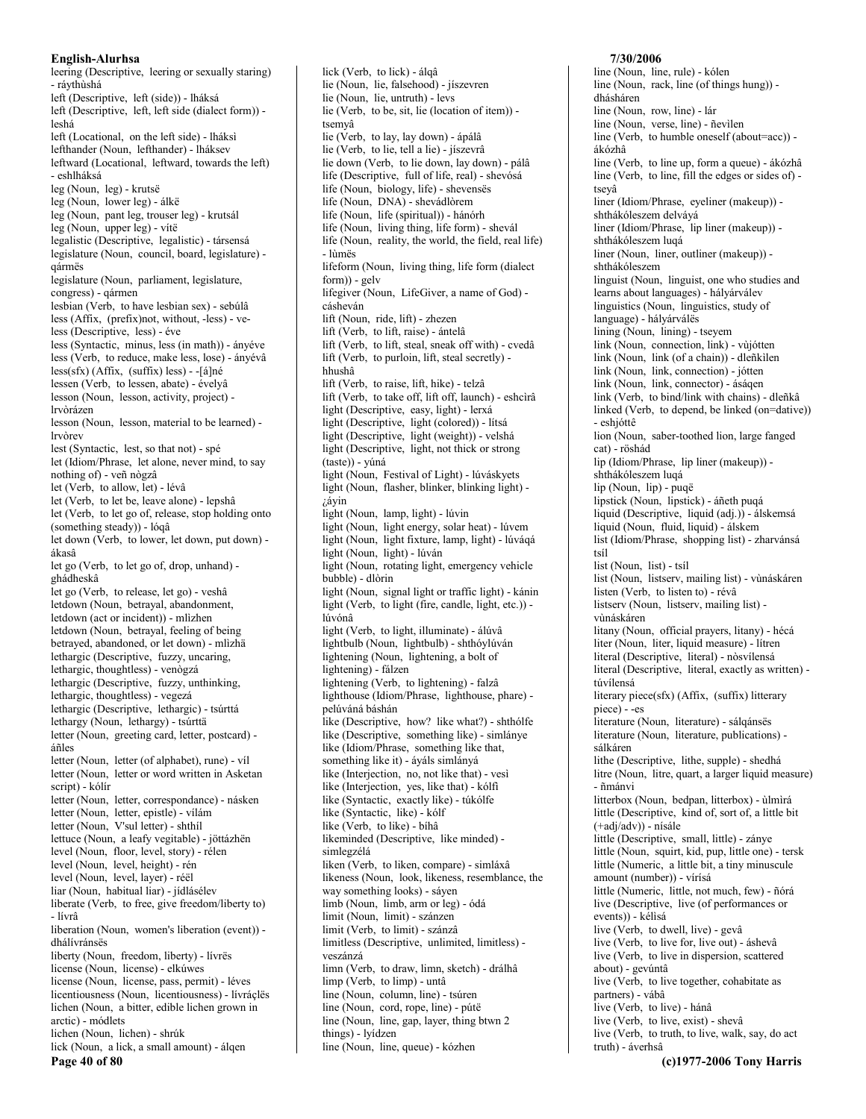leering (Descriptive, leering or sexually staring) - ráythùshá left (Descriptive, left (side)) - lháksá left (Descriptive, left, left side (dialect form)) leshá left (Locational, on the left side) - lháksi lefthander (Noun, lefthander) - lháksev leftward (Locational, leftward, towards the left) - eshlháksá leg (Noun, leg) - krutsë leg (Noun, lower leg) - álkë leg (Noun, pant leg, trouser leg) - krutsál leg (Noun, upper leg) - vítë legalistic (Descriptive, legalistic) - társensá legislature (Noun, council, board, legislature) gármës legislature (Noun, parliament, legislature, congress) - qármen lesbian (Verb, to have lesbian sex) - sebúlâ less (Affix, (prefix)not, without, -less) - veless (Descriptive, less) - éve less (Syntactic, minus, less (in math)) - ányéve less (Verb, to reduce, make less, lose) - ányévâ  $less(sfx)$  (Affix, (suffix) less) - -[á]né lessen (Verb, to lessen, abate) - évelyâ lesson (Noun, lesson, activity, project) lrvòrázen lesson (Noun, lesson, material to be learned) lrvòrev lest (Syntactic, lest, so that not) - spé let (Idiom/Phrase, let alone, never mind, to say nothing of) - veñ nògzâ let (Verb, to allow, let) - lévâ let (Verb. to let be, leave alone) - lepshâ let (Verb, to let go of, release, stop holding onto (something steady)) - lóqâ let down (Verb, to lower, let down, put down) ákasâ let go (Verb, to let go of, drop, unhand) ghádheskâ let go (Verb, to release, let go) - veshâ letdown (Noun, betrayal, abandonment, letdown (act or incident)) - mlìzhen letdown (Noun, betrayal, feeling of being betrayed, abandoned, or let down) - mlìzhä lethargic (Descriptive, fuzzy, uncaring, lethargic, thoughtless) - venògzá lethargic (Descriptive, fuzzy, unthinking, lethargic, thoughtless) - vegezá lethargic (Descriptive, lethargic) - tsúrttá lethargy (Noun, lethargy) - tsúrttä letter (Noun, greeting card, letter, postcard) áñles letter (Noun, letter (of alphabet), rune) - víl letter (Noun, letter or word written in Asketan script) - kólír letter (Noun, letter, correspondance) - násken letter (Noun, letter, epistle) - vílám letter (Noun, V'sul letter) - shthil lettuce (Noun, a leafy vegitable) - jöttázhën level (Noun, floor, level, story) - rélen level (Noun, level, height) - rén level (Noun, level, layer) - réël liar (Noun, habitual liar) - jídlásélev liberate (Verb, to free, give freedom/liberty to) - lívrâ liberation (Noun, women's liberation (event)) dhálívránsës liberty (Noun, freedom, liberty) - lívrës license (Noun, license) - elkúwes license (Noun, license, pass, permit) - léves licentiousness (Noun, licentiousness) - lívráçlës lichen (Noun, a bitter, edible lichen grown in arctic) - módlets lichen (Noun, lichen) - shrúk lick (Noun, a lick, a small amount) - álgen Page 40 of 80

lie (Noun, lie, falsehood) - jíszevren lie (Noun, lie, untruth) - levs lie (Verb, to be, sit, lie (location of item)) tsemvâ lie (Verb, to lay, lay down) - ápálâ lie (Verb, to lie, tell a lie) - jíszevrâ lie down (Verb, to lie down, lay down) - pálâ life (Descriptive, full of life, real) - shevósá life (Noun, biology, life) - shevensës life (Noun, DNA) - shevádlòrem life (Noun, life (spiritual)) - hánórh life (Noun, living thing, life form) - shevál life (Noun, reality, the world, the field, real life) - lùmës lifeform (Noun, living thing, life form (dialect) form)) - gelv lifegiver (Noun, LifeGiver, a name of God) cásheván lift (Noun, ride, lift) - zhezen lift (Verb, to lift, raise) - ántelâ lift (Verb, to lift, steal, sneak off with) - cvedâ lift (Verb, to purloin, lift, steal secretly) hhushâ lift (Verb, to raise, lift, hike) - telzâ lift (Verb, to take off, lift off, launch) - eshcìrâ light (Descriptive, easy, light) - lerxá light (Descriptive, light (colored)) - lítsá light (Descriptive, light (weight)) - velshá light (Descriptive, light, not thick or strong (taste)) - vúná light (Noun, Festival of Light) - lúváskyets light (Noun, flasher, blinker, blinking light)  $i$ áyin light (Noun, lamp, light) - lúvin light (Noun, light energy, solar heat) - lúvem light (Noun, light fixture, lamp, light) - lúváqá light (Noun, light) - lúván light (Noun, rotating light, emergency vehicle bubble) - dlòrin light (Noun, signal light or traffic light) - kánin light (Verb, to light (fire, candle, light, etc.)) lúvónâ light (Verb, to light, illuminate) - álúvâ lightbulb (Noun, lightbulb) - shthóylúván lightening (Noun, lightening, a bolt of lightening) - fálzen lightening (Verb, to lightening) - falzâ lighthouse (Idiom/Phrase, lighthouse, phare) pelúváná báshán like (Descriptive, how? like what?) - shthólfe like (Descriptive, something like) - simlánye like (Idiom/Phrase, something like that, something like it) - áyáls simlányá like (Interjection, no, not like that) - vesì like (Interjection, yes, like that) - kólfi like (Syntactic, exactly like) - túkólfe like (Syntactic, like) - kólf like (Verb, to like) - bíhâ likeminded (Descriptive, like minded) simlegzélá liken (Verb, to liken, compare) - simláxâ likeness (Noun, look, likeness, resemblance, the way something looks) - sáyen limb (Noun, limb, arm or leg) - ódá limit (Noun, limit) - szánzen limit (Verb. to limit) - szánzâ limitless (Descriptive, unlimited, limitless) veszánzá limn (Verb, to draw, limn, sketch) - drálhâ limp (Verb, to limp) - untâ line (Noun, column, line) - tsúren line (Noun, cord, rope, line) - pútë line (Noun, line, gap, layer, thing btwn 2 things) - lyídzen line (Noun, line, queue) - kózhen

lick (Verb, to lick) - álgâ

# 7/30/2006

line (Noun, line, rule) - kólen line (Noun, rack, line (of things hung)) dhásháren line (Noun, row, line) - lár line (Noun, verse, line) - ñevilen line (Verb, to humble oneself (about=acc)) ákózhâ line (Verb, to line up, form a queue) - ákózhâ line (Verb, to line, fill the edges or sides of) tseyâ liner (Idiom/Phrase, eyeliner (makeup)) shthákóleszem delvává liner (Idiom/Phrase, lip liner (makeup)) shthákóleszem luqá liner (Noun, liner, outliner (makeup)) shthákóleszem linguist (Noun, linguist, one who studies and learns about languages) - hályárválev linguistics (Noun, linguistics, study of language) - hályárválës lining (Noun, lining) - tseyem link (Noun, connection, link) - vùjótten link (Noun, link (of a chain)) - dleñkilen link (Noun, link, connection) - jótten link (Noun, link, connector) - áságen link (Verb, to bind/link with chains) - dleñkâ linked (Verb, to depend, be linked (on=dative)) - eshióttê lion (Noun, saber-toothed lion, large fanged cat) - röshád lip (Idiom/Phrase, lip liner (makeup)) shthákóleszem luqá lip (Noun, lip) - puqë lipstick (Noun, lipstick) - áñeth pugá liquid (Descriptive, liquid (adj.)) - álskemsá liquid (Noun, fluid, liquid) - álskem list (Idiom/Phrase, shopping list) - zharvánsá tsíl list (Noun, list) - tsíl list (Noun, listserv, mailing list) - vùnáskáren listen (Verb, to listen to) - révâ listserv (Noun, listserv, mailing list) vùnáskáren litany (Noun, official prayers, litany) - hécá liter (Noun, liter, liquid measure) - lítren literal (Descriptive, literal) - nòsvílensá literal (Descriptive, literal, exactly as written) túvílensá literary piece(sfx) (Affix, (suffix) litterary piece) - -es literature (Noun, literature) - sálqánsës literature (Noun, literature, publications) sálkáren lithe (Descriptive, lithe, supple) - shedhá litre (Noun, litre, quart, a larger liquid measure) - ñmánvi litterbox (Noun, bedpan, litterbox) - ùlmìrá little (Descriptive, kind of, sort of, a little bit  $(+adj/adv))$  - nísále little (Descriptive, small, little) - zánye little (Noun, squirt, kid, pup, little one) - tersk little (Numeric, a little bit, a tiny minuscule amount (number)) - vírísá little (Numeric, little, not much, few) - ñórá live (Descriptive, live (of performances or events)) - kélisá live (Verb, to dwell, live) - gevâ live (Verb, to live for, live out) - áshevâ live (Verb, to live in dispersion, scattered about) - gevúntâ live (Verb, to live together, cohabitate as partners) - vábâ live (Verb, to live) - hánâ live (Verb, to live, exist) - shevâ live (Verb, to truth, to live, walk, say, do act truth) - áverhsâ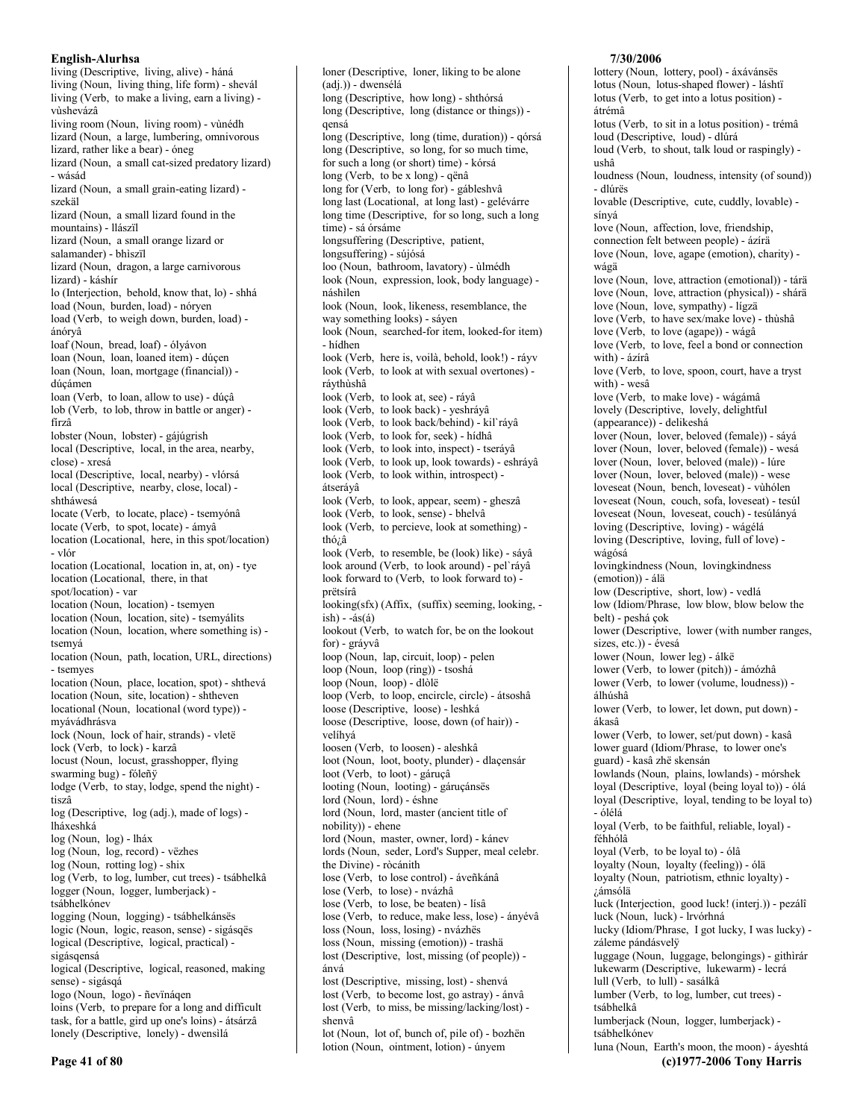living (Descriptive, living, alive) - háná living (Noun, living thing, life form) - shevál living (Verb, to make a living, earn a living) vùshevázâ living room (Noun, living room) - vùnédh lizard (Noun, a large, lumbering, omnivorous lizard, rather like a bear) - óneg lizard (Noun, a small cat-sized predatory lizard) - wásád lizard (Noun, a small grain-eating lizard) szekäl lizard (Noun, a small lizard found in the mountains) - llászïl lizard (Noun, a small orange lizard or salamander) - bhìszïl lizard (Noun, dragon, a large carnivorous lizard) - káshír lo (Interjection, behold, know that, lo) - shhá load (Noun, burden, load) - nóryen load (Verb, to weigh down, burden, load) ánóryâ loaf (Noun, bread, loaf) - ólyávon loan (Noun, loan, loaned item) - dúçen loan (Noun, loan, mortgage (financial)) dúcámen loan (Verb, to loan, allow to use) - dúçâ lob (Verb, to lob, throw in battle or anger) fírzâ lobster (Noun, lobster) - gájúgrish local (Descriptive, local, in the area, nearby, close) - xresá local (Descriptive, local, nearby) - vlórsá local (Descriptive, nearby, close, local) shtháwesá locate (Verb, to locate, place) - tsemyónâ locate (Verb, to spot, locate) - ámyâ location (Locational, here, in this spot/location) - vlór location (Locational, location in, at, on) - tye location (Locational, there, in that spot/location) - var location (Noun, location) - tsemyen location (Noun, location, site) - tsemyálits location (Noun, location, where something is) tsemvá location (Noun, path, location, URL, directions) - tsemyes location (Noun, place, location, spot) - shthevá location (Noun, site, location) - shtheven locational (Noun, locational (word type)) myávádhrásva lock (Noun, lock of hair, strands) - vletë lock (Verb, to lock) - karzâ locust (Noun, locust, grasshopper, flying swarming bug) - fóleñÿ lodge (Verb, to stay, lodge, spend the night) tiszâ log (Descriptive, log (adj.), made of logs) lháxeshká log (Noun, log) - lháx log (Noun, log, record) - vëzhes log (Noun, rotting log) - shix log (Verb, to log, lumber, cut trees) - tsábhelkâ logger (Noun, logger, lumberjack) tsábhelkónev logging (Noun, logging) - tsábhelkánsës logic (Noun, logic, reason, sense) - sigásqës logical (Descriptive, logical, practical) sigásgensá logical (Descriptive, logical, reasoned, making sense) - sigásqá logo (Noun, logo) - ñevïnáqen loins (Verb, to prepare for a long and difficult task, for a battle, gird up one's loins) - átsárzâ lonely (Descriptive, lonely) - dwensilá

long (Descriptive, how long) - shthórsá long (Descriptive, long (distance or things)) qensá long (Descriptive, long (time, duration)) - qórsá long (Descriptive, so long, for so much time, for such a long (or short) time) - kórsá long (Verb, to be x long) - qënâ long for (Verb, to long for) - gábleshvâ long last (Locational, at long last) - gelévárre long time (Descriptive, for so long, such a long time) - sá órsáme longsuffering (Descriptive, patient, longsuffering) - sújósá loo (Noun, bathroom, lavatory) - ùlmédh look (Noun, expression, look, body language) náshìlen look (Noun, look, likeness, resemblance, the way something looks) - sáyen look (Noun, searched-for item, looked-for item) - hídhen look (Verb, here is, voilà, behold, look!) - ráyv look (Verb, to look at with sexual overtones) rávthùshâ look (Verb, to look at, see) - ráyâ look (Verb, to look back) - yeshráyâ look (Verb, to look back/behind) - kil`ráyâ look (Verb, to look for, seek) - hídhâ look (Verb, to look into, inspect) - tseráyâ look (Verb, to look up, look towards) - eshráyâ look (Verb, to look within, introspect) átseráyâ look (Verb, to look, appear, seem) - gheszâ look (Verb, to look, sense) - bhelvâ look (Verb, to percieve, look at something) thó; $\hat{a}$ look (Verb, to resemble, be (look) like) - sáyâ look around (Verb, to look around) - pel'ráyâ look forward to (Verb, to look forward to) prëtsírâ looking(sfx) (Affix, (suffix) seeming, looking,  $ish) - 4s(4)$ lookout (Verb, to watch for, be on the lookout for) - gráyvâ loop (Noun, lap, circuit, loop) - pelen loop (Noun, loop (ring)) - tsoshá loop (Noun, loop) - dlòlë loop (Verb, to loop, encircle, circle) - átsoshâ loose (Descriptive, loose) - leshká loose (Descriptive, loose, down (of hair)) velíhvá loosen (Verb, to loosen) - aleshkâ loot (Noun, loot, booty, plunder) - dlaçensár loot (Verb, to loot) - gáruçâ looting (Noun, looting) - gáruçánsës lord (Noun, lord) - éshne lord (Noun, lord, master (ancient title of nobility)) - ehene lord (Noun, master, owner, lord) - kánev lords (Noun, seder, Lord's Supper, meal celebr. the Divine) - ròcánith lose (Verb, to lose control) - áveñkánâ lose (Verb, to lose) - nvázhâ lose (Verb, to lose, be beaten) - lísâ lose (Verb, to reduce, make less, lose) - ányévâ loss (Noun, loss, losing) - nvázhës loss (Noun, missing (emotion)) - trashä lost (Descriptive, lost, missing (of people)) ánvá lost (Descriptive, missing, lost) - shenvá lost (Verb, to become lost, go astray) - ánvâ lost (Verb, to miss, be missing/lacking/lost) shenvâ

loner (Descriptive, loner, liking to be alone

(adj.)) - dwensélá

lot (Noun, lot of, bunch of, pile of) - bozhën lotion (Noun, ointment, lotion) - únyem

7/30/2006

lottery (Noun, lottery, pool) - áxávánsës lotus (Noun, lotus-shaped flower) - láshtï lotus (Verb, to get into a lotus position) átrémâ lotus (Verb, to sit in a lotus position) - trémâ loud (Descriptive, loud) - dlúrá loud (Verb, to shout, talk loud or raspingly) ushâ loudness (Noun, loudness, intensity (of sound)) - dlúrës lovable (Descriptive, cute, cuddly, lovable) sínvá love (Noun, affection, love, friendship, connection felt between people) - ázírä love (Noun, love, agape (emotion), charity) wágä love (Noun, love, attraction (emotional)) - tárä love (Noun, love, attraction (physical)) - shárä love (Noun, love, sympathy) - lígzä love (Verb, to have sex/make love) - thùshâ love (Verb, to love (agape)) - wágâ love (Verb, to love, feel a bond or connection with) - ázírâ love (Verb, to love, spoon, court, have a tryst with) - wesâ love (Verb, to make love) - wágámâ lovely (Descriptive, lovely, delightful (appearance)) - delikeshá lover (Noun, lover, beloved (female)) - sáyá lover (Noun, lover, beloved (female)) - wesá lover (Noun, lover, beloved (male)) - lúre lover (Noun, lover, beloved (male)) - wese loveseat (Noun, bench, loveseat) - vùhólen loveseat (Noun, couch, sofa, loveseat) - tesúl loveseat (Noun, loveseat, couch) - tesúlányá loving (Descriptive, loving) - wágélá loving (Descriptive, loving, full of love) wágósá lovingkindness (Noun, lovingkindness (emotion)) - álä low (Descriptive, short, low) - vedlá low (Idiom/Phrase, low blow, blow below the belt) - peshá çok lower (Descriptive, lower (with number ranges, sizes, etc.)) - évesá lower (Noun, lower leg) - álkë lower (Verb, to lower (pitch)) - ámózhâ lower (Verb, to lower (volume, loudness)) álhúshâ lower (Verb, to lower, let down, put down) ákasâ lower (Verb, to lower, set/put down) - kasâ lower guard (Idiom/Phrase, to lower one's guard) - kasâ zhë skensán lowlands (Noun, plains, lowlands) - mórshek loyal (Descriptive, loyal (being loyal to)) - ólá loyal (Descriptive, loyal, tending to be loyal to) - ólélá loyal (Verb, to be faithful, reliable, loyal) féhhólâ loyal (Verb, to be loyal to) - ólâ loyalty (Noun, loyalty (feeling)) - ólä loyalty (Noun, patriotism, ethnic loyalty) -¿ámsólä luck (Interjection, good luck! (interj.)) - pezálî luck (Noun, luck) - lrvórhná lucky (Idiom/Phrase, I got lucky, I was lucky) záleme pándásvelÿ luggage (Noun, luggage, belongings) - githìrár lukewarm (Descriptive, lukewarm) - lecrá lull (Verb, to lull) - sasálkâ lumber (Verb, to log, lumber, cut trees) tsábhelkâ lumberjack (Noun, logger, lumberjack) tsábhelkónev luna (Noun, Earth's moon, the moon) - áyeshtá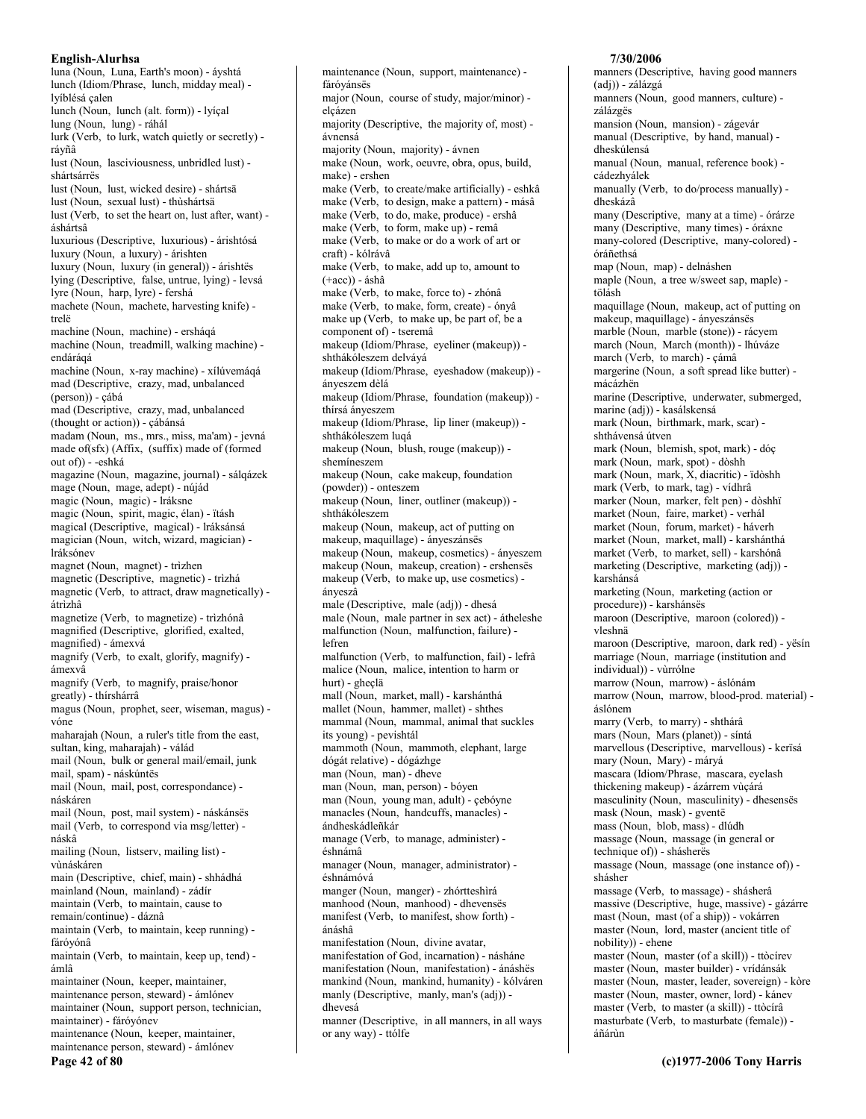luna (Noun, Luna, Earth's moon) - áyshtá lunch (Idiom/Phrase, lunch, midday meal) lvíblésá calen lunch (Noun, lunch (alt. form)) - lyíçal lung (Noun, lung) - ráhál lurk (Verb, to lurk, watch quietly or secretly) rávñâ lust (Noun, lasciviousness, unbridled lust) shártsárrës lust (Noun, lust, wicked desire) - shártsä lust (Noun, sexual lust) - thùshártsä lust (Verb, to set the heart on, lust after, want) áshártsâ luxurious (Descriptive, luxurious) - árishtósá luxury (Noun, a luxury) - árishten luxury (Noun, luxury (in general)) - árishtës lying (Descriptive, false, untrue, lying) - levsá lyre (Noun, harp, lyre) - fershá machete (Noun, machete, harvesting knife) trelë machine (Noun, machine) - ersháqá machine (Noun, treadmill, walking machine) endárágá machine (Noun, x-ray machine) - xílúvemágá mad (Descriptive, crazy, mad, unbalanced (person)) - çábá mad (Descriptive, crazy, mad, unbalanced (thought or action)) - cábánsá madam (Noun, ms., mrs., miss, ma'am) - jevná made of(sfx) (Affix, (suffix) made of (formed out of)) - -eshká magazine (Noun, magazine, journal) - sálqázek mage (Noun, mage, adept) - nújád magic (Noun, magic) - Iráksne magic (Noun, spirit, magic, élan) - ïtásh magical (Descriptive, magical) - Iráksánsá magician (Noun, witch, wizard, magician) lráksónev magnet (Noun, magnet) - trìzhen magnetic (Descriptive, magnetic) - trìzhá magnetic (Verb, to attract, draw magnetically) átrìzhâ magnetize (Verb, to magnetize) - trìzhónâ magnified (Descriptive, glorified, exalted, magnified) - ámexvá magnify (Verb, to exalt, glorify, magnify) ámexvâ magnify (Verb, to magnify, praise/honor greatly) - thírshárrâ magus (Noun, prophet, seer, wiseman, magus) vóne maharajah (Noun, a ruler's title from the east, sultan, king, maharajah) - válád mail (Noun, bulk or general mail/email, junk mail, spam) - náskúntës mail (Noun, mail, post, correspondance) náskáren mail (Noun, post, mail system) - náskánsës mail (Verb, to correspond via msg/letter) náskâ mailing (Noun, listserv, mailing list) vùnáskáren main (Descriptive, chief, main) - shhádhá mainland (Noun, mainland) - zádír maintain (Verb, to maintain, cause to remain/continue) - dáznâ maintain (Verb, to maintain, keep running) fáróvónâ maintain (Verb, to maintain, keep up, tend) ámlâ maintainer (Noun, keeper, maintainer, maintenance person, steward) - ámlónev maintainer (Noun, support person, technician, maintainer) - fáróyónev maintenance (Noun, keeper, maintainer, maintenance person, steward) - ámlónev

Page 42 of 80

maintenance (Noun, support, maintenance) fáróyánsës major (Noun, course of study, major/minor) elçázen majority (Descriptive, the majority of, most) ávnensá majority (Noun, majority) - ávnen make (Noun, work, oeuvre, obra, opus, build, make) - ershen make (Verb, to create/make artificially) - eshkâ make (Verb, to design, make a pattern) - másâ make (Verb, to do, make, produce) - ershâ make (Verb, to form, make up) - remâ make (Verb, to make or do a work of art or craft) - kólrávâ make (Verb, to make, add up to, amount to  $(+acc)$ ) - áshâ make (Verb, to make, force to) - zhónâ make (Verb, to make, form, create) - ónyâ make up (Verb, to make up, be part of, be a component of) - tseremâ makeup (Idiom/Phrase, eyeliner (makeup)) shthákóleszem delváyá makeup (Idiom/Phrase, eyeshadow (makeup)) ánveszem dèlá makeup (Idiom/Phrase, foundation (makeup)) thírsá ányeszem makeup (Idiom/Phrase, lip liner (makeup)) shthákóleszem luqá makeup (Noun, blush, rouge (makeup)) shemineszem makeup (Noun, cake makeup, foundation (powder)) - onteszem makeup (Noun, liner, outliner (makeup)) shthákóleszem makeup (Noun, makeup, act of putting on makeup, maquillage) - ányeszánsës makeup (Noun, makeup, cosmetics) - ányeszem makeup (Noun, makeup, creation) - ershensës makeup (Verb, to make up, use cosmetics) ánveszâ male (Descriptive, male (adj)) - dhesá male (Noun, male partner in sex act) - átheleshe malfunction (Noun, malfunction, failure) lefren malfunction (Verb, to malfunction, fail) - lefrâ malice (Noun, malice, intention to harm or hurt) - gheçlä mall (Noun, market, mall) - karshánthá mallet (Noun, hammer, mallet) - shthes mammal (Noun, mammal, animal that suckles its young) - pevishtál mammoth (Noun, mammoth, elephant, large dógát relative) - dógázhge man (Noun, man) - dheve man (Noun, man, person) - bóyen man (Noun, young man, adult) - çebóyne manacles (Noun, handcuffs, manacles) ándheskádleñkár manage (Verb, to manage, administer) éshnámâ manager (Noun, manager, administrator) éshnámóvá manger (Noun, manger) - zhórtteshìrá manhood (Noun, manhood) - dhevensës manifest (Verb, to manifest, show forth) ánáshâ manifestation (Noun, divine avatar, manifestation of God, incarnation) - násháne manifestation (Noun, manifestation) - ánáshës mankind (Noun, mankind, humanity) - kólváren manly (Descriptive, manly, man's (adj)) dhevesá manner (Descriptive, in all manners, in all ways or any way) - ttólfe

# 7/30/2006

manners (Descriptive, having good manners (adj)) - zálázgá manners (Noun, good manners, culture) zálázgës mansion (Noun, mansion) - zágevár manual (Descriptive, by hand, manual) dheskúlensá manual (Noun, manual, reference book) cádezhyálek manually (Verb, to do/process manually) dheskázâ many (Descriptive, many at a time) - órárze many (Descriptive, many times) - óráxne many-colored (Descriptive, many-colored) óráñethsá map (Noun, map) - delnáshen maple (Noun, a tree w/sweet sap, maple) tölásh maquillage (Noun, makeup, act of putting on makeup, maquillage) - ányeszánsés marble (Noun, marble (stone)) - rácyem march (Noun, March (month)) - lhúváze march (Verb, to march) - çámâ margerine (Noun, a soft spread like butter) mácázhën marine (Descriptive, underwater, submerged, marine (adj)) - kasálskensá mark (Noun, birthmark, mark, scar) shthávensá útven mark (Noun, blemish, spot, mark) - dóç mark (Noun, mark, spot) - dòshh mark (Noun, mark,  $\hat{X}$ , diacritic) - idòshh mark (Verb, to mark, tag) - vídhrâ marker (Noun, marker, felt pen) - dòshhï market (Noun, faire, market) - verhál market (Noun, forum, market) - háverh market (Noun, market, mall) - karshánthá market (Verb, to market, sell) - karshónâ marketing (Descriptive, marketing (adj)) karshánsá marketing (Noun, marketing (action or procedure)) - karshánsës maroon (Descriptive, maroon (colored)) vleshnä maroon (Descriptive, maroon, dark red) - yësin marriage (Noun, marriage (institution and individual)) - vùrrólne marrow (Noun, marrow) - áslónám marrow (Noun, marrow, blood-prod. material) áslónem marry (Verb, to marry) - shthárâ mars (Noun, Mars (planet)) - síntá marvellous (Descriptive, marvellous) - kerïsá mary (Noun, Mary) - máryá mascara (Idiom/Phrase, mascara, eyelash thickening makeup) - ázárrem vùçárá masculinity (Noun, masculinity) - dhesensës mask (Noun, mask) - gventë mass (Noun, blob, mass) - dlúdh massage (Noun, massage (in general or technique of)) - shásherës massage (Noun, massage (one instance of)) shásher massage (Verb, to massage) - shásherâ massive (Descriptive, huge, massive) - gázárre mast (Noun, mast (of a ship)) - vokárren master (Noun, lord, master (ancient title of nobility)) - ehene master (Noun, master (of a skill)) - ttòcírev master (Noun, master builder) - vrídánsák master (Noun, master, leader, sovereign) - kòre master (Noun, master, owner, lord) - kánev master (Verb, to master (a skill)) - ttòcírâ masturbate (Verb, to masturbate (female)) áñárùn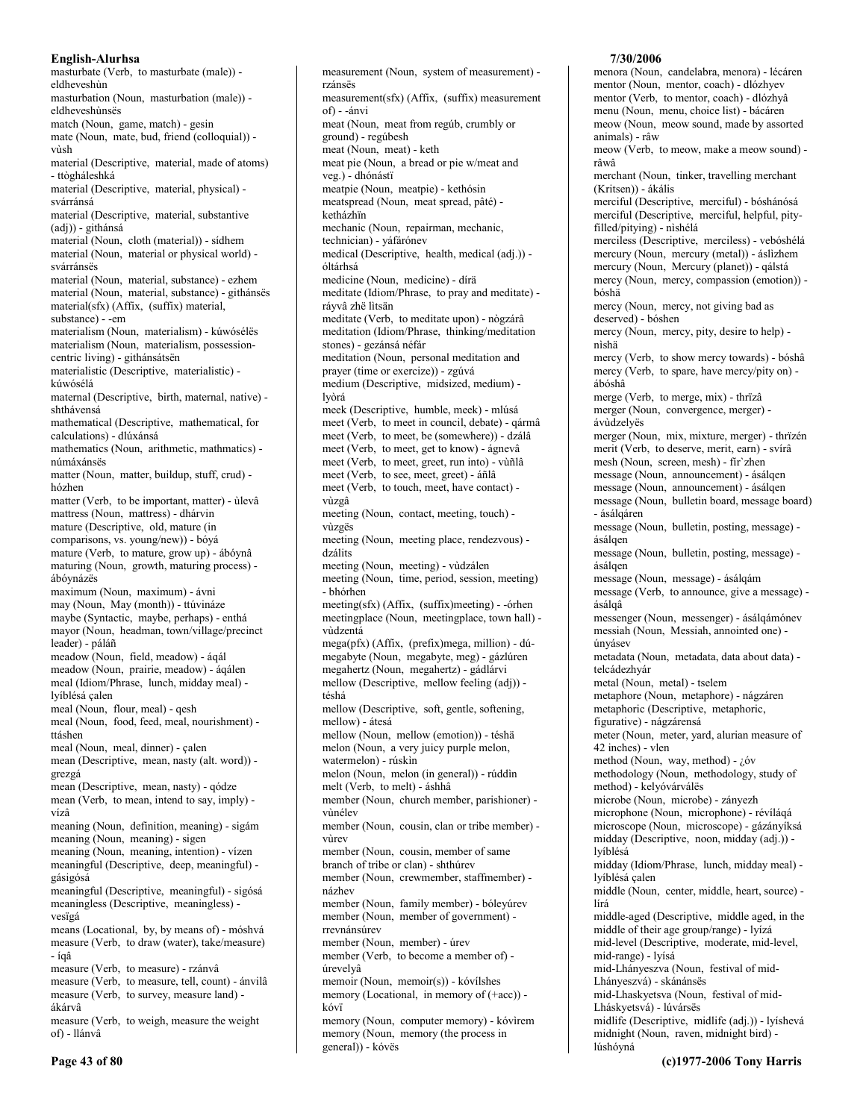masturbate (Verb, to masturbate (male)) eldheveshùn masturbation (Noun, masturbation (male)) eldheveshùnsës match (Noun, game, match) - gesin mate (Noun, mate, bud, friend (colloquial)) vùsh material (Descriptive, material, made of atoms) - ttògháleshká material (Descriptive, material, physical) svárránsá material (Descriptive, material, substantive (adj)) - githánsá material (Noun, cloth (material)) - sídhem material (Noun, material or physical world) svárránsës material (Noun, material, substance) - ezhem material (Noun, material, substance) - githánsës material(sfx) (Affix, (suffix) material, substance) - -em materialism (Noun, materialism) - kúwósélës materialism (Noun, materialism, possessioncentric living) - githánsátsën materialistic (Descriptive, materialistic) kúwósélá maternal (Descriptive, birth, maternal, native) shthávensá mathematical (Descriptive, mathematical, for calculations) - dlúxánsá mathematics (Noun, arithmetic, mathmatics) númáxánsës matter (Noun, matter, buildup, stuff, crud) hózhen matter (Verb, to be important, matter) - ùlevâ mattress (Noun, mattress) - dhárvin mature (Descriptive, old, mature (in comparisons, vs. young/new)) - bóyá mature (Verb, to mature, grow up) - ábóynâ maturing (Noun, growth, maturing process) ábóvnázës maximum (Noun, maximum) - ávni may (Noun, May (month)) - ttúvináze maybe (Syntactic, maybe, perhaps) - enthá mayor (Noun, headman, town/village/precinct leader) - páláñ meadow (Noun, field, meadow) - ágál meadow (Noun, prairie, meadow) - áqálen meal (Idiom/Phrase, lunch, midday meal) lyíblésá çalen meal (Noun, flour, meal) - qesh meal (Noun, food, feed, meal, nourishment) ttáshen meal (Noun, meal, dinner) - çalen mean (Descriptive, mean, nasty (alt. word)) grezgá mean (Descriptive, mean, nasty) - qódze mean (Verb, to mean, intend to say, imply) vízâ meaning (Noun, definition, meaning) - sigám meaning (Noun, meaning) - sigen meaning (Noun, meaning, intention) - vízen meaningful (Descriptive, deep, meaningful) gásigósá meaningful (Descriptive, meaningful) - sigósá meaningless (Descriptive, meaningless) vesïgá means (Locational, by, by means of) - móshvá measure (Verb, to draw (water), take/measure)  $-$ ígâ measure (Verb, to measure) - rzánvâ measure (Verb, to measure, tell, count) - ánvilâ measure (Verb, to survey, measure land) ákárvâ measure (Verb, to weigh, measure the weight of) - llánvâ

measurement (Noun, system of measurement) rzánsës measurement(sfx) (Affix, (suffix) measurement of) - -ánvi meat (Noun, meat from regúb, crumbly or ground) - regúbesh meat (Noun, meat) - keth meat pie (Noun, a bread or pie w/meat and veg.) - dhónástï meatpie (Noun, meatpie) - kethósin meatspread (Noun, meat spread, pâté) ketházhïn mechanic (Noun, repairman, mechanic, technician) - yáfárónev medical (Descriptive, health, medical (adj.)) óltárhsá medicine (Noun, medicine) - dírä meditate (Idiom/Phrase, to pray and meditate) ráyvâ zhë lìtsän meditate (Verb, to meditate upon) - nògzárâ meditation (Idiom/Phrase, thinking/meditation stones) - gezánsá néfár meditation (Noun, personal meditation and prayer (time or exercize)) - zgúvá medium (Descriptive, midsized, medium) lvòrá meek (Descriptive, humble, meek) - mlúsá meet (Verb, to meet in council, debate) - qármâ meet (Verb, to meet, be (somewhere)) - dzálâ meet (Verb, to meet, get to know) - ágnevâ meet (Verb, to meet, greet, run into) - vùñlâ meet (Verb, to see, meet, greet) - áñlâ meet (Verb, to touch, meet, have contact) vùzgâ meeting (Noun, contact, meeting, touch) vùzgës meeting (Noun, meeting place, rendezvous) dzálits meeting (Noun, meeting) - vùdzálen meeting (Noun, time, period, session, meeting) - bhórhen  $\text{ meeting}(sfx)$  (Affix, (suffix) meeting) - -orhen meetingplace (Noun, meetingplace, town hall) vùdzentá mega(pfx) (Affix, (prefix)mega, million) - dúmegabyte (Noun, megabyte, meg) - gázlúren megahertz (Noun, megahertz) - gádlárvi mellow (Descriptive, mellow feeling (adj)) téshá mellow (Descriptive, soft, gentle, softening, mellow) - átesá mellow (Noun, mellow (emotion)) - téshä melon (Noun, a very juicy purple melon, watermelon) - rúskin melon (Noun, melon (in general)) - rúddìn melt (Verb, to melt) - áshhâ member (Noun, church member, parishioner) vùnélev member (Noun, cousin, clan or tribe member) vùrev member (Noun, cousin, member of same branch of tribe or clan) - shthúrev member (Noun, crewmember, staffmember) názhev member (Noun, family member) - bóleyúrev member (Noun, member of government) rrevnánsúrev member (Noun, member) - úrev member (Verb, to become a member of) úrevelvâ memoir (Noun, memoir(s)) - kóvílshes memory (Locational, in memory of (+acc)) kóvï memory (Noun, computer memory) - kóvìrem

memory (Noun, memory (the process in general)) - kóvës

### 7/30/2006

menora (Noun, candelabra, menora) - lécáren mentor (Noun, mentor, coach) - dlózhyev mentor (Verb, to mentor, coach) - dlózhyâ menu (Noun, menu, choice list) - bácáren meow (Noun, meow sound, made by assorted animals) - râw meow (Verb, to meow, make a meow sound) râwâ merchant (Noun, tinker, travelling merchant (Kritsen)) - ákális merciful (Descriptive, merciful) - bóshánósá merciful (Descriptive, merciful, helpful, pityfilled/pitying) - nìshélá merciless (Descriptive, merciless) - vebóshélá mercury (Noun, mercury (metal)) - áslizhem mercury (Noun, Mercury (planet)) - gálstá mercy (Noun, mercy, compassion (emotion)) bóshä mercy (Noun, mercy, not giving bad as deserved) - bóshen mercy (Noun, mercy, pity, desire to help) nìshä mercy (Verb, to show mercy towards) - bóshâ mercy (Verb, to spare, have mercy/pity on) ábóshâ merge (Verb, to merge, mix) - thrïzâ merger (Noun, convergence, merger) ávùdzelyës merger (Noun, mix, mixture, merger) - thrïzén merit (Verb, to deserve, merit, earn) - svírâ mesh (Noun, screen, mesh) - fir'zhen message (Noun, announcement) - ásálqen message (Noun, announcement) - ásálqen message (Noun, bulletin board, message board) - ásálqáren message (Noun, bulletin, posting, message) ásálgen message (Noun, bulletin, posting, message) ásálgen message (Noun, message) - ásálqám message (Verb, to announce, give a message) ásálqâ messenger (Noun, messenger) - ásálqámónev messiah (Noun, Messiah, annointed one) únvásev metadata (Noun, metadata, data about data) telcádezhyár metal (Noun, metal) - tselem metaphore (Noun, metaphore) - nágzáren metaphoric (Descriptive, metaphoric, figurative) - nágzárensá meter (Noun, meter, yard, alurian measure of 42 inches) - vlen method (Noun, way, method) - ¿óv methodology (Noun, methodology, study of method) - kelyóvárválës microbe (Noun, microbe) - zányezh microphone (Noun, microphone) - révíláqá microscope (Noun, microscope) - gázányíksá midday (Descriptive, noon, midday (adj.)) lvíblésá midday (Idiom/Phrase, lunch, midday meal) lvíblésá calen middle (Noun, center, middle, heart, source) lírá middle-aged (Descriptive, middle aged, in the middle of their age group/range) - lyízá mid-level (Descriptive, moderate, mid-level, mid-range) - lyísá mid-Lhányeszva (Noun, festival of mid-Lhányeszvá) - skánánsës mid-Lhaskyetsva (Noun, festival of mid-Lháskyetsvá) - lúvársës midlife (Descriptive, midlife (adj.)) - lyíshevá midnight (Noun, raven, midnight bird) lúshóvná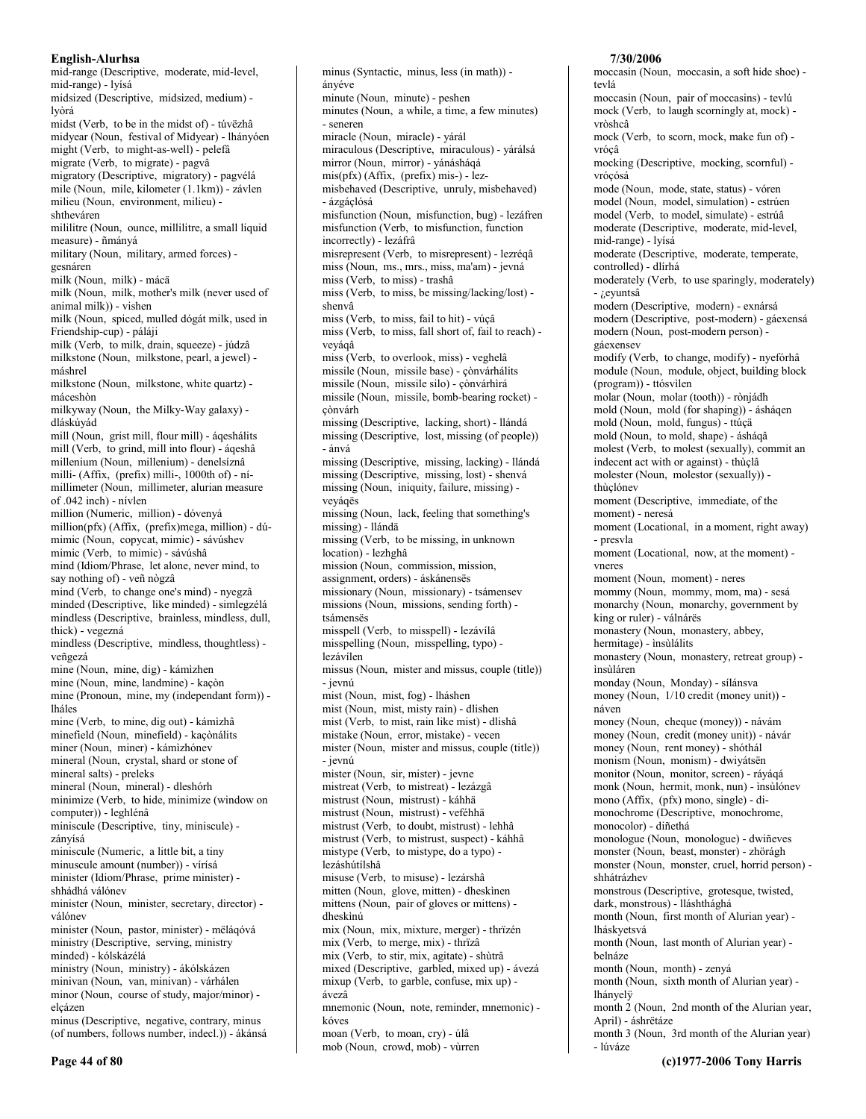mid-range (Descriptive, moderate, mid-level, mid-range) - lyísá midsized (Descriptive, midsized, medium) lvòrá midst (Verb, to be in the midst of) - túvëzhâ midyear (Noun, festival of Midyear) - lhányóen might (Verb, to might-as-well) - pelefâ migrate (Verb, to migrate) - pagvâ migratory (Descriptive, migratory) - pagvélá mile (Noun, mile, kilometer (1.1km)) - závlen milieu (Noun, environment, milieu) shtheváren mililitre (Noun, ounce, millilitre, a small liquid measure) - ñmányá military (Noun, military, armed forces) gesnáren milk (Noun, milk) - mácä milk (Noun, milk, mother's milk (never used of animal milk)) - vishen milk (Noun, spiced, mulled dógát milk, used in Friendship-cup) - páláji milk (Verb, to milk, drain, squeeze) - júdzâ milkstone (Noun, milkstone, pearl, a jewel) máshrel milkstone (Noun, milkstone, white quartz) máceshòn milkyway (Noun, the Milky-Way galaxy) dláskúvád mill (Noun, grist mill, flour mill) - áqeshálits mill (Verb, to grind, mill into flour) - áqeshâ millenium (Noun, millenium) - denelsíznâ milli- (Affix, (prefix) milli-, 1000th of) - nimillimeter (Noun, millimeter, alurian measure of .042 inch) - nívlen million (Numeric, million) - dóvenyá million(pfx) (Affix, (prefix)mega, million) - dúmimic (Noun, copycat, mimic) - sávúshev mimic (Verb, to mimic) - sávúshâ mind (Idiom/Phrase, let alone, never mind, to say nothing of) - veñ nògzâ mind (Verb, to change one's mind) - nyegzâ minded (Descriptive, like minded) - simlegzélá mindless (Descriptive, brainless, mindless, dull, thick) - vegezná mindless (Descriptive, mindless, thoughtless) veñgezá mine (Noun, mine, dig) - kámìzhen mine (Noun, mine, landmine) - kaçòn mine (Pronoun, mine, my (independant form)) lháles mine (Verb, to mine, dig out) - kámizhâ minefield (Noun, minefield) - kaçònálits miner (Noun, miner) - kámizhónev mineral (Noun, crystal, shard or stone of mineral salts) - preleks mineral (Noun, mineral) - dleshórh minimize (Verb, to hide, minimize (window on computer)) - leghlénâ miniscule (Descriptive, tiny, miniscule) zányísá miniscule (Numeric, a little bit, a tiny minuscule amount (number)) - vírísá minister (Idiom/Phrase, prime minister) shhádhá válónev minister (Noun, minister, secretary, director) válónev minister (Noun, pastor, minister) - mëláqóvá ministry (Descriptive, serving, ministry minded) - kólskázélá ministry (Noun, ministry) - ákólskázen minivan (Noun, van, minivan) - várhálen minor (Noun, course of study, major/minor) elcázen minus (Descriptive, negative, contrary, minus (of numbers, follows number, indecl.)) - ákánsá

ányéve minute (Noun, minute) - peshen minutes (Noun, a while, a time, a few minutes) - seneren miracle (Noun, miracle) - yárál miraculous (Descriptive, miraculous) - várálsá mirror (Noun, mirror) - yánásháqá mis(pfx) (Affix, (prefix) mis-) - lezmisbehaved (Descriptive, unruly, misbehaved) - ázgáçlósá misfunction (Noun, misfunction, bug) - lezáfren misfunction (Verb, to misfunction, function incorrectly) - lezáfrâ misrepresent (Verb, to misrepresent) - lezrégâ miss (Noun, ms., mrs., miss, ma'am) - jevná miss (Verb, to miss) - trashâ miss (Verb, to miss, be missing/lacking/lost) shenvâ miss (Verb, to miss, fail to hit) - vúçâ miss (Verb, to miss, fall short of, fail to reach) vevágâ miss (Verb, to overlook, miss) - veghelâ missile (Noun, missile base) - cònvárhálits missile (Noun, missile silo) - çònvárhìrá missile (Noun, missile, bomb-bearing rocket) cònvárh missing (Descriptive, lacking, short) - llándá missing (Descriptive, lost, missing (of people)) - ánvá missing (Descriptive, missing, lacking) - llándá missing (Descriptive, missing, lost) - shenvá missing (Noun, iniquity, failure, missing) vevágës missing (Noun, lack, feeling that something's missing) - llándä missing (Verb, to be missing, in unknown location) - lezhghâ mission (Noun, commission, mission, assignment, orders) - áskánensës missionary (Noun, missionary) - tsámensev missions (Noun, missions, sending forth) tsámensës misspell (Verb, to misspell) - lezávílâ misspelling (Noun, misspelling, typo) lezávílen missus (Noun, mister and missus, couple (title)) - jevnú mist (Noun, mist, fog) - lháshen mist (Noun, mist, misty rain) - dlishen mist (Verb, to mist, rain like mist) - dlishâ mistake (Noun, error, mistake) - vecen mister (Noun, mister and missus, couple (title)) - ievnú mister (Noun, sir, mister) - jevne mistreat (Verb, to mistreat) - lezázgâ mistrust (Noun, mistrust) - káhhä mistrust (Noun, mistrust) - veféhhä mistrust (Verb, to doubt, mistrust) - lehhâ mistrust (Verb, to mistrust, suspect) - káhhâ mistype (Verb, to mistype, do a typo) lezáshútílshâ misuse (Verb, to misuse) - lezárshâ mitten (Noun, glove, mitten) - dheskinen mittens (Noun, pair of gloves or mittens) dheskìnú mix (Noun, mix, mixture, merger) - thrïzén mix (Verb, to merge, mix) - thrïzâ mix (Verb, to stir, mix, agitate) - shùtrâ mixed (Descriptive, garbled, mixed up) - ávezá mixup (Verb, to garble, confuse, mix up) ávezâ mnemonic (Noun, note, reminder, mnemonic) kóves moan (Verb, to moan, cry) - úlâ

mob (Noun, crowd, mob) - vùrren

minus (Syntactic, minus, less (in math)) -

#### 7/30/2006

moccasin (Noun, moccasin, a soft hide shoe) tevlá moccasin (Noun, pair of moccasins) - tevlú mock (Verb, to laugh scorningly at, mock) vròsheâ mock (Verb, to scorn, mock, make fun of) vróçâ mocking (Descriptive, mocking, scornful) vrócósá mode (Noun, mode, state, status) - vóren model (Noun, model, simulation) - estrúen model (Verb, to model, simulate) - estrúâ moderate (Descriptive, moderate, mid-level, mid-range) - lyísá moderate (Descriptive, moderate, temperate, controlled) - dlírhá moderately (Verb, to use sparingly, moderately) - ¿eyuntsâ modern (Descriptive, modern) - exnársá modern (Descriptive, post-modern) - gáexensá modern (Noun, post-modern person) gáexensev modify (Verb, to change, modify) - nyefórhâ module (Noun, module, object, building block (program)) - ttósvilen molar (Noun, molar (tooth)) - rònjádh mold (Noun, mold (for shaping)) - ásháqen mold (Noun, mold, fungus) - ttúcä mold (Noun, to mold, shape) - ásháqâ molest (Verb, to molest (sexually), commit an indecent act with or against) - thùclâ molester (Noun, molestor (sexually)) thùçlónev moment (Descriptive, immediate, of the moment) - neresá moment (Locational, in a moment, right away) - presvla moment (Locational, now, at the moment) vneres moment (Noun, moment) - neres mommy (Noun, mommy, mom, ma) - sesá monarchy (Noun, monarchy, government by king or ruler) - válnárës monastery (Noun, monastery, abbey, hermitage) - insùlálits monastery (Noun, monastery, retreat group) insùláren monday (Noun, Monday) - sílánsva money (Noun, 1/10 credit (money unit)) náven money (Noun, cheque (money)) - návám money (Noun, credit (money unit)) - návár money (Noun, rent money) - shóthál monism (Noun, monism) - dwiyátsën monitor (Noun, monitor, screen) - ráyáqá monk (Noun, hermit, monk, nun) - insùlónev mono (Affix, (pfx) mono, single) - dimonochrome (Descriptive, monochrome, monocolor) - diñethá monologue (Noun, monologue) - dwiñeves monster (Noun, beast, monster) - zhörágh monster (Noun, monster, cruel, horrid person) shhátrázhev monstrous (Descriptive, grotesque, twisted, dark, monstrous) - lláshthághá month (Noun, first month of Alurian year) lháskvetsvá month (Noun, last month of Alurian year) belnáze month (Noun, month) - zenyá month (Noun, sixth month of Alurian year) lhányelÿ month 2 (Noun, 2nd month of the Alurian year, April) - áshrëtáze month 3 (Noun, 3rd month of the Alurian year) - lúváze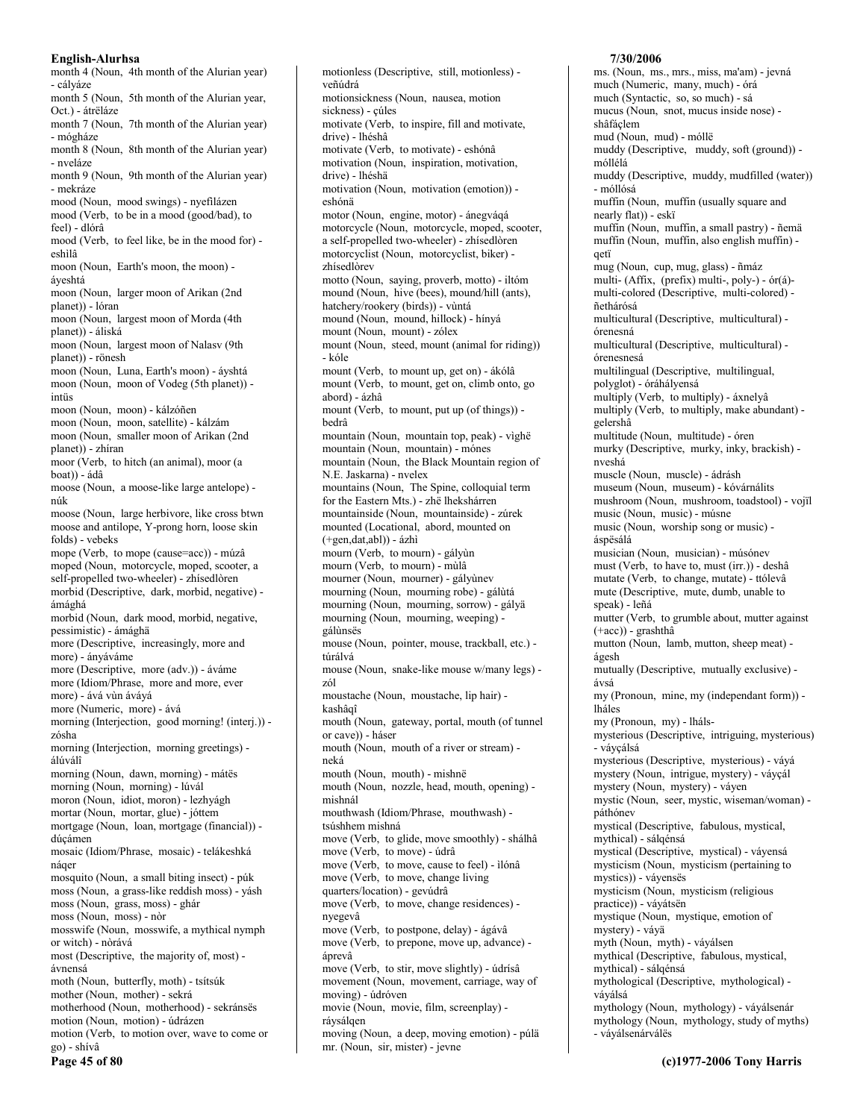month 4 (Noun, 4th month of the Alurian year) - cályáze month 5 (Noun, 5th month of the Alurian year, Oct.) - átrëláze month 7 (Noun, 7th month of the Alurian year) - mógháze month 8 (Noun, 8th month of the Alurian year) - nveláze month 9 (Noun, 9th month of the Alurian year) - mekráze mood (Noun, mood swings) - nyefilázen mood (Verb, to be in a mood (good/bad), to feel) - dlórâ mood (Verb, to feel like, be in the mood for) eshìlâ moon (Noun, Earth's moon, the moon) áyeshtá moon (Noun, larger moon of Arikan (2nd planet)) - lóran moon (Noun, largest moon of Morda (4th planet)) - áliská moon (Noun, largest moon of Nalasv (9th planet)) - rönesh moon (Noun, Luna, Earth's moon) - ávshtá moon (Noun, moon of Vodeg (5th planet)) intüs moon (Noun, moon) - kálzóñen moon (Noun, moon, satellite) - kálzám moon (Noun, smaller moon of Arikan (2nd planet)) - zhíran moor (Verb, to hitch (an animal), moor (a boat)) - ádâ moose (Noun, a moose-like large antelope) núk moose (Noun, large herbivore, like cross btwn moose and antilope, Y-prong horn, loose skin folds) - vebeks mope (Verb, to mope (cause=acc)) - múzâ moped (Noun, motorcycle, moped, scooter, a self-propelled two-wheeler) - zhisedlòren morbid (Descriptive, dark, morbid, negative) ámághá morbid (Noun, dark mood, morbid, negative, pessimistic) - ámághä more (Descriptive, increasingly, more and more) - ányáváme more (Descriptive, more (adv.)) - áváme more (Idiom/Phrase, more and more, ever more) - ává vùn áváyá more (Numeric, more) - ává morning (Interjection, good morning! (interj.)) zósha morning (Interjection, morning greetings) álúválî morning (Noun, dawn, morning) - mátës morning (Noun, morning) - lúvál moron (Noun, idiot, moron) - lezhyágh mortar (Noun, mortar, glue) - jóttem mortgage (Noun, loan, mortgage (financial)) dúcámen mosaic (Idiom/Phrase, mosaic) - telákeshká náger mosquito (Noun, a small biting insect) - púk moss (Noun, a grass-like reddish moss) - yásh moss (Noun, grass, moss) - ghár moss (Noun, moss) - nòr mosswife (Noun, mosswife, a mythical nymph or witch) - nòrává most (Descriptive, the majority of, most) ávnensá moth (Noun, butterfly, moth) - tsítsúk mother (Noun, mother) - sekrá motherhood (Noun, motherhood) - sekránsës motion (Noun, motion) - údrázen motion (Verb, to motion over, wave to come or go) - shívâ Page 45 of 80

motionless (Descriptive, still, motionless) veñúdrá motionsickness (Noun, nausea, motion sickness) - çúles motivate (Verb, to inspire, fill and motivate, drive) - lhéshâ motivate (Verb, to motivate) - eshónâ motivation (Noun, inspiration, motivation, drive) - lhéshä motivation (Noun, motivation (emotion)) eshónä motor (Noun, engine, motor) - ánegváqá motorcycle (Noun, motorcycle, moped, scooter, a self-propelled two-wheeler) - zhísedlòren motorcyclist (Noun, motorcyclist, biker) zhísedlòrev motto (Noun, saying, proverb, motto) - iltóm mound (Noun, hive (bees), mound/hill (ants), hatchery/rookery (birds)) - vùntá mound (Noun, mound, hillock) - hínyá mount (Noun, mount) - zólex mount (Noun, steed, mount (animal for riding)) - kóle mount (Verb, to mount up, get on) - ákólâ mount (Verb, to mount, get on, climb onto, go abord) - ázhâ mount (Verb, to mount, put up (of things)) bedrâ mountain (Noun, mountain top, peak) - vìghë mountain (Noun, mountain) - mónes mountain (Noun, the Black Mountain region of N.E. Jaskarna) - nvelex mountains (Noun, The Spine, colloquial term for the Eastern Mts.) - zhë lhekshárren mountainside (Noun, mountainside) - zúrek mounted (Locational, abord, mounted on  $(+gen, dat,abl)) - ázhi$ mourn (Verb, to mourn) - gályùn mourn (Verb, to mourn) - mùlâ mourner (Noun, mourner) - gályùnev mourning (Noun, mourning robe) - gálùtá mourning (Noun, mourning, sorrow) - gályä mourning (Noun, mourning, weeping) gálùnsës mouse (Noun, pointer, mouse, trackball, etc.) túrálvá mouse (Noun, snake-like mouse w/many legs) zól moustache (Noun, moustache, lip hair) kashâgî mouth (Noun, gateway, portal, mouth (of tunnel or cave)) - háser mouth (Noun, mouth of a river or stream) neká mouth (Noun, mouth) - mishnë mouth (Noun, nozzle, head, mouth, opening) mishnál mouthwash (Idiom/Phrase, mouthwash) tsúshhem mishná move (Verb, to glide, move smoothly) - shálhâ move (Verb, to move) - údrâ move (Verb, to move, cause to feel) - ìlónâ move (Verb, to move, change living quarters/location) - gevúdrâ move (Verb, to move, change residences) nyegevâ move (Verb, to postpone, delay) - ágávâ move (Verb, to prepone, move up, advance) áprevâ move (Verb, to stir, move slightly) - údrísâ movement (Noun, movement, carriage, way of moving) - údróven movie (Noun, movie, film, screenplay) ráysálgen moving (Noun, a deep, moving emotion) - púlä mr. (Noun, sir, mister) - jevne

### 7/30/2006

ms. (Noun, ms., mrs., miss, ma'am) - jevná much (Numeric, many, much) - órá much (Syntactic, so, so much) - sá mucus (Noun, snot, mucus inside nose) shâfáclem mud (Noun, mud) - móllë muddy (Descriptive, muddy, soft (ground)) móllélá muddy (Descriptive, muddy, mudfilled (water)) - móllósá muffin (Noun, muffin (usually square and nearly flat)) - eskï muffin (Noun, muffin, a small pastry) - ñemä muffin (Noun, muffin, also english muffin) getï mug (Noun, cup, mug, glass) - ñmáz multi- (Affix, (prefix) multi-, poly-) - ór(á)multi-colored (Descriptive, multi-colored) ñethárósá multicultural (Descriptive, multicultural) órenesná multicultural (Descriptive, multicultural) órenesnesá multilingual (Descriptive, multilingual, polyglot) - óráhályensá multiply (Verb, to multiply) - áxnelvâ multiply (Verb, to multiply, make abundant) gelershâ multitude (Noun, multitude) - óren murky (Descriptive, murky, inky, brackish) nveshá muscle (Noun, muscle) - ádrásh museum (Noun, museum) - kóvárnálits mushroom (Noun, mushroom, toadstool) - voiïl music (Noun, music) - músne music (Noun, worship song or music) áspësálá musician (Noun, musician) - músónev must (Verb, to have to, must (irr.)) - deshâ mutate (Verb, to change, mutate) - ttólevâ mute (Descriptive, mute, dumb, unable to speak) - leñá mutter (Verb, to grumble about, mutter against  $(+acc)$ ) - grashthâ mutton (Noun, lamb, mutton, sheep meat) ágesh mutually (Descriptive, mutually exclusive) ávsá my (Pronoun, mine, my (independant form)) lháles my (Pronoun, my) - lhálsmysterious (Descriptive, intriguing, mysterious) - vávcálsá mysterious (Descriptive, mysterious) - váyá mystery (Noun, intrigue, mystery) - váyçál mystery (Noun, mystery) - váyen mystic (Noun, seer, mystic, wiseman/woman) páthónev mystical (Descriptive, fabulous, mystical, mythical) - sálqénsá mystical (Descriptive, mystical) - váyensá mysticism (Noun, mysticism (pertaining to mystics)) - váyensës mysticism (Noun, mysticism (religious practice)) - váyátsën mystique (Noun, mystique, emotion of mystery) - vávä myth (Noun, myth) - váyálsen mythical (Descriptive, fabulous, mystical, mythical) - sálqénsá mythological (Descriptive, mythological) váválsá mythology (Noun, mythology) - váyálsenár mythology (Noun, mythology, study of myths) - váyálsenárválës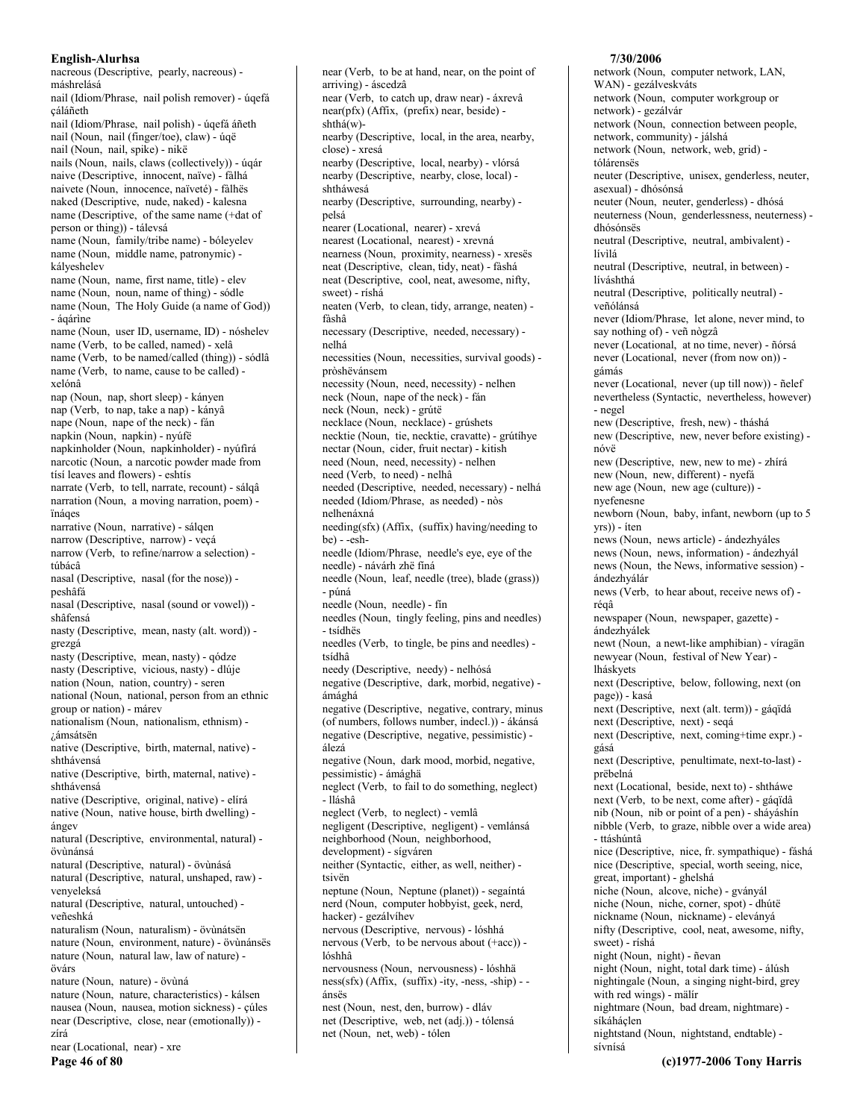nacreous (Descriptive, pearly, nacreous) máshrelásá nail (Idiom/Phrase, nail polish remover) - úqefá cáláñeth nail (Idiom/Phrase, nail polish) - úgefá áñeth nail (Noun, nail (finger/toe), claw) - úqë nail (Noun, nail, spike) - nikë nails (Noun, nails, claws (collectively)) - úqár naive (Descriptive, innocent, naïve) - fàlhá naivete (Noun, innocence, naïveté) - fàlhës naked (Descriptive, nude, naked) - kalesna name (Descriptive, of the same name (+dat of person or thing)) - tálevsá name (Noun, family/tribe name) - bóleyelev name (Noun, middle name, patronymic) kálveshelev name (Noun, name, first name, title) - elev name (Noun, noun, name of thing) - sódle name (Noun, The Holy Guide (a name of God)) - ágárine name (Noun, user ID, username, ID) - nóshelev name (Verb, to be called, named) - xelâ name (Verb, to be named/called (thing)) - sódlâ name (Verb, to name, cause to be called) xelónâ nap (Noun, nap, short sleep) - kányen nap (Verb, to nap, take a nap) - kányâ nape (Noun, nape of the neck) - fán napkin (Noun, napkin) - nyúfë napkinholder (Noun, napkinholder) - nyúfirá narcotic (Noun, a narcotic powder made from tísí leaves and flowers) - eshtís narrate (Verb, to tell, narrate, recount) - sálqâ narration (Noun, a moving narration, poem) ïnáqes narrative (Noun, narrative) - sálqen narrow (Descriptive, narrow) - veçá narrow (Verb, to refine/narrow a selection) túbácâ nasal (Descriptive, nasal (for the nose)) peshâfá nasal (Descriptive, nasal (sound or vowel)) shâfensá nasty (Descriptive, mean, nasty (alt. word)) grezgá nasty (Descriptive, mean, nasty) - gódze nasty (Descriptive, vicious, nasty) - dlúje nation (Noun, nation, country) - seren national (Noun, national, person from an ethnic group or nation) - márev nationalism (Noun, nationalism, ethnism) -¿ámsátsën native (Descriptive, birth, maternal, native) shthávensá native (Descriptive, birth, maternal, native) shthávensá native (Descriptive, original, native) - elírá native (Noun, native house, birth dwelling) ángev natural (Descriptive, environmental, natural) övínánsá natural (Descriptive, natural) - övùnásá natural (Descriptive, natural, unshaped, raw) venyeleksá natural (Descriptive, natural, untouched) veñeshká naturalism (Noun, naturalism) - övùnátsën nature (Noun, environment, nature) - övunánsës nature (Noun, natural law, law of nature) övárs nature (Noun, nature) - övùná nature (Noun, nature, characteristics) - kálsen nausea (Noun, nausea, motion sickness) - çúles near (Descriptive, close, near (emotionally)) zírá near (Locational, near) - xre Page 46 of 80

near (Verb, to be at hand, near, on the point of arriving) - áscedzâ near (Verb, to catch up, draw near) - áxrevâ near(pfx) (Affix, (prefix) near, beside)  $shthá(w)$ nearby (Descriptive, local, in the area, nearby, close) - xresá nearby (Descriptive, local, nearby) - vlórsá nearby (Descriptive, nearby, close, local) shtháwesá nearby (Descriptive, surrounding, nearby) nelsá nearer (Locational, nearer) - xrevá nearest (Locational, nearest) - xrevná nearness (Noun, proximity, nearness) - xresës neat (Descriptive, clean, tidy, neat) - fàshá neat (Descriptive, cool, neat, awesome, nifty, sweet) - ríshá neaten (Verb, to clean, tidy, arrange, neaten) fàshâ necessary (Descriptive, needed, necessary) nelhá necessities (Noun, necessities, survival goods) pròshëvánsem necessity (Noun, need, necessity) - nelhen neck (Noun, nape of the neck) - fán neck (Noun, neck) - grútë necklace (Noun, necklace) - grúshets necktie (Noun, tie, necktie, cravatte) - grútíhye nectar (Noun, cider, fruit nectar) - kitish need (Noun, need, necessity) - nelhen need (Verb, to need) - nelhâ needed (Descriptive, needed, necessary) - nelhá needed (Idiom/Phrase, as needed) - nòs nelhenáxná needing(sfx) (Affix, (suffix) having/needing to  $be) - e sh$ needle (Idiom/Phrase, needle's eye, eye of the needle) - návárh zhë fíná needle (Noun, leaf, needle (tree), blade (grass)) - púná needle (Noun, needle) - fin needles (Noun, tingly feeling, pins and needles) - tsídhës needles (Verb, to tingle, be pins and needles) tsídhâ needy (Descriptive, needy) - nelhósá negative (Descriptive, dark, morbid, negative) ámághá negative (Descriptive, negative, contrary, minus (of numbers, follows number, indecl.)) - ákánsá negative (Descriptive, negative, pessimistic) álezá negative (Noun, dark mood, morbid, negative, pessimistic) - ámághā neglect (Verb, to fail to do something, neglect) - Iláshâ neglect (Verb, to neglect) - vemlâ negligent (Descriptive, negligent) - vemlánsá neighborhood (Noun, neighborhood, development) - sígváren neither (Syntactic, either, as well, neither) tsivën neptune (Noun, Neptune (planet)) - segaíntá nerd (Noun, computer hobbyist, geek, nerd, hacker) - gezálvíhev nervous (Descriptive, nervous) - lóshhá nervous (Verb, to be nervous about (+acc)) lóshhâ nervousness (Noun, nervousness) - lóshhä  $ness(sfx)$  (Affix, (suffix) -ity, -ness, -ship) - ánsës nest (Noun, nest, den, burrow) - dláv net (Descriptive, web, net (adj.)) - tólensá net (Noun, net, web) - tólen

# 7/30/2006

network (Noun, computer network, LAN, WAN) - gezálveskváts network (Noun, computer workgroup or network) - gezálvár network (Noun, connection between people, network, community) - jálshá network (Noun, network, web, grid) tólárensës neuter (Descriptive, unisex, genderless, neuter, asexual) - dhósónsá neuter (Noun, neuter, genderless) - dhósá neuterness (Noun, genderlessness, neuterness) dhósónsës neutral (Descriptive, neutral, ambivalent) lívìlá neutral (Descriptive, neutral, in between) líváshthá neutral (Descriptive, politically neutral) veñólánsá never (Idiom/Phrase, let alone, never mind, to say nothing of) - veñ nògzâ never (Locational, at no time, never) - ñórsá never (Locational, never (from now on)) gámás never (Locational, never (up till now)) - ñelef nevertheless (Syntactic, nevertheless, however) - negel new (Descriptive, fresh, new) - tháshá new (Descriptive, new, never before existing) nóvë new (Descriptive, new, new to me) - zhírá new (Noun, new, different) - nyefá new age (Noun, new age (culture)) nvefenesne newborn (Noun, baby, infant, newborn (up to 5) yrs)) - íten news (Noun, news article) - ándezhyáles news (Noun, news, information) - ándezhvál news (Noun, the News, informative session) ándezhválár news (Verb, to hear about, receive news of) réqâ newspaper (Noun, newspaper, gazette) ándezhyálek newt (Noun, a newt-like amphibian) - víragän newyear (Noun, festival of New Year) lháskyets next (Descriptive, below, following, next (on page)) - kasá next (Descriptive, next (alt. term)) - gáqïdá next (Descriptive, next) - seqá next (Descriptive, next, coming+time expr.) gásá next (Descriptive, penultimate, next-to-last) prëbelná next (Locational, beside, next to) - shtháwe next (Verb, to be next, come after) - gáqïdâ nib (Noun, nib or point of a pen) - sháyáshín nibble (Verb, to graze, nibble over a wide area) - ttáshúntâ nice (Descriptive, nice, fr. sympathique) - fáshá nice (Descriptive, special, worth seeing, nice, great, important) - ghelshá niche (Noun, alcove, niche) - gványál niche (Noun, niche, corner, spot) - dhútë nickname (Noun, nickname) - eleványá nifty (Descriptive, cool, neat, awesome, nifty, sweet) - ríshá night (Noun, night) - ñevan night (Noun, night, total dark time) - álúsh nightingale (Noun, a singing night-bird, grey with red wings) - mälír nightmare (Noun, bad dream, nightmare) síkáháçlen nightstand (Noun, nightstand, endtable) sívnísá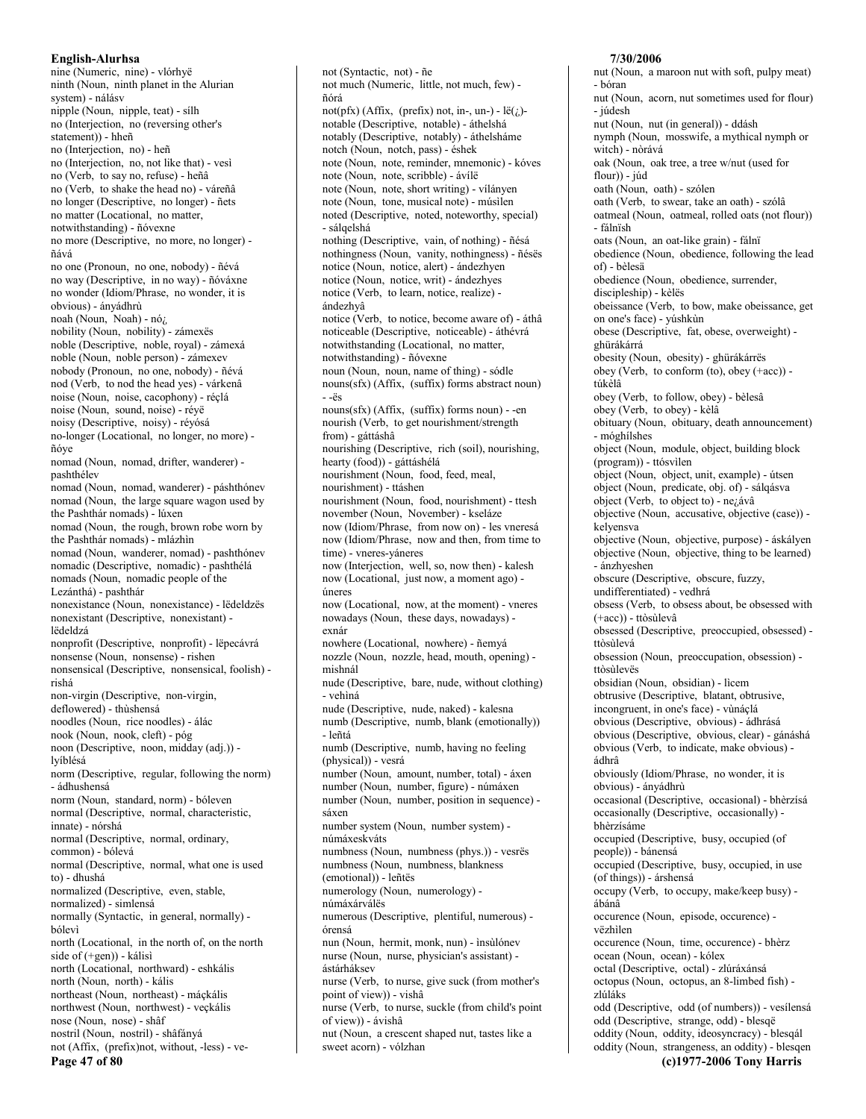nine (Numeric, nine) - vlórhyë ninth (Noun, ninth planet in the Alurian system) - nálásy nipple (Noun, nipple, teat) - sílh no (Interjection, no (reversing other's statement)) - hheñ no (Interjection, no) - heñ no (Interjection, no, not like that) - vesì no (Verb, to say no, refuse) - heñâ no (Verb, to shake the head no) - váreñâ no longer (Descriptive, no longer) - ñets no matter (Locational, no matter, notwithstanding) - ñóvexne no more (Descriptive, no more, no longer) ñává no one (Pronoun, no one, nobody) - ñévá no way (Descriptive, in no way) - ñóváxne no wonder (Idiom/Phrase, no wonder, it is obvious) - ányádhrù noah (Noun, Noah) - nóz nobility (Noun, nobility) - zámexës noble (Descriptive, noble, royal) - zámexá noble (Noun, noble person) - zámexev nobody (Pronoun, no one, nobody) - ñévá nod (Verb, to nod the head yes) - várkenâ noise (Noun, noise, cacophony) - réçlá noise (Noun, sound, noise) - réyë noisy (Descriptive, noisy) - réyósá no-longer (Locational, no longer, no more) ñóve nomad (Noun, nomad, drifter, wanderer) pashthélev nomad (Noun, nomad, wanderer) - páshthónev nomad (Noun, the large square wagon used by the Pashthár nomads) - lúxen nomad (Noun, the rough, brown robe worn by the Pashthár nomads) - mlázhìn nomad (Noun, wanderer, nomad) - pashthónev nomadic (Descriptive, nomadic) - pashthélá nomads (Noun, nomadic people of the Lezánthá) - pashthár nonexistance (Noun, nonexistance) - lëdeldzës nonexistant (Descriptive, nonexistant) lëdeldzá nonprofit (Descriptive, nonprofit) - lëpecávrá nonsense (Noun, nonsense) - rishen nonsensical (Descriptive, nonsensical, foolish) rishá non-virgin (Descriptive, non-virgin, deflowered) - thùshensá noodles (Noun, rice noodles) - álác nook (Noun, nook, cleft) - póg noon (Descriptive, noon, midday (adj.)) lvíblésá norm (Descriptive, regular, following the norm) - ádhushensá norm (Noun, standard, norm) - bóleven normal (Descriptive, normal, characteristic, innate) - nórshá normal (Descriptive, normal, ordinary, common) - bólevá normal (Descriptive, normal, what one is used to) - dhushá normalized (Descriptive, even, stable, normalized) - simlensá normally (Syntactic, in general, normally) hólevì north (Locational, in the north of, on the north side of  $(+gen)$ ) - kálisi north (Locational, northward) - eshkális north (Noun, north) - kális northeast (Noun, northeast) - máçkális northwest (Noun, northwest) - veçkális nose (Noun, nose) - shâf nostril (Noun, nostril) - shâfányá not (Affix, (prefix)not, without, -less) - ve-

Page 47 of 80

not (Syntactic, not) - ñe not much (Numeric, little, not much, few) ñórá not(pfx) (Affix, (prefix) not, in-, un-) -  $l\ddot{e}(i)$ notable (Descriptive, notable) - áthelshá notably (Descriptive, notably) - áthelsháme notch (Noun, notch, pass) - éshek note (Noun, note, reminder, mnemonic) - kóves note (Noun, note, scribble) - ávílë note (Noun, note, short writing) - vílányen note (Noun, tone, musical note) - músilen noted (Descriptive, noted, noteworthy, special) - sálqelshá nothing (Descriptive, vain, of nothing) - ñésá nothingness (Noun, vanity, nothingness) - ñésës notice (Noun, notice, alert) - ándezhyen notice (Noun, notice, writ) - ándezhyes notice (Verb, to learn, notice, realize) ándezhyâ notice (Verb, to notice, become aware of) - áthâ noticeable (Descriptive, noticeable) - áthévrá notwithstanding (Locational, no matter, notwithstanding) - ñóvexne noun (Noun, noun, name of thing) - sódle nouns(sfx) (Affix, (suffix) forms abstract noun)  $\ddot{e}s$ nouns(sfx) (Affix, (suffix) forms noun) - -en nourish (Verb, to get nourishment/strength from) - gáttáshâ nourishing (Descriptive, rich (soil), nourishing, hearty (food)) - gáttáshélá nourishment (Noun, food, feed, meal, nourishment) - ttáshen nourishment (Noun, food, nourishment) - ttesh november (Noun, November) - kseláze now (Idiom/Phrase, from now on) - les vneresá now (Idiom/Phrase, now and then, from time to time) - vneres-váneres now (Interjection, well, so, now then) - kalesh now (Locational, just now, a moment ago) úneres now (Locational, now, at the moment) - vneres nowadays (Noun, these days, nowadays) exnár nowhere (Locational, nowhere) - ñemyá nozzle (Noun, nozzle, head, mouth, opening) mishnál nude (Descriptive, bare, nude, without clothing) - vehìná nude (Descriptive, nude, naked) - kalesna numb (Descriptive, numb, blank (emotionally)) - leñtá numb (Descriptive, numb, having no feeling (physical)) - vesrá number (Noun, amount, number, total) - áxen number (Noun, number, figure) - númáxen number (Noun, number, position in sequence) sáxen number system (Noun, number system) númáxeskváts numbness (Noun, numbness (phys.)) - vesrës numbness (Noun, numbness, blankness (emotional)) - leñtës numerology (Noun, numerology) númáxárválës numerous (Descriptive, plentiful, numerous) órensá nun (Noun, hermit, monk, nun) - insùlónev nurse (Noun, nurse, physician's assistant) ástárháksev nurse (Verb, to nurse, give suck (from mother's point of view)) - vishâ nurse (Verb, to nurse, suckle (from child's point of view)) - ávishâ

nut (Noun, a crescent shaped nut, tastes like a

sweet acorn) - vólzhan

### 7/30/2006 nut (Noun, a maroon nut with soft, pulpy meat) - bóran nut (Noun, acorn, nut sometimes used for flour) - júdesh nut (Noun, nut (in general)) - ddásh nymph (Noun, mosswife, a mythical nymph or witch) - nòrává

oak (Noun, oak tree, a tree w/nut (used for  $flow) - júd$ 

oath (Noun, oath) - szólen oath (Verb, to swear, take an oath) - szólâ

oatmeal (Noun, oatmeal, rolled oats (not flour)) - fálnïsh

oats (Noun, an oat-like grain) - fálnï

obedience (Noun, obedience, following the lead of) - bèlesä

obedience (Noun, obedience, surrender, discipleship) - kèlës

obeissance (Verb, to bow, make obeissance, get on one's face) - yúshkùn

obese (Descriptive, fat, obese, overweight) ghürákárrá

obesity (Noun, obesity) - ghürákárrës obey (Verb, to conform  $(to)$ , obey  $(+acc)$ ) túkèlâ

obey (Verb, to follow, obey) - bèlesâ obey (Verb, to obey) - kèlâ

obituary (Noun, obituary, death announcement) - móghílshes

object (Noun, module, object, building block (program)) - ttósvilen

object (Noun, object, unit, example) - útsen

object (Noun, predicate, obj. of) - sálqásva object (Verb, to object to) - nezávâ

objective (Noun, accusative, objective (case)) kelvensva

objective (Noun, objective, purpose) - áskályen objective (Noun, objective, thing to be learned) - ánzhveshen

obscure (Descriptive, obscure, fuzzy,

undifferentiated) - vedhrá

obsess (Verb, to obsess about, be obsessed with (+acc)) - ttòsùlevâ

obsessed (Descriptive, preoccupied, obsessed) ttòsùlevá

obsession (Noun, preoccupation, obsession) ttòsùlevës

obsidian (Noun, obsidian) - lìcem

obtrusive (Descriptive, blatant, obtrusive,

incongruent, in one's face) - vùnáclá

obvious (Descriptive, obvious) - ádhrásá obvious (Descriptive, obvious, clear) - gánáshá obvious (Verb, to indicate, make obvious) ádhrâ

obviously (Idiom/Phrase, no wonder, it is obvious) - ányádhrù

occasional (Descriptive, occasional) - bhèrzisá occasionally (Descriptive, occasionally) bhèrzísáme

occupied (Descriptive, busy, occupied (of people)) - bánensá

occupied (Descriptive, busy, occupied, in use  $($ of things $))$  - árshensá

occupy (Verb, to occupy, make/keep busy) ábánâ

occurence (Noun, episode, occurence) vëzhìlen

occurence (Noun, time, occurence) - bhèrz ocean (Noun, ocean) - kólex

octal (Descriptive, octal) - zlúráxánsá octopus (Noun, octopus, an 8-limbed fish) -

zlúláks

odd (Descriptive, odd (of numbers)) - vesílensá odd (Descriptive, strange, odd) - blesqë oddity (Noun, oddity, ideosyncracy) - blesqál oddity (Noun, strangeness, an oddity) - blesqen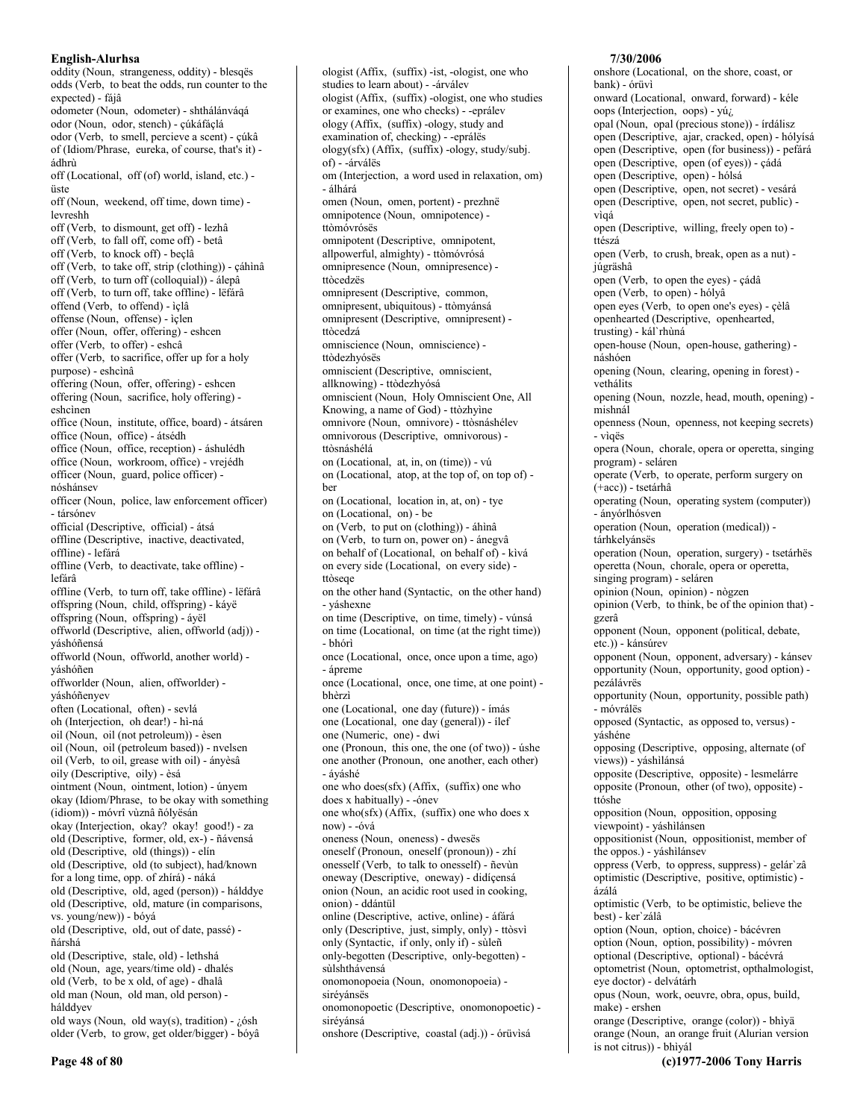oddity (Noun, strangeness, oddity) - blesqës odds (Verb, to beat the odds, run counter to the expected) - fáiâ odometer (Noun, odometer) - shthálánváqá odor (Noun, odor, stench) - cúkáfáclá odor (Verb, to smell, percieve a scent) - çúkâ of (Idiom/Phrase, eureka, of course, that's it) ádhrù off (Locational, off (of) world, island, etc.) üste off (Noun, weekend, off time, down time) levreshh off (Verb, to dismount, get off) - lezhâ off (Verb, to fall off, come off) - betâ off (Verb, to knock off) - beçlâ off (Verb, to take off, strip (clothing)) - çáhìnâ off (Verb, to turn off (colloquial)) - álepâ off (Verb, to turn off, take offline) - lëfarâ offend (Verb, to offend) - ìçlâ offense (Noun, offense) - ìçlen offer (Noun, offer, offering) - eshcen offer (Verb, to offer) - eshcâ offer (Verb, to sacrifice, offer up for a holy purpose) - eshcinâ offering (Noun, offer, offering) - eshcen offering (Noun, sacrifice, holy offering) eshcinen office (Noun, institute, office, board) - átsáren office (Noun, office) - átsédh office (Noun, office, reception) - áshulédh office (Noun, workroom, office) - vrejédh officer (Noun, guard, police officer) nóshánsev officer (Noun, police, law enforcement officer) - társónev official (Descriptive, official) - átsá offline (Descriptive, inactive, deactivated, offline) - lefárá offline (Verb, to deactivate, take offline) lefárâ offline (Verb, to turn off, take offline) - lëfárâ offspring (Noun, child, offspring) - káyë offspring (Noun, offspring) - áyël offworld (Descriptive, alien, offworld (adj)) váshóñensá offworld (Noun, offworld, another world) yáshóñen offworlder (Noun, alien, offworlder) yáshóñenyev often (Locational, often) - sevlá oh (Interjection, oh dear!) - hì-ná oil (Noun, oil (not petroleum)) - èsen oil (Noun, oil (petroleum based)) - nvelsen oil (Verb, to oil, grease with oil) - ányèsâ oily (Descriptive, oily) - èsá ointment (Noun, ointment, lotion) - únyem okay (Idiom/Phrase, to be okay with something (idiom)) - móvrî vùznâ ñólyësán okay (Interjection, okay? okay! good!) - za old (Descriptive, former, old, ex-) - ñávensá old (Descriptive, old (things)) - elín old (Descriptive, old (to subject), had/known for a long time, opp. of zhírá) - náká old (Descriptive, old, aged (person)) - hálddye old (Descriptive, old, mature (in comparisons, vs. young/new)) - bóyá old (Descriptive, old, out of date, passé) ñárshá old (Descriptive, stale, old) - lethshá old (Noun, age, years/time old) - dhalés old (Verb, to be x old, of age) - dhalâ old man (Noun, old man, old person) hálddvev old ways (Noun, old way(s), tradition) -  $i$  6sh older (Verb, to grow, get older/bigger) - bóyâ

ologist (Affix, (suffix) -ist, -ologist, one who studies to learn about) - - árválev ologist (Affix, (suffix) -ologist, one who studies or examines, one who checks) - -eprálev ology (Affix, (suffix) -ology, study and examination of, checking) - -eprálës  $\log y(sfx)$  (Affix, (suffix) - $\log y$ , study/subj. of) - -árválës om (Interjection, a word used in relaxation, om) - álhárá omen (Noun, omen, portent) - prezhnë omnipotence (Noun, omnipotence) ttòmóvrósës omnipotent (Descriptive, omnipotent, allpowerful, almighty) - ttòmóvrósá omnipresence (Noun, omnipresence) ttòcedzës omnipresent (Descriptive, common, omnipresent, ubiquitous) - ttòmyánsá omnipresent (Descriptive, omnipresent) ttòcedzá omniscience (Noun, omniscience) ttòdezhyósës omniscient (Descriptive, omniscient, allknowing) - ttòdezhyósá omniscient (Noun, Holy Omniscient One, All Knowing, a name of God) - ttòzhyìne omnivore (Noun, omnivore) - ttòsnáshélev omnivorous (Descriptive, omnivorous) ttòsnáshélá on (Locational, at, in, on (time)) - vú on (Locational, atop, at the top of, on top of) ber on (Locational, location in, at, on) - tye on (Locational, on) - be on (Verb, to put on (clothing)) - áhìnâ on (Verb, to turn on, power on) - ánegvâ on behalf of (Locational, on behalf of) - kìvá on every side (Locational, on every side) ttòseae on the other hand (Syntactic, on the other hand) - yáshexne on time (Descriptive, on time, timely) - vúnsá on time (Locational, on time (at the right time)) - bhórì once (Locational, once, once upon a time, ago) - ápreme once (Locational, once, one time, at one point) bhèrzì one (Locational, one day (future)) - ímás one (Locational, one day (general)) - ilef one (Numeric, one) - dwi one (Pronoun, this one, the one (of two)) - úshe one another (Pronoun, one another, each other) - áváshé one who does(sfx) (Affix, (suffix) one who does x habitually) - - ónev one who(sfx) (Affix, (suffix) one who does x now) - -óvá oneness (Noun, oneness) - dwesës oneself (Pronoun, oneself (pronoun)) - zhí onesself (Verb, to talk to onesself) - ñevùn oneway (Descriptive, oneway) - didíçensá onion (Noun, an acidic root used in cooking, onion) - ddántül online (Descriptive, active, online) - áfárá only (Descriptive, just, simply, only) - ttòsvì only (Syntactic, if only, only if) - sùleñ only-begotten (Descriptive, only-begotten) sùlshthávensá onomonopoeia (Noun, onomonopoeia) siréyánsës

onomonopoetic (Descriptive, onomonopoetic) siréyánsá

onshore (Descriptive, coastal (adj.)) - órüvisá

# 7/30/2006

onshore (Locational, on the shore, coast, or bank) - órüvì onward (Locational, onward, forward) - kéle oops (Interjection, oops) - yú<sub>i</sub> opal (Noun, opal (precious stone)) - írdálisz open (Descriptive, ajar, cracked, open) - hólyísá open (Descriptive, open (for business)) - pefárá open (Descriptive, open (of eyes)) - çádá open (Descriptive, open) - hólsá open (Descriptive, open, not secret) - vesárá open (Descriptive, open, not secret, public) vìoá open (Descriptive, willing, freely open to) ttészá open (Verb, to crush, break, open as a nut) júgräshâ open (Verb, to open the eyes) - çádâ open (Verb, to open) - hólyâ open eyes (Verb, to open one's eyes) - çèlâ openhearted (Descriptive, openhearted, trusting) - kál`rhùná open-house (Noun, open-house, gathering) náshóen opening (Noun, clearing, opening in forest) vethálits opening (Noun, nozzle, head, mouth, opening) mishnál openness (Noun, openness, not keeping secrets) - vìgës opera (Noun, chorale, opera or operetta, singing program) - seláren operate (Verb, to operate, perform surgery on (+acc)) - tsetárhâ operating (Noun, operating system (computer)) - ánvórlhósven operation (Noun, operation (medical)) tárhkelyánsës operation (Noun, operation, surgery) - tsetárhës operetta (Noun, chorale, opera or operetta, singing program) - seláren opinion (Noun, opinion) - nògzen opinion (Verb, to think, be of the opinion that) gzerâ opponent (Noun, opponent (political, debate, etc.)) - kánsúrev opponent (Noun, opponent, adversary) - kánsev opportunity (Noun, opportunity, good option) pezálávrës opportunity (Noun, opportunity, possible path) - móvrálës opposed (Syntactic, as opposed to, versus) váshéne opposing (Descriptive, opposing, alternate (of views)) - yáshilánsá opposite (Descriptive, opposite) - lesmelárre opposite (Pronoun, other (of two), opposite) ttóshe opposition (Noun, opposition, opposing viewpoint) - váshìlánsen oppositionist (Noun, oppositionist, member of the oppos.) - yáshìlánsev oppress (Verb, to oppress, suppress) - gelár`zâ optimistic (Descriptive, positive, optimistic) ázálá optimistic (Verb, to be optimistic, believe the best) - ker'zálâ option (Noun, option, choice) - bácévren option (Noun, option, possibility) - móvren optional (Descriptive, optional) - bácévrá optometrist (Noun, optometrist, opthalmologist, eye doctor) - delvátárh opus (Noun, work, oeuvre, obra, opus, build, make) - ershen orange (Descriptive, orange (color)) - bhìyä orange (Noun, an orange fruit (Alurian version is not citrus)) - bhìyál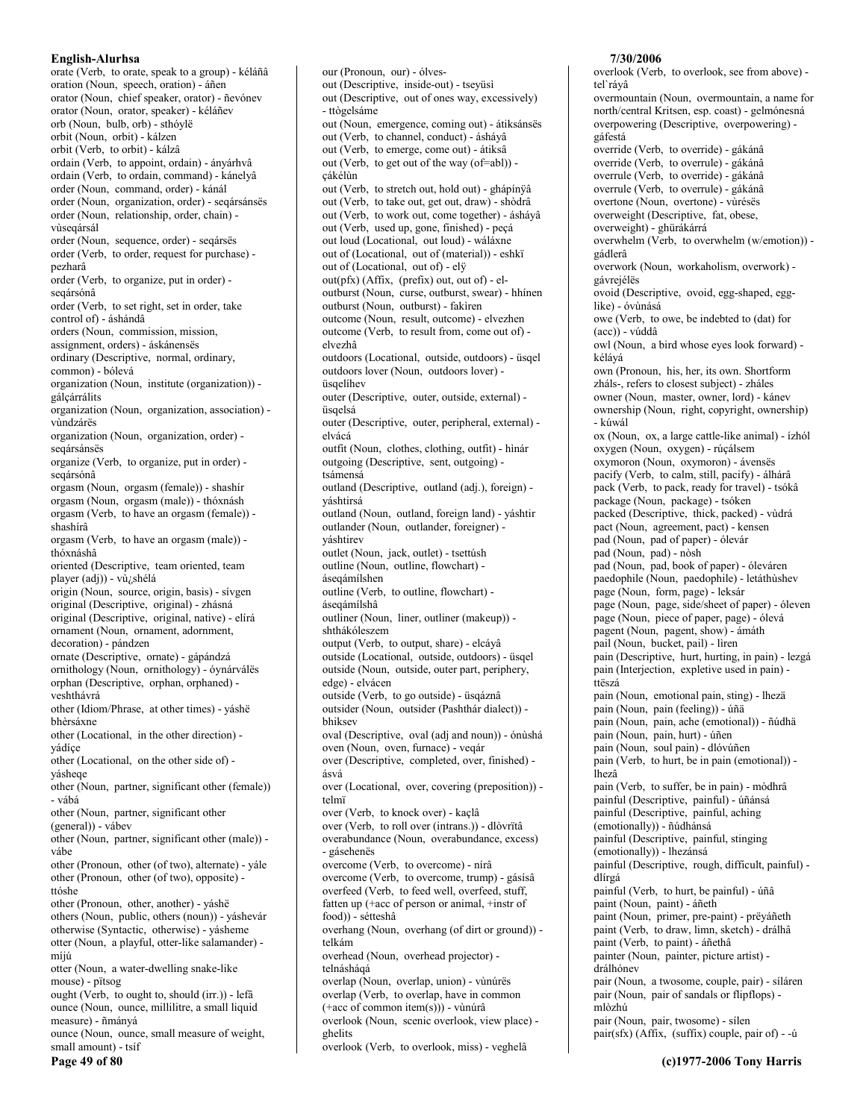orate (Verb, to orate, speak to a group) - kéláñâ oration (Noun, speech, oration) - áñen orator (Noun, chief speaker, orator) - ñevónev orator (Noun, orator, speaker) - kéláñev orb (Noun, bulb, orb) - sthóvle orbit (Noun, orbit) - kálzen orbit (Verb, to orbit) - kálzâ ordain (Verb, to appoint, ordain) - ányárhvâ ordain (Verb, to ordain, command) - kánelyâ order (Noun, command, order) - kánál order (Noun, organization, order) - segársánsës order (Noun, relationship, order, chain) vùseqársál order (Noun, sequence, order) - seqársës order (Verb, to order, request for purchase) pezharâ order (Verb, to organize, put in order) seqársónâ order (Verb, to set right, set in order, take control of) - áshándâ orders (Noun, commission, mission, assignment, orders) - áskánensës ordinary (Descriptive, normal, ordinary,  $common)$  - bólevá organization (Noun, institute (organization)) gálçárrálits organization (Noun, organization, association) vùndzárës organization (Noun, organization, order) segársánsës organize (Verb, to organize, put in order) segársónâ orgasm (Noun, orgasm (female)) - shashir orgasm (Noun, orgasm (male)) - thóxnásh orgasm (Verb, to have an orgasm (female)) shashírâ orgasm (Verb, to have an orgasm (male)) thóxnáshâ oriented (Descriptive, team oriented, team player (adj)) - vù/shélá origin (Noun, source, origin, basis) - sívgen original (Descriptive, original) - zhásná original (Descriptive, original, native) - elírá ornament (Noun, ornament, adornment, decoration) - pándzen ornate (Descriptive, ornate) - gápándzá ornithology (Noun, ornithology) - óynárválës orphan (Descriptive, orphan, orphaned) veshthávrá other (Idiom/Phrase, at other times) - yáshë bhèrsáxne other (Locational, in the other direction) yádíce other (Locational, on the other side of) váshege other (Noun, partner, significant other (female)) - vábá other (Noun, partner, significant other (general)) - vábev other (Noun, partner, significant other (male)) váhe other (Pronoun, other (of two), alternate) - yále other (Pronoun, other (of two), opposite) ttóshe other (Pronoun, other, another) - váshë others (Noun, public, others (noun)) - yáshevár otherwise (Syntactic, otherwise) - yásheme otter (Noun, a playful, otter-like salamander) míjú otter (Noun, a water-dwelling snake-like mouse) - pïtsog ought (Verb, to ought to, should (irr.)) - lefà ounce (Noun, ounce, millilitre, a small liquid measure) - ñmányá ounce (Noun, ounce, small measure of weight, small amount) - tsíf Page 49 of 80

our (Pronoun, our) - ólvesout (Descriptive, inside-out) - tseyüsì out (Descriptive, out of ones way, excessively) - ttògelsáme out (Noun, emergence, coming out) - átiksánsës out (Verb, to channel, conduct) - ásháyâ out (Verb, to emerge, come out) - átiksâ out (Verb, to get out of the way (of=abl)) çákélùn out (Verb, to stretch out, hold out) - ghápínÿâ out (Verb, to take out, get out, draw) - shòdrâ out (Verb., to work out, come together) - áshávâ out (Verb, used up, gone, finished) - peçá out loud (Locational, out loud) - wáláxne out of (Locational, out of (material)) - eshkï out of (Locational, out of) - ely out(pfx) (Affix, (prefix) out, out of) - eloutburst (Noun, curse, outburst, swear) - hhínen outburst (Noun, outburst) - fakiren outcome (Noun, result, outcome) - elvezhen outcome (Verb, to result from, come out of) elvezhâ outdoors (Locational, outside, outdoors) - üsqel outdoors lover (Noun, outdoors lover) üsaelíhev outer (Descriptive, outer, outside, external) üsqelsá outer (Descriptive, outer, peripheral, external) elvácá outfit (Noun, clothes, clothing, outfit) - hinár outgoing (Descriptive, sent, outgoing) tsámensá outland (Descriptive, outland (adj.), foreign) váshtirsá outland (Noun, outland, foreign land) - yáshtir outlander (Noun, outlander, foreigner) yáshtirev outlet (Noun, jack, outlet) - tsettúsh outline (Noun, outline, flowchart) ásegámílshen outline (Verb, to outline, flowchart) ásegámílshâ outliner (Noun, liner, outliner (makeup)) shthákóleszem output (Verb, to output, share) - elcáyâ outside (Locational, outside, outdoors) - üsgel outside (Noun, outside, outer part, periphery, edge) - elvácen outside (Verb, to go outside) - üsqáznâ outsider (Noun, outsider (Pashthár dialect)) bhiksey oval (Descriptive, oval (adj and noun)) - ónùshá oven (Noun, oven, furnace) - vegár over (Descriptive, completed, over, finished) ásvá over (Locational, over, covering (preposition)) telmï over (Verb, to knock over) - kaçlâ over (Verb, to roll over (intrans.)) - dlòvrïtâ overabundance (Noun, overabundance, excess) - gásehenës overcome (Verb, to overcome) - nírâ overcome (Verb, to overcome, trump) - gásísâ overfeed (Verb, to feed well, overfeed, stuff, fatten up (+acc of person or animal, +instr of food)) - sétteshâ overhang (Noun, overhang (of dirt or ground)) telkám overhead (Noun, overhead projector) telnásháqá overlap (Noun, overlap, union) - vùnúrës overlap (Verb, to overlap, have in common (+acc of common item(s))) - vùnúrâ overlook (Noun, scenic overlook, view place) ghelits

overlook (Verb, to overlook, miss) - veghelâ

7/30/2006 overlook (Verb, to overlook, see from above) teľ ráyâ overmountain (Noun, overmountain, a name for north/central Kritsen, esp. coast) - gelmónesná overpowering (Descriptive, overpowering) gáfestá override (Verb, to override) - gákánâ override (Verb, to overrule) - gákánâ overrule (Verb, to override) - gákánâ overrule (Verb, to overrule) - gákánâ overtone (Noun, overtone) - vùrésës overweight (Descriptive, fat, obese, overweight) - ghürákárrá overwhelm (Verb, to overwhelm (w/emotion)) gádlerâ overwork (Noun, workaholism, overwork) gávrejélës ovoid (Descriptive, ovoid, egg-shaped, egglike) - óvùnásá owe (Verb, to owe, be indebted to (dat) for  $(acc)$ ) - vúddâ owl (Noun, a bird whose eyes look forward) kélává own (Pronoun, his, her, its own. Shortform zháls-, refers to closest subject) - zháles owner (Noun, master, owner, lord) - kánev ownership (Noun, right, copyright, ownership) - kúwál ox (Noun, ox, a large cattle-like animal) - ízhól oxygen (Noun, oxygen) - rúçálsem oxymoron (Noun, oxymoron) - ávensës pacify (Verb, to calm, still, pacify) - álhárâ pack (Verb, to pack, ready for travel) - tsókâ package (Noun, package) - tsóken packed (Descriptive, thick, packed) - vùdrá pact (Noun, agreement, pact) - kensen pad (Noun, pad of paper) - ólevár pad (Noun, pad) - nòsh pad (Noun, pad, book of paper) - óleváren paedophile (Noun, paedophile) - letáthùshev page (Noun, form, page) - leksár page (Noun, page, side/sheet of paper) - óleven page (Noun, piece of paper, page) - ólevá pagent (Noun, pagent, show) - ámáth pail (Noun, bucket, pail) - lìren pain (Descriptive, hurt, hurting, in pain) - lezgá pain (Interjection, expletive used in pain) ttëszá pain (Noun, emotional pain, sting) - lhezä pain (Noun, pain (feeling)) - úña pain (Noun, pain, ache (emotional)) - ñúdhä pain (Noun, pain, hurt) - úñen pain (Noun, soul pain) - dlóvúñen pain (Verb, to hurt, be in pain (emotional)) lhezâ pain (Verb, to suffer, be in pain) - mòdhrâ painful (Descriptive, painful) - úñánsá painful (Descriptive, painful, aching (emotionally)) - ñúdhánsá painful (Descriptive, painful, stinging (emotionally)) - lhezánsá painful (Descriptive, rough, difficult, painful) dlírgá painful (Verb, to hurt, be painful) - úñâ paint (Noun, paint) - áñeth paint (Noun, primer, pre-paint) - prëyáñeth paint (Verb, to draw, limn, sketch) - drálhâ paint (Verb, to paint) - áñethâ painter (Noun, painter, picture artist) drálhónev pair (Noun, a twosome, couple, pair) - síláren pair (Noun, pair of sandals or flipflops) mlòzhú pair (Noun, pair, twosome) - sílen pair(sfx) (Affix, (suffix) couple, pair of) - -ú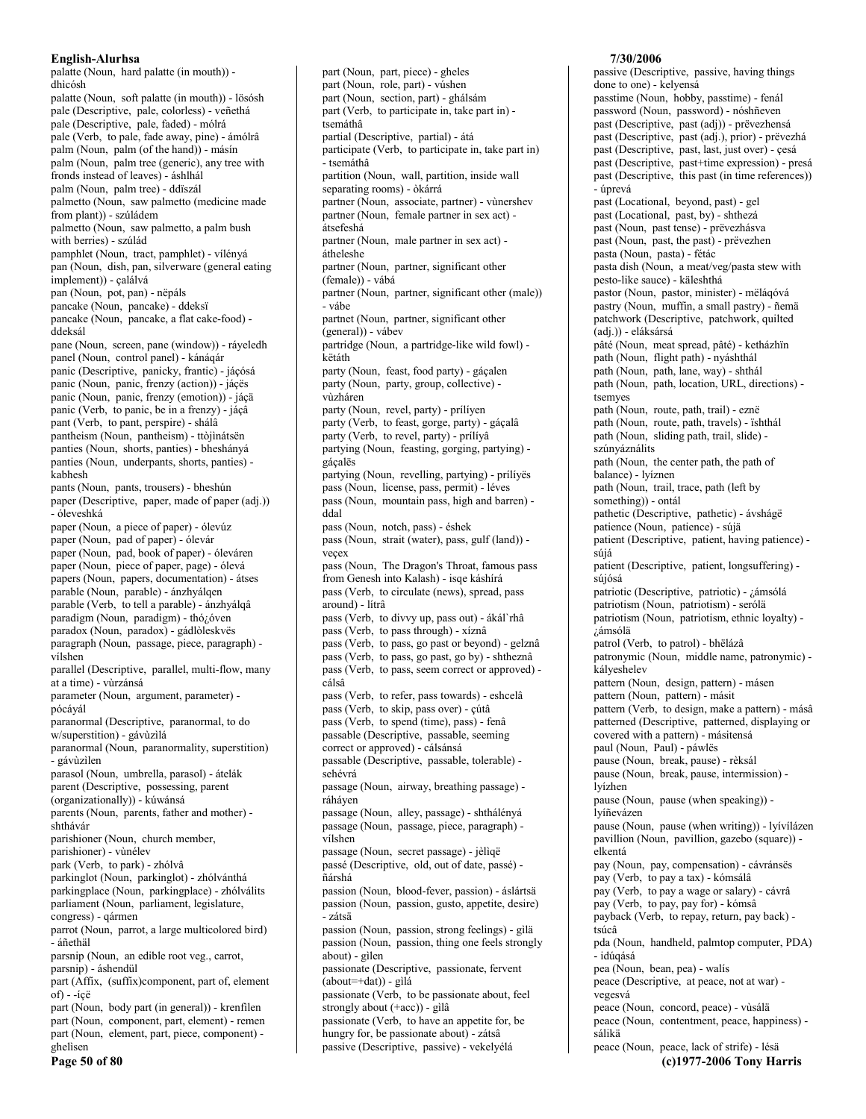palatte (Noun, hard palatte (in mouth)) dhìcósh palatte (Noun, soft palatte (in mouth)) - lösósh pale (Descriptive, pale, colorless) - veñethá pale (Descriptive, pale, faded) - mólrá pale (Verb, to pale, fade away, pine) - ámólrâ palm (Noun, palm (of the hand)) - másín palm (Noun, palm tree (generic), any tree with fronds instead of leaves) - áshlhál palm (Noun, palm tree) - ddïszál palmetto (Noun, saw palmetto (medicine made from plant)) - szúládem palmetto (Noun, saw palmetto, a palm bush with berries) - szúlád pamphlet (Noun, tract, pamphlet) - vílényá pan (Noun, dish, pan, silverware (general eating implement)) - çalálvá pan (Noun, pot, pan) - nëpáls pancake (Noun, pancake) - ddeksï pancake (Noun, pancake, a flat cake-food) ddeksál pane (Noun, screen, pane (window)) - ráyeledh panel (Noun, control panel) - kánáqár panic (Descriptive, panicky, frantic) - jáçósá panic (Noun, panic, frenzy (action)) - jáçës panic (Noun, panic, frenzy (emotion)) - jáçä panic (Verb, to panic, be in a frenzy) - jáçâ pant (Verb, to pant, perspire) - shálâ pantheism (Noun, pantheism) - ttòjìnátsën panties (Noun, shorts, panties) - bheshányá panties (Noun, underpants, shorts, panties) kabhesh pants (Noun, pants, trousers) - bheshún paper (Descriptive, paper, made of paper (adj.)) - óleveshká paper (Noun, a piece of paper) - ólevúz paper (Noun, pad of paper) - ólevár paper (Noun, pad, book of paper) - óleváren paper (Noun, piece of paper, page) - ólevá papers (Noun, papers, documentation) - átses parable (Noun, parable) - ánzhyálqen parable (Verb, to tell a parable) - ánzhyálqâ paradigm (Noun, paradigm) - thó¿óven paradox (Noun, paradox) - gádlòleskvës paragraph (Noun, passage, piece, paragraph) vílshen parallel (Descriptive, parallel, multi-flow, many at a time) - vùrzánsá parameter (Noun, argument, parameter) pócáyál paranormal (Descriptive, paranormal, to do w/superstition) - gávùzilá paranormal (Noun, paranormality, superstition) - gávùzìlen parasol (Noun, umbrella, parasol) - átelák parent (Descriptive, possessing, parent (organizationally)) - kúwánsá parents (Noun, parents, father and mother) shthávár parishioner (Noun, church member, parishioner) - vùnélev park (Verb, to park) - zhólvâ parkinglot (Noun, parkinglot) - zhólvánthá parkingplace (Noun, parkingplace) - zhólválits parliament (Noun, parliament, legislature, congress) - qármen parrot (Noun, parrot, a large multicolored bird) - áñethäl parsnip (Noun, an edible root veg., carrot, parsnip) - áshendül part (Affix, (suffix)component, part of, element  $of) - i$ çë part (Noun, body part (in general)) - krenfilen part (Noun, component, part, element) - remen part (Noun, element, part, piece, component) ghelisen

Page 50 of 80

part (Noun, part, piece) - gheles part (Noun, role, part) - vúshen part (Noun, section, part) - ghálsám part (Verb, to participate in, take part in) tsemáthâ partial (Descriptive, partial) - átá participate (Verb, to participate in, take part in) - tsemáthâ partition (Noun, wall, partition, inside wall separating rooms) - òkárrá partner (Noun, associate, partner) - vùnershev partner (Noun, female partner in sex act) átsefeshá partner (Noun, male partner in sex act) átheleshe partner (Noun, partner, significant other (female)) - vábá partner (Noun, partner, significant other (male)) - vábe partnet (Noun, partner, significant other (general)) - vábev partridge (Noun, a partridge-like wild fowl) këtáth party (Noun, feast, food party) - gácalen party (Noun, party, group, collective) vùzháren party (Noun, revel, party) - prílíyen party (Verb, to feast, gorge, party) - gáçalâ party (Verb, to revel, party) - prílíyâ partying (Noun, feasting, gorging, partying) gácalës partying (Noun, revelling, partying) - prílíyës pass (Noun, license, pass, permit) - léves pass (Noun, mountain pass, high and barren) ddal pass (Noun, notch, pass) - éshek pass (Noun, strait (water), pass, gulf (land)) vecex pass (Noun, The Dragon's Throat, famous pass from Genesh into Kalash) - isge káshírá pass (Verb, to circulate (news), spread, pass around) - lítrâ pass (Verb, to divvy up, pass out) - ákál`rhâ pass (Verb, to pass through) - xíznâ pass (Verb, to pass, go past or beyond) - gelznâ pass (Verb, to pass, go past, go by) - shtheznâ pass (Verb, to pass, seem correct or approved) cálsâ pass (Verb, to refer, pass towards) - eshcelâ pass (Verb, to skip, pass over) - çútâ pass (Verb, to spend (time), pass) - fenâ passable (Descriptive, passable, seeming correct or approved) - cálsánsá passable (Descriptive, passable, tolerable) sehévrá passage (Noun, airway, breathing passage) ráháyen passage (Noun, alley, passage) - shthálényá passage (Noun, passage, piece, paragraph) vílshen passage (Noun, secret passage) - jèliqë passé (Descriptive, old, out of date, passé) ñárshá passion (Noun, blood-fever, passion) - áslártsä passion (Noun, passion, gusto, appetite, desire) - zátsä passion (Noun, passion, strong feelings) - gilä passion (Noun, passion, thing one feels strongly about) - gilen passionate (Descriptive, passionate, fervent  $(about=+dat))$  - gilá passionate (Verb, to be passionate about, feel strongly about (+acc)) - gilâ passionate (Verb, to have an appetite for, be hungry for, be passionate about) - zátsâ passive (Descriptive, passive) - vekelyélá

### 7/30/2006

passive (Descriptive, passive, having things done to one) - kelyensá passtime (Noun, hobby, passtime) - fenál password (Noun, password) - nóshñeven past (Descriptive, past (adj)) - prëvezhensá past (Descriptive, past (adj.), prior) - prëvezhá past (Descriptive, past, last, just over) - çesá past (Descriptive, past+time expression) - presá past (Descriptive, this past (in time references)) - úprevá past (Locational, beyond, past) - gel past (Locational, past, by) - shthezá past (Noun, past tense) - prëvezhásva past (Noun, past, the past) - prëvezhen pasta (Noun, pasta) - fétác<br>pasta dish (Noun, a meat/veg/pasta stew with pesto-like sauce) - käleshthá pastor (Noun, pastor, minister) - mëláqóvá pastry (Noun, muffin, a small pastry) - ñemä patchwork (Descriptive, patchwork, quilted (adj.)) - eláksársá pâté (Noun, meat spread, pâté) - ketházhïn path (Noun, flight path) - nyáshthál path (Noun, path, lane, way) - shthal path (Noun, path, location, URL, directions) tsemves path (Noun, route, path, trail) - eznë path (Noun, route, path, travels) - ïshthál path (Noun, sliding path, trail, slide) szúnyáználits path (Noun, the center path, the path of balance) - lyíznen path (Noun, trail, trace, path (left by something)) - ontál pathetic (Descriptive, pathetic) - ávshágë patience (Noun, patience) - súja patient (Descriptive, patient, having patience) súiá patient (Descriptive, patient, longsuffering) súiósá patriotic (Descriptive, patriotic) - ¿ámsólá patriotism (Noun, patriotism) - serólä patriotism (Noun, patriotism, ethnic loyalty) -¿ámsólä patrol (Verb, to patrol) - bhëlázâ patronymic (Noun, middle name, patronymic) kályeshelev pattern (Noun, design, pattern) - másen pattern (Noun, pattern) - másit pattern (Verb, to design, make a pattern) - másâ patterned (Descriptive, patterned, displaying or covered with a pattern) - másitensá paul (Noun, Paul) - páwlës pause (Noun, break, pause) - rèksál pause (Noun, break, pause, intermission) lvízhen pause (Noun, pause (when speaking)) lyíñevázen pause (Noun, pause (when writing)) - lyívílázen pavillion (Noun, pavillion, gazebo (square)) elkentá pay (Noun, pay, compensation) - cávránsës pay (Verb, to pay a tax) - kómsálâ pay (Verb, to pay a wage or salary) - cávrâ pay (Verb, to pay, pay for) - kómsâ payback (Verb, to repay, return, pay back) tsúcâ pda (Noun, handheld, palmtop computer, PDA) - idúgásá pea (Noun, bean, pea) - walís peace (Descriptive, at peace, not at war) vegesvá peace (Noun, concord, peace) - vùsálä peace (Noun, contentment, peace, happiness) sálikä

peace (Noun, peace, lack of strife) - lésä (c)1977-2006 Tony Harris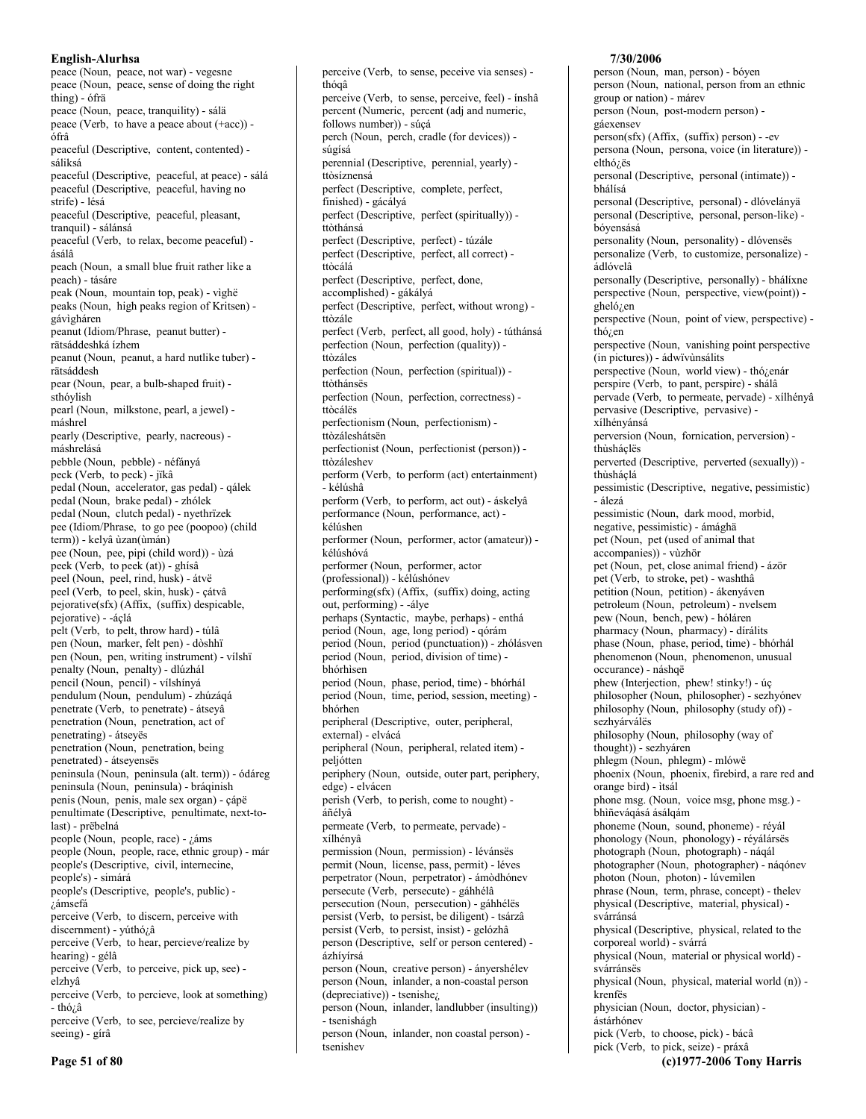peace (Noun, peace, not war) - vegesne peace (Noun, peace, sense of doing the right thing) - ófrä peace (Noun, peace, tranquility) - sálä peace (Verb, to have a peace about (+acc)) ófrâ peaceful (Descriptive, content, contented) sáliksá peaceful (Descriptive, peaceful, at peace) - sálá peaceful (Descriptive, peaceful, having no strife) - lésá peaceful (Descriptive, peaceful, pleasant, tranquil) - sálánsá peaceful (Verb, to relax, become peaceful) ásálâ peach (Noun, a small blue fruit rather like a peach) - tásáre peak (Noun, mountain top, peak) - vìghë peaks (Noun, high peaks region of Kritsen) gávìgháren peanut (Idiom/Phrase, peanut butter) rätsáddeshká ízhem peanut (Noun, peanut, a hard nutlike tuber) rätsáddesh pear (Noun, pear, a bulb-shaped fruit) sthóvlish pearl (Noun, milkstone, pearl, a jewel) máshrel pearly (Descriptive, pearly, nacreous) máshrelásá pebble (Noun, pebble) - néfányá peck (Verb, to peck) - jïkâ pedal (Noun, accelerator, gas pedal) - qálek pedal (Noun, brake pedal) - zhólek pedal (Noun, clutch pedal) - nyethrïzek pee (Idiom/Phrase, to go pee (poopoo) (child term)) - kelyâ ùzan(ùmán) pee (Noun, pee, pipi (child word)) - ùzá peek (Verb, to peek (at)) - ghísâ peel (Noun, peel, rind, husk) - átvë peel (Verb, to peel, skin, husk) - çátvâ pejorative(sfx) (Affix, (suffix) despicable, pejorative) - -áçlá pelt (Verb, to pelt, throw hard) - túlâ pen (Noun, marker, felt pen) - dòshhï pen (Noun, pen, writing instrument) - vilshi penalty (Noun, penalty) - dlúzhál pencil (Noun, pencil) - vílshínyá pendulum (Noun, pendulum) - zhúzáqá penetrate (Verb, to penetrate) - átseyâ penetration (Noun, penetration, act of penetrating) - átseyës penetration (Noun, penetration, being penetrated) - átseyensës peninsula (Noun, peninsula (alt. term)) - ódáreg peninsula (Noun, peninsula) - bráqinish penis (Noun, penis, male sex organ) - çápë penultimate (Descriptive, penultimate, next-tolast) - prëbelná people (Noun, people, race) - ¿áms people (Noun, people, race, ethnic group) - már people's (Descriptive, civil, internecine, people's) - simárá people's (Descriptive, people's, public) jámsefá perceive (Verb, to discern, perceive with discernment) - yúthó¿â perceive (Verb, to hear, percieve/realize by hearing) - gélâ perceive (Verb, to perceive, pick up, see) elzhvâ perceive (Verb, to percieve, look at something) - thó¿â perceive (Verb, to see, percieve/realize by seeing) - gírâ

perfect (Verb, perfect, all good, holy) - túthánsá perfection (Noun, perfection (quality)) ttòzáles perfection (Noun, perfection (spiritual)) ttòthánsës perfection (Noun, perfection, correctness) ttòcálës perfectionism (Noun, perfectionism) ttòzáleshátsën perfectionist (Noun, perfectionist (person)) ttòzáleshev perform (Verb, to perform (act) entertainment) - kélúshâ perform (Verb, to perform, act out) - áskelyâ performance (Noun, performance, act) kélúshen performer (Noun, performer, actor (amateur)) kélúshóvá performer (Noun, performer, actor (professional)) - kélúshónev performing(sfx) (Affix, (suffix) doing, acting out, performing) - - álye perhaps (Syntactic, maybe, perhaps) - enthá period (Noun, age, long period) - qórám period (Noun, period (punctuation)) - zhólásven period (Noun, period, division of time) bhórhìsen period (Noun, phase, period, time) - bhórhál period (Noun, time, period, session, meeting) bhórhen peripheral (Descriptive, outer, peripheral, external) - elvácá peripheral (Noun, peripheral, related item) peljótten periphery (Noun, outside, outer part, periphery, edge) - elvácen perish (Verb, to perish, come to nought) áñélyâ permeate (Verb, to permeate, pervade) xílhényâ permission (Noun, permission) - lévánsës permit (Noun, license, pass, permit) - léves perpetrator (Noun, perpetrator) - ámòdhónev persecute (Verb, persecute) - gáhhélâ persecution (Noun, persecution) - gáhhélës persist (Verb, to persist, be diligent) - tsárzâ persist (Verb, to persist, insist) - gelózhâ person (Descriptive, self or person centered) ázhívírsá person (Noun, creative person) - ányershélev person (Noun, inlander, a non-coastal person (depreciative)) - tsenishe<sub>i</sub>, person (Noun, inlander, landlubber (insulting)) - tsenishágh person (Noun, inlander, non coastal person) tsenishev

perceive (Verb, to sense, peceive via senses) -

perceive (Verb, to sense, perceive, feel) - ínshâ

percent (Numeric, percent (adj and numeric,

perch (Noun, perch, cradle (for devices)) -

perennial (Descriptive, perennial, yearly) -

perfect (Descriptive, perfect (spiritually)) -

perfect (Descriptive, perfect, all correct) -

perfect (Descriptive, perfect, without wrong) -

perfect (Descriptive, complete, perfect,

perfect (Descriptive, perfect) - túzále

perfect (Descriptive, perfect, done,

accomplished) - gákályá

follows number)) - súcá

thógâ

súgísá

ttòsíznensá

ttòthánsá

ttòcálá

ttòzále

finished) - gácályá

#### 7/30/2006

person (Noun, man, person) - bóyen person (Noun, national, person from an ethnic group or nation) - márev person (Noun, post-modern person) gáexensev person(sfx) (Affix, (suffix) person) - -ev persona (Noun, persona, voice (in literature)) elthó<sub>i.</sub>ës personal (Descriptive, personal (intimate)) bhálísá personal (Descriptive, personal) - dlóvelányä personal (Descriptive, personal, person-like) bóyensásá personality (Noun, personality) - dlóvensës personalize (Verb, to customize, personalize) ádlóvelâ personally (Descriptive, personally) - bhálíxne perspective (Noun, perspective, view(point)) gheló<sub>/.</sub>en perspective (Noun, point of view, perspective) thó<sub>i.</sub>en perspective (Noun, vanishing point perspective (in pictures)) - ádwïvùnsálits perspective (Noun, world view) - thózenár perspire (Verb, to pant, perspire) - shálâ pervade (Verb, to permeate, pervade) - xílhényâ pervasive (Descriptive, pervasive) xílhényánsá perversion (Noun, fornication, perversion) thùsháclës perverted (Descriptive, perverted (sexually)) thùsháclá pessimistic (Descriptive, negative, pessimistic) - álezá pessimistic (Noun, dark mood, morbid, negative, pessimistic) - ámághã pet (Noun, pet (used of animal that accompanies)) - vùzhör pet (Noun, pet, close animal friend) - ázör pet (Verb, to stroke, pet) - washthâ petition (Noun, petition) - ákenyáven petroleum (Noun, petroleum) - nvelsem pew (Noun, bench, pew) - hóláren pharmacy (Noun, pharmacy) - dírálits phase (Noun, phase, period, time) - bhórhál phenomenon (Noun, phenomenon, unusual occurance) - náshqë phew (Interjection, phew! stinky!) - úc philosopher (Noun, philosopher) - sezhyónev philosophy (Noun, philosophy (study of)) sezhyárváles philosophy (Noun, philosophy (way of thought)) - sezhyáren phlegm (Noun, phlegm) - mlówë phoenix (Noun, phoenix, firebird, a rare red and orange bird) - ìtsál phone msg. (Noun, voice msg, phone msg.) bhiñeváqásá ásálqám phoneme (Noun, sound, phoneme) - révál phonology (Noun, phonology) - réyálársës photograph (Noun, photograph) - náqál photographer (Noun, photographer) - náqónev photon (Noun, photon) - lúvemìlen phrase (Noun, term, phrase, concept) - thelev physical (Descriptive, material, physical) svárránsá physical (Descriptive, physical, related to the corporeal world) - svárrá physical (Noun, material or physical world) svárránsës physical (Noun, physical, material world (n)) krenfës physician (Noun, doctor, physician) ástárhónev pick (Verb, to choose, pick) - bácâ pick (Verb, to pick, seize) - práxâ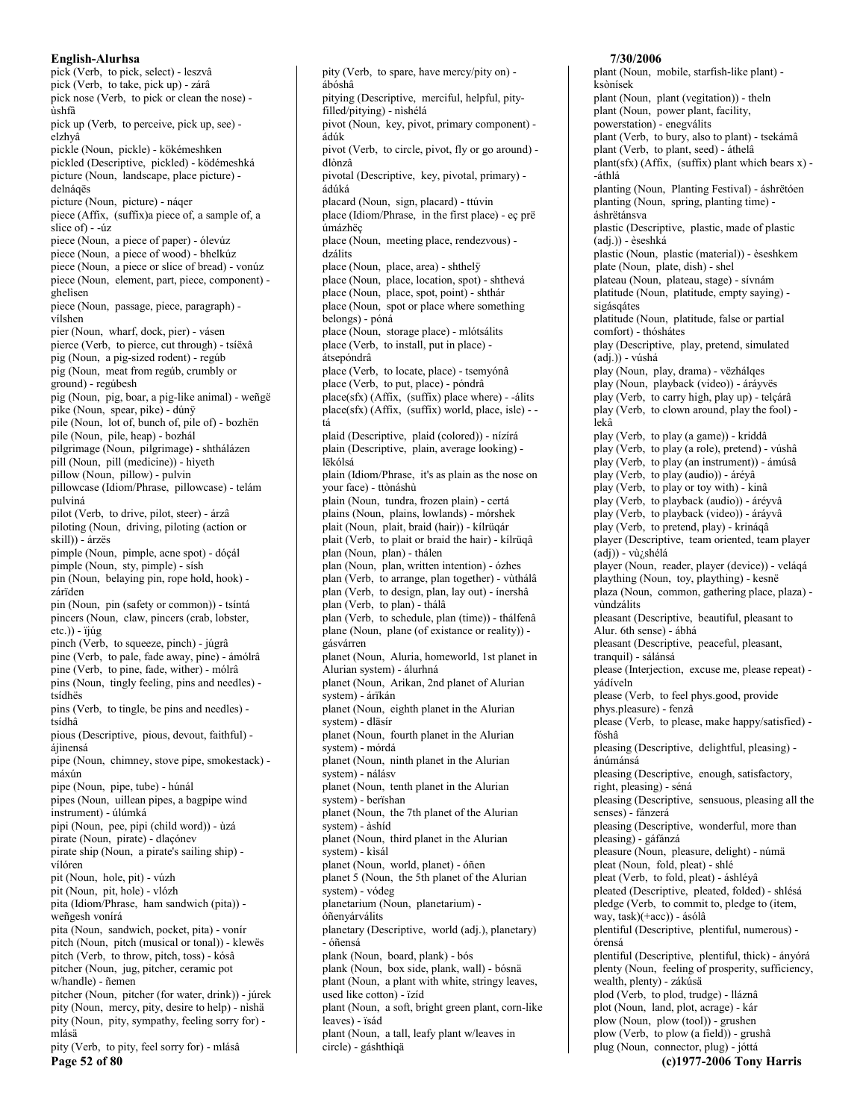English-Alurhsa pick (Verb, to pick, select) - leszvâ pick (Verb, to take, pick up) - zárâ pick nose (Verb, to pick or clean the nose) ùshfà pick up (Verb, to perceive, pick up, see) elzhvâ pickle (Noun, pickle) - kökémeshken pickled (Descriptive, pickled) - ködémeshká picture (Noun, landscape, place picture) delnáqës picture (Noun, picture) - náqer piece (Affix, (suffix)a piece of, a sample of, a slice of  $) -4iz$ piece (Noun, a piece of paper) - ólevúz piece (Noun, a piece of wood) - bhelkúz piece (Noun, a piece or slice of bread) - vonúz piece (Noun, element, part, piece, component) ghelisen piece (Noun, passage, piece, paragraph) vílshen pier (Noun, wharf, dock, pier) - vásen pierce (Verb, to pierce, cut through) - tsíëxâ pig (Noun, a pig-sized rodent) - regúb pig (Noun, meat from regúb, crumbly or ground) - regúbesh pig (Noun, pig, boar, a pig-like animal) - weñgë pike (Noun, spear, pike) - dúnÿ pile (Noun, lot of, bunch of, pile of) - bozhën pile (Noun, pile, heap) - bozhál pilgrimage (Noun, pilgrimage) - shthálázen pill (Noun, pill (medicine)) - hìyeth pillow (Noun, pillow) - pulvin pillowcase (Idiom/Phrase, pillowcase) - telám pulviná pilot (Verb, to drive, pilot, steer) - árzâ piloting (Noun, driving, piloting (action or skill)) - árzës pimple (Noun, pimple, acne spot) - dóçál pimple (Noun, sty, pimple) - sísh pin (Noun, belaying pin, rope hold, hook) zárïden pin (Noun, pin (safety or common)) - tsíntá pincers (Noun, claw, pincers (crab, lobster,  $etc.)$ ) -  $\ddot{i}$  $\dot{u}$ g pinch (Verb, to squeeze, pinch) - júgrâ pine (Verb, to pale, fade away, pine) - ámólrâ pine (Verb, to pine, fade, wither) - mólrâ pins (Noun, tingly feeling, pins and needles) tsídhës pins (Verb, to tingle, be pins and needles) tsídhâ pious (Descriptive, pious, devout, faithful) áiìnensá pipe (Noun, chimney, stove pipe, smokestack) máxún pipe (Noun, pipe, tube) - húnál pipes (Noun, uillean pipes, a bagpipe wind instrument) - úlúmká pipi (Noun, pee, pipi (child word)) - ùzá pirate (Noun, pirate) - dlaçónev pirate ship (Noun, a pirate's sailing ship) vílóren pit (Noun, hole, pit) - vúzh pit (Noun, pit, hole) - vlózh pita (Idiom/Phrase, ham sandwich (pita)) weñgesh vonírá pita (Noun, sandwich, pocket, pita) - vonír pitch (Noun, pitch (musical or tonal)) - klewës pitch (Verb, to throw, pitch, toss) - kósâ pitcher (Noun, jug, pitcher, ceramic pot w/handle) - ñemen pitcher (Noun, pitcher (for water, drink)) - júrek pity (Noun, mercy, pity, desire to help) - nìshä pity (Noun, pity, sympathy, feeling sorry for) mlásä

pity (Verb, to pity, feel sorry for) - mlásâ Page 52 of 80

pity (Verb, to spare, have mercy/pity on) ábóshâ pitying (Descriptive, merciful, helpful, pityfilled/pitying) - nìshélá pivot (Noun, key, pivot, primary component) ádúk pivot (Verb, to circle, pivot, fly or go around) dlònzâ pivotal (Descriptive, key, pivotal, primary) ádúká placard (Noun, sign, placard) - ttúvin place (Idiom/Phrase, in the first place) - eç prë úmázhëç place (Noun, meeting place, rendezvous) dzálits place (Noun, place, area) - shthely place (Noun, place, location, spot) - shthevá place (Noun, place, spot, point) - shthár place (Noun, spot or place where something belongs) - póná place (Noun, storage place) - mlótsálits place (Verb, to install, put in place) átsepóndrâ place (Verb, to locate, place) - tsemyónâ place (Verb, to put, place) - póndrâ place(sfx) (Affix, (suffix) place where) - - álits place(sfx) (Affix, (suffix) world, place, isle) - tá plaid (Descriptive, plaid (colored)) - nízírá plain (Descriptive, plain, average looking) lëkólsá plain (Idiom/Phrase, it's as plain as the nose on your face) - ttònáshù plain (Noun, tundra, frozen plain) - certá plains (Noun, plains, lowlands) - mórshek plait (Noun, plait, braid (hair)) - kílrüqár plait (Verb, to plait or braid the hair) - kílrüqâ plan (Noun, plan) - thálen plan (Noun, plan, written intention) - ózhes plan (Verb, to arrange, plan together) - vùthálâ plan (Verb, to design, plan, lay out) - ínershâ plan (Verb, to plan) - thálâ plan (Verb, to schedule, plan (time)) - thálfenâ plane (Noun, plane (of existance or reality)) gásvárren planet (Noun, Aluria, homeworld, 1st planet in Alurian system) - álurhná planet (Noun, Arikan, 2nd planet of Alurian system) - árïkán planet (Noun, eighth planet in the Alurian system) - dläsír planet (Noun, fourth planet in the Alurian system) - mórdá planet (Noun, ninth planet in the Alurian system) - nálásy planet (Noun, tenth planet in the Alurian system) - berïshan planet (Noun, the 7th planet of the Alurian system) - àshíd planet (Noun, third planet in the Alurian system) - kisál planet (Noun, world, planet) - óñen planet 5 (Noun, the 5th planet of the Alurian system) - vódeg planetarium (Noun, planetarium) óñenyárválits planetary (Descriptive, world (adj.), planetary) - óñensá plank (Noun, board, plank) - bós plank (Noun, box side, plank, wall) - bósnä plant (Noun, a plant with white, stringy leaves, used like cotton) - ïzíd plant (Noun, a soft, bright green plant, corn-like leaves) - ïsád plant (Noun, a tall, leafy plant w/leaves in circle) - gáshthiqä

plant (Noun, mobile, starfish-like plant) ksònísek plant (Noun, plant (vegitation)) - theln plant (Noun, power plant, facility, powerstation) - enegválits plant (Verb, to bury, also to plant) - tsekámâ plant (Verb, to plant, seed) - áthelâ plant(sfx) (Affix, (suffix) plant which bears x) --áthlá planting (Noun, Planting Festival) - áshrëtóen planting (Noun, spring, planting time) áshrëtánsva plastic (Descriptive, plastic, made of plastic (adj.)) - èseshká plastic (Noun, plastic (material)) - èseshkem plate (Noun, plate, dish) - shel plateau (Noun, plateau, stage) - sívnám platitude (Noun, platitude, empty saying) sigásqátes platitude (Noun, platitude, false or partial comfort) - thóshátes play (Descriptive, play, pretend, simulated  $(adj.)$ ) - vúshá play (Noun, play, drama) - vëzhálqes play (Noun, playback (video)) - áráyvës play (Verb, to carry high, play up) - telçárâ play (Verb, to clown around, play the fool) lekâ play (Verb, to play (a game)) - kriddâ play (Verb, to play (a role), pretend) - vúshâ play (Verb, to play (an instrument)) - ámúsâ play (Verb, to play (audio)) - áréyâ play (Verb, to play or toy with) - kinâ play (Verb, to playback (audio)) - áréyvâ play (Verb, to playback (video)) - áráyvâ play (Verb, to pretend, play) - krináqâ player (Descriptive, team oriented, team player (adj)) - vù¿shélá player (Noun, reader, player (device)) - veláqá plaything (Noun, toy, plaything) - kesnë plaza (Noun, common, gathering place, plaza) vindzálits pleasant (Descriptive, beautiful, pleasant to Alur. 6th sense) - ábhá pleasant (Descriptive, peaceful, pleasant, tranquil) - sálánsá please (Interjection, excuse me, please repeat) yádíveln please (Verb, to feel phys.good, provide phys.pleasure) - fenzâ please (Verb, to please, make happy/satisfied) fóshâ pleasing (Descriptive, delightful, pleasing) ánúmánsá pleasing (Descriptive, enough, satisfactory, right, pleasing) - séná pleasing (Descriptive, sensuous, pleasing all the senses) - fánzerá pleasing (Descriptive, wonderful, more than pleasing) - gáfánzá pleasure (Noun, pleasure, delight) - númä pleat (Noun, fold, pleat) - shlé pleat (Verb, to fold, pleat) - áshléyâ pleated (Descriptive, pleated, folded) - shlésá pledge (Verb, to commit to, pledge to (item, way, task)(+acc)) - ásólâ plentiful (Descriptive, plentiful, numerous) órensá plentiful (Descriptive, plentiful, thick) - ányórá plenty (Noun, feeling of prosperity, sufficiency, wealth, plenty) - zákúsä plod (Verb, to plod, trudge) - lláznâ plot (Noun, land, plot, acrage) - kár plow (Noun, plow (tool)) - grushen plow (Verb, to plow (a field)) - grushâ plug (Noun, connector, plug) - jóttá (c)1977-2006 Tony Harris

7/30/2006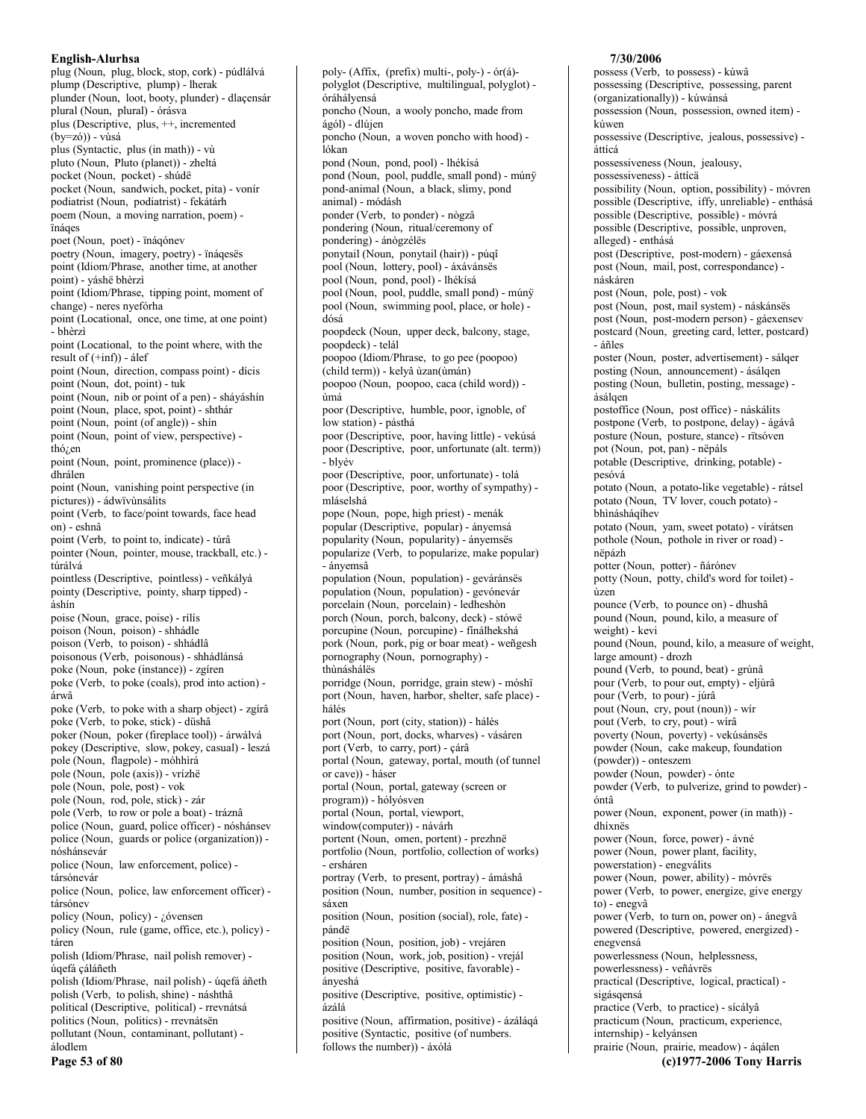plug (Noun, plug, block, stop, cork) - púdlálvá plump (Descriptive, plump) - lherak plunder (Noun, loot, booty, plunder) - dlaçensár plural (Noun, plural) - órásva plus (Descriptive, plus, ++, incremented  $(by=z6)) - vùsá$ plus (Syntactic, plus (in math)) - vù pluto (Noun, Pluto (planet)) - zheltá pocket (Noun, pocket) - shúdë pocket (Noun, sandwich, pocket, pita) - vonír podiatrist (Noun, podiatrist) - fekátárh poem (Noun, a moving narration, poem) ïnáqes poet (Noun, poet) - ïnáqónev poetry (Noun, imagery, poetry) - ïnáqesës point (Idiom/Phrase, another time, at another point) - yáshë bhèrzì point (Idiom/Phrase, tipping point, moment of change) - neres nyefórha point (Locational, once, one time, at one point) - bhèrzì point (Locational, to the point where, with the result of  $(+inf)$  - álef point (Noun, direction, compass point) - dícis point (Noun, dot, point) - tuk point (Noun, nib or point of a pen) - sháyáshín point (Noun, place, spot, point) - shthár point (Noun, point (of angle)) - shin point (Noun, point of view, perspective)  $tho$ <sub>i</sub>en point (Noun, point, prominence (place)) dhrálen point (Noun, vanishing point perspective (in pictures)) - ádwïvùnsálits point (Verb, to face/point towards, face head on) - eshnâ point (Verb, to point to, indicate) - túrâ pointer (Noun, pointer, mouse, trackball, etc.) túrálvá pointless (Descriptive, pointless) - veñkályá pointy (Descriptive, pointy, sharp tipped) áshín poise (Noun, grace, poise) - rílís poison (Noun, poison) - shhádle poison (Verb, to poison) - shhádlâ poisonous (Verb. poisonous) - shhádlánsá poke (Noun, poke (instance)) - zgíren poke (Verb, to poke (coals), prod into action) árwâ poke (Verb, to poke with a sharp object) - zgírâ poke (Verb, to poke, stick) - düshâ poker (Noun, poker (fireplace tool)) - árwálvá pokey (Descriptive, slow, pokey, casual) - leszá pole (Noun, flagpole) - móhhirá pole (Noun, pole (axis)) - vrízhë pole (Noun, pole, post) - vok pole (Noun, rod, pole, stick) - zár pole (Verb, to row or pole a boat) - tráznâ police (Noun, guard, police officer) - nóshánsev police (Noun, guards or police (organization)) nóshánsevár police (Noun, law enforcement, police) társónevár police (Noun, police, law enforcement officer) társónev policy (Noun, policy) - ¿óvensen policy (Noun, rule (game, office, etc.), policy) táren polish (Idiom/Phrase, nail polish remover) úqefá çáláñeth polish (Idiom/Phrase, nail polish) - úqefá áñeth polish (Verb, to polish, shine) - náshthâ political (Descriptive, political) - rrevnátsá politics (Noun, politics) - rrevnátsën pollutant (Noun, contaminant, pollutant) álodlem

poly- (Affix, (prefix) multi-, poly-) - or(a)polyglot (Descriptive, multilingual, polyglot) óráhálvensá poncho (Noun, a wooly poncho, made from ágól) - dlújen poncho (Noun, a woven poncho with hood) lókan pond (Noun, pond, pool) - lhékísá pond (Noun, pool, puddle, small pond) - múnÿ pond-animal (Noun, a black, slimy, pond animal) - módásh ponder (Verb, to ponder) - nògzâ pondering (Noun, ritual/ceremony of pondering) - ánògzélës ponytail (Noun, ponytail (hair)) - púqî pool (Noun, lottery, pool) - áxávánsës pool (Noun, pond, pool) - lhékísá pool (Noun, pool, puddle, small pond) - múnÿ pool (Noun, swimming pool, place, or hole) dósá poopdeck (Noun, upper deck, balcony, stage, poopdeck) - telál poopoo (Idiom/Phrase, to go pee (poopoo) (child term)) - kelyâ ùzan(ùmán) poopoo (Noun, poopoo, caca (child word)) imá poor (Descriptive, humble, poor, ignoble, of low station) - pásthá poor (Descriptive, poor, having little) - vekúsá poor (Descriptive, poor, unfortunate (alt. term)) - blvév poor (Descriptive, poor, unfortunate) - tolá poor (Descriptive, poor, worthy of sympathy) mláselshá pope (Noun, pope, high priest) - menák popular (Descriptive, popular) - ányemsá popularity (Noun, popularity) - ányemsës popularize (Verb, to popularize, make popular) - ánvemsâ population (Noun, population) - geváránsës population (Noun, population) - gevónevár porcelain (Noun, porcelain) - ledheshòn porch (Noun, porch, balcony, deck) - stówë porcupine (Noun, porcupine) - finálhekshá pork (Noun, pork, pig or boar meat) - weñgesh pornography (Noun, pornography) thùnáshálës porridge (Noun, porridge, grain stew) - móshï port (Noun, haven, harbor, shelter, safe place) hálés port (Noun, port (city, station)) - hálés port (Noun, port, docks, wharves) - vásáren port (Verb, to carry, port) - çárâ portal (Noun, gateway, portal, mouth (of tunnel or cave)) - háser portal (Noun, portal, gateway (screen or program)) - hólyósven portal (Noun, portal, viewport, window(computer)) - návárh portent (Noun, omen, portent) - prezhnë portfolio (Noun, portfolio, collection of works) - ersháren portray (Verb, to present, portray) - ámáshâ position (Noun, number, position in sequence) sáxen position (Noun, position (social), role, fate) pándë position (Noun, position, job) - vrejáren position (Noun, work, job, position) - vrejál positive (Descriptive, positive, favorable) ányeshá positive (Descriptive, positive, optimistic) -

ázálá

positive (Noun, affirmation, positive) - ázáláqá

positive (Syntactic, positive (of numbers.

follows the number)) - áxólá

7/30/2006

possess (Verb, to possess) - kúwâ possessing (Descriptive, possessing, parent (organizationally)) - kúwánsá possession (Noun, possession, owned item) kúwen possessive (Descriptive, jealous, possessive) áttícá possessiveness (Noun, jealousy, possessiveness) - áttícä possibility (Noun, option, possibility) - móvren possible (Descriptive, iffy, unreliable) - enthásá possible (Descriptive, possible) - móvrá possible (Descriptive, possible, unproven, alleged) - enthásá post (Descriptive, post-modern) - gáexensá post (Noun, mail, post, correspondance) náskáren post (Noun, pole, post) - vok post (Noun, post, mail system) - náskánsës post (Noun, post-modern person) - gáexensev postcard (Noun, greeting card, letter, postcard) - áñles poster (Noun, poster, advertisement) - sálqer posting (Noun, announcement) - ásálgen posting (Noun, bulletin, posting, message) ásálgen postoffice (Noun, post office) - náskálits postpone (Verb, to postpone, delay) - ágávâ posture (Noun, posture, stance) - rïtsóven pot (Noun, pot, pan) - nëpáls potable (Descriptive, drinking, potable) pesóvá potato (Noun, a potato-like vegetable) - rátsel potato (Noun, TV lover, couch potato) bhìnásháqíhev potato (Noun, yam, sweet potato) - vírátsen pothole (Noun, pothole in river or road) nëpázh potter (Noun, potter) - ñárónev potty (Noun, potty, child's word for toilet) ùzen pounce (Verb, to pounce on) - dhushâ pound (Noun, pound, kilo, a measure of weight) - kevi pound (Noun, pound, kilo, a measure of weight, large amount) - drozh pound (Verb, to pound, beat) - grúnâ pour (Verb, to pour out, empty) - eljúrâ pour (Verb, to pour) - júrâ pout (Noun, cry, pout (noun)) - wir pout (Verb, to cry, pout) - wirâ poverty (Noun, poverty) - vekúsánsës powder (Noun, cake makeup, foundation (powder)) - onteszem powder (Noun, powder) - ónte powder (Verb, to pulverize, grind to powder) óntâ power (Noun, exponent, power (in math)) dhíxnës power (Noun, force, power) - ávné power (Noun, power plant, facility, powerstation) - enegválits power (Noun, power, ability) - móvrës power (Verb, to power, energize, give energy to) - enegvâ power (Verb, to turn on, power on) - ánegvâ powered (Descriptive, powered, energized) enegvensá powerlessness (Noun, helplessness, powerlessness) - veñávrës practical (Descriptive, logical, practical) sigásqensá practice (Verb, to practice) - sícályâ practicum (Noun, practicum, experience, internship) - kelyánsen prairie (Noun, prairie, meadow) - áqálen (c)1977-2006 Tony Harris

Page 53 of 80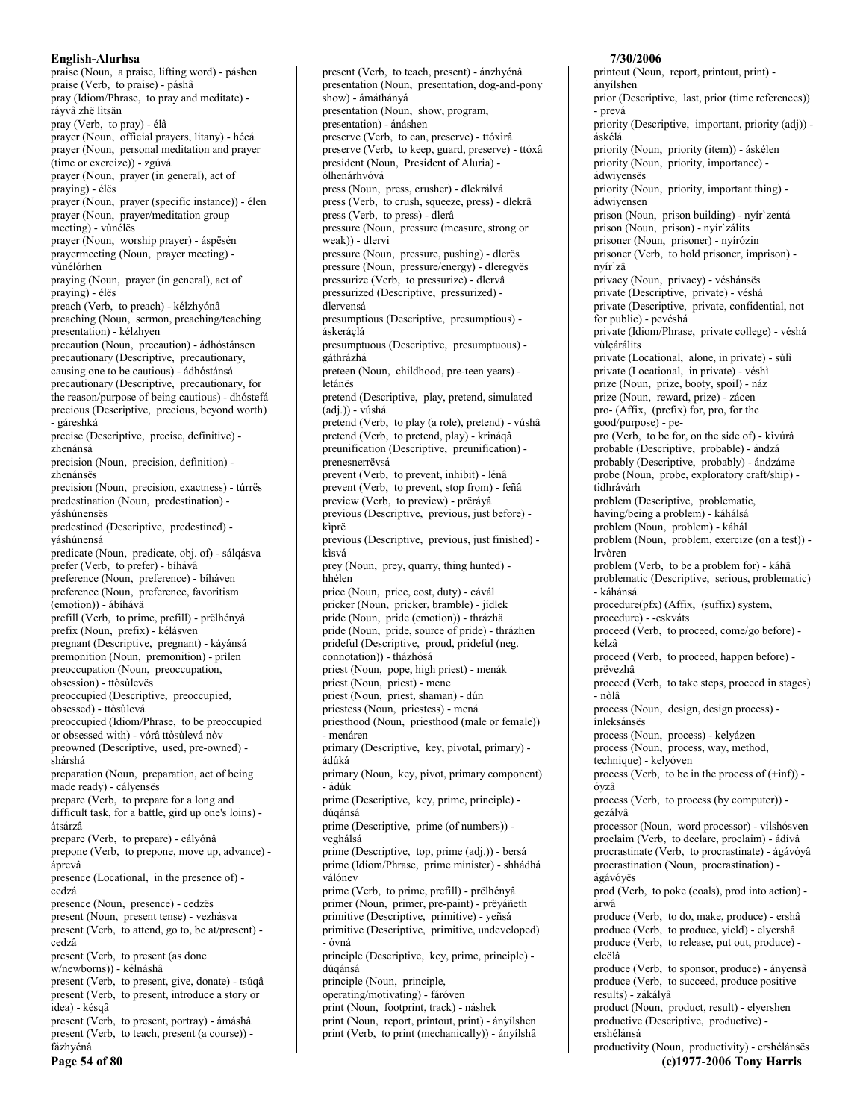praise (Noun, a praise, lifting word) - páshen praise (Verb, to praise) - páshâ pray (Idiom/Phrase, to pray and meditate) ráyvâ zhë lìtsän pray (Verb, to pray) - élâ prayer (Noun, official prayers, litany) - hécá prayer (Noun, personal meditation and prayer (time or exercize)) - zgúvá prayer (Noun, prayer (in general), act of praying) - élës prayer (Noun, prayer (specific instance)) - élen prayer (Noun, prayer/meditation group meeting) - vùnélës prayer (Noun, worship prayer) - áspësén prayermeeting (Noun, prayer meeting) vùnélórhen praying (Noun, prayer (in general), act of praying) - élës preach (Verb, to preach) - kélzhyónâ preaching (Noun, sermon, preaching/teaching presentation) - kélzhyen precaution (Noun, precaution) - ádhóstánsen precautionary (Descriptive, precautionary, causing one to be cautious) - ádhóstánsá precautionary (Descriptive, precautionary, for the reason/purpose of being cautious) - dhóstefá precious (Descriptive, precious, beyond worth) - gáreshká precise (Descriptive, precise, definitive) zhenánsá precision (Noun, precision, definition) zhenánsës precision (Noun, precision, exactness) - túrrës predestination (Noun, predestination) váshúnensës predestined (Descriptive, predestined) váshúnensá predicate (Noun, predicate, obj. of) - sálgásva prefer (Verb, to prefer) - bíhávâ preference (Noun, preference) - bíháven preference (Noun, preference, favoritism (emotion)) - ábíháva prefill (Verb, to prime, prefill) - prëlhényâ prefix (Noun, prefix) - kélásven pregnant (Descriptive, pregnant) - káyánsá premonition (Noun, premonition) - prilen preoccupation (Noun, preoccupation, obsession) - ttòsùlevës preoccupied (Descriptive, preoccupied, obsessed) - ttòsùlevá preoccupied (Idiom/Phrase, to be preoccupied or obsessed with) - vórâ ttòsùlevá nòv preowned (Descriptive, used, pre-owned) shárshá preparation (Noun, preparation, act of being made ready) - cályensës prepare (Verb, to prepare for a long and difficult task, for a battle, gird up one's loins) átsárzâ prepare (Verb, to prepare) - cályónâ prepone (Verb, to prepone, move up, advance) áprevâ presence (Locational, in the presence of) cedzá presence (Noun, presence) - cedzës present (Noun, present tense) - vezhásva present (Verb, to attend, go to, be at/present) cedzâ present (Verb, to present (as done w/newborns)) - kélnáshâ present (Verb, to present, give, donate) - tsúqâ present (Verb, to present, introduce a story or idea) - késgâ present (Verb, to present, portray) - ámáshâ present (Verb, to teach, present (a course)) fázhvénâ

Page 54 of 80

present (Verb, to teach, present) - ánzhyénâ presentation (Noun, presentation, dog-and-pony show) - ámáthányá presentation (Noun, show, program, presentation) - ánáshen preserve (Verb, to can, preserve) - ttóxìrâ preserve (Verb, to keep, guard, preserve) - ttóxâ president (Noun, President of Aluria) ólhenárhvóvá press (Noun, press, crusher) - dlekrálvá press (Verb, to crush, squeeze, press) - dlekrâ press (Verb, to press) - dlerâ pressure (Noun, pressure (measure, strong or weak)) - dlervi pressure (Noun, pressure, pushing) - dlerës pressure (Noun, pressure/energy) - dleregvës pressurize (Verb, to pressurize) - dlervâ pressurized (Descriptive, pressurized) dlervensá presumptious (Descriptive, presumptious) áskeráclá presumptuous (Descriptive, presumptuous) gáthrázhá preteen (Noun, childhood, pre-teen years) letánës pretend (Descriptive, play, pretend, simulated  $(\text{adj.})) - \text{vúshá}$ pretend (Verb, to play (a role), pretend) - vúshâ pretend (Verb, to pretend, play) - krináqâ preunification (Descriptive, preunification) prenesnerrëvsá prevent (Verb, to prevent, inhibit) - lénâ prevent (Verb, to prevent, stop from) - feñâ preview (Verb, to preview) - prerávâ previous (Descriptive, previous, just before) kiprë previous (Descriptive, previous, just finished) kisvá prey (Noun, prey, quarry, thing hunted) hhélen price (Noun, price, cost, duty) - cávál pricker (Noun, pricker, bramble) - jídlek pride (Noun, pride (emotion)) - thrázhä pride (Noun, pride, source of pride) - thrázhen prideful (Descriptive, proud, prideful (neg. connotation)) - tházhósá priest (Noun, pope, high priest) - menák priest (Noun, priest) - mene priest (Noun, priest, shaman) - dún priestess (Noun, priestess) - mená priesthood (Noun, priesthood (male or female)) - menáren primary (Descriptive, key, pivotal, primary) ádúká primary (Noun, key, pivot, primary component) - ádúk prime (Descriptive, key, prime, principle) dúqánsá prime (Descriptive, prime (of numbers)) veghálsá prime (Descriptive, top, prime (adj.)) - bersá prime (Idiom/Phrase, prime minister) - shhádhá válónev prime (Verb, to prime, prefill) - prëlhényâ primer (Noun, primer, pre-paint) - prëyáñeth primitive (Descriptive, primitive) - yeñsá primitive (Descriptive, primitive, undeveloped) - óvná principle (Descriptive, key, prime, principle) dúqánsá principle (Noun, principle, operating/motivating) - fáróven print (Noun, footprint, track) - náshek

print (Noun, report, printout, print) - ányílshen print (Verb, to print (mechanically)) - ányílshâ 7/30/2006

printout (Noun, report, printout, print) ányílshen prior (Descriptive, last, prior (time references)) - prevá priority (Descriptive, important, priority (adj)) áskélá priority (Noun, priority (item)) - áskélen priority (Noun, priority, importance) ádwivensës priority (Noun, priority, important thing) ádwiyensen prison (Noun, prison building) - nyír'zentá prison (Noun, prison) - nyír`zálits prisoner (Noun, prisoner) - nyírózin prisoner (Verb, to hold prisoner, imprison) nvír`zâ privacy (Noun, privacy) - véshánsës private (Descriptive, private) - véshá private (Descriptive, private, confidential, not for public) - pevéshá private (Idiom/Phrase, private college) - véshá vùlçárálits private (Locational, alone, in private) - sùlì private (Locational, in private) - véshì prize (Noun, prize, booty, spoil) - náz prize (Noun, reward, prize) - zácen pro- (Affix, (prefix) for, pro, for the good/purpose) - pepro (Verb, to be for, on the side of) - kìvúrâ probable (Descriptive, probable) - ándzá probably (Descriptive, probably) - ándzáme probe (Noun, probe, exploratory craft/ship) tìdhrávárh problem (Descriptive, problematic, having/being a problem) - káhálsá problem (Noun, problem) - káhál problem (Noun, problem, exercize (on a test)) -*Irv*òren problem (Verb, to be a problem for) - káhâ problematic (Descriptive, serious, problematic) - káhánsá procedure(pfx) (Affix, (suffix) system, procedure) - -eskváts proceed (Verb, to proceed, come/go before) kélzâ proceed (Verb, to proceed, happen before) prëvezhâ proceed (Verb, to take steps, proceed in stages) - nòlâ process (Noun, design, design process) ínleksánsës process (Noun, process) - kelyázen process (Noun, process, way, method, technique) - kelvóven process (Verb, to be in the process of  $(\text{+inf})$ ) óvzâ process (Verb, to process (by computer)) gezálvâ processor (Noun, word processor) - vílshósven proclaim (Verb, to declare, proclaim) - ádívâ procrastinate (Verb, to procrastinate) - ágávóyâ procrastination (Noun, procrastination) ágávóvës prod (Verb, to poke (coals), prod into action) árwâ produce (Verb, to do, make, produce) - ershâ produce (Verb, to produce, yield) - elyershâ produce (Verb, to release, put out, produce) elcëlâ produce (Verb, to sponsor, produce) - ányensâ produce (Verb, to succeed, produce positive results) - zákályâ product (Noun, product, result) - elyershen productive (Descriptive, productive) ershélánsá

productivity (Noun, productivity) - ershélánsës (c)1977-2006 Tony Harris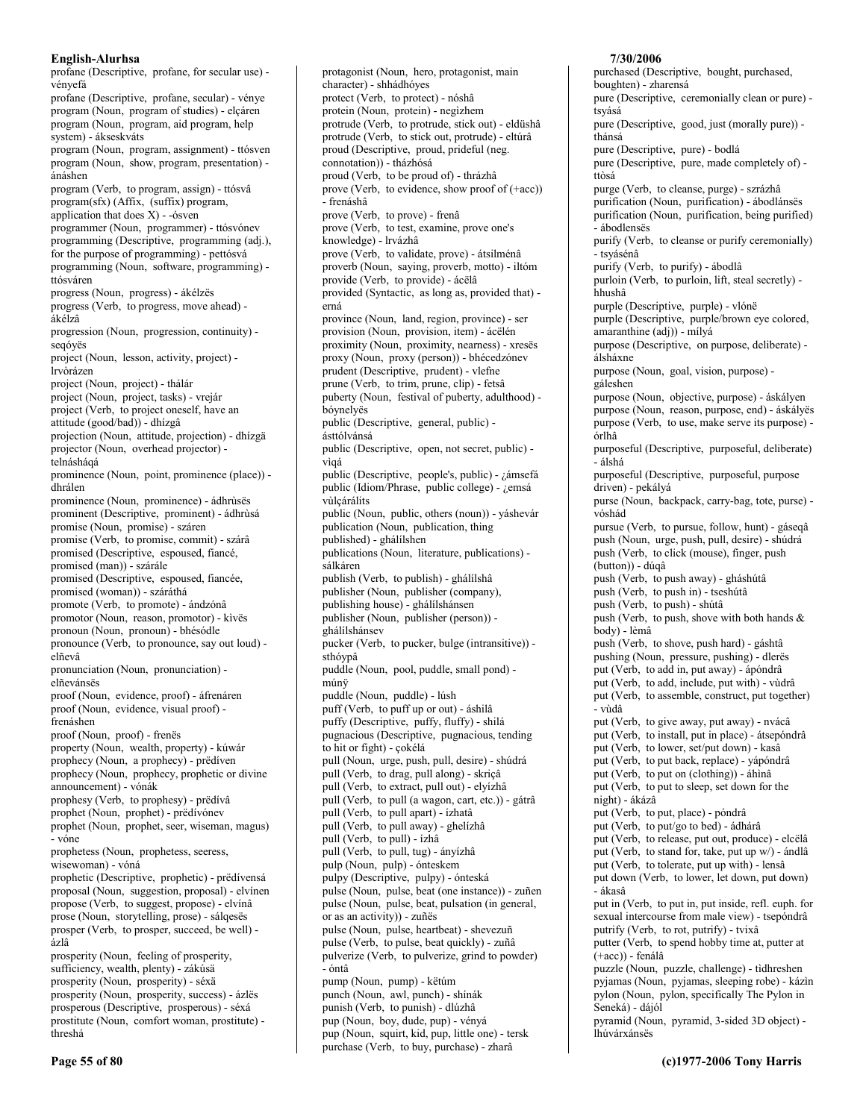profane (Descriptive, profane, for secular use) vényefá profane (Descriptive, profane, secular) - vénye program (Noun, program of studies) - elçáren program (Noun, program, aid program, help system) - ákseskváts program (Noun, program, assignment) - ttósven program (Noun, show, program, presentation) ánáshen program (Verb, to program, assign) - ttósvâ program(sfx) (Affix, (suffix) program, application that does  $X$ ) - -ósven programmer (Noun, programmer) - ttósvónev programming (Descriptive, programming (adj.), for the purpose of programming) - pettósvá programming (Noun, software, programming) ttósváren progress (Noun, progress) - ákélzës progress (Verb, to progress, move ahead) ákélzâ progression (Noun, progression, continuity) segóvës project (Noun, lesson, activity, project) -*<u><u>İrvòrázen</u>*</u></u> project (Noun, project) - thálár project (Noun, project, tasks) - vrejár project (Verb, to project oneself, have an attitude (good/bad)) - dhízgâ projection (Noun, attitude, projection) - dhízgä projector (Noun, overhead projector) telnáshágá prominence (Noun, point, prominence (place)) dhrálen prominence (Noun, prominence) - ádhrùsës prominent (Descriptive, prominent) - ádhrùsá promise (Noun, promise) - száren promise (Verb, to promise, commit) - szárâ promised (Descriptive, espoused, fiancé, promised (man)) - szárále promised (Descriptive, espoused, fiancée, promised (woman)) - száráthá promote (Verb, to promote) - ándzónâ promotor (Noun, reason, promotor) - kivës pronoun (Noun, pronoun) - bhésódle pronounce (Verb, to pronounce, say out loud) elñevâ pronunciation (Noun, pronunciation) elñevánsës proof (Noun, evidence, proof) - áfrenáren proof (Noun, evidence, visual proof) frenáshen proof (Noun, proof) - frenës property (Noun, wealth, property) - kúwár prophecy (Noun, a prophecy) - predíven prophecy (Noun, prophecy, prophetic or divine announcement) - vónák prophesy (Verb, to prophesy) - prëdivâ prophet (Noun, prophet) - prëdivónev prophet (Noun, prophet, seer, wiseman, magus) - vóne prophetess (Noun, prophetess, seeress, wisewoman) - vóná prophetic (Descriptive, prophetic) - prëdívensá proposal (Noun, suggestion, proposal) - elvínen propose (Verb, to suggest, propose) - elvínâ prose (Noun, storytelling, prose) - sálqesës prosper (Verb, to prosper, succeed, be well) ázlâ prosperity (Noun, feeling of prosperity, sufficiency, wealth, plenty) - zákúsä prosperity (Noun, prosperity) - séxä prosperity (Noun, prosperity, success) - ázles prosperous (Descriptive, prosperous) - séxá prostitute (Noun, comfort woman, prostitute) threshá

protagonist (Noun, hero, protagonist, main character) - shhádhóyes protect (Verb, to protect) - nóshâ protein (Noun, protein) - negìzhem protrude (Verb. to protrude, stick out) - eldüshâ protrude (Verb, to stick out, protrude) - eltúrâ proud (Descriptive, proud, prideful (neg. connotation)) - tházhósá proud (Verb, to be proud of) - thrázhâ prove (Verb, to evidence, show proof of  $(+acc)$ ) - frenáshâ prove (Verb, to prove) - frenâ prove (Verb, to test, examine, prove one's knowledge) - lrvázhâ prove (Verb, to validate, prove) - átsilménâ proverb (Noun, saying, proverb, motto) - iltóm provide (Verb, to provide) - ácëlâ provided (Syntactic, as long as, provided that) erná province (Noun, land, region, province) - ser provision (Noun, provision, item) - ácëlén proximity (Noun, proximity, nearness) - xresës proxy (Noun, proxy (person)) - bhécedzónev prudent (Descriptive, prudent) - vlefne prune (Verb, to trim, prune, clip) - fetsâ puberty (Noun, festival of puberty, adulthood) bóynelyës public (Descriptive, general, public) ásttólvánsá public (Descriptive, open, not secret, public) vìgá public (Descriptive, people's, public) - ¿ámsefá public (Idiom/Phrase, public college) - ¿emsá vùlcárálits public (Noun, public, others (noun)) - yáshevár publication (Noun, publication, thing published) - ghálílshen publications (Noun, literature, publications) sálkáren publish (Verb. to publish) - ghálílshâ publisher (Noun, publisher (company), publishing house) - ghálílshánsen publisher (Noun, publisher (person)) ghálílshánsev pucker (Verb, to pucker, bulge (intransitive)) sthóypâ puddle (Noun, pool, puddle, small pond) múnÿ puddle (Noun, puddle) - lúsh puff (Verb, to puff up or out) - áshilâ puffy (Descriptive, puffy, fluffy) - shilá pugnacious (Descriptive, pugnacious, tending to hit or fight) - çokélá pull (Noun, urge, push, pull, desire) - shúdrá pull (Verb, to drag, pull along) - skriçâ pull (Verb, to extract, pull out) - elyízhâ pull (Verb, to pull (a wagon, cart, etc.)) - gátrâ pull (Verb, to pull apart) - ízhatâ pull (Verb, to pull away) - ghelizhâ pull (Verb, to pull) - ízhâ pull (Verb, to pull, tug) - ányízhâ pulp (Noun, pulp) - ónteskem pulpy (Descriptive, pulpy) - ónteská pulse (Noun, pulse, beat (one instance)) - zuñen pulse (Noun, pulse, beat, pulsation (in general, or as an activity)) - zuñës pulse (Noun, pulse, heartbeat) - shevezuñ pulse (Verb, to pulse, beat quickly) - zuñâ pulverize (Verb, to pulverize, grind to powder)  $-$ óntâ pump (Noun, pump) - këtúm punch (Noun, awl, punch) - shínák punish (Verb, to punish) - dlúzhâ pup (Noun, boy, dude, pup) - vényá pup (Noun, squirt, kid, pup, little one) - tersk purchase (Verb, to buy, purchase) - zharâ

### boughten) - zharensá pure (Descriptive, ceremonially clean or pure) tsvásá pure (Descriptive, good, just (morally pure)) thánsá pure (Descriptive, pure) - bodlá pure (Descriptive, pure, made completely of) ttòsá purge (Verb, to cleanse, purge) - szrázhâ purification (Noun, purification) - ábodlánsës purification (Noun, purification, being purified) - ábodlensës purify (Verb, to cleanse or purify ceremonially) - tsyásénâ purify (Verb, to purify) - ábodlâ purloin (Verb, to purloin, lift, steal secretly) hhushâ purple (Descriptive, purple) - vlónë purple (Descriptive, purple/brown eye colored, amaranthine (adj)) - mílyá purpose (Descriptive, on purpose, deliberate) álsháxne purpose (Noun, goal, vision, purpose) gáleshen purpose (Noun, objective, purpose) - áskályen purpose (Noun, reason, purpose, end) - áskályës purpose (Verb, to use, make serve its purpose) órlhâ purposeful (Descriptive, purposeful, deliberate) - álshá purposeful (Descriptive, purposeful, purpose driven) - pekályá purse (Noun, backpack, carry-bag, tote, purse) vóshád pursue (Verb, to pursue, follow, hunt) - gáseqâ push (Noun, urge, push, pull, desire) - shúdrá push (Verb, to click (mouse), finger, push  $(\text{button}) - \text{dúgâ}$ push (Verb. to push away) - gháshútâ push (Verb, to push in) - tseshútâ push (Verb, to push) - shútâ push (Verb, to push, shove with both hands  $\&$ body) - lèmâ push (Verb, to shove, push hard) - gáshtâ pushing (Noun, pressure, pushing) - dlerës put (Verb, to add in, put away) - ápóndrâ put (Verb, to add, include, put with) - vùdrâ put (Verb, to assemble, construct, put together) - vùdâ put (Verb, to give away, put away) - nvácâ put (Verb, to install, put in place) - átsepóndrâ put (Verb, to lower, set/put down) - kasâ put (Verb, to put back, replace) - yápóndrâ put (Verb, to put on (clothing)) - áhinâ put (Verb, to put to sleep, set down for the night) - ákázâ put (Verb, to put, place) - póndrâ put (Verb, to put/go to bed) - ádhárâ put (Verb, to release, put out, produce) - elcëlâ put (Verb, to stand for, take, put up w/) - ándlâ put (Verb, to tolerate, put up with) - lensâ put down (Verb, to lower, let down, put down) - ákasâ put in (Verb, to put in, put inside, refl. euph. for sexual intercourse from male view) - tsepóndrâ putrify (Verb, to rot, putrify) - tvixâ putter (Verb, to spend hobby time at, putter at  $(+acc)$ ) - fenálâ puzzle (Noun, puzzle, challenge) - tìdhreshen pyjamas (Noun, pyjamas, sleeping robe) - kázin pylon (Noun, pylon, specifically The Pylon in Seneká) - dájól pyramid (Noun, pyramid, 3-sided 3D object) lhúvárxánsës

7/30/2006

purchased (Descriptive, bought, purchased,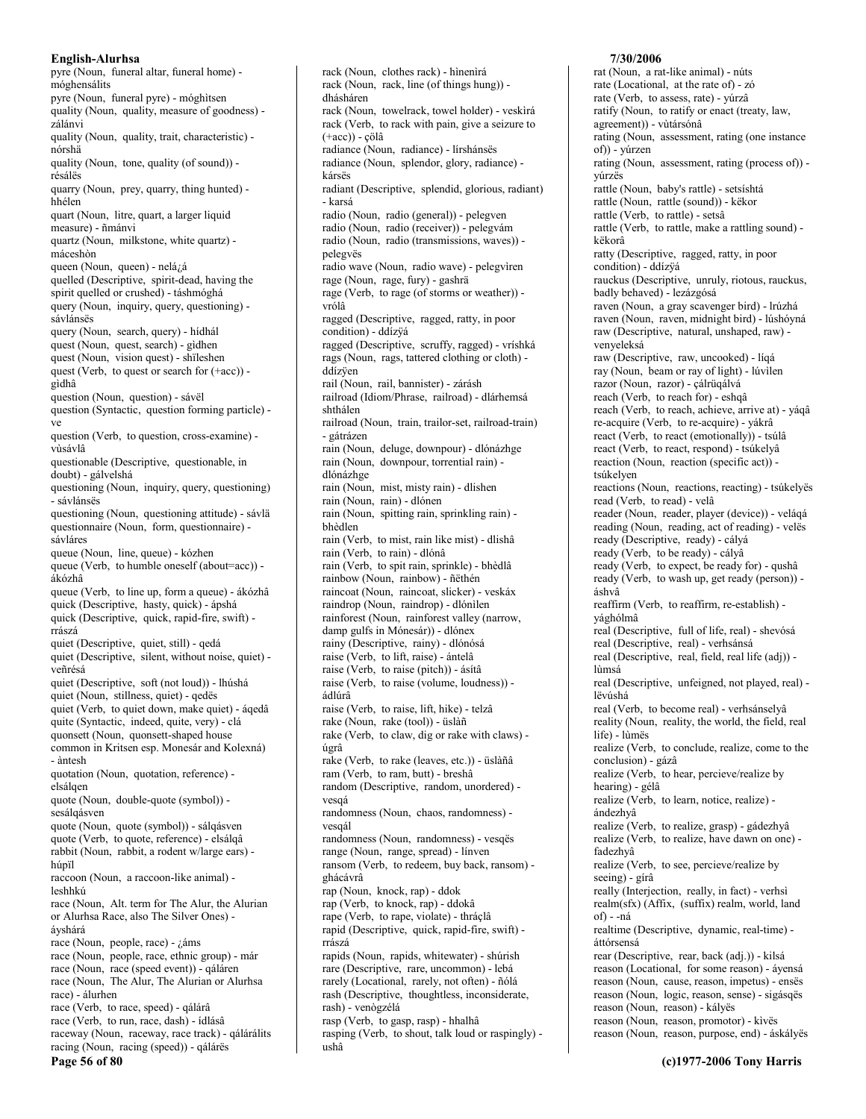pyre (Noun, funeral altar, funeral home) móghensálits pyre (Noun, funeral pyre) - móghitsen quality (Noun, quality, measure of goodness) zálánvi quality (Noun, quality, trait, characteristic) nórshä quality (Noun, tone, quality (of sound)) résálës quarry (Noun, prey, quarry, thing hunted) hhélen quart (Noun, litre, quart, a larger liquid measure) - ñmánvi quartz (Noun, milkstone, white quartz) máceshòn queen (Noun, queen) - nelázá quelled (Descriptive, spirit-dead, having the spirit quelled or crushed) - táshmóghá query (Noun, inquiry, query, questioning) sávlánsës query (Noun, search, query) - hídhál quest (Noun, quest, search) - gìdhen quest (Noun, vision quest) - shïleshen quest (Verb, to quest or search for (+acc)) gìdhâ question (Noun, question) - sávël question (Syntactic, question forming particle) ve question (Verb, to question, cross-examine) visávlâ questionable (Descriptive, questionable, in doubt) - gálvelshá questioning (Noun, inquiry, query, questioning) - sávlánsës questioning (Noun, questioning attitude) - sávlä questionnaire (Noun, form, questionnaire) sávláres queue (Noun, line, queue) - kózhen queue (Verb, to humble oneself (about=acc)) ákózhâ queue (Verb, to line up, form a queue) - ákózhâ quick (Descriptive, hasty, quick) - ápshá quick (Descriptive, quick, rapid-fire, swift) rrászá quiet (Descriptive, quiet, still) - qedá quiet (Descriptive, silent, without noise, quiet) veñrésá quiet (Descriptive, soft (not loud)) - lhúshá quiet (Noun, stillness, quiet) - qedës quiet (Verb, to quiet down, make quiet) - áqedâ quite (Syntactic, indeed, quite, very) - clá quonsett (Noun, quonsett-shaped house common in Kritsen esp. Monesár and Kolexná) - àntesh quotation (Noun, quotation, reference) elsálqen quote (Noun, double-quote (symbol)) sesálqásven quote (Noun, quote (symbol)) - sálgásven quote (Verb, to quote, reference) - elsálqâ rabbit (Noun, rabbit, a rodent w/large ears) húpïl raccoon (Noun, a raccoon-like animal) leshhkú race (Noun, Alt. term for The Alur, the Alurian or Alurhsa Race, also The Silver Ones) ávshárá race (Noun, people, race) -  $i\,$ áms race (Noun, people, race, ethnic group) - már race (Noun, race (speed event)) - qáláren race (Noun, The Alur, The Alurian or Alurhsa race) - álurhen race (Verb, to race, speed) - qálárâ race (Verb, to run, race, dash) - ídlásâ raceway (Noun, raceway, race track) - qálárálits racing (Noun, racing (speed)) - qálárës Page 56 of 80

rack (Noun, clothes rack) - hìnenìrá rack (Noun, rack, line (of things hung)) dhásháren rack (Noun, towelrack, towel holder) - veskirá rack (Verb, to rack with pain, give a seizure to  $(+acc)$ ) - çölâ radiance (Noun, radiance) - lírshánsës radiance (Noun, splendor, glory, radiance) kársës radiant (Descriptive, splendid, glorious, radiant) - karsá radio (Noun, radio (general)) - pelegven radio (Noun, radio (receiver)) - pelegvám radio (Noun, radio (transmissions, waves)) pelegvës radio wave (Noun, radio wave) - pelegvìren rage (Noun, rage, fury) - gashrä rage (Verb, to rage (of storms or weather)) vrólâ ragged (Descriptive, ragged, ratty, in poor condition) - ddízÿá ragged (Descriptive, scruffy, ragged) - vríshká rags (Noun, rags, tattered clothing or cloth) ddízven rail (Noun, rail, bannister) - zárásh railroad (Idiom/Phrase, railroad) - dlárhemsá shthálen railroad (Noun, train, trailor-set, railroad-train) - gátrázen rain (Noun, deluge, downpour) - dlónázhge rain (Noun, downpour, torrential rain) dlónázhge rain (Noun, mist, misty rain) - dlishen rain (Noun, rain) - dlónen rain (Noun, spitting rain, sprinkling rain) bhèdlen rain (Verb, to mist, rain like mist) - dlishâ rain (Verb, to rain) - dlónâ rain (Verb, to spit rain, sprinkle) - bhèdlâ rainbow (Noun, rainbow) - ñëthén raincoat (Noun, raincoat, slicker) - veskáx raindrop (Noun, raindrop) - dlónìlen rainforest (Noun, rainforest valley (narrow, damp gulfs in Mónesár)) - dlónex rainy (Descriptive, rainy) - dlónósá raise (Verb, to lift, raise) - ántelâ raise (Verb, to raise (pitch)) - ásítâ raise (Verb, to raise (volume, loudness)) ádlúrâ raise (Verb, to raise, lift, hike) - telzâ rake (Noun, rake (tool)) - üslàñ rake (Verb, to claw, dig or rake with claws) úgrâ rake (Verb, to rake (leaves, etc.)) - üslàñâ ram (Verb, to ram, butt) - breshâ random (Descriptive, random, unordered) vesqá randomness (Noun, chaos, randomness) vesaál randomness (Noun, randomness) - vesqës range (Noun, range, spread) - línven ransom (Verb, to redeem, buy back, ransom) ghácávrâ rap (Noun, knock, rap) - ddok rap (Verb, to knock, rap) - ddokâ rape (Verb, to rape, violate) - thráçlâ rapid (Descriptive, quick, rapid-fire, swift) rrászá rapids (Noun, rapids, whitewater) - shúrish rare (Descriptive, rare, uncommon) - lebá rarely (Locational, rarely, not often) - ñólá rash (Descriptive, thoughtless, inconsiderate, rash) - venògzélá rasp (Verb, to gasp, rasp) - hhalhâ rasping (Verb, to shout, talk loud or raspingly) ushâ

### 7/30/2006

rat (Noun, a rat-like animal) - núts rate (Locational, at the rate of) - zó rate (Verb, to assess, rate) - yúrzâ ratify (Noun, to ratify or enact (treaty, law, agreement)) - vùtársónâ rating (Noun, assessment, rating (one instance of)) - vúrzen rating (Noun, assessment, rating (process of)) yúrzës rattle (Noun, baby's rattle) - setsíshtá rattle (Noun, rattle (sound)) - këkor rattle (Verb, to rattle) - setsâ rattle (Verb, to rattle, make a rattling sound) këkorâ ratty (Descriptive, ragged, ratty, in poor condition) - ddízvá rauckus (Descriptive, unruly, riotous, rauckus, badly behaved) - lezázgósá raven (Noun, a gray scavenger bird) - lrúzhá raven (Noun, raven, midnight bird) - lúshóyná raw (Descriptive, natural, unshaped, raw) venyeleksá raw (Descriptive, raw, uncooked) - líqá ray (Noun, beam or ray of light) - lúvilen razor (Noun, razor) - çálrüqálvá reach (Verb, to reach for) - eshqâ reach (Verb, to reach, achieve, arrive at) - yáqâ re-acquire (Verb, to re-acquire) - yákrâ react (Verb, to react (emotionally)) - tsúlâ react (Verb, to react, respond) - tsúkelyâ reaction (Noun, reaction (specific act)) tsúkelven reactions (Noun, reactions, reacting) - tsúkelyës read (Verb, to read) - velâ reader (Noun, reader, player (device)) - veláqá reading (Noun, reading, act of reading) - veles ready (Descriptive, ready) - cályá ready (Verb, to be ready) - cályâ ready (Verb, to expect, be ready for) - qushâ ready (Verb, to wash up, get ready (person)) áshvâ reaffirm (Verb, to reaffirm, re-establish) yághólmâ real (Descriptive, full of life, real) - shevósá real (Descriptive, real) - verhsánsá real (Descriptive, real, field, real life (adj)) lùmsá real (Descriptive, unfeigned, not played, real) lëvúshá real (Verb, to become real) - verhsánselyâ reality (Noun, reality, the world, the field, real life) - lùmës realize (Verb, to conclude, realize, come to the conclusion) - gázâ realize (Verb, to hear, percieve/realize by hearing) - gélâ realize (Verb, to learn, notice, realize) ándezhvâ realize (Verb, to realize, grasp) - gádezhyâ realize (Verb, to realize, have dawn on one) fadezhvâ realize (Verb, to see, percieve/realize by seeing) - gírâ really (Interjection, really, in fact) - verhsi realm(sfx) (Affix, (suffix) realm, world, land of) - -ná realtime (Descriptive, dynamic, real-time) áttórsensá rear (Descriptive, rear, back (adj.)) - kilsá reason (Locational, for some reason) - áyensá reason (Noun, cause, reason, impetus) - ensës reason (Noun, logic, reason, sense) - sigásqës reason (Noun, reason) - kályës reason (Noun, reason, promotor) - kivës reason (Noun, reason, purpose, end) - áskályës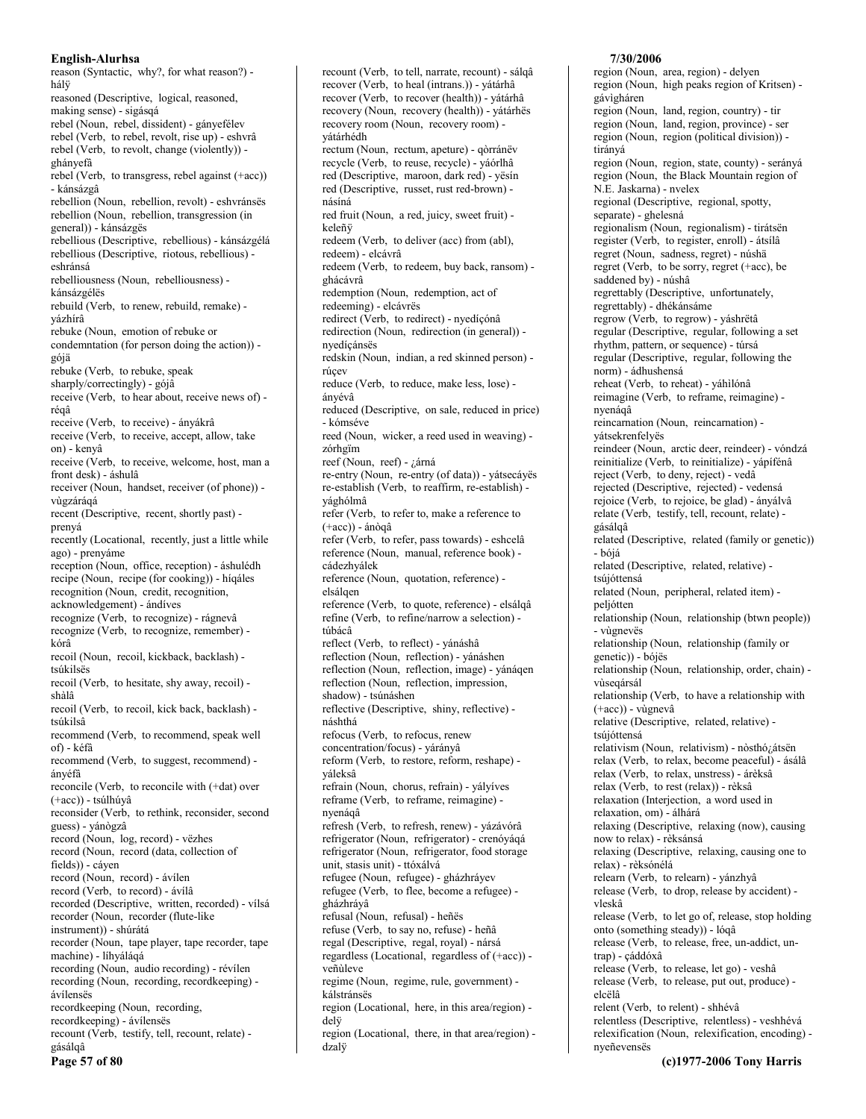reason (Syntactic, why?, for what reason?) hálÿ reasoned (Descriptive, logical, reasoned, making sense) - sigásqá rebel (Noun, rebel, dissident) - gányefélev rebel (Verb, to rebel, revolt, rise up) - eshvrâ rebel (Verb, to revolt, change (violently)) ghányefâ rebel (Verb, to transgress, rebel against (+acc)) - kánsázgâ rebellion (Noun, rebellion, revolt) - eshvránsës rebellion (Noun, rebellion, transgression (in general)) - kánsázgës rebellious (Descriptive, rebellious) - kánsázgélá rebellious (Descriptive, riotous, rebellious) eshránsá rebelliousness (Noun, rebelliousness) kánsázgélës rebuild (Verb, to renew, rebuild, remake) vázhírâ rebuke (Noun, emotion of rebuke or condemntation (for person doing the action)) gójä rebuke (Verb, to rebuke, speak sharply/correctingly) - gójâ receive (Verb, to hear about, receive news of) réaâ receive (Verb, to receive) - ányákrâ receive (Verb, to receive, accept, allow, take on) - kenvâ receive (Verb, to receive, welcome, host, man a front desk) - áshulâ receiver (Noun, handset, receiver (of phone)) vùgzáráqá recent (Descriptive, recent, shortly past) prenyá recently (Locational, recently, just a little while ago) - prenyáme reception (Noun, office, reception) - áshulédh recipe (Noun, recipe (for cooking)) - híqáles recognition (Noun, credit, recognition, acknowledgement) - ándíves recognize (Verb, to recognize) - rágnevâ recognize (Verb, to recognize, remember) kórâ recoil (Noun, recoil, kickback, backlash) tsúkilsës recoil (Verb, to hesitate, shy away, recoil) shàlâ recoil (Verb, to recoil, kick back, backlash) tsúkilsâ recommend (Verb, to recommend, speak well of) - kéfâ recommend (Verb, to suggest, recommend) ánvéfâ reconcile (Verb, to reconcile with (+dat) over (+acc)) - tsúlhúyâ reconsider (Verb, to rethink, reconsider, second guess) - yánògzâ record (Noun, log, record) - vëzhes record (Noun, record (data, collection of fields)) - cáyen record (Noun, record) - ávílen record (Verb, to record) - ávílâ recorded (Descriptive, written, recorded) - vílsá recorder (Noun, recorder (flute-like instrument)) - shúrátá recorder (Noun, tape player, tape recorder, tape machine) - líhyáláqá recording (Noun, audio recording) - révilen recording (Noun, recording, recordkeeping) ávílensës recordkeeping (Noun, recording, recordkeeping) - ávílenses recount (Verb, testify, tell, recount, relate) gásálqâ Page 57 of 80

recount (Verb, to tell, narrate, recount) - sálgâ recover (Verb, to heal (intrans.)) - yátárhâ recover (Verb. to recover (health)) - vátárhâ recovery (Noun, recovery (health)) - yátárhës recovery room (Noun, recovery room) yátárhédh rectum (Noun, rectum, apeture) - gòrránëv recycle (Verb, to reuse, recycle) - yáórlhâ red (Descriptive, maroon, dark red) - yësin red (Descriptive, russet, rust red-brown) násíná red fruit (Noun, a red, juicy, sweet fruit) keleñÿ redeem (Verb, to deliver (acc) from (abl), redeem) - elcávrâ redeem (Verb, to redeem, buy back, ransom) ghácávrâ redemption (Noun, redemption, act of redeeming) - elcávrës redirect (Verb, to redirect) - nyedíçónâ redirection (Noun, redirection (in general)) nvedícánsës redskin (Noun, indian, a red skinned person) rúcev reduce (Verb, to reduce, make less, lose) ányévâ reduced (Descriptive, on sale, reduced in price) - kómséve reed (Noun, wicker, a reed used in weaving) zórhgïm reef (Noun, reef) - ¿árná re-entry (Noun, re-entry (of data)) - yátsecáyës re-establish (Verb, to reaffirm, re-establish) yághólmâ refer (Verb, to refer to, make a reference to  $(+acc)$ ) - ánògâ refer (Verb, to refer, pass towards) - eshcelâ reference (Noun, manual, reference book) cádezhválek reference (Noun, quotation, reference) elsálqen reference (Verb, to quote, reference) - elsálqâ refine (Verb, to refine/narrow a selection) túbácâ reflect (Verb, to reflect) - yánáshâ reflection (Noun, reflection) - vánáshen reflection (Noun, reflection, image) - yánáqen reflection (Noun, reflection, impression, shadow) - tsúnáshen reflective (Descriptive, shiny, reflective) náshthá refocus (Verb, to refocus, renew concentration/focus) - yárányâ reform (Verb, to restore, reform, reshape) yáleksâ refrain (Noun, chorus, refrain) - yályíves reframe (Verb, to reframe, reimagine) nyenáqâ refresh (Verb, to refresh, renew) - yázávórâ refrigerator (Noun, refrigerator) - crenóyáqá refrigerator (Noun, refrigerator, food storage unit, stasis unit) - ttóxálvá refugee (Noun, refugee) - gházhráyev refugee (Verb, to flee, become a refugee) gházhráyâ refusal (Noun, refusal) - heñës refuse (Verb, to say no, refuse) - heñâ regal (Descriptive, regal, royal) - nársá regardless (Locational, regardless of (+acc)) veñùleve regime (Noun, regime, rule, government) kálstránsës region (Locational, here, in this area/region) delÿ region (Locational, there, in that area/region) dzalÿ

# 7/30/2006

region (Noun, area, region) - delyen region (Noun, high peaks region of Kritsen) gávìgháren region (Noun, land, region, country) - tir region (Noun, land, region, province) - ser region (Noun, region (political division)) tirányá region (Noun, region, state, county) - serányá region (Noun, the Black Mountain region of N.E. Jaskarna) - nvelex regional (Descriptive, regional, spotty, separate) - ghelesná regionalism (Noun, regionalism) - tirátsen register (Verb, to register, enroll) - átsílâ regret (Noun, sadness, regret) - núshä regret (Verb, to be sorry, regret (+acc), be saddened by) - núshâ regrettably (Descriptive, unfortunately, regrettably) - dhékánsáme regrow (Verb, to regrow) - yáshrëtâ regular (Descriptive, regular, following a set rhythm, pattern, or sequence) - túrsá regular (Descriptive, regular, following the norm) - ádhushensá reheat (Verb, to reheat) - yáhìlónâ reimagine (Verb, to reframe, reimagine) nyenágâ reincarnation (Noun, reincarnation) vátsekrenfelyës reindeer (Noun, arctic deer, reindeer) - vóndzá reinitialize (Verb, to reinitialize) - vápífénâ reject (Verb, to deny, reject) - vedâ rejected (Descriptive, rejected) - vedensá rejoice (Verb, to rejoice, be glad) - ányálvâ relate (Verb, testify, tell, recount, relate) gásálgâ related (Descriptive, related (family or genetic)) - bójá related (Descriptive, related, relative) tsúióttensá related (Noun, peripheral, related item) peljótten relationship (Noun, relationship (btwn people)) - vùgnevës relationship (Noun, relationship (family or genetic)) - bójës relationship (Noun, relationship, order, chain) vùseqársál relationship (Verb, to have a relationship with  $(+acc)$ ) - vùgnevâ relative (Descriptive, related, relative) tsújóttensá relativism (Noun, relativism) - nòsthó¿átsën relax (Verb, to relax, become peaceful) - ásálâ relax (Verb, to relax, unstress) - árèksâ relax (Verb, to rest (relax)) - rèksâ relaxation (Interjection, a word used in relaxation, om) - álhárá relaxing (Descriptive, relaxing (now), causing now to relax) - rèksánsá relaxing (Descriptive, relaxing, causing one to relax) - rèksónélá relearn (Verb, to relearn) - yánzhyâ release (Verb, to drop, release by accident) vleskâ release (Verb, to let go of, release, stop holding onto (something steady)) - lógâ release (Verb, to release, free, un-addict, untrap) - cáddóxâ release (Verb, to release, let go) - veshâ release (Verb, to release, put out, produce) elcëlâ relent (Verb, to relent) - shhévâ relentless (Descriptive, relentless) - veshhévá relexification (Noun, relexification, encoding) -

(c)1977-2006 Tony Harris

nveñevensës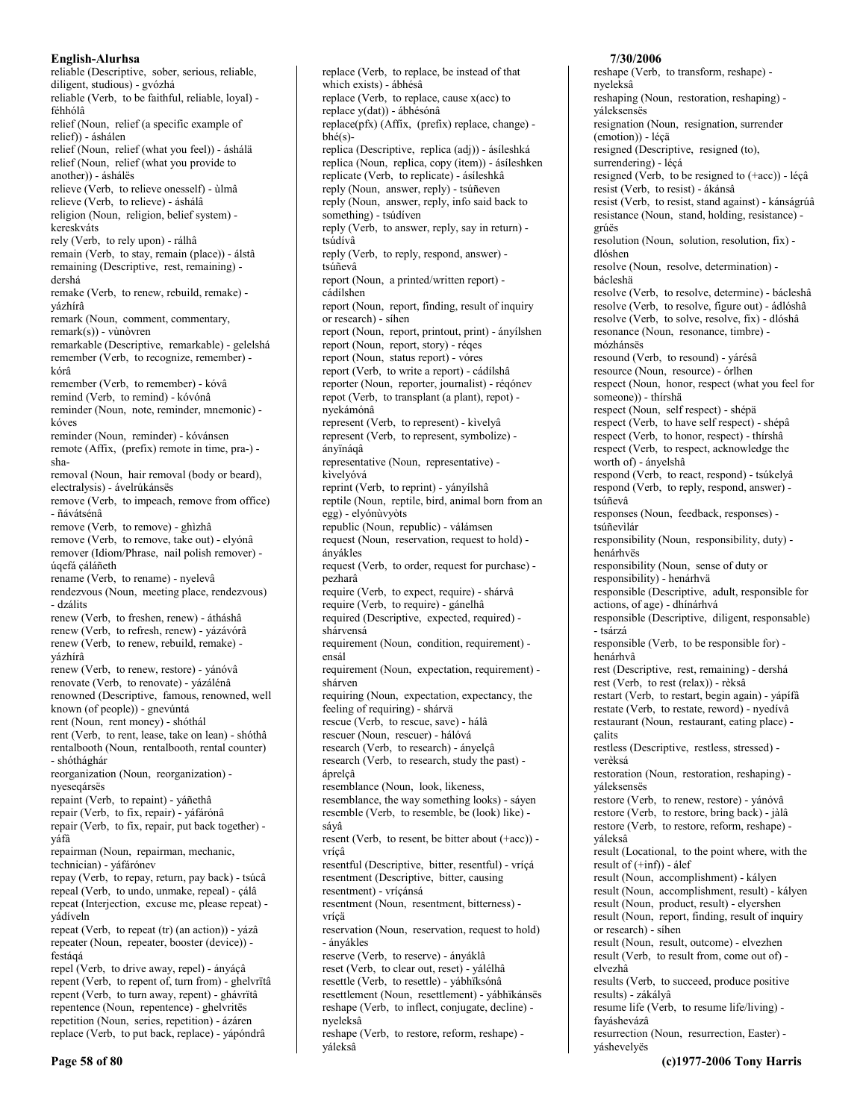reliable (Descriptive, sober, serious, reliable, diligent, studious) - gvózhá reliable (Verb, to be faithful, reliable, loyal) féhhólâ relief (Noun, relief (a specific example of relief)) - áshálen relief (Noun, relief (what you feel)) - áshálä relief (Noun, relief (what you provide to another)) - áshálës relieve (Verb, to relieve onesself) - ùlmâ relieve (Verb, to relieve) - áshálá religion (Noun, religion, belief system) kereskváts rely (Verb, to rely upon) - rálhâ remain (Verb, to stay, remain (place)) - álstâ remaining (Descriptive, rest, remaining) dershá remake (Verb, to renew, rebuild, remake) yázhírâ remark (Noun, comment, commentary,  $remark(s)$  - vùnòvren remarkable (Descriptive, remarkable) - gelelshá remember (Verb, to recognize, remember) kórâ remember (Verb, to remember) - kóvâ remind (Verb, to remind) - kóvónâ reminder (Noun, note, reminder, mnemonic) kóves reminder (Noun, reminder) - kóvánsen remote (Affix, (prefix) remote in time, pra-) sharemoval (Noun, hair removal (body or beard), electralysis) - ávelrúkánsës remove (Verb, to impeach, remove from office) - ñávátsénâ remove (Verb, to remove) - ghìzhâ remove (Verb, to remove, take out) - elyónâ remover (Idiom/Phrase, nail polish remover) úqefá çáláñeth rename (Verb. to rename) - nyelevâ rendezvous (Noun, meeting place, rendezvous) - dzálits renew (Verb, to freshen, renew) - átháshâ renew (Verb, to refresh, renew) - yázávórâ renew (Verb, to renew, rebuild, remake) vázhírâ renew (Verb, to renew, restore) - yánóvâ renovate (Verb, to renovate) - yázálénâ renowned (Descriptive, famous, renowned, well known (of people)) - gnevúntá rent (Noun, rent money) - shóthál rent (Verb, to rent, lease, take on lean) - shóthâ rentalbooth (Noun, rentalbooth, rental counter) - shóthághár reorganization (Noun, reorganization) nyeseqársës repaint (Verb, to repaint) - yáñethâ repair (Verb, to fix, repair) - yáfárónâ repair (Verb, to fix, repair, put back together) yáfâ repairman (Noun, repairman, mechanic, technician) - yáfárónev repay (Verb, to repay, return, pay back) - tsúcâ repeal (Verb, to undo, unmake, repeal) - çálâ repeat (Interjection, excuse me, please repeat) vádíveln repeat (Verb, to repeat (tr) (an action)) - yázâ repeater (Noun, repeater, booster (device)) festágá repel (Verb, to drive away, repel) - ányáçâ repent (Verb, to repent of, turn from) - ghelvrītâ repent (Verb, to turn away, repent) - ghávrïtâ repentence (Noun, repentence) - ghelvritës repetition (Noun, series, repetition) - ázáren replace (Verb, to put back, replace) - yápóndrâ

replace (Verb, to replace, be instead of that which exists) - ábhésâ replace (Verb, to replace, cause  $x(acc)$  to replace y(dat)) - ábhésónâ replace(pfx) (Affix, (prefix) replace, change)  $hhé(s)$ replica (Descriptive, replica (adj)) - ásíleshká replica (Noun, replica, copy (item)) - ásíleshken replicate (Verb, to replicate) - ásíleshkâ reply (Noun, answer, reply) - tsúñeven reply (Noun, answer, reply, info said back to something) - tsúdíven reply (Verb, to answer, reply, say in return) tsúdívâ reply (Verb, to reply, respond, answer) tsúñevâ report (Noun, a printed/written report) cádílshen report (Noun, report, finding, result of inquiry or research) - síhen report (Noun, report, printout, print) - ányílshen report (Noun, report, story) - réqes report (Noun, status report) - vóres report (Verb, to write a report) - cádílshâ reporter (Noun, reporter, journalist) - régónev repot (Verb, to transplant (a plant), repot) nyekámónâ represent (Verb, to represent) - kivelyâ represent (Verb, to represent, symbolize) ányïnáqâ representative (Noun, representative) kivelyóvá reprint (Verb, to reprint) - yányílshâ reptile (Noun, reptile, bird, animal born from an egg) - elyónùvyòts republic (Noun, republic) - válámsen request (Noun, reservation, request to hold) ányákles request (Verb, to order, request for purchase) pezharâ require (Verb, to expect, require) - shárvâ require (Verb, to require) - gánelhâ required (Descriptive, expected, required) shárvensá requirement (Noun, condition, requirement) ensál requirement (Noun, expectation, requirement) shárven requiring (Noun, expectation, expectancy, the feeling of requiring) - shárvä rescue (Verb, to rescue, save) - hálâ rescuer (Noun, rescuer) - hálóvá research (Verb, to research) - ányelçâ research (Verb, to research, study the past) áprelçâ resemblance (Noun, look, likeness, resemblance, the way something looks) - sáyen resemble (Verb, to resemble, be (look) like) sávâ resent (Verb, to resent, be bitter about (+acc)) vrícâ resentful (Descriptive, bitter, resentful) - vríçá resentment (Descriptive, bitter, causing resentment) - vríçánsá resentment (Noun, resentment, bitterness) vríçä reservation (Noun, reservation, request to hold) - ányákles reserve (Verb, to reserve) - ányáklâ reset (Verb, to clear out, reset) - yálélhâ resettle (Verb, to resettle) - yábhïksónâ resettlement (Noun, resettlement) - yábhïkánsës reshape (Verb, to inflect, conjugate, decline) nyeleksâ

reshape (Verb, to restore, reform, reshape) váleksâ

# 7/30/2006

reshape (Verb, to transform, reshape) nyeleksâ reshaping (Noun, restoration, reshaping) yáleksensës resignation (Noun, resignation, surrender (emotion)) - léçä resigned (Descriptive, resigned (to), surrendering) - léçá resigned (Verb, to be resigned to  $(+acc)$ ) - léçâ resist (Verb, to resist) - ákánsâ resist (Verb, to resist, stand against) - kánságrúâ resistance (Noun, stand, holding, resistance) grúës resolution (Noun, solution, resolution, fix) dlóshen resolve (Noun, resolve, determination) bácleshä resolve (Verb, to resolve, determine) - bácleshâ resolve (Verb, to resolve, figure out) - ádlóshâ resolve (Verb, to solve, resolve, fix) - dlóshâ resonance (Noun, resonance, timbre) mózhánsës resound (Verb, to resound) - yárésâ resource (Noun, resource) - órlhen respect (Noun, honor, respect (what you feel for someone)) - thírshä respect (Noun, self respect) - shépä respect (Verb, to have self respect) - shépâ respect (Verb, to honor, respect) - thírshâ respect (Verb, to respect, acknowledge the worth of) - ányelshâ respond (Verb, to react, respond) - tsúkelyâ respond (Verb, to reply, respond, answer) tsúñevâ responses (Noun, feedback, responses) tsúñevilár responsibility (Noun, responsibility, duty) henárhvës responsibility (Noun, sense of duty or responsibility) - henárhvä responsible (Descriptive, adult, responsible for actions, of age) - dhínárhvá responsible (Descriptive, diligent, responsable) - tsárzá responsible (Verb, to be responsible for) henárhvâ rest (Descriptive, rest, remaining) - dershá rest (Verb, to rest (relax)) - rèksâ restart (Verb, to restart, begin again) - yápífâ restate (Verb, to restate, reword) - nyedívâ restaurant (Noun, restaurant, eating place) calits restless (Descriptive, restless, stressed) verèksá restoration (Noun, restoration, reshaping) yáleksensës restore (Verb, to renew, restore) - yánóvâ restore (Verb, to restore, bring back) - jàlâ restore (Verb, to restore, reform, reshape) yáleksâ result (Locational, to the point where, with the result of  $(+\inf)$  - álef result (Noun, accomplishment) - kályen result (Noun, accomplishment, result) - kályen result (Noun, product, result) - elyershen result (Noun, report, finding, result of inquiry or research) - síhen result (Noun, result, outcome) - elvezhen result (Verb, to result from, come out of) elvezhâ results (Verb, to succeed, produce positive results) - zákályâ resume life (Verb, to resume life/living) fayáshevázâ resurrection (Noun, resurrection, Easter) váshevelyës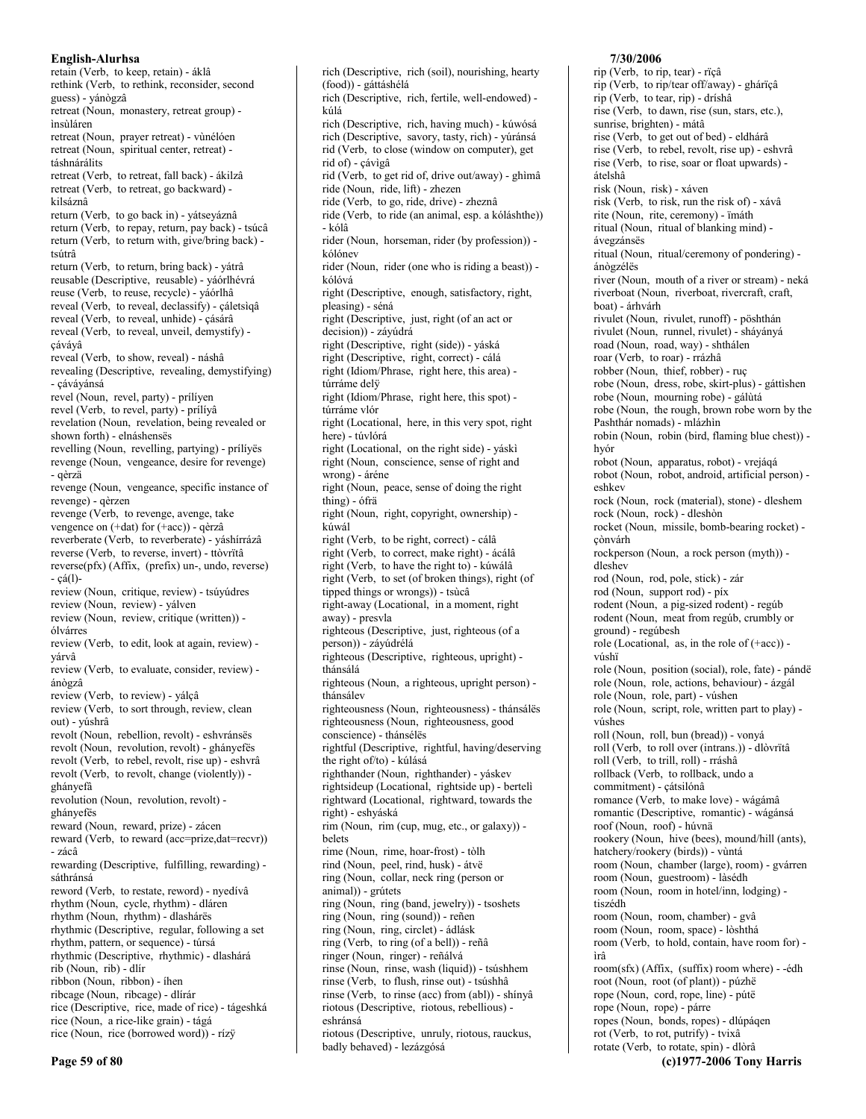retain (Verb, to keep, retain) - áklâ rethink (Verb, to rethink, reconsider, second guess) - yánògzâ retreat (Noun, monastery, retreat group) insùláren retreat (Noun, prayer retreat) - vùnélóen retreat (Noun, spiritual center, retreat) táshnárálits retreat (Verb, to retreat, fall back) - ákilzâ retreat (Verb, to retreat, go backward) kilsáznâ return (Verb, to go back in) - yátseyáznâ return (Verb, to repay, return, pay back) - tsúcâ return (Verb, to return with, give/bring back) tsútrâ return (Verb. to return, bring back) - vátrâ reusable (Descriptive, reusable) - yáórlhévrá reuse (Verb, to reuse, recycle) - yáórlhâ reveal (Verb, to reveal, declassify) - cáletsigâ reveal (Verb, to reveal, unhide) - çásárâ reveal (Verb, to reveal, unveil, demystify) cávávâ reveal (Verb, to show, reveal) - náshâ revealing (Descriptive, revealing, demystifying) - cávávánsá revel (Noun, revel, party) - prílíyen revel (Verb, to revel, party) - prílíyâ revelation (Noun, revelation, being revealed or shown forth) - elnáshensës revelling (Noun, revelling, partying) - prílíyës revenge (Noun, vengeance, desire for revenge) - qèrzä revenge (Noun, vengeance, specific instance of revenge) - qèrzen revenge (Verb, to revenge, avenge, take vengence on (+dat) for (+acc)) - qèrzâ reverberate (Verb, to reverberate) - yáshírrázâ reverse (Verb, to reverse, invert) - ttòvrïtâ reverse(pfx) (Affix, (prefix) un-, undo, reverse)  $-$  çá(1) $$ review (Noun, critique, review) - tsúyúdres review (Noun, review) - yálven review (Noun, review, critique (written)) ólvárres review (Verb, to edit, look at again, review) várvâ review (Verb, to evaluate, consider, review) ánògzâ review (Verb, to review) - yálçâ review (Verb, to sort through, review, clean out) - yúshrâ revolt (Noun, rebellion, revolt) - eshvránsës revolt (Noun, revolution, revolt) - ghányefës revolt (Verb, to rebel, revolt, rise up) - eshvrâ revolt (Verb, to revolt, change (violently)) ghányefâ revolution (Noun, revolution, revolt) ghányefës reward (Noun, reward, prize) - zácen reward (Verb, to reward (acc=prize,dat=recvr))  $-$ zácâ rewarding (Descriptive, fulfilling, rewarding) sáthránsá reword (Verb, to restate, reword) - nyedívâ rhythm (Noun, cycle, rhythm) - dláren rhythm (Noun, rhythm) - dlashárës rhythmic (Descriptive, regular, following a set rhythm, pattern, or sequence) - túrsá rhythmic (Descriptive, rhythmic) - dlashárá rib (Noun, rib) - dlír ribbon (Noun, ribbon) - íhen ribcage (Noun, ribcage) - dlírár rice (Descriptive, rice, made of rice) - tágeshká rice (Noun, a rice-like grain) - tágá rice (Noun, rice (borrowed word)) - rízÿ

rich (Descriptive, rich (soil), nourishing, hearty (food)) - gáttáshélá rich (Descriptive, rich, fertile, well-endowed) kúlá rich (Descriptive, rich, having much) - kúwósá rich (Descriptive, savory, tasty, rich) - yúránsá rid (Verb, to close (window on computer), get rid of) - çávìgâ rid (Verb, to get rid of, drive out/away) - ghìmâ ride (Noun, ride, lift) - zhezen ride (Verb, to go, ride, drive) - zheznâ ride (Verb, to ride (an animal, esp. a kóláshthe)) - kólâ rider (Noun, horseman, rider (by profession)) kólónev rider (Noun, rider (one who is riding a beast)) kólóvá right (Descriptive, enough, satisfactory, right, pleasing) - séná right (Descriptive, just, right (of an act or decision)) - záyúdrá right (Descriptive, right (side)) - yáská right (Descriptive, right, correct) - cálá right (Idiom/Phrase, right here, this area) túrráme delÿ right (Idiom/Phrase, right here, this spot) túrráme vlór right (Locational, here, in this very spot, right here) - túvlórá right (Locational, on the right side) - váskì right (Noun, conscience, sense of right and wrong) - áréne right (Noun, peace, sense of doing the right thing) - ófrä right (Noun, right, copyright, ownership) kúwál right (Verb, to be right, correct) - cálâ right (Verb, to correct, make right) - ácálâ right (Verb, to have the right to) - kúwálâ right (Verb, to set (of broken things), right (of tipped things or wrongs)) - tsùcâ right-away (Locational, in a moment, right away) - presvla righteous (Descriptive, just, righteous (of a person)) - záyúdrélá righteous (Descriptive, righteous, upright) thánsálá righteous (Noun, a righteous, upright person) thánsálev righteousness (Noun, righteousness) - thánsálës righteousness (Noun, righteousness, good conscience) - thánsélës rightful (Descriptive, rightful, having/deserving the right of/to) - kúlásá righthander (Noun, righthander) - yáskev rightsideup (Locational, rightside up) - berteli rightward (Locational, rightward, towards the right) - eshyáská rim (Noun, rim (cup, mug, etc., or galaxy)) belets rime (Noun, rime, hoar-frost) - tòlh rind (Noun, peel, rind, husk) - átvë ring (Noun, collar, neck ring (person or animal)) - grútets ring (Noun, ring (band, jewelry)) - tsoshets ring (Noun, ring (sound)) - reñen ring (Noun, ring, circlet) - ádlásk ring (Verb, to ring (of a bell)) - reñâ ringer (Noun, ringer) - reñálvá rinse (Noun, rinse, wash (liquid)) - tsúshhem rinse (Verb, to flush, rinse out) - tsúshhâ rinse (Verb, to rinse (acc) from (abl)) - shínyâ riotous (Descriptive, riotous, rebellious) eshránsá riotous (Descriptive, unruly, riotous, rauckus,

badly behaved) - lezázgósá

### 7/30/2006

rip (Verb, to rip, tear) - rïcâ rip (Verb, to rip/tear off/away) - ghárïçâ rip (Verb, to tear, rip) - dríshâ rise (Verb, to dawn, rise (sun, stars, etc.), sunrise, brighten) - mátâ rise (Verb, to get out of bed) - eldhárâ rise (Verb, to rebel, revolt, rise up) - eshvrâ rise (Verb, to rise, soar or float upwards) átelshâ risk (Noun, risk) - xáven risk (Verb, to risk, run the risk of) - xávâ rite (Noun, rite, ceremony) - ïmáth ritual (Noun, ritual of blanking mind) ávegzánsës ritual (Noun, ritual/ceremony of pondering) ánògzélës river (Noun, mouth of a river or stream) - neká riverboat (Noun, riverboat, rivercraft, craft, boat) - árhvárh rivulet (Noun, rivulet, runoff) - pöshthán rivulet (Noun, runnel, rivulet) - sháyányá road (Noun, road, way) - shthálen roar (Verb, to roar) - rrázhâ robber (Noun, thief, robber) - ruc robe (Noun, dress, robe, skirt-plus) - gáttìshen robe (Noun, mourning robe) - gálùtá robe (Noun, the rough, brown robe worn by the Pashthár nomads) - mlázhìn robin (Noun, robin (bird, flaming blue chest)) hvór robot (Noun, apparatus, robot) - vrejáqá robot (Noun, robot, android, artificial person) eshkev rock (Noun, rock (material), stone) - dleshem rock (Noun, rock) - dleshòn rocket (Noun, missile, bomb-bearing rocket) çònvárh rockperson (Noun, a rock person (myth)) dleshev rod (Noun, rod, pole, stick) - zár rod (Noun, support rod) - píx rodent (Noun, a pig-sized rodent) - regúb rodent (Noun, meat from regúb, crumbly or ground) - regúbesh role (Locational, as, in the role of (+acc)) vúshï role (Noun, position (social), role, fate) - pándë role (Noun, role, actions, behaviour) - ázgál role (Noun, role, part) - vúshen role (Noun, script, role, written part to play) vúshes roll (Noun, roll, bun (bread)) - vonyá roll (Verb, to roll over (intrans.)) - dlòvrïtâ roll (Verb, to trill, roll) - rráshâ rollback (Verb, to rollback, undo a commitment) - çátsilónâ romance (Verb, to make love) - wágámâ romantic (Descriptive, romantic) - wágánsá roof (Noun, roof) - húvnä rookery (Noun, hive (bees), mound/hill (ants), hatchery/rookery (birds)) - vùntá room (Noun, chamber (large), room) - gvárren room (Noun, guestroom) - làsédh room (Noun, room in hotel/inn, lodging) tiszédh room (Noun, room, chamber) - gvâ room (Noun, room, space) - lòshthá room (Verb, to hold, contain, have room for) ìrâ room(sfx) (Affix, (suffix) room where) - -édh root (Noun, root (of plant)) - púzhë rope (Noun, cord, rope, line) - pútë rope (Noun, rope) - párre ropes (Noun, bonds, ropes) - dlúpáqen rot (Verb, to rot, putrify) - tvixâ rotate (Verb, to rotate, spin) - dlòrâ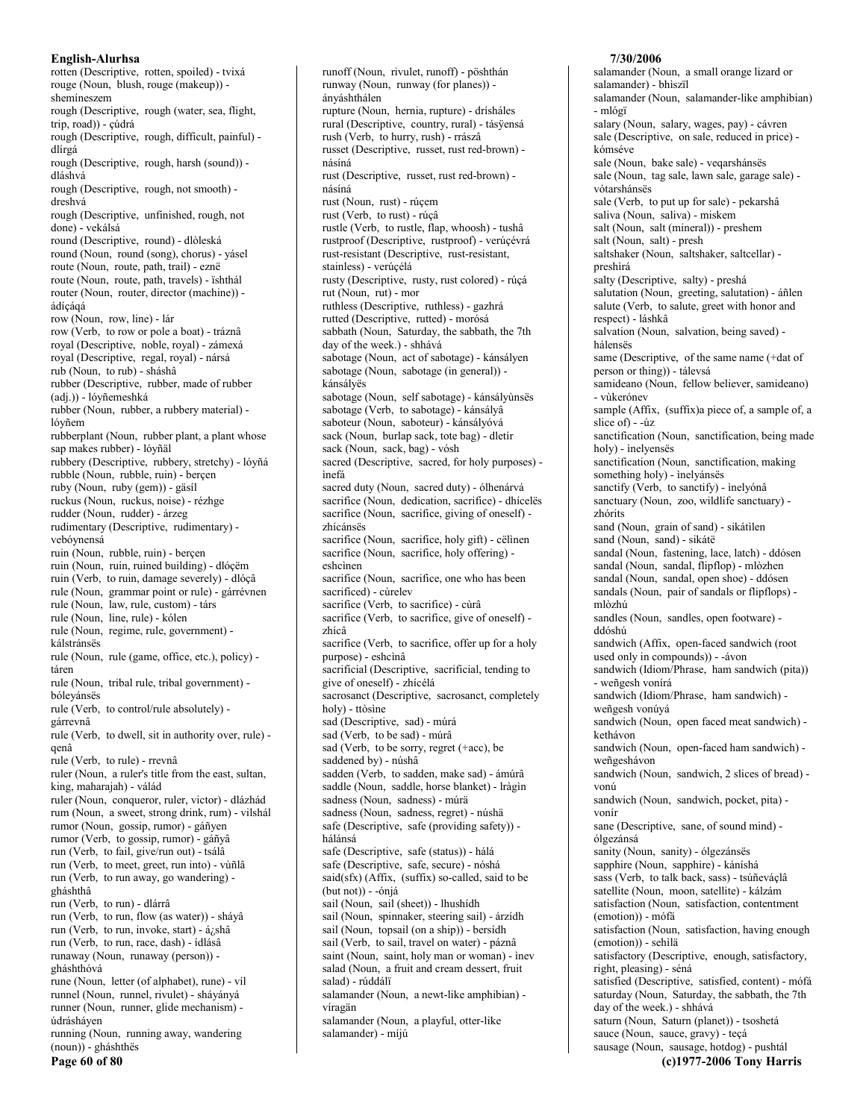rotten (Descriptive, rotten, spoiled) - tvixá rouge (Noun, blush, rouge (makeup)) shemineszem rough (Descriptive, rough (water, sea, flight, trip, road)) - cúdrá rough (Descriptive, rough, difficult, painful) dlírgá rough (Descriptive, rough, harsh (sound)) dláshvá rough (Descriptive, rough, not smooth) dreshvá rough (Descriptive, unfinished, rough, not done) - vekálsá round (Descriptive, round) - dlòleská round (Noun, round (song), chorus) - yásel route (Noun, route, path, trail) - eznë route (Noun, route, path, travels) - ïshthál router (Noun, router, director (machine)) ádícágá row (Noun, row, line) - lár row (Verb, to row or pole a boat) - tráznâ royal (Descriptive, noble, royal) - zámexá royal (Descriptive, regal, royal) - nársá rub (Noun, to rub) - sháshâ rubber (Descriptive, rubber, made of rubber (adj.)) - lóyñemeshká rubber (Noun, rubber, a rubbery material) lóyñem rubberplant (Noun, rubber plant, a plant whose sap makes rubber) - lóyñäl rubbery (Descriptive, rubbery, stretchy) - lóyñá rubble (Noun, rubble, ruin) - bercen ruby (Noun, ruby (gem)) - gäsíl ruckus (Noun, ruckus, noise) - rézhge rudder (Noun, rudder) - árzeg rudimentary (Descriptive, rudimentary) vebóvnensá ruin (Noun, rubble, ruin) - bercen ruin (Noun, ruin, ruined building) - dlóçëm ruin (Verb, to ruin, damage severely) - dlóçâ rule (Noun, grammar point or rule) - gárrévnen rule (Noun, law, rule, custom) - társ rule (Noun, line, rule) - kólen rule (Noun, regime, rule, government) kálstránses rule (Noun, rule (game, office, etc.), policy) táren rule (Noun, tribal rule, tribal government) bólevánsës rule (Verb, to control/rule absolutely) gárrevnâ rule (Verb, to dwell, sit in authority over, rule) qenâ rule (Verb, to rule) - rrevnâ ruler (Noun, a ruler's title from the east, sultan, king, maharajah) - válád ruler (Noun, conqueror, ruler, victor) - dlázhád rum (Noun, a sweet, strong drink, rum) - vilshál rumor (Noun, gossip, rumor) - gáñyen rumor (Verb, to gossip, rumor) - gáñyâ run (Verb, to fail, give/run out) - tsálâ run (Verb, to meet, greet, run into) - vùñlâ run (Verb, to run away, go wandering) gháshthâ run (Verb, to run) - dlárrâ run (Verb, to run, flow (as water)) - sháyâ run (Verb, to run, invoke, start) - á¿shâ run (Verb, to run, race, dash) - ídlásâ runaway (Noun, runaway (person)) gháshthóvá rune (Noun, letter (of alphabet), rune) - vil runnel (Noun, runnel, rivulet) - sháyányá runner (Noun, runner, glide mechanism) údrásháven running (Noun, running away, wandering (noun)) - gháshthës Page 60 of 80

runway (Noun, runway (for planes)) ánváshthálen rupture (Noun, hernia, rupture) - drísháles rural (Descriptive, country, rural) - tásÿensá rush (Verb, to hurry, rush) - rrászâ russet (Descriptive, russet, rust red-brown) násíná rust (Descriptive, russet, rust red-brown) násíná rust (Noun, rust) - rúçem rust (Verb, to rust) - rúçâ rustle (Verb, to rustle, flap, whoosh) - tushâ rustproof (Descriptive, rustproof) - verúçévrá rust-resistant (Descriptive, rust-resistant, stainless) - verúcélá rusty (Descriptive, rusty, rust colored) - rúçá rut (Noun, rut) - mor ruthless (Descriptive, ruthless) - gazhrá rutted (Descriptive, rutted) - morósá sabbath (Noun, Saturday, the sabbath, the 7th day of the week.) - shhává sabotage (Noun, act of sabotage) - kánsályen sabotage (Noun, sabotage (in general)) kánsálvës sabotage (Noun, self sabotage) - kánsályùnsës sabotage (Verb, to sabotage) - kánsályâ saboteur (Noun, saboteur) - kánsályóvá sack (Noun, burlap sack, tote bag) - dletír sack (Noun, sack, bag) - vósh sacred (Descriptive, sacred, for holy purposes) ìnefá sacred duty (Noun, sacred duty) - ólhenárvá sacrifice (Noun, dedication, sacrifice) - dhícelës sacrifice (Noun, sacrifice, giving of oneself) zhícánsës sacrifice (Noun, sacrifice, holy gift) - cëlinen sacrifice (Noun, sacrifice, holy offering) eshcìnen sacrifice (Noun, sacrifice, one who has been sacrificed) - cùrelev sacrifice (Verb, to sacrifice) - cùrâ sacrifice (Verb, to sacrifice, give of oneself) zhícâ sacrifice (Verb, to sacrifice, offer up for a holy purpose) - eshcìnâ sacrificial (Descriptive, sacrificial, tending to give of oneself) - zhícélá sacrosanct (Descriptive, sacrosanct, completely holy) - ttòsìne sad (Descriptive, sad) - múrá sad (Verb, to be sad) - múrâ sad (Verb, to be sorry, regret (+acc), be saddened by) - núshâ sadden (Verb, to sadden, make sad) - ámúrâ saddle (Noun, saddle, horse blanket) - Iràgìn sadness (Noun, sadness) - múrä sadness (Noun, sadness, regret) - núshä safe (Descriptive, safe (providing safety)) hálánsá safe (Descriptive, safe (status)) - hálá safe (Descriptive, safe, secure) - nóshá said(sfx) (Affix, (suffix) so-called, said to be  $(but not)) - ónja$ sail (Noun, sail (sheet)) - lhushidh sail (Noun, spinnaker, steering sail) - árzídh sail (Noun, topsail (on a ship)) - bersidh sail (Verb, to sail, travel on water) - páznâ saint (Noun, saint, holy man or woman) - inev salad (Noun, a fruit and cream dessert, fruit salad) - rúddálï salamander (Noun, a newt-like amphibian) víragän salamander (Noun, a playful, otter-like salamander) - míjú

runoff (Noun, rivulet, runoff) - pöshthán

# 7/30/2006

salamander (Noun, a small orange lizard or salamander) - bhìszïl salamander (Noun, salamander-like amphibian) - mlógï salary (Noun, salary, wages, pay) - cávren sale (Descriptive, on sale, reduced in price) kómséve sale (Noun, bake sale) - vegarshánsës sale (Noun, tag sale, lawn sale, garage sale) vótarshánsës sale (Verb, to put up for sale) - pekarshâ saliva (Noun, saliva) - miskem salt (Noun, salt (mineral)) - preshem salt (Noun, salt) - presh saltshaker (Noun, saltshaker, saltcellar) preshìrá salty (Descriptive, salty) - preshá salutation (Noun, greeting, salutation) - áñlen salute (Verb, to salute, greet with honor and respect) - láshkâ salvation (Noun, salvation, being saved) hálensës same (Descriptive, of the same name (+dat of person or thing)) - tálevsá samideano (Noun, fellow believer, samideano) - vùkerónev sample (Affix, (suffix)a piece of, a sample of, a slice of  $) -4iz$ sanctification (Noun, sanctification, being made holy) - inelyensës sanctification (Noun, sanctification, making something holy) - inelyánsës sanctify (Verb, to sanctify) - inelyónâ sanctuary (Noun, zoo, wildlife sanctuary) zhórits sand (Noun, grain of sand) - sikátilen sand (Noun, sand) - sikátë sandal (Noun, fastening, lace, latch) - ddósen sandal (Noun, sandal, flipflop) - mlòzhen sandal (Noun, sandal, open shoe) - ddósen sandals (Noun, pair of sandals or flipflops) mlòzhú sandles (Noun, sandles, open footware) ddóshú sandwich (Affix, open-faced sandwich (root used only in compounds)) - - ávon sandwich (Idiom/Phrase, ham sandwich (pita)) - weñgesh vonírá sandwich (Idiom/Phrase, ham sandwich) weñgesh vonúyá sandwich (Noun, open faced meat sandwich) kethávon sandwich (Noun, open-faced ham sandwich) weñgeshávon sandwich (Noun, sandwich, 2 slices of bread) vonú sandwich (Noun, sandwich, pocket, pita) vonír sane (Descriptive, sane, of sound mind) ólgezánsá sanity (Noun, sanity) - ólgezánsës sapphire (Noun, sapphire) - káníshá sass (Verb, to talk back, sass) - tsúñeváçlâ satellite (Noun, moon, satellite) - kálzám satisfaction (Noun, satisfaction, contentment (emotion)) - mófã satisfaction (Noun, satisfaction, having enough (emotion)) - sehìlä satisfactory (Descriptive, enough, satisfactory, right, pleasing) - séná satisfied (Descriptive, satisfied, content) - mófá saturday (Noun, Saturday, the sabbath, the 7th day of the week.) - shhává saturn (Noun, Saturn (planet)) - tsoshetá sauce (Noun, sauce, gravy) - teçá sausage (Noun, sausage, hotdog) - pushtál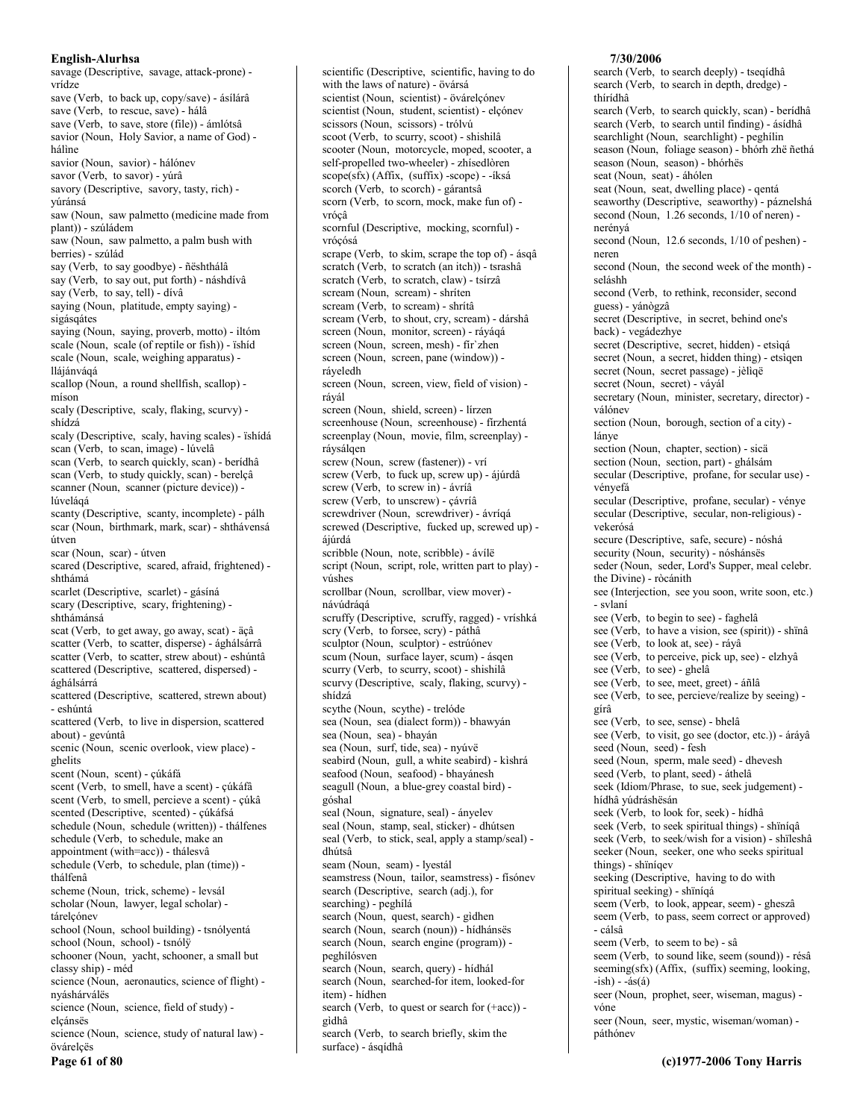savage (Descriptive, savage, attack-prone) vrídze save (Verb, to back up, copy/save) - ásílárâ save (Verb, to rescue, save) - hálâ save (Verb., to save, store (file)) - ámlótsâ savior (Noun, Holy Savior, a name of God) hálìne savior (Noun, savior) - hálónev savor (Verb, to savor) - yúrâ savory (Descriptive, savory, tasty, rich) yúránsá saw (Noun, saw palmetto (medicine made from plant)) - szúládem saw (Noun, saw palmetto, a palm bush with berries) - szúlád say (Verb, to say goodbye) - ñështhálâ say (Verb, to say out, put forth) - náshdívâ say (Verb, to say, tell) - dívâ saying (Noun, platitude, empty saying) sigásgátes saying (Noun, saying, proverb, motto) - iltóm scale (Noun, scale (of reptile or fish)) - ishid scale (Noun, scale, weighing apparatus) llájánváqá scallop (Noun, a round shellfish, scallop) míson scaly (Descriptive, scaly, flaking, scurvy) shídzá scaly (Descriptive, scaly, having scales) - ïshídá scan (Verb, to scan, image) - lúvelâ scan (Verb, to search quickly, scan) - beridhâ scan (Verb, to study quickly, scan) - berelçâ scanner (Noun, scanner (picture device)) lúvelágá scanty (Descriptive, scanty, incomplete) - pálh scar (Noun, birthmark, mark, scar) - shthávensá útven scar (Noun, scar) - útven scared (Descriptive, scared, afraid, frightened) shthámá scarlet (Descriptive, scarlet) - gásíná scary (Descriptive, scary, frightening) shthámánsá scat (Verb, to get away, go away, scat) - äçâ scatter (Verb, to scatter, disperse) - ághálsárrâ scatter (Verb, to scatter, strew about) - eshúntâ scattered (Descriptive, scattered, dispersed) ághálsárrá scattered (Descriptive, scattered, strewn about) - eshúntá scattered (Verb, to live in dispersion, scattered about) - gevúntâ scenic (Noun, scenic overlook, view place) ghelits scent (Noun, scent) - çúkáfá scent (Verb, to smell, have a scent) - çúkáfâ scent (Verb, to smell, percieve a scent) - çúkâ scented (Descriptive, scented) - çúkáfsá schedule (Noun, schedule (written)) - thálfenes schedule (Verb, to schedule, make an appointment (with=acc)) - thálesvâ schedule (Verb, to schedule, plan (time)) thálfenâ scheme (Noun, trick, scheme) - levsál scholar (Noun, lawyer, legal scholar) tárelçónev school (Noun, school building) - tsnólyentá school (Noun, school) - tsnólÿ schooner (Noun, yacht, schooner, a small but classy ship) - méd science (Noun, aeronautics, science of flight) nyáshárválës science (Noun, science, field of study) elçánsës science (Noun, science, study of natural law) övárelçës Page 61 of 80

scientific (Descriptive, scientific, having to do with the laws of nature) - övársá scientist (Noun, scientist) - övárelçónev scientist (Noun, student, scientist) - elçónev scissors (Noun, scissors) - trólvú scoot (Verb, to scurry, scoot) - shishilâ scooter (Noun, motorcycle, moped, scooter, a self-propelled two-wheeler) - zhísedlòren scope(sfx) (Affix, (suffix) -scope) - - iksá scorch (Verb, to scorch) - gárantsâ scorn (Verb, to scorn, mock, make fun of) vrócâ scornful (Descriptive, mocking, scornful) vrócósá scrape (Verb, to skim, scrape the top of) - ásqâ scratch (Verb, to scratch (an itch)) - tsrashâ scratch (Verb, to scratch, claw) - tsírzâ scream (Noun, scream) - shriten scream (Verb, to scream) - shrítâ scream (Verb, to shout, cry, scream) - dárshâ screen (Noun, monitor, screen) - ráyáqá screen (Noun, screen, mesh) - fir'zhen screen (Noun, screen, pane (window)) ráyeledh screen (Noun, screen, view, field of vision) rávál screen (Noun, shield, screen) - lírzen screenhouse (Noun, screenhouse) - firzhentá screenplay (Noun, movie, film, screenplay) ráysálgen screw (Noun, screw (fastener)) - vrí screw (Verb, to fuck up, screw up) - ájúrdâ screw (Verb, to screw in) - ávríâ screw (Verb, to unscrew) - çávríâ screwdriver (Noun, screwdriver) - ávríqá screwed (Descriptive, fucked up, screwed up) ájúrdá scribble (Noun, note, scribble) - ávílë script (Noun, script, role, written part to play) vúshes scrollbar (Noun, scrollbar, view mover) návúdrágá scruffy (Descriptive, scruffy, ragged) - vríshká scry (Verb, to forsee, scry) - páthâ sculptor (Noun, sculptor) - estrúónev scum (Noun, surface layer, scum) - ásgen scurry (Verb, to scurry, scoot) - shishilâ scurvy (Descriptive, scaly, flaking, scurvy) shídzá scythe (Noun, scythe) - trelóde sea (Noun, sea (dialect form)) - bhawyán sea (Noun, sea) - bhayán sea (Noun, surf, tide, sea) - nyúvë seabird (Noun, gull, a white seabird) - kìshrá seafood (Noun, seafood) - bhayánesh seagull (Noun, a blue-grey coastal bird) góshal seal (Noun, signature, seal) - ányelev seal (Noun, stamp, seal, sticker) - dhútsen seal (Verb, to stick, seal, apply a stamp/seal) dhútsâ seam (Noun, seam) - lyestál seamstress (Noun, tailor, seamstress) - fisónev search (Descriptive, search (adj.), for searching) - peghílá search (Noun, quest, search) - gìdhen search (Noun, search (noun)) - hídhánsës search (Noun, search engine (program)) peghílósven search (Noun, search, query) - hídhál search (Noun, searched-for item, looked-for item) - hídhen search (Verb, to quest or search for (+acc)) gìdhâ search (Verb, to search briefly, skim the surface) - ásqídhâ

### 7/30/2006

search (Verb, to search deeply) - tseqídhâ search (Verb, to search in depth, dredge) thírídhâ search (Verb, to search quickly, scan) - beridhâ search (Verb, to search until finding) - ásídhâ searchlight (Noun, searchlight) - peghílin season (Noun, foliage season) - bhórh zhë ñethá season (Noun, season) - bhórhës seat (Noun, seat) - áhólen seat (Noun, seat, dwelling place) - qentá seaworthy (Descriptive, seaworthy) - páznelshá second (Noun, 1.26 seconds, 1/10 of neren) nerényá second (Noun, 12.6 seconds, 1/10 of peshen) neren second (Noun, the second week of the month) seláshh second (Verb, to rethink, reconsider, second guess) - yánògzâ secret (Descriptive, in secret, behind one's back) - vegádezhye secret (Descriptive, secret, hidden) - etsìqá secret (Noun, a secret, hidden thing) - etsiqen secret (Noun, secret passage) - jèliqë secret (Noun, secret) - váyál secretary (Noun, minister, secretary, director) válónev section (Noun, borough, section of a city) lánve section (Noun, chapter, section) - sicä section (Noun, section, part) - ghálsám secular (Descriptive, profane, for secular use) vényefá secular (Descriptive, profane, secular) - vénye secular (Descriptive, secular, non-religious) vekerósá secure (Descriptive, safe, secure) - nóshá security (Noun, security) - nóshánsës seder (Noun, seder, Lord's Supper, meal celebr. the Divine) - ròcánith see (Interjection, see you soon, write soon, etc.) - svlaní see (Verb, to begin to see) - faghelâ see (Verb, to have a vision, see (spirit)) - shïnâ see (Verb, to look at, see) - ráyâ see (Verb, to perceive, pick up, see) - elzhyâ see (Verb, to see) - ghelâ see (Verb, to see, meet, greet) - áñlâ see (Verb, to see, percieve/realize by seeing) gírâ see (Verb, to see, sense) - bhelâ see (Verb, to visit, go see (doctor, etc.)) - áráyâ seed (Noun, seed) - fesh seed (Noun, sperm, male seed) - dhevesh seed (Verb, to plant, seed) - áthelâ seek (Idiom/Phrase, to sue, seek judgement) hídhâ yúdráshësán seek (Verb, to look for, seek) - hídhâ seek (Verb, to seek spiritual things) - shiniqâ seek (Verb, to seek/wish for a vision) - shïleshâ seeker (Noun, seeker, one who seeks spiritual things) - shïníqev seeking (Descriptive, having to do with spiritual seeking) - shïníqá seem (Verb, to look, appear, seem) - gheszâ seem (Verb, to pass, seem correct or approved) - cálsâ seem (Verb, to seem to be) - sâ seem (Verb, to sound like, seem (sound)) - résâ seeming(sfx) (Affix, (suffix) seeming, looking,  $-ish) - ás(á)$ seer (Noun, prophet, seer, wiseman, magus) vóne seer (Noun, seer, mystic, wiseman/woman) páthónev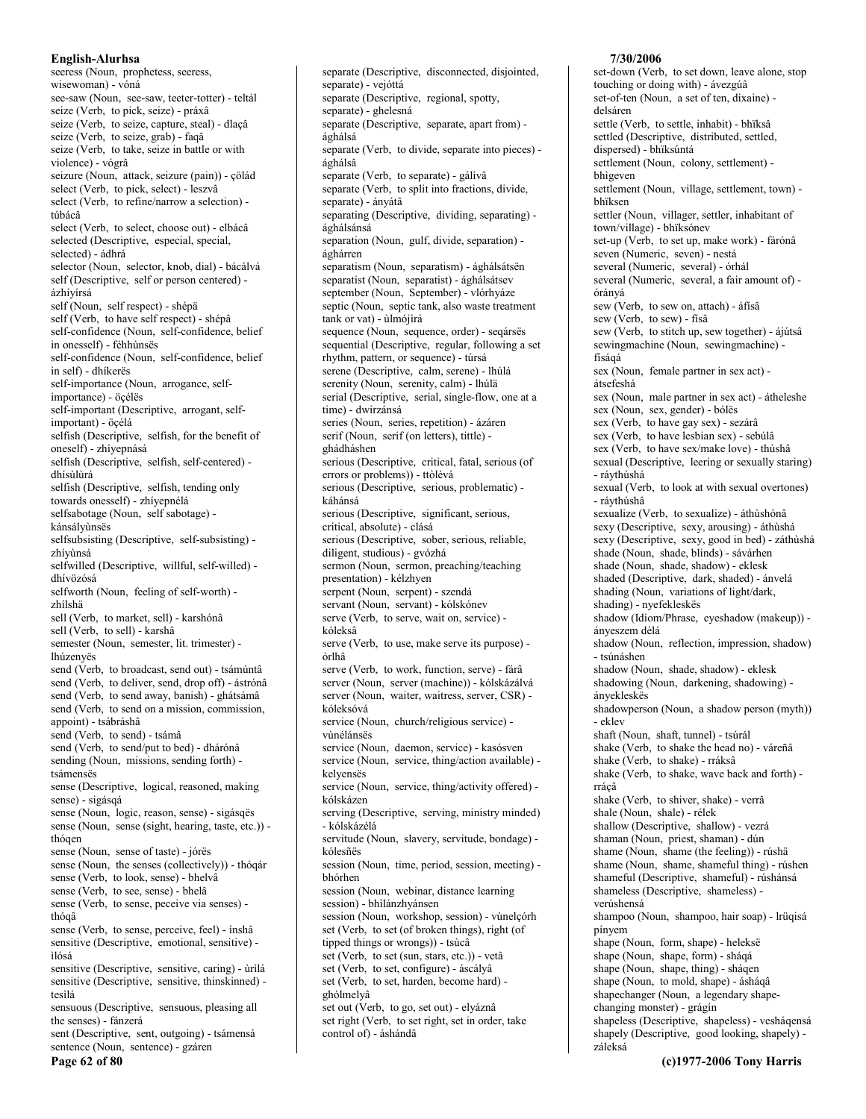seeress (Noun, prophetess, seeress, wisewoman) - vóná see-saw (Noun, see-saw, teeter-totter) - teltál seize (Verb, to pick, seize) - práxâ seize (Verb, to seize, capture, steal) - dlacâ seize (Verb, to seize, grab) - faqâ seize (Verb, to take, seize in battle or with violence) - vógrâ seizure (Noun, attack, seizure (pain)) - çölád select (Verb, to pick, select) - leszvâ select (Verb, to refine/narrow a selection) túbácâ select (Verb, to select, choose out) - elbácâ selected (Descriptive, especial, special, selected) - ádhrá selector (Noun, selector, knob, dial) - bácálvá self (Descriptive, self or person centered) ázhívírsá self (Noun, self respect) - shépä self (Verb, to have self respect) - shépâ self-confidence (Noun, self-confidence, belief in onesself) - féhhùnsës self-confidence (Noun, self-confidence, belief in self) - dhíkerës self-importance (Noun, arrogance, selfimportance) - öçélës self-important (Descriptive, arrogant, selfimportant) - öcélá selfish (Descriptive, selfish, for the benefit of oneself) - zhíyepnásá selfish (Descriptive, selfish, self-centered) dhísùlùrá selfish (Descriptive, selfish, tending only towards onesself) - zhívepnélá selfsabotage (Noun, self sabotage) kánsálvùnsës selfsubsisting (Descriptive, self-subsisting) zhívùnsá selfwilled (Descriptive, willful, self-willed) dhívözósá selfworth (Noun, feeling of self-worth) zhílshä sell (Verb, to market, sell) - karshónâ sell (Verb, to sell) - karshâ semester (Noun, semester, lit. trimester) lhúzenyës send (Verb, to broadcast, send out) - tsámúntâ send (Verb, to deliver, send, drop off) - ástrónâ send (Verb, to send away, banish) - ghátsámâ send (Verb, to send on a mission, commission, appoint) - tsábráshâ send (Verb, to send) - tsámâ send (Verb, to send/put to bed) - dhárónâ sending (Noun, missions, sending forth) tsámensës sense (Descriptive, logical, reasoned, making sense) - sigásqá sense (Noun, logic, reason, sense) - sigásqës sense (Noun, sense (sight, hearing, taste, etc.)) thógen sense (Noun, sense of taste) - jórës sense (Noun, the senses (collectively)) - thóqár sense (Verb, to look, sense) - bhelvâ sense (Verb, to see, sense) - bhelâ sense (Verb, to sense, peceive via senses) thógâ sense (Verb, to sense, perceive, feel) - ínshâ sensitive (Descriptive, emotional, sensitive) ilósá sensitive (Descriptive, sensitive, caring) - ùrìlá sensitive (Descriptive, sensitive, thinskinned) tesìlá sensuous (Descriptive, sensuous, pleasing all the senses) - fánzerá sent (Descriptive, sent, outgoing) - tsámensá sentence (Noun, sentence) - gzáren

Page 62 of 80

separate (Descriptive, disconnected, disjointed, separate) - vejóttá separate (Descriptive, regional, spotty, separate) - ghelesná separate (Descriptive, separate, apart from) ághálsá separate (Verb, to divide, separate into pieces) ághálsâ separate (Verb, to separate) - gálívâ separate (Verb, to split into fractions, divide, separate) - ányátâ separating (Descriptive, dividing, separating) ághálsánsá separation (Noun, gulf, divide, separation) ághárren separatism (Noun, separatism) - ághálsátsen separatist (Noun, separatist) - ághálsátsev september (Noun, September) - vlórhyáze septic (Noun, septic tank, also waste treatment  $tank$  or vat) - ulmójirá sequence (Noun, sequence, order) - seqársës sequential (Descriptive, regular, following a set rhythm, pattern, or sequence) - túrsá serene (Descriptive, calm, serene) - lhúlá serenity (Noun, serenity, calm) - lhúlä serial (Descriptive, serial, single-flow, one at a time) - dwirzánsá series (Noun, series, repetition) - ázáren serif (Noun, serif (on letters), tittle) ghádháshen serious (Descriptive, critical, fatal, serious (of errors or problems)) - ttòlèvá serious (Descriptive, serious, problematic) káhánsá serious (Descriptive, significant, serious, critical, absolute) - clásá serious (Descriptive, sober, serious, reliable, diligent, studious) - gvózhá sermon (Noun, sermon, preaching/teaching presentation) - kélzhven serpent (Noun, serpent) - szendá servant (Noun, servant) - kólskónev serve (Verb, to serve, wait on, service) kóleksâ serve (Verb, to use, make serve its purpose) órlhâ serve (Verb, to work, function, serve) - fárâ server (Noun, server (machine)) - kólskázálvá server (Noun, waiter, waitress, server, CSR) kóleksóvá service (Noun, church/religious service) vìnélánsës service (Noun, daemon, service) - kasósven service (Noun, service, thing/action available) kelvensës service (Noun, service, thing/activity offered) kólskázen serving (Descriptive, serving, ministry minded) - kólskázélá servitude (Noun, slavery, servitude, bondage) kólesñës session (Noun, time, period, session, meeting) bhórhen session (Noun, webinar, distance learning session) - bhìlánzhyánsen session (Noun, workshop, session) - vùnelçórh set (Verb. to set (of broken things), right (of tipped things or wrongs)) - tsùcâ set (Verb, to set (sun, stars, etc.)) - vetâ set (Verb, to set, configure) - áscályâ set (Verb, to set, harden, become hard) ghólmelyâ set out (Verb, to go, set out) - elyáznâ set right (Verb, to set right, set in order, take control of) - áshándâ

### 7/30/2006

set-down (Verb, to set down, leave alone, stop touching or doing with) - ávezgúâ set-of-ten (Noun, a set of ten, dixaine) delsáren settle (Verb, to settle, inhabit) - bhïksâ settled (Descriptive, distributed, settled, dispersed) - bhïksúntá settlement (Noun, colony, settlement) bhìgeven settlement (Noun, village, settlement, town) bhïksen settler (Noun, villager, settler, inhabitant of town/village) - bhïksónev set-up (Verb, to set up, make work) - fárónâ seven (Numeric, seven) - nestá several (Numeric, several) - órhál several (Numeric, several, a fair amount of) órányá sew (Verb, to sew on, attach) - áfísâ sew (Verb, to sew) - fisâ sew (Verb, to stitch up, sew together) - ájútsâ sewingmachine (Noun, sewingmachine) físágá sex (Noun, female partner in sex act) átsefeshá sex (Noun, male partner in sex act) - átheleshe sex (Noun, sex, gender) - bólës sex (Verb, to have gay sex) - sezárâ sex (Verb, to have lesbian sex) - sebúlâ sex (Verb, to have sex/make love) - thùshâ sexual (Descriptive, leering or sexually staring) - ráythùshá sexual (Verb, to look at with sexual overtones) - rávthùshâ sexualize (Verb, to sexualize) - áthùshónâ sexy (Descriptive, sexy, arousing) - áthùshá sexy (Descriptive, sexy, good in bed) - záthùshá shade (Noun, shade, blinds) - sávárhen shade (Noun, shade, shadow) - eklesk shaded (Descriptive, dark, shaded) - ánvelá shading (Noun, variations of light/dark, shading) - nyefekleskës shadow (Idiom/Phrase, eyeshadow (makeup)) ányeszem dèlá shadow (Noun, reflection, impression, shadow) - tsúnáshen shadow (Noun, shade, shadow) - eklesk shadowing (Noun, darkening, shadowing) ánvekleskës shadowperson (Noun, a shadow person (myth)) - eklev shaft (Noun, shaft, tunnel) - tsúrál shake (Verb, to shake the head no) - váreñâ shake (Verb, to shake) - rráksâ shake (Verb, to shake, wave back and forth) rrácâ shake (Verb, to shiver, shake) - verrâ shale (Noun, shale) - rélek shallow (Descriptive, shallow) - vezrá shaman (Noun, priest, shaman) - dún shame (Noun, shame (the feeling)) - rúshä shame (Noun, shame, shameful thing) - rúshen shameful (Descriptive, shameful) - rúshánsá shameless (Descriptive, shameless) verúshensá shampoo (Noun, shampoo, hair soap) - lrüqisá nínvem shape (Noun, form, shape) - heleksë shape (Noun, shape, form) - sháqá shape (Noun, shape, thing) - sháqen shape (Noun, to mold, shape) - ásháqâ shapechanger (Noun, a legendary shapechanging monster) - grágín shapeless (Descriptive, shapeless) - vesháqensá shapely (Descriptive, good looking, shapely) záleksá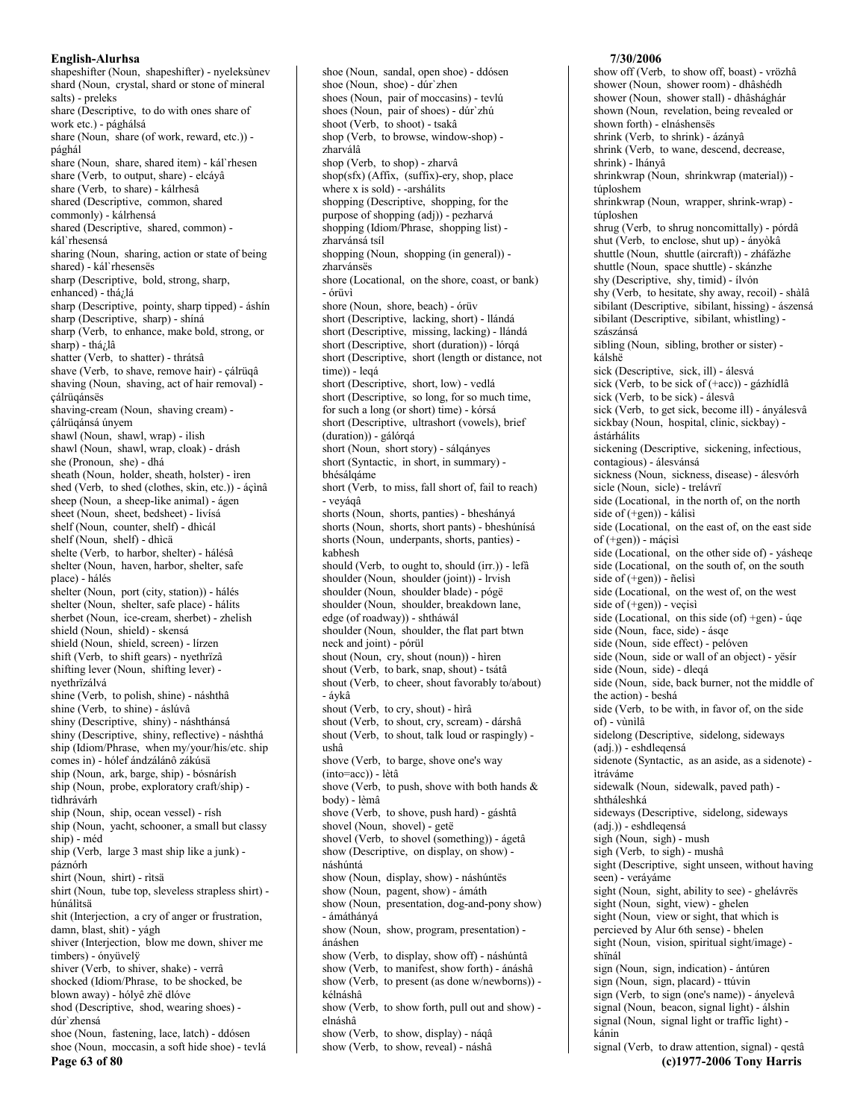shapeshifter (Noun, shapeshifter) - nyeleksùnev shard (Noun, crystal, shard or stone of mineral salts) - preleks<br>share (Descriptive, to do with ones share of work etc.) - pághálsá share (Noun, share (of work, reward, etc.)) pághál share (Noun, share, shared item) - kál`rhesen share (Verb, to output, share) - elcáyâ share (Verb, to share) - kálrhesâ shared (Descriptive, common, shared commonly) - kálrhensá shared (Descriptive, shared, common) kál`rhesensá sharing (Noun, sharing, action or state of being shared) - kál`rhesensës sharp (Descriptive, bold, strong, sharp, enhanced) - thá<sub>i</sub>lá sharp (Descriptive, pointy, sharp tipped) - áshín sharp (Descriptive, sharp) - shiná sharp (Verb, to enhance, make bold, strong, or sharp) - thá<sub>i</sub>lâ shatter (Verb, to shatter) - thrátsâ shave (Verb, to shave, remove hair) - cálrüqâ shaving (Noun, shaving, act of hair removal) çálrüqánsës shaving-cream (Noun, shaving cream) cálrügánsá únvem shawl (Noun, shawl, wrap) - ilish shawl (Noun, shawl, wrap, cloak) - drásh she (Pronoun, she) - dhá sheath (Noun, holder, sheath, holster) - ìren shed (Verb, to shed (clothes, skin, etc.)) - áçìnâ sheep (Noun, a sheep-like animal) - ágen sheet (Noun, sheet, bedsheet) - livísá shelf (Noun, counter, shelf) - dhìcál shelf (Noun, shelf) - dhìcä shelte (Verb, to harbor, shelter) - hálésâ shelter (Noun, haven, harbor, shelter, safe place) - hálés shelter (Noun, port (city, station)) - hálés shelter (Noun, shelter, safe place) - hálits sherbet (Noun, ice-cream, sherbet) - zhelish shield (Noun, shield) - skensá shield (Noun, shield, screen) - lírzen shift (Verb, to shift gears) - nyethrïzâ shifting lever (Noun, shifting lever) nyethrïzálvá shine (Verb, to polish, shine) - náshthâ shine (Verb, to shine) - áslúvâ shiny (Descriptive, shiny) - náshthánsá shiny (Descriptive, shiny, reflective) - náshthá ship (Idiom/Phrase, when my/your/his/etc. ship comes in) - hólef ándzálánô zákúsä ship (Noun, ark, barge, ship) - bósnárísh ship (Noun, probe, exploratory craft/ship) tìdhrávárh ship (Noun, ship, ocean vessel) - rísh ship (Noun, yacht, schooner, a small but classy ship) - méd ship (Verb. large 3 mast ship like a junk) páznórh shirt (Noun, shirt) - rìtsä shirt (Noun, tube top, sleveless strapless shirt) húnálitsä shit (Interjection, a cry of anger or frustration, damn, blast, shit) - yágh shiver (Interjection, blow me down, shiver me timbers) - ónvüvelÿ shiver (Verb, to shiver, shake) - verrâ shocked (Idiom/Phrase, to be shocked, be blown away) - hólyê zhë dlóve shod (Descriptive, shod, wearing shoes) dúr'zhensá shoe (Noun, fastening, lace, latch) - ddósen shoe (Noun, moccasin, a soft hide shoe) - tevlá Page 63 of 80

shoe (Noun, sandal, open shoe) - ddósen shoe (Noun, shoe) - dúr'zhen shoes (Noun, pair of moccasins) - tevlú shoes (Noun, pair of shoes) - dúr zhú shoot (Verb, to shoot) - tsakâ shop (Verb, to browse, window-shop) zharválâ shop (Verb, to shop) - zharvâ shop(sfx) (Affix, (suffix)-ery, shop, place where x is sold) - -arshálits shopping (Descriptive, shopping, for the purpose of shopping (adj)) - pezharvá shopping (Idiom/Phrase, shopping list) zharvánsá tsíl shopping (Noun, shopping (in general)) zharvánsës shore (Locational, on the shore, coast, or bank) - órüvì shore (Noun, shore, beach) - órüv short (Descriptive, lacking, short) - llándá short (Descriptive, missing, lacking) - llándá short (Descriptive, short (duration)) - lórqá short (Descriptive, short (length or distance, not  $time)$ ) - legá short (Descriptive, short, low) - vedlá short (Descriptive, so long, for so much time, for such a long (or short) time) - kórsá short (Descriptive, ultrashort (vowels), brief (duration)) - gálórqá short (Noun, short story) - sálqányes short (Syntactic, in short, in summary) bhésálgáme short (Verb, to miss, fall short of, fail to reach) - veyáqâ shorts (Noun, shorts, panties) - bheshányá shorts (Noun, shorts, short pants) - bheshúnísá shorts (Noun, underpants, shorts, panties) kabhesh should (Verb, to ought to, should (irr.)) - lefà shoulder (Noun, shoulder (joint)) - lrvish shoulder (Noun, shoulder blade) - pógë shoulder (Noun, shoulder, breakdown lane, edge (of roadway)) - shtháwál shoulder (Noun, shoulder, the flat part btwn neck and joint) - pórül shout (Noun, cry, shout (noun)) - hiren shout (Verb, to bark, snap, shout) - tsátâ shout (Verb, to cheer, shout favorably to/about) - ávkâ shout (Verb, to cry, shout) - hìrâ shout (Verb, to shout, cry, scream) - dárshâ shout (Verb, to shout, talk loud or raspingly) ushâ shove (Verb, to barge, shove one's way (into=acc)) - lètâ shove (Verb, to push, shove with both hands  $\&$ body) - lèmâ shove (Verb, to shove, push hard) - gáshtâ shovel (Noun, shovel) - getë shovel (Verb, to shovel (something)) - ágetâ show (Descriptive, on display, on show) náshúntá show (Noun, display, show) - náshúntës show (Noun, pagent, show) - ámáth show (Noun, presentation, dog-and-pony show) - ámáthányá show (Noun, show, program, presentation) ánáshen show (Verb, to display, show off) - náshúntâ show (Verb, to manifest, show forth) - ánáshâ show (Verb, to present (as done w/newborns)) kélnáshâ show (Verb, to show forth, pull out and show) elnáshâ show (Verb, to show, display) - náqâ show (Verb, to show, reveal) - náshâ

#### 7/30/2006

show off (Verb, to show off, boast) - vrözhâ shower (Noun, shower room) - dhâshédh shower (Noun, shower stall) - dhâshághár shown (Noun, revelation, being revealed or shown forth) - elnáshenses shrink (Verb, to shrink) - ázányâ shrink (Verb, to wane, descend, decrease, shrink) - lhányâ shrinkwrap (Noun, shrinkwrap (material)) túploshem shrinkwrap (Noun, wrapper, shrink-wrap) túploshen shrug (Verb, to shrug noncomittally) - pórdâ shut (Verb, to enclose, shut up) - ányòkâ shuttle (Noun, shuttle (aircraft)) - zháfázhe shuttle (Noun, space shuttle) - skánzhe shy (Descriptive, shy, timid) - ílvón shy (Verb, to hesitate, shy away, recoil) - shàlâ sibilant (Descriptive, sibilant, hissing) - ászensá sibilant (Descriptive, sibilant, whistling) szászánsá sibling (Noun, sibling, brother or sister) kálshë sick (Descriptive, sick, ill) - álesvá sick (Verb, to be sick of (+acc)) - gázhídlâ sick (Verb, to be sick) - álesvá sick (Verb, to get sick, become ill) - ányálesvâ sickbay (Noun, hospital, clinic, sickbay) ástárhálits sickening (Descriptive, sickening, infectious, contagious) - álesvánsá sickness (Noun, sickness, disease) - álesvórh sicle (Noun, sicle) - trelávrï side (Locational, in the north of, on the north side of  $(+gen)$  - kálisi side (Locational, on the east of, on the east side of  $(+gen)$ ) - máçisì side (Locational, on the other side of) - yásheqe side (Locational, on the south of, on the south side of  $(+gen)$  - ñelisì side (Locational, on the west of, on the west side of  $(+gen)$  - vecisi side (Locational, on this side (of) +gen) - úqe side (Noun, face, side) - ásqe side (Noun, side effect) - pelóven side (Noun, side or wall of an object) - yesir side (Noun, side) - dleqá side (Noun, side, back burner, not the middle of the action) - beshá side (Verb, to be with, in favor of, on the side of) - vùnìlâ sidelong (Descriptive, sidelong, sideways (adj.)) - eshdleqensá sidenote (Syntactic, as an aside, as a sidenote) ìtráváme sidewalk (Noun, sidewalk, paved path) shtháleshká sideways (Descriptive, sidelong, sideways (adj.)) - eshdlegensá sigh (Noun, sigh) - mush sigh (Verb, to sigh) - mushâ sight (Descriptive, sight unseen, without having seen) - veráyáme sight (Noun, sight, ability to see) - ghelávrës sight (Noun, sight, view) - ghelen sight (Noun, view or sight, that which is percieved by Alur 6th sense) - bhelen sight (Noun, vision, spiritual sight/image) shïnál sign (Noun, sign, indication) - ántúren sign (Noun, sign, placard) - ttúvin sign (Verb, to sign (one's name)) - ányelevâ signal (Noun, beacon, signal light) - álshin signal (Noun, signal light or traffic light) kánin signal (Verb, to draw attention, signal) - qestâ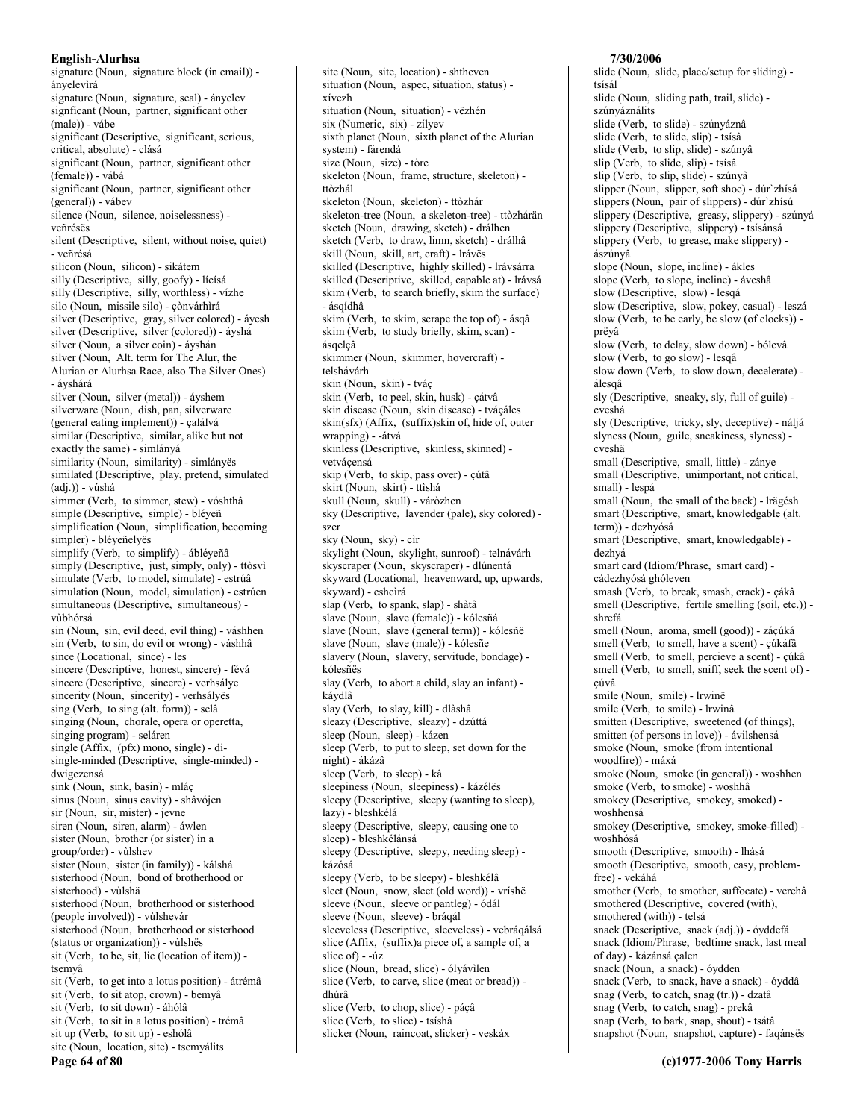signature (Noun, signature block (in email)) ányelevìrá signature (Noun, signature, seal) - ányelev signficant (Noun, partner, significant other (male)) - vábe significant (Descriptive, significant, serious, critical, absolute) - clásá significant (Noun, partner, significant other (female)) - vábá significant (Noun, partner, significant other (general)) - vábev silence (Noun, silence, noiselessness) veñrésës silent (Descriptive, silent, without noise, quiet) - veñrésá silicon (Noun, silicon) - sikátem silly (Descriptive, silly, goofy) - lícísá silly (Descriptive, silly, worthless) - vízhe silo (Noun, missile silo) - çònvárhìrá silver (Descriptive, gray, silver colored) - ávesh silver (Descriptive, silver (colored)) - áyshá silver (Noun, a silver coin) - áyshán silver (Noun, Alt. term for The Alur, the Alurian or Alurhsa Race, also The Silver Ones) - ávshárá silver (Noun, silver (metal)) - áyshem silverware (Noun, dish, pan, silverware (general eating implement)) - çalálvá similar (Descriptive, similar, alike but not exactly the same) - simlányá similarity (Noun, similarity) - simlányës similated (Descriptive, play, pretend, simulated  $(adi.))$  - vúshá simmer (Verb. to simmer, stew) - vóshthâ simple (Descriptive, simple) - bléyeñ simplification (Noun, simplification, becoming simpler) - bléyeñelyës simplify (Verb, to simplify) - ábléveñâ simply (Descriptive, just, simply, only) - ttòsvì simulate (Verb, to model, simulate) - estrúâ simulation (Noun, model, simulation) - estrúen simultaneous (Descriptive, simultaneous) vùbhórsá sin (Noun, sin, evil deed, evil thing) - váshhen sin (Verb, to sin, do evil or wrong) - váshhâ since (Locational, since) - les sincere (Descriptive, honest, sincere) - févá sincere (Descriptive, sincere) - verhsálye sincerity (Noun, sincerity) - verhsályës sing (Verb, to sing (alt. form)) - selâ singing (Noun, chorale, opera or operetta, singing program) - seláren single (Affix, (pfx) mono, single) - disingle-minded (Descriptive, single-minded) dwigezensá sink (Noun, sink, basin) - mláç sinus (Noun, sinus cavity) - shâvójen sir (Noun, sir, mister) - jevne siren (Noun, siren, alarm) - áwlen sister (Noun, brother (or sister) in a group/order) - vùlshev sister (Noun, sister (in family)) - kálshá sisterhood (Noun, bond of brotherhood or sisterhood) - vùlshä sisterhood (Noun, brotherhood or sisterhood (people involved)) - vùlshevár sisterhood (Noun, brotherhood or sisterhood (status or organization)) - vùlshës sit (Verb, to be, sit, lie (location of item)) tsemyâ sit (Verb, to get into a lotus position) - átrémâ sit (Verb, to sit atop, crown) - bemyâ sit (Verb, to sit down) - áhólâ sit (Verb, to sit in a lotus position) - trémâ sit up (Verb, to sit up) - eshólâ site (Noun, location, site) - tsemyálits Page 64 of 80

site (Noun, site, location) - shtheven situation (Noun, aspec, situation, status) xívezh situation (Noun, situation) - vëzhén six (Numeric, six) - zílvev sixth planet (Noun, sixth planet of the Alurian system) - fárendá size (Noun, size) - tòre skeleton (Noun, frame, structure, skeleton) ttòzhál skeleton (Noun, skeleton) - ttòzhár skeleton-tree (Noun, a skeleton-tree) - ttòzhárän sketch (Noun, drawing, sketch) - drálhen sketch (Verb, to draw, limn, sketch) - drálhâ skill (Noun, skill, art, craft) - Irávës skilled (Descriptive, highly skilled) - lrávsárra skilled (Descriptive, skilled, capable at) - Irávsá skim (Verb, to search briefly, skim the surface) - ásgídhâ skim (Verb, to skim, scrape the top of) - ásqâ skim (Verb, to study briefly, skim, scan) ásgelcâ skimmer (Noun, skimmer, hovercraft) telshávárh skin (Noun, skin) - tváç skin (Verb, to peel, skin, husk) - çátvâ skin disease (Noun, skin disease) - tváçáles skin(sfx) (Affix, (suffix)skin of, hide of, outer wrapping) - - átvá skinless (Descriptive, skinless, skinned) vetvácensá skip (Verb, to skip, pass over) - çútâ skirt (Noun, skirt) - ttìshá skull (Noun, skull) - váròzhen sky (Descriptive, lavender (pale), sky colored) szer sky (Noun, sky) - cir skylight (Noun, skylight, sunroof) - telnávárh skyscraper (Noun, skyscraper) - dlúnentá skyward (Locational, heavenward, up, upwards, skyward) - eshcìrá slap (Verb, to spank, slap) - shàtâ slave (Noun, slave (female)) - kólesñá slave (Noun, slave (general term)) - kólesñë slave (Noun, slave (male)) - kólesñe slavery (Noun, slavery, servitude, bondage) kólesñës slay (Verb, to abort a child, slay an infant) káydlâ slay (Verb, to slay, kill) - dlàshâ sleazy (Descriptive, sleazy) - dzúttá sleep (Noun, sleep) - kázen sleep (Verb, to put to sleep, set down for the night) - ákázâ sleep (Verb, to sleep) - kâ sleepiness (Noun, sleepiness) - kázélés sleepy (Descriptive, sleepy (wanting to sleep), lazy) - bleshkélá sleepy (Descriptive, sleepy, causing one to sleep) - bleshkélánsá sleepy (Descriptive, sleepy, needing sleep) kázósá sleepy (Verb, to be sleepy) - bleshkélâ sleet (Noun, snow, sleet (old word)) - vríshë sleeve (Noun, sleeve or pantleg) - ódál sleeve (Noun, sleeve) - bráqál sleeveless (Descriptive, sleeveless) - vebráqálsá slice (Affix, (suffix)a piece of, a sample of, a slice of  $) - iiz$ slice (Noun, bread, slice) - ólyávilen slice (Verb, to carve, slice (meat or bread)) dhúrâ slice (Verb, to chop, slice) - páçâ slice (Verb, to slice) - tsíshâ slicker (Noun, raincoat, slicker) - veskáx

#### 7/30/2006

slide (Noun, slide, place/setup for sliding) tsísál slide (Noun, sliding path, trail, slide) szúnváználits slide (Verb, to slide) - szúnyáznâ slide (Verb, to slide, slip) - tsísâ slide (Verb, to slip, slide) - szúnyâ slip (Verb, to slide, slip) - tsísâ slip (Verb, to slip, slide) - szúnyâ slipper (Noun, slipper, soft shoe) - dúr'zhísá slippers (Noun, pair of slippers) - dúr zhísú slippery (Descriptive, greasy, slippery) - szúnyá slippery (Descriptive, slippery) - tsísánsá slippery (Verb, to grease, make slippery) ászúnyâ slope (Noun, slope, incline) - ákles slope (Verb, to slope, incline) - áveshâ slow (Descriptive, slow) - lesqá slow (Descriptive, slow, pokey, casual) - leszá slow (Verb, to be early, be slow (of clocks)) prëyâ slow (Verb, to delay, slow down) - bólevâ slow (Verb, to go slow) - lesqâ slow down (Verb, to slow down, decelerate) álesgâ sly (Descriptive, sneaky, sly, full of guile) cveshá sly (Descriptive, tricky, sly, deceptive) - náljá slyness (Noun, guile, sneakiness, slyness) cveshä small (Descriptive, small, little) - zánye small (Descriptive, unimportant, not critical, small) - lespá small (Noun, the small of the back) - Irägésh smart (Descriptive, smart, knowledgable (alt. term)) - dezhvósá smart (Descriptive, smart, knowledgable) dezhvá smart card (Idiom/Phrase, smart card) cádezhvósá ghóleven smash (Verb, to break, smash, crack) - çákâ smell (Descriptive, fertile smelling (soil, etc.)) shrefá smell (Noun, aroma, smell (good)) - záçúká smell (Verb, to smell, have a scent) - çúkáfâ smell (Verb, to smell, percieve a scent) - cúkâ smell (Verb, to smell, sniff, seek the scent of) çúvâ smile (Noun, smile) - lrwinë smile (Verb, to smile) - lrwinâ smitten (Descriptive, sweetened (of things), smitten (of persons in love)) - ávilshensá smoke (Noun, smoke (from intentional woodfire)) - máxá smoke (Noun, smoke (in general)) - woshhen smoke (Verb, to smoke) - woshhâ smokey (Descriptive, smokey, smoked) woshhensá smokey (Descriptive, smokey, smoke-filled) woshhósá smooth (Descriptive, smooth) - lhásá smooth (Descriptive, smooth, easy, problemfree) - vekáhá smother (Verb, to smother, suffocate) - verehâ smothered (Descriptive, covered (with), smothered (with)) - telsá snack (Descriptive, snack (adj.)) - óyddefá snack (Idiom/Phrase, bedtime snack, last meal of day) - kázánsá calen snack (Noun, a snack) - óydden snack (Verb, to snack, have a snack) - óyddâ snag (Verb, to catch, snag (tr.)) - dzatâ snag (Verb, to catch, snag) - prekâ snap (Verb, to bark, snap, shout) - tsátâ snapshot (Noun, snapshot, capture) - faqánsës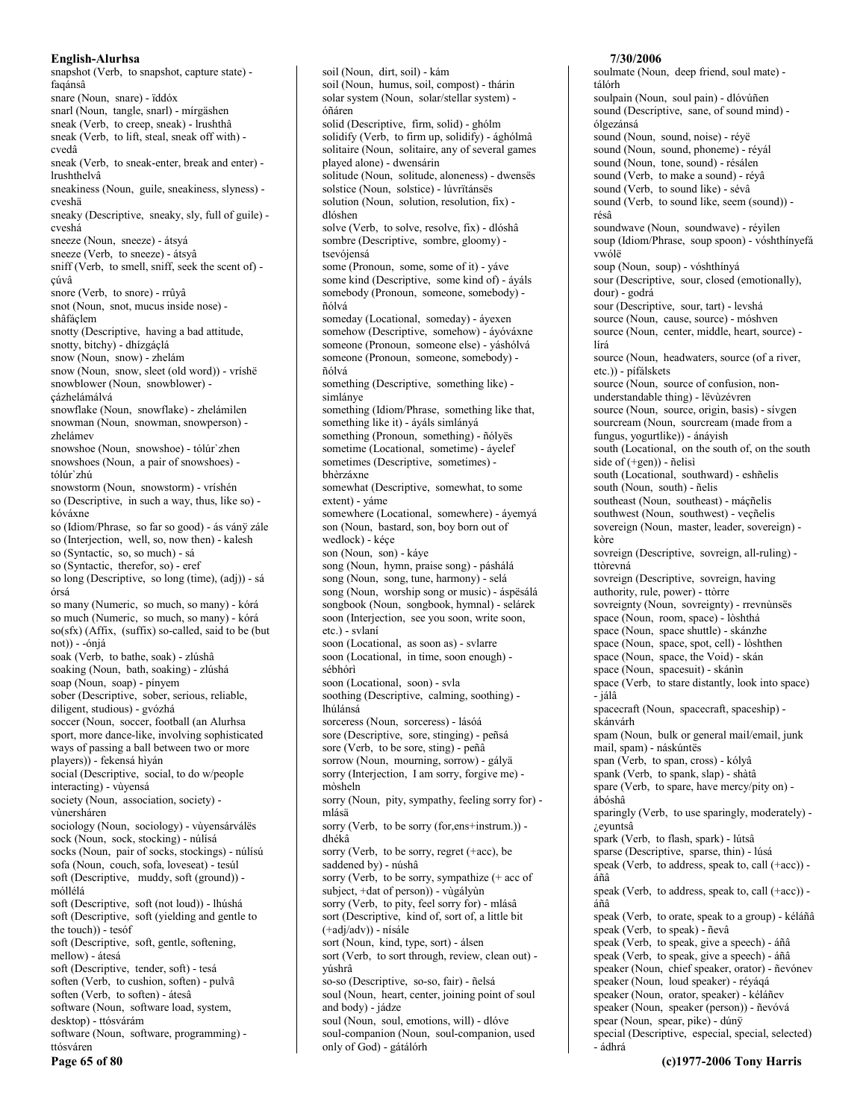snapshot (Verb, to snapshot, capture state) faqánsâ snare (Noun, snare) - ïddóx snarl (Noun, tangle, snarl) - mírgäshen sneak (Verb, to creep, sneak) - lrushthâ sneak (Verb, to lift, steal, sneak off with) cvedâ sneak (Verb, to sneak-enter, break and enter) lrushthelvâ sneakiness (Noun, guile, sneakiness, slyness) cveshä sneaky (Descriptive, sneaky, sly, full of guile) cveshá sneeze (Noun, sneeze) - átsyá sneeze (Verb, to sneeze) - átsyâ sniff (Verb, to smell, sniff, seek the scent of) cúvâ snore (Verb, to snore) - rrûyâ snot (Noun, snot, mucus inside nose) shâfáclem snotty (Descriptive, having a bad attitude, snotty, bitchy) - dhízgáçlá snow (Noun, snow) - zhelám snow (Noun, snow, sleet (old word)) - vríshë snowblower (Noun, snowblower) çázhelámálvá snowflake (Noun, snowflake) - zhelámìlen snowman (Noun, snowman, snowperson) zhelámev snowshoe (Noun, snowshoe) - tólúr zhen snowshoes (Noun, a pair of snowshoes) tólúr`zhú snowstorm (Noun, snowstorm) - vríshén so (Descriptive, in such a way, thus, like so) kóváxne so (Idiom/Phrase, so far so good) - ás váný zále so (Interjection, well, so, now then) - kalesh so (Syntactic, so, so much) - sá so (Syntactic, therefor, so) - eref so long (Descriptive, so long (time), (adj)) - sá órsá so many (Numeric, so much, so many) - kórá so much (Numeric, so much, so many) - kórá so(sfx) (Affix, (suffix) so-called, said to be (but not)) - -ónjá soak (Verb, to bathe, soak) - zlúshâ soaking (Noun, bath, soaking) - zlúshá soap (Noun, soap) - pínyem sober (Descriptive, sober, serious, reliable, diligent, studious) - gvózhá soccer (Noun, soccer, football (an Alurhsa sport, more dance-like, involving sophisticated ways of passing a ball between two or more players)) - fekensá hiyán social (Descriptive, social, to do w/people interacting) - vùyensá society (Noun, association, society) vùnersháren sociology (Noun, sociology) - vùyensárválës sock (Noun, sock, stocking) - núlísá socks (Noun, pair of socks, stockings) - núlísú sofa (Noun, couch, sofa, loveseat) - tesúl soft (Descriptive, muddy, soft (ground)) móllélá soft (Descriptive, soft (not loud)) - lhúshá soft (Descriptive, soft (yielding and gentle to the touch)) - tesóf soft (Descriptive, soft, gentle, softening, mellow) - átesá soft (Descriptive, tender, soft) - tesá soften (Verb, to cushion, soften) - pulvâ soften (Verb, to soften) - átesâ software (Noun, software load, system, desktop) - ttósvárám software (Noun, software, programming) ttósváren Page 65 of 80

soil (Noun, dirt, soil) - kám soil (Noun, humus, soil, compost) - thárin solar system (Noun, solar/stellar system) óñáren solid (Descriptive, firm, solid) - ghólm solidify (Verb, to firm up, solidify) - ághólmâ solitaire (Noun, solitaire, any of several games played alone) - dwensárin solitude (Noun, solitude, aloneness) - dwensës solstice (Noun, solstice) - lúvrïtánsës solution (Noun, solution, resolution, fix) dlóshen solve (Verb, to solve, resolve, fix) - dlóshâ sombre (Descriptive, sombre, gloomy) tsevójensá some (Pronoun, some, some of it) - váve some kind (Descriptive, some kind of) - áyáls somebody (Pronoun, someone, somebody) ñólvá someday (Locational, someday) - áyexen somehow (Descriptive, somehow) - áyóváxne someone (Pronoun, someone else) - yáshólvá someone (Pronoun, someone, somebody) ñólvá something (Descriptive, something like) simlánye something (Idiom/Phrase, something like that, something like it) - áyáls simlányá something (Pronoun, something) - ñólyës sometime (Locational, sometime) - áyelef sometimes (Descriptive, sometimes) bhèrzáxne somewhat (Descriptive, somewhat, to some extent) - váme somewhere (Locational, somewhere) - áyemyá son (Noun, bastard, son, boy born out of wedlock) - kéçe son (Noun, son) - káye song (Noun, hymn, praise song) - páshálá song (Noun, song, tune, harmony) - selá song (Noun, worship song or music) - áspësálá songbook (Noun, songbook, hymnal) - selárek soon (Interjection, see you soon, write soon, etc.) - svlaní soon (Locational, as soon as) - svlarre soon (Locational, in time, soon enough) sébhórì soon (Locational, soon) - svla soothing (Descriptive, calming, soothing) lhúlánsá sorceress (Noun, sorceress) - lásóá sore (Descriptive, sore, stinging) - peñsá sore (Verb, to be sore, sting) - peñâ sorrow (Noun, mourning, sorrow) - gályä sorry (Interjection, I am sorry, forgive me) mòsheln sorry (Noun, pity, sympathy, feeling sorry for) mlásä sorry (Verb, to be sorry (for, ens+instrum.)) dhékâ sorry (Verb, to be sorry, regret (+acc), be saddened by) - núshâ sorry (Verb, to be sorry, sympathize (+ acc of subject, +dat of person)) - vùgályùn sorry (Verb, to pity, feel sorry for) - mlásâ sort (Descriptive, kind of, sort of, a little bit (+adj/adv)) - nísále sort (Noun, kind, type, sort) - álsen sort (Verb, to sort through, review, clean out) yúshrâ so-so (Descriptive, so-so, fair) - ñelsá soul (Noun, heart, center, joining point of soul and body) - jádze soul (Noun, soul, emotions, will) - dlóve soul-companion (Noun, soul-companion, used

only of God) - gátálórh

soulmate (Noun, deep friend, soul mate) tálórh soulpain (Noun. soul pain) - dlóvúñen sound (Descriptive, sane, of sound mind) ólgezánsá sound (Noun, sound, noise) - réyë sound (Noun, sound, phoneme) - révál sound (Noun, tone, sound) - résálen sound (Verb, to make a sound) - révâ sound (Verb, to sound like) - sévâ sound (Verb, to sound like, seem (sound)) résâ soundwave (Noun, soundwave) - réyìlen soup (Idiom/Phrase, soup spoon) - vóshthínyefá vwólë soup (Noun, soup) - vóshthínyá sour (Descriptive, sour, closed (emotionally), dour) - godrá sour (Descriptive, sour, tart) - levshá source (Noun, cause, source) - móshven source (Noun, center, middle, heart, source) lírá source (Noun, headwaters, source (of a river, etc.)) - pífálskets source (Noun, source of confusion, nonunderstandable thing) - lëvùzévren source (Noun, source, origin, basis) - sívgen sourcream (Noun, sourcream (made from a fungus, yogurtlike)) - ánáyish south (Locational, on the south of, on the south side of  $(+gen)$  - ñelisi south (Locational, southward) - eshñelis south (Noun, south) - ñelis southeast (Noun. southeast) - mácñelis southwest (Noun, southwest) - veçñelis sovereign (Noun, master, leader, sovereign) kòre sovreign (Descriptive, sovreign, all-ruling) ttòrevná sovreign (Descriptive, sovreign, having authority, rule, power) - ttòrre sovreignty (Noun, sovreignty) - rrevnùnsës space (Noun, room, space) - lòshthá space (Noun, space shuttle) - skánzhe space (Noun, space, spot, cell) - lòshthen space (Noun, space, the Void) - skán space (Noun, spacesuit) - skánin space (Verb, to stare distantly, look into space) - jálâ spacecraft (Noun, spacecraft, spaceship) skánvárh spam (Noun, bulk or general mail/email, junk mail, spam) - náskúntës span (Verb, to span, cross) - kólyâ spank (Verb, to spank, slap) - shàtâ spare (Verb, to spare, have mercy/pity on) ábóshâ sparingly (Verb, to use sparingly, moderately) *i*.eyuntsâ spark (Verb, to flash, spark) - lútsâ sparse (Descriptive, sparse, thin) - lúsá speak (Verb, to address, speak to, call (+acc)) áñâ speak (Verb, to address, speak to, call (+acc)) áñâ speak (Verb, to orate, speak to a group) - kéláñâ speak (Verb, to speak) - ñevâ speak (Verb, to speak, give a speech) - áñâ speak (Verb, to speak, give a speech) - áñâ speaker (Noun, chief speaker, orator) - ñevónev speaker (Noun, loud speaker) - révágá speaker (Noun, orator, speaker) - kéláñev speaker (Noun, speaker (person)) - ñevóvá spear (Noun, spear, pike) - dúnÿ special (Descriptive, especial, special, selected)

7/30/2006

- ádhrá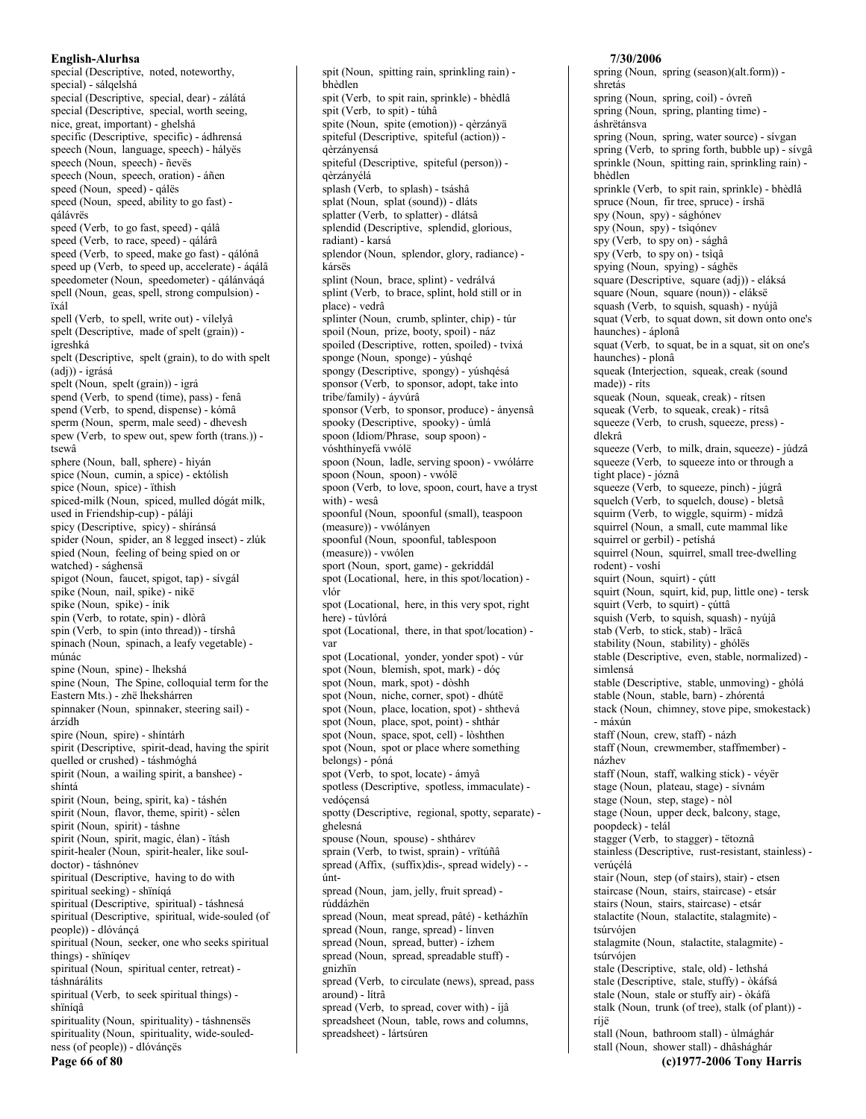special (Descriptive, noted, noteworthy, special) - sálqelshá special (Descriptive, special, dear) - zálátá special (Descriptive, special, worth seeing, nice, great, important) - ghelshá specific (Descriptive, specific) - ádhrensá speech (Noun, language, speech) - hályës speech (Noun, speech) - ñevës speech (Noun, speech, oration) - áñen speed (Noun, speed) - qálës speed (Noun, speed, ability to go fast) gálávrës speed (Verb, to go fast, speed) - qálâ speed (Verb, to race, speed) - qálárâ speed (Verb, to speed, make go fast) - qálónâ speed up (Verb, to speed up, accelerate) - ágálâ speedometer (Noun, speedometer) - qálánváqá spell (Noun, geas, spell, strong compulsion) ïxál spell (Verb, to spell, write out) - vílelyâ spelt (Descriptive, made of spelt (grain)) igreshká spelt (Descriptive, spelt (grain), to do with spelt  $(\dot{a}d\dot{\theta})$  - igrása spelt (Noun, spelt (grain)) - igrá spend (Verb, to spend (time), pass) - fenâ spend (Verb, to spend, dispense) - kómâ sperm (Noun, sperm, male seed) - dhevesh spew (Verb, to spew out, spew forth (trans.)) tsewâ sphere (Noun, ball, sphere) - hìván spice (Noun, cumin, a spice) - ektólish spice (Noun, spice) - ïthish spiced-milk (Noun, spiced, mulled dógát milk, used in Friendship-cup) - páláji spicy (Descriptive, spicy) - shíránsá spider (Noun, spider, an 8 legged insect) - zlúk spied (Noun, feeling of being spied on or watched) - sághensä spigot (Noun, faucet, spigot, tap) - sívgál spike (Noun, nail, spike) - nikë spike (Noun, spike) - inik spin (Verb, to rotate, spin) - dlòrâ spin (Verb, to spin (into thread)) - tírshâ spinach (Noun, spinach, a leafy vegetable) múnác spine (Noun, spine) - lhekshá spine (Noun, The Spine, colloquial term for the Eastern Mts.) - zhë lhekshárren spinnaker (Noun, spinnaker, steering sail) árzídh spire (Noun, spire) - shíntárh spirit (Descriptive, spirit-dead, having the spirit quelled or crushed) - táshmóghá spirit (Noun, a wailing spirit, a banshee) shíntá spirit (Noun, being, spirit, ka) - táshén spirit (Noun, flavor, theme, spirit) - sèlen spirit (Noun, spirit) - táshne spirit (Noun, spirit, magic, élan) - ïtásh spirit-healer (Noun, spirit-healer, like souldoctor) - táshnónev spiritual (Descriptive, having to do with spiritual seeking) - shïníqá spiritual (Descriptive, spiritual) - táshnesá spiritual (Descriptive, spiritual, wide-souled (of people)) - dlóváncá spiritual (Noun, seeker, one who seeks spiritual things) - shïníqev spiritual (Noun, spiritual center, retreat) táshnárálits spiritual (Verb, to seek spiritual things) shïnígâ spirituality (Noun, spirituality) - táshnensës spirituality (Noun, spirituality, wide-souledness (of people)) - dlóvánçës

bhèdlen spit (Verb, to spit rain, sprinkle) - bhèdlâ spit (Verb, to spit) - túhâ spite (Noun, spite (emotion)) - gèrzányä spiteful (Descriptive, spiteful (action)) qèrzányensá spiteful (Descriptive, spiteful (person)) qèrzányélá splash (Verb, to splash) - tsáshâ splat (Noun, splat (sound)) - dláts splatter (Verb, to splatter) - dlátsâ splendid (Descriptive, splendid, glorious, radiant) - karsá splendor (Noun, splendor, glory, radiance) kársës splint (Noun, brace, splint) - vedrálvá splint (Verb, to brace, splint, hold still or in place) - vedrâ splinter (Noun, crumb, splinter, chip) - túr spoil (Noun, prize, booty, spoil) - náz spoiled (Descriptive, rotten, spoiled) - tvixá sponge (Noun, sponge) - yúshqé spongy (Descriptive, spongy) - yúshqésá sponsor (Verb, to sponsor, adopt, take into tribe/family) - áyvúrâ sponsor (Verb, to sponsor, produce) - ányensâ spooky (Descriptive, spooky) - úmlá spoon (Idiom/Phrase, soup spoon) vóshthínyefá vwólë spoon (Noun, ladle, serving spoon) - vwólárre spoon (Noun, spoon) - vwóle spoon (Verb, to love, spoon, court, have a tryst with) - wesâ spoonful (Noun, spoonful (small), teaspoon (measure)) - vwólányen spoonful (Noun, spoonful, tablespoon (measure)) - vwólen sport (Noun, sport, game) - gekriddál spot (Locational, here, in this spot/location) vlór spot (Locational, here, in this very spot, right here) - túvlórá spot (Locational, there, in that spot/location) var spot (Locational, vonder, vonder spot) - vúr spot (Noun, blemish, spot, mark) - dóç spot (Noun, mark, spot) - dòshh spot (Noun, niche, corner, spot) - dhútë spot (Noun, place, location, spot) - shthevá spot (Noun, place, spot, point) - shthár spot (Noun, space, spot, cell) - lòshthen spot (Noun, spot or place where something belongs) - póná spot (Verb, to spot, locate) - ámyâ spotless (Descriptive, spotless, immaculate) vedóçensá spotty (Descriptive, regional, spotty, separate) ghelesná spouse (Noun, spouse) - shthárev sprain (Verb. to twist, sprain) - vrītúñâ spread (Affix, (suffix)dis-, spread widely) - úntspread (Noun, jam, jelly, fruit spread) rúddázhën spread (Noun, meat spread, pâté) - ketházhïn spread (Noun, range, spread) - línven spread (Noun, spread, butter) - ízhem spread (Noun, spread, spreadable stuff) gnizhïn spread (Verb, to circulate (news), spread, pass around) - lítrâ spread (Verb, to spread, cover with) - íjâ spreadsheet (Noun, table, rows and columns,

spreadsheet) - lártsúren

spit (Noun, spitting rain, sprinkling rain) -

### shretás spring (Noun, spring, coil) - óvreñ spring (Noun, spring, planting time) áshrëtánsva spring (Noun, spring, water source) - sívgan spring (Verb, to spring forth, bubble up) - sívgâ sprinkle (Noun, spitting rain, sprinkling rain) bhèdlen sprinkle (Verb, to spit rain, sprinkle) - bhèdlâ spruce (Noun, fir tree, spruce) - írshä spy (Noun, spy) - sághónev spy (Noun, spy) - tsìqónev spy (Verb, to spy on) - sághâ spy (Verb, to spy on) - tsìqâ spying (Noun, spying) - sághës square (Descriptive, square (adj)) - eláksá square (Noun, square (noun)) - eláksë squash (Verb, to squish, squash) - nyújâ squat (Verb, to squat down, sit down onto one's haunches) - áplonâ squat (Verb, to squat, be in a squat, sit on one's haunches) - plonâ squeak (Interjection, squeak, creak (sound made)) - ríts squeak (Noun, squeak, creak) - ritsen squeak (Verb, to squeak, creak) - rítsâ squeeze (Verb, to crush, squeeze, press) dlekrâ squeeze (Verb, to milk, drain, squeeze) - júdzâ squeeze (Verb, to squeeze into or through a tight place) - józnâ squeeze (Verb, to squeeze, pinch) - júgrâ squelch (Verb, to squelch, douse) - bletsâ squirm (Verb, to wiggle, squirm) - mídzâ squirrel (Noun, a small, cute mammal like squirrel or gerbil) - petíshá squirrel (Noun, squirrel, small tree-dwelling rodent) - voshi squirt (Noun, squirt) - çútt squirt (Noun, squirt, kid, pup, little one) - tersk squirt (Verb, to squirt) - cúttâ squish (Verb, to squish, squash) - nyújâ stab (Verb, to stick, stab) - Iräcâ stability (Noun, stability) - ghólës stable (Descriptive, even, stable, normalized) simlensá stable (Descriptive, stable, unmoving) - ghólá stable (Noun, stable, barn) - zhórentá stack (Noun, chimney, stove pipe, smokestack) - máxún staff (Noun, crew, staff) - názh staff (Noun, crewmember, staffmember) názhev staff (Noun, staff, walking stick) - véyër stage (Noun, plateau, stage) - sívnám stage (Noun, step, stage) - nòl stage (Noun, upper deck, balcony, stage, poopdeck) - telál stagger (Verb, to stagger) - tëtoznâ stainless (Descriptive, rust-resistant, stainless) verúçélá stair (Noun, step (of stairs), stair) - etsen staircase (Noun, stairs, staircase) - etsár stairs (Noun, stairs, staircase) - etsár stalactite (Noun, stalactite, stalagmite) tsúrvóien stalagmite (Noun, stalactite, stalagmite) tsúrvójen stale (Descriptive, stale, old) - lethshá stale (Descriptive, stale, stuffy) - òkáfsá stale (Noun, stale or stuffy air) - òkáfá stalk (Noun, trunk (of tree), stalk (of plant)) ríjë stall (Noun, bathroom stall) - ùlmághár stall (Noun, shower stall) - dhâshághár (c)1977-2006 Tony Harris

7/30/2006

spring (Noun, spring (season)(alt.form)) -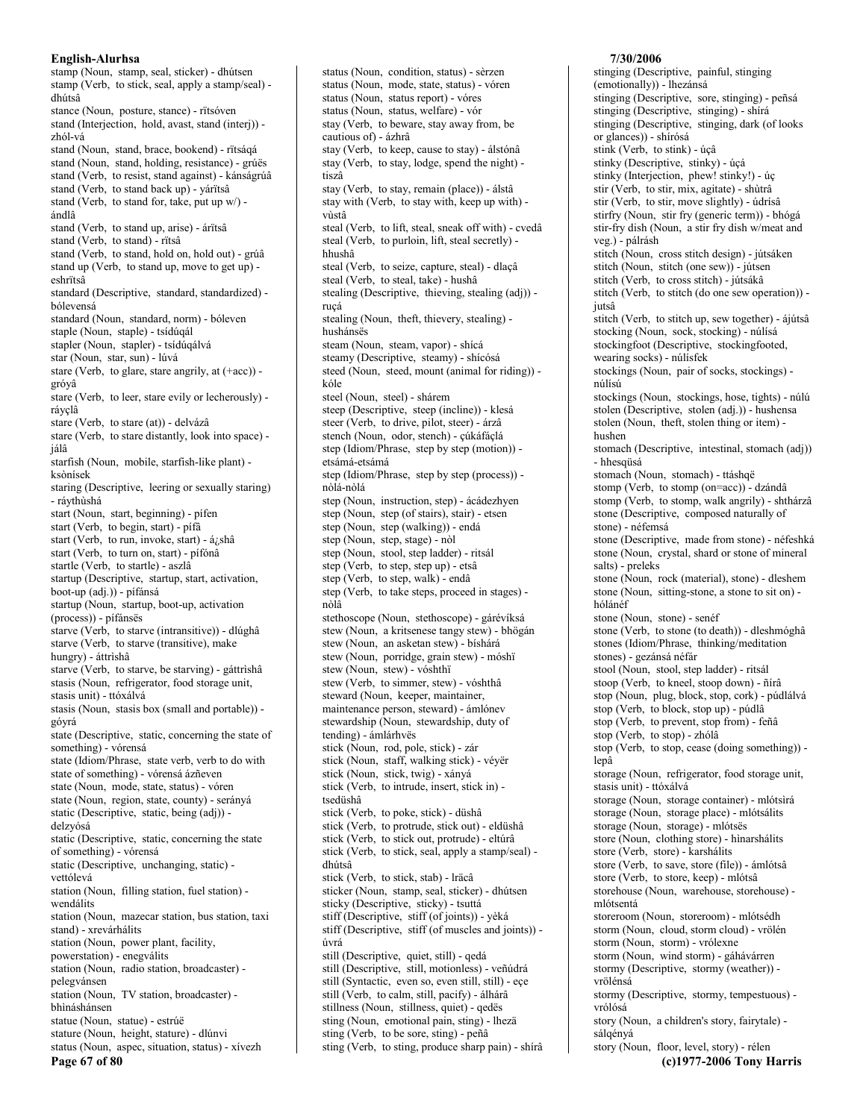stamp (Noun, stamp, seal, sticker) - dhútsen stamp (Verb, to stick, seal, apply a stamp/seal) dhútsâ stance (Noun, posture, stance) - rïtsóven stand (Interjection, hold, avast, stand (interj)) zhól-vá stand (Noun, stand, brace, bookend) - rïtsáqá stand (Noun, stand, holding, resistance) - grúës stand (Verb, to resist, stand against) - kánságrúâ stand (Verb, to stand back up) - yárïtsâ stand (Verb, to stand for, take, put up w/) ándlâ stand (Verb, to stand up, arise) - árïtsâ stand (Verb, to stand) - rïtsâ stand (Verb, to stand, hold on, hold out) - grúâ stand up (Verb, to stand up, move to get up) eshrïtsâ standard (Descriptive, standard, standardized) bólevensá standard (Noun, standard, norm) - bóleven staple (Noun, staple) - tsídúqál stapler (Noun, stapler) - tsídúqálvá star (Noun, star, sun) - lúvá stare (Verb, to glare, stare angrily, at (+acc)) gróyâ stare (Verb, to leer, stare evily or lecherously) rávclâ stare (Verb, to stare (at)) - delvázâ stare (Verb, to stare distantly, look into space) jálâ starfish (Noun, mobile, starfish-like plant) ksònísek staring (Descriptive, leering or sexually staring) - rávthùshá start (Noun, start, beginning) - pífen start (Verb, to begin, start) - pífâ start (Verb, to run, invoke, start) - á¿shâ start (Verb, to turn on, start) - pífónâ startle (Verb, to startle) - aszlâ startup (Descriptive, startup, start, activation, boot-up (adj.)) - pífánsá startup (Noun, startup, boot-up, activation (process)) - pífánsës starve (Verb, to starve (intransitive)) - dlúghâ starve (Verb, to starve (transitive), make hungry) - áttrìshâ starve (Verb, to starve, be starving) - gáttrìshâ stasis (Noun, refrigerator, food storage unit, stasis unit) - ttóxálvá stasis (Noun, stasis box (small and portable)) góvrá state (Descriptive, static, concerning the state of something) - vórensá state (Idiom/Phrase, state verb, verb to do with state of something) - vórensá ázñeven state (Noun, mode, state, status) - vóren state (Noun, region, state, county) - serányá static (Descriptive, static, being (adj)) delzvósá static (Descriptive, static, concerning the state of something) - vórensá static (Descriptive, unchanging, static) vettólevá station (Noun, filling station, fuel station) wendálits station (Noun, mazecar station, bus station, taxi stand) - xrevárhálits station (Noun, power plant, facility, powerstation) - enegválits station (Noun, radio station, broadcaster) pelegvánsen station (Noun, TV station, broadcaster) bhìnáshánsen statue (Noun, statue) - estrúë stature (Noun, height, stature) - dlúnvi status (Noun, aspec, situation, status) - xívezh

status (Noun, mode, state, status) - vóren status (Noun, status report) - vóres status (Noun, status, welfare) - vór stay (Verb, to beware, stay away from, be cautious of) - ázhrâ stay (Verb, to keep, cause to stay) - álstónâ stay (Verb, to stay, lodge, spend the night) tiszâ stay (Verb, to stay, remain (place)) - álstâ stay with (Verb, to stay with, keep up with) vùstâ steal (Verb, to lift, steal, sneak off with) - cvedâ steal (Verb, to purloin, lift, steal secretly) hhushâ steal (Verb, to seize, capture, steal) - dlacâ steal (Verb, to steal, take) - hushâ stealing (Descriptive, thieving, stealing (adj)) rucá stealing (Noun, theft, thievery, stealing) hushánsës steam (Noun, steam, vapor) - shícá steamy (Descriptive, steamy) - shícósá steed (Noun, steed, mount (animal for riding)) kóle steel (Noun, steel) - shárem steep (Descriptive, steep (incline)) - klesá steer (Verb, to drive, pilot, steer) - árzâ stench (Noun, odor, stench) - çúkáfáçlá step (Idiom/Phrase, step by step (motion)) etsámá-etsámá step (Idiom/Phrase, step by step (process)) nòlá-nòlá step (Noun, instruction, step) - ácádezhyen step (Noun, step (of stairs), stair) - etsen step (Noun, step (walking)) - endá step (Noun, step, stage) - nòl step (Noun, stool, step ladder) - ritsál step (Verb, to step, step up) - etsâ step (Verb, to step, walk) - endâ step (Verb, to take steps, proceed in stages) nòlâ stethoscope (Noun, stethoscope) - gárévíksá stew (Noun, a kritsenese tangy stew) - bhögán stew (Noun, an asketan stew) - bíshárá stew (Noun, porridge, grain stew) - móshï stew (Noun, stew) - vóshthï stew (Verb, to simmer, stew) - vóshthâ steward (Noun, keeper, maintainer, maintenance person, steward) - ámlónev stewardship (Noun, stewardship, duty of tending) - ámlárhvës stick (Noun, rod, pole, stick) - zár stick (Noun, staff, walking stick) - véyër stick (Noun, stick, twig) - xányá stick (Verb, to intrude, insert, stick in) tsedüshâ stick (Verb, to poke, stick) - düshâ stick (Verb, to protrude, stick out) - eldüshâ stick (Verb, to stick out, protrude) - eltúrâ stick (Verb, to stick, seal, apply a stamp/seal) dhútsâ stick (Verb, to stick, stab) - Iräcâ sticker (Noun, stamp, seal, sticker) - dhútsen sticky (Descriptive, sticky) - tsuttá stiff (Descriptive, stiff (of joints)) - yèká stiff (Descriptive, stiff (of muscles and joints)) úvrá still (Descriptive, quiet, still) - qedá still (Descriptive, still, motionless) - veñúdrá still (Syntactic, even so, even still, still) - eçe still (Verb, to calm, still, pacify) - álhárâ stillness (Noun, stillness, quiet) - qedës sting (Noun, emotional pain, sting) - lhezä sting (Verb, to be sore, sting) - peñâ

status (Noun, condition, status) - sèrzen

(emotionally)) - lhezánsá stinging (Descriptive, sore, stinging) - peñsá stinging (Descriptive, stinging) - shírá stinging (Descriptive, stinging, dark (of looks or glances)) - shírósá stink (Verb, to stink) - úçâ stinky (Descriptive, stinky) - úçá stinky (Interjection, phew! stinky!) - úç stir (Verb, to stir, mix, agitate) - shùtrâ stir (Verb, to stir, move slightly) - údrísâ stirfry (Noun, stir fry (generic term)) - bhógá stir-fry dish (Noun, a stir fry dish w/meat and veg.) - pálrásh stitch (Noun, cross stitch design) - jútsáken stitch (Noun, stitch (one sew)) - jútsen stitch (Verb, to cross stitch) - jútsákâ stitch (Verb, to stitch (do one sew operation)) jutsâ stitch (Verb, to stitch up, sew together) - ájútsâ stocking (Noun, sock, stocking) - núlísá stockingfoot (Descriptive, stockingfooted, wearing socks) - núlísfek stockings (Noun, pair of socks, stockings) núlísú stockings (Noun, stockings, hose, tights) - núlú stolen (Descriptive, stolen (adj.)) - hushensa stolen (Noun, theft, stolen thing or item) hushen stomach (Descriptive, intestinal, stomach (adj)) - hhesqüsá stomach (Noun, stomach) - ttáshqë stomp (Verb, to stomp (on=acc)) - dzándâ stomp (Verb, to stomp, walk angrily) - shthárzâ stone (Descriptive, composed naturally of stone) - néfemsá stone (Descriptive, made from stone) - néfeshká stone (Noun, crystal, shard or stone of mineral salts) - preleks stone (Noun, rock (material), stone) - dleshem stone (Noun, sitting-stone, a stone to sit on) hólánéf stone (Noun, stone) - senéf stone (Verb, to stone (to death)) - dleshmóghâ stones (Idiom/Phrase, thinking/meditation stones) - gezánsá néfár stool (Noun, stool, step ladder) - ritsál stoop (Verb, to kneel, stoop down) - ñírâ stop (Noun, plug, block, stop, cork) - púdlálvá stop (Verb, to block, stop up) - púdlâ stop (Verb, to prevent, stop from) - feñâ stop (Verb, to stop) - zhólâ stop (Verb, to stop, cease (doing something)) lepâ storage (Noun, refrigerator, food storage unit, stasis unit) - ttóxálvá storage (Noun, storage container) - mlótsìrá storage (Noun, storage place) - mlótsálits storage (Noun, storage) - mlótsës store (Noun, clothing store) - hìnarshalits store (Verb, store) - karshálits store (Verb, to save, store (file)) - ámlótsâ store (Verb, to store, keep) - mlótsâ storehouse (Noun, warehouse, storehouse) mlótsentá storeroom (Noun, storeroom) - mlótsédh storm (Noun, cloud, storm cloud) - vrölén storm (Noun, storm) - vrólexne storm (Noun, wind storm) - gáhávárren stormy (Descriptive, stormy (weather)) vrölénsá stormy (Descriptive, stormy, tempestuous) vrólósá story (Noun, a children's story, fairytale) sálgényá

story (Noun, floor, level, story) - rélen

(c)1977-2006 Tony Harris

7/30/2006

stinging (Descriptive, painful, stinging

sting (Verb, to sting, produce sharp pain) - shírâ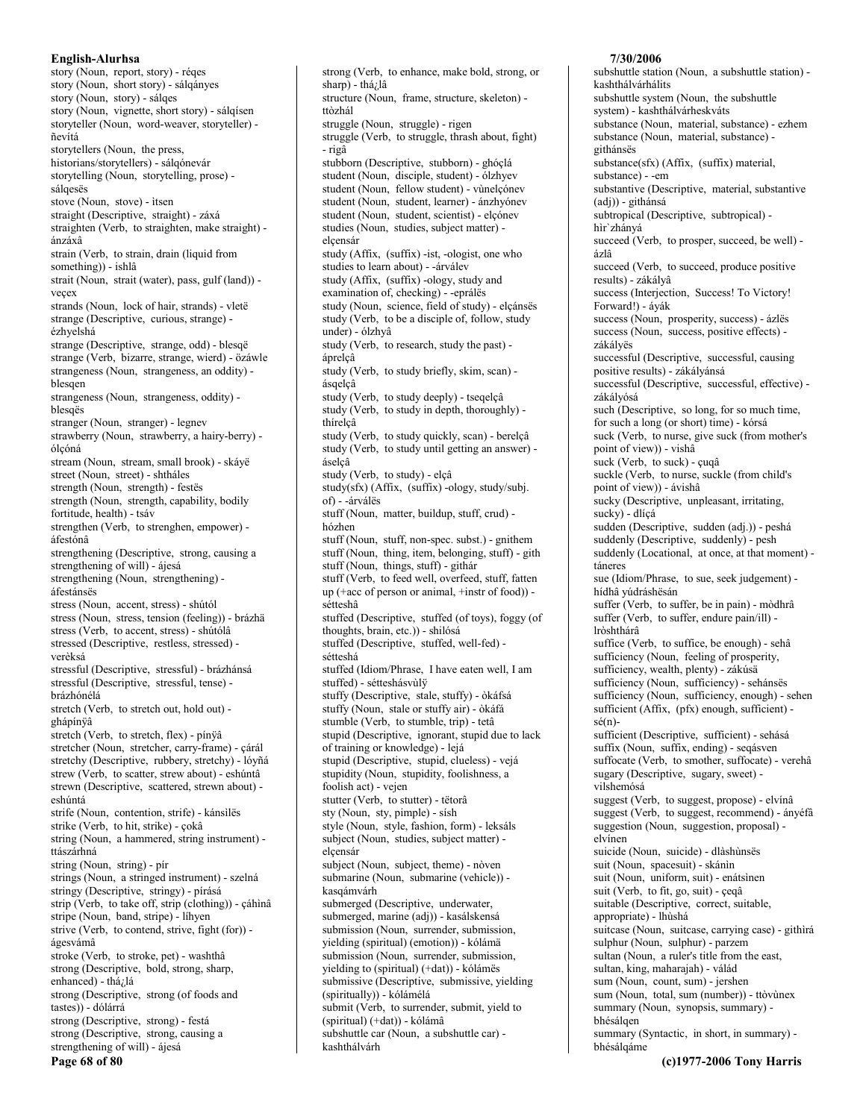story (Noun, report, story) - réqes story (Noun, short story) - sálqányes story (Noun, story) - sálges story (Noun, vignette, short story) - sálqísen storyteller (Noun, word-weaver, storyteller) ñevítá storytellers (Noun, the press, historians/storytellers) - sálqónevár storytelling (Noun, storytelling, prose) sálgesës stove (Noun, stove) - itsen straight (Descriptive, straight) - záxá straighten (Verb, to straighten, make straight) ánzáxâ strain (Verb, to strain, drain (liquid from something)) - ishlâ strait (Noun, strait (water), pass, gulf (land)) vecex strands (Noun, lock of hair, strands) - vletë strange (Descriptive, curious, strange) ézhyelshá strange (Descriptive, strange, odd) - blesqë strange (Verb, bizarre, strange, wierd) - özáwle strangeness (Noun, strangeness, an oddity) blesaen strangeness (Noun, strangeness, oddity) blesqës stranger (Noun, stranger) - legnev strawberry (Noun, strawberry, a hairy-berry) ólcóná stream (Noun, stream, small brook) - skávë street (Noun, street) - shtháles strength (Noun, strength) - festës strength (Noun, strength, capability, bodily fortitude, health) - tsáv strengthen (Verb, to strenghen, empower) áfestónâ strengthening (Descriptive, strong, causing a strengthening of will) - ájesá strengthening (Noun, strengthening) áfestánsës stress (Noun, accent, stress) - shútól stress (Noun, stress, tension (feeling)) - brázhä stress (Verb, to accent, stress) - shútólâ stressed (Descriptive, restless, stressed) verèksá stressful (Descriptive, stressful) - brázhánsá stressful (Descriptive, stressful, tense) brázhónélá stretch (Verb, to stretch out, hold out) ghápínÿâ stretch (Verb, to stretch, flex) - pínÿâ stretcher (Noun, stretcher, carry-frame) - çárál stretchy (Descriptive, rubbery, stretchy) - lóyñá strew (Verb, to scatter, strew about) - eshúntâ strewn (Descriptive, scattered, strewn about) eshúntá strife (Noun, contention, strife) - kánsìlës strike (Verb, to hit, strike) - çokâ string (Noun, a hammered, string instrument) ttászárhná string (Noun, string) - pir strings (Noun, a stringed instrument) - szelná stringy (Descriptive, stringy) - pírásá strip (Verb, to take off, strip (clothing)) - çáhìnâ stripe (Noun, band, stripe) - líhyen strive (Verb, to contend, strive, fight (for)) ágesvámâ stroke (Verb., to stroke, pet) - washthâ strong (Descriptive, bold, strong, sharp, enhanced) - thá¿lá strong (Descriptive, strong (of foods and tastes)) - dólárrá strong (Descriptive, strong) - festá strong (Descriptive, strong, causing a strengthening of will) - ájesá Page 68 of 80

structure (Noun, frame, structure, skeleton) ttòzhál struggle (Noun, struggle) - rigen struggle (Verb, to struggle, thrash about, fight) - rigâ stubborn (Descriptive, stubborn) - ghóçlá student (Noun, disciple, student) - ólzhyev student (Noun, fellow student) - vùnelçónev student (Noun, student, learner) - ánzhyónev student (Noun, student, scientist) - elcónev studies (Noun, studies, subject matter) elcensár study (Affix, (suffix) -ist, -ologist, one who studies to learn about) - - árválev study (Affix, (suffix) -ology, study and examination of, checking) - -eprálës study (Noun, science, field of study) - elçánsës study (Verb, to be a disciple of, follow, study under) - ólzhyâ study (Verb, to research, study the past) áprelçâ study (Verb, to study briefly, skim, scan) ásqelçâ study (Verb, to study deeply) - tseqelçâ study (Verb, to study in depth, thoroughly) thírelcâ study (Verb, to study quickly, scan) - berelçâ study (Verb, to study until getting an answer) áselcâ study (Verb, to study) - elçâ study(sfx) (Affix, (suffix) -ology, study/subj. of) - - árválës stuff (Noun, matter, buildup, stuff, crud) hózhen stuff (Noun, stuff, non-spec. subst.) - gnithem stuff (Noun, thing, item, belonging, stuff) - gith stuff (Noun, things, stuff) - githár stuff (Verb. to feed well, overfeed, stuff, fatten up (+acc of person or animal, +instr of food)) sétteshâ stuffed (Descriptive, stuffed (of toys), foggy (of thoughts, brain, etc.)) - shilósá stuffed (Descriptive, stuffed, well-fed) sétteshá stuffed (Idiom/Phrase, I have eaten well, I am stuffed) - sétteshásvùlÿ stuffy (Descriptive, stale, stuffy) - òkáfsá stuffy (Noun, stale or stuffy air) - òkáfá stumble (Verb, to stumble, trip) - tetâ stupid (Descriptive, ignorant, stupid due to lack of training or knowledge) - lejá stupid (Descriptive, stupid, clueless) - vejá stupidity (Noun, stupidity, foolishness, a foolish act) - vejen stutter (Verb, to stutter) - tëtorâ sty (Noun, sty, pimple) - sísh style (Noun, style, fashion, form) - leksáls subject (Noun, studies, subject matter) elcensár subject (Noun, subject, theme) - nòven submarine (Noun, submarine (vehicle)) kasqámvárh submerged (Descriptive, underwater, submerged, marine (adj)) - kasálskensá submission (Noun, surrender, submission, yielding (spiritual) (emotion)) - kólámä submission (Noun, surrender, submission, yielding to (spiritual) (+dat)) - kólámës submissive (Descriptive, submissive, yielding (spiritually)) - kólámélá submit (Verb, to surrender, submit, yield to (spiritual) (+dat)) - kólámâ

strong (Verb, to enhance, make bold, strong, or

sharp) - thá¿lâ

subshuttle car (Noun, a subshuttle car) kashthálvárh

#### 7/30/2006

subshuttle station (Noun, a subshuttle station) kashthálvárhálits subshuttle system (Noun, the subshuttle system) - kashthálvárheskváts substance (Noun, material, substance) - ezhem substance (Noun, material, substance) githánsës substance(sfx) (Affix, (suffix) material, substance) - -em substantive (Descriptive, material, substantive  $(adj))$  - githánsá subtropical (Descriptive, subtropical) hìr'zhányá succeed (Verb, to prosper, succeed, be well) ázlâ succeed (Verb, to succeed, produce positive results) - zákályâ success (Interjection, Success! To Victory! Forward!) - áyák success (Noun, prosperity, success) - ázlës success (Noun, success, positive effects) zákályës successful (Descriptive, successful, causing positive results) - zákályánsá successful (Descriptive, successful, effective) zákályósá such (Descriptive, so long, for so much time, for such a long (or short) time) - kórsá suck (Verb, to nurse, give suck (from mother's point of view)) - vishâ suck (Verb, to suck) - cuqâ suckle (Verb, to nurse, suckle (from child's point of view)) - ávishâ sucky (Descriptive, unpleasant, irritating, sucky) - dlíçá sudden (Descriptive, sudden (adj.)) - peshá suddenly (Descriptive, suddenly) - pesh suddenly (Locational, at once, at that moment) táneres sue (Idiom/Phrase, to sue, seek judgement) hídhâ yúdráshësán suffer (Verb, to suffer, be in pain) - mòdhrâ suffer (Verb, to suffer, endure pain/ill) lròshthárâ suffice (Verb, to suffice, be enough) - sehâ sufficiency (Noun, feeling of prosperity, sufficiency, wealth, plenty) - zákúsä sufficiency (Noun, sufficiency) - sehánsës sufficiency (Noun, sufficiency, enough) - sehen sufficient (Affix, (pfx) enough, sufficient)  $s\acute{e}(n)$ sufficient (Descriptive, sufficient) - sehásá suffix (Noun, suffix, ending) - seqásven suffocate (Verb, to smother, suffocate) - verehâ sugary (Descriptive, sugary, sweet) vilshemósá suggest (Verb, to suggest, propose) - elvínâ suggest (Verb, to suggest, recommend) - ányéfâ suggestion (Noun, suggestion, proposal) elvínen suicide (Noun, suicide) - dlàshùnsës suit (Noun, spacesuit) - skánìn suit (Noun, uniform, suit) - enátsinen suit (Verb, to fit, go, suit) - çeqâ suitable (Descriptive, correct, suitable, appropriate) - lhùshá suitcase (Noun, suitcase, carrying case) - githìrá sulphur (Noun, sulphur) - parzem sultan (Noun, a ruler's title from the east, sultan, king, maharajah) - válád sum (Noun, count, sum) - jershen sum (Noun, total, sum (number)) - ttòvùnex summary (Noun, synopsis, summary) bhésálgen summary (Syntactic, in short, in summary) bhésálqáme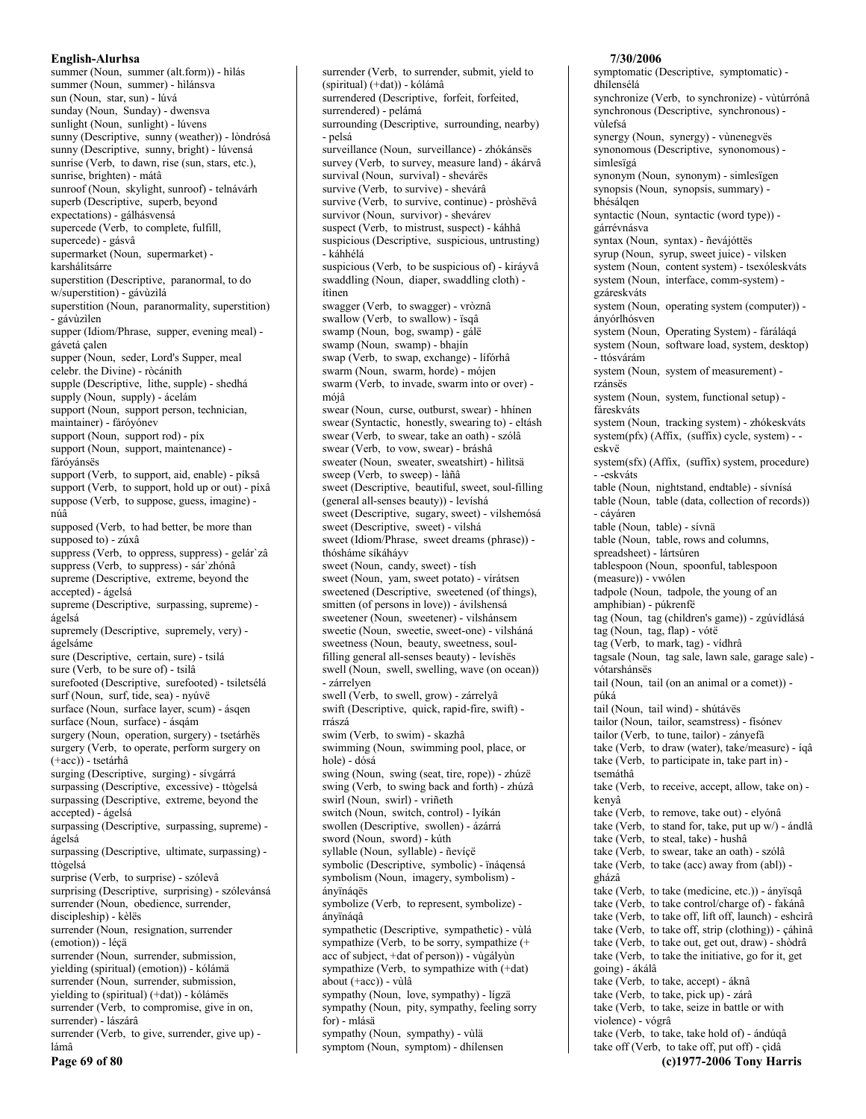summer (Noun, summer (alt.form)) - hilás summer (Noun, summer) - hìlánsva sun (Noun. star. sun) - lúvá sunday (Noun, Sunday) - dwensva sunlight (Noun, sunlight) - lúvens sunny (Descriptive, sunny (weather)) - lòndrósá sunny (Descriptive, sunny, bright) - lúvensá sunrise (Verb, to dawn, rise (sun, stars, etc.), sunrise, brighten) - mátâ sunroof (Noun, skylight, sunroof) - telnávárh superb (Descriptive, superb, beyond expectations) - gálhásvensá supercede (Verb, to complete, fulfill, supercede) - gásvâ supermarket (Noun, supermarket) karshálitsárre superstition (Descriptive, paranormal, to do w/superstition) - gávùzìlá superstition (Noun, paranormality, superstition) - gávùzilen supper (Idiom/Phrase, supper, evening meal) gávetá çalen supper (Noun, seder, Lord's Supper, meal celebr. the Divine) - ròcánith supple (Descriptive, lithe, supple) - shedhá supply (Noun, supply) - ácelám support (Noun, support person, technician, maintainer) - fáróyónev support (Noun, support rod) - píx support (Noun, support, maintenance) fáróvánsës support (Verb, to support, aid, enable) - píksâ support (Verb, to support, hold up or out) - píxâ suppose (Verb, to suppose, guess, imagine) núâ supposed (Verb, to had better, be more than supposed to) - zúxâ suppress (Verb, to oppress, suppress) - gelár`zâ suppress (Verb, to suppress) - sár'zhónâ supreme (Descriptive, extreme, beyond the accepted) - ágelsá supreme (Descriptive, surpassing, supreme) ágelsá supremely (Descriptive, supremely, very) ágelsáme sure (Descriptive, certain, sure) - tsilá sure (Verb, to be sure of) - tsilâ surefooted (Descriptive, surefooted) - tsiletsélá surf (Noun, surf, tide, sea) - nyúvë surface (Noun, surface layer, scum) - ásqen surface (Noun, surface) - ásqám surgery (Noun, operation, surgery) - tsetárhës surgery (Verb, to operate, perform surgery on  $(+acc)$ ) - tsetárhâ surging (Descriptive, surging) - sívgárrá surpassing (Descriptive, excessive) - ttògelsá surpassing (Descriptive, extreme, beyond the accepted) - ágelsá surpassing (Descriptive, surpassing, supreme) ágelsá surpassing (Descriptive, ultimate, surpassing) ttògelsá surprise (Verb, to surprise) - szólevâ surprising (Descriptive, surprising) - szólevánsá surrender (Noun, obedience, surrender, discipleship) - kèlës surrender (Noun, resignation, surrender (emotion)) - léçä surrender (Noun, surrender, submission, yielding (spiritual) (emotion)) - kólámä surrender (Noun, surrender, submission, yielding to (spiritual) (+dat)) - kólámës surrender (Verb, to compromise, give in on, surrender) - lászárâ surrender (Verb, to give, surrender, give up) lámâ Page 69 of 80

surrender (Verb, to surrender, submit, yield to (spiritual) (+dat)) - kólámâ surrendered (Descriptive, forfeit, forfeited, surrendered) - pelámá surrounding (Descriptive, surrounding, nearby) - pelsá surveillance (Noun, surveillance) - zhókánsës survey (Verb, to survey, measure land) - ákárvâ survival (Noun, survival) - shevárës survive (Verb, to survive) - shevárâ survive (Verb, to survive, continue) - pròshëvâ survivor (Noun, survivor) - shevárev suspect (Verb, to mistrust, suspect) - káhhâ suspicious (Descriptive, suspicious, untrusting) - káhhélá suspicious (Verb, to be suspicious of) - kiráyvâ swaddling (Noun, diaper, swaddling cloth) ítìnen swagger (Verb, to swagger) - vròznâ swallow (Verb, to swallow) - isq $\hat{a}$ swamp (Noun, bog, swamp) - gálë swamp (Noun, swamp) - bhajín swap (Verb, to swap, exchange) - lífórhâ swarm (Noun, swarm, horde) - mójen swarm (Verb, to invade, swarm into or over) mójâ swear (Noun, curse, outburst, swear) - hhínen swear (Syntactic, honestly, swearing to) - eltásh swear (Verb, to swear, take an oath) - szólâ swear (Verb, to vow, swear) - bráshâ sweater (Noun, sweater, sweatshirt) - hilitsä sweep (Verb, to sweep) - làñâ sweet (Descriptive, beautiful, sweet, soul-filling (general all-senses beauty)) - levíshá sweet (Descriptive, sugary, sweet) - vilshemósá sweet (Descriptive, sweet) - vilshá sweet (Idiom/Phrase, sweet dreams (phrase)) thósháme síkáhávv sweet (Noun, candy, sweet) - tísh sweet (Noun, yam, sweet potato) - vírátsen sweetened (Descriptive, sweetened (of things), smitten (of persons in love)) - ávilshensá sweetener (Noun, sweetener) - vilshánsem sweetie (Noun, sweetie, sweet-one) - vilsháná sweetness (Noun, beauty, sweetness, soulfilling general all-senses beauty) - levíshës swell (Noun, swell, swelling, wave (on ocean)) - zárrelyen swell (Verb, to swell, grow) - zárrelyâ swift (Descriptive, quick, rapid-fire, swift) rrászá swim (Verb, to swim) - skazhâ swimming (Noun, swimming pool, place, or hole) - dósá swing (Noun, swing (seat, tire, rope)) - zhúzë swing (Verb, to swing back and forth) - zhúzâ swirl (Noun, swirl) - vriñeth switch (Noun, switch, control) - lyíkán swollen (Descriptive, swollen) - ázárrá sword (Noun, sword) - kúth syllable (Noun, syllable) - ñevícë symbolic (Descriptive, symbolic) - ïnáqensá symbolism (Noun, imagery, symbolism) ányïnáqës symbolize (Verb, to represent, symbolize) ányïnáqâ sympathetic (Descriptive, sympathetic) - vùlá sympathize (Verb, to be sorry, sympathize  $(+)$ acc of subject, +dat of person)) - vùgályùn sympathize (Verb, to sympathize with (+dat) about (+acc)) - vùlâ sympathy (Noun, love, sympathy) - lígzä sympathy (Noun, pity, sympathy, feeling sorry for) - mlásä sympathy (Noun, sympathy) - vùlä symptom (Noun, symptom) - dhílensen

### symptomatic (Descriptive, symptomatic) dhílensélá synchronize (Verb. to synchronize) - vùtúrrónâ synchronous (Descriptive, synchronous) vilefsá synergy (Noun, synergy) - vùnenegvës synonomous (Descriptive, synonomous) simlesïgá synonym (Noun, synonym) - simlesïgen synopsis (Noun, synopsis, summary) bhésálgen syntactic (Noun, syntactic (word type)) gárrévnásva syntax (Noun, syntax) - ñevájóttës syrup (Noun, syrup, sweet juice) - vilsken system (Noun, content system) - tsexóleskváts system (Noun, interface, comm-system) gzáreskváts system (Noun, operating system (computer)) ányórlhósven system (Noun, Operating System) - fáráláqá system (Noun, software load, system, desktop) - ttósvárám system (Noun, system of measurement) rzánsës system (Noun, system, functional setup) fáreskváts system (Noun, tracking system) - zhókeskváts system(pfx) (Affix, (suffix) cycle, system) - eskvë system $(sfx)$  (Affix,  $(suffix)$  system, procedure) - -eskváts table (Noun, nightstand, endtable) - sívnísá table (Noun, table (data, collection of records)) - cáváren table (Noun, table) - sívnä table (Noun, table, rows and columns, spreadsheet) - lártsúren tablespoon (Noun, spoonful, tablespoon (measure)) - vwólen tadpole (Noun, tadpole, the young of an amphibian) - púkrenfë tag (Noun, tag (children's game)) - zgúvídlásá tag (Noun, tag, flap) - vótë tag (Verb, to mark, tag) - vídhrâ tagsale (Noun, tag sale, lawn sale, garage sale) vótarshánsës tail (Noun, tail (on an animal or a comet)) púká tail (Noun, tail wind) - shútávës tailor (Noun, tailor, seamstress) - fisónev tailor (Verb, to tune, tailor) - zányefâ take (Verb, to draw (water), take/measure) - íqâ take (Verb, to participate in, take part in) tsemáthâ take (Verb, to receive, accept, allow, take on) kenyâ take (Verb, to remove, take out) - elyónâ take (Verb, to stand for, take, put up w/) - ándlâ take (Verb, to steal, take) - hushâ take (Verb, to swear, take an oath) - szólâ take (Verb, to take (acc) away from (abl)) gházâ take (Verb, to take (medicine, etc.)) - ányïsqâ take (Verb, to take control/charge of) - fakánâ take (Verb, to take off, lift off, launch) - eshcìrâ take (Verb, to take off, strip (clothing)) - çáhìnâ take (Verb, to take out, get out, draw) - shòdrâ take (Verb, to take the initiative, go for it, get going) - ákálâ take (Verb, to take, accept) - áknâ take (Verb, to take, pick up) - zárâ take (Verb, to take, seize in battle or with violence) - vógrâ take (Verb, to take, take hold of) - ándúqâ take off (Verb, to take off, put off) - çìdâ (c)1977-2006 Tony Harris

7/30/2006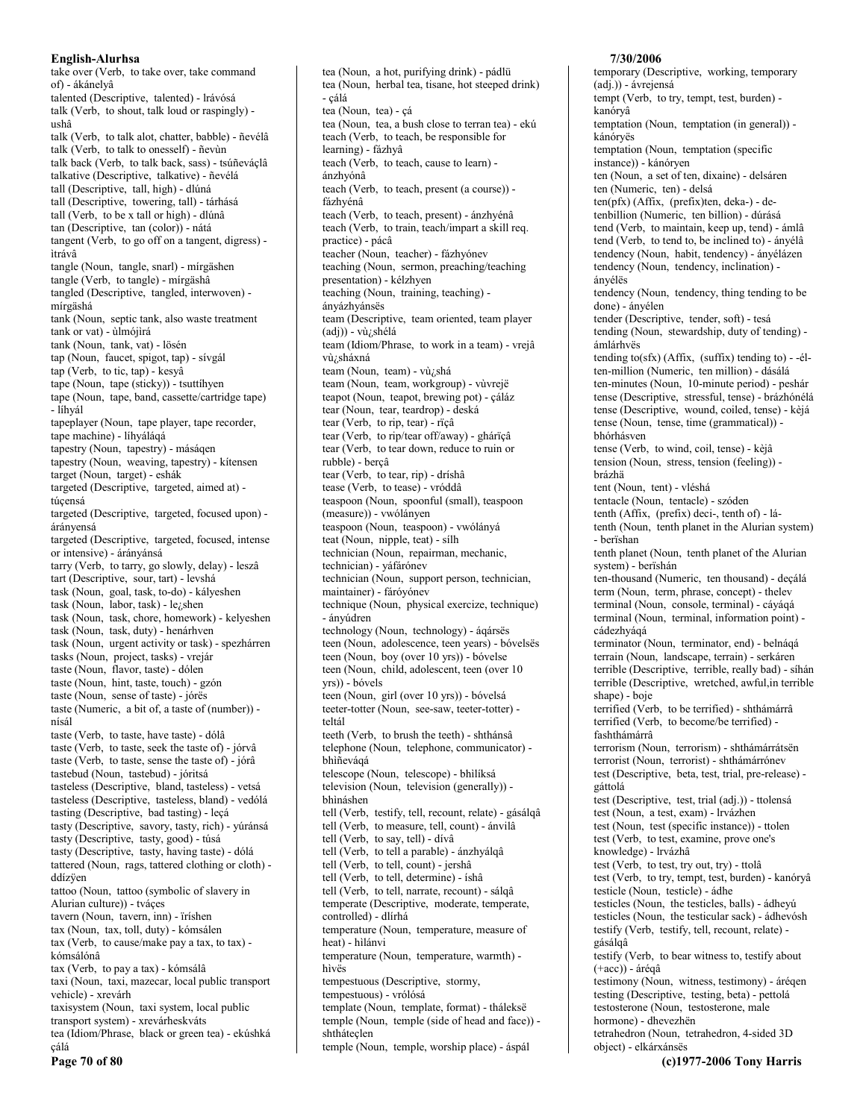take over (Verb, to take over, take command of) - ákánelyâ talented (Descriptive, talented) - Irávósá talk (Verb, to shout, talk loud or raspingly) ushâ talk (Verb, to talk alot, chatter, babble) - ñevélâ talk (Verb, to talk to onesself) - ñevùn talk back (Verb, to talk back, sass) - tsúñeváçlâ talkative (Descriptive, talkative) - ñevélá tall (Descriptive, tall, high) - dlúná tall (Descriptive, towering, tall) - tárhásá tall (Verb, to be x tall or high) - dlúnâ tan (Descriptive, tan (color)) - nátá tangent (Verb, to go off on a tangent, digress) ìtrávâ tangle (Noun, tangle, snarl) - mírgäshen tangle (Verb, to tangle) - mírgäshâ tangled (Descriptive, tangled, interwoven) mírgäshá tank (Noun, septic tank, also waste treatment tank or vat) - ùlmójìrá tank (Noun, tank, vat) - lösén tap (Noun, faucet, spigot, tap) - sívgál tap (Verb, to tic, tap) - kesva tape (Noun, tape (sticky)) - tsuttihyen tape (Noun, tape, band, cassette/cartridge tape) - líhyál tapeplayer (Noun, tape player, tape recorder, tape machine) - líhyáláqá tapestry (Noun, tapestry) - másáqen tapestry (Noun, weaving, tapestry) - kitensen target (Noun, target) - eshák targeted (Descriptive, targeted, aimed at) túcensá targeted (Descriptive, targeted, focused upon) árányensá targeted (Descriptive, targeted, focused, intense or intensive) - árányánsá tarry (Verb, to tarry, go slowly, delay) - leszâ tart (Descriptive, sour, tart) - levshá task (Noun, goal, task, to-do) - kályeshen task (Noun, labor, task) - le<sub>i</sub>shen task (Noun, task, chore, homework) - kelyeshen task (Noun, task, duty) - henárhven task (Noun, urgent activity or task) - spezhárren tasks (Noun, project, tasks) - vrejár taste (Noun, flavor, taste) - dólen taste (Noun, hint, taste, touch) - gzón taste (Noun, sense of taste) - jórës taste (Numeric, a bit of, a taste of (number)) nísál taste (Verb, to taste, have taste) - dólâ taste (Verb, to taste, seek the taste of) - jórvâ taste (Verb, to taste, sense the taste of) - jórâ tastebud (Noun, tastebud) - jóritsá tasteless (Descriptive, bland, tasteless) - vetsá tasteless (Descriptive, tasteless, bland) - vedólá tasting (Descriptive, bad tasting) - leçá tasty (Descriptive, savory, tasty, rich) - yúránsá tasty (Descriptive, tasty, good) - túsá tasty (Descriptive, tasty, having taste) - dólá tattered (Noun, rags, tattered clothing or cloth) ddízven tattoo (Noun, tattoo (symbolic of slavery in Alurian culture)) - tváçes tavern (Noun, tavern, inn) - ïríshen tax (Noun, tax, toll, duty) - kómsálen  $\text{tax}$  (Verb, to cause/make pay a tax, to tax) kómsálónâ tax (Verb, to pay a tax) - kómsálâ taxi (Noun, taxi, mazecar, local public transport vehicle) - xrevárh taxisystem (Noun, taxi system, local public transport system) - xrevárheskváts tea (Idiom/Phrase, black or green tea) - ekúshká cálá

Page 70 of 80

teach (Verb, to teach, be responsible for learning) - fázhyâ teach (Verb, to teach, cause to learn) ánzhyónâ teach (Verb, to teach, present (a course)) fázhyénâ teach (Verb, to teach, present) - ánzhyénâ teach (Verb, to train, teach/impart a skill req. practice) - pácâ teacher (Noun, teacher) - fázhyónev teaching (Noun, sermon, preaching/teaching presentation) - kélzhyen teaching (Noun, training, teaching) ányázhyánsës team (Descriptive, team oriented, team player (adj)) - vù¿shélá team (Idiom/Phrase, to work in a team) - vrejâ vù¿sháxná team (Noun, team) - vù/shá team (Noun, team, workgroup) - vùvrejë teapot (Noun, teapot, brewing pot) - çáláz tear (Noun, tear, teardrop) - deská tear (Verb, to rip, tear) - rïçâ tear (Verb, to rip/tear off/away) - ghárïçâ tear (Verb, to tear down, reduce to ruin or rubble) - berçâ tear (Verb, to tear, rip) - dríshâ tease (Verb, to tease) - vróddâ teaspoon (Noun, spoonful (small), teaspoon (measure)) - vwólányen teaspoon (Noun, teaspoon) - vwólányá teat (Noun, nipple, teat) - sílh technician (Noun, repairman, mechanic, technician) - yáfárónev technician (Noun, support person, technician, maintainer) - fáróyónev technique (Noun, physical exercize, technique) - ányúdren technology (Noun, technology) - áqársës teen (Noun, adolescence, teen years) - bóvelsës teen (Noun, boy (over 10 yrs)) - bóyelse teen (Noun, child, adolescent, teen (over 10 yrs)) - bóvels teen (Noun, girl (over 10 yrs)) - bóvelsá teeter-totter (Noun, see-saw, teeter-totter) teltál teeth (Verb, to brush the teeth) - shthánsâ telephone (Noun, telephone, communicator) bhiñevágá telescope (Noun, telescope) - bhìlíksá television (Noun, television (generally)) bhìnáshen tell (Verb, testify, tell, recount, relate) - gásálqâ tell (Verb, to measure, tell, count) - ánvilâ tell (Verb, to say, tell) - dívâ tell (Verb, to tell a parable) - ánzhyálqâ tell (Verb, to tell, count) - jershâ tell (Verb, to tell, determine) - íshâ tell (Verb, to tell, narrate, recount) - sálqâ temperate (Descriptive, moderate, temperate, controlled) - dlírhá temperature (Noun, temperature, measure of heat) - hìlánvi temperature (Noun, temperature, warmth) hìvës tempestuous (Descriptive, stormy, tempestuous) - vrólósá template (Noun, template, format) - tháleksë temple (Noun, temple (side of head and face)) shtháteçlen temple (Noun, temple, worship place) - áspál

tea (Noun, a hot, purifying drink) - pádlü

- çálá

tea (Noun, tea) - çá

tea (Noun, herbal tea, tisane, hot steeped drink)

tea (Noun, tea, a bush close to terran tea) - ekú

### 7/30/2006

temporary (Descriptive, working, temporary (adj.)) - ávrejensá tempt (Verb, to try, tempt, test, burden) kanórvâ temptation (Noun, temptation (in general)) kánóryës temptation (Noun, temptation (specific instance)) - kánóryen ten (Noun, a set of ten, dixaine) - delsáren ten (Numeric, ten) - delsá  $ten(pfx)$  (Affix, (prefix)ten, deka-) - detenbillion (Numeric, ten billion) - dúrásá tend (Verb, to maintain, keep up, tend) - ámlâ tend (Verb, to tend to, be inclined to) - ányélâ tendency (Noun, habit, tendency) - ányélázen tendency (Noun, tendency, inclination) ányélës tendency (Noun, tendency, thing tending to be done) - ányélen tender (Descriptive, tender, soft) - tesá tending (Noun, stewardship, duty of tending) ámlárhvës tending to(sfx) (Affix, (suffix) tending to) - -élten-million (Numeric, ten million) - dásálá ten-minutes (Noun, 10-minute period) - peshár tense (Descriptive, stressful, tense) - brázhónélá tense (Descriptive, wound, coiled, tense) - kèjá tense (Noun, tense, time (grammatical)) bhórhásven tense (Verb, to wind, coil, tense) - kèjâ tension (Noun, stress, tension (feeling)) brázhä tent (Noun, tent) - vléshá tentacle (Noun, tentacle) - szóden tenth (Affix, (prefix) deci-, tenth of) - látenth (Noun, tenth planet in the Alurian system) - berïshan tenth planet (Noun, tenth planet of the Alurian system) - berïshán ten-thousand (Numeric, ten thousand) - deçálá term (Noun, term, phrase, concept) - thelev terminal (Noun, console, terminal) - cáyáqá terminal (Noun, terminal, information point) cádezhyáqá terminator (Noun, terminator, end) - belnáqá terrain (Noun, landscape, terrain) - serkáren terrible (Descriptive, terrible, really bad) - síhán terrible (Descriptive, wretched, awful, in terrible shape) - boje terrified (Verb, to be terrified) - shthámárrâ terrified (Verb, to become/be terrified) fashthámárrâ terrorism (Noun, terrorism) - shthámárrátsën terrorist (Noun, terrorist) - shthámárrónev test (Descriptive, beta, test, trial, pre-release) gáttolá test (Descriptive, test, trial (adj.)) - ttolensá test (Noun, a test, exam) - lrvázhen test (Noun, test (specific instance)) - ttolen test (Verb, to test, examine, prove one's knowledge) - lrvázhâ test (Verb, to test, try out, try) - ttolâ test (Verb, to try, tempt, test, burden) - kanóryâ testicle (Noun, testicle) - ádhe testicles (Noun, the testicles, balls) - ádheyú testicles (Noun, the testicular sack) - ádhevósh testify (Verb, testify, tell, recount, relate) gásálgâ testify (Verb, to bear witness to, testify about  $(+acc)$ ) - árégâ testimony (Noun, witness, testimony) - árégen testing (Descriptive, testing, beta) - pettolá testosterone (Noun, testosterone, male hormone) - dhevezhën tetrahedron (Noun, tetrahedron, 4-sided 3D object) - elkárxánsës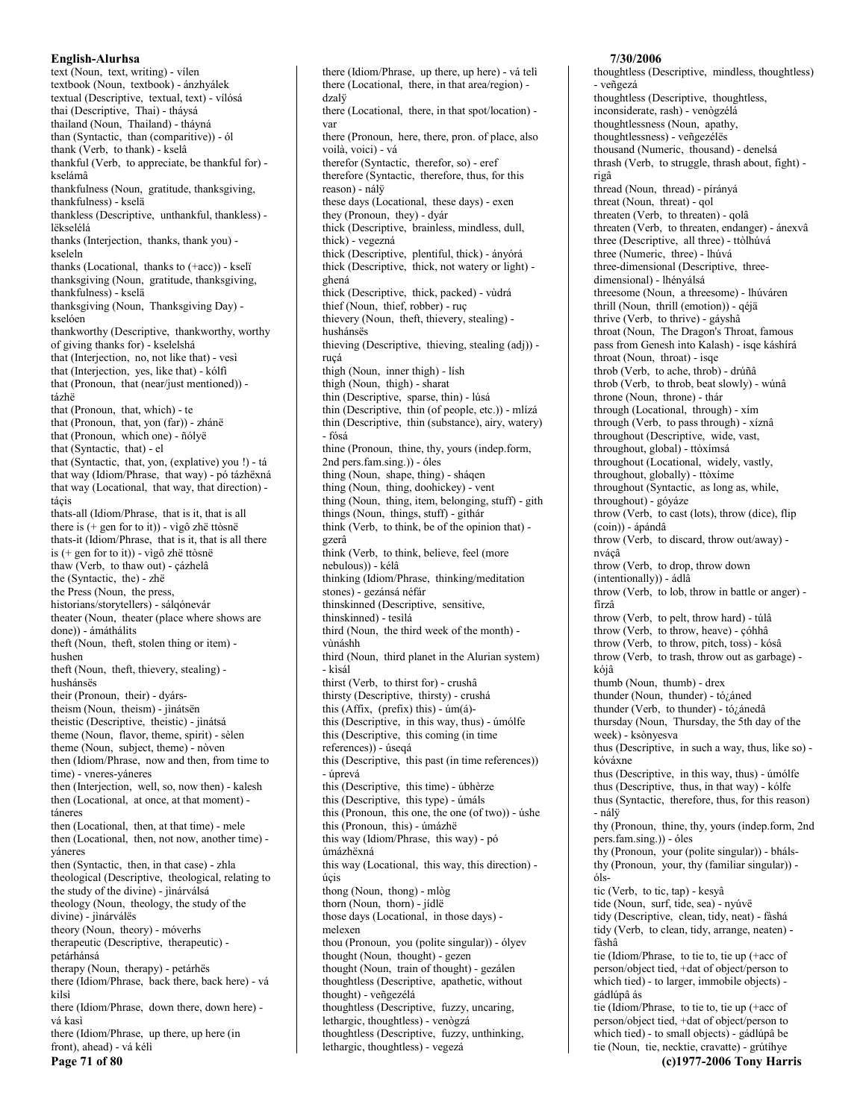text (Noun, text, writing) - vilen textbook (Noun, textbook) - ánzhyálek textual (Descriptive, textual, text) - vílósá thai (Descriptive, Thai) - tháysá thailand (Noun, Thailand) - tháyná than (Syntactic, than (comparitive)) - ól thank (Verb, to thank) - kselâ thankful (Verb, to appreciate, be thankful for) kselámâ thankfulness (Noun, gratitude, thanksgiving, thankfulness) - kselä thankless (Descriptive, unthankful, thankless) lëkselélá thanks (Interjection, thanks, thank you) kseleln thanks (Locational, thanks to (+acc)) - kseli thanksgiving (Noun, gratitude, thanksgiving, thankfulness) - kselä thanksgiving (Noun, Thanksgiving Day) kselóen thankworthy (Descriptive, thankworthy, worthy of giving thanks for) - kselelshá that (Interjection, no, not like that) - vesì that (Interjection, yes, like that) - kólfi that (Pronoun, that (near/just mentioned)) tázhë that (Pronoun, that, which) - te that (Pronoun, that, yon (far)) - zhánë that (Pronoun, which one) - ñólyë that (Syntactic, that) - el that (Syntactic, that, yon, (explative) you !) - tá that way (Idiom/Phrase, that way) - pó tázhëxná that way (Locational, that way, that direction) tácis thats-all (Idiom/Phrase, that is it, that is all there is  $(+$  gen for to it)) - vìgô zhë ttòsnë thats-it (Idiom/Phrase, that is it, that is all there is  $(+$  gen for to it)) - vìgô zhë ttòsnë thaw (Verb, to thaw out) - çázhelâ the (Syntactic, the) - zhë the Press (Noun, the press, historians/storytellers) - sálgónevár theater (Noun, theater (place where shows are done)) - ámáthálits theft (Noun, theft, stolen thing or item) hushen theft (Noun, theft, thievery, stealing) hushánsës their (Pronoun, their) - dyárstheism (Noun, theism) - jìnátsën theistic (Descriptive, theistic) - jìnátsá theme (Noun, flavor, theme, spirit) - sèlen theme (Noun, subject, theme) - nòven then (Idiom/Phrase, now and then, from time to time) - vneres-yáneres then (Interjection, well, so, now then) - kalesh then (Locational, at once, at that moment) táneres then (Locational, then, at that time) - mele then (Locational, then, not now, another time) váneres then (Syntactic, then, in that case) - zhla theological (Descriptive, theological, relating to the study of the divine) - jìnárválsá theology (Noun, theology, the study of the divine) - jìnárválës theory (Noun, theory) - móverhs therapeutic (Descriptive, therapeutic) petárhánsá therapy (Noun, therapy) - petárhës there (Idiom/Phrase, back there, back here) - vá kilsì there (Idiom/Phrase, down there, down here) vá kasì there (Idiom/Phrase, up there, up here (in front), ahead) - vá kéli Page 71 of 80

there (Idiom/Phrase, up there, up here) - vá teli there (Locational, there, in that area/region) dzalü there (Locational, there, in that spot/location) yar there (Pronoun, here, there, pron. of place, also voilà, voici) - vá therefor (Syntactic, therefor, so) - eref therefore (Syntactic, therefore, thus, for this reason) - nálÿ these days (Locational, these days) - exen they (Pronoun, they) - dyár thick (Descriptive, brainless, mindless, dull, thick) - vegezná thick (Descriptive, plentiful, thick) - ányórá thick (Descriptive, thick, not watery or light) ghená thick (Descriptive, thick, packed) - vùdrá thief (Noun, thief, robber) - ruc thievery (Noun, theft, thievery, stealing) hushánsës thieving (Descriptive, thieving, stealing (adj)) rucá thigh (Noun, inner thigh) - lish thigh (Noun, thigh) - sharat thin (Descriptive, sparse, thin) - lúsá thin (Descriptive, thin (of people, etc.)) - mlízá thin (Descriptive, thin (substance), airy, watery) - fósá thine (Pronoun, thine, thy, yours (indep.form, 2nd pers.fam.sing.)) - óles thing (Noun, shape, thing) - sháqen thing (Noun, thing, doohickey) - vent thing (Noun, thing, item, belonging, stuff) - gith things (Noun, things, stuff) - githár think (Verb, to think, be of the opinion that) gzerâ think (Verb, to think, believe, feel (more nebulous)) - kélâ thinking (Idiom/Phrase, thinking/meditation stones) - gezánsá néfár thinskinned (Descriptive, sensitive, thinskinned) - tesilá third (Noun, the third week of the month) vùnáshh third (Noun, third planet in the Alurian system) - kìsál thirst (Verb, to thirst for) - crushâ thirsty (Descriptive, thirsty) - crushá this (Affix, (prefix) this) -  $\text{im}(\hat{\mathbf{a}})$ this (Descriptive, in this way, thus) - úmólfe this (Descriptive, this coming (in time references)) - úseqá this (Descriptive, this past (in time references)) - úprevá this (Descriptive, this time) - úbhèrze this (Descriptive, this type) - úmáls this (Pronoun, this one, the one (of two)) - úshe this (Pronoun, this) - úmázhë this way (Idiom/Phrase, this way) - pó úmázhëxná this way (Locational, this way, this direction) úcis thong (Noun, thong) - mlòg thorn (Noun, thorn) - jídlë those days (Locational, in those days) melexen thou (Pronoun, you (polite singular)) - ólyev thought (Noun, thought) - gezen thought (Noun, train of thought) - gezálen thoughtless (Descriptive, apathetic, without thought) - veñgezélá thoughtless (Descriptive, fuzzy, uncaring, lethargic, thoughtless) - venògzá thoughtless (Descriptive, fuzzy, unthinking, lethargic, thoughtless) - vegezá

#### 7/30/2006

thoughtless (Descriptive, mindless, thoughtless) - veñgezá thoughtless (Descriptive, thoughtless, inconsiderate, rash) - venògzélá thoughtlessness (Noun, apathy, thoughtlessness) - veñgezéles thousand (Numeric, thousand) - denelsá thrash (Verb, to struggle, thrash about, fight) rigâ thread (Noun, thread) - pírányá threat (Noun, threat) - gol threaten (Verb, to threaten) - qolâ threaten (Verb, to threaten, endanger) - ánexvâ three (Descriptive, all three) - ttòlhúvá three (Numeric, three) - lhúvá three-dimensional (Descriptive, threedimensional) - lhényálsá threesome (Noun, a threesome) - lhúváren thrill (Noun, thrill (emotion)) - qéjä thrive (Verb, to thrive) - gáyshâ throat (Noun, The Dragon's Throat, famous pass from Genesh into Kalash) - isqe káshírá throat (Noun, throat) - isqe throb (Verb, to ache, throb) - drúñâ throb (Verb, to throb, beat slowly) - wúnâ throne (Noun, throne) - thár through (Locational, through) - xím through (Verb, to pass through) - xíznâ throughout (Descriptive, wide, vast, throughout, global) - ttòxímsá throughout (Locational, widely, vastly, throughout, globally) - ttòxime throughout (Syntactic, as long as, while, throughout) - góyáze throw (Verb, to cast (lots), throw (dice), flip (coin)) - ápándâ throw (Verb, to discard, throw out/away) nvácâ throw (Verb, to drop, throw down (intentionally) - ádlâ throw (Verb, to lob, throw in battle or anger) fírzâ throw (Verb, to pelt, throw hard) - túlâ throw (Verb, to throw, heave) - çóhhâ throw (Verb, to throw, pitch, toss) - kósâ throw (Verb, to trash, throw out as garbage) kójâ thumb (Noun, thumb) - drex thunder (Noun, thunder) - tó¿áned thunder (Verb, to thunder) - tó¿ánedâ thursday (Noun, Thursday, the 5th day of the week) - ksònyesva thus (Descriptive, in such a way, thus, like so) kóváxne thus (Descriptive, in this way, thus) - úmólfe thus (Descriptive, thus, in that way) - kólfe thus (Syntactic, therefore, thus, for this reason) - nálÿ thy (Pronoun, thine, thy, yours (indep.form, 2nd pers.fam.sing.)) - óles thy (Pronoun, your (polite singular)) - bhálsthy (Pronoun, your, thy (familiar singular)) ólstic (Verb, to tic, tap) - kesyâ tide (Noun, surf, tide, sea) - nyúvë tidy (Descriptive, clean, tidy, neat) - fàshá tidy (Verb, to clean, tidy, arrange, neaten) fàshâ tie (Idiom/Phrase, to tie to, tie up (+acc of person/object tied, +dat of object/person to which tied) - to larger, immobile objects) gádlúpâ ás tie (Idiom/Phrase, to tie to, tie up (+acc of person/object tied, +dat of object/person to which tied) - to small objects) - gádlúpâ be tie (Noun, tie, necktie, cravatte) - grútíhye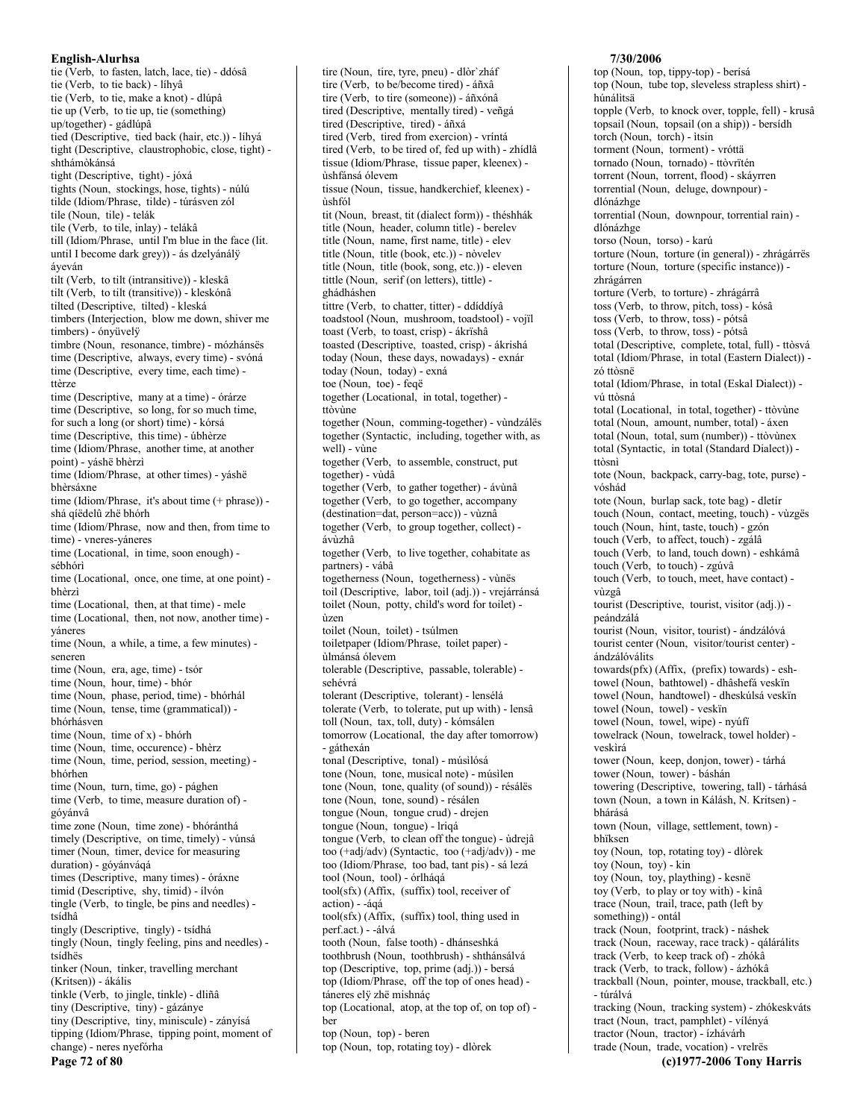tie (Verb, to fasten, latch, lace, tie) - ddósâ tie (Verb, to tie back) - líhyâ tie (Verb, to tie, make a knot) - dlúpâ tie up (Verb, to tie up, tie (something)  $up/together)$  - gádlúpa tied (Descriptive, tied back (hair, etc.)) - líhyá tight (Descriptive, claustrophobic, close, tight) shthámòkánsá tight (Descriptive, tight) - jóxá tights (Noun, stockings, hose, tights) - núlú tilde (Idiom/Phrase, tilde) - túrásven zól tile (Noun, tile) - telák tile (Verb, to tile, inlay) - telákâ till (Idiom/Phrase, until I'm blue in the face (lit. until I become dark grey)) - ás dzelyánály áveván tilt (Verb, to tilt (intransitive)) - kleskâ tilt (Verb, to tilt (transitive)) - kleskónâ tilted (Descriptive, tilted) - kleská timbers (Interjection, blow me down, shiver me timbers) - ónyüvelÿ timbre (Noun, resonance, timbre) - mózhánsës time (Descriptive, always, every time) - svóná time (Descriptive, every time, each time) ttèrze time (Descriptive, many at a time) - órárze time (Descriptive, so long, for so much time, for such a long (or short) time) - kórsá time (Descriptive, this time) - úbhèrze time (Idiom/Phrase, another time, at another point) - váshë bhèrzì time (Idiom/Phrase, at other times) - yáshë bhèrsáxne time (Idiom/Phrase, it's about time (+ phrase)) shá qíëdelû zhë bhórh time (Idiom/Phrase, now and then, from time to time) - vneres-yáneres time (Locational, in time, soon enough) sébhórì time (Locational, once, one time, at one point) bhèrzì time (Locational, then, at that time) - mele time (Locational, then, not now, another time) yáneres time (Noun, a while, a time, a few minutes) seneren time (Noun, era, age, time) - tsór time (Noun, hour, time) - bhór time (Noun, phase, period, time) - bhórhál time (Noun, tense, time (grammatical)) bhórhásven time (Noun, time of x) - bhórh time (Noun, time, occurence) - bhèrz time (Noun, time, period, session, meeting) bhórhen time (Noun, turn, time, go) - pághen time (Verb, to time, measure duration of) góyánvâ time zone (Noun, time zone) - bhóránthá timely (Descriptive, on time, timely) - vúnsá timer (Noun, timer, device for measuring duration) - góyánváqá times (Descriptive, many times) - óráxne timid (Descriptive, shy, timid) - ílvón tingle (Verb, to tingle, be pins and needles) tsídhâ tingly (Descriptive, tingly) - tsídhá tingly (Noun, tingly feeling, pins and needles) tsídhës tinker (Noun, tinker, travelling merchant (Kritsen)) - ákális tinkle (Verb, to jingle, tinkle) - dliñâ tiny (Descriptive, tiny) - gázánye tiny (Descriptive, tiny, miniscule) - zányísá tipping (Idiom/Phrase, tipping point, moment of change) - neres nyefórha Page 72 of 80

tire (Noun, tire, tyre, pneu) - dlòr'zháf tire (Verb, to be/become tired) - áñxâ tire (Verb, to tire (someone)) - áñxónâ tired (Descriptive, mentally tired) - veñgá tired (Descriptive, tired) - áñxá tired (Verb, tired from exercion) - vríntá tired (Verb, to be tired of, fed up with) - zhídlâ tissue (Idiom/Phrase, tissue paper, kleenex) ùshfánsá ólevem tissue (Noun, tissue, handkerchief, kleenex) ùshfól tit (Noun, breast, tit (dialect form)) - théshhák title (Noun, header, column title) - berelev title (Noun, name, first name, title) - elev title (Noun, title (book, etc.)) - nòvelev title (Noun, title (book, song, etc.)) - eleven tittle (Noun, serif (on letters), tittle) ghádháshen tittre (Verb, to chatter, titter) - ddíddíyâ toadstool (Noun, mushroom, toadstool) - vojil toast (Verb, to toast, crisp) - ákrïshâ toasted (Descriptive, toasted, crisp) - ákrishá today (Noun, these days, nowadays) - exnár today (Noun, today) - exná toe (Noun, toe) - feqë together (Locational, in total, together) ttòvine together (Noun, comming-together) - vùndzálës together (Syntactic, including, together with, as well) - vùne together (Verb, to assemble, construct, put together) - vùdâ together (Verb, to gather together) - ávùnâ together (Verb, to go together, accompany (destination=dat, person=acc)) - vùznâ together (Verb, to group together, collect) ávùzhâ together (Verb, to live together, cohabitate as partners) - vábâ togetherness (Noun, togetherness) - vùnës toil (Descriptive, labor, toil (adj.)) - vrejárránsá toilet (Noun, potty, child's word for toilet) ùzen toilet (Noun, toilet) - tsúlmen toiletpaper (Idiom/Phrase, toilet paper) ùlmánsá ólevem tolerable (Descriptive, passable, tolerable) sehévrá tolerant (Descriptive, tolerant) - lensélá tolerate (Verb, to tolerate, put up with) - lensâ toll (Noun, tax, toll, duty) - kómsálen tomorrow (Locational, the day after tomorrow) - gáthexán tonal (Descriptive, tonal) - músilósá tone (Noun, tone, musical note) - músilen tone (Noun, tone, quality (of sound)) - résálës tone (Noun, tone, sound) - résálen tongue (Noun, tongue crud) - drejen tongue (Noun, tongue) - lriqá tongue (Verb, to clean off the tongue) - ùdrejâ too (+adj/adv) (Syntactic, too (+adj/adv)) - me too (Idiom/Phrase, too bad, tant pis) - sá lezá tool (Noun, tool) - órlhágá tool(sfx) (Affix, (suffix) tool, receiver of action) - -ágá tool(sfx) (Affix, (suffix) tool, thing used in perf.act.) - -álvá tooth (Noun, false tooth) - dhánseshká toothbrush (Noun, toothbrush) - shthánsálvá top (Descriptive, top, prime (adj.)) - bersá top (Idiom/Phrase, off the top of ones head) táneres elÿ zhë mishnáç top (Locational, atop, at the top of, on top of) ber top (Noun, top) - beren top (Noun, top, rotating toy) - dlòrek

### top (Noun, top, tippy-top) - berísá top (Noun, tube top, sleveless strapless shirt) húnálitsä topple (Verb, to knock over, topple, fell) - krusâ topsail (Noun, topsail (on a ship)) - bersidh torch (Noun, torch) - itsin torment (Noun, torment) - vróttä tornado (Noun, tornado) - ttòvrïtén torrent (Noun, torrent, flood) - skávrren torrential (Noun, deluge, downpour) dlónázhge torrential (Noun, downpour, torrential rain) dlónázhge torso (Noun, torso) - karú torture (Noun, torture (in general)) - zhrágárrës torture (Noun, torture (specific instance)) zhrágárren torture (Verb, to torture) - zhrágárrâ toss (Verb, to throw, pitch, toss) - kósâ toss (Verb, to throw, toss) - pótsâ toss (Verb, to throw, toss) - pótsâ total (Descriptive, complete, total, full) - ttòsvá total (Idiom/Phrase, in total (Eastern Dialect)) zó ttòsnë total (Idiom/Phrase, in total (Eskal Dialect)) vú tròsná total (Locational, in total, together) - ttòvùne total (Noun, amount, number, total) - áxen total (Noun, total, sum (number)) - ttòvùnex total (Syntactic, in total (Standard Dialect)) ttòsnì tote (Noun, backpack, carry-bag, tote, purse) vóshád tote (Noun, burlap sack, tote bag) - dletír touch (Noun, contact, meeting, touch) - vùzgës touch (Noun, hint, taste, touch) - gzón touch (Verb, to affect, touch) - zgálâ touch (Verb, to land, touch down) - eshkámâ touch (Verb, to touch) - zgúvâ touch (Verb. to touch, meet, have contact) vùzgâ tourist (Descriptive, tourist, visitor (adj.)) peándzálá tourist (Noun, visitor, tourist) - ándzálóvá tourist center (Noun, visitor/tourist center) ándzálóválits towards(pfx) (Affix, (prefix) towards) - eshtowel (Noun, bathtowel) - dhâshefá veskïn towel (Noun, handtowel) - dheskúlsá veskïn towel (Noun, towel) - veskïn towel (Noun, towel, wipe) - nyúfi towelrack (Noun, towelrack, towel holder) veskirá tower (Noun, keep, donjon, tower) - tárhá tower (Noun, tower) - báshán towering (Descriptive, towering, tall) - tárhásá town (Noun, a town in Kálásh, N. Kritsen) bhárásá town (Noun, village, settlement, town) bhïksen toy (Noun, top, rotating toy) - dlòrek toy (Noun, toy) - kin toy (Noun, toy, plaything) - kesnë toy (Verb, to play or toy with) - kinâ trace (Noun, trail, trace, path (left by something)) - ontál track (Noun, footprint, track) - náshek track (Noun, raceway, race track) - qálárálits track (Verb, to keep track of) - zhókâ track (Verb, to track, follow) - ázhókâ trackball (Noun, pointer, mouse, trackball, etc.) - túrálvá tracking (Noun, tracking system) - zhókeskváts tract (Noun, tract, pamphlet) - vílényá tractor (Noun, tractor) - ízhávárh trade (Noun, trade, vocation) - vrelrës

(c)1977-2006 Tony Harris

7/30/2006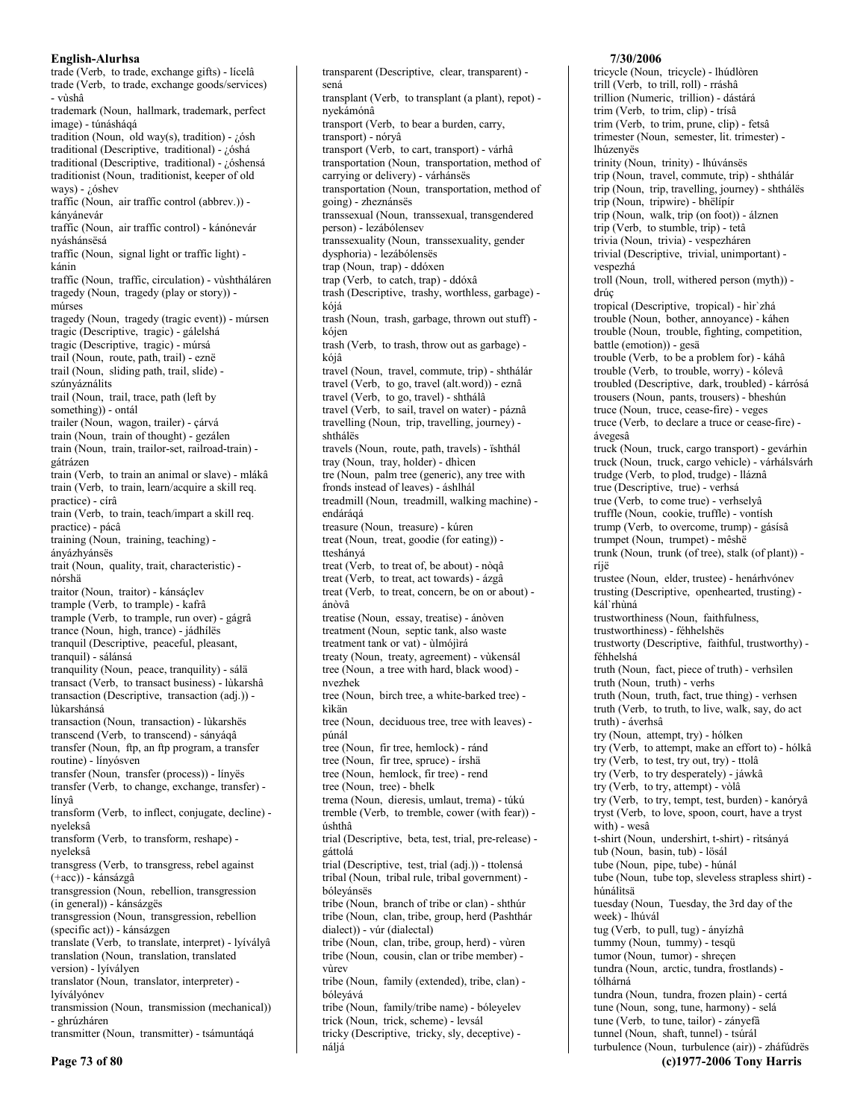trade (Verb. to trade, exchange gifts) - lícelâ trade (Verb, to trade, exchange goods/services) - vùshâ trademark (Noun, hallmark, trademark, perfect image) - túnáshágá tradition (Noun, old way(s), tradition) -  $i$  6sh traditional (Descriptive, traditional) - ¿óshá traditional (Descriptive, traditional) - ¿óshensá traditionist (Noun, traditionist, keeper of old ways) -  $i$  óshev traffic (Noun, air traffic control (abbrev.)) kányánevár traffic (Noun, air traffic control) - kánónevár nyáshánsësá traffic (Noun, signal light or traffic light) kánin traffic (Noun, traffic, circulation) - vùshtháláren tragedy (Noun, tragedy (play or story)) múrses tragedy (Noun, tragedy (tragic event)) - múrsen tragic (Descriptive, tragic) - gálelshá tragic (Descriptive, tragic) - múrsá trail (Noun, route, path, trail) - eznë trail (Noun, sliding path, trail, slide) szúnyáználits trail (Noun, trail, trace, path (left by something)) - ontál trailer (Noun, wagon, trailer) - çárvá train (Noun, train of thought) - gezálen train (Noun, train, trailor-set, railroad-train) gátrázen train (Verb, to train an animal or slave) - mlákâ train (Verb, to train, learn/acquire a skill req. practice) - círâ train (Verb, to train, teach/impart a skill req. practice) - pácâ training (Noun, training, teaching) ányázhyánsës trait (Noun, quality, trait, characteristic) nórshä traitor (Noun, traitor) - kánsáçlev trample (Verb, to trample) - kafrâ trample (Verb, to trample, run over) - gágrâ trance (Noun, high, trance) - jádhílës tranquil (Descriptive, peaceful, pleasant, tranquil) - sálánsá tranquility (Noun, peace, tranquility) - sálä transact (Verb, to transact business) - lùkarshâ transaction (Descriptive, transaction (adj.)) lùkarshánsá transaction (Noun, transaction) - lùkarshës transcend (Verb, to transcend) - sányágâ transfer (Noun, ftp, an ftp program, a transfer routine) - línvósven transfer (Noun, transfer (process)) - línyës transfer (Verb, to change, exchange, transfer) línyâ transform (Verb, to inflect, conjugate, decline) nveleksâ transform (Verb, to transform, reshape) nyeleksâ transgress (Verb, to transgress, rebel against (+acc)) - kánsázgâ transgression (Noun, rebellion, transgression (in general)) - kánsázgës transgression (Noun, transgression, rebellion (specific act)) - kánsázgen translate (Verb, to translate, interpret) - lyívályâ translation (Noun, translation, translated version) - lyívályen translator (Noun, translator, interpreter) lvíválvónev transmission (Noun, transmission (mechanical)) transmitter (Noun, transmitter) - tsámuntágá

transparent (Descriptive, clear, transparent) sená transplant (Verb, to transplant (a plant), repot) nyekámónâ transport (Verb, to bear a burden, carry, transport) - nóryâ transport (Verb, to cart, transport) - várhâ transportation (Noun, transportation, method of carrying or delivery) - várhánsës transportation (Noun, transportation, method of going) - zheznánsës transsexual (Noun, transsexual, transgendered person) - lezábólensev transsexuality (Noun, transsexuality, gender dysphoria) - lezábólenses trap (Noun, trap) - ddóxen trap (Verb, to catch, trap) - ddóxâ trash (Descriptive, trashy, worthless, garbage) kójá trash (Noun, trash, garbage, thrown out stuff) kójen trash (Verb, to trash, throw out as garbage) kóiâ travel (Noun, travel, commute, trip) - shthálár travel (Verb, to go, travel (alt.word)) - eznâ travel (Verb, to go, travel) - shthálâ travel (Verb, to sail, travel on water) - páznâ travelling (Noun, trip, travelling, journey) shthálës travels (Noun, route, path, travels) - ïshthál tray (Noun, tray, holder) - dhìcen tre (Noun, palm tree (generic), any tree with fronds instead of leaves) - áshlhál treadmill (Noun, treadmill, walking machine) endáráqá treasure (Noun, treasure) - kúren treat (Noun, treat, goodie (for eating)) tteshányá treat (Verb, to treat of, be about) - nòqâ treat (Verb. to treat. act towards) - ázgâ treat (Verb, to treat, concern, be on or about) ánòvâ treatise (Noun, essay, treatise) - ánòven treatment (Noun, septic tank, also waste treatment tank or vat) - ùlmójìrá treaty (Noun, treaty, agreement) - vùkensál tree (Noun, a tree with hard, black wood) nvezhek tree (Noun, birch tree, a white-barked tree) kìkän tree (Noun, deciduous tree, tree with leaves) púnál tree (Noun, fir tree, hemlock) - ránd tree (Noun, fir tree, spruce) - írshä tree (Noun, hemlock, fir tree) - rend tree (Noun, tree) - bhelk trema (Noun, dieresis, umlaut, trema) - túkú tremble (Verb, to tremble, cower (with fear)) úshthâ trial (Descriptive, beta, test, trial, pre-release) gáttolá trial (Descriptive, test, trial (adj.)) - ttolensá tribal (Noun, tribal rule, tribal government) bóleyánsës tribe (Noun, branch of tribe or clan) - shthúr tribe (Noun, clan, tribe, group, herd (Pashthár dialect)) - vúr (dialectal) tribe (Noun, clan, tribe, group, herd) - vùren tribe (Noun, cousin, clan or tribe member) vùrev tribe (Noun, family (extended), tribe, clan) bóleyává tribe (Noun, family/tribe name) - bóleyelev trick (Noun, trick, scheme) - levsál tricky (Descriptive, tricky, sly, deceptive) -

náliá

# 7/30/2006

tricycle (Noun, tricycle) - lhúdlòren trill (Verb, to trill, roll) - rráshâ trillion (Numeric, trillion) - dástárá trim (Verb, to trim, clip) - trísâ trim (Verb, to trim, prune, clip) - fetsâ trimester (Noun, semester, lit. trimester) lhúzenyës trinity (Noun, trinity) - lhúvánsës trip (Noun, travel, commute, trip) - shthálár trip (Noun, trip, travelling, journey) - shthálës trip (Noun, tripwire) - bhëlipir trip (Noun, walk, trip (on foot)) - álznen trip (Verb, to stumble, trip) - tetâ trivia (Noun, trivia) - vespezháren trivial (Descriptive, trivial, unimportant) vespezhá troll (Noun, troll, withered person (myth)) drúç tropical (Descriptive, tropical) - hìr'zhá trouble (Noun, bother, annoyance) - káhen trouble (Noun, trouble, fighting, competition, battle (emotion)) - gesä trouble (Verb, to be a problem for) - káhâ trouble (Verb, to trouble, worry) - kólevâ troubled (Descriptive, dark, troubled) - kárrósá trousers (Noun, pants, trousers) - bheshún truce (Noun, truce, cease-fire) - veges truce (Verb, to declare a truce or cease-fire) ávegesâ truck (Noun, truck, cargo transport) - gevárhin truck (Noun, truck, cargo vehicle) - várhálsvárh trudge (Verb, to plod, trudge) - lláznâ true (Descriptive, true) - verhsá true (Verb, to come true) - verhselyâ truffle (Noun, cookie, truffle) - vontísh trump (Verb, to overcome, trump) - gásísâ trumpet (Noun, trumpet) - mêshë trunk (Noun, trunk (of tree), stalk (of plant)) ríjë trustee (Noun, elder, trustee) - henárhvónev trusting (Descriptive, openhearted, trusting) kál`rhùná trustworthiness (Noun, faithfulness, trustworthiness) - féhhelshës trustworty (Descriptive, faithful, trustworthy) féhhelshá truth (Noun, fact, piece of truth) - verhsilen truth (Noun, truth) - verhs truth (Noun, truth, fact, true thing) - verhsen truth (Verb, to truth, to live, walk, say, do act truth) - áverhsâ try (Noun, attempt, try) - hólken try (Verb, to attempt, make an effort to) - hólkâ try (Verb, to test, try out, try) - ttolâ try (Verb, to try desperately) - jáwkâ try (Verb, to try, attempt) - vòlâ try (Verb, to try, tempt, test, burden) - kanóryâ tryst (Verb, to love, spoon, court, have a tryst with) - wesâ t-shirt (Noun, undershirt, t-shirt) - rìtsányá tub (Noun, basin, tub) - lösál tube (Noun, pipe, tube) - húnál tube (Noun, tube top, sleveless strapless shirt) húnálìtsä tuesday (Noun, Tuesday, the 3rd day of the week) - lhúvál tug (Verb, to pull, tug) - ányízhâ tummy (Noun, tummy) - tesqü tumor (Noun, tumor) - shrecen tundra (Noun, arctic, tundra, frostlands) tólhárná tundra (Noun, tundra, frozen plain) - certá tune (Noun, song, tune, harmony) - selá tune (Verb, to tune, tailor) - zányefâ tunnel (Noun, shaft, tunnel) - tsúrál turbulence (Noun, turbulence (air)) - zháfúdrës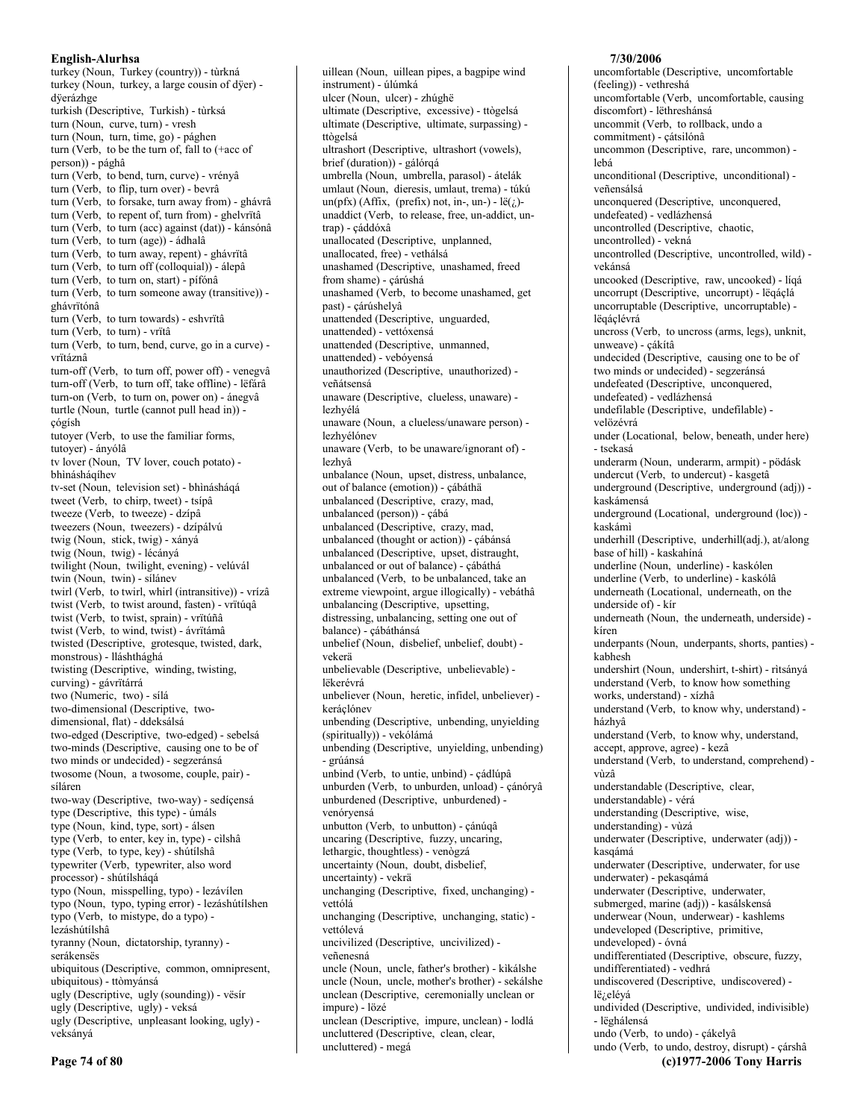turkey (Noun, Turkey (country)) - tùrkná turkey (Noun, turkey, a large cousin of dyer) düerázhoe turkish (Descriptive, Turkish) - tùrksá turn (Noun, curve, turn) - vresh turn (Noun, turn, time, go) - pághen turn (Verb, to be the turn of, fall to (+acc of person)) - pághâ turn (Verb, to bend, turn, curve) - vrényâ turn (Verb, to flip, turn over) - bevrâ turn (Verb, to forsake, turn away from) - ghávrâ turn (Verb, to repent of, turn from) - ghelvrïtâ turn (Verb, to turn (acc) against (dat)) - kánsónâ turn (Verb, to turn (age)) - ádhalâ turn (Verb, to turn away, repent) - ghávrïtâ turn (Verb, to turn off (colloquial)) - álepâ turn (Verb, to turn on, start) - pífónâ turn (Verb, to turn someone away (transitive)) ghávrïtónâ turn (Verb, to turn towards) - eshvrïtâ turn (Verb, to turn) - vrïtâ turn (Verb, to turn, bend, curve, go in a curve) vrïtáznâ turn-off (Verb, to turn off, power off) - venegvâ turn-off (Verb, to turn off, take offline) - lëfárâ turn-on (Verb, to turn on, power on) - ánegvâ turtle (Noun, turtle (cannot pull head in)) çógísh tutoyer (Verb, to use the familiar forms, tutoyer) - ányólâ tv lover (Noun, TV lover, couch potato) bhìnásháqíhev tv-set (Noun, television set) - bhìnásháqá tweet (Verb, to chirp, tweet) - tsípâ tweeze (Verb, to tweeze) - dzípâ tweezers (Noun, tweezers) - dzípálvú twig (Noun, stick, twig) - xányá twig (Noun, twig) - lécányá twilight (Noun, twilight, evening) - velúvál twin (Noun. twin) - sílánev twirl (Verb, to twirl, whirl (intransitive)) - vrízâ twist (Verb, to twist around, fasten) - vrītúqâ twist (Verb, to twist, sprain) - vrïtúñâ twist (Verb, to wind, twist) - ávrītámâ twisted (Descriptive, grotesque, twisted, dark, monstrous) - lláshthághá twisting (Descriptive, winding, twisting, curving) - gávrïtárrá two (Numeric, two) - sílá two-dimensional (Descriptive, twodimensional, flat) - ddeksálsá two-edged (Descriptive, two-edged) - sebelsá two-minds (Descriptive, causing one to be of two minds or undecided) - segzeránsá twosome (Noun, a twosome, couple, pair) síláren two-way (Descriptive, two-way) - sedíçensá type (Descriptive, this type) - úmáls type (Noun, kind, type, sort) - álsen type (Verb, to enter, key in, type) - cilshâ type (Verb, to type, key) - shútílshâ typewriter (Verb, typewriter, also word processor) - shútílsháqá typo (Noun, misspelling, typo) - lezávílen typo (Noun, typo, typing error) - lezáshútílshen typo (Verb, to mistype, do a typo) lezáshútílshâ tyranny (Noun, dictatorship, tyranny) serákensës ubiquitous (Descriptive, common, omnipresent, ubiquitous) - ttòmyánsá ugly (Descriptive, ugly (sounding)) - vësir ugly (Descriptive, ugly) - veksá ugly (Descriptive, unpleasant looking, ugly) veksányá

uillean (Noun, uillean pipes, a bagpipe wind instrument) - úlúmká ulcer (Noun, ulcer) - zhúghë ultimate (Descriptive, excessive) - ttògelsá ultimate (Descriptive, ultimate, surpassing) ttògelsá ultrashort (Descriptive, ultrashort (vowels), brief (duration)) - gálórqá umbrella (Noun, umbrella, parasol) - átelák umlaut (Noun, dieresis, umlaut, trema) - túkú  $un(pfx)$  (Affix, (prefix) not, in-, un-) -  $l\ddot{e}(i)$ unaddict (Verb, to release, free, un-addict, untrap) - çáddóxâ unallocated (Descriptive, unplanned, unallocated, free) - vethálsá unashamed (Descriptive, unashamed, freed from shame) - çárúshá unashamed (Verb, to become unashamed, get past) - çárúshelyâ unattended (Descriptive, unguarded, unattended) - vettóxensá unattended (Descriptive, unmanned, unattended) - vebóyensá unauthorized (Descriptive, unauthorized) veñátsensá unaware (Descriptive, clueless, unaware) lezhyélá unaware (Noun, a clueless/unaware person) lezhyélónev unaware (Verb, to be unaware/ignorant of) lezhvâ unbalance (Noun, upset, distress, unbalance, out of balance (emotion)) - çábáthä unbalanced (Descriptive, crazy, mad, unbalanced (person)) - çábá unbalanced (Descriptive, crazy, mad, unbalanced (thought or action)) - çábánsá unbalanced (Descriptive, upset, distraught, unbalanced or out of balance) - çábáthá unbalanced (Verb. to be unbalanced, take an extreme viewpoint, argue illogically) - vebáthâ unbalancing (Descriptive, upsetting, distressing, unbalancing, setting one out of balance) - çábáthánsá unbelief (Noun, disbelief, unbelief, doubt) vekerä unbelievable (Descriptive, unbelievable) lëkerévrá unbeliever (Noun, heretic, infidel, unbeliever) keráclónev unbending (Descriptive, unbending, unyielding (spiritually)) - vekólámá unbending (Descriptive, unyielding, unbending) - grúánsá unbind (Verb, to untie, unbind) - çádlúpâ unburden (Verb, to unburden, unload) - çánóryâ unburdened (Descriptive, unburdened) venóryensá unbutton (Verb, to unbutton) - çánúqâ uncaring (Descriptive, fuzzy, uncaring, lethargic, thoughtless) - venògzá uncertainty (Noun, doubt, disbelief, uncertainty) - vekrä unchanging (Descriptive, fixed, unchanging) vettólá unchanging (Descriptive, unchanging, static) vettólevá uncivilized (Descriptive, uncivilized) veñenesná uncle (Noun, uncle, father's brother) - kìkálshe uncle (Noun, uncle, mother's brother) - sekálshe unclean (Descriptive, ceremonially unclean or impure) - lözé unclean (Descriptive, impure, unclean) - lodlá uncluttered (Descriptive, clean, clear,

uncluttered) - megá

(feeling)) - vethreshá uncomfortable (Verb, uncomfortable, causing discomfort) - lëthreshánsá uncommit (Verb, to rollback, undo a commitment) - çátsilónâ uncommon (Descriptive, rare, uncommon) lehá unconditional (Descriptive, unconditional) veñensálsá unconquered (Descriptive, unconquered, undefeated) - vedlázhensá uncontrolled (Descriptive, chaotic, uncontrolled) - vekná uncontrolled (Descriptive, uncontrolled, wild) vekánsá uncooked (Descriptive, raw, uncooked) - líqá uncorrupt (Descriptive, uncorrupt) - lëqáçlá uncorruptable (Descriptive, uncorruptable) lëqáçlévrá uncross (Verb, to uncross (arms, legs), unknit, unweave) - çákítâ undecided (Descriptive, causing one to be of two minds or undecided) - segzeránsá undefeated (Descriptive, unconquered, undefeated) - vedlázhensá undefilable (Descriptive, undefilable) velözévrá under (Locational, below, beneath, under here) - tsekasá underarm (Noun, underarm, armpit) - pödásk undercut (Verb, to undercut) - kasgetâ underground (Descriptive, underground (adj)) kaskámensá underground (Locational, underground (loc)) kaskámì underhill (Descriptive, underhill(adj.), at/along base of hill) - kaskahíná underline (Noun, underline) - kaskólen underline (Verb. to underline) - kaskólâ underneath (Locational, underneath, on the underside of) - kír underneath (Noun, the underneath, underside) kíren underpants (Noun, underpants, shorts, panties) kabhesh undershirt (Noun, undershirt, t-shirt) - rìtsányá understand (Verb, to know how something works, understand) - xízhâ understand (Verb, to know why, understand) házhyâ understand (Verb, to know why, understand, accept, approve, agree) - kezâ understand (Verb. to understand, comprehend) vùzâ understandable (Descriptive, clear, understandable) - vérá understanding (Descriptive, wise, understanding) - vùzá underwater (Descriptive, underwater (adj)) kasgámá underwater (Descriptive, underwater, for use underwater) - pekasqámá underwater (Descriptive, underwater, submerged, marine (adj)) - kasálskensá underwear (Noun, underwear) - kashlems undeveloped (Descriptive, primitive, undeveloped) - óvná undifferentiated (Descriptive, obscure, fuzzy, undifferentiated) - vedhrá undiscovered (Descriptive, undiscovered) lë<sub>č</sub>eléyá undivided (Descriptive, undivided, indivisible) - lëghálensá undo (Verb, to undo) - çákelyâ undo (Verb, to undo, destroy, disrupt) - çárshâ

(c)1977-2006 Tony Harris

7/30/2006

uncomfortable (Descriptive, uncomfortable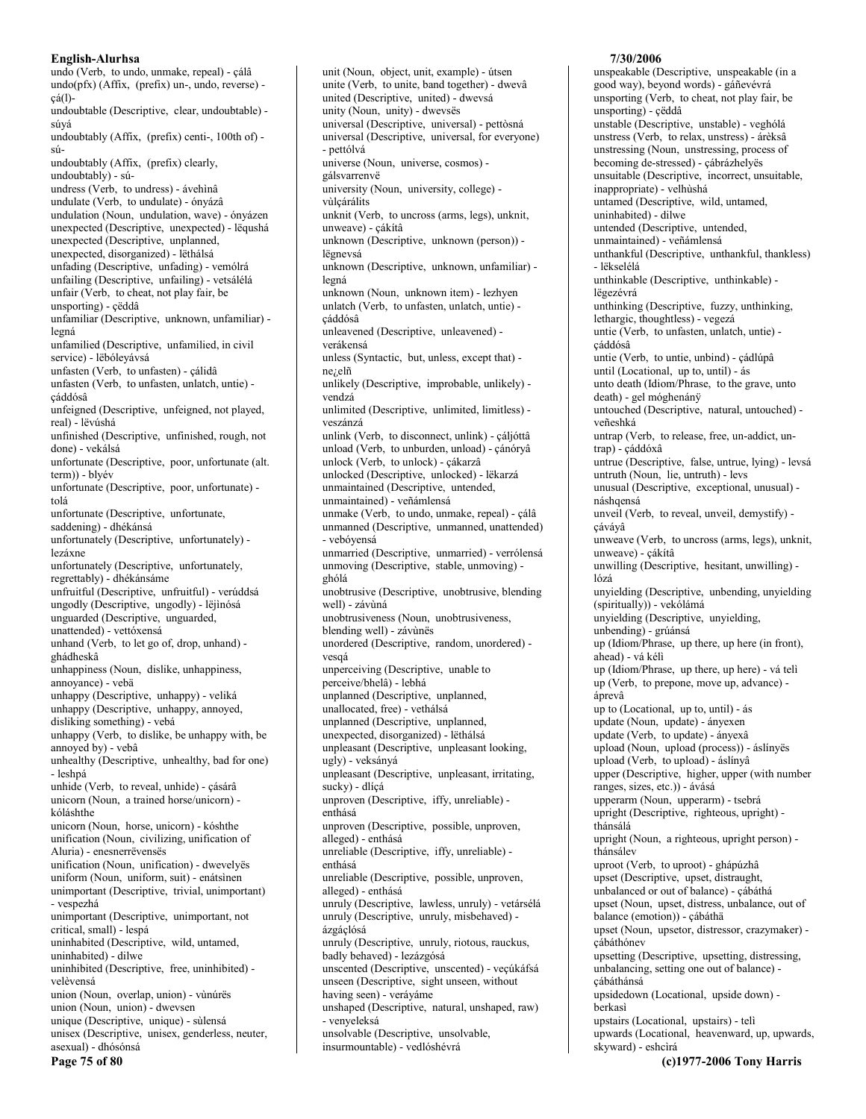undo (Verb, to undo, unmake, repeal) - cálâ undo(pfx) (Affix, (prefix) un-, undo, reverse)  $c\acute{a}(l)$ undoubtable (Descriptive, clear, undoubtable) súvá undoubtably (Affix, (prefix) centi-, 100th of) súundoubtably (Affix, (prefix) clearly, undoubtably) - súundress (Verb, to undress) - ávehinâ undulate (Verb, to undulate) - ónyázâ undulation (Noun, undulation, wave) - ónyázen unexpected (Descriptive, unexpected) - lëqushá unexpected (Descriptive, unplanned, unexpected, disorganized) - lëthálsá unfading (Descriptive, unfading) - vemólrá unfailing (Descriptive, unfailing) - vetsálélá unfair (Verb, to cheat, not play fair, be unsporting) - çëddâ unfamiliar (Descriptive, unknown, unfamiliar) legná unfamilied (Descriptive, unfamilied, in civil service) - lëbóleyávsá unfasten (Verb, to unfasten) - cálidâ unfasten (Verb, to unfasten, unlatch, untie) cáddósâ unfeigned (Descriptive, unfeigned, not played, real) - lëvúshá unfinished (Descriptive, unfinished, rough, not done) - vekálsá unfortunate (Descriptive, poor, unfortunate (alt.) term)) - blyév unfortunate (Descriptive, poor, unfortunate) tolá unfortunate (Descriptive, unfortunate, saddening) - dhékánsá unfortunately (Descriptive, unfortunately) lezáxne unfortunately (Descriptive, unfortunately, regrettably) - dhékánsáme unfruitful (Descriptive, unfruitful) - verúddsá ungodly (Descriptive, ungodly) - lëjinósá unguarded (Descriptive, unguarded, unattended) - vettóxensá unhand (Verb, to let go of, drop, unhand) ghádheskâ unhappiness (Noun, dislike, unhappiness, annoyance) - vebä unhappy (Descriptive, unhappy) - veliká unhappy (Descriptive, unhappy, annoyed, disliking something) - vebá unhappy (Verb, to dislike, be unhappy with, be annoyed by) - vebâ unhealthy (Descriptive, unhealthy, bad for one) - leshpá unhide (Verb, to reveal, unhide) - çásárâ unicorn (Noun, a trained horse/unicorn) kóláshthe unicorn (Noun, horse, unicorn) - kóshthe unification (Noun, civilizing, unification of Aluria) - enesnerrëvensës unification (Noun, unification) - dwevelyës uniform (Noun, uniform, suit) - enátsinen unimportant (Descriptive, trivial, unimportant) - vesnezhá unimportant (Descriptive, unimportant, not critical, small) - lespá uninhabited (Descriptive, wild, untamed, uninhabited) - dilwe uninhibited (Descriptive, free, uninhibited) velèvensá union (Noun, overlap, union) - vùnúrës union (Noun, union) - dwevsen unique (Descriptive, unique) - sùlensá unisex (Descriptive, unisex, genderless, neuter, asexual) - dhósónsá Page 75 of 80

unit (Noun, object, unit, example) - útsen unite (Verb, to unite, band together) - dwevâ united (Descriptive, united) - dwevsá unity (Noun, unity) - dwevsës universal (Descriptive, universal) - pettòsná universal (Descriptive, universal, for everyone) - pettólvá universe (Noun, universe, cosmos) gálsvarrenvë university (Noun, university, college) vùlçárálits unknit (Verb, to uncross (arms, legs), unknit, unweave) - çákítâ unknown (Descriptive, unknown (person)) lëgnevsá unknown (Descriptive, unknown, unfamiliar) legná unknown (Noun, unknown item) - lezhyen unlatch (Verb, to unfasten, unlatch, untie) cáddósâ unleavened (Descriptive, unleavened) verákensá unless (Syntactic, but, unless, except that) nezelñ unlikely (Descriptive, improbable, unlikely) vendzá unlimited (Descriptive, unlimited, limitless) veszánzá unlink (Verb, to disconnect, unlink) - çáljóttâ unload (Verb, to unburden, unload) - çánóryâ unlock (Verb, to unlock) - cákarzâ unlocked (Descriptive, unlocked) - lëkarzá unmaintained (Descriptive, untended, unmaintained) - veñámlensá unmake (Verb, to undo, unmake, repeal) - çálâ unmanned (Descriptive, unmanned, unattended) - vebóvensá unmarried (Descriptive, unmarried) - verrólensá unmoving (Descriptive, stable, unmoving) ghólá unobtrusive (Descriptive, unobtrusive, blending well) - závùná unobtrusiveness (Noun, unobtrusiveness, blending well) - závùnës unordered (Descriptive, random, unordered) vesgá unperceiving (Descriptive, unable to perceive/bhelâ) - lebhá unplanned (Descriptive, unplanned, unallocated, free) - vethálsá unplanned (Descriptive, unplanned, unexpected, disorganized) - lëthálsá unpleasant (Descriptive, unpleasant looking, ugly) - veksányá unpleasant (Descriptive, unpleasant, irritating, sucky) - dlícá unproven (Descriptive, iffy, unreliable) enthásá unproven (Descriptive, possible, unproven, alleged) - enthásá unreliable (Descriptive, iffy, unreliable) enthásá unreliable (Descriptive, possible, unproven, alleged) - enthásá unruly (Descriptive, lawless, unruly) - vetársélá unruly (Descriptive, unruly, misbehaved) ázgáclósá unruly (Descriptive, unruly, riotous, rauckus, badly behaved) - lezázgósá unscented (Descriptive, unscented) - veçúkáfsá unseen (Descriptive, sight unseen, without having seen) - veráyáme unshaped (Descriptive, natural, unshaped, raw) - venyeleksá unsolvable (Descriptive, unsolvable, insurmountable) - vedlóshévrá

## 7/30/2006

unspeakable (Descriptive, unspeakable (in a good way), beyond words) - gáñevévrá unsporting (Verb, to cheat, not play fair, be unsporting) - çëddâ unstable (Descriptive, unstable) - veghólá unstress (Verb, to relax, unstress) - árèksâ unstressing (Noun, unstressing, process of becoming de-stressed) - çábrázhelyës unsuitable (Descriptive, incorrect, unsuitable, inappropriate) - velhùshá untamed (Descriptive, wild, untamed, uninhabited) - dilwe untended (Descriptive, untended, unmaintained) - veñámlensá unthankful (Descriptive, unthankful, thankless) - lëkselélá unthinkable (Descriptive, unthinkable) lëgezévrá unthinking (Descriptive, fuzzy, unthinking, lethargic, thoughtless) - vegezá untie (Verb, to unfasten, unlatch, untie) cáddósâ untie (Verb, to untie, unbind) - çádlúpâ until (Locational, up to, until) - ás unto death (Idiom/Phrase, to the grave, unto death) - gel móghenánÿ untouched (Descriptive, natural, untouched) veñeshká untrap (Verb, to release, free, un-addict, untrap) - çáddóxâ untrue (Descriptive, false, untrue, lying) - levsá untruth (Noun, lie, untruth) - levs unusual (Descriptive, exceptional, unusual) náshaensá unveil (Verb, to reveal, unveil, demystify) çáváyâ unweave (Verb, to uncross (arms, legs), unknit, unweave) - cákítâ unwilling (Descriptive, hesitant, unwilling) lózá unyielding (Descriptive, unbending, unyielding (spiritually)) - vekólámá unyielding (Descriptive, unyielding, unbending) - grúánsá up (Idiom/Phrase, up there, up here (in front), ahead) - vá kéli up (Idiom/Phrase, up there, up here) - vá teli up (Verb, to prepone, move up, advance) áprevâ up to (Locational, up to, until) - ás update (Noun, update) - ányexen update (Verb, to update) - ányexâ upload (Noun, upload (process)) - áslínyës upload (Verb, to upload) - áslínyâ upper (Descriptive, higher, upper (with number ranges, sizes, etc.)) - ávásá upperarm (Noun, upperarm) - tsebrá upright (Descriptive, righteous, upright) thánsálá upright (Noun, a righteous, upright person) thánsálev uproot (Verb, to uproot) - ghápúzhâ upset (Descriptive, upset, distraught, unbalanced or out of balance) - çábáthá upset (Noun, upset, distress, unbalance, out of balance (emotion)) - çábáthä upset (Noun, upsetor, distressor, crazymaker) çábáthónev upsetting (Descriptive, upsetting, distressing, unbalancing, setting one out of balance) çábáthánsá upsidedown (Locational, upside down) berkasi upstairs (Locational, upstairs) - teli upwards (Locational, heavenward, up, upwards, skyward) - eshcìrá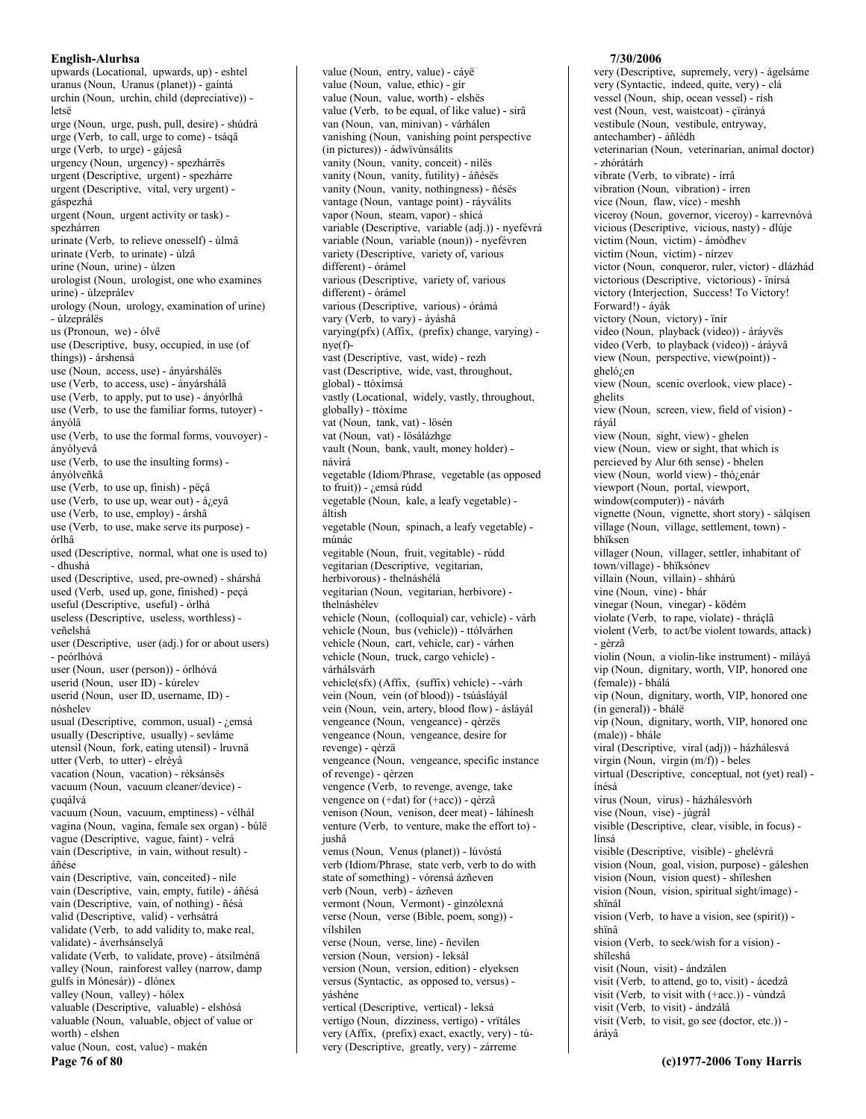upwards (Locational, upwards, up) - eshtel uranus (Noun, Uranus (planet)) - gaíntá urchin (Noun, urchin, child (depreciative)) letsë urge (Noun, urge, push, pull, desire) - shúdrá urge (Verb, to call, urge to come) - tsáqâ urge (Verb, to urge) - gájesâ urgency (Noun, urgency) - spezhárrës urgent (Descriptive, urgent) - spezhárre urgent (Descriptive, vital, very urgent) gáspezhá urgent (Noun, urgent activity or task) spezhárren urinate (Verb, to relieve onesself) - ùlmâ urinate (Verb, to urinate) - ùlzâ urine (Noun, urine) - ùlzen urologist (Noun, urologist, one who examines urine) - ùlzeprálev urology (Noun, urology, examination of urine) - ùlzeprálës us (Pronoun, we) - ólvë use (Descriptive, busy, occupied, in use (of things)) - árshensá use (Noun, access, use) - ányárshálës use (Verb, to access, use) - ányárshálâ use (Verb, to apply, put to use) - ányórlhâ use (Verb, to use the familiar forms, tutoyer) ányólâ use (Verb, to use the formal forms, vouvoyer) ánvólvevâ use (Verb, to use the insulting forms) ányólveñkâ use (Verb, to use up, finish) - pëçâ use (Verb, to use up, wear out) - á¿eyâ use (Verb, to use, employ) - árshâ use (Verb, to use, make serve its purpose) órlhâ used (Descriptive, normal, what one is used to) - dhushá used (Descriptive, used, pre-owned) - shárshá used (Verb, used up, gone, finished) - peçá useful (Descriptive, useful) - órlhá useless (Descriptive, useless, worthless) veñelshá user (Descriptive, user (adj.) for or about users) - peórlhóvá user (Noun, user (person)) - órlhóvá userid (Noun, user ID) - kúrelev userid (Noun, user ID, username, ID) nóshelev usual (Descriptive, common, usual) - ¿emsá usually (Descriptive, usually) - sevláme utensil (Noun, fork, eating utensil) - lruvnä utter (Verb, to utter) - elréyâ vacation (Noun, vacation) - rèksánsës vacuum (Noun, vacuum cleaner/device) cugálvá vacuum (Noun, vacuum, emptiness) - vélhál vagina (Noun, vagina, female sex organ) - búlë vague (Descriptive, vague, faint) - velrá vain (Descriptive, in vain, without result) áñése vain (Descriptive, vain, conceited) - nìle vain (Descriptive, vain, empty, futile) - áñésá vain (Descriptive, vain, of nothing) - ñésá valid (Descriptive, valid) - verhsátrá validate (Verb, to add validity to, make real, validate) - áverhsánselyâ validate (Verb, to validate, prove) - átsilménâ valley (Noun, rainforest valley (narrow, damp gulfs in Mónesár)) - dlónex valley (Noun, valley) - hólex valuable (Descriptive, valuable) - elshósá valuable (Noun, valuable, object of value or worth) - elshen value (Noun, cost, value) - makén Page 76 of 80

value (Noun, entry, value) - cáyë value (Noun, value, ethic) - gír value (Noun, value, worth) - elshës value (Verb, to be equal, of like value) - sirâ van (Noun, van, minivan) - várhálen vanishing (Noun, vanishing point perspective (in pictures)) - ádwïvùnsálits vanity (Noun, vanity, conceit) - nìlës vanity (Noun, vanity, futility) - áñésës vanity (Noun, vanity, nothingness) - ñésës vantage (Noun, vantage point) - ráyválits vapor (Noun, steam, vapor) - shícá variable (Descriptive, variable (adj.)) - nyefévrá variable (Noun, variable (noun)) - nyefévren variety (Descriptive, variety of, various different) - órámel various (Descriptive, variety of, various different) - órámel various (Descriptive, various) - órámá vary (Verb, to vary) - áyáshâ varying(pfx) (Affix, (prefix) change, varying)  $nye(f)$ vast (Descriptive, vast, wide) - rezh vast (Descriptive, wide, vast, throughout, global) - ttòxímsá vastly (Locational, widely, vastly, throughout, globally) - ttòxíme vat (Noun, tank, vat) - lösén vat (Noun, vat) - lösálázhge vault (Noun, bank, vault, money holder) návìrá vegetable (Idiom/Phrase, vegetable (as opposed to fruit)) - ¿emsá rúdd vegetable (Noun, kale, a leafy vegetable) áltish vegetable (Noun, spinach, a leafy vegetable) múnác vegitable (Noun, fruit, vegitable) - rúdd vegitarian (Descriptive, vegitarian, herbivorous) - thelnáshélá vegitarian (Noun, vegitarian, herbivore) thelnáshélev vehicle (Noun, (colloquial) car, vehicle) - várh vehicle (Noun, bus (vehicle)) - ttólvárhen vehicle (Noun, cart, vehicle, car) - várhen vehicle (Noun, truck, cargo vehicle) várhálsvárh vehicle(sfx) (Affix, (suffix) vehicle) - -várh vein (Noun, vein (of blood)) - tsúásláyál vein (Noun, vein, artery, blood flow) - áslávál vengeance (Noun, vengeance) - qèrzës vengeance (Noun, vengeance, desire for revenge) - qèrzä vengeance (Noun, vengeance, specific instance of revenge) - qèrzen vengence (Verb, to revenge, avenge, take vengence on (+dat) for (+acc)) - qèrzâ venison (Noun, venison, deer meat) - láhínesh venture (Verb, to venture, make the effort to) iushâ venus (Noun, Venus (planet)) - lúvóstá verb (Idiom/Phrase, state verb, verb to do with state of something) - vórensá ázñeven verb (Noun, verb) - ázñeven vermont (Noun, Vermont) - gìnzólexná verse (Noun, verse (Bible, poem, song)) vílshìlen verse (Noun, verse, line) - ñevilen version (Noun, version) - leksál version (Noun, version, edition) - elyeksen versus (Syntactic, as opposed to, versus) yáshéne vertical (Descriptive, vertical) - leksá vertigo (Noun, dizziness, vertigo) - vrïtáles very (Affix, (prefix) exact, exactly, very) - túvery (Descriptive, greatly, very) - zárreme

#### 7/30/2006

very (Descriptive, supremely, very) - ágelsáme very (Syntactic, indeed, quite, very) - clá vessel (Noun, ship, ocean vessel) - rísh vest (Noun, vest, waistcoat) - çïrányá vestibule (Noun, vestibule, entryway, antechamber) - áñlédh veterinarian (Noun, veterinarian, animal doctor) - zhórátárh vibrate (Verb, to vibrate) - írrâ vibration (Noun, vibration) - írren vice (Noun, flaw, vice) - meshh viceroy (Noun, governor, viceroy) - karrevnóvá vicious (Descriptive, vicious, nasty) - dlúje victim (Noun, victim) - ámòdhev victim (Noun, victim) - nírzev victor (Noun, conqueror, ruler, victor) - dlázhád victorious (Descriptive, victorious) - ïnírsá victory (Interjection, Success! To Victory! Forward!) - áyák victory (Noun, victory) - ïnír video (Noun, playback (video)) - áráyvës video (Verb, to playback (video)) - áráyvâ view (Noun, perspective, view(point)).  $ghelójen$ view (Noun, scenic overlook, view place) ghelits view (Noun, screen, view, field of vision) rávál view (Noun, sight, view) - ghelen view (Noun, view or sight, that which is percieved by Alur 6th sense) - bhelen view (Noun, world view) - thó¿enár viewport (Noun, portal, viewport, window(computer)) - návárh vignette (Noun, vignette, short story) - sálqísen village (Noun, village, settlement, town) bhïksen villager (Noun, villager, settler, inhabitant of town/village) - bhïksónev villain (Noun. villain) - shhárú vine (Noun, vine) - bhár vinegar (Noun, vinegar) - ködém violate (Verb, to rape, violate) - thráclâ violent (Verb, to act/be violent towards, attack) - gèrzâ violin (Noun, a violin-like instrument) - mílává vip (Noun, dignitary, worth, VIP, honored one (female)) - bhálá vip (Noun, dignitary, worth, VIP, honored one (in general)) - bhále vip (Noun, dignitary, worth, VIP, honored one (male)) - bhále viral (Descriptive, viral (adj)) - házhálesvá virgin (Noun, virgin  $(m/f)$ ) - beles virtual (Descriptive, conceptual, not (yet) real) ínésá virus (Noun, virus) - házhálesvórh vise (Noun, vise) - júgrál visible (Descriptive, clear, visible, in focus) línsá visible (Descriptive, visible) - ghelévrá vision (Noun, goal, vision, purpose) - gáleshen vision (Noun, vision quest) - shileshen vision (Noun, vision, spiritual sight/image) shïnál vision (Verb, to have a vision, see (spirit)) shïnâ vision (Verb, to seek/wish for a vision) shïleshâ visit (Noun, visit) - ándzálen visit (Verb, to attend, go to, visit) - ácedzâ visit (Verb, to visit with (+acc.)) - vùndzâ visit (Verb, to visit) - ándzálâ visit (Verb, to visit, go see (doctor, etc.)) áráyâ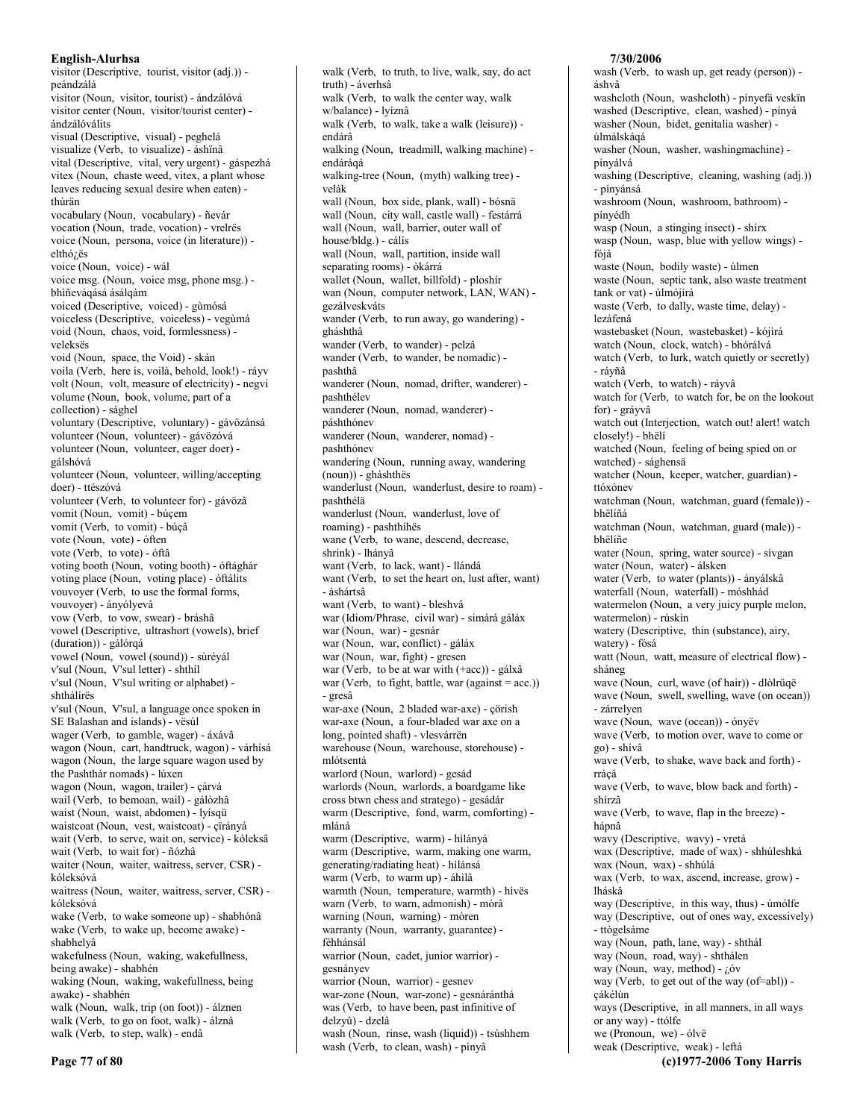visitor (Descriptive, tourist, visitor (adj.)) peándzálá visitor (Noun. visitor. tourist) - ándzálóvá visitor center (Noun, visitor/tourist center) ándzálóválits visual (Descriptive, visual) - peghelá visualize (Verb, to visualize) - áshïnâ vital (Descriptive, vital, very urgent) - gáspezhá vitex (Noun, chaste weed, vitex, a plant whose leaves reducing sexual desire when eaten) thùrän vocabulary (Noun, vocabulary) - ñevár vocation (Noun, trade, vocation) - vrelrës voice (Noun, persona, voice (in literature)) elthózës voice (Noun, voice) - wál voice msg. (Noun, voice msg, phone msg.) bhìñeváqásá ásálqám voiced (Descriptive, voiced) - gùmósá voiceless (Descriptive, voiceless) - vegùmá void (Noun, chaos, void, formlessness) veleksës void (Noun, space, the Void) - skán voila (Verb, here is, voilà, behold, look!) - ráyv volt (Noun, volt, measure of electricity) - negvi volume (Noun, book, volume, part of a collection) - sághel voluntary (Descriptive, voluntary) - gávözánsá volunteer (Noun, volunteer) - gávözóvá volunteer (Noun, volunteer, eager doer) gálshóvá volunteer (Noun, volunteer, willing/accepting doer) - ttészóvá volunteer (Verb, to volunteer for) - gávözâ vomit (Noun, vomit) - búçem vomit (Verb, to vomit) - búçâ vote (Noun, vote) - óften vote (Verb, to vote) - óftâ voting booth (Noun, voting booth) - óftághár voting place (Noun, voting place) - óftálits vouvoyer (Verb, to use the formal forms, vouvoyer) - ányólyevâ vow (Verb, to vow, swear) - bráshâ vowel (Descriptive, ultrashort (vowels), brief (duration)) - gálórqá vowel (Noun, vowel (sound)) - sùréyál<br>v'sul (Noun, V'sul letter) - shthil v'sul (Noun, V'sul writing or alphabet) shthálírës v'sul (Noun, V'sul, a language once spoken in SE Balashan and islands) - vësúl wager (Verb, to gamble, wager) - áxávâ wagon (Noun, cart, handtruck, wagon) - várhísá wagon (Noun, the large square wagon used by the Pashthár nomads) - lúxen wagon (Noun, wagon, trailer) - çárvá wail (Verb, to bemoan, wail) - gálòzhâ waist (Noun, waist, abdomen) - lyísqü waistcoat (Noun, vest, waistcoat) - çïrányá wait (Verb, to serve, wait on, service) - kóleksâ wait (Verb, to wait for) - ñózhâ waiter (Noun, waiter, waitress, server, CSR) kóleksóvá waitress (Noun, waiter, waitress, server, CSR) kóleksóvá wake (Verb, to wake someone up) - shabhónâ wake (Verb, to wake up, become awake) shabhelvâ wakefulness (Noun, waking, wakefullness, being awake) - shabhén waking (Noun, waking, wakefullness, being awake) - shabhén walk (Noun, walk, trip (on foot)) - álznen walk (Verb, to go on foot, walk) - álznâ walk (Verb, to step, walk) - endâ

walk (Verb, to truth, to live, walk, say, do act truth) - áverhsâ walk (Verb, to walk the center way, walk w/balance) - lyíznâ walk (Verb, to walk, take a walk (leisure)) endárâ walking (Noun, treadmill, walking machine) endárágá walking-tree (Noun, (myth) walking tree) velák wall (Noun, box side, plank, wall) - bósnä wall (Noun, city wall, castle wall) - festárrá wall (Noun, wall, barrier, outer wall of house/bldg.) - cálís wall (Noun, wall, partition, inside wall separating rooms) - òkárrá wallet (Noun, wallet, billfold) - ploshir wan (Noun, computer network, LAN, WAN) gezálveskváts wander (Verb, to run away, go wandering) gháshthâ wander (Verb, to wander) - pelzâ wander (Verb, to wander, be nomadic) pashthâ wanderer (Noun, nomad, drifter, wanderer) pashthélev wanderer (Noun, nomad, wanderer) páshthónev wanderer (Noun, wanderer, nomad) pashthónev wandering (Noun, running away, wandering (noun)) - gháshthës wanderlust (Noun, wanderlust, desire to roam) pashthélä wanderlust (Noun, wanderlust, love of roaming) - pashthíhës wane (Verb, to wane, descend, decrease, shrink) - lhányâ want (Verb, to lack, want) - llándâ want (Verb, to set the heart on, lust after, want) - áshártsâ want (Verb, to want) - bleshvâ war (Idiom/Phrase, civil war) - simárá gáláx war (Noun, war) - gesnár war (Noun, war, conflict) - gáláx war (Noun, war, fight) - gresen war (Verb, to be at war with (+acc)) - gálxâ war (Verb, to fight, battle, war (against =  $acc$ .)) - gresâ war-axe (Noun, 2 bladed war-axe) - çörish war-axe (Noun, a four-bladed war axe on a long, pointed shaft) - vlesvárrën warehouse (Noun, warehouse, storehouse) mlótsentá warlord (Noun, warlord) - gesád warlords (Noun, warlords, a boardgame like cross btwn chess and stratego) - gesádár warm (Descriptive, fond, warm, comforting) mláná warm (Descriptive, warm) - hìlányá warm (Descriptive, warm, making one warm, generating/radiating heat) - hìlánsá warm (Verb, to warm up) - áhilâ warmth (Noun, temperature, warmth) - hivës warn (Verb, to warn, admonish) - mòrâ warning (Noun, warning) - mòren warranty (Noun, warranty, guarantee) féhhánsál warrior (Noun, cadet, junior warrior) gesnányev warrior (Noun, warrior) - gesnev war-zone (Noun, war-zone) - gesnáránthá was (Verb, to have been, past infinitive of delzyû) - dzelâ wash (Noun, rinse, wash (liquid)) - tsúshhem wash (Verb, to clean, wash) - pínyâ

## 7/30/2006

wash (Verb, to wash up, get ready (person)) áshvâ washcloth (Noun, washcloth) - pínyefá veskïn washed (Descriptive, clean, washed) - pínyá washer (Noun, bidet, genitalia washer) ùlmálskáqá washer (Noun, washer, washingmachine) pínyálvá washing (Descriptive, cleaning, washing (adj.)) - pínyánsá washroom (Noun, washroom, bathroom) pínvédh wasp (Noun, a stinging insect) - shirx wasp (Noun, wasp, blue with yellow wings) fóiá waste (Noun, bodily waste) - ùlmen waste (Noun, septic tank, also waste treatment tank or vat) - ùlmójìrá waste (Verb, to dally, waste time, delay) lezáfenâ wastebasket (Noun, wastebasket) - kójìrá watch (Noun, clock, watch) - bhórálvá watch (Verb, to lurk, watch quietly or secretly) - rávñâ watch (Verb, to watch) - ráyvâ watch for (Verb, to watch for, be on the lookout for) - gráyvâ watch out (Interjection, watch out! alert! watch closely!) - bhëlí watched (Noun, feeling of being spied on or watched) - sághensä watcher (Noun, keeper, watcher, guardian) ttóxónev watchman (Noun, watchman, guard (female)) hhëlíñá watchman (Noun, watchman, guard (male)) bhëlíñe water (Noun, spring, water source) - sívgan water (Noun, water) - álsken water (Verb, to water (plants)) - ányálskâ waterfall (Noun, waterfall) - móshhád watermelon (Noun, a very juicy purple melon, watermelon) - rúskin watery (Descriptive, thin (substance), airy, watery) - fósá watt (Noun, watt, measure of electrical flow) sháneg wave (Noun, curl, wave (of hair)) - dlòlrüqë wave (Noun, swell, swelling, wave (on ocean)) - zárrelven wave (Noun, wave (ocean)) - ónyëv wave (Verb, to motion over, wave to come or go) - shívâ wave (Verb, to shake, wave back and forth) rrácâ wave (Verb, to wave, blow back and forth) shírzâ wave (Verb, to wave, flap in the breeze) hápnâ wavy (Descriptive, wavy) - vretá wax (Descriptive, made of wax) - shhúleshká wax (Noun, wax) - shhúlá wax (Verb, to wax, ascend, increase, grow) lháskâ way (Descriptive, in this way, thus) - úmólfe way (Descriptive, out of ones way, excessively) - ttògelsáme way (Noun, path, lane, way) - shthál way (Noun, road, way) - shthalen way (Noun, way, method) -  $i$ , 6v way (Verb, to get out of the way  $(of = abI))$  çákélùn ways (Descriptive, in all manners, in all ways or any way) - ttólfe we (Pronoun, we) - ólvë

weak (Descriptive, weak) - leftá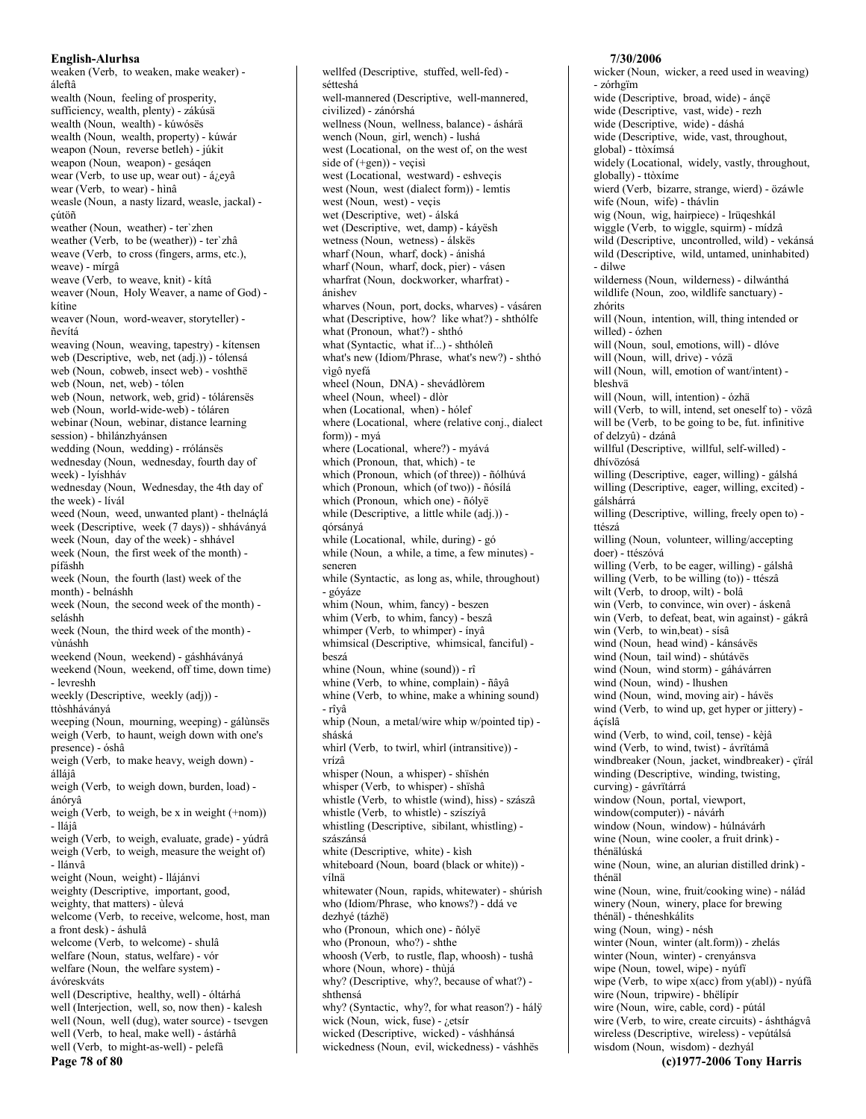weaken (Verb, to weaken, make weaker) áleftâ wealth (Noun, feeling of prosperity, sufficiency, wealth, plenty) - zákúsä wealth (Noun, wealth) - kúwósës wealth (Noun, wealth, property) - kúwár weapon (Noun, reverse betleh) - júkit weapon (Noun, weapon) - gesáqen wear (Verb, to use up, wear out) - á¿eyâ wear (Verb, to wear) - hìnâ weasle (Noun, a nasty lizard, weasle, jackal) cútöñ weather (Noun, weather) - ter'zhen weather (Verb, to be (weather)) - ter'zhâ weave (Verb, to cross (fingers, arms, etc.), weave) - mírgâ weave (Verb, to weave, knit) - kítâ weaver (Noun, Holy Weaver, a name of God) kítìne weaver (Noun, word-weaver, storyteller) ñevítá weaving (Noun, weaving, tapestry) - kitensen web (Descriptive, web, net (adj.)) - tólensá web (Noun, cobweb, insect web) - voshthë web (Noun, net, web) - tólen web (Noun, network, web, grid) - tólárensës web (Noun, world-wide-web) - tóláren webinar (Noun, webinar, distance learning session) - bhìlánzhyánsen wedding (Noun, wedding) - rrólánsës wednesday (Noun, wednesday, fourth day of week) - lyíshháv wednesday (Noun, Wednesday, the 4th day of the week) - lívál weed (Noun, weed, unwanted plant) - thelnáclá week (Descriptive, week (7 days)) - shháványá week (Noun, day of the week) - shhável week (Noun, the first week of the month) pífáshh week (Noun, the fourth (last) week of the month) - belnáshh week (Noun, the second week of the month) seláshh week (Noun, the third week of the month) vùnáshh weekend (Noun, weekend) - gáshháványá weekend (Noun, weekend, off time, down time) - levreshh weekly (Descriptive, weekly (adj)) ttòshháványá weeping (Noun, mourning, weeping) - gálùnsës weigh (Verb, to haunt, weigh down with one's presence) - óshâ weigh (Verb, to make heavy, weigh down) állájâ weigh (Verb, to weigh down, burden, load) ánórvâ weigh (Verb, to weigh, be x in weight  $(+nom)$ ) - Iláiâ weigh (Verb, to weigh, evaluate, grade) - yúdrâ weigh (Verb, to weigh, measure the weight of) - llánvâ weight (Noun, weight) - llájánvi weighty (Descriptive, important, good, weighty, that matters) - ùlevá welcome (Verb, to receive, welcome, host, man a front desk) - áshulâ welcome (Verb, to welcome) - shulâ welfare (Noun, status, welfare) - vór welfare (Noun, the welfare system) ávóreskváts well (Descriptive, healthy, well) - óltárhá well (Interjection, well, so, now then) - kalesh well (Noun, well (dug), water source) - tsevgen well (Verb, to heal, make well) - ástárhâ well (Verb, to might-as-well) - pelefà Page 78 of 80

wellfed (Descriptive, stuffed, well-fed) sétteshá well-mannered (Descriptive, well-mannered, civilized) - zánórshá wellness (Noun, wellness, balance) - áshárä wench (Noun, girl, wench) - lushá west (Locational, on the west of, on the west side of  $(+gen)$  - vects west (Locational, westward) - eshyecis west (Noun, west (dialect form)) - lemtis west (Noun, west) - vecis wet (Descriptive, wet) - álská wet (Descriptive, wet, damp) - káyësh wetness (Noun, wetness) - álskës wharf (Noun, wharf, dock) - ánishá wharf (Noun, wharf, dock, pier) - vásen wharfrat (Noun, dockworker, wharfrat) ánishev wharves (Noun, port, docks, wharves) - vásáren what (Descriptive, how? like what?) - shthólfe what (Pronoun, what?) - shthó what (Syntactic, what if...) - shthóleñ what's new (Idiom/Phrase, what's new?) - shthó vìgô nyefá wheel (Noun, DNA) - shevádlòrem wheel (Noun, wheel) - dlòr when (Locational, when) - hólef where (Locational, where (relative conj., dialect form)) - myá where (Locational, where?) - myává which (Pronoun, that, which) - te which (Pronoun, which (of three)) - ñólhúvá which (Pronoun, which (of two)) - ñósílá which (Pronoun, which one) - ñólvë while (Descriptive, a little while (adj.)) górsányá while (Locational, while, during) - gó while (Noun, a while, a time, a few minutes) seneren while (Syntactic, as long as, while, throughout) - góyáze whim (Noun, whim, fancy) - beszen whim (Verb, to whim, fancy) - beszâ whimper (Verb, to whimper) - ínyâ whimsical (Descriptive, whimsical, fanciful) beszá whine (Noun, whine (sound)) - rî whine (Verb, to whine, complain) - ñâyâ whine (Verb, to whine, make a whining sound) - rîvâ whip (Noun, a metal/wire whip w/pointed tip) sháská whirl (Verb, to twirl, whirl (intransitive)) vrízâ whisper (Noun, a whisper) - shïshén whisper (Verb, to whisper) - shïshâ whistle (Verb, to whistle (wind), hiss) - szászâ whistle (Verb, to whistle) - szíszíyâ whistling (Descriptive, sibilant, whistling) szászánsá white (Descriptive, white) - kìsh whiteboard (Noun, board (black or white)) vílnä whitewater (Noun, rapids, whitewater) - shúrish who (Idiom/Phrase, who knows?) - ddá ve dezhyé (tázhë) who (Pronoun, which one) - ñólyë who (Pronoun, who?) - shthe whoosh (Verb, to rustle, flap, whoosh) - tushâ whore (Noun, whore) - thùjá why? (Descriptive, why?, because of what?) shthensá why? (Syntactic, why?, for what reason?) - hálÿ wick (Noun, wick, fuse) -  $i$ etsír wicked (Descriptive, wicked) - váshhánsá wickedness (Noun, evil, wickedness) - váshhës

## wicker (Noun, wicker, a reed used in weaving) - zórhgïm wide (Descriptive, broad, wide) - ánçë wide (Descriptive, vast, wide) - rezh wide (Descriptive, wide) - dáshá wide (Descriptive, wide, vast, throughout, global) - ttòxímsá widely (Locational, widely, vastly, throughout, globally) - ttòxíme wierd (Verb, bizarre, strange, wierd) - özáwle wife (Noun, wife) - thávlin wig (Noun, wig, hairpiece) - lrüqeshkál wiggle (Verb, to wiggle, squirm) - mídzâ wild (Descriptive, uncontrolled, wild) - vekánsá wild (Descriptive, wild, untamed, uninhabited) - dilwe wilderness (Noun, wilderness) - dilwánthá wildlife (Noun, zoo, wildlife sanctuary) zhórits will (Noun, intention, will, thing intended or willed) - ózhen will (Noun, soul, emotions, will) - dlóve will (Noun, will, drive) - vózä will (Noun, will, emotion of want/intent) bleshvä will (Noun, will, intention) - ózhä will (Verb, to will, intend, set oneself to) - vözâ will be (Verb, to be going to be, fut. infinitive of delzyû) - dzánâ willful (Descriptive, willful, self-willed) dhívözósá willing (Descriptive, eager, willing) - gálshá willing (Descriptive, eager, willing, excited) gálshárrá willing (Descriptive, willing, freely open to) ttészá willing (Noun, volunteer, willing/accepting doer) - ttészóvá willing (Verb, to be eager, willing) - gálshâ willing (Verb, to be willing (to)) - ttészâ wilt (Verb, to droop, wilt) - bolâ win (Verb, to convince, win over) - áskenâ win (Verb, to defeat, beat, win against) - gákrâ win (Verb, to win, beat) - sísâ wind (Noun, head wind) - kánsávës wind (Noun, tail wind) - shútávës wind (Noun, wind storm) - gáhávárren wind (Noun, wind) - lhushen wind (Noun, wind, moving air) - hávës wind (Verb, to wind up, get hyper or jittery) ácíslâ wind (Verb, to wind, coil, tense) - kèjâ wind (Verb, to wind, twist) - ávrītámâ windbreaker (Noun, jacket, windbreaker) - çïrál winding (Descriptive, winding, twisting, curving) - gávrïtárrá window (Noun, portal, viewport, window(computer)) - návárh window (Noun, window) - húlnávárh wine (Noun, wine cooler, a fruit drink) thénälúská wine (Noun, wine, an alurian distilled drink) thénäl wine (Noun, wine, fruit/cooking wine) - nálád winery (Noun, winery, place for brewing thénäl) - théneshkálits wing (Noun, wing) - nésh winter (Noun, winter (alt.form)) - zhelás winter (Noun, winter) - crenyánsva wipe (Noun, towel, wipe) - nyúfi wipe (Verb, to wipe  $x(acc)$  from  $y(ab)$ ) - nyúfâ wire (Noun, tripwire) - bhëlípír wire (Noun, wire, cable, cord) - pútál wire (Verb, to wire, create circuits) - áshthágvâ wireless (Descriptive, wireless) - vepútálsá wisdom (Noun, wisdom) - dezhyál

7/30/2006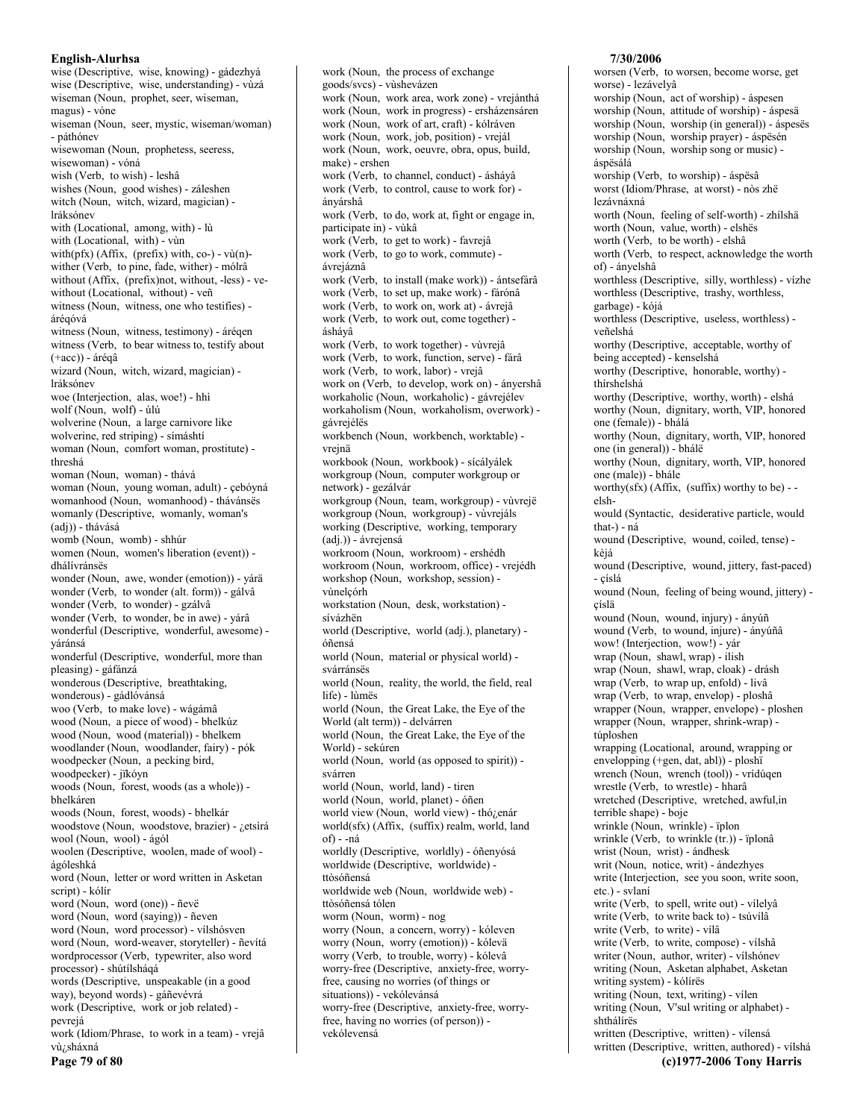wise (Descriptive, wise, knowing) - gádezhyá wise (Descriptive, wise, understanding) - vùzá wiseman (Noun, prophet, seer, wiseman, magus) - vóne wiseman (Noun, seer, mystic, wiseman/woman) - páthónev wisewoman (Noun, prophetess, seeress, wisewoman) - vóná wish (Verb, to wish) - leshâ wishes (Noun, good wishes) - záleshen witch (Noun, witch, wizard, magician) lráksónev with (Locational, among, with) - lù with (Locational, with) - vùn with( $pfx$ ) (Affix, ( $prefix$ ) with,  $co$ -) -  $v\hat{u}(n)$ wither (Verb, to pine, fade, wither) - mólrâ without (Affix, (prefix)not, without, -less) - vewithout (Locational, without) - veñ witness (Noun, witness, one who testifies) árégóvá witness (Noun, witness, testimony) - árégen witness (Verb, to bear witness to, testify about  $(+acc)$ ) - áréqâ wizard (Noun, witch, wizard, magician) lráksónev woe (Interjection, alas, woe!) - hhì wolf (Noun, wolf) - úlú wolverine (Noun, a large carnivore like wolverine, red striping) - símáshtí woman (Noun, comfort woman, prostitute) threshá woman (Noun, woman) - thává woman (Noun, young woman, adult) - çebóyná womanhood (Noun. womanhood) - thávánsës womanly (Descriptive, womanly, woman's (adj)) - thávásá womb (Noun, womb) - shhúr women (Noun, women's liberation (event)) dhálívránsës wonder (Noun. awe, wonder (emotion)) - várä wonder (Verb, to wonder (alt. form)) - gálvâ wonder (Verb, to wonder) - gzálvâ wonder (Verb, to wonder, be in awe) - yárâ wonderful (Descriptive, wonderful, awesome) váránsá wonderful (Descriptive, wonderful, more than pleasing) - gáfánzá wonderous (Descriptive, breathtaking, wonderous) - gádlóvánsá woo (Verb, to make love) - wágámâ wood (Noun, a piece of wood) - bhelkúz wood (Noun, wood (material)) - bhelkem woodlander (Noun, woodlander, fairy) - pók woodpecker (Noun, a pecking bird, woodpecker) - jïkóyn woods (Noun, forest, woods (as a whole)) bhelkáren woods (Noun, forest, woods) - bhelkár woodstove (Noun, woodstove, brazier) - ¿etsìrá wool (Noun, wool) - ágól woolen (Descriptive, woolen, made of wool) ágóleshká word (Noun, letter or word written in Asketan script) - kólír word (Noun, word (one)) - ñevë word (Noun, word (saying)) - ñeven word (Noun, word processor) - vílshósven word (Noun, word-weaver, storyteller) - ñevítá wordprocessor (Verb. typewriter, also word processor) - shútílsháqá words (Descriptive, unspeakable (in a good way), beyond words) - gáñevévrá work (Descriptive, work or job related) pevrejá work (Idiom/Phrase, to work in a team) - vrejâ vù¿sháxná

work (Noun, the process of exchange goods/svcs) - vùshevázen work (Noun, work area, work zone) - vrejánthá work (Noun, work in progress) - ersházensáren work (Noun, work of art, craft) - kólráven work (Noun, work, job, position) - vrejál work (Noun, work, oeuvre, obra, opus, build, make) - ershen work (Verb, to channel, conduct) - ásháyâ work (Verb, to control, cause to work for) ányárshâ work (Verb, to do, work at, fight or engage in, participate in) - vùkâ work (Verb, to get to work) - favrejâ work (Verb, to go to work, commute) ávreiáznâ work (Verb, to install (make work)) - ántsefárâ work (Verb, to set up, make work) - fárónâ work (Verb, to work on, work at) - ávrejâ work (Verb, to work out, come together) ásháyâ work (Verb, to work together) - vùvrejâ work (Verb, to work, function, serve) - fárâ work (Verb. to work, labor) - vrejâ work on (Verb, to develop, work on) - ányershâ workaholic (Noun, workaholic) - gávrejélev workaholism (Noun, workaholism, overwork) gávrejélës workbench (Noun, workbench, worktable) vreinä workbook (Noun, workbook) - sícályálek workgroup (Noun, computer workgroup or network) - gezálvár workgroup (Noun, team, workgroup) - vùvrejë workgroup (Noun, workgroup) - vùvrejáls working (Descriptive, working, temporary (adj.)) - ávrejensá workroom (Noun, workroom) - ershédh workroom (Noun, workroom, office) - vrejédh workshop (Noun, workshop, session) vùnelçórh workstation (Noun, desk, workstation) sívázhën world (Descriptive, world (adj.), planetary) óñensá world (Noun, material or physical world) svárránsës world (Noun, reality, the world, the field, real life) - lùmës world (Noun, the Great Lake, the Eye of the World (alt term)) - delvárren world (Noun, the Great Lake, the Eye of the World) - sekúren world (Noun, world (as opposed to spirit)) svárren world (Noun, world, land) - tiren world (Noun, world, planet) - óñen world view (Noun, world view) - thó¿enár world(sfx) (Affix, (suffix) realm, world, land of) - -ná worldly (Descriptive, worldly) - óñenyósá worldwide (Descriptive, worldwide) ttòsóñensá worldwide web (Noun, worldwide web) ttòsóñensá tólen worm (Noun, worm) - nog worry (Noun, a concern, worry) - kóleven worry (Noun, worry (emotion)) - kólevä worry (Verb, to trouble, worry) - kólevâ worry-free (Descriptive, anxiety-free, worryfree, causing no worries (of things or situations)) - vekólevánsá worry-free (Descriptive, anxiety-free, worryfree, having no worries (of person)) vekólevensá

#### 7/30/2006

worsen (Verb, to worsen, become worse, get worse) - lezávelyâ worship (Noun, act of worship) - áspesen worship (Noun, attitude of worship) - áspesä worship (Noun, worship (in general)) - áspesës worship (Noun, worship prayer) - áspësén worship (Noun, worship song or music) áspësálá worship (Verb, to worship) - áspësâ worst (Idiom/Phrase, at worst) - nòs zhë lezávnáxná worth (Noun, feeling of self-worth) - zhílshä worth (Noun, value, worth) - elshës worth (Verb, to be worth) - elshâ worth (Verb, to respect, acknowledge the worth of) - ányelshâ worthless (Descriptive, silly, worthless) - vízhe worthless (Descriptive, trashy, worthless, garbage) - kójá worthless (Descriptive, useless, worthless) veñelshá worthy (Descriptive, acceptable, worthy of being accepted) - kenselshá worthy (Descriptive, honorable, worthy) thírshelshá worthy (Descriptive, worthy, worth) - elshá worthy (Noun, dignitary, worth, VIP, honored one (female)) - bhálá worthy (Noun, dignitary, worth, VIP, honored one (in general)) - bhálë worthy (Noun, dignitary, worth, VIP, honored one (male)) - bhále worthy(sfx) (Affix, (suffix) worthy to be) -elshwould (Syntactic, desiderative particle, would that-) - ná wound (Descriptive, wound, coiled, tense) kèjá wound (Descriptive, wound, jittery, fast-paced) - císlá wound (Noun, feeling of being wound, jittery) çíslä wound (Noun, wound, injury) - ányúñ wound (Verb, to wound, injure) - ányúñâ wow! (Interjection, wow!) - yár wrap (Noun, shawl, wrap) - ilish wrap (Noun, shawl, wrap, cloak) - drásh wrap (Verb, to wrap up, enfold) - livâ wrap (Verb, to wrap, envelop) - ploshâ wrapper (Noun, wrapper, envelope) - ploshen wrapper (Noun, wrapper, shrink-wrap) túploshen wrapping (Locational, around, wrapping or envelopping (+gen, dat, abl)) - ploshï wrench (Noun, wrench (tool)) - vrídúqen wrestle (Verb, to wrestle) - hharâ wretched (Descriptive, wretched, awful,in terrible shape) - boje wrinkle (Noun, wrinkle) - ïplon wrinkle (Verb, to wrinkle (tr.)) - ïplonâ wrist (Noun, wrist) - ándhesk writ (Noun, notice, writ) - ándezhyes write (Interjection, see you soon, write soon, etc.) - svlaní write (Verb, to spell, write out) - vílelyâ write (Verb, to write back to) - tsúvílâ write (Verb. to write) - vílâ write (Verb, to write, compose) - vílshâ writer (Noun, author, writer) - vílshónev writing (Noun, Asketan alphabet, Asketan writing system) - kólírës writing (Noun, text, writing) - vilen writing (Noun, V'sul writing or alphabet) shthálírës written (Descriptive, written) - vílensá written (Descriptive, written, authored) - vílshá

Page 79 of 80